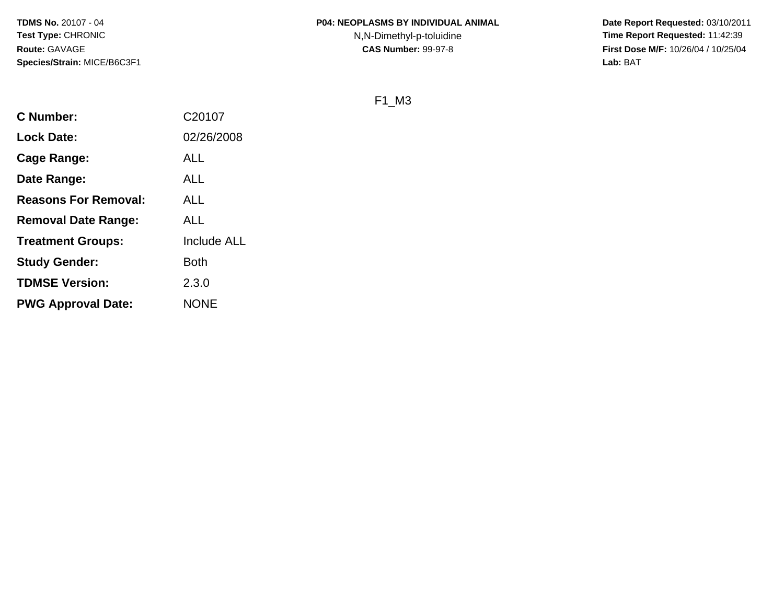**Date Report Requested:** 03/10/2011 **Time Report Requested:** 11:42:39 **First Dose M/F:** 10/26/04 / 10/25/04<br>**Lab:** BAT **Lab:** BAT

F1\_M3

| <b>C</b> Number:            | C20107             |
|-----------------------------|--------------------|
| <b>Lock Date:</b>           | 02/26/2008         |
| Cage Range:                 | <b>ALL</b>         |
| Date Range:                 | ALL                |
| <b>Reasons For Removal:</b> | ALL                |
| <b>Removal Date Range:</b>  | ALL                |
| <b>Treatment Groups:</b>    | <b>Include ALL</b> |
| <b>Study Gender:</b>        | Both               |
| <b>TDMSE Version:</b>       | 2.3.0              |
| <b>PWG Approval Date:</b>   | <b>NONE</b>        |
|                             |                    |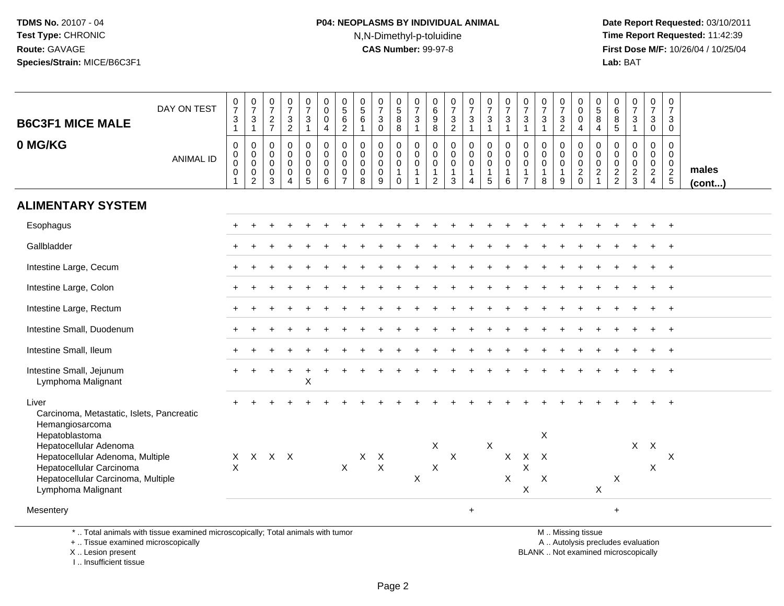# **P04: NEOPLASMS BY INDIVIDUAL ANIMAL**N,N-Dimethyl-p-toluidine

 **Date Report Requested:** 03/10/2011 **Time Report Requested:** 11:42:39 **First Dose M/F:** 10/26/04 / 10/25/04<br>Lab: BAT **Lab:** BAT

| <b>B6C3F1 MICE MALE</b>                                                                                                                                              | DAY ON TEST      | $\frac{0}{7}$<br>$\mathbf{3}$                       | $\frac{0}{7}$<br>$\sqrt{3}$                                            | $\begin{smallmatrix}0\\7\end{smallmatrix}$           | $\frac{0}{7}$                                                          | $\frac{0}{7}$<br>$\mathbf{3}$                                    | 0<br>$\pmb{0}$<br>0                                         | $\begin{smallmatrix}0\0\5\end{smallmatrix}$<br>$6\phantom{a}$                  | $\begin{array}{c} 0 \\ 5 \end{array}$<br>6                    | $\frac{0}{7}$<br>$\sqrt{3}$                                  | $\begin{array}{c} 0 \\ 5 \\ 8 \end{array}$                                       | $\frac{0}{7}$<br>$\mathbf{3}$                                               | $\begin{array}{c} 0 \\ 6 \end{array}$<br>9                                  | $\frac{0}{7}$                                                  | $\frac{0}{7}$<br>$\mathbf{3}$              | $\begin{array}{c} 0 \\ 7 \end{array}$<br>$\mathbf 3$                         | $\frac{0}{7}$<br>$\frac{3}{1}$                                     | $\frac{0}{7}$<br>3                                                            | $\frac{0}{7}$<br>$\mathbf{3}$                                                       | $\frac{0}{7}$<br>3                   | $_{\rm 0}^{\rm 0}$<br>$\mathsf{O}\xspace$                   | $\begin{array}{c} 0 \\ 5 \end{array}$<br>$\overline{8}$  | 0<br>$\,6\,$                                             | $\begin{array}{c} 0 \\ 7 \end{array}$<br>$\frac{3}{1}$ | $\begin{smallmatrix}0\\7\end{smallmatrix}$<br>3           | 0<br>$\overline{7}$<br>3                                   |                 |
|----------------------------------------------------------------------------------------------------------------------------------------------------------------------|------------------|-----------------------------------------------------|------------------------------------------------------------------------|------------------------------------------------------|------------------------------------------------------------------------|------------------------------------------------------------------|-------------------------------------------------------------|--------------------------------------------------------------------------------|---------------------------------------------------------------|--------------------------------------------------------------|----------------------------------------------------------------------------------|-----------------------------------------------------------------------------|-----------------------------------------------------------------------------|----------------------------------------------------------------|--------------------------------------------|------------------------------------------------------------------------------|--------------------------------------------------------------------|-------------------------------------------------------------------------------|-------------------------------------------------------------------------------------|--------------------------------------|-------------------------------------------------------------|----------------------------------------------------------|----------------------------------------------------------|--------------------------------------------------------|-----------------------------------------------------------|------------------------------------------------------------|-----------------|
|                                                                                                                                                                      |                  | $\mathbf{1}$                                        | $\mathbf{1}$                                                           | $\frac{2}{7}$                                        | $\frac{3}{2}$                                                          | $\mathbf{1}$                                                     | 4                                                           | $\overline{2}$                                                                 | $\mathbf{1}$                                                  | $\mathbf 0$                                                  | $\overline{8}$                                                                   | $\overline{1}$                                                              | $\overline{8}$                                                              | $\frac{3}{2}$                                                  | $\mathbf{1}$                               | $\mathbf{1}$                                                                 |                                                                    | $\overline{1}$                                                                | $\mathbf{1}$                                                                        | $\overline{2}$                       | $\overline{4}$                                              | $\overline{4}$                                           | $^8$ 5                                                   |                                                        | $\mathbf 0$                                               | $\mathbf 0$                                                |                 |
| 0 MG/KG                                                                                                                                                              | <b>ANIMAL ID</b> | $\pmb{0}$<br>$_{\rm 0}^{\rm 0}$<br>$\mathbf 0$<br>1 | $\pmb{0}$<br>$\mathbf 0$<br>$\mathbf 0$<br>$\pmb{0}$<br>$\overline{2}$ | 0<br>$\mathbf 0$<br>$\mathbf 0$<br>0<br>$\mathbf{3}$ | $\pmb{0}$<br>$\mathbf 0$<br>$\mathbf 0$<br>$\pmb{0}$<br>$\overline{4}$ | 0<br>$\mathbf 0$<br>$\mathbf 0$<br>$\mathbf 0$<br>$\overline{5}$ | $\pmb{0}$<br>$\mathbf 0$<br>$\mathbf 0$<br>$\mathbf 0$<br>6 | $\pmb{0}$<br>$\mathsf{O}\xspace$<br>$\pmb{0}$<br>$\mathbf 0$<br>$\overline{7}$ | $\mathbf 0$<br>$\mathbf 0$<br>$\mathbf 0$<br>$\mathbf 0$<br>8 | $\mathbf 0$<br>0<br>$\pmb{0}$<br>$\pmb{0}$<br>$\overline{9}$ | $\mathbf 0$<br>$\mathbf 0$<br>$\mathsf{O}\xspace$<br>$\mathbf{1}$<br>$\mathbf 0$ | $\mathbf 0$<br>$\mathbf 0$<br>$\mathbf 0$<br>$\mathbf{1}$<br>$\overline{1}$ | $\mathbf 0$<br>$\mathbf 0$<br>$\mathbf 0$<br>$\mathbf{1}$<br>$\overline{2}$ | $\mathsf 0$<br>$\mathbf 0$<br>$\mathbf 0$<br>$\mathbf{1}$<br>3 | 0<br>0<br>$\mathbf 0$<br>$\mathbf{1}$<br>4 | $\pmb{0}$<br>$\begin{smallmatrix}0\\0\end{smallmatrix}$<br>$\mathbf{1}$<br>5 | $\mathbf 0$<br>$\mathbf 0$<br>$\pmb{0}$<br>$\mathbf{1}$<br>$\,6\,$ | $\mathbf 0$<br>$\mathbf 0$<br>$\mathbf 0$<br>$\overline{1}$<br>$\overline{7}$ | $\pmb{0}$<br>$\mathbf 0$<br>$\mathsf 0$<br>$\mathbf{1}$<br>8                        | 0<br>$\mathbf 0$<br>$\mathbf 0$<br>9 | $\pmb{0}$<br>$\begin{matrix} 0 \\ 0 \\ 2 \\ 0 \end{matrix}$ | 0<br>$\mathbf 0$<br>$\mathsf{O}\xspace$<br>$\frac{2}{1}$ | $\mathbf 0$<br>$\mathbf 0$<br>$\pmb{0}$<br>$\frac{2}{2}$ | $\mathbf 0$<br>$\mathbf 0$<br>$\frac{0}{2}$            | 0<br>0<br>$\mathbf 0$<br>$\overline{2}$<br>$\overline{4}$ | $\mathbf 0$<br>$\mathbf 0$<br>$\mathbf 0$<br>$\frac{2}{5}$ | males<br>(cont) |
| <b>ALIMENTARY SYSTEM</b>                                                                                                                                             |                  |                                                     |                                                                        |                                                      |                                                                        |                                                                  |                                                             |                                                                                |                                                               |                                                              |                                                                                  |                                                                             |                                                                             |                                                                |                                            |                                                                              |                                                                    |                                                                               |                                                                                     |                                      |                                                             |                                                          |                                                          |                                                        |                                                           |                                                            |                 |
| Esophagus                                                                                                                                                            |                  |                                                     |                                                                        |                                                      |                                                                        |                                                                  |                                                             |                                                                                |                                                               |                                                              |                                                                                  |                                                                             |                                                                             |                                                                |                                            |                                                                              |                                                                    |                                                                               |                                                                                     |                                      |                                                             |                                                          |                                                          |                                                        |                                                           | $^{+}$                                                     |                 |
| Gallbladder                                                                                                                                                          |                  |                                                     |                                                                        |                                                      |                                                                        |                                                                  |                                                             |                                                                                |                                                               |                                                              |                                                                                  |                                                                             |                                                                             |                                                                |                                            |                                                                              |                                                                    |                                                                               |                                                                                     |                                      |                                                             |                                                          |                                                          |                                                        |                                                           |                                                            |                 |
| Intestine Large, Cecum                                                                                                                                               |                  |                                                     |                                                                        |                                                      |                                                                        |                                                                  |                                                             |                                                                                |                                                               |                                                              |                                                                                  |                                                                             |                                                                             |                                                                |                                            |                                                                              |                                                                    |                                                                               |                                                                                     |                                      |                                                             |                                                          |                                                          |                                                        |                                                           |                                                            |                 |
| Intestine Large, Colon                                                                                                                                               |                  |                                                     |                                                                        |                                                      |                                                                        |                                                                  |                                                             |                                                                                |                                                               |                                                              |                                                                                  |                                                                             |                                                                             |                                                                |                                            |                                                                              |                                                                    |                                                                               |                                                                                     |                                      |                                                             |                                                          |                                                          |                                                        |                                                           | $\overline{ }$                                             |                 |
| Intestine Large, Rectum                                                                                                                                              |                  |                                                     |                                                                        |                                                      |                                                                        |                                                                  |                                                             |                                                                                |                                                               |                                                              |                                                                                  |                                                                             |                                                                             |                                                                |                                            |                                                                              |                                                                    |                                                                               |                                                                                     |                                      |                                                             |                                                          |                                                          |                                                        | $\ddot{}$                                                 | $+$                                                        |                 |
| Intestine Small, Duodenum                                                                                                                                            |                  |                                                     |                                                                        |                                                      |                                                                        |                                                                  |                                                             |                                                                                |                                                               |                                                              |                                                                                  |                                                                             |                                                                             |                                                                |                                            |                                                                              |                                                                    |                                                                               |                                                                                     |                                      |                                                             |                                                          |                                                          |                                                        |                                                           |                                                            |                 |
| Intestine Small, Ileum                                                                                                                                               |                  |                                                     |                                                                        |                                                      |                                                                        |                                                                  |                                                             |                                                                                |                                                               |                                                              |                                                                                  |                                                                             |                                                                             |                                                                |                                            |                                                                              |                                                                    |                                                                               |                                                                                     |                                      |                                                             |                                                          |                                                          |                                                        |                                                           | $\ddot{+}$                                                 |                 |
| Intestine Small, Jejunum<br>Lymphoma Malignant                                                                                                                       |                  |                                                     |                                                                        |                                                      |                                                                        | X                                                                |                                                             |                                                                                |                                                               |                                                              |                                                                                  |                                                                             |                                                                             |                                                                |                                            |                                                                              |                                                                    |                                                                               |                                                                                     |                                      |                                                             |                                                          |                                                          |                                                        |                                                           |                                                            |                 |
| Liver<br>Carcinoma, Metastatic, Islets, Pancreatic<br>Hemangiosarcoma                                                                                                |                  |                                                     |                                                                        |                                                      |                                                                        |                                                                  |                                                             |                                                                                |                                                               |                                                              |                                                                                  |                                                                             |                                                                             |                                                                |                                            |                                                                              |                                                                    |                                                                               |                                                                                     |                                      |                                                             |                                                          |                                                          |                                                        |                                                           |                                                            |                 |
| Hepatoblastoma<br>Hepatocellular Adenoma<br>Hepatocellular Adenoma, Multiple<br>Hepatocellular Carcinoma<br>Hepatocellular Carcinoma, Multiple<br>Lymphoma Malignant |                  | X<br>X                                              |                                                                        | X X X                                                |                                                                        |                                                                  |                                                             | $\mathsf{X}$                                                                   | $X$ $X$                                                       | $\mathsf X$                                                  |                                                                                  | $\mathsf{X}$                                                                | X<br>$\boldsymbol{\mathsf{X}}$                                              | $\mathsf X$                                                    |                                            | $\boldsymbol{\mathsf{X}}$                                                    | X<br>$\mathsf{X}$                                                  | $\mathsf X$<br>$\sf X$<br>$\pmb{\times}$                                      | $\boldsymbol{\mathsf{X}}$<br>$\boldsymbol{\mathsf{X}}$<br>$\boldsymbol{\mathsf{X}}$ |                                      |                                                             | $\boldsymbol{\mathsf{X}}$                                | X                                                        | $\mathsf{X}$                                           | $\boldsymbol{\mathsf{X}}$<br>Χ                            | X                                                          |                 |
| Mesentery                                                                                                                                                            |                  |                                                     |                                                                        |                                                      |                                                                        |                                                                  |                                                             |                                                                                |                                                               |                                                              |                                                                                  |                                                                             |                                                                             |                                                                | $\ddot{}$                                  |                                                                              |                                                                    |                                                                               |                                                                                     |                                      |                                                             |                                                          | $\ddot{}$                                                |                                                        |                                                           |                                                            |                 |
| *  Total animals with tissue examined microscopically; Total animals with tumor<br>+  Tissue examined microscopically                                                |                  |                                                     |                                                                        |                                                      |                                                                        |                                                                  |                                                             |                                                                                |                                                               |                                                              |                                                                                  |                                                                             |                                                                             |                                                                |                                            |                                                                              |                                                                    |                                                                               |                                                                                     |                                      | M  Missing tissue                                           |                                                          |                                                          | A  Autolysis precludes evaluation                      |                                                           |                                                            |                 |

X .. Lesion present

I .. Insufficient tissue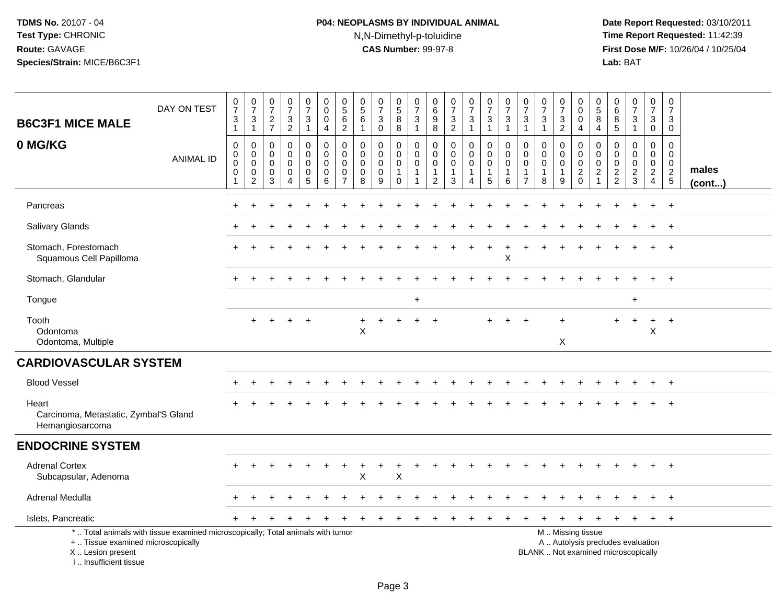# **P04: NEOPLASMS BY INDIVIDUAL ANIMAL**N,N-Dimethyl-p-toluidine

| <b>B6C3F1 MICE MALE</b>                                                          | DAY ON TEST                                                                     | $\frac{0}{7}$<br>$\ensuremath{\mathsf{3}}$<br>$\overline{1}$             | $\frac{0}{7}$<br>$\ensuremath{\mathsf{3}}$<br>$\overline{1}$ | $\frac{0}{7}$<br>$\sqrt{2}$<br>$\overline{7}$ | $\frac{0}{7}$<br>$\ensuremath{\mathsf{3}}$<br>$\overline{2}$ | $\begin{smallmatrix}0\\7\end{smallmatrix}$<br>$\ensuremath{\mathsf{3}}$<br>$\mathbf{1}$ | $_{\rm 0}^{\rm 0}$<br>$\pmb{0}$<br>$\overline{4}$ | $\begin{array}{c} 0 \\ 5 \\ 6 \end{array}$<br>$\overline{2}$ | $\begin{array}{c} 0 \\ 5 \end{array}$<br>$\,6\,$<br>$\mathbf{1}$ | $\frac{0}{7}$<br>$\ensuremath{\mathsf{3}}$<br>$\pmb{0}$  | $\begin{array}{c} 0 \\ 5 \end{array}$<br>$\overline{8}$<br>8           | $\frac{0}{7}$<br>3<br>$\mathbf{1}$                  | $\pmb{0}$<br>6<br>$\frac{9}{8}$               | $\begin{smallmatrix}0\\7\end{smallmatrix}$<br>$\frac{3}{2}$  | $\frac{0}{7}$<br>$\ensuremath{\mathsf{3}}$<br>$\overline{1}$ | $\begin{array}{c} 0 \\ 7 \end{array}$<br>$\sqrt{3}$<br>$\overline{1}$ | $\frac{0}{7}$<br>$\ensuremath{\mathsf{3}}$<br>$\mathbf{1}$ | $\frac{0}{7}$<br>$\ensuremath{\mathsf{3}}$<br>$\overline{1}$             | $\frac{0}{7}$<br>$\ensuremath{\mathsf{3}}$<br>$\mathbf{1}$ | $\begin{array}{c} 0 \\ 7 \end{array}$<br>$\ensuremath{\mathsf{3}}$<br>$\overline{2}$ | 0<br>$\mathbf 0$<br>$\mathbf 0$<br>$\overline{4}$          | $\begin{array}{c} 0 \\ 5 \end{array}$<br>$\,8\,$<br>$\overline{4}$          | 0<br>$\,6\,$<br>8<br>$\sqrt{5}$                                            | $\frac{0}{7}$<br>$\mathbf{3}$<br>$\mathbf{1}$                            | $\begin{array}{c} 0 \\ 7 \end{array}$<br>$\ensuremath{\mathsf{3}}$<br>$\mathbf 0$ | $\pmb{0}$<br>$\overline{7}$<br>3<br>$\mathbf 0$            |                       |
|----------------------------------------------------------------------------------|---------------------------------------------------------------------------------|--------------------------------------------------------------------------|--------------------------------------------------------------|-----------------------------------------------|--------------------------------------------------------------|-----------------------------------------------------------------------------------------|---------------------------------------------------|--------------------------------------------------------------|------------------------------------------------------------------|----------------------------------------------------------|------------------------------------------------------------------------|-----------------------------------------------------|-----------------------------------------------|--------------------------------------------------------------|--------------------------------------------------------------|-----------------------------------------------------------------------|------------------------------------------------------------|--------------------------------------------------------------------------|------------------------------------------------------------|--------------------------------------------------------------------------------------|------------------------------------------------------------|-----------------------------------------------------------------------------|----------------------------------------------------------------------------|--------------------------------------------------------------------------|-----------------------------------------------------------------------------------|------------------------------------------------------------|-----------------------|
| 0 MG/KG                                                                          | <b>ANIMAL ID</b>                                                                | $\pmb{0}$<br>$\mathbf 0$<br>$\mathbf 0$<br>$\mathbf 0$<br>$\overline{1}$ | 0<br>$\mathbf 0$<br>$\mathbf 0$<br>0<br>2                    | 0<br>$\mathbf 0$<br>$\Omega$<br>0<br>3        | 0<br>$\mathbf 0$<br>$\mathbf 0$<br>0<br>$\overline{4}$       | 0<br>$\mathbf 0$<br>$\mathbf 0$<br>0<br>5                                               | $\mathbf 0$<br>$\pmb{0}$<br>0<br>$\pmb{0}$<br>6   | 0<br>$\mathbf 0$<br>$\mathbf 0$<br>0<br>$\overline{7}$       | $\mathbf 0$<br>$\mathbf 0$<br>$\mathbf 0$<br>0<br>8              | 0<br>$\mathbf 0$<br>$\mathbf 0$<br>$\boldsymbol{0}$<br>9 | 0<br>$\mathsf{O}\xspace$<br>$\mathbf 0$<br>$\mathbf{1}$<br>$\mathbf 0$ | 0<br>$\mathbf 0$<br>$\mathbf 0$<br>$\mathbf 1$<br>1 | 0<br>0<br>0<br>$\mathbf{1}$<br>$\overline{2}$ | 0<br>$\mathsf{O}\xspace$<br>$\mathbf 0$<br>$\mathbf{1}$<br>3 | 0<br>$\mathbf 0$<br>0<br>$\mathbf{1}$<br>4                   | $\pmb{0}$<br>$\mathbf 0$<br>$\mathbf 0$<br>$\overline{1}$<br>5        | 0<br>$\mathbf 0$<br>$\mathbf 0$<br>1<br>6                  | $\mathbf 0$<br>$\mathbf 0$<br>$\Omega$<br>$\mathbf{1}$<br>$\overline{7}$ | 0<br>$\pmb{0}$<br>$\mathbf 0$<br>$\mathbf{1}$<br>8         | 0<br>$\mathbf 0$<br>$\mathbf 0$<br>$\mathbf{1}$<br>9                                 | $\mathbf 0$<br>$\mathbf 0$<br>$\mathbf 0$<br>$\frac{2}{0}$ | $\mathbf 0$<br>$\mathbf 0$<br>$\mathbf 0$<br>$\overline{2}$<br>$\mathbf{1}$ | $\mathbf 0$<br>$\mathbf 0$<br>$\Omega$<br>$\overline{c}$<br>$\overline{2}$ | 0<br>$\mathbf 0$<br>$\mathbf 0$<br>$\frac{2}{3}$                         | 0<br>$\mathbf 0$<br>$\mathbf 0$<br>$\overline{2}$<br>$\overline{4}$               | $\mathbf 0$<br>$\mathbf 0$<br>$\mathbf 0$<br>$\frac{2}{5}$ | males<br>$($ cont $)$ |
| Pancreas                                                                         |                                                                                 |                                                                          |                                                              |                                               |                                                              |                                                                                         |                                                   |                                                              |                                                                  |                                                          |                                                                        |                                                     |                                               |                                                              |                                                              |                                                                       |                                                            |                                                                          |                                                            |                                                                                      |                                                            |                                                                             |                                                                            |                                                                          |                                                                                   | $\ddot{}$                                                  |                       |
| Salivary Glands                                                                  |                                                                                 |                                                                          |                                                              |                                               |                                                              |                                                                                         |                                                   |                                                              |                                                                  |                                                          |                                                                        |                                                     |                                               |                                                              |                                                              |                                                                       |                                                            |                                                                          |                                                            |                                                                                      |                                                            |                                                                             |                                                                            |                                                                          |                                                                                   | $^+$                                                       |                       |
| Stomach, Forestomach<br>Squamous Cell Papilloma                                  |                                                                                 |                                                                          |                                                              |                                               |                                                              |                                                                                         |                                                   |                                                              |                                                                  |                                                          |                                                                        |                                                     |                                               |                                                              |                                                              |                                                                       | X                                                          |                                                                          |                                                            |                                                                                      |                                                            |                                                                             |                                                                            |                                                                          | $+$                                                                               | $+$                                                        |                       |
| Stomach, Glandular                                                               |                                                                                 |                                                                          |                                                              |                                               |                                                              |                                                                                         |                                                   |                                                              |                                                                  |                                                          |                                                                        |                                                     |                                               |                                                              |                                                              |                                                                       |                                                            |                                                                          |                                                            |                                                                                      |                                                            |                                                                             |                                                                            |                                                                          | $\ddot{}$                                                                         | $+$                                                        |                       |
| Tongue                                                                           |                                                                                 |                                                                          |                                                              |                                               |                                                              |                                                                                         |                                                   |                                                              |                                                                  |                                                          |                                                                        | $\ddot{}$                                           |                                               |                                                              |                                                              |                                                                       |                                                            |                                                                          |                                                            |                                                                                      |                                                            |                                                                             |                                                                            | $\ddot{}$                                                                |                                                                                   |                                                            |                       |
| Tooth<br>Odontoma<br>Odontoma, Multiple                                          |                                                                                 |                                                                          | $\ddot{}$                                                    | $+$                                           | $+$                                                          |                                                                                         |                                                   |                                                              | $\boldsymbol{\mathsf{X}}$                                        |                                                          |                                                                        | $\ddot{}$                                           | $\ddot{}$                                     |                                                              |                                                              |                                                                       |                                                            |                                                                          |                                                            | X                                                                                    |                                                            |                                                                             |                                                                            | $\ddot{}$                                                                | $+$<br>$\pmb{\times}$                                                             | $+$                                                        |                       |
| <b>CARDIOVASCULAR SYSTEM</b>                                                     |                                                                                 |                                                                          |                                                              |                                               |                                                              |                                                                                         |                                                   |                                                              |                                                                  |                                                          |                                                                        |                                                     |                                               |                                                              |                                                              |                                                                       |                                                            |                                                                          |                                                            |                                                                                      |                                                            |                                                                             |                                                                            |                                                                          |                                                                                   |                                                            |                       |
| <b>Blood Vessel</b>                                                              |                                                                                 |                                                                          |                                                              |                                               |                                                              |                                                                                         |                                                   |                                                              |                                                                  |                                                          |                                                                        |                                                     |                                               |                                                              |                                                              |                                                                       |                                                            |                                                                          |                                                            |                                                                                      |                                                            |                                                                             |                                                                            |                                                                          |                                                                                   | $\overline{+}$                                             |                       |
| Heart<br>Carcinoma, Metastatic, Zymbal'S Gland<br>Hemangiosarcoma                |                                                                                 |                                                                          |                                                              |                                               |                                                              |                                                                                         |                                                   |                                                              |                                                                  |                                                          |                                                                        |                                                     |                                               |                                                              |                                                              |                                                                       |                                                            |                                                                          |                                                            |                                                                                      |                                                            |                                                                             |                                                                            |                                                                          |                                                                                   | $\ddot{}$                                                  |                       |
| <b>ENDOCRINE SYSTEM</b>                                                          |                                                                                 |                                                                          |                                                              |                                               |                                                              |                                                                                         |                                                   |                                                              |                                                                  |                                                          |                                                                        |                                                     |                                               |                                                              |                                                              |                                                                       |                                                            |                                                                          |                                                            |                                                                                      |                                                            |                                                                             |                                                                            |                                                                          |                                                                                   |                                                            |                       |
| <b>Adrenal Cortex</b><br>Subcapsular, Adenoma                                    |                                                                                 |                                                                          |                                                              |                                               |                                                              |                                                                                         |                                                   |                                                              | X                                                                |                                                          | X                                                                      |                                                     |                                               |                                                              |                                                              |                                                                       |                                                            |                                                                          |                                                            |                                                                                      |                                                            |                                                                             |                                                                            |                                                                          |                                                                                   | $\ddot{}$                                                  |                       |
| Adrenal Medulla                                                                  |                                                                                 |                                                                          |                                                              |                                               |                                                              |                                                                                         |                                                   |                                                              |                                                                  |                                                          |                                                                        |                                                     |                                               |                                                              |                                                              |                                                                       |                                                            |                                                                          |                                                            |                                                                                      |                                                            |                                                                             |                                                                            |                                                                          |                                                                                   |                                                            |                       |
| Islets, Pancreatic                                                               |                                                                                 |                                                                          |                                                              |                                               |                                                              |                                                                                         |                                                   |                                                              |                                                                  |                                                          |                                                                        |                                                     |                                               |                                                              |                                                              |                                                                       |                                                            |                                                                          |                                                            |                                                                                      |                                                            |                                                                             |                                                                            |                                                                          | $+$                                                                               | $+$                                                        |                       |
| +  Tissue examined microscopically<br>X  Lesion present<br>I Insufficient tissue | *  Total animals with tissue examined microscopically; Total animals with tumor |                                                                          |                                                              |                                               |                                                              |                                                                                         |                                                   |                                                              |                                                                  |                                                          |                                                                        |                                                     |                                               |                                                              |                                                              |                                                                       |                                                            |                                                                          | M  Missing tissue                                          |                                                                                      |                                                            |                                                                             |                                                                            | A  Autolysis precludes evaluation<br>BLANK  Not examined microscopically |                                                                                   |                                                            |                       |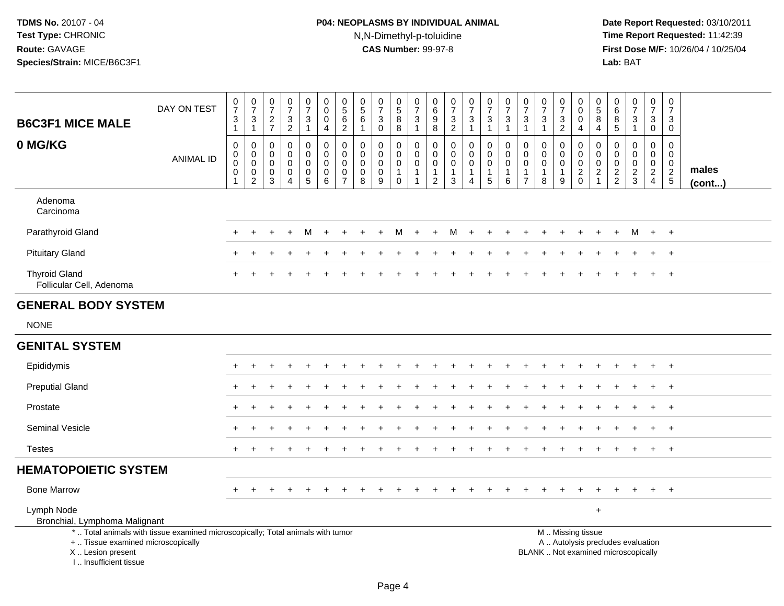# **P04: NEOPLASMS BY INDIVIDUAL ANIMAL**N,N-Dimethyl-p-toluidine

 **Date Report Requested:** 03/10/2011 **Time Report Requested:** 11:42:39 **First Dose M/F:** 10/26/04 / 10/25/04<br>Lab: BAT **Lab:** BAT

| <b>B6C3F1 MICE MALE</b>                                                          | DAY ON TEST                                                                     | $\frac{0}{7}$<br>$\frac{3}{1}$                                             | $\begin{array}{c} 0 \\ 7 \end{array}$<br>$\frac{3}{1}$                        | $\begin{array}{c} 0 \\ 7 \end{array}$<br>$\frac{2}{7}$                | $\frac{0}{7}$<br>$\frac{3}{2}$                                           | $\begin{array}{c} 0 \\ 7 \end{array}$<br>$\mathbf{3}$<br>$\mathbf{1}$  | $\boldsymbol{0}$<br>$\ddot{\mathbf{0}}$<br>0<br>4  | $\begin{smallmatrix} 0\\5 \end{smallmatrix}$<br>$\,6$<br>$\overline{2}$ | $\pmb{0}$<br>$\overline{5}$<br>6<br>$\mathbf{1}$            | $\begin{array}{c} 0 \\ 7 \end{array}$<br>$\sqrt{3}$<br>$\mathsf{O}\xspace$ | $\begin{array}{c} 0 \\ 5 \end{array}$<br>$\bf 8$<br>$\overline{8}$         | $\frac{0}{7}$<br>$\frac{3}{1}$                                                   | 0<br>$6\phantom{a}$<br>$\boldsymbol{9}$<br>$\overline{8}$         | $\begin{array}{c} 0 \\ 7 \end{array}$<br>$\frac{3}{2}$                 | $\frac{0}{7}$<br>3<br>$\mathbf{1}$         | $\frac{0}{7}$<br>$\frac{3}{1}$                                   | $\frac{0}{7}$<br>$\mathbf{3}$<br>$\mathbf{1}$        | $\begin{array}{c} 0 \\ 7 \end{array}$<br>$\sqrt{3}$<br>$\mathbf{1}$ | $\begin{array}{c} 0 \\ 7 \end{array}$<br>$\sqrt{3}$<br>$\mathbf{1}$ | $\frac{0}{7}$<br>$\frac{3}{2}$                                    | 0<br>$\mathbf 0$<br>$\mathbf 0$<br>4                                                          | 0<br>$\overline{5}$<br>8<br>4                                                | $\pmb{0}$<br>$6\phantom{a}$<br>8<br>5                   | $\frac{0}{7}$<br>$\mathbf{3}$<br>$\mathbf{1}$ | $\begin{smallmatrix}0\\7\end{smallmatrix}$<br>$\mathbf{3}$<br>$\mathbf 0$ | $\frac{0}{7}$<br>3<br>0                                          |                       |
|----------------------------------------------------------------------------------|---------------------------------------------------------------------------------|----------------------------------------------------------------------------|-------------------------------------------------------------------------------|-----------------------------------------------------------------------|--------------------------------------------------------------------------|------------------------------------------------------------------------|----------------------------------------------------|-------------------------------------------------------------------------|-------------------------------------------------------------|----------------------------------------------------------------------------|----------------------------------------------------------------------------|----------------------------------------------------------------------------------|-------------------------------------------------------------------|------------------------------------------------------------------------|--------------------------------------------|------------------------------------------------------------------|------------------------------------------------------|---------------------------------------------------------------------|---------------------------------------------------------------------|-------------------------------------------------------------------|-----------------------------------------------------------------------------------------------|------------------------------------------------------------------------------|---------------------------------------------------------|-----------------------------------------------|---------------------------------------------------------------------------|------------------------------------------------------------------|-----------------------|
| 0 MG/KG                                                                          | <b>ANIMAL ID</b>                                                                | $\pmb{0}$<br>$\pmb{0}$<br>$\ddot{\mathbf{0}}$<br>$\pmb{0}$<br>$\mathbf{1}$ | $\mathsf 0$<br>$\mathbf 0$<br>$\overline{0}$<br>$\mathbf 0$<br>$\overline{2}$ | $\boldsymbol{0}$<br>0<br>$\mathbf 0$<br>$\mathbf 0$<br>$\overline{3}$ | $\pmb{0}$<br>$\mathbf 0$<br>$\mathbf 0$<br>$\mathbf 0$<br>$\overline{A}$ | $\pmb{0}$<br>$\mathbf 0$<br>$\pmb{0}$<br>$\mathsf 0$<br>$\overline{5}$ | $\pmb{0}$<br>0<br>$\pmb{0}$<br>0<br>$\overline{6}$ | $\pmb{0}$<br>0<br>0<br>0<br>$\overline{7}$                              | $\pmb{0}$<br>$\mathbf 0$<br>$\mathbf 0$<br>$\mathbf 0$<br>8 | $\pmb{0}$<br>$\mathbf 0$<br>$\pmb{0}$<br>$\pmb{0}$<br>$\overline{9}$       | $\mathbf 0$<br>$\mathbf 0$<br>$\mathbf 0$<br>$\overline{1}$<br>$\mathbf 0$ | $\boldsymbol{0}$<br>$\mathbf 0$<br>$\pmb{0}$<br>$\overline{1}$<br>$\overline{1}$ | 0<br>$\mathbf 0$<br>$\mathbf 0$<br>$\mathbf{1}$<br>$\overline{2}$ | $\pmb{0}$<br>$\Omega$<br>$\mathbf 0$<br>$\mathbf{1}$<br>$\overline{3}$ | 0<br>$\mathbf 0$<br>0<br>$\mathbf{1}$<br>4 | $\pmb{0}$<br>$\tilde{0}$<br>$\ddot{\mathbf{0}}$<br>$\frac{1}{5}$ | $\mathsf 0$<br>$\mathbf 0$<br>0<br>$\mathbf{1}$<br>6 | $\mathbf 0$<br>$\mathbf 0$<br>0<br>$\mathbf{1}$<br>$\overline{7}$   | $\mathbf 0$<br>$\mathbf 0$<br>$\pmb{0}$<br>$\mathbf{1}$<br>8        | 0<br>$\mathbf 0$<br>$\mathbf 0$<br>$\mathbf{1}$<br>$\overline{9}$ | 0<br>$\mathbf 0$<br>$\mathbf 0$<br>$\frac{2}{0}$                                              | $\pmb{0}$<br>$\overline{0}$<br>$\mathbf 0$<br>$\overline{c}$<br>$\mathbf{1}$ | $\mathbf 0$<br>$\Omega$<br>$\mathbf 0$<br>$\frac{2}{2}$ | 0<br>$\mathbf 0$<br>0<br>$\frac{2}{3}$        | $\mathbf 0$<br>$\mathbf 0$<br>0<br>$\overline{a}$<br>$\overline{4}$       | $\pmb{0}$<br>$\mathbf 0$<br>$\mathsf{O}\xspace$<br>$\frac{2}{5}$ | males<br>$($ cont $)$ |
| Adenoma<br>Carcinoma                                                             |                                                                                 |                                                                            |                                                                               |                                                                       |                                                                          |                                                                        |                                                    |                                                                         |                                                             |                                                                            |                                                                            |                                                                                  |                                                                   |                                                                        |                                            |                                                                  |                                                      |                                                                     |                                                                     |                                                                   |                                                                                               |                                                                              |                                                         |                                               |                                                                           |                                                                  |                       |
| Parathyroid Gland                                                                |                                                                                 |                                                                            |                                                                               |                                                                       |                                                                          | м                                                                      |                                                    |                                                                         |                                                             |                                                                            | м                                                                          |                                                                                  | $\ddot{}$                                                         | м                                                                      | $\ddot{}$                                  |                                                                  |                                                      |                                                                     |                                                                     |                                                                   |                                                                                               |                                                                              |                                                         | м                                             | $+$                                                                       | $+$                                                              |                       |
| <b>Pituitary Gland</b>                                                           |                                                                                 |                                                                            |                                                                               |                                                                       |                                                                          |                                                                        |                                                    |                                                                         |                                                             |                                                                            |                                                                            |                                                                                  |                                                                   |                                                                        |                                            |                                                                  |                                                      |                                                                     |                                                                     |                                                                   |                                                                                               |                                                                              |                                                         |                                               |                                                                           | $\overline{1}$                                                   |                       |
| <b>Thyroid Gland</b><br>Follicular Cell, Adenoma                                 |                                                                                 |                                                                            |                                                                               |                                                                       |                                                                          |                                                                        |                                                    |                                                                         |                                                             |                                                                            |                                                                            |                                                                                  |                                                                   |                                                                        |                                            |                                                                  |                                                      |                                                                     |                                                                     |                                                                   |                                                                                               |                                                                              |                                                         |                                               |                                                                           | $\overline{+}$                                                   |                       |
| <b>GENERAL BODY SYSTEM</b>                                                       |                                                                                 |                                                                            |                                                                               |                                                                       |                                                                          |                                                                        |                                                    |                                                                         |                                                             |                                                                            |                                                                            |                                                                                  |                                                                   |                                                                        |                                            |                                                                  |                                                      |                                                                     |                                                                     |                                                                   |                                                                                               |                                                                              |                                                         |                                               |                                                                           |                                                                  |                       |
| <b>NONE</b>                                                                      |                                                                                 |                                                                            |                                                                               |                                                                       |                                                                          |                                                                        |                                                    |                                                                         |                                                             |                                                                            |                                                                            |                                                                                  |                                                                   |                                                                        |                                            |                                                                  |                                                      |                                                                     |                                                                     |                                                                   |                                                                                               |                                                                              |                                                         |                                               |                                                                           |                                                                  |                       |
| <b>GENITAL SYSTEM</b>                                                            |                                                                                 |                                                                            |                                                                               |                                                                       |                                                                          |                                                                        |                                                    |                                                                         |                                                             |                                                                            |                                                                            |                                                                                  |                                                                   |                                                                        |                                            |                                                                  |                                                      |                                                                     |                                                                     |                                                                   |                                                                                               |                                                                              |                                                         |                                               |                                                                           |                                                                  |                       |
| Epididymis                                                                       |                                                                                 |                                                                            |                                                                               |                                                                       |                                                                          |                                                                        |                                                    |                                                                         |                                                             |                                                                            |                                                                            |                                                                                  |                                                                   |                                                                        |                                            |                                                                  |                                                      |                                                                     |                                                                     |                                                                   |                                                                                               |                                                                              |                                                         |                                               |                                                                           | $\overline{1}$                                                   |                       |
| <b>Preputial Gland</b>                                                           |                                                                                 |                                                                            |                                                                               |                                                                       |                                                                          |                                                                        |                                                    |                                                                         |                                                             |                                                                            |                                                                            |                                                                                  |                                                                   |                                                                        |                                            |                                                                  |                                                      |                                                                     |                                                                     |                                                                   |                                                                                               |                                                                              |                                                         |                                               | $\ddot{}$                                                                 | $+$                                                              |                       |
| Prostate                                                                         |                                                                                 |                                                                            |                                                                               |                                                                       |                                                                          |                                                                        |                                                    |                                                                         |                                                             |                                                                            |                                                                            |                                                                                  |                                                                   |                                                                        |                                            |                                                                  |                                                      |                                                                     |                                                                     |                                                                   |                                                                                               |                                                                              |                                                         |                                               |                                                                           | $\overline{1}$                                                   |                       |
| <b>Seminal Vesicle</b>                                                           |                                                                                 |                                                                            |                                                                               |                                                                       |                                                                          |                                                                        |                                                    |                                                                         |                                                             |                                                                            |                                                                            |                                                                                  |                                                                   |                                                                        |                                            |                                                                  |                                                      |                                                                     |                                                                     |                                                                   |                                                                                               |                                                                              |                                                         |                                               |                                                                           | $\overline{1}$                                                   |                       |
| <b>Testes</b>                                                                    |                                                                                 |                                                                            |                                                                               |                                                                       |                                                                          |                                                                        |                                                    |                                                                         |                                                             |                                                                            |                                                                            |                                                                                  |                                                                   |                                                                        |                                            |                                                                  |                                                      |                                                                     |                                                                     |                                                                   |                                                                                               |                                                                              |                                                         |                                               | $+$                                                                       | $+$                                                              |                       |
| <b>HEMATOPOIETIC SYSTEM</b>                                                      |                                                                                 |                                                                            |                                                                               |                                                                       |                                                                          |                                                                        |                                                    |                                                                         |                                                             |                                                                            |                                                                            |                                                                                  |                                                                   |                                                                        |                                            |                                                                  |                                                      |                                                                     |                                                                     |                                                                   |                                                                                               |                                                                              |                                                         |                                               |                                                                           |                                                                  |                       |
| <b>Bone Marrow</b>                                                               |                                                                                 |                                                                            |                                                                               |                                                                       |                                                                          |                                                                        |                                                    |                                                                         |                                                             |                                                                            |                                                                            |                                                                                  |                                                                   |                                                                        |                                            |                                                                  |                                                      |                                                                     |                                                                     |                                                                   |                                                                                               |                                                                              |                                                         |                                               | $+$                                                                       | $+$                                                              |                       |
| Lymph Node<br>Bronchial, Lymphoma Malignant                                      |                                                                                 |                                                                            |                                                                               |                                                                       |                                                                          |                                                                        |                                                    |                                                                         |                                                             |                                                                            |                                                                            |                                                                                  |                                                                   |                                                                        |                                            |                                                                  |                                                      |                                                                     |                                                                     |                                                                   |                                                                                               | $\ddot{}$                                                                    |                                                         |                                               |                                                                           |                                                                  |                       |
| +  Tissue examined microscopically<br>X  Lesion present<br>I Insufficient tissue | *  Total animals with tissue examined microscopically; Total animals with tumor |                                                                            |                                                                               |                                                                       |                                                                          |                                                                        |                                                    |                                                                         |                                                             |                                                                            |                                                                            |                                                                                  |                                                                   |                                                                        |                                            |                                                                  |                                                      |                                                                     |                                                                     |                                                                   | M  Missing tissue<br>A  Autolysis precludes evaluation<br>BLANK  Not examined microscopically |                                                                              |                                                         |                                               |                                                                           |                                                                  |                       |

Page 4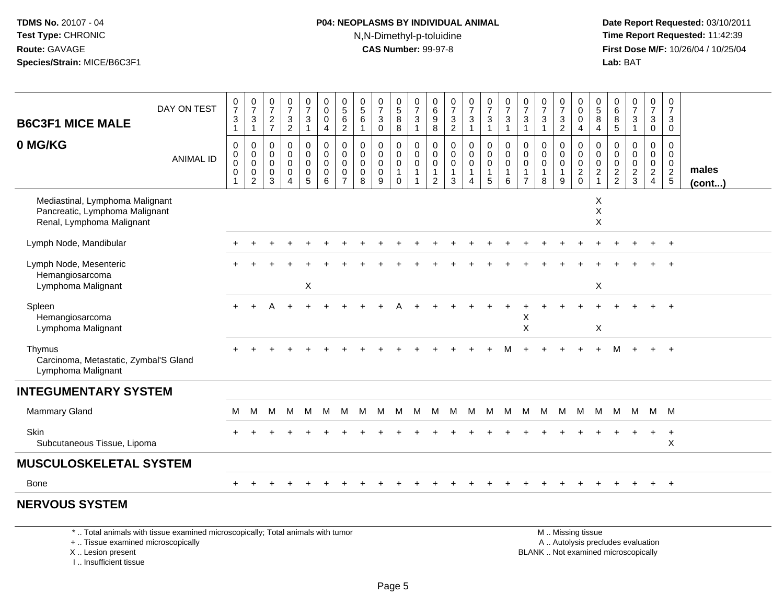#### **P04: NEOPLASMS BY INDIVIDUAL ANIMAL**N,N-Dimethyl-p-toluidine

 **Date Report Requested:** 03/10/2011 **Time Report Requested:** 11:42:39 **First Dose M/F:** 10/26/04 / 10/25/04 Lab: BAT **Lab:** BAT

| <b>B6C3F1 MICE MALE</b>                                                                        | DAY ON TEST      | $\frac{0}{7}$<br>$\sqrt{3}$<br>$\mathbf{1}$                    | $\frac{0}{7}$<br>$\ensuremath{\mathsf{3}}$<br>$\mathbf{1}$                | $\frac{0}{7}$<br>$\frac{2}{7}$                                 | $\frac{0}{7}$<br>$\frac{3}{2}$                                           | $\frac{0}{7}$<br>$\mathbf{3}$<br>1                               | $_{\rm 0}^{\rm 0}$<br>$\pmb{0}$<br>$\overline{4}$                                  | $0$<br>5<br>6<br>$\overline{2}$                                  | $\begin{array}{c} 0 \\ 5 \end{array}$<br>6 | $\begin{array}{c} 0 \\ 7 \end{array}$<br>$\sqrt{3}$<br>$\pmb{0}$ | $\begin{array}{c} 0 \\ 5 \\ 8 \end{array}$<br>8      | $\frac{0}{7}$<br>$\overline{3}$<br>$\overline{1}$                              | 0<br>6<br>9<br>8                                       | $\frac{0}{7}$<br>$\frac{3}{2}$                                         | $\frac{0}{7}$<br>$\mathbf{3}$<br>$\mathbf{1}$                | $\frac{0}{7}$<br>3                         | $\frac{0}{7}$<br>$\sqrt{3}$<br>$\overline{1}$                          | $\frac{0}{7}$<br>$\mathbf{3}$<br>$\overline{1}$                     | $\frac{0}{7}$<br>3<br>$\mathbf{1}$                  | $\frac{0}{7}$<br>$\ensuremath{\mathsf{3}}$<br>$\overline{c}$ | $_{\rm 0}^{\rm 0}$<br>$\mathsf 0$<br>$\overline{4}$                              | $\begin{array}{c} 0 \\ 5 \\ 8 \end{array}$<br>$\overline{4}$            | 0<br>6<br>8<br>$\sqrt{5}$           | $\frac{0}{7}$<br>$\ensuremath{\mathsf{3}}$<br>$\overline{1}$ | 0<br>$\overline{7}$<br>$\mathbf 3$<br>0                   | $\mathbf 0$<br>$\overline{7}$<br>3<br>$\mathbf 0$                   |                       |
|------------------------------------------------------------------------------------------------|------------------|----------------------------------------------------------------|---------------------------------------------------------------------------|----------------------------------------------------------------|--------------------------------------------------------------------------|------------------------------------------------------------------|------------------------------------------------------------------------------------|------------------------------------------------------------------|--------------------------------------------|------------------------------------------------------------------|------------------------------------------------------|--------------------------------------------------------------------------------|--------------------------------------------------------|------------------------------------------------------------------------|--------------------------------------------------------------|--------------------------------------------|------------------------------------------------------------------------|---------------------------------------------------------------------|-----------------------------------------------------|--------------------------------------------------------------|----------------------------------------------------------------------------------|-------------------------------------------------------------------------|-------------------------------------|--------------------------------------------------------------|-----------------------------------------------------------|---------------------------------------------------------------------|-----------------------|
| 0 MG/KG                                                                                        | <b>ANIMAL ID</b> | $\pmb{0}$<br>$_{\rm 0}^{\rm 0}$<br>$\pmb{0}$<br>$\overline{1}$ | $\mathbf 0$<br>$\overline{0}$ <sub>0</sub><br>$\pmb{0}$<br>$\overline{2}$ | 0<br>$\mathbf 0$<br>$\mathbf 0$<br>$\mathbf 0$<br>$\mathbf{3}$ | $\pmb{0}$<br>$\mathbf 0$<br>$\mathbf 0$<br>$\mathbf 0$<br>$\overline{4}$ | 0<br>$\mathbf 0$<br>$\mathbf 0$<br>$\mathsf 0$<br>$\overline{5}$ | $\pmb{0}$<br>$\ddot{\mathbf{0}}$<br>$\overline{0}$<br>$\pmb{0}$<br>$6\overline{6}$ | $\mathbf 0$<br>$\mathbf 0$<br>$\mathbf 0$<br>0<br>$\overline{7}$ | 0<br>$\mathbf 0$<br>0<br>0<br>8            | $\mathbf 0$<br>$\pmb{0}$<br>$\mathbf 0$<br>$\mathbf 0$<br>$9\,$  | 0<br>$\mathbf 0$<br>$\mathbf 0$<br>-1<br>$\mathbf 0$ | $\pmb{0}$<br>$\overline{0}$<br>$\mathbf 0$<br>$\overline{1}$<br>$\overline{1}$ | 0<br>$\mathbf 0$<br>$\mathbf 0$<br>1<br>$\overline{2}$ | $\mathbf 0$<br>$\mathbf 0$<br>$\mathsf{O}\xspace$<br>$\mathbf{1}$<br>3 | $\mathbf 0$<br>$\pmb{0}$<br>$\mathbf 0$<br>$\mathbf{1}$<br>4 | 0<br>$\mathsf{O}$<br>$\mathbf 0$<br>1<br>5 | $\pmb{0}$<br>$\overline{0}$<br>$\ddot{\mathbf{0}}$<br>$\mathbf 1$<br>6 | 0<br>$\mathbf 0$<br>$\mathbf 0$<br>$\overline{1}$<br>$\overline{7}$ | $\mathbf 0$<br>$\mathbf 0$<br>$\mathbf 0$<br>1<br>8 | 0<br>$\mathbf 0$<br>$\mathbf 0$<br>$\mathbf{1}$<br>9         | $\pmb{0}$<br>$\mathbf 0$<br>$\ddot{\mathbf{0}}$<br>$\overline{c}$<br>$\mathbf 0$ | $\pmb{0}$<br>$\mathbf 0$<br>$\mathbf 0$<br>$\sqrt{2}$<br>$\overline{1}$ | 0<br>$\Omega$<br>0<br>$\frac{2}{2}$ | 0<br>$\mathbf 0$<br>$\mathbf 0$<br>$\frac{2}{3}$             | 0<br>0<br>$\mathbf 0$<br>$\overline{2}$<br>$\overline{4}$ | 0<br>$\mathbf 0$<br>$\mathbf 0$<br>$\overline{2}$<br>$\overline{5}$ | males<br>$($ cont $)$ |
| Mediastinal, Lymphoma Malignant<br>Pancreatic, Lymphoma Malignant<br>Renal, Lymphoma Malignant |                  |                                                                |                                                                           |                                                                |                                                                          |                                                                  |                                                                                    |                                                                  |                                            |                                                                  |                                                      |                                                                                |                                                        |                                                                        |                                                              |                                            |                                                                        |                                                                     |                                                     |                                                              |                                                                                  | Χ<br>$\mathsf X$<br>X                                                   |                                     |                                                              |                                                           |                                                                     |                       |
| Lymph Node, Mandibular                                                                         |                  |                                                                |                                                                           |                                                                |                                                                          |                                                                  |                                                                                    |                                                                  |                                            |                                                                  |                                                      |                                                                                |                                                        |                                                                        |                                                              |                                            |                                                                        |                                                                     |                                                     |                                                              |                                                                                  |                                                                         |                                     |                                                              |                                                           | $+$                                                                 |                       |
| Lymph Node, Mesenteric<br>Hemangiosarcoma<br>Lymphoma Malignant                                |                  |                                                                |                                                                           |                                                                |                                                                          | $\pmb{\times}$                                                   |                                                                                    |                                                                  |                                            |                                                                  |                                                      |                                                                                |                                                        |                                                                        |                                                              |                                            |                                                                        |                                                                     |                                                     |                                                              |                                                                                  | X                                                                       |                                     |                                                              |                                                           |                                                                     |                       |
| Spleen<br>Hemangiosarcoma<br>Lymphoma Malignant                                                |                  | $+$                                                            |                                                                           | А                                                              |                                                                          |                                                                  |                                                                                    |                                                                  |                                            |                                                                  |                                                      |                                                                                |                                                        |                                                                        |                                                              |                                            |                                                                        | Χ<br>$\mathsf X$                                                    |                                                     |                                                              |                                                                                  | X                                                                       |                                     |                                                              |                                                           |                                                                     |                       |
| Thymus<br>Carcinoma, Metastatic, Zymbal'S Gland<br>Lymphoma Malignant                          |                  |                                                                |                                                                           |                                                                |                                                                          |                                                                  |                                                                                    |                                                                  |                                            |                                                                  |                                                      |                                                                                |                                                        |                                                                        |                                                              |                                            |                                                                        |                                                                     |                                                     |                                                              |                                                                                  |                                                                         |                                     |                                                              |                                                           | $+$                                                                 |                       |
| <b>INTEGUMENTARY SYSTEM</b>                                                                    |                  |                                                                |                                                                           |                                                                |                                                                          |                                                                  |                                                                                    |                                                                  |                                            |                                                                  |                                                      |                                                                                |                                                        |                                                                        |                                                              |                                            |                                                                        |                                                                     |                                                     |                                                              |                                                                                  |                                                                         |                                     |                                                              |                                                           |                                                                     |                       |
| <b>Mammary Gland</b>                                                                           |                  | M                                                              | M                                                                         | M                                                              | M                                                                        | M                                                                | M                                                                                  | M                                                                | M                                          | M                                                                | M                                                    | M                                                                              | M                                                      |                                                                        | M M M                                                        |                                            | M                                                                      | M                                                                   | M M                                                 |                                                              | M                                                                                | M                                                                       |                                     | M M M M                                                      |                                                           |                                                                     |                       |
| Skin<br>Subcutaneous Tissue, Lipoma                                                            |                  |                                                                |                                                                           |                                                                |                                                                          |                                                                  |                                                                                    |                                                                  |                                            |                                                                  |                                                      |                                                                                |                                                        |                                                                        |                                                              |                                            |                                                                        |                                                                     |                                                     |                                                              |                                                                                  |                                                                         |                                     |                                                              | $\ddot{}$                                                 | $^{+}$<br>X                                                         |                       |
| <b>MUSCULOSKELETAL SYSTEM</b>                                                                  |                  |                                                                |                                                                           |                                                                |                                                                          |                                                                  |                                                                                    |                                                                  |                                            |                                                                  |                                                      |                                                                                |                                                        |                                                                        |                                                              |                                            |                                                                        |                                                                     |                                                     |                                                              |                                                                                  |                                                                         |                                     |                                                              |                                                           |                                                                     |                       |
| <b>Bone</b>                                                                                    |                  |                                                                |                                                                           |                                                                |                                                                          |                                                                  |                                                                                    |                                                                  |                                            |                                                                  |                                                      |                                                                                |                                                        |                                                                        |                                                              |                                            |                                                                        |                                                                     |                                                     |                                                              |                                                                                  |                                                                         |                                     |                                                              | $\pm$                                                     | $+$                                                                 |                       |
| <b>NERVOUS SYSTEM</b>                                                                          |                  |                                                                |                                                                           |                                                                |                                                                          |                                                                  |                                                                                    |                                                                  |                                            |                                                                  |                                                      |                                                                                |                                                        |                                                                        |                                                              |                                            |                                                                        |                                                                     |                                                     |                                                              |                                                                                  |                                                                         |                                     |                                                              |                                                           |                                                                     |                       |

\* .. Total animals with tissue examined microscopically; Total animals with tumor

+ .. Tissue examined microscopically

X .. Lesion present

I .. Insufficient tissue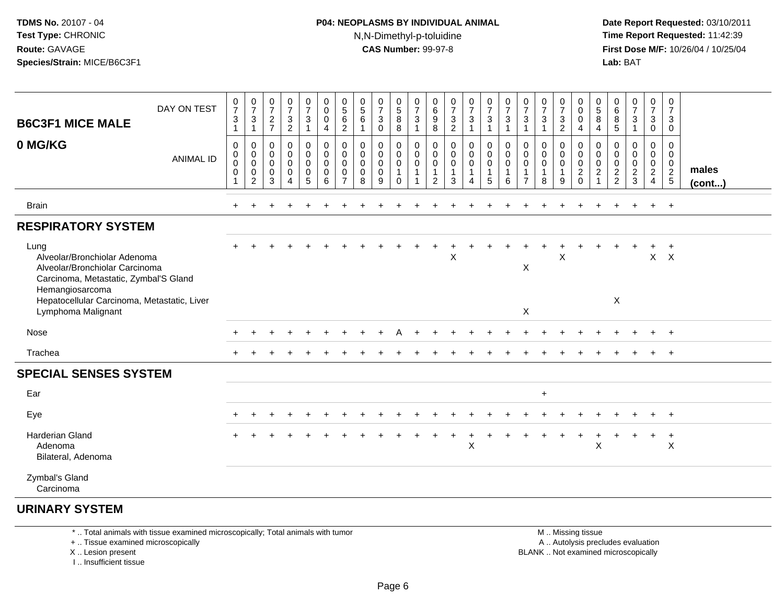#### **P04: NEOPLASMS BY INDIVIDUAL ANIMAL**N,N-Dimethyl-p-toluidine

 **Date Report Requested:** 03/10/2011 **Time Report Requested:** 11:42:39 **First Dose M/F:** 10/26/04 / 10/25/04 Lab: BAT **Lab:** BAT

| <b>B6C3F1 MICE MALE</b><br>0 MG/KG                                                                                                                                                                      | DAY ON TEST<br><b>ANIMAL ID</b> | $\pmb{0}$<br>$\boldsymbol{7}$<br>$\sqrt{3}$<br>$\mathbf{1}$<br>$\mathbf 0$<br>$\pmb{0}$<br>$\mathbf 0$ | $\frac{0}{7}$<br>$\ensuremath{\mathsf{3}}$<br>$\mathbf{1}$<br>0<br>$\pmb{0}$<br>$\mathbf 0$ | $\frac{0}{7}$<br>$\sqrt{2}$<br>$\overline{7}$<br>0<br>$\mathbf 0$<br>0 | $\frac{0}{7}$<br>$\ensuremath{\mathsf{3}}$<br>$\boldsymbol{2}$<br>$\pmb{0}$<br>$\pmb{0}$<br>$\mathbf 0$ | $\mathbf 0$<br>$\boldsymbol{7}$<br>$\mathbf{3}$<br>$\mathbf{1}$<br>0<br>$\mathbf 0$<br>$\pmb{0}$ | 0<br>$\mathbf 0$<br>$\pmb{0}$<br>$\overline{4}$<br>0<br>0<br>$\mathbf 0$ | $\begin{matrix} 0 \\ 5 \end{matrix}$<br>6<br>$\overline{2}$<br>0<br>0<br>$\mathbf 0$ | $\begin{array}{c} 0 \\ 5 \\ 6 \end{array}$<br>$\mathbf{1}$<br>0<br>$\mathbf 0$<br>$\mathbf 0$ | $\frac{0}{7}$<br>$\mathbf{3}$<br>$\mathbf 0$<br>0<br>$\mathbf 0$<br>$\mathbf 0$ | 0<br>$\begin{array}{c} 5 \\ 8 \end{array}$<br>$\bf 8$<br>0<br>$\mathbf 0$<br>0 | $\frac{0}{7}$<br>$\sqrt{3}$<br>$\mathbf{1}$<br>$\mathbf 0$<br>$\boldsymbol{0}$<br>$\pmb{0}$ | 0<br>$\,6$<br>9<br>8<br>0<br>0<br>0 | $\boldsymbol{0}$<br>$\overline{7}$<br>$\sqrt{3}$<br>$\overline{2}$<br>$\mathbf 0$<br>$\mathbf 0$<br>$\mathbf 0$ | $\frac{0}{7}$<br>$\mathbf{3}$<br>$\mathbf{1}$<br>0<br>0<br>0 | $\begin{smallmatrix}0\\7\end{smallmatrix}$<br>$\sqrt{3}$<br>$\mathbf{1}$<br>$\pmb{0}$<br>$\mathbf 0$<br>$\mathbf 0$ | $\frac{0}{7}$<br>$\ensuremath{\mathsf{3}}$<br>1<br>0<br>$\pmb{0}$<br>$\mathbf 0$ | $\frac{0}{7}$<br>$\ensuremath{\mathsf{3}}$<br>$\overline{1}$<br>0<br>$\mathbf 0$<br>$\mathbf 0$ | $\frac{0}{7}$<br>$\mathbf{3}$<br>$\mathbf{1}$<br>0<br>$\mathbf 0$<br>$\mathbf 0$ | $\frac{0}{7}$<br>$\ensuremath{\mathsf{3}}$<br>$\boldsymbol{2}$<br>0<br>$\mathbf 0$<br>$\mathbf 0$ | 0<br>$\mathsf{O}$<br>$\pmb{0}$<br>$\overline{4}$<br>0<br>$\boldsymbol{0}$ | $\pmb{0}$<br>$\frac{5}{8}$<br>4<br>0<br>$\mathbf 0$<br>$\mathbf 0$ | 0<br>6<br>8<br>$\sqrt{5}$<br>0<br>0<br>0 | $\frac{0}{7}$<br>$\sqrt{3}$<br>$\mathbf{1}$<br>0<br>$\mathbf 0$<br>$\pmb{0}$ | $\frac{0}{7}$<br>$\mathsf 3$<br>$\pmb{0}$<br>$\mathbf{0}$<br>0<br>$\mathbf 0$ | 0<br>$\overline{7}$<br>3<br>$\mathbf 0$<br>0<br>$\mathbf 0$<br>$\mathbf 0$ |                       |
|---------------------------------------------------------------------------------------------------------------------------------------------------------------------------------------------------------|---------------------------------|--------------------------------------------------------------------------------------------------------|---------------------------------------------------------------------------------------------|------------------------------------------------------------------------|---------------------------------------------------------------------------------------------------------|--------------------------------------------------------------------------------------------------|--------------------------------------------------------------------------|--------------------------------------------------------------------------------------|-----------------------------------------------------------------------------------------------|---------------------------------------------------------------------------------|--------------------------------------------------------------------------------|---------------------------------------------------------------------------------------------|-------------------------------------|-----------------------------------------------------------------------------------------------------------------|--------------------------------------------------------------|---------------------------------------------------------------------------------------------------------------------|----------------------------------------------------------------------------------|-------------------------------------------------------------------------------------------------|----------------------------------------------------------------------------------|---------------------------------------------------------------------------------------------------|---------------------------------------------------------------------------|--------------------------------------------------------------------|------------------------------------------|------------------------------------------------------------------------------|-------------------------------------------------------------------------------|----------------------------------------------------------------------------|-----------------------|
|                                                                                                                                                                                                         |                                 | $\pmb{0}$<br>1                                                                                         | $\pmb{0}$<br>$\overline{2}$                                                                 | $\mathbf 0$<br>3                                                       | $\pmb{0}$<br>$\Delta$                                                                                   | $\mathsf 0$<br>$\sqrt{5}$                                                                        | $\mathsf 0$<br>6                                                         | $\mathbf 0$<br>$\overline{7}$                                                        | $\pmb{0}$<br>8                                                                                | $\pmb{0}$<br>9                                                                  | $\mathbf{1}$<br>$\mathbf 0$                                                    | $\overline{1}$                                                                              | $\mathbf{1}$<br>$\overline{2}$      | 1<br>3                                                                                                          | $\mathbf{1}$<br>4                                            | $\mathbf{1}$<br>$\sqrt{5}$                                                                                          | $\mathbf 1$<br>6                                                                 | $\mathbf{1}$<br>$\overline{7}$                                                                  | $\mathbf{1}$<br>8                                                                | 1<br>9                                                                                            | $\frac{0}{2}$                                                             | $\boldsymbol{2}$<br>1                                              | $\frac{2}{2}$                            | $\frac{2}{3}$                                                                | $\frac{2}{4}$                                                                 | $\frac{2}{5}$                                                              | males<br>$($ cont $)$ |
| <b>Brain</b>                                                                                                                                                                                            |                                 |                                                                                                        |                                                                                             |                                                                        |                                                                                                         |                                                                                                  |                                                                          |                                                                                      |                                                                                               |                                                                                 |                                                                                |                                                                                             |                                     |                                                                                                                 |                                                              |                                                                                                                     |                                                                                  |                                                                                                 |                                                                                  |                                                                                                   |                                                                           |                                                                    |                                          |                                                                              | $\ddot{}$                                                                     | $+$                                                                        |                       |
| <b>RESPIRATORY SYSTEM</b>                                                                                                                                                                               |                                 |                                                                                                        |                                                                                             |                                                                        |                                                                                                         |                                                                                                  |                                                                          |                                                                                      |                                                                                               |                                                                                 |                                                                                |                                                                                             |                                     |                                                                                                                 |                                                              |                                                                                                                     |                                                                                  |                                                                                                 |                                                                                  |                                                                                                   |                                                                           |                                                                    |                                          |                                                                              |                                                                               |                                                                            |                       |
| Lung<br>Alveolar/Bronchiolar Adenoma<br>Alveolar/Bronchiolar Carcinoma<br>Carcinoma, Metastatic, Zymbal'S Gland<br>Hemangiosarcoma<br>Hepatocellular Carcinoma, Metastatic, Liver<br>Lymphoma Malignant |                                 |                                                                                                        |                                                                                             |                                                                        |                                                                                                         |                                                                                                  |                                                                          |                                                                                      |                                                                                               |                                                                                 |                                                                                |                                                                                             |                                     | $\boldsymbol{\mathsf{X}}$                                                                                       |                                                              |                                                                                                                     |                                                                                  | $\mathsf X$<br>X                                                                                |                                                                                  | X                                                                                                 |                                                                           |                                                                    | X                                        |                                                                              | $\mathsf{X}^-$                                                                | $\ddot{}$<br>$\mathsf{X}$                                                  |                       |
| Nose                                                                                                                                                                                                    |                                 |                                                                                                        |                                                                                             |                                                                        |                                                                                                         |                                                                                                  |                                                                          |                                                                                      |                                                                                               |                                                                                 |                                                                                |                                                                                             |                                     |                                                                                                                 |                                                              |                                                                                                                     |                                                                                  |                                                                                                 |                                                                                  |                                                                                                   |                                                                           |                                                                    |                                          |                                                                              |                                                                               | $+$                                                                        |                       |
| Trachea                                                                                                                                                                                                 |                                 |                                                                                                        |                                                                                             |                                                                        |                                                                                                         |                                                                                                  |                                                                          |                                                                                      |                                                                                               |                                                                                 |                                                                                |                                                                                             |                                     |                                                                                                                 |                                                              |                                                                                                                     |                                                                                  |                                                                                                 |                                                                                  |                                                                                                   |                                                                           |                                                                    |                                          |                                                                              | $\ddot{}$                                                                     | $^{+}$                                                                     |                       |
| <b>SPECIAL SENSES SYSTEM</b>                                                                                                                                                                            |                                 |                                                                                                        |                                                                                             |                                                                        |                                                                                                         |                                                                                                  |                                                                          |                                                                                      |                                                                                               |                                                                                 |                                                                                |                                                                                             |                                     |                                                                                                                 |                                                              |                                                                                                                     |                                                                                  |                                                                                                 |                                                                                  |                                                                                                   |                                                                           |                                                                    |                                          |                                                                              |                                                                               |                                                                            |                       |
| Ear                                                                                                                                                                                                     |                                 |                                                                                                        |                                                                                             |                                                                        |                                                                                                         |                                                                                                  |                                                                          |                                                                                      |                                                                                               |                                                                                 |                                                                                |                                                                                             |                                     |                                                                                                                 |                                                              |                                                                                                                     |                                                                                  |                                                                                                 | $\ddot{}$                                                                        |                                                                                                   |                                                                           |                                                                    |                                          |                                                                              |                                                                               |                                                                            |                       |
| Eye                                                                                                                                                                                                     |                                 |                                                                                                        |                                                                                             |                                                                        |                                                                                                         |                                                                                                  |                                                                          |                                                                                      |                                                                                               |                                                                                 |                                                                                |                                                                                             |                                     |                                                                                                                 |                                                              |                                                                                                                     |                                                                                  |                                                                                                 |                                                                                  |                                                                                                   |                                                                           |                                                                    |                                          |                                                                              |                                                                               | $+$                                                                        |                       |
| Harderian Gland<br>Adenoma<br>Bilateral, Adenoma                                                                                                                                                        |                                 |                                                                                                        |                                                                                             |                                                                        |                                                                                                         |                                                                                                  |                                                                          |                                                                                      |                                                                                               |                                                                                 |                                                                                |                                                                                             |                                     |                                                                                                                 | $\mathbf +$<br>X                                             |                                                                                                                     |                                                                                  |                                                                                                 |                                                                                  | $\ddot{}$                                                                                         | $\ddot{}$                                                                 | ٠<br>X                                                             |                                          |                                                                              | $+$                                                                           | $+$<br>$\boldsymbol{\mathsf{X}}$                                           |                       |
| Zymbal's Gland<br>Carcinoma                                                                                                                                                                             |                                 |                                                                                                        |                                                                                             |                                                                        |                                                                                                         |                                                                                                  |                                                                          |                                                                                      |                                                                                               |                                                                                 |                                                                                |                                                                                             |                                     |                                                                                                                 |                                                              |                                                                                                                     |                                                                                  |                                                                                                 |                                                                                  |                                                                                                   |                                                                           |                                                                    |                                          |                                                                              |                                                                               |                                                                            |                       |

#### **URINARY SYSTEM**

\* .. Total animals with tissue examined microscopically; Total animals with tumor

+ .. Tissue examined microscopically

X .. Lesion present

I .. Insufficient tissue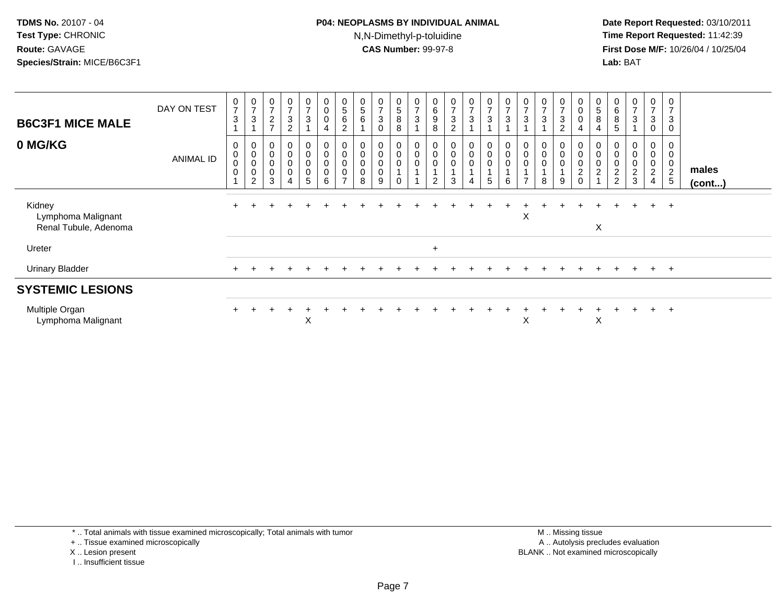#### **P04: NEOPLASMS BY INDIVIDUAL ANIMAL**N,N-Dimethyl-p-toluidine

 **Date Report Requested:** 03/10/2011 **Time Report Requested:** 11:42:39 **First Dose M/F:** 10/26/04 / 10/25/04 Lab: BAT **Lab:** BAT

| <b>B6C3F1 MICE MALE</b>                               | DAY ON TEST      | $\frac{0}{7}$<br>$\mathbf{3}$                             | 0<br>$\overline{ }$<br>3                                             | $\overline{7}$<br>$\overline{c}$<br>$\overline{ }$     | 0<br>$\overline{ }$<br>$\mathbf{3}$<br>$\overline{2}$ | 0<br>$\overline{ }$<br>$\mathbf{3}$ | $\overline{0}$<br>$\pmb{0}$<br>$\pmb{0}$<br>$\overline{4}$ | $\begin{array}{c} 0 \\ 5 \end{array}$<br>$\,6\,$<br>$\overline{c}$ | 0<br>5<br>6                                              | 0<br>$\overline{ }$<br>3<br>$\Omega$ | $\begin{array}{c} 0 \\ 5 \end{array}$<br>8<br>8   | $\frac{0}{7}$<br>$\mathbf{3}$ | $\begin{matrix} 0 \\ 6 \\ 9 \end{matrix}$<br>8 | $\begin{smallmatrix}0\\7\end{smallmatrix}$<br>$\ensuremath{\mathsf{3}}$<br>$\overline{c}$ | $\frac{0}{7}$<br>3         | $\frac{0}{7}$<br>$\ensuremath{\mathsf{3}}$  | $\frac{0}{7}$<br>$\mathbf{3}$    | $\overline{ }$<br>3 | 0<br>$\overline{ }$<br>$\mathbf{3}$ | $\frac{0}{7}$<br>$\ensuremath{\mathsf{3}}$<br>$\overline{c}$ | $_{\rm 0}^{\rm 0}$<br>$\pmb{0}$<br>$\overline{4}$             | 0<br>5<br>8<br>4                              | 6<br>8<br>5                                    | 0<br>$\overline{ }$<br>$\mathbf{3}$          | 0<br>$\overline{ }$<br>3<br>0 | 0<br>$\overline{ }$<br>$\mathbf{3}$<br>0       |                 |
|-------------------------------------------------------|------------------|-----------------------------------------------------------|----------------------------------------------------------------------|--------------------------------------------------------|-------------------------------------------------------|-------------------------------------|------------------------------------------------------------|--------------------------------------------------------------------|----------------------------------------------------------|--------------------------------------|---------------------------------------------------|-------------------------------|------------------------------------------------|-------------------------------------------------------------------------------------------|----------------------------|---------------------------------------------|----------------------------------|---------------------|-------------------------------------|--------------------------------------------------------------|---------------------------------------------------------------|-----------------------------------------------|------------------------------------------------|----------------------------------------------|-------------------------------|------------------------------------------------|-----------------|
| 0 MG/KG                                               | <b>ANIMAL ID</b> | $\mathbf 0$<br>$\pmb{0}$<br>$\pmb{0}$<br>$\boldsymbol{0}$ | $\mathbf 0$<br>$\pmb{0}$<br>$\pmb{0}$<br>$\pmb{0}$<br>$\overline{c}$ | $\pmb{0}$<br>$\pmb{0}$<br>$\pmb{0}$<br>$\mbox{O}$<br>3 | 0<br>$\mathbf 0$<br>$\mathsf 0$<br>$\pmb{0}$<br>4     | 0<br>0<br>0<br>0<br>5               | $\pmb{0}$<br>$\pmb{0}$<br>$_{\rm 0}^{\rm 0}$<br>6          | 0<br>$\pmb{0}$<br>$\pmb{0}$<br>$\pmb{0}$<br>$\overline{ }$         | $\boldsymbol{0}$<br>$\boldsymbol{0}$<br>$\mathbf 0$<br>8 | 0<br>0<br>0<br>9                     | 0<br>$\mathsf{O}\xspace$<br>$\pmb{0}$<br>$\Omega$ | $\pmb{0}$<br>$\pmb{0}$        | $\mathbf 0$<br>$\mathbf 0$<br>$\pmb{0}$<br>2   | $\begin{smallmatrix}0\\0\end{smallmatrix}$<br>$\mathbf 0$<br>1<br>3                       | 0<br>$\mathsf 0$<br>0<br>4 | $\pmb{0}$<br>$\pmb{0}$<br>$\mathbf{1}$<br>5 | 0<br>$\pmb{0}$<br>$\pmb{0}$<br>6 | 0<br>0              | 0<br>$\pmb{0}$<br>$\pmb{0}$<br>8    | $_{\rm 0}^{\rm 0}$<br>$\pmb{0}$<br>9                         | $\begin{matrix} 0 \\ 0 \\ 0 \\ 2 \end{matrix}$<br>$\mathbf 0$ | 0<br>$\pmb{0}$<br>$\,0\,$<br>$\boldsymbol{2}$ | $\boldsymbol{0}$<br>$\pmb{0}$<br>$\frac{2}{2}$ | 0<br>$\pmb{0}$<br>$\pmb{0}$<br>$\frac{2}{3}$ | 0<br>0<br>0<br>$\frac{2}{4}$  | 0<br>$\mathbf 0$<br>$\pmb{0}$<br>$\frac{2}{5}$ | males<br>(cont) |
| Kidney<br>Lymphoma Malignant<br>Renal Tubule, Adenoma |                  |                                                           |                                                                      |                                                        |                                                       |                                     |                                                            |                                                                    |                                                          |                                      |                                                   |                               |                                                |                                                                                           |                            |                                             |                                  | Χ                   |                                     |                                                              |                                                               | X                                             |                                                | $\ddot{}$                                    | $+$                           | $+$                                            |                 |
| Ureter                                                |                  |                                                           |                                                                      |                                                        |                                                       |                                     |                                                            |                                                                    |                                                          |                                      |                                                   |                               | $+$                                            |                                                                                           |                            |                                             |                                  |                     |                                     |                                                              |                                                               |                                               |                                                |                                              |                               |                                                |                 |
| <b>Urinary Bladder</b>                                |                  |                                                           |                                                                      |                                                        |                                                       |                                     |                                                            |                                                                    |                                                          |                                      |                                                   |                               |                                                |                                                                                           |                            |                                             |                                  |                     |                                     |                                                              |                                                               |                                               |                                                | $\pm$                                        | $+$                           | $+$                                            |                 |
| <b>SYSTEMIC LESIONS</b>                               |                  |                                                           |                                                                      |                                                        |                                                       |                                     |                                                            |                                                                    |                                                          |                                      |                                                   |                               |                                                |                                                                                           |                            |                                             |                                  |                     |                                     |                                                              |                                                               |                                               |                                                |                                              |                               |                                                |                 |
| Multiple Organ<br>Lymphoma Malignant                  |                  | $+$                                                       |                                                                      |                                                        | $\div$                                                | ㅅ                                   |                                                            |                                                                    |                                                          |                                      |                                                   |                               |                                                |                                                                                           |                            |                                             |                                  | X                   |                                     |                                                              |                                                               | X                                             |                                                | $\div$                                       | $+$                           | $+$                                            |                 |

\* .. Total animals with tissue examined microscopically; Total animals with tumor

+ .. Tissue examined microscopically

X .. Lesion present

I .. Insufficient tissue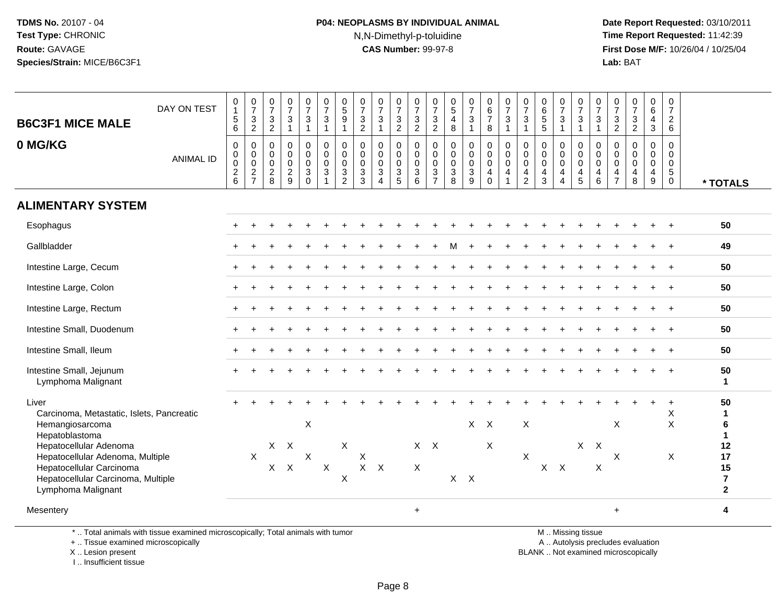#### **P04: NEOPLASMS BY INDIVIDUAL ANIMAL**N,N-Dimethyl-p-toluidine

 **Date Report Requested:** 03/10/2011 **Time Report Requested:** 11:42:39 **First Dose M/F:** 10/26/04 / 10/25/04 Lab: BAT **Lab:** BAT

| DAY ON TEST<br><b>B6C3F1 MICE MALE</b><br>0 MG/KG                                                                                                                                                                                             | <b>ANIMAL ID</b> | 0<br>$\sqrt{5}$<br>6<br>$\mathbf 0$<br>$\pmb{0}$<br>$\mathsf 0$ | $\begin{array}{c} 0 \\ 7 \\ 3 \\ 2 \end{array}$<br>$\mathbf 0$<br>$\mathbf 0$<br>$\ddot{\mathbf{0}}$ | $\frac{0}{7}$<br>$\sqrt{3}$<br>$\overline{2}$<br>$\mathsf 0$<br>$\mathbf 0$<br>$\mathbf 0$ | $\frac{0}{7}$<br>$\mathbf{3}$<br>$\mathbf{1}$<br>$\mathbf 0$<br>$\mathsf{O}\xspace$<br>$\mathbf 0$ | $\begin{array}{c} 0 \\ 7 \end{array}$<br>$\sqrt{3}$<br>$\mathbf{1}$<br>$\pmb{0}$<br>$\overline{0}$<br>$\mathbf 0$<br>$\sqrt{3}$ | $\frac{0}{7}$<br>3<br>$\mathbf{1}$<br>0<br>$\mathsf{O}\xspace$<br>$\mathbf 0$ | $\begin{array}{c} 0 \\ 5 \\ 9 \end{array}$<br>$\overline{1}$<br>$\pmb{0}$<br>$\mathbf 0$<br>$\pmb{0}$<br>$\mathbf{3}$ | $\frac{0}{7}$<br>$\frac{3}{2}$<br>$\mathsf{O}\xspace$<br>$\pmb{0}$<br>$\pmb{0}$<br>$\mathbf{3}$ | $\frac{0}{7}$<br>$\mathbf{3}$<br>$\mathbf{1}$<br>0<br>$\pmb{0}$<br>$\mathbf 0$<br>$\sqrt{3}$ | $\frac{0}{7}$<br>$\frac{3}{2}$<br>$\mathbf 0$<br>$\overline{0}$<br>$\mathbf 0$ | $\frac{0}{7}$<br>$\frac{3}{2}$<br>$\mathbf 0$<br>$\mathsf 0$<br>$\mathbf 0$ | $\frac{0}{7}$<br>$\sqrt{3}$<br>$\overline{2}$<br>$\pmb{0}$<br>$\ddot{\mathbf{0}}$<br>$\mathbf 0$<br>$\sqrt{3}$ | $\begin{array}{c} 0 \\ 5 \\ 4 \end{array}$<br>$\,8\,$<br>$\pmb{0}$<br>$\ddot{\mathbf{0}}$<br>$\mathbf 0$ | $\begin{smallmatrix}0\\7\end{smallmatrix}$<br>$\overline{3}$<br>$\mathbf{1}$<br>$\begin{smallmatrix} 0\\0 \end{smallmatrix}$<br>$\mathbf 0$<br>$\mathbf{3}$ | $\begin{array}{c} 0 \\ 6 \\ 7 \end{array}$<br>8<br>$\boldsymbol{0}$<br>$\mathsf{O}\xspace$<br>$\mathbf 0$ | $\frac{0}{7}$<br>$\mathsf 3$<br>$\mathbf{1}$<br>$\mathsf 0$<br>$\mathsf{O}\xspace$<br>$\mathsf 0$ | $\frac{0}{7}$<br>$\ensuremath{\mathsf{3}}$<br>$\mathbf{1}$<br>$\pmb{0}$<br>$\pmb{0}$<br>$\pmb{0}$ | $\begin{array}{c} 0 \\ 6 \\ 5 \end{array}$<br>$\overline{5}$<br>$\mathbf 0$<br>$\overline{0}$<br>$\mathbf 0$ | $\frac{0}{7}$<br>$\overline{3}$<br>$\overline{1}$<br>$\boldsymbol{0}$<br>$\ddot{\mathbf{0}}$<br>$\overline{0}$<br>$\overline{4}$ | 0<br>$\overline{7}$<br>3<br>$\overline{1}$<br>0<br>$\mathbf 0$<br>0 | $\frac{0}{7}$<br>$\mathbf{3}$<br>$\mathbf{1}$<br>$\pmb{0}$<br>$\mathsf 0$<br>$\mathbf 0$ | $\frac{0}{7}$<br>$\mathbf{3}$<br>$\overline{a}$<br>0<br>$\mathbf 0$<br>$\mathbf 0$ | $\begin{array}{c} 0 \\ 7 \\ 3 \\ 2 \end{array}$<br>$_{\rm 0}^{\rm 0}$<br>$\overline{0}$ | $_{6}^{\rm 0}$<br>4<br>3<br>$\mathbf 0$<br>$\mathbf 0$<br>$\mathbf 0$ | 0<br>$\overline{7}$<br>$\overline{2}$<br>6<br>$\mathbf 0$<br>0<br>0 |                                                                                  |
|-----------------------------------------------------------------------------------------------------------------------------------------------------------------------------------------------------------------------------------------------|------------------|-----------------------------------------------------------------|------------------------------------------------------------------------------------------------------|--------------------------------------------------------------------------------------------|----------------------------------------------------------------------------------------------------|---------------------------------------------------------------------------------------------------------------------------------|-------------------------------------------------------------------------------|-----------------------------------------------------------------------------------------------------------------------|-------------------------------------------------------------------------------------------------|----------------------------------------------------------------------------------------------|--------------------------------------------------------------------------------|-----------------------------------------------------------------------------|----------------------------------------------------------------------------------------------------------------|----------------------------------------------------------------------------------------------------------|-------------------------------------------------------------------------------------------------------------------------------------------------------------|-----------------------------------------------------------------------------------------------------------|---------------------------------------------------------------------------------------------------|---------------------------------------------------------------------------------------------------|--------------------------------------------------------------------------------------------------------------|----------------------------------------------------------------------------------------------------------------------------------|---------------------------------------------------------------------|------------------------------------------------------------------------------------------|------------------------------------------------------------------------------------|-----------------------------------------------------------------------------------------|-----------------------------------------------------------------------|---------------------------------------------------------------------|----------------------------------------------------------------------------------|
|                                                                                                                                                                                                                                               |                  | $\sqrt{2}$<br>$6\phantom{1}$                                    | $\frac{2}{7}$                                                                                        | $\frac{2}{8}$                                                                              | $\frac{2}{9}$                                                                                      | $\mathbf 0$                                                                                                                     | 3                                                                             | $\overline{2}$                                                                                                        | 3                                                                                               | $\overline{4}$                                                                               | $\frac{3}{5}$                                                                  | $\mathsf 3$<br>6                                                            | $\overline{7}$                                                                                                 | $\ensuremath{\mathsf{3}}$<br>8                                                                           | 9                                                                                                                                                           | 4<br>$\Omega$                                                                                             | $\overline{a}$<br>$\mathbf{1}$                                                                    | 4<br>$\overline{2}$                                                                               | $\overline{4}$<br>3                                                                                          | $\overline{4}$                                                                                                                   | 4<br>5                                                              | $\overline{\mathbf{4}}$<br>6                                                             | 4<br>$\overline{7}$                                                                | $\overline{4}$<br>8                                                                     | 4<br>9                                                                | 5<br>$\mathbf 0$                                                    | * TOTALS                                                                         |
| <b>ALIMENTARY SYSTEM</b>                                                                                                                                                                                                                      |                  |                                                                 |                                                                                                      |                                                                                            |                                                                                                    |                                                                                                                                 |                                                                               |                                                                                                                       |                                                                                                 |                                                                                              |                                                                                |                                                                             |                                                                                                                |                                                                                                          |                                                                                                                                                             |                                                                                                           |                                                                                                   |                                                                                                   |                                                                                                              |                                                                                                                                  |                                                                     |                                                                                          |                                                                                    |                                                                                         |                                                                       |                                                                     |                                                                                  |
| Esophagus                                                                                                                                                                                                                                     |                  |                                                                 |                                                                                                      |                                                                                            |                                                                                                    |                                                                                                                                 |                                                                               |                                                                                                                       |                                                                                                 |                                                                                              |                                                                                |                                                                             |                                                                                                                |                                                                                                          |                                                                                                                                                             |                                                                                                           |                                                                                                   |                                                                                                   |                                                                                                              |                                                                                                                                  |                                                                     |                                                                                          |                                                                                    |                                                                                         |                                                                       |                                                                     | 50                                                                               |
| Gallbladder                                                                                                                                                                                                                                   |                  |                                                                 |                                                                                                      |                                                                                            |                                                                                                    |                                                                                                                                 |                                                                               |                                                                                                                       |                                                                                                 |                                                                                              |                                                                                |                                                                             |                                                                                                                |                                                                                                          |                                                                                                                                                             |                                                                                                           |                                                                                                   |                                                                                                   |                                                                                                              |                                                                                                                                  |                                                                     |                                                                                          |                                                                                    |                                                                                         |                                                                       |                                                                     | 49                                                                               |
| Intestine Large, Cecum                                                                                                                                                                                                                        |                  |                                                                 |                                                                                                      |                                                                                            |                                                                                                    |                                                                                                                                 |                                                                               |                                                                                                                       |                                                                                                 |                                                                                              |                                                                                |                                                                             |                                                                                                                |                                                                                                          |                                                                                                                                                             |                                                                                                           |                                                                                                   |                                                                                                   |                                                                                                              |                                                                                                                                  |                                                                     |                                                                                          |                                                                                    |                                                                                         |                                                                       |                                                                     | 50                                                                               |
| Intestine Large, Colon                                                                                                                                                                                                                        |                  |                                                                 |                                                                                                      |                                                                                            |                                                                                                    |                                                                                                                                 |                                                                               |                                                                                                                       |                                                                                                 |                                                                                              |                                                                                |                                                                             |                                                                                                                |                                                                                                          |                                                                                                                                                             |                                                                                                           |                                                                                                   |                                                                                                   |                                                                                                              |                                                                                                                                  |                                                                     |                                                                                          |                                                                                    |                                                                                         |                                                                       |                                                                     | 50                                                                               |
| Intestine Large, Rectum                                                                                                                                                                                                                       |                  |                                                                 |                                                                                                      |                                                                                            |                                                                                                    |                                                                                                                                 |                                                                               |                                                                                                                       |                                                                                                 |                                                                                              |                                                                                |                                                                             |                                                                                                                |                                                                                                          |                                                                                                                                                             |                                                                                                           |                                                                                                   |                                                                                                   |                                                                                                              |                                                                                                                                  |                                                                     |                                                                                          |                                                                                    |                                                                                         |                                                                       |                                                                     | 50                                                                               |
| Intestine Small, Duodenum                                                                                                                                                                                                                     |                  |                                                                 |                                                                                                      |                                                                                            |                                                                                                    |                                                                                                                                 |                                                                               |                                                                                                                       |                                                                                                 |                                                                                              |                                                                                |                                                                             |                                                                                                                |                                                                                                          |                                                                                                                                                             |                                                                                                           |                                                                                                   |                                                                                                   |                                                                                                              |                                                                                                                                  |                                                                     |                                                                                          |                                                                                    |                                                                                         |                                                                       |                                                                     | 50                                                                               |
| Intestine Small, Ileum                                                                                                                                                                                                                        |                  |                                                                 |                                                                                                      |                                                                                            |                                                                                                    |                                                                                                                                 |                                                                               |                                                                                                                       |                                                                                                 |                                                                                              |                                                                                |                                                                             |                                                                                                                |                                                                                                          |                                                                                                                                                             |                                                                                                           |                                                                                                   |                                                                                                   |                                                                                                              |                                                                                                                                  |                                                                     |                                                                                          |                                                                                    |                                                                                         |                                                                       | $\div$                                                              | 50                                                                               |
| Intestine Small, Jejunum<br>Lymphoma Malignant                                                                                                                                                                                                |                  |                                                                 |                                                                                                      |                                                                                            |                                                                                                    |                                                                                                                                 |                                                                               |                                                                                                                       |                                                                                                 |                                                                                              |                                                                                |                                                                             |                                                                                                                |                                                                                                          |                                                                                                                                                             |                                                                                                           |                                                                                                   |                                                                                                   |                                                                                                              |                                                                                                                                  |                                                                     |                                                                                          |                                                                                    |                                                                                         |                                                                       |                                                                     | 50<br>$\mathbf{1}$                                                               |
| Liver<br>Carcinoma, Metastatic, Islets, Pancreatic<br>Hemangiosarcoma<br>Hepatoblastoma<br>Hepatocellular Adenoma<br>Hepatocellular Adenoma, Multiple<br>Hepatocellular Carcinoma<br>Hepatocellular Carcinoma, Multiple<br>Lymphoma Malignant |                  |                                                                 | X                                                                                                    |                                                                                            | $X$ $X$<br>$X$ $X$                                                                                 | X<br>$\boldsymbol{\mathsf{X}}$                                                                                                  | $\mathsf X$                                                                   | X<br>$\pmb{\times}$                                                                                                   | X<br>$X$ $X$                                                                                    |                                                                                              |                                                                                | $\boldsymbol{\mathsf{X}}$                                                   | $X$ $X$                                                                                                        |                                                                                                          | $X$ $X$                                                                                                                                                     | $X$ $X$<br>$\times$                                                                                       |                                                                                                   | X<br>X                                                                                            | $X$ $X$                                                                                                      |                                                                                                                                  | $X$ $X$                                                             | $\boldsymbol{\mathsf{X}}$                                                                | X<br>X                                                                             |                                                                                         |                                                                       | $\ddot{}$<br>X<br>X<br>X                                            | 50<br>$\mathbf{1}$<br>6<br>1<br>12<br>17<br>15<br>$\overline{7}$<br>$\mathbf{2}$ |
| Mesentery                                                                                                                                                                                                                                     |                  |                                                                 |                                                                                                      |                                                                                            |                                                                                                    |                                                                                                                                 |                                                                               |                                                                                                                       |                                                                                                 |                                                                                              |                                                                                | $\ddot{}$                                                                   |                                                                                                                |                                                                                                          |                                                                                                                                                             |                                                                                                           |                                                                                                   |                                                                                                   |                                                                                                              |                                                                                                                                  |                                                                     |                                                                                          | $\ddot{}$                                                                          |                                                                                         |                                                                       |                                                                     | 4                                                                                |

\* .. Total animals with tissue examined microscopically; Total animals with tumor

+ .. Tissue examined microscopically

X .. Lesion present

I .. Insufficient tissue

M .. Missing tissue

y the contract of the contract of the contract of the contract of the contract of the contract of the contract of  $A$ . Autolysis precludes evaluation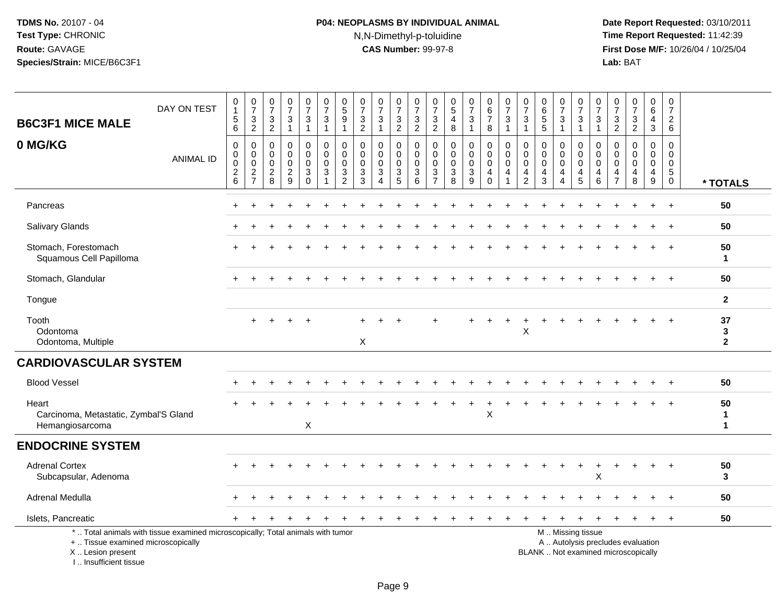# **P04: NEOPLASMS BY INDIVIDUAL ANIMAL**N,N-Dimethyl-p-toluidine

| <b>B6C3F1 MICE MALE</b>                                                            | DAY ON TEST                                                                     | $\mathbf 0$<br>$\mathbf{1}$<br>$\sqrt{5}$<br>6             | $\begin{array}{c} 0 \\ 7 \end{array}$<br>$\ensuremath{\mathsf{3}}$<br>2 | $\frac{0}{7}$<br>3<br>2                     | $\frac{0}{7}$<br>3<br>$\mathbf{1}$                     | $\frac{0}{7}$<br>$\mathbf{3}$<br>$\mathbf{1}$                       | $\frac{0}{7}$<br>$\sqrt{3}$<br>$\overline{1}$      | $\begin{array}{c} 0 \\ 5 \end{array}$<br>9<br>$\overline{1}$                 | $\frac{0}{7}$<br>$\ensuremath{\mathsf{3}}$<br>$\overline{2}$          | $\frac{0}{7}$<br>3<br>$\mathbf{1}$                     | $\begin{array}{c} 0 \\ 7 \end{array}$<br>$\frac{3}{2}$            | $\frac{0}{7}$<br>$\ensuremath{\mathsf{3}}$<br>$\overline{2}$                | $\pmb{0}$<br>$\overline{7}$<br>$\frac{3}{2}$     | $\begin{array}{c} 0 \\ 5 \end{array}$<br>$\overline{4}$<br>8 | $\frac{0}{7}$<br>$\ensuremath{\mathsf{3}}$<br>$\mathbf{1}$ | 0<br>$\,6\,$<br>$\overline{7}$<br>8              | $\begin{array}{c} 0 \\ 7 \end{array}$<br>$\ensuremath{\mathsf{3}}$<br>$\mathbf{1}$ | $\frac{0}{7}$<br>$\ensuremath{\mathsf{3}}$<br>$\mathbf{1}$ | $\begin{array}{c} 0 \\ 6 \end{array}$<br>$\overline{5}$<br>5 | $\frac{0}{7}$<br>$\ensuremath{\mathsf{3}}$<br>$\mathbf{1}$ | $\frac{0}{7}$<br>$\ensuremath{\mathsf{3}}$<br>$\mathbf{1}$     | $\frac{0}{7}$<br>$\ensuremath{\mathsf{3}}$<br>$\mathbf{1}$ | 0<br>$\overline{7}$<br>$\ensuremath{\mathsf{3}}$<br>$\overline{2}$ | $\begin{smallmatrix}0\\7\end{smallmatrix}$<br>$\frac{3}{2}$              | 0<br>$\,6\,$<br>$\overline{4}$<br>3       | 0<br>$\boldsymbol{7}$<br>$\overline{2}$<br>$6\phantom{1}6$         |                                    |
|------------------------------------------------------------------------------------|---------------------------------------------------------------------------------|------------------------------------------------------------|-------------------------------------------------------------------------|---------------------------------------------|--------------------------------------------------------|---------------------------------------------------------------------|----------------------------------------------------|------------------------------------------------------------------------------|-----------------------------------------------------------------------|--------------------------------------------------------|-------------------------------------------------------------------|-----------------------------------------------------------------------------|--------------------------------------------------|--------------------------------------------------------------|------------------------------------------------------------|--------------------------------------------------|------------------------------------------------------------------------------------|------------------------------------------------------------|--------------------------------------------------------------|------------------------------------------------------------|----------------------------------------------------------------|------------------------------------------------------------|--------------------------------------------------------------------|--------------------------------------------------------------------------|-------------------------------------------|--------------------------------------------------------------------|------------------------------------|
| 0 MG/KG                                                                            | <b>ANIMAL ID</b>                                                                | $\mathbf 0$<br>$\mathbf 0$<br>$\mathbf 0$<br>$\frac{2}{6}$ | 0<br>$\mathbf 0$<br>$\mathbf 0$<br>$\frac{2}{7}$                        | 0<br>0<br>0<br>$\overline{\mathbf{c}}$<br>8 | 0<br>$\mathbf 0$<br>$\mathbf 0$<br>$\overline{a}$<br>9 | 0<br>$\boldsymbol{0}$<br>$\mathbf 0$<br>$\mathbf{3}$<br>$\mathbf 0$ | 0<br>$\pmb{0}$<br>$\mathbf 0$<br>$\mathbf{3}$<br>1 | $\mathbf 0$<br>$\mathbf 0$<br>$\mathbf{0}$<br>$\ensuremath{\mathsf{3}}$<br>2 | $\Omega$<br>$\mathbf 0$<br>$\Omega$<br>$\ensuremath{\mathsf{3}}$<br>3 | 0<br>$\mathbf 0$<br>$\mathbf 0$<br>3<br>$\overline{A}$ | 0<br>$\mathbf 0$<br>$\mathbf 0$<br>$\ensuremath{\mathsf{3}}$<br>5 | $\mathbf 0$<br>$\mathsf 0$<br>$\mathbf 0$<br>$\ensuremath{\mathsf{3}}$<br>6 | 0<br>$\mathbf 0$<br>$\mathbf 0$<br>$\frac{3}{7}$ | $\mathbf 0$<br>$\mathbf 0$<br>$\mathbf 0$<br>$\sqrt{3}$<br>8 | 0<br>$\mathbf 0$<br>$\mathbf 0$<br>$\sqrt{3}$<br>9         | 0<br>$\mathbf 0$<br>$\mathbf 0$<br>4<br>$\Omega$ | 0<br>$\pmb{0}$<br>$\mathbf 0$<br>4                                                 | 0<br>$\mathbf 0$<br>0<br>4<br>$\overline{2}$               | 0<br>$\mathbf 0$<br>$\mathbf 0$<br>$\overline{4}$<br>3       | 0<br>$\mathbf 0$<br>$\mathbf 0$<br>4<br>$\overline{4}$     | 0<br>$\mathsf{O}\xspace$<br>$\mathbf 0$<br>$\overline{4}$<br>5 | $\mathbf 0$<br>$\mathbf 0$<br>$\mathbf 0$<br>4<br>6        | $\mathbf 0$<br>$\mathbf 0$<br>$\mathbf 0$<br>4<br>$\overline{7}$   | $\mathbf 0$<br>$\mathbf 0$<br>$\mathbf 0$<br>4<br>8                      | 0<br>$\mathbf 0$<br>$\mathbf 0$<br>4<br>9 | $\mathbf 0$<br>0<br>$\mathbf 0$<br>$5\phantom{.0}$<br>$\mathbf{0}$ | * TOTALS                           |
| Pancreas                                                                           |                                                                                 |                                                            |                                                                         |                                             |                                                        |                                                                     |                                                    |                                                                              |                                                                       |                                                        |                                                                   |                                                                             |                                                  |                                                              |                                                            |                                                  |                                                                                    |                                                            |                                                              |                                                            |                                                                |                                                            |                                                                    |                                                                          |                                           |                                                                    | 50                                 |
| Salivary Glands                                                                    |                                                                                 |                                                            |                                                                         |                                             |                                                        |                                                                     |                                                    |                                                                              |                                                                       |                                                        |                                                                   |                                                                             |                                                  |                                                              |                                                            |                                                  |                                                                                    |                                                            |                                                              |                                                            |                                                                |                                                            |                                                                    |                                                                          |                                           |                                                                    | 50                                 |
| Stomach, Forestomach<br>Squamous Cell Papilloma                                    |                                                                                 |                                                            |                                                                         |                                             |                                                        |                                                                     |                                                    |                                                                              |                                                                       |                                                        |                                                                   |                                                                             |                                                  |                                                              |                                                            |                                                  |                                                                                    |                                                            |                                                              |                                                            |                                                                |                                                            |                                                                    |                                                                          | ÷                                         | $\overline{+}$                                                     | 50<br>$\blacktriangleleft$         |
| Stomach, Glandular                                                                 |                                                                                 |                                                            |                                                                         |                                             |                                                        |                                                                     |                                                    |                                                                              |                                                                       |                                                        |                                                                   |                                                                             |                                                  |                                                              |                                                            |                                                  |                                                                                    |                                                            |                                                              |                                                            |                                                                |                                                            |                                                                    |                                                                          |                                           | $\overline{+}$                                                     | 50                                 |
| Tongue                                                                             |                                                                                 |                                                            |                                                                         |                                             |                                                        |                                                                     |                                                    |                                                                              |                                                                       |                                                        |                                                                   |                                                                             |                                                  |                                                              |                                                            |                                                  |                                                                                    |                                                            |                                                              |                                                            |                                                                |                                                            |                                                                    |                                                                          |                                           |                                                                    | $\overline{2}$                     |
| Tooth<br>Odontoma<br>Odontoma, Multiple                                            |                                                                                 |                                                            | +                                                                       |                                             |                                                        |                                                                     |                                                    |                                                                              | $\sf X$                                                               |                                                        |                                                                   |                                                                             |                                                  |                                                              |                                                            |                                                  |                                                                                    | $\mathsf X$                                                |                                                              |                                                            |                                                                |                                                            |                                                                    |                                                                          |                                           |                                                                    | 37<br>$\mathbf{3}$<br>$\mathbf{2}$ |
| <b>CARDIOVASCULAR SYSTEM</b>                                                       |                                                                                 |                                                            |                                                                         |                                             |                                                        |                                                                     |                                                    |                                                                              |                                                                       |                                                        |                                                                   |                                                                             |                                                  |                                                              |                                                            |                                                  |                                                                                    |                                                            |                                                              |                                                            |                                                                |                                                            |                                                                    |                                                                          |                                           |                                                                    |                                    |
| <b>Blood Vessel</b>                                                                |                                                                                 |                                                            |                                                                         |                                             |                                                        |                                                                     |                                                    |                                                                              |                                                                       |                                                        |                                                                   |                                                                             |                                                  |                                                              |                                                            |                                                  |                                                                                    |                                                            |                                                              |                                                            |                                                                |                                                            |                                                                    |                                                                          |                                           |                                                                    | 50                                 |
| Heart<br>Carcinoma, Metastatic, Zymbal'S Gland<br>Hemangiosarcoma                  |                                                                                 |                                                            |                                                                         |                                             |                                                        | X                                                                   |                                                    |                                                                              |                                                                       |                                                        |                                                                   |                                                                             |                                                  |                                                              |                                                            | +<br>$\sf X$                                     | $\ddot{}$                                                                          |                                                            |                                                              |                                                            |                                                                |                                                            |                                                                    |                                                                          |                                           |                                                                    | 50<br>$\mathbf 1$<br>$\mathbf 1$   |
| <b>ENDOCRINE SYSTEM</b>                                                            |                                                                                 |                                                            |                                                                         |                                             |                                                        |                                                                     |                                                    |                                                                              |                                                                       |                                                        |                                                                   |                                                                             |                                                  |                                                              |                                                            |                                                  |                                                                                    |                                                            |                                                              |                                                            |                                                                |                                                            |                                                                    |                                                                          |                                           |                                                                    |                                    |
| <b>Adrenal Cortex</b><br>Subcapsular, Adenoma                                      |                                                                                 |                                                            |                                                                         |                                             |                                                        |                                                                     |                                                    |                                                                              |                                                                       |                                                        |                                                                   |                                                                             |                                                  |                                                              |                                                            |                                                  |                                                                                    |                                                            |                                                              |                                                            |                                                                | $\pmb{\times}$                                             |                                                                    |                                                                          |                                           |                                                                    | 50<br>3                            |
| Adrenal Medulla                                                                    |                                                                                 |                                                            |                                                                         |                                             |                                                        |                                                                     |                                                    |                                                                              |                                                                       |                                                        |                                                                   |                                                                             |                                                  |                                                              |                                                            |                                                  |                                                                                    |                                                            |                                                              |                                                            |                                                                |                                                            |                                                                    |                                                                          |                                           |                                                                    | 50                                 |
| Islets, Pancreatic                                                                 |                                                                                 |                                                            |                                                                         |                                             |                                                        |                                                                     |                                                    |                                                                              |                                                                       |                                                        |                                                                   |                                                                             |                                                  |                                                              |                                                            |                                                  |                                                                                    |                                                            |                                                              |                                                            |                                                                |                                                            |                                                                    |                                                                          |                                           |                                                                    | 50                                 |
| +  Tissue examined microscopically<br>X  Lesion present<br>I., Insufficient tissue | *  Total animals with tissue examined microscopically; Total animals with tumor |                                                            |                                                                         |                                             |                                                        |                                                                     |                                                    |                                                                              |                                                                       |                                                        |                                                                   |                                                                             |                                                  |                                                              |                                                            |                                                  |                                                                                    |                                                            |                                                              |                                                            | M  Missing tissue                                              |                                                            |                                                                    | A  Autolysis precludes evaluation<br>BLANK  Not examined microscopically |                                           |                                                                    |                                    |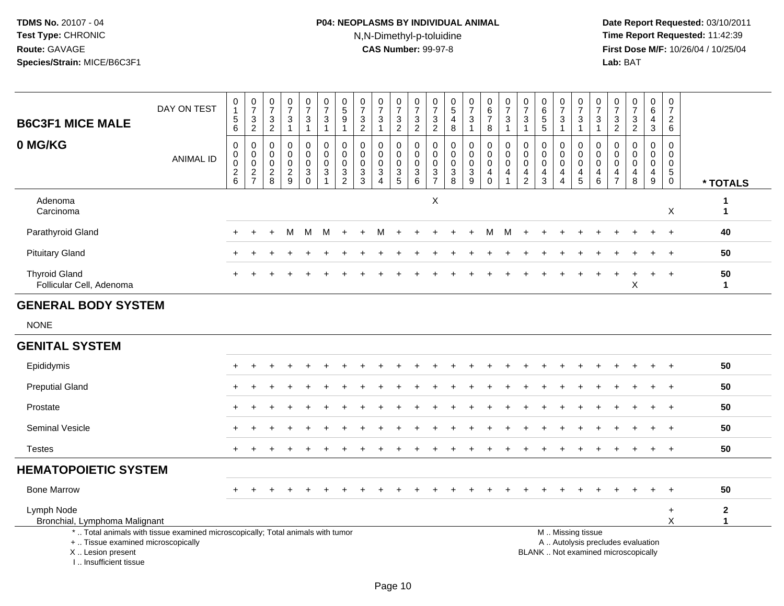# **P04: NEOPLASMS BY INDIVIDUAL ANIMAL**N,N-Dimethyl-p-toluidine

 **Date Report Requested:** 03/10/2011 **Time Report Requested:** 11:42:39 **First Dose M/F:** 10/26/04 / 10/25/04<br>Lab: BAT **Lab:** BAT

| <b>B6C3F1 MICE MALE</b>                          | DAY ON TEST                                                                     | 0<br>$\mathbf{1}$<br>$\,$ 5 $\,$<br>$\,6\,$ | $\frac{0}{7}$<br>$\frac{3}{2}$                                  | 0<br>$\overline{7}$<br>$\ensuremath{\mathsf{3}}$<br>$\overline{2}$ | $\begin{array}{c} 0 \\ 7 \end{array}$<br>$\sqrt{3}$<br>$\overline{1}$ | $\frac{0}{7}$<br>$\ensuremath{\mathsf{3}}$<br>$\mathbf{1}$               | $\frac{0}{7}$<br>$\ensuremath{\mathsf{3}}$<br>$\mathbf{1}$ | $\begin{array}{c} 0 \\ 5 \end{array}$<br>$\overline{9}$<br>$\overline{1}$ | 0<br>$\overline{7}$<br>$\ensuremath{\mathsf{3}}$<br>$\overline{2}$ | $\frac{0}{7}$<br>$\mathbf{3}$<br>$\mathbf{1}$             | $\frac{0}{7}$<br>3<br>$\overline{2}$              | $\frac{0}{7}$<br>$\frac{3}{2}$                         | $\frac{0}{7}$<br>$\sqrt{3}$<br>$\overline{2}$                                  | 0<br>$\,$ 5 $\,$<br>$\overline{\mathbf{4}}$<br>8 | $\begin{array}{c} 0 \\ 7 \end{array}$<br>$\sqrt{3}$<br>$\mathbf{1}$ | $\begin{array}{c} 0 \\ 6 \end{array}$<br>$\overline{7}$<br>8 | $\frac{0}{7}$<br>$\sqrt{3}$<br>$\mathbf{1}$                                 | 0<br>$\overline{7}$<br>3<br>1                       | $\begin{matrix} 0 \\ 6 \\ 5 \end{matrix}$<br>5         | $\frac{0}{7}$<br>3<br>$\mathbf 1$              | $\frac{0}{7}$<br>$\ensuremath{\mathsf{3}}$<br>$\mathbf{1}$ | $\frac{0}{7}$<br>$\mathbf{3}$<br>$\mathbf{1}$                 | $\begin{smallmatrix}0\\7\end{smallmatrix}$<br>$\frac{3}{2}$   | $\begin{array}{c} 0 \\ 7 \end{array}$<br>$\ensuremath{\mathsf{3}}$<br>2 | $\pmb{0}$<br>$\,6\,$<br>4<br>3                                                     | $\begin{array}{c} 0 \\ 7 \end{array}$<br>$\overline{c}$<br>6     |                              |
|--------------------------------------------------|---------------------------------------------------------------------------------|---------------------------------------------|-----------------------------------------------------------------|--------------------------------------------------------------------|-----------------------------------------------------------------------|--------------------------------------------------------------------------|------------------------------------------------------------|---------------------------------------------------------------------------|--------------------------------------------------------------------|-----------------------------------------------------------|---------------------------------------------------|--------------------------------------------------------|--------------------------------------------------------------------------------|--------------------------------------------------|---------------------------------------------------------------------|--------------------------------------------------------------|-----------------------------------------------------------------------------|-----------------------------------------------------|--------------------------------------------------------|------------------------------------------------|------------------------------------------------------------|---------------------------------------------------------------|---------------------------------------------------------------|-------------------------------------------------------------------------|------------------------------------------------------------------------------------|------------------------------------------------------------------|------------------------------|
| 0 MG/KG                                          | <b>ANIMAL ID</b>                                                                | 0<br>$\mathbf 0$<br>0<br>$\frac{2}{6}$      | $\mathbf 0$<br>$\mathbf 0$<br>$\boldsymbol{0}$<br>$\frac{2}{7}$ | 0<br>$\mathbf 0$<br>$\mathbf 0$<br>$_{8}^2$                        | 0<br>$\mathbf 0$<br>$\mathbf 0$<br>$\frac{2}{9}$                      | 0<br>$\mathbf 0$<br>$\mathbf 0$<br>$\ensuremath{\mathsf{3}}$<br>$\Omega$ | 0<br>$\mathbf{0}$<br>0<br>$\mathbf{3}$                     | $\mathbf 0$<br>$\mathbf 0$<br>$\pmb{0}$<br>$\frac{3}{2}$                  | $\mathbf 0$<br>$\Omega$<br>$\mathbf 0$<br>$\mathbf{3}$<br>3        | $\mathbf 0$<br>$\Omega$<br>$\mathbf 0$<br>$\sqrt{3}$<br>4 | 0<br>$\Omega$<br>$\mathbf 0$<br>$\mathbf{3}$<br>5 | $\pmb{0}$<br>0<br>$\mathsf{O}\xspace$<br>$\frac{3}{6}$ | 0<br>$\mathbf 0$<br>$\mathbf 0$<br>$\ensuremath{\mathsf{3}}$<br>$\overline{7}$ | 0<br>0<br>0<br>$_8^3$                            | $\mathbf 0$<br>$\mathbf 0$<br>$\mathbf 0$<br>$\sqrt{3}$<br>9        | 0<br>$\mathbf 0$<br>0<br>$\overline{4}$<br>$\mathbf 0$       | $\pmb{0}$<br>$\mathbf 0$<br>$\mathbf 0$<br>$\overline{4}$<br>$\overline{1}$ | 0<br>$\Omega$<br>$\mathbf 0$<br>4<br>$\overline{2}$ | 0<br>$\mathbf 0$<br>$\mathbf 0$<br>$\overline{4}$<br>3 | 0<br>$\Omega$<br>$\mathbf 0$<br>$\overline{4}$ | 0<br>0<br>$\pmb{0}$<br>$\frac{4}{5}$                       | $\mathbf 0$<br>$\Omega$<br>$\mathbf 0$<br>$\overline{4}$<br>6 | $\mathbf 0$<br>$\Omega$<br>$\mathbf 0$<br>4<br>$\overline{7}$ | $\mathbf 0$<br>$\Omega$<br>$\mathbf 0$<br>$\overline{4}$<br>8           | $\mathbf 0$<br>$\overline{0}$<br>$\mathbf 0$<br>$\overline{4}$<br>$\boldsymbol{9}$ | 0<br>$\mathbf 0$<br>$\mathbf 0$<br>$\overline{5}$<br>$\mathbf 0$ | * TOTALS                     |
| Adenoma<br>Carcinoma                             |                                                                                 |                                             |                                                                 |                                                                    |                                                                       |                                                                          |                                                            |                                                                           |                                                                    |                                                           |                                                   |                                                        | $\mathsf X$                                                                    |                                                  |                                                                     |                                                              |                                                                             |                                                     |                                                        |                                                |                                                            |                                                               |                                                               |                                                                         |                                                                                    | X                                                                | -1<br>$\mathbf{1}$           |
| Parathyroid Gland                                |                                                                                 |                                             |                                                                 |                                                                    | м                                                                     | м                                                                        | м                                                          |                                                                           |                                                                    |                                                           |                                                   |                                                        |                                                                                |                                                  |                                                                     | м                                                            | м                                                                           |                                                     |                                                        |                                                |                                                            |                                                               |                                                               |                                                                         |                                                                                    |                                                                  | 40                           |
| <b>Pituitary Gland</b>                           |                                                                                 |                                             |                                                                 |                                                                    |                                                                       |                                                                          |                                                            |                                                                           |                                                                    |                                                           |                                                   |                                                        |                                                                                |                                                  |                                                                     |                                                              |                                                                             |                                                     |                                                        |                                                |                                                            |                                                               |                                                               |                                                                         |                                                                                    | $+$                                                              | 50                           |
| <b>Thyroid Gland</b><br>Follicular Cell, Adenoma |                                                                                 |                                             |                                                                 |                                                                    |                                                                       |                                                                          |                                                            |                                                                           |                                                                    |                                                           |                                                   |                                                        |                                                                                |                                                  |                                                                     |                                                              |                                                                             |                                                     |                                                        |                                                |                                                            |                                                               |                                                               | X                                                                       |                                                                                    | $\div$                                                           | 50<br>$\mathbf 1$            |
| <b>GENERAL BODY SYSTEM</b>                       |                                                                                 |                                             |                                                                 |                                                                    |                                                                       |                                                                          |                                                            |                                                                           |                                                                    |                                                           |                                                   |                                                        |                                                                                |                                                  |                                                                     |                                                              |                                                                             |                                                     |                                                        |                                                |                                                            |                                                               |                                                               |                                                                         |                                                                                    |                                                                  |                              |
| <b>NONE</b>                                      |                                                                                 |                                             |                                                                 |                                                                    |                                                                       |                                                                          |                                                            |                                                                           |                                                                    |                                                           |                                                   |                                                        |                                                                                |                                                  |                                                                     |                                                              |                                                                             |                                                     |                                                        |                                                |                                                            |                                                               |                                                               |                                                                         |                                                                                    |                                                                  |                              |
| <b>GENITAL SYSTEM</b>                            |                                                                                 |                                             |                                                                 |                                                                    |                                                                       |                                                                          |                                                            |                                                                           |                                                                    |                                                           |                                                   |                                                        |                                                                                |                                                  |                                                                     |                                                              |                                                                             |                                                     |                                                        |                                                |                                                            |                                                               |                                                               |                                                                         |                                                                                    |                                                                  |                              |
| Epididymis                                       |                                                                                 |                                             |                                                                 |                                                                    |                                                                       |                                                                          |                                                            |                                                                           |                                                                    |                                                           |                                                   |                                                        |                                                                                |                                                  |                                                                     |                                                              |                                                                             |                                                     |                                                        |                                                |                                                            |                                                               |                                                               |                                                                         |                                                                                    |                                                                  | 50                           |
| <b>Preputial Gland</b>                           |                                                                                 |                                             |                                                                 |                                                                    |                                                                       |                                                                          |                                                            |                                                                           |                                                                    |                                                           |                                                   |                                                        |                                                                                |                                                  |                                                                     |                                                              |                                                                             |                                                     |                                                        |                                                |                                                            |                                                               |                                                               |                                                                         |                                                                                    | $\overline{ }$                                                   | 50                           |
| Prostate                                         |                                                                                 |                                             |                                                                 |                                                                    |                                                                       |                                                                          |                                                            |                                                                           |                                                                    |                                                           |                                                   |                                                        |                                                                                |                                                  |                                                                     |                                                              |                                                                             |                                                     |                                                        |                                                |                                                            |                                                               |                                                               |                                                                         |                                                                                    |                                                                  | 50                           |
| <b>Seminal Vesicle</b>                           |                                                                                 |                                             |                                                                 |                                                                    |                                                                       |                                                                          |                                                            |                                                                           |                                                                    |                                                           |                                                   |                                                        |                                                                                |                                                  |                                                                     |                                                              |                                                                             |                                                     |                                                        |                                                |                                                            |                                                               |                                                               |                                                                         |                                                                                    |                                                                  | 50                           |
| <b>Testes</b>                                    |                                                                                 | $+$                                         |                                                                 |                                                                    |                                                                       |                                                                          |                                                            |                                                                           |                                                                    |                                                           |                                                   |                                                        |                                                                                |                                                  |                                                                     |                                                              |                                                                             |                                                     |                                                        |                                                |                                                            |                                                               |                                                               |                                                                         |                                                                                    | $+$                                                              | 50                           |
| <b>HEMATOPOIETIC SYSTEM</b>                      |                                                                                 |                                             |                                                                 |                                                                    |                                                                       |                                                                          |                                                            |                                                                           |                                                                    |                                                           |                                                   |                                                        |                                                                                |                                                  |                                                                     |                                                              |                                                                             |                                                     |                                                        |                                                |                                                            |                                                               |                                                               |                                                                         |                                                                                    |                                                                  |                              |
| <b>Bone Marrow</b>                               |                                                                                 | +                                           |                                                                 |                                                                    |                                                                       |                                                                          |                                                            |                                                                           |                                                                    |                                                           |                                                   |                                                        |                                                                                |                                                  |                                                                     |                                                              |                                                                             |                                                     |                                                        |                                                |                                                            |                                                               |                                                               |                                                                         |                                                                                    |                                                                  | 50                           |
| Lymph Node<br>Bronchial, Lymphoma Malignant      | *  Total animals with tissue examined microscopically; Total animals with tumor |                                             |                                                                 |                                                                    |                                                                       |                                                                          |                                                            |                                                                           |                                                                    |                                                           |                                                   |                                                        |                                                                                |                                                  |                                                                     |                                                              |                                                                             |                                                     |                                                        |                                                | M  Missing tissue                                          |                                                               |                                                               |                                                                         |                                                                                    | $\ddot{}$<br>X                                                   | $\mathbf{2}$<br>$\mathbf{1}$ |
| +  Tissue examined microscopically               |                                                                                 |                                             |                                                                 |                                                                    |                                                                       |                                                                          |                                                            |                                                                           |                                                                    |                                                           |                                                   |                                                        |                                                                                |                                                  |                                                                     |                                                              |                                                                             |                                                     |                                                        |                                                |                                                            |                                                               |                                                               | A  Autolysis precludes evaluation                                       |                                                                                    |                                                                  |                              |

X .. Lesion present

I .. Insufficient tissue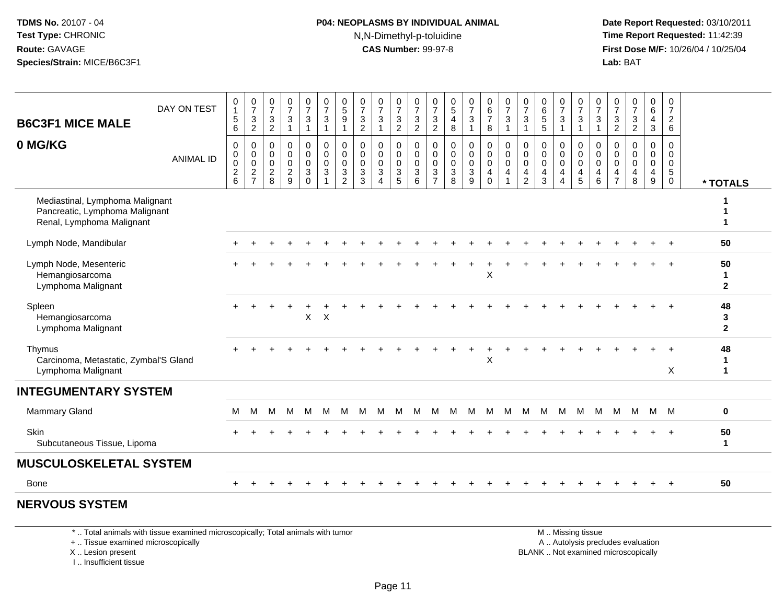#### **P04: NEOPLASMS BY INDIVIDUAL ANIMAL**N,N-Dimethyl-p-toluidine

 **Date Report Requested:** 03/10/2011 **Time Report Requested:** 11:42:39 **First Dose M/F:** 10/26/04 / 10/25/04 Lab: BAT **Lab:** BAT

| <b>B6C3F1 MICE MALE</b>                                                                        | DAY ON TEST      | 0<br>$\mathbf{1}$<br>5<br>$6\phantom{1}$ | $\frac{0}{7}$<br>$\overline{3}$<br>$\overline{2}$ | $\frac{0}{7}$<br>$\sqrt{3}$<br>$\overline{2}$    | $\begin{array}{c} 0 \\ 7 \end{array}$<br>3<br>$\mathbf{1}$       | $\frac{0}{7}$<br>3<br>$\mathbf{1}$                   | $\begin{array}{c} 0 \\ 7 \end{array}$<br>$\overline{3}$<br>$\mathbf{1}$      | $\begin{array}{c} 0 \\ 5 \\ 9 \end{array}$<br>$\overline{1}$ | $\begin{array}{c} 0 \\ 7 \end{array}$<br>$\ensuremath{\mathsf{3}}$<br>2 | $\frac{0}{7}$<br>$\mathfrak{Z}$<br>$\mathbf{1}$                         | $\frac{0}{7}$<br>3<br>$\overline{c}$                                           | $\begin{array}{c} 0 \\ 7 \\ 3 \end{array}$<br>$\overline{2}$ | $\frac{0}{7}$<br>3<br>$\overline{2}$                 | $\begin{matrix} 0 \\ 5 \end{matrix}$<br>$\overline{\mathbf{4}}$<br>8 | $\begin{array}{c} 0 \\ 7 \end{array}$<br>$\sqrt{3}$<br>$\overline{1}$ | $\begin{array}{c} 0 \\ 6 \\ 7 \end{array}$<br>8   | $\frac{0}{7}$<br>$\overline{3}$<br>$\mathbf{1}$                                | 0<br>$\overline{7}$<br>3<br>$\mathbf 1$              | $\begin{array}{c} 0 \\ 6 \\ 5 \end{array}$<br>5      | $\frac{0}{7}$<br>$\ensuremath{\mathsf{3}}$<br>1 | $\begin{smallmatrix}0\\7\end{smallmatrix}$<br>$\sqrt{3}$<br>$\overline{1}$    | $\frac{0}{7}$<br>$\sqrt{3}$<br>$\overline{1}$                                  | 0<br>$\overline{7}$<br>$\sqrt{3}$<br>$\overline{2}$              | $\frac{0}{7}$<br>$\ensuremath{\mathsf{3}}$<br>$\overline{2}$ | $_6^0$<br>4<br>3                          | $\begin{array}{c} 0 \\ 7 \end{array}$<br>$\overline{2}$<br>6 |                          |
|------------------------------------------------------------------------------------------------|------------------|------------------------------------------|---------------------------------------------------|--------------------------------------------------|------------------------------------------------------------------|------------------------------------------------------|------------------------------------------------------------------------------|--------------------------------------------------------------|-------------------------------------------------------------------------|-------------------------------------------------------------------------|--------------------------------------------------------------------------------|--------------------------------------------------------------|------------------------------------------------------|----------------------------------------------------------------------|-----------------------------------------------------------------------|---------------------------------------------------|--------------------------------------------------------------------------------|------------------------------------------------------|------------------------------------------------------|-------------------------------------------------|-------------------------------------------------------------------------------|--------------------------------------------------------------------------------|------------------------------------------------------------------|--------------------------------------------------------------|-------------------------------------------|--------------------------------------------------------------|--------------------------|
| 0 MG/KG                                                                                        | <b>ANIMAL ID</b> | $\mathbf 0$<br>0<br>0<br>$\frac{2}{6}$   | $\mathbf 0$<br>$\overline{0}$<br>$\frac{2}{7}$    | 0<br>$\mathbf 0$<br>$\mathbf 0$<br>$\frac{2}{8}$ | $\mathbf 0$<br>$\mathbf 0$<br>$\mathbf 0$<br>$\overline{c}$<br>9 | 0<br>$\mathsf{O}$<br>$\mathbf 0$<br>3<br>$\mathbf 0$ | $\pmb{0}$<br>$\pmb{0}$<br>$\mathsf{O}\xspace$<br>$\mathsf 3$<br>$\mathbf{1}$ | $\pmb{0}$<br>$\overline{0}$<br>0<br>$\frac{3}{2}$            | 0<br>$\pmb{0}$<br>$\mathbf 0$<br>$\frac{3}{3}$                          | $\pmb{0}$<br>$\mathbf 0$<br>$\mathbf 0$<br>$\sqrt{3}$<br>$\overline{4}$ | 0<br>$\mathbf 0$<br>$\mathbf 0$<br>$\ensuremath{\mathsf{3}}$<br>$\overline{5}$ | $\pmb{0}$<br>$\mathbf 0$<br>$\overline{0}$<br>$\frac{3}{6}$  | 0<br>$\pmb{0}$<br>$\mathbf 0$<br>3<br>$\overline{7}$ | 0<br>$\mathbf 0$<br>$\mathbf 0$<br>$_8^3$                            | $\mathbf 0$<br>$\overline{0}$<br>0<br>$\frac{3}{9}$                   | 0<br>$\pmb{0}$<br>$\mathbf 0$<br>4<br>$\mathbf 0$ | $\pmb{0}$<br>$\overline{0}$<br>$\mathbf 0$<br>$\overline{4}$<br>$\overline{1}$ | 0<br>$\pmb{0}$<br>$\mathbf 0$<br>4<br>$\overline{2}$ | $\mathbf 0$<br>$\mathbf 0$<br>0<br>4<br>$\mathbf{3}$ | 0<br>$\pmb{0}$<br>0<br>4<br>4                   | $\mathbf 0$<br>$\mathbf 0$<br>$\mathbf 0$<br>$\overline{4}$<br>$\overline{5}$ | $\mathbf 0$<br>$\mathbf 0$<br>$\mathsf{O}\xspace$<br>$\overline{4}$<br>$\,6\,$ | $\mathbf 0$<br>$\mathbf 0$<br>$\mathbf 0$<br>4<br>$\overline{7}$ | $\mathbf 0$<br>$\Omega$<br>$\mathbf 0$<br>4<br>8             | $\mathbf 0$<br>$\mathbf 0$<br>0<br>4<br>9 | 0<br>0<br>$\mathbf 0$<br>$\overline{5}$ 0                    | * TOTALS                 |
| Mediastinal, Lymphoma Malignant<br>Pancreatic, Lymphoma Malignant<br>Renal, Lymphoma Malignant |                  |                                          |                                                   |                                                  |                                                                  |                                                      |                                                                              |                                                              |                                                                         |                                                                         |                                                                                |                                                              |                                                      |                                                                      |                                                                       |                                                   |                                                                                |                                                      |                                                      |                                                 |                                                                               |                                                                                |                                                                  |                                                              |                                           |                                                              | 1                        |
| Lymph Node, Mandibular                                                                         |                  |                                          |                                                   |                                                  |                                                                  |                                                      |                                                                              |                                                              |                                                                         |                                                                         |                                                                                |                                                              |                                                      |                                                                      |                                                                       |                                                   |                                                                                |                                                      |                                                      |                                                 |                                                                               |                                                                                |                                                                  |                                                              |                                           |                                                              | 50                       |
| Lymph Node, Mesenteric<br>Hemangiosarcoma<br>Lymphoma Malignant                                |                  |                                          |                                                   |                                                  |                                                                  |                                                      |                                                                              |                                                              |                                                                         |                                                                         |                                                                                |                                                              |                                                      |                                                                      |                                                                       | X                                                 |                                                                                |                                                      |                                                      |                                                 |                                                                               |                                                                                |                                                                  |                                                              |                                           |                                                              | 50<br>-1<br>$\mathbf{2}$ |
| Spleen<br>Hemangiosarcoma<br>Lymphoma Malignant                                                |                  |                                          |                                                   |                                                  |                                                                  | $\pmb{\times}$                                       | $\times$                                                                     |                                                              |                                                                         |                                                                         |                                                                                |                                                              |                                                      |                                                                      |                                                                       |                                                   |                                                                                |                                                      |                                                      |                                                 |                                                                               |                                                                                |                                                                  |                                                              |                                           |                                                              | 48<br>3<br>$\mathbf{2}$  |
| Thymus<br>Carcinoma, Metastatic, Zymbal'S Gland<br>Lymphoma Malignant                          |                  |                                          |                                                   |                                                  |                                                                  |                                                      |                                                                              |                                                              |                                                                         |                                                                         |                                                                                |                                                              |                                                      |                                                                      |                                                                       | $\sf X$                                           |                                                                                |                                                      |                                                      |                                                 |                                                                               |                                                                                |                                                                  |                                                              |                                           | X                                                            | 48<br>1<br>$\mathbf 1$   |
| <b>INTEGUMENTARY SYSTEM</b>                                                                    |                  |                                          |                                                   |                                                  |                                                                  |                                                      |                                                                              |                                                              |                                                                         |                                                                         |                                                                                |                                                              |                                                      |                                                                      |                                                                       |                                                   |                                                                                |                                                      |                                                      |                                                 |                                                                               |                                                                                |                                                                  |                                                              |                                           |                                                              |                          |
| <b>Mammary Gland</b>                                                                           |                  | м                                        | M                                                 | M                                                | M                                                                | M                                                    | M                                                                            | M                                                            | М                                                                       | M                                                                       | M                                                                              | M                                                            | M                                                    | M                                                                    | M                                                                     | M                                                 | M                                                                              | M                                                    | M                                                    | M                                               | M                                                                             | M                                                                              | M                                                                |                                                              | M M M                                     |                                                              | $\mathbf 0$              |
| Skin<br>Subcutaneous Tissue, Lipoma                                                            |                  |                                          |                                                   |                                                  |                                                                  |                                                      |                                                                              |                                                              |                                                                         |                                                                         |                                                                                |                                                              |                                                      |                                                                      |                                                                       |                                                   |                                                                                |                                                      |                                                      |                                                 |                                                                               |                                                                                |                                                                  |                                                              |                                           |                                                              | 50<br>$\mathbf{1}$       |
| <b>MUSCULOSKELETAL SYSTEM</b>                                                                  |                  |                                          |                                                   |                                                  |                                                                  |                                                      |                                                                              |                                                              |                                                                         |                                                                         |                                                                                |                                                              |                                                      |                                                                      |                                                                       |                                                   |                                                                                |                                                      |                                                      |                                                 |                                                                               |                                                                                |                                                                  |                                                              |                                           |                                                              |                          |
| <b>Bone</b>                                                                                    |                  |                                          |                                                   |                                                  |                                                                  |                                                      |                                                                              |                                                              |                                                                         |                                                                         |                                                                                |                                                              |                                                      |                                                                      |                                                                       |                                                   |                                                                                |                                                      |                                                      |                                                 |                                                                               |                                                                                |                                                                  |                                                              |                                           | $\pm$                                                        | 50                       |
| <b>NERVOUS SYSTEM</b>                                                                          |                  |                                          |                                                   |                                                  |                                                                  |                                                      |                                                                              |                                                              |                                                                         |                                                                         |                                                                                |                                                              |                                                      |                                                                      |                                                                       |                                                   |                                                                                |                                                      |                                                      |                                                 |                                                                               |                                                                                |                                                                  |                                                              |                                           |                                                              |                          |

\* .. Total animals with tissue examined microscopically; Total animals with tumor

+ .. Tissue examined microscopically

X .. Lesion present

I .. Insufficient tissue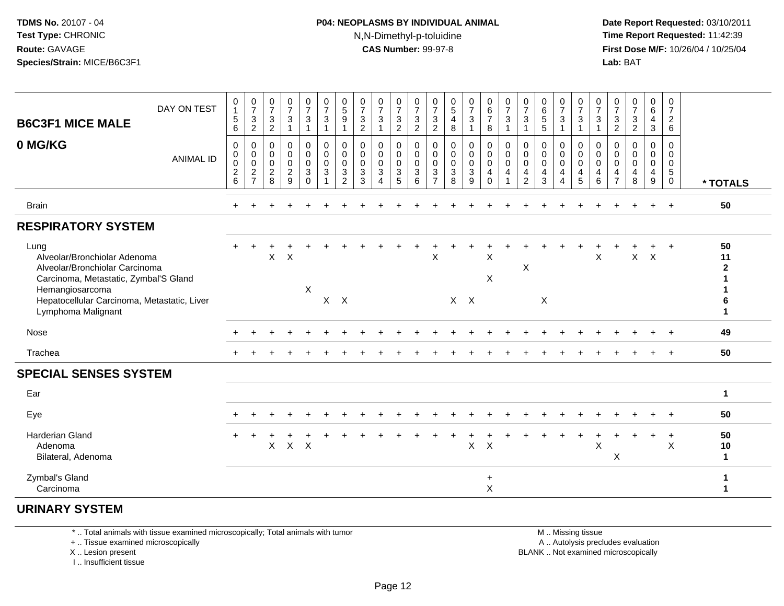#### **P04: NEOPLASMS BY INDIVIDUAL ANIMAL**N,N-Dimethyl-p-toluidine

 **Date Report Requested:** 03/10/2011 **Time Report Requested:** 11:42:39 **First Dose M/F:** 10/26/04 / 10/25/04 Lab: BAT **Lab:** BAT

| DAY ON TEST<br><b>B6C3F1 MICE MALE</b><br>0 MG/KG<br><b>ANIMAL ID</b>                                                                                                                                   | 0<br>$\overline{1}$<br>$\sqrt{5}$<br>6<br>$\mathbf 0$<br>$\boldsymbol{0}$<br>$\,0\,$<br>$\sqrt{2}$ | $\frac{0}{7}$<br>$\sqrt{3}$<br>$\sqrt{2}$<br>$\mathbf 0$<br>$\pmb{0}$<br>$\pmb{0}$<br>$\frac{2}{7}$ | $\frac{0}{7}$<br>$\ensuremath{\mathsf{3}}$<br>$\overline{c}$<br>$\mathbf 0$<br>0<br>$\pmb{0}$<br>$\overline{c}$ | $\frac{0}{7}$<br>3<br>0<br>0<br>0<br>$\frac{2}{9}$ | $\begin{smallmatrix}0\\7\end{smallmatrix}$<br>$\ensuremath{\mathsf{3}}$<br>$\mathbf{1}$<br>0<br>$\pmb{0}$<br>$\pmb{0}$<br>$\ensuremath{\mathsf{3}}$ | $\frac{0}{7}$<br>$\sqrt{3}$<br>$\mathbf{1}$<br>$\mathbf 0$<br>$\pmb{0}$<br>$\pmb{0}$<br>$\mathbf{3}$ | $\begin{array}{c} 0 \\ 5 \end{array}$<br>$9\,$<br>-1<br>$\mathbf 0$<br>$\mathbf 0$<br>0<br>$\sqrt{3}$ | $\begin{array}{c} 0 \\ 7 \end{array}$<br>$\ensuremath{\mathsf{3}}$<br>$\overline{2}$<br>$\mathbf 0$<br>$\mathbf 0$<br>$\pmb{0}$<br>$\mathbf{3}$ | $\frac{0}{7}$<br>3<br>0<br>$\mathbf 0$<br>$\pmb{0}$<br>3 | $\frac{0}{7}$<br>$\frac{3}{2}$<br>0<br>$\mathbf 0$<br>$\pmb{0}$<br>$\ensuremath{\mathsf{3}}$ | $\frac{0}{7}$<br>$\frac{3}{2}$<br>0<br>$\pmb{0}$<br>$\,0\,$<br>$\ensuremath{\mathsf{3}}$ | $\frac{0}{7}$<br>$\frac{3}{2}$<br>$\mathbf 0$<br>0<br>$\boldsymbol{0}$<br>$\sqrt{3}$ | $\begin{array}{c} 0 \\ 5 \end{array}$<br>$\overline{\mathbf{4}}$<br>8<br>$\mathbf 0$<br>$\mathbf 0$<br>$\pmb{0}$<br>$\ensuremath{\mathsf{3}}$ | $\frac{0}{7}$<br>3<br>$\mathbf{1}$<br>0<br>$\pmb{0}$<br>$\pmb{0}$<br>$\ensuremath{\mathsf{3}}$ | $_{6}^{\rm 0}$<br>$\boldsymbol{7}$<br>8<br>$\mathbf 0$<br>$\pmb{0}$<br>$\pmb{0}$<br>$\overline{4}$ | $\begin{array}{c} 0 \\ 7 \end{array}$<br>$\mathbf{3}$<br>$\mathbf{1}$<br>$\mathbf 0$<br>$\mathsf{O}\xspace$<br>$\mathbf 0$<br>$\overline{4}$ | $\frac{0}{7}$<br>3<br>0<br>0<br>$\pmb{0}$<br>4 | 0<br>6<br>5<br>5<br>$\mathbf 0$<br>$\mathbf 0$<br>$\pmb{0}$<br>4 | 0<br>$\overline{7}$<br>3<br>$\mathbf{1}$<br>0<br>0<br>$\mathbf 0$<br>4 | 0<br>$\overline{7}$<br>$\ensuremath{\mathsf{3}}$<br>$\overline{1}$<br>$\Omega$<br>$\mathbf 0$<br>$\pmb{0}$<br>4 | $\frac{0}{7}$<br>$\mathbf{3}$<br>$\Omega$<br>0<br>$\pmb{0}$<br>4 | $\frac{0}{7}$<br>$\ensuremath{\mathsf{3}}$<br>$\overline{2}$<br>$\Omega$<br>0<br>$\pmb{0}$<br>$\overline{\mathbf{4}}$ | $\frac{0}{7}$<br>$\frac{3}{2}$<br>$\mathbf 0$<br>$\pmb{0}$<br>$\pmb{0}$<br>4 | $\begin{array}{c} 0 \\ 6 \end{array}$<br>$\overline{4}$<br>$\sqrt{3}$<br>0<br>$\pmb{0}$<br>$\pmb{0}$<br>$\overline{\mathbf{4}}$ | 0<br>$\overline{7}$<br>$\overline{c}$<br>$\,6\,$<br>$\mathbf 0$<br>0<br>$\mathbf 0$<br>$5\phantom{.0}$ |                                               |
|---------------------------------------------------------------------------------------------------------------------------------------------------------------------------------------------------------|----------------------------------------------------------------------------------------------------|-----------------------------------------------------------------------------------------------------|-----------------------------------------------------------------------------------------------------------------|----------------------------------------------------|-----------------------------------------------------------------------------------------------------------------------------------------------------|------------------------------------------------------------------------------------------------------|-------------------------------------------------------------------------------------------------------|-------------------------------------------------------------------------------------------------------------------------------------------------|----------------------------------------------------------|----------------------------------------------------------------------------------------------|------------------------------------------------------------------------------------------|--------------------------------------------------------------------------------------|-----------------------------------------------------------------------------------------------------------------------------------------------|------------------------------------------------------------------------------------------------|----------------------------------------------------------------------------------------------------|----------------------------------------------------------------------------------------------------------------------------------------------|------------------------------------------------|------------------------------------------------------------------|------------------------------------------------------------------------|-----------------------------------------------------------------------------------------------------------------|------------------------------------------------------------------|-----------------------------------------------------------------------------------------------------------------------|------------------------------------------------------------------------------|---------------------------------------------------------------------------------------------------------------------------------|--------------------------------------------------------------------------------------------------------|-----------------------------------------------|
|                                                                                                                                                                                                         | 6                                                                                                  |                                                                                                     | 8                                                                                                               |                                                    | $\Omega$                                                                                                                                            | $\overline{1}$                                                                                       | 2                                                                                                     | 3                                                                                                                                               | $\overline{\mathbf{4}}$                                  | 5                                                                                            | 6                                                                                        | $\overline{7}$                                                                       | 8                                                                                                                                             | 9                                                                                              | $\Omega$                                                                                           | 1                                                                                                                                            | $\overline{2}$                                 | 3                                                                | $\overline{\mathbf{4}}$                                                | 5                                                                                                               | 6                                                                | $\overline{7}$                                                                                                        | 8                                                                            | $\boldsymbol{9}$                                                                                                                | $\overline{0}$                                                                                         | * TOTALS                                      |
| <b>Brain</b>                                                                                                                                                                                            | $\div$                                                                                             |                                                                                                     |                                                                                                                 |                                                    |                                                                                                                                                     |                                                                                                      |                                                                                                       |                                                                                                                                                 |                                                          |                                                                                              |                                                                                          |                                                                                      |                                                                                                                                               |                                                                                                |                                                                                                    |                                                                                                                                              |                                                |                                                                  |                                                                        |                                                                                                                 |                                                                  |                                                                                                                       |                                                                              | $\pm$                                                                                                                           | $+$                                                                                                    | 50                                            |
| <b>RESPIRATORY SYSTEM</b>                                                                                                                                                                               |                                                                                                    |                                                                                                     |                                                                                                                 |                                                    |                                                                                                                                                     |                                                                                                      |                                                                                                       |                                                                                                                                                 |                                                          |                                                                                              |                                                                                          |                                                                                      |                                                                                                                                               |                                                                                                |                                                                                                    |                                                                                                                                              |                                                |                                                                  |                                                                        |                                                                                                                 |                                                                  |                                                                                                                       |                                                                              |                                                                                                                                 |                                                                                                        |                                               |
| Lung<br>Alveolar/Bronchiolar Adenoma<br>Alveolar/Bronchiolar Carcinoma<br>Carcinoma, Metastatic, Zymbal'S Gland<br>Hemangiosarcoma<br>Hepatocellular Carcinoma, Metastatic, Liver<br>Lymphoma Malignant |                                                                                                    |                                                                                                     | $\mathsf X$                                                                                                     | $\boldsymbol{\mathsf{X}}$                          | X                                                                                                                                                   | $\mathsf{X}$                                                                                         | $\mathsf{X}$                                                                                          |                                                                                                                                                 |                                                          |                                                                                              |                                                                                          | X                                                                                    |                                                                                                                                               | $X$ $X$                                                                                        | X<br>X                                                                                             |                                                                                                                                              | $\pmb{\times}$                                 | X                                                                |                                                                        |                                                                                                                 | $\boldsymbol{\mathsf{X}}$                                        |                                                                                                                       | $\mathsf{X}$                                                                 | $\mathsf{X}$                                                                                                                    | $+$                                                                                                    | 50<br>11<br>$\mathbf{2}$<br>6<br>$\mathbf{1}$ |
| Nose                                                                                                                                                                                                    |                                                                                                    |                                                                                                     |                                                                                                                 |                                                    |                                                                                                                                                     |                                                                                                      |                                                                                                       |                                                                                                                                                 |                                                          |                                                                                              |                                                                                          |                                                                                      |                                                                                                                                               |                                                                                                |                                                                                                    |                                                                                                                                              |                                                |                                                                  |                                                                        |                                                                                                                 |                                                                  |                                                                                                                       |                                                                              |                                                                                                                                 | $\overline{+}$                                                                                         | 49                                            |
| Trachea                                                                                                                                                                                                 |                                                                                                    |                                                                                                     |                                                                                                                 |                                                    |                                                                                                                                                     |                                                                                                      |                                                                                                       |                                                                                                                                                 |                                                          |                                                                                              |                                                                                          |                                                                                      |                                                                                                                                               |                                                                                                |                                                                                                    |                                                                                                                                              |                                                |                                                                  |                                                                        |                                                                                                                 |                                                                  |                                                                                                                       |                                                                              | $\ddot{}$                                                                                                                       | $+$                                                                                                    | 50                                            |
| <b>SPECIAL SENSES SYSTEM</b>                                                                                                                                                                            |                                                                                                    |                                                                                                     |                                                                                                                 |                                                    |                                                                                                                                                     |                                                                                                      |                                                                                                       |                                                                                                                                                 |                                                          |                                                                                              |                                                                                          |                                                                                      |                                                                                                                                               |                                                                                                |                                                                                                    |                                                                                                                                              |                                                |                                                                  |                                                                        |                                                                                                                 |                                                                  |                                                                                                                       |                                                                              |                                                                                                                                 |                                                                                                        |                                               |
| Ear                                                                                                                                                                                                     |                                                                                                    |                                                                                                     |                                                                                                                 |                                                    |                                                                                                                                                     |                                                                                                      |                                                                                                       |                                                                                                                                                 |                                                          |                                                                                              |                                                                                          |                                                                                      |                                                                                                                                               |                                                                                                |                                                                                                    |                                                                                                                                              |                                                |                                                                  |                                                                        |                                                                                                                 |                                                                  |                                                                                                                       |                                                                              |                                                                                                                                 |                                                                                                        | $\mathbf{1}$                                  |
| Eye                                                                                                                                                                                                     |                                                                                                    |                                                                                                     |                                                                                                                 |                                                    |                                                                                                                                                     |                                                                                                      |                                                                                                       |                                                                                                                                                 |                                                          |                                                                                              |                                                                                          |                                                                                      |                                                                                                                                               |                                                                                                |                                                                                                    |                                                                                                                                              |                                                |                                                                  |                                                                        |                                                                                                                 |                                                                  |                                                                                                                       |                                                                              |                                                                                                                                 |                                                                                                        | 50                                            |
| <b>Harderian Gland</b><br>Adenoma<br>Bilateral, Adenoma                                                                                                                                                 |                                                                                                    |                                                                                                     | X                                                                                                               | $\mathsf{X}$                                       | $\mathsf{X}$                                                                                                                                        |                                                                                                      |                                                                                                       |                                                                                                                                                 |                                                          |                                                                                              |                                                                                          |                                                                                      |                                                                                                                                               | $\mathsf X$                                                                                    | $\times$                                                                                           |                                                                                                                                              |                                                |                                                                  |                                                                        |                                                                                                                 | X                                                                | X                                                                                                                     |                                                                              |                                                                                                                                 | $\ddot{}$<br>$\times$                                                                                  | 50<br>10<br>$\mathbf{1}$                      |
| Zymbal's Gland<br>Carcinoma                                                                                                                                                                             |                                                                                                    |                                                                                                     |                                                                                                                 |                                                    |                                                                                                                                                     |                                                                                                      |                                                                                                       |                                                                                                                                                 |                                                          |                                                                                              |                                                                                          |                                                                                      |                                                                                                                                               |                                                                                                | $\ddot{}$<br>$\pmb{\times}$                                                                        |                                                                                                                                              |                                                |                                                                  |                                                                        |                                                                                                                 |                                                                  |                                                                                                                       |                                                                              |                                                                                                                                 |                                                                                                        |                                               |

#### **URINARY SYSTEM**

\* .. Total animals with tissue examined microscopically; Total animals with tumor

+ .. Tissue examined microscopically

X .. Lesion present

I .. Insufficient tissue

M .. Missing tissue

y the contract of the contract of the contract of the contract of the contract of the contract of the contract of  $A$ . Autolysis precludes evaluation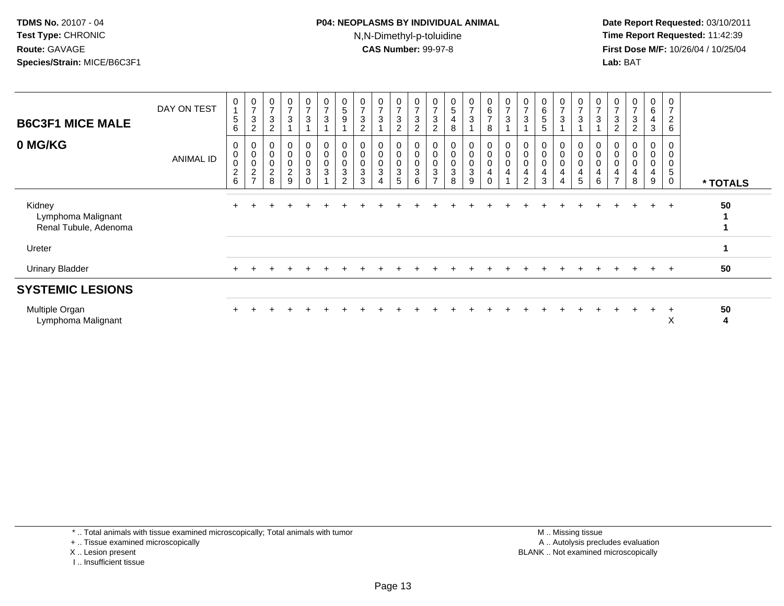#### **P04: NEOPLASMS BY INDIVIDUAL ANIMAL**N,N-Dimethyl-p-toluidine

 **Date Report Requested:** 03/10/2011 **Time Report Requested:** 11:42:39 **First Dose M/F:** 10/26/04 / 10/25/04 Lab: BAT **Lab:** BAT

| <b>B6C3F1 MICE MALE</b>                               | DAY ON TEST      | $\pmb{0}$<br>$\mathbf{1}$<br>5<br>6            | 0<br>$\overline{z}$<br>3<br>2                                       | $\overline{7}$<br>$\mathbf{3}$<br>$\overline{2}$                      | $\mathbf 0$<br>$\overline{ }$<br>$\mathbf{3}$ | 0<br>$\overline{ }$<br>$\mathbf{3}$ | $\pmb{0}$<br>$\overline{z}$<br>$\sqrt{3}$ | $\pmb{0}$<br>5<br>9                                                           | $\overline{\mathcal{I}}$<br>$\mathbf{3}$<br>$\overline{c}$       | 0<br>$\overline{ }$<br>$\mathbf{3}$   | $\frac{0}{7}$<br>$\ensuremath{\mathsf{3}}$<br>$\overline{c}$ | $\pmb{0}$<br>$\overline{ }$<br>$\sqrt{3}$<br>2             | $\frac{0}{7}$<br>$\sqrt{3}$<br>$\sqrt{2}$                  | 0<br>5<br>4<br>8                                                            | 0<br>$\overline{ }$<br>3 | $\begin{matrix} 0 \\ 6 \end{matrix}$<br>$\overline{7}$<br>8                     | $\pmb{0}$<br>$\overline{z}$<br>3                               | $\overline{ }$<br>$\sqrt{3}$                                     | 0<br>$\,6$<br>5<br>5                         | 0<br>$\overline{ }$<br>3 | $\mathbf 0$<br>$\overline{z}$<br>3        | 0<br>$\overline{ }$<br>3    | 0<br>$\overline{z}$<br>$\mathbf{3}$<br>2                                         | 0<br>$\overline{7}$<br>3<br>$\overline{2}$         | 0<br>$\,6$<br>4<br>3            | 0<br>$\overline{7}$<br>$\overline{c}$<br>6 |          |
|-------------------------------------------------------|------------------|------------------------------------------------|---------------------------------------------------------------------|-----------------------------------------------------------------------|-----------------------------------------------|-------------------------------------|-------------------------------------------|-------------------------------------------------------------------------------|------------------------------------------------------------------|---------------------------------------|--------------------------------------------------------------|------------------------------------------------------------|------------------------------------------------------------|-----------------------------------------------------------------------------|--------------------------|---------------------------------------------------------------------------------|----------------------------------------------------------------|------------------------------------------------------------------|----------------------------------------------|--------------------------|-------------------------------------------|-----------------------------|----------------------------------------------------------------------------------|----------------------------------------------------|---------------------------------|--------------------------------------------|----------|
| 0 MG/KG                                               | <b>ANIMAL ID</b> | 0<br>0<br>$\mathbf 0$<br>$\boldsymbol{2}$<br>6 | 0<br>$\pmb{0}$<br>$\mathbf 0$<br>$\boldsymbol{2}$<br>$\overline{ }$ | $\boldsymbol{0}$<br>$\pmb{0}$<br>$\mathbf 0$<br>$\boldsymbol{2}$<br>8 | 0<br>$\mathbf 0$<br>0<br>$\overline{a}$<br>9  | 0<br>0<br>0<br>$\mathbf{3}$<br>0    | $\mathbf 0$<br>$\pmb{0}$<br>$\frac{0}{3}$ | $\pmb{0}$<br>$\pmb{0}$<br>$\mathsf{O}\xspace$<br>$\sqrt{3}$<br>$\overline{2}$ | $\boldsymbol{0}$<br>$\pmb{0}$<br>$\mathbf 0$<br>$\mathbf 3$<br>3 | 0<br>$\pmb{0}$<br>$\pmb{0}$<br>3<br>4 | 0<br>0<br>0<br>$\sqrt{3}$<br>5                               | $\mathbf 0$<br>$\pmb{0}$<br>$\pmb{0}$<br>$\mathbf{3}$<br>6 | 0<br>0<br>0<br>$\ensuremath{\mathsf{3}}$<br>$\overline{ }$ | 0<br>$\boldsymbol{0}$<br>$\boldsymbol{0}$<br>$\ensuremath{\mathsf{3}}$<br>8 | 0<br>0<br>0<br>3<br>9    | $\mathbf 0$<br>$\pmb{0}$<br>$\pmb{0}$<br>$\overline{\mathbf{4}}$<br>$\mathbf 0$ | $\pmb{0}$<br>$\pmb{0}$<br>$\pmb{0}$<br>$\overline{\mathbf{4}}$ | 0<br>$\pmb{0}$<br>0<br>$\overline{\mathbf{4}}$<br>$\overline{2}$ | $\boldsymbol{0}$<br>$\pmb{0}$<br>0<br>4<br>3 | 0<br>0<br>4<br>4         | 0<br>$\mathbf 0$<br>$\mathbf 0$<br>4<br>5 | 0<br>$\,0\,$<br>0<br>4<br>6 | $\mathbf 0$<br>$\pmb{0}$<br>$\,0\,$<br>$\overline{\mathbf{4}}$<br>$\overline{7}$ | 0<br>$\pmb{0}$<br>$\pmb{0}$<br>$\overline{4}$<br>8 | 0<br>$\mathbf 0$<br>0<br>4<br>9 | 0<br>$\,$ 5 $\,$<br>$\mathbf 0$            | * TOTALS |
| Kidney<br>Lymphoma Malignant<br>Renal Tubule, Adenoma |                  |                                                |                                                                     |                                                                       |                                               |                                     |                                           |                                                                               |                                                                  |                                       |                                                              |                                                            |                                                            |                                                                             |                          |                                                                                 |                                                                |                                                                  |                                              |                          |                                           |                             |                                                                                  |                                                    | $\ddot{}$                       | $+$                                        | 50       |
| Ureter                                                |                  |                                                |                                                                     |                                                                       |                                               |                                     |                                           |                                                                               |                                                                  |                                       |                                                              |                                                            |                                                            |                                                                             |                          |                                                                                 |                                                                |                                                                  |                                              |                          |                                           |                             |                                                                                  |                                                    |                                 |                                            | 1        |
| <b>Urinary Bladder</b>                                |                  |                                                |                                                                     |                                                                       |                                               |                                     |                                           |                                                                               |                                                                  |                                       |                                                              |                                                            |                                                            |                                                                             |                          |                                                                                 |                                                                |                                                                  |                                              |                          |                                           |                             |                                                                                  |                                                    | $\pm$                           | $+$                                        | 50       |
| <b>SYSTEMIC LESIONS</b>                               |                  |                                                |                                                                     |                                                                       |                                               |                                     |                                           |                                                                               |                                                                  |                                       |                                                              |                                                            |                                                            |                                                                             |                          |                                                                                 |                                                                |                                                                  |                                              |                          |                                           |                             |                                                                                  |                                                    |                                 |                                            |          |
| Multiple Organ<br>Lymphoma Malignant                  |                  |                                                |                                                                     |                                                                       |                                               |                                     |                                           |                                                                               |                                                                  |                                       |                                                              |                                                            |                                                            |                                                                             |                          |                                                                                 |                                                                |                                                                  |                                              |                          |                                           |                             |                                                                                  |                                                    | $\ddot{}$                       | $\ddot{}$<br>X                             | 50<br>4  |

\* .. Total animals with tissue examined microscopically; Total animals with tumor

+ .. Tissue examined microscopically

X .. Lesion present

I .. Insufficient tissue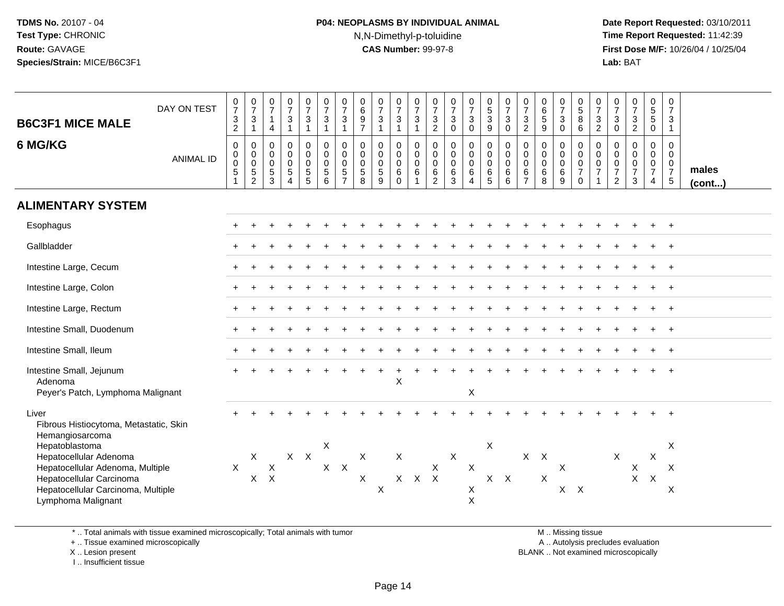# **P04: NEOPLASMS BY INDIVIDUAL ANIMAL**N,N-Dimethyl-p-toluidine

 **Date Report Requested:** 03/10/2011 **Time Report Requested:** 11:42:39 **First Dose M/F:** 10/26/04 / 10/25/04 Lab: BAT **Lab:** BAT

| <b>B6C3F1 MICE MALE</b><br>6 MG/KG                                                                                                                                                                                                         | DAY ON TEST<br><b>ANIMAL ID</b> | $\frac{0}{7}$<br>$\ensuremath{\mathsf{3}}$<br>$\overline{2}$<br>$\mathsf{O}\xspace$<br>$\pmb{0}$<br>$\mathbf 0$<br>$\overline{5}$<br>$\mathbf{1}$ | $\frac{0}{7}$<br>$\sqrt{3}$<br>$\mathbf{1}$<br>$\mathbf 0$<br>$\mathbf 0$<br>$\mathbf 0$<br>$\frac{5}{2}$ | $\frac{0}{7}$<br>$\mathbf{1}$<br>$\overline{4}$<br>$\mathbf 0$<br>$\mathbf 0$<br>$\mathsf{O}\xspace$<br>$\frac{5}{3}$ | $\frac{0}{7}$<br>3<br>$\overline{1}$<br>$\boldsymbol{0}$<br>$\mathbf 0$<br>$\mathbf 0$<br>$\sqrt{5}$<br>$\overline{4}$ | $\frac{0}{7}$<br>$\mathbf{3}$<br>$\overline{1}$<br>$\pmb{0}$<br>$\mathbf 0$<br>$\mathbf 0$<br>$\overline{5}$<br>$\overline{5}$ | $\frac{0}{7}$<br>3<br>$\mathbf 1$<br>$\pmb{0}$<br>$\mathbf 0$<br>$\mathbf 0$<br>5<br>6 | $\frac{0}{7}$<br>$\mathbf{3}$<br>$\mathbf{1}$<br>$\pmb{0}$<br>$\mathbf 0$<br>$\mathbf 0$<br>$\overline{5}$<br>$\overline{7}$ | $_6^0$<br>$\frac{9}{7}$<br>$\mathsf{O}$<br>$\mathbf 0$<br>$\mathbf 0$<br>5<br>8 | $\frac{0}{7}$<br>$\mathbf{3}$<br>$\mathbf{1}$<br>$\pmb{0}$<br>$\mathbf 0$<br>$\mathsf{O}\xspace$<br>$\overline{5}$<br>9 | $\frac{0}{7}$<br>$\ensuremath{\mathsf{3}}$<br>$\mathbf{1}$<br>$\pmb{0}$<br>$\mathsf 0$<br>$\mathbf 0$<br>6<br>$\mathbf 0$ | $\frac{0}{7}$<br>$\frac{3}{1}$<br>$\mathbf 0$<br>$\mathbf 0$<br>$\mathbf 0$<br>6 | $\frac{0}{7}$<br>$\mathbf{3}$<br>$\overline{2}$<br>$\pmb{0}$<br>$\mathbf 0$<br>$\mathbf 0$<br>6<br>$\overline{2}$ | $\frac{0}{7}$<br>$\mathbf{3}$<br>$\mathbf 0$<br>$\pmb{0}$<br>$\mathbf 0$<br>$\mathbf 0$<br>$\frac{6}{3}$ | $\frac{0}{7}$<br>3<br>$\mathbf 0$<br>$\pmb{0}$<br>$\mathbf 0$<br>$\mathbf 0$<br>6<br>4 | $\begin{array}{c} 0 \\ 5 \\ 3 \end{array}$<br>9<br>$\pmb{0}$<br>$\pmb{0}$<br>$\mathbf 0$<br>6<br>$\overline{5}$ | $\frac{0}{7}$<br>$\mathbf{3}$<br>$\mathbf 0$<br>$\mathbf 0$<br>$\mathbf 0$<br>$\mathbf 0$<br>6<br>6 | $\frac{0}{7}$<br>$\ensuremath{\mathsf{3}}$<br>$\overline{c}$<br>$\pmb{0}$<br>$\pmb{0}$<br>$\pmb{0}$<br>$\frac{6}{7}$ | $\begin{array}{c} 0 \\ 6 \end{array}$<br>$\,$ 5 $\,$<br>9<br>0<br>$\mathbf 0$<br>$\mathbf 0$<br>6<br>8 | $\begin{array}{c} 0 \\ 7 \\ 3 \end{array}$<br>$\mathbf 0$<br>$\pmb{0}$<br>$\pmb{0}$<br>$\mathbf 0$<br>$\,6\,$<br>$\overline{9}$ | $\frac{0}{5}$<br>8<br>$\,6\,$<br>$\mathbf 0$<br>$\mathbf 0$<br>$\mathsf 0$<br>$\overline{7}$<br>$\Omega$ | $\frac{0}{7}$<br>$\mathbf{3}$<br>$\overline{2}$<br>$\mathbf 0$<br>$\mathsf 0$<br>$\boldsymbol{0}$<br>$\overline{7}$<br>$\overline{1}$ | $\frac{0}{7}$<br>3<br>$\mathbf 0$<br>$\mathbf 0$<br>$\mathbf 0$<br>$\mathbf 0$<br>$\overline{7}$<br>$\overline{2}$ | $\frac{0}{7}$<br>$\mathbf{3}$<br>$\overline{2}$<br>$\pmb{0}$<br>$\mathbf 0$<br>$\mathsf{O}\xspace$<br>$\overline{7}$<br>3 | $\begin{matrix} 0 \\ 5 \end{matrix}$<br>5<br>$\mathbf 0$<br>$\mathbf 0$<br>$\mathbf 0$<br>0<br>$\overline{7}$<br>4 | $\mathbf 0$<br>$\overline{7}$<br>3<br>$\mathbf{1}$<br>0<br>$\mathbf 0$<br>$\mathbf 0$<br>$\overline{7}$<br>$\sqrt{5}$ | males<br>$($ cont $)$ |
|--------------------------------------------------------------------------------------------------------------------------------------------------------------------------------------------------------------------------------------------|---------------------------------|---------------------------------------------------------------------------------------------------------------------------------------------------|-----------------------------------------------------------------------------------------------------------|-----------------------------------------------------------------------------------------------------------------------|------------------------------------------------------------------------------------------------------------------------|--------------------------------------------------------------------------------------------------------------------------------|----------------------------------------------------------------------------------------|------------------------------------------------------------------------------------------------------------------------------|---------------------------------------------------------------------------------|-------------------------------------------------------------------------------------------------------------------------|---------------------------------------------------------------------------------------------------------------------------|----------------------------------------------------------------------------------|-------------------------------------------------------------------------------------------------------------------|----------------------------------------------------------------------------------------------------------|----------------------------------------------------------------------------------------|-----------------------------------------------------------------------------------------------------------------|-----------------------------------------------------------------------------------------------------|----------------------------------------------------------------------------------------------------------------------|--------------------------------------------------------------------------------------------------------|---------------------------------------------------------------------------------------------------------------------------------|----------------------------------------------------------------------------------------------------------|---------------------------------------------------------------------------------------------------------------------------------------|--------------------------------------------------------------------------------------------------------------------|---------------------------------------------------------------------------------------------------------------------------|--------------------------------------------------------------------------------------------------------------------|-----------------------------------------------------------------------------------------------------------------------|-----------------------|
| <b>ALIMENTARY SYSTEM</b>                                                                                                                                                                                                                   |                                 |                                                                                                                                                   |                                                                                                           |                                                                                                                       |                                                                                                                        |                                                                                                                                |                                                                                        |                                                                                                                              |                                                                                 |                                                                                                                         |                                                                                                                           |                                                                                  |                                                                                                                   |                                                                                                          |                                                                                        |                                                                                                                 |                                                                                                     |                                                                                                                      |                                                                                                        |                                                                                                                                 |                                                                                                          |                                                                                                                                       |                                                                                                                    |                                                                                                                           |                                                                                                                    |                                                                                                                       |                       |
| Esophagus                                                                                                                                                                                                                                  |                                 |                                                                                                                                                   |                                                                                                           |                                                                                                                       |                                                                                                                        |                                                                                                                                |                                                                                        |                                                                                                                              |                                                                                 |                                                                                                                         |                                                                                                                           |                                                                                  |                                                                                                                   |                                                                                                          |                                                                                        |                                                                                                                 |                                                                                                     |                                                                                                                      |                                                                                                        |                                                                                                                                 |                                                                                                          |                                                                                                                                       |                                                                                                                    |                                                                                                                           |                                                                                                                    |                                                                                                                       |                       |
| Gallbladder                                                                                                                                                                                                                                |                                 |                                                                                                                                                   |                                                                                                           |                                                                                                                       |                                                                                                                        |                                                                                                                                |                                                                                        |                                                                                                                              |                                                                                 |                                                                                                                         |                                                                                                                           |                                                                                  |                                                                                                                   |                                                                                                          |                                                                                        |                                                                                                                 |                                                                                                     |                                                                                                                      |                                                                                                        |                                                                                                                                 |                                                                                                          |                                                                                                                                       |                                                                                                                    |                                                                                                                           |                                                                                                                    |                                                                                                                       |                       |
| Intestine Large, Cecum                                                                                                                                                                                                                     |                                 |                                                                                                                                                   |                                                                                                           |                                                                                                                       |                                                                                                                        |                                                                                                                                |                                                                                        |                                                                                                                              |                                                                                 |                                                                                                                         |                                                                                                                           |                                                                                  |                                                                                                                   |                                                                                                          |                                                                                        |                                                                                                                 |                                                                                                     |                                                                                                                      |                                                                                                        |                                                                                                                                 |                                                                                                          |                                                                                                                                       |                                                                                                                    |                                                                                                                           |                                                                                                                    |                                                                                                                       |                       |
| Intestine Large, Colon                                                                                                                                                                                                                     |                                 |                                                                                                                                                   |                                                                                                           |                                                                                                                       |                                                                                                                        |                                                                                                                                |                                                                                        |                                                                                                                              |                                                                                 |                                                                                                                         |                                                                                                                           |                                                                                  |                                                                                                                   |                                                                                                          |                                                                                        |                                                                                                                 |                                                                                                     |                                                                                                                      |                                                                                                        |                                                                                                                                 |                                                                                                          |                                                                                                                                       |                                                                                                                    |                                                                                                                           |                                                                                                                    |                                                                                                                       |                       |
| Intestine Large, Rectum                                                                                                                                                                                                                    |                                 |                                                                                                                                                   |                                                                                                           |                                                                                                                       |                                                                                                                        |                                                                                                                                |                                                                                        |                                                                                                                              |                                                                                 |                                                                                                                         |                                                                                                                           |                                                                                  |                                                                                                                   |                                                                                                          |                                                                                        |                                                                                                                 |                                                                                                     |                                                                                                                      |                                                                                                        |                                                                                                                                 |                                                                                                          |                                                                                                                                       |                                                                                                                    |                                                                                                                           |                                                                                                                    |                                                                                                                       |                       |
| Intestine Small, Duodenum                                                                                                                                                                                                                  |                                 |                                                                                                                                                   |                                                                                                           |                                                                                                                       |                                                                                                                        |                                                                                                                                |                                                                                        |                                                                                                                              |                                                                                 |                                                                                                                         |                                                                                                                           |                                                                                  |                                                                                                                   |                                                                                                          |                                                                                        |                                                                                                                 |                                                                                                     |                                                                                                                      |                                                                                                        |                                                                                                                                 |                                                                                                          |                                                                                                                                       |                                                                                                                    |                                                                                                                           |                                                                                                                    | $\div$                                                                                                                |                       |
| Intestine Small, Ileum                                                                                                                                                                                                                     |                                 |                                                                                                                                                   |                                                                                                           |                                                                                                                       |                                                                                                                        |                                                                                                                                |                                                                                        |                                                                                                                              |                                                                                 |                                                                                                                         |                                                                                                                           |                                                                                  |                                                                                                                   |                                                                                                          |                                                                                        |                                                                                                                 |                                                                                                     |                                                                                                                      |                                                                                                        |                                                                                                                                 |                                                                                                          |                                                                                                                                       |                                                                                                                    |                                                                                                                           |                                                                                                                    |                                                                                                                       |                       |
| Intestine Small, Jejunum<br>Adenoma<br>Peyer's Patch, Lymphoma Malignant                                                                                                                                                                   |                                 |                                                                                                                                                   |                                                                                                           |                                                                                                                       |                                                                                                                        |                                                                                                                                |                                                                                        |                                                                                                                              |                                                                                 |                                                                                                                         | X                                                                                                                         |                                                                                  |                                                                                                                   |                                                                                                          | $\sf X$                                                                                |                                                                                                                 |                                                                                                     |                                                                                                                      |                                                                                                        |                                                                                                                                 |                                                                                                          |                                                                                                                                       |                                                                                                                    |                                                                                                                           |                                                                                                                    |                                                                                                                       |                       |
| Liver<br>Fibrous Histiocytoma, Metastatic, Skin<br>Hemangiosarcoma<br>Hepatoblastoma<br>Hepatocellular Adenoma<br>Hepatocellular Adenoma, Multiple<br>Hepatocellular Carcinoma<br>Hepatocellular Carcinoma, Multiple<br>Lymphoma Malignant |                                 | $\boldsymbol{\mathsf{X}}$                                                                                                                         | X<br>$\mathsf{X}$                                                                                         | X<br>$\boldsymbol{\mathsf{X}}$                                                                                        |                                                                                                                        | $X$ $X$                                                                                                                        | X                                                                                      | $X$ $X$                                                                                                                      | X<br>X                                                                          | $\mathsf X$                                                                                                             | X<br>$X -$                                                                                                                |                                                                                  | $\mathsf X$<br>$X$ $X$                                                                                            | $\mathsf{X}$                                                                                             | $\mathsf X$<br>$\boldsymbol{\mathsf{X}}$<br>X                                          | $\times$<br>$X$ $X$                                                                                             |                                                                                                     |                                                                                                                      | $X$ $X$<br>$\mathsf X$                                                                                 | $\sf X$<br>$X$ $X$                                                                                                              |                                                                                                          |                                                                                                                                       | $\sf X$                                                                                                            | X<br>$\sf X$                                                                                                              | $\times$<br>$\boldsymbol{X}$                                                                                       | X<br>X<br>X                                                                                                           |                       |

\* .. Total animals with tissue examined microscopically; Total animals with tumor

+ .. Tissue examined microscopically

X .. Lesion present

I .. Insufficient tissue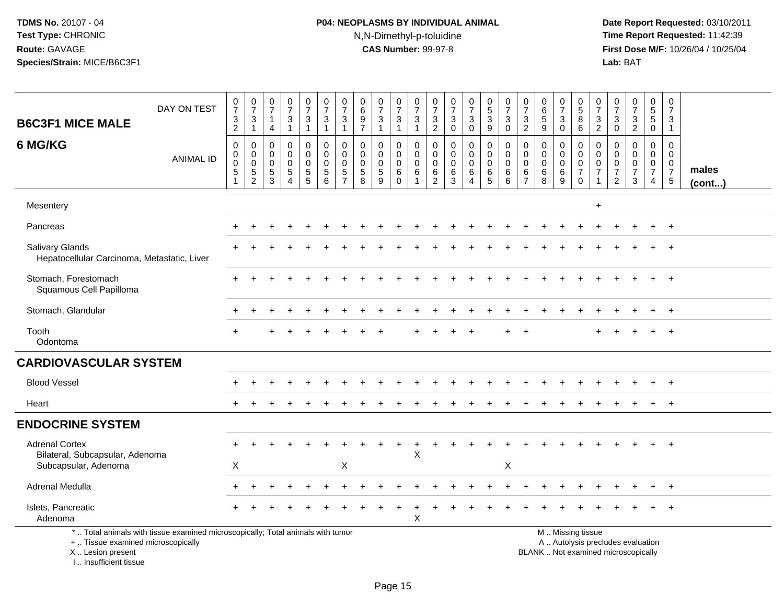# **P04: NEOPLASMS BY INDIVIDUAL ANIMAL**N,N-Dimethyl-p-toluidine

| <b>B6C3F1 MICE MALE</b>                                                            | DAY ON TEST                                                                     | $\frac{0}{7}$<br>$\frac{3}{2}$                                 | $\begin{array}{c} 0 \\ 7 \\ 3 \\ 1 \end{array}$            | $\frac{0}{7}$<br>$\mathbf{1}$<br>$\overline{4}$               | $\frac{0}{7}$<br>3<br>$\mathbf{1}$                     | $\frac{0}{7}$<br>$\frac{3}{1}$                         | $\begin{array}{c} 0 \\ 7 \end{array}$<br>$\mathbf 3$<br>$\mathbf{1}$ | $\pmb{0}$<br>$\overline{7}$<br>$\ensuremath{\mathsf{3}}$<br>$\mathbf{1}$   | $\begin{array}{c} 0 \\ 6 \end{array}$<br>$\frac{9}{7}$       | $\frac{0}{7}$<br>$\ensuremath{\mathsf{3}}$<br>$\mathbf{1}$ | 0<br>$\overline{7}$<br>$\frac{3}{1}$                | $\frac{0}{7}$<br>$\mathbf{3}$<br>$\mathbf{1}$ | 0<br>$\overline{7}$<br>$\frac{3}{2}$                        | $\frac{0}{7}$<br>$_{0}^{3}$                                    | $\frac{0}{7}$<br>$_0^3$                                  | 0<br>5<br>3<br>9                                             | $\frac{0}{7}$<br>$\mathbf{3}$<br>$\mathbf 0$           | 0<br>$\overline{7}$<br>$\frac{3}{2}$                          | $\begin{array}{c} 0 \\ 6 \\ 5 \end{array}$<br>9 | 0<br>$\overline{7}$<br>$\ensuremath{\mathsf{3}}$<br>$\mathbf 0$ | 0<br>5<br>8<br>6                                                           | 0<br>$\overline{7}$<br>3<br>$\overline{2}$                                    | 0<br>$\overline{7}$<br>$\ensuremath{\mathsf{3}}$<br>$\mathbf 0$               | $\frac{0}{7}$<br>$\frac{3}{2}$                         | 0<br>$\frac{5}{0}$                                     | $\pmb{0}$<br>$\overline{7}$<br>3<br>$\mathbf{1}$                               |                       |
|------------------------------------------------------------------------------------|---------------------------------------------------------------------------------|----------------------------------------------------------------|------------------------------------------------------------|---------------------------------------------------------------|--------------------------------------------------------|--------------------------------------------------------|----------------------------------------------------------------------|----------------------------------------------------------------------------|--------------------------------------------------------------|------------------------------------------------------------|-----------------------------------------------------|-----------------------------------------------|-------------------------------------------------------------|----------------------------------------------------------------|----------------------------------------------------------|--------------------------------------------------------------|--------------------------------------------------------|---------------------------------------------------------------|-------------------------------------------------|-----------------------------------------------------------------|----------------------------------------------------------------------------|-------------------------------------------------------------------------------|-------------------------------------------------------------------------------|--------------------------------------------------------|--------------------------------------------------------|--------------------------------------------------------------------------------|-----------------------|
| 6 MG/KG                                                                            | <b>ANIMAL ID</b>                                                                | $\mathbf 0$<br>$\pmb{0}$<br>$\mathbf 0$<br>5<br>$\overline{1}$ | $\mathbf 0$<br>$\mathbf 0$<br>$\mathbf 0$<br>$\frac{5}{2}$ | $\mathbf 0$<br>$\mathbf 0$<br>$\mathbf 0$<br>$\,$ 5 $\,$<br>3 | 0<br>$\mathbf 0$<br>$\mathbf 0$<br>5<br>$\overline{4}$ | 0<br>$\ddot{\mathbf{0}}$<br>$\pmb{0}$<br>$\frac{5}{5}$ | $\mathbf 0$<br>$\mathsf{O}\xspace$<br>$\pmb{0}$<br>$\sqrt{5}$<br>6   | $\mathbf 0$<br>$\mathbf 0$<br>$\mathbf 0$<br>$\,$ 5 $\,$<br>$\overline{7}$ | $\mathbf 0$<br>$\mathbf 0$<br>$\mathbf 0$<br>$\sqrt{5}$<br>8 | 0<br>$\mathbf 0$<br>$\pmb{0}$<br>$\sqrt{5}$<br>9           | 0<br>$\mathbf 0$<br>$\mathbf 0$<br>6<br>$\mathbf 0$ | 0<br>$\mathbf 0$<br>$\mathbf 0$<br>6<br>1     | 0<br>$\mathbf 0$<br>$\boldsymbol{0}$<br>6<br>$\overline{c}$ | 0<br>$\mathsf{O}\xspace$<br>$\mathbf 0$<br>6<br>$\overline{3}$ | 0<br>$\mathbf 0$<br>$\pmb{0}$<br>$\,6$<br>$\overline{4}$ | $\mathbf 0$<br>$\mathbf 0$<br>$\mathbf 0$<br>6<br>$\sqrt{5}$ | 0<br>$\mathbf 0$<br>$\mathbf 0$<br>6<br>$6\phantom{a}$ | $\mathbf 0$<br>$\mathbf 0$<br>$\Omega$<br>6<br>$\overline{7}$ | 0<br>$\mathbf 0$<br>$\pmb{0}$<br>$\,6\,$<br>8   | 0<br>$\mathbf 0$<br>$\mathbf 0$<br>6<br>9                       | $\mathbf 0$<br>$\mathbf 0$<br>$\pmb{0}$<br>$\boldsymbol{7}$<br>$\mathbf 0$ | $\mathbf 0$<br>$\mathbf 0$<br>$\mathbf 0$<br>$\overline{7}$<br>$\overline{1}$ | $\mathbf 0$<br>$\mathbf 0$<br>$\mathbf 0$<br>$\overline{7}$<br>$\overline{2}$ | 0<br>$\mathbf 0$<br>$\mathbf 0$<br>$\overline{7}$<br>3 | 0<br>$\mathbf 0$<br>$\mathbf 0$<br>$\overline{7}$<br>4 | $\mathbf 0$<br>$\mathbf 0$<br>$\mathbf 0$<br>$\overline{7}$<br>$5\phantom{.0}$ | males<br>$($ cont $)$ |
| Mesentery                                                                          |                                                                                 |                                                                |                                                            |                                                               |                                                        |                                                        |                                                                      |                                                                            |                                                              |                                                            |                                                     |                                               |                                                             |                                                                |                                                          |                                                              |                                                        |                                                               |                                                 |                                                                 |                                                                            | $\ddot{}$                                                                     |                                                                               |                                                        |                                                        |                                                                                |                       |
| Pancreas                                                                           |                                                                                 |                                                                |                                                            |                                                               |                                                        |                                                        |                                                                      |                                                                            |                                                              |                                                            |                                                     |                                               |                                                             |                                                                |                                                          |                                                              |                                                        |                                                               |                                                 |                                                                 |                                                                            |                                                                               |                                                                               |                                                        |                                                        | $+$                                                                            |                       |
| Salivary Glands<br>Hepatocellular Carcinoma, Metastatic, Liver                     |                                                                                 |                                                                |                                                            |                                                               |                                                        |                                                        |                                                                      |                                                                            |                                                              |                                                            |                                                     |                                               |                                                             |                                                                |                                                          |                                                              |                                                        |                                                               |                                                 |                                                                 |                                                                            |                                                                               |                                                                               |                                                        |                                                        | $\overline{1}$                                                                 |                       |
| Stomach, Forestomach<br>Squamous Cell Papilloma                                    |                                                                                 |                                                                |                                                            |                                                               |                                                        |                                                        |                                                                      |                                                                            |                                                              |                                                            |                                                     |                                               |                                                             |                                                                |                                                          |                                                              |                                                        |                                                               |                                                 |                                                                 |                                                                            |                                                                               |                                                                               |                                                        |                                                        | $\overline{1}$                                                                 |                       |
| Stomach, Glandular                                                                 |                                                                                 |                                                                |                                                            |                                                               |                                                        |                                                        |                                                                      |                                                                            |                                                              |                                                            |                                                     |                                               |                                                             |                                                                |                                                          |                                                              |                                                        |                                                               |                                                 |                                                                 |                                                                            |                                                                               |                                                                               |                                                        | $\ddot{}$                                              | $+$                                                                            |                       |
| Tooth<br>Odontoma                                                                  |                                                                                 |                                                                |                                                            |                                                               |                                                        |                                                        |                                                                      |                                                                            |                                                              |                                                            |                                                     |                                               |                                                             |                                                                |                                                          |                                                              |                                                        |                                                               |                                                 |                                                                 |                                                                            |                                                                               |                                                                               |                                                        |                                                        |                                                                                |                       |
| <b>CARDIOVASCULAR SYSTEM</b>                                                       |                                                                                 |                                                                |                                                            |                                                               |                                                        |                                                        |                                                                      |                                                                            |                                                              |                                                            |                                                     |                                               |                                                             |                                                                |                                                          |                                                              |                                                        |                                                               |                                                 |                                                                 |                                                                            |                                                                               |                                                                               |                                                        |                                                        |                                                                                |                       |
| <b>Blood Vessel</b>                                                                |                                                                                 |                                                                |                                                            |                                                               |                                                        |                                                        |                                                                      |                                                                            |                                                              |                                                            |                                                     |                                               |                                                             |                                                                |                                                          |                                                              |                                                        |                                                               |                                                 |                                                                 |                                                                            |                                                                               |                                                                               |                                                        |                                                        |                                                                                |                       |
| Heart                                                                              |                                                                                 |                                                                |                                                            |                                                               |                                                        |                                                        |                                                                      |                                                                            |                                                              |                                                            |                                                     |                                               |                                                             |                                                                |                                                          |                                                              |                                                        |                                                               |                                                 |                                                                 |                                                                            |                                                                               |                                                                               |                                                        |                                                        |                                                                                |                       |
| <b>ENDOCRINE SYSTEM</b>                                                            |                                                                                 |                                                                |                                                            |                                                               |                                                        |                                                        |                                                                      |                                                                            |                                                              |                                                            |                                                     |                                               |                                                             |                                                                |                                                          |                                                              |                                                        |                                                               |                                                 |                                                                 |                                                                            |                                                                               |                                                                               |                                                        |                                                        |                                                                                |                       |
| <b>Adrenal Cortex</b><br>Bilateral, Subcapsular, Adenoma<br>Subcapsular, Adenoma   |                                                                                 | X                                                              |                                                            |                                                               |                                                        |                                                        |                                                                      | Χ                                                                          |                                                              |                                                            |                                                     | X                                             |                                                             |                                                                |                                                          |                                                              | X                                                      |                                                               |                                                 |                                                                 |                                                                            |                                                                               |                                                                               |                                                        |                                                        |                                                                                |                       |
| Adrenal Medulla                                                                    |                                                                                 |                                                                |                                                            |                                                               |                                                        |                                                        |                                                                      |                                                                            |                                                              |                                                            |                                                     |                                               |                                                             |                                                                |                                                          |                                                              |                                                        |                                                               |                                                 |                                                                 |                                                                            |                                                                               |                                                                               |                                                        |                                                        | $+$                                                                            |                       |
| Islets, Pancreatic<br>Adenoma                                                      |                                                                                 |                                                                |                                                            |                                                               |                                                        |                                                        |                                                                      |                                                                            |                                                              |                                                            |                                                     | X                                             |                                                             |                                                                |                                                          |                                                              |                                                        |                                                               |                                                 |                                                                 |                                                                            |                                                                               |                                                                               |                                                        |                                                        | $+$                                                                            |                       |
| +  Tissue examined microscopically<br>X  Lesion present<br>I., Insufficient tissue | *  Total animals with tissue examined microscopically; Total animals with tumor |                                                                |                                                            |                                                               |                                                        |                                                        |                                                                      |                                                                            |                                                              |                                                            |                                                     |                                               |                                                             |                                                                |                                                          |                                                              |                                                        |                                                               | BLANK  Not examined microscopically             |                                                                 | M  Missing tissue                                                          |                                                                               |                                                                               | A  Autolysis precludes evaluation                      |                                                        |                                                                                |                       |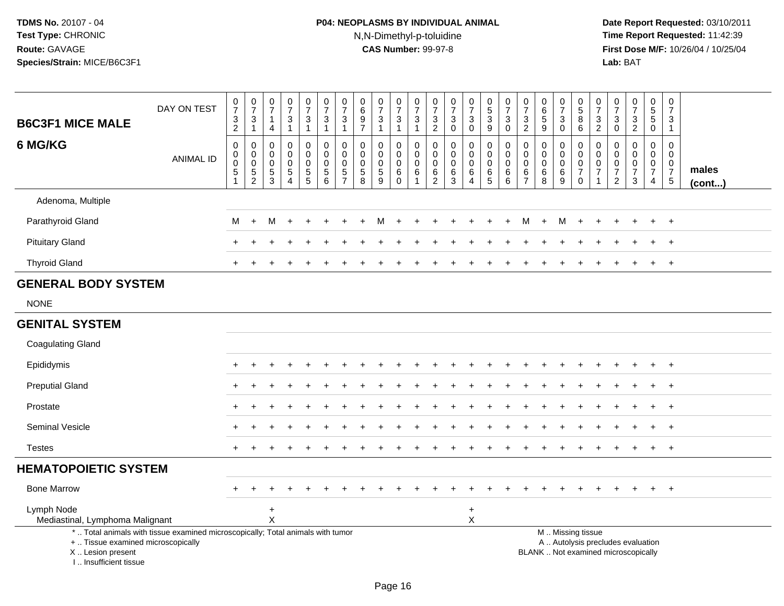# **P04: NEOPLASMS BY INDIVIDUAL ANIMAL**N,N-Dimethyl-p-toluidine

| <b>B6C3F1 MICE MALE</b>                                                          | DAY ON TEST                                                                     | $\frac{0}{7}$<br>$\frac{3}{2}$                             | $\begin{smallmatrix}0\\7\end{smallmatrix}$<br>$\frac{3}{1}$ | 0<br>$\overline{7}$<br>$\overline{1}$<br>4        | $\frac{0}{7}$<br>$\sqrt{3}$<br>$\overline{1}$                        | $\frac{0}{7}$<br>$\mathbf{3}$<br>$\mathbf{1}$ | $\begin{smallmatrix}0\\7\end{smallmatrix}$<br>3<br>$\mathbf{1}$ | $\frac{0}{7}$<br>$\ensuremath{\mathsf{3}}$<br>$\mathbf{1}$ | $\mathbf 0$<br>$\,6\,$<br>$\boldsymbol{9}$<br>$\overline{7}$  | $\begin{array}{c} 0 \\ 7 \end{array}$<br>$\mathbf{3}$<br>$\mathbf{1}$ | 0<br>$\overline{7}$<br>$\sqrt{3}$<br>$\mathbf{1}$ | $\frac{0}{7}$<br>$\ensuremath{\mathsf{3}}$<br>$\mathbf{1}$                  | $\begin{smallmatrix}0\\7\end{smallmatrix}$<br>$\ensuremath{\mathsf{3}}$<br>$\overline{2}$ | $\frac{0}{7}$<br>$\mathbf{3}$<br>0                  | $\frac{0}{7}$<br>$\ensuremath{\mathsf{3}}$<br>$\mathbf 0$ | $\begin{array}{c} 0 \\ 5 \end{array}$<br>$\frac{3}{9}$ | $\begin{array}{c} 0 \\ 7 \end{array}$<br>$\sqrt{3}$<br>$\mathbf 0$ | $\pmb{0}$<br>$\overline{7}$<br>$\ensuremath{\mathsf{3}}$<br>2        | $\mathbf 0$<br>$6\overline{6}$<br>5<br>9                | $\frac{0}{7}$<br>3<br>0                | $\begin{array}{c} 0 \\ 5 \end{array}$<br>$\frac{8}{6}$                     | $\frac{0}{7}$<br>$\frac{3}{2}$                            | $\begin{array}{c} 0 \\ 7 \end{array}$<br>$_{\rm 0}^3$    | $\begin{array}{c} 0 \\ 7 \end{array}$<br>$\frac{3}{2}$                   | $\begin{array}{c} 0 \\ 5 \end{array}$<br>$\mathbf 5$<br>$\pmb{0}$ | $\begin{smallmatrix}0\\7\end{smallmatrix}$<br>$\ensuremath{\mathsf{3}}$<br>$\mathbf{1}$ |                       |
|----------------------------------------------------------------------------------|---------------------------------------------------------------------------------|------------------------------------------------------------|-------------------------------------------------------------|---------------------------------------------------|----------------------------------------------------------------------|-----------------------------------------------|-----------------------------------------------------------------|------------------------------------------------------------|---------------------------------------------------------------|-----------------------------------------------------------------------|---------------------------------------------------|-----------------------------------------------------------------------------|-------------------------------------------------------------------------------------------|-----------------------------------------------------|-----------------------------------------------------------|--------------------------------------------------------|--------------------------------------------------------------------|----------------------------------------------------------------------|---------------------------------------------------------|----------------------------------------|----------------------------------------------------------------------------|-----------------------------------------------------------|----------------------------------------------------------|--------------------------------------------------------------------------|-------------------------------------------------------------------|-----------------------------------------------------------------------------------------|-----------------------|
| 6 MG/KG                                                                          | <b>ANIMAL ID</b>                                                                | $\,0\,$<br>$\pmb{0}$<br>$\ddot{\mathbf{0}}$<br>$\,$ 5 $\,$ | 0<br>$\pmb{0}$<br>$\,0\,$<br>$\frac{5}{2}$                  | 0<br>$\mathbf{0}$<br>$\Omega$<br>$\,$ 5 $\,$<br>3 | $\mathbf 0$<br>$\Omega$<br>$\Omega$<br>$\,$ 5 $\,$<br>$\overline{4}$ | 0<br>$\mathbf 0$<br>0<br>$\frac{5}{5}$        | 0<br>$\mathbf 0$<br>$\mathbf 0$<br>$\sqrt{5}$<br>6              | 0<br>$\pmb{0}$<br>$\mathbf 0$<br>$\frac{5}{7}$             | $\mathbf 0$<br>$\mathbf 0$<br>$\mathbf 0$<br>$\,$ 5 $\,$<br>8 | $\mathbf 0$<br>$\mathbf 0$<br>$\mathbf 0$<br>$\sqrt{5}$<br>9          | 0<br>$\mathbf 0$<br>0<br>$\,6\,$<br>$\Omega$      | $\mathbf 0$<br>$\mathbf 0$<br>$\Omega$<br>$6\phantom{1}6$<br>$\overline{1}$ | $\mathbf 0$<br>$\mathbf 0$<br>$\mathbf 0$<br>6<br>2                                       | $\mathbf 0$<br>$\Omega$<br>$\Omega$<br>$\,6\,$<br>3 | $\pmb{0}$<br>$\mathbf 0$<br>0<br>$\,6$<br>$\overline{4}$  | 0<br>$\overline{0}$<br>0<br>$6\over 5$                 | 0<br>$\mathbf 0$<br>$\mathbf 0$<br>$\,6$<br>6                      | $\mathbf 0$<br>$\mathbf{0}$<br>$\Omega$<br>$\,6\,$<br>$\overline{7}$ | $\mathbf 0$<br>$\mathbf 0$<br>$\mathbf 0$<br>$\,6$<br>8 | 0<br>$\mathbf 0$<br>0<br>$\frac{6}{9}$ | 0<br>$\mathsf{O}\xspace$<br>$\mathbf 0$<br>$\boldsymbol{7}$<br>$\mathbf 0$ | $\mathbf 0$<br>$\mathbf 0$<br>$\pmb{0}$<br>$\overline{7}$ | $\mathbf 0$<br>$\mathbf 0$<br>$\pmb{0}$<br>$\frac{7}{2}$ | $\mathbf 0$<br>$\Omega$<br>$\mathbf 0$<br>$\overline{7}$<br>3            | 0<br>$\mathbf 0$<br>$\pmb{0}$<br>$\overline{7}$<br>$\overline{4}$ | 0<br>$\mathbf 0$<br>$\mathbf 0$<br>$\frac{7}{5}$                                        | males<br>$($ cont $)$ |
| Adenoma, Multiple                                                                |                                                                                 |                                                            |                                                             |                                                   |                                                                      |                                               |                                                                 |                                                            |                                                               |                                                                       |                                                   |                                                                             |                                                                                           |                                                     |                                                           |                                                        |                                                                    |                                                                      |                                                         |                                        |                                                                            |                                                           |                                                          |                                                                          |                                                                   |                                                                                         |                       |
| Parathyroid Gland                                                                |                                                                                 | М                                                          | $+$                                                         | м                                                 |                                                                      |                                               |                                                                 |                                                            |                                                               | м                                                                     | ÷                                                 |                                                                             |                                                                                           |                                                     |                                                           |                                                        | $+$                                                                | М                                                                    | $\ddot{}$                                               | M                                      | $+$                                                                        |                                                           |                                                          |                                                                          |                                                                   | $+$                                                                                     |                       |
| <b>Pituitary Gland</b>                                                           |                                                                                 |                                                            |                                                             |                                                   |                                                                      |                                               |                                                                 |                                                            |                                                               |                                                                       |                                                   |                                                                             |                                                                                           |                                                     |                                                           |                                                        |                                                                    |                                                                      |                                                         |                                        |                                                                            |                                                           |                                                          |                                                                          |                                                                   | $\ddot{}$                                                                               |                       |
| <b>Thyroid Gland</b>                                                             |                                                                                 |                                                            |                                                             |                                                   |                                                                      |                                               |                                                                 |                                                            |                                                               |                                                                       |                                                   |                                                                             |                                                                                           |                                                     |                                                           |                                                        |                                                                    |                                                                      |                                                         |                                        |                                                                            |                                                           |                                                          |                                                                          |                                                                   | $\overline{+}$                                                                          |                       |
| <b>GENERAL BODY SYSTEM</b>                                                       |                                                                                 |                                                            |                                                             |                                                   |                                                                      |                                               |                                                                 |                                                            |                                                               |                                                                       |                                                   |                                                                             |                                                                                           |                                                     |                                                           |                                                        |                                                                    |                                                                      |                                                         |                                        |                                                                            |                                                           |                                                          |                                                                          |                                                                   |                                                                                         |                       |
| <b>NONE</b>                                                                      |                                                                                 |                                                            |                                                             |                                                   |                                                                      |                                               |                                                                 |                                                            |                                                               |                                                                       |                                                   |                                                                             |                                                                                           |                                                     |                                                           |                                                        |                                                                    |                                                                      |                                                         |                                        |                                                                            |                                                           |                                                          |                                                                          |                                                                   |                                                                                         |                       |
| <b>GENITAL SYSTEM</b>                                                            |                                                                                 |                                                            |                                                             |                                                   |                                                                      |                                               |                                                                 |                                                            |                                                               |                                                                       |                                                   |                                                                             |                                                                                           |                                                     |                                                           |                                                        |                                                                    |                                                                      |                                                         |                                        |                                                                            |                                                           |                                                          |                                                                          |                                                                   |                                                                                         |                       |
| <b>Coagulating Gland</b>                                                         |                                                                                 |                                                            |                                                             |                                                   |                                                                      |                                               |                                                                 |                                                            |                                                               |                                                                       |                                                   |                                                                             |                                                                                           |                                                     |                                                           |                                                        |                                                                    |                                                                      |                                                         |                                        |                                                                            |                                                           |                                                          |                                                                          |                                                                   |                                                                                         |                       |
| Epididymis                                                                       |                                                                                 |                                                            |                                                             |                                                   |                                                                      |                                               |                                                                 |                                                            |                                                               |                                                                       |                                                   |                                                                             |                                                                                           |                                                     |                                                           |                                                        |                                                                    |                                                                      |                                                         |                                        |                                                                            |                                                           |                                                          |                                                                          |                                                                   | $\overline{+}$                                                                          |                       |
| <b>Preputial Gland</b>                                                           |                                                                                 | $+$                                                        |                                                             |                                                   |                                                                      |                                               |                                                                 |                                                            |                                                               |                                                                       |                                                   |                                                                             |                                                                                           |                                                     |                                                           |                                                        |                                                                    |                                                                      |                                                         |                                        |                                                                            |                                                           |                                                          |                                                                          | $\ddot{}$                                                         | $^{+}$                                                                                  |                       |
| Prostate                                                                         |                                                                                 |                                                            |                                                             |                                                   |                                                                      |                                               |                                                                 |                                                            |                                                               |                                                                       |                                                   |                                                                             |                                                                                           |                                                     |                                                           |                                                        |                                                                    |                                                                      |                                                         |                                        |                                                                            |                                                           |                                                          |                                                                          | +                                                                 | $^{+}$                                                                                  |                       |
| <b>Seminal Vesicle</b>                                                           |                                                                                 |                                                            |                                                             |                                                   |                                                                      |                                               |                                                                 |                                                            |                                                               |                                                                       |                                                   |                                                                             |                                                                                           |                                                     |                                                           |                                                        |                                                                    |                                                                      |                                                         |                                        |                                                                            |                                                           |                                                          |                                                                          |                                                                   | $\overline{ }$                                                                          |                       |
| <b>Testes</b>                                                                    |                                                                                 |                                                            |                                                             |                                                   |                                                                      |                                               |                                                                 |                                                            |                                                               |                                                                       |                                                   |                                                                             |                                                                                           |                                                     |                                                           |                                                        |                                                                    |                                                                      |                                                         |                                        |                                                                            |                                                           |                                                          |                                                                          | $\ddot{}$                                                         | $^{+}$                                                                                  |                       |
| <b>HEMATOPOIETIC SYSTEM</b>                                                      |                                                                                 |                                                            |                                                             |                                                   |                                                                      |                                               |                                                                 |                                                            |                                                               |                                                                       |                                                   |                                                                             |                                                                                           |                                                     |                                                           |                                                        |                                                                    |                                                                      |                                                         |                                        |                                                                            |                                                           |                                                          |                                                                          |                                                                   |                                                                                         |                       |
| <b>Bone Marrow</b>                                                               |                                                                                 | $+$                                                        |                                                             |                                                   |                                                                      |                                               |                                                                 |                                                            |                                                               |                                                                       |                                                   |                                                                             |                                                                                           |                                                     |                                                           |                                                        |                                                                    |                                                                      |                                                         |                                        | $\ddot{}$                                                                  |                                                           |                                                          |                                                                          | $+$                                                               | $+$                                                                                     |                       |
| Lymph Node<br>Mediastinal, Lymphoma Malignant                                    |                                                                                 |                                                            |                                                             | $\ddot{}$<br>$\mathsf{X}$                         |                                                                      |                                               |                                                                 |                                                            |                                                               |                                                                       |                                                   |                                                                             |                                                                                           |                                                     | $\ddot{}$<br>X                                            |                                                        |                                                                    |                                                                      |                                                         |                                        |                                                                            |                                                           |                                                          |                                                                          |                                                                   |                                                                                         |                       |
| +  Tissue examined microscopically<br>X  Lesion present<br>I Insufficient tissue | *  Total animals with tissue examined microscopically; Total animals with tumor |                                                            |                                                             |                                                   |                                                                      |                                               |                                                                 |                                                            |                                                               |                                                                       |                                                   |                                                                             |                                                                                           |                                                     |                                                           |                                                        |                                                                    |                                                                      |                                                         |                                        | M  Missing tissue                                                          |                                                           |                                                          | A  Autolysis precludes evaluation<br>BLANK  Not examined microscopically |                                                                   |                                                                                         |                       |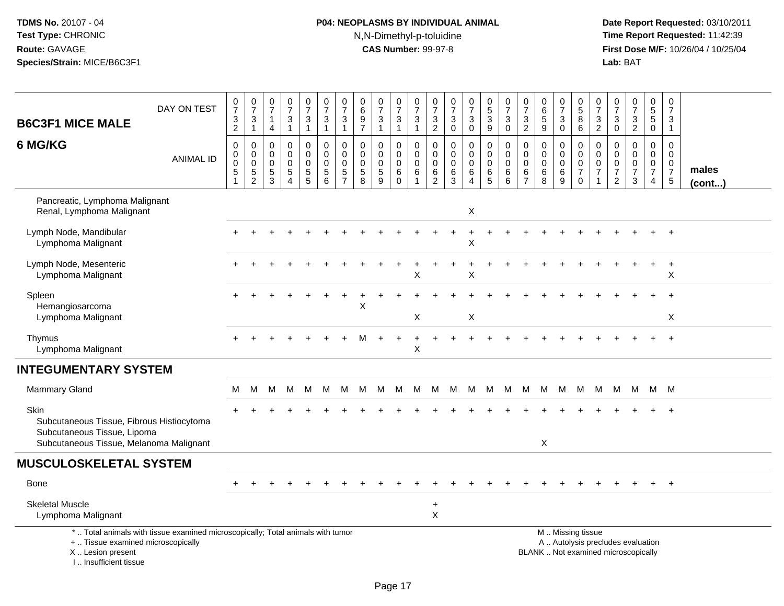# **P04: NEOPLASMS BY INDIVIDUAL ANIMAL**N,N-Dimethyl-p-toluidine

| <b>B6C3F1 MICE MALE</b>                                                                                                     | DAY ON TEST                                                                     | $\frac{0}{7}$<br>$\frac{3}{2}$       | $\frac{0}{7}$<br>$\frac{3}{1}$                                  | 0<br>$\overline{7}$<br>$\mathbf{1}$<br>4                                   | $\frac{0}{7}$<br>3<br>$\mathbf{1}$                                     | $\frac{0}{7}$<br>$\mathbf{3}$<br>$\mathbf{1}$    | $\begin{array}{c} 0 \\ 7 \end{array}$<br>$\mathbf{3}$<br>$\mathbf{1}$ | $\frac{0}{7}$<br>$\mathbf{3}$<br>$\mathbf{1}$  | 0<br>$6\phantom{a}$<br>$9\,$<br>$\overline{7}$ | $\begin{array}{c} 0 \\ 7 \end{array}$<br>$\mathbf{3}$<br>$\overline{1}$ | $\frac{0}{7}$<br>$\mathbf{3}$<br>$\overline{1}$ | $\begin{array}{c} 0 \\ 7 \end{array}$<br>$\sqrt{3}$<br>$\overline{1}$          | $\frac{0}{7}$<br>3<br>$\overline{2}$         | $\frac{0}{7}$<br>$\mathbf{3}$<br>$\mathbf 0$               | $\frac{0}{7}$<br>$\mathbf{3}$<br>0               | $\begin{array}{c} 0 \\ 5 \\ 3 \end{array}$<br>$\overline{9}$ | $\frac{0}{7}$<br>$\sqrt{3}$<br>$\mathbf 0$              | $\frac{0}{7}$<br>$\sqrt{3}$<br>$\overline{2}$ | $\begin{array}{c} 0 \\ 6 \end{array}$<br>$\sqrt{5}$<br>9 | $\frac{0}{7}$<br>3<br>$\pmb{0}$ | $^{\rm 0}_{\rm 5}$<br>8<br>$6\overline{6}$                       | 0<br>$\overline{7}$<br>$\frac{3}{2}$         | $\begin{smallmatrix}0\\7\end{smallmatrix}$<br>$\mathbf{3}$<br>$\overline{0}$ | $\frac{0}{7}$<br>$\frac{3}{2}$                                           | $\begin{array}{c} 0 \\ 5 \end{array}$<br>$\sqrt{5}$<br>$\overline{0}$         | 0<br>$\overline{7}$<br>3<br>$\mathbf{1}$                                   |                       |
|-----------------------------------------------------------------------------------------------------------------------------|---------------------------------------------------------------------------------|--------------------------------------|-----------------------------------------------------------------|----------------------------------------------------------------------------|------------------------------------------------------------------------|--------------------------------------------------|-----------------------------------------------------------------------|------------------------------------------------|------------------------------------------------|-------------------------------------------------------------------------|-------------------------------------------------|--------------------------------------------------------------------------------|----------------------------------------------|------------------------------------------------------------|--------------------------------------------------|--------------------------------------------------------------|---------------------------------------------------------|-----------------------------------------------|----------------------------------------------------------|---------------------------------|------------------------------------------------------------------|----------------------------------------------|------------------------------------------------------------------------------|--------------------------------------------------------------------------|-------------------------------------------------------------------------------|----------------------------------------------------------------------------|-----------------------|
| 6 MG/KG                                                                                                                     | <b>ANIMAL ID</b>                                                                | $\mathbf 0$<br>$\mathbf 0$<br>0<br>5 | $\mathbf 0$<br>$\boldsymbol{0}$<br>$\mathbf 0$<br>$\frac{5}{2}$ | $\mathbf 0$<br>$\mathbf{0}$<br>$\mathbf 0$<br>$\sqrt{5}$<br>$\overline{3}$ | $\mathbf 0$<br>$\Omega$<br>$\mathbf 0$<br>$\sqrt{5}$<br>$\overline{4}$ | 0<br>$\mathbf 0$<br>$\mathbf 0$<br>$\frac{5}{5}$ | 0<br>$\mathbf 0$<br>$\mathbf 0$<br>$\sqrt{5}$<br>6                    | 0<br>$\pmb{0}$<br>$\mathbf 0$<br>$\frac{5}{7}$ | 0<br>0<br>$\mathbf 0$<br>$\sqrt{5}$<br>8       | $\mathbf 0$<br>$\mathbf 0$<br>$\mathbf 0$<br>$\sqrt{5}$<br>9            | 0<br>0<br>$\mathbf 0$<br>$\,6\,$<br>$\Omega$    | $\mathbf 0$<br>$\mathsf 0$<br>$\mathbf 0$<br>$6\phantom{1}6$<br>$\overline{1}$ | 0<br>0<br>$\mathbf 0$<br>6<br>$\overline{2}$ | $\mathbf 0$<br>$\mathbf 0$<br>$\mathbf 0$<br>$\frac{6}{3}$ | 0<br>$\mathsf 0$<br>$\mathbf 0$<br>6<br>$\Delta$ | 0<br>$\mathsf{O}\xspace$<br>$\mathbf 0$<br>$^6_5$            | $\mathbf 0$<br>$\pmb{0}$<br>$\mathbf 0$<br>$\,6\,$<br>6 | 0<br>0<br>$\mathbf 0$<br>6<br>$\overline{7}$  | $\mathbf 0$<br>$\Omega$<br>$\mathbf 0$<br>$\,6\,$<br>8   | 0<br>0<br>$\mathbf 0$<br>6<br>9 | 0<br>$\mathbf 0$<br>$\mathsf 0$<br>$\overline{7}$<br>$\mathbf 0$ | 0<br>0<br>$\mathbf 0$<br>$\overline{7}$<br>1 | $\mathbf 0$<br>0<br>0<br>$\boldsymbol{7}$<br>$\overline{2}$                  | $\mathbf 0$<br>$\mathbf 0$<br>$\pmb{0}$<br>$\overline{7}$<br>3           | $\mathbf 0$<br>$\mathbf 0$<br>$\mathbf 0$<br>$\overline{7}$<br>$\overline{4}$ | $\mathbf 0$<br>$\Omega$<br>$\mathbf 0$<br>$\overline{7}$<br>$\overline{5}$ | males<br>$($ cont $)$ |
| Pancreatic, Lymphoma Malignant<br>Renal, Lymphoma Malignant                                                                 |                                                                                 |                                      |                                                                 |                                                                            |                                                                        |                                                  |                                                                       |                                                |                                                |                                                                         |                                                 |                                                                                |                                              |                                                            | X                                                |                                                              |                                                         |                                               |                                                          |                                 |                                                                  |                                              |                                                                              |                                                                          |                                                                               |                                                                            |                       |
| Lymph Node, Mandibular<br>Lymphoma Malignant                                                                                |                                                                                 |                                      |                                                                 |                                                                            |                                                                        |                                                  |                                                                       |                                                |                                                |                                                                         |                                                 |                                                                                |                                              |                                                            | X                                                |                                                              |                                                         |                                               |                                                          |                                 |                                                                  |                                              |                                                                              |                                                                          |                                                                               |                                                                            |                       |
| Lymph Node, Mesenteric<br>Lymphoma Malignant                                                                                |                                                                                 |                                      |                                                                 |                                                                            |                                                                        |                                                  |                                                                       |                                                |                                                |                                                                         |                                                 | X                                                                              |                                              |                                                            | X                                                |                                                              |                                                         |                                               |                                                          |                                 |                                                                  |                                              |                                                                              |                                                                          | $\ddot{}$                                                                     | $\ddot{}$<br>X                                                             |                       |
| Spleen<br>Hemangiosarcoma<br>Lymphoma Malignant                                                                             |                                                                                 |                                      |                                                                 |                                                                            |                                                                        |                                                  |                                                                       |                                                | X                                              |                                                                         |                                                 | Χ                                                                              |                                              |                                                            | X                                                |                                                              |                                                         |                                               |                                                          |                                 |                                                                  |                                              |                                                                              |                                                                          |                                                                               | Χ                                                                          |                       |
| Thymus<br>Lymphoma Malignant                                                                                                |                                                                                 |                                      |                                                                 |                                                                            |                                                                        |                                                  |                                                                       |                                                |                                                |                                                                         |                                                 | X                                                                              |                                              |                                                            |                                                  |                                                              |                                                         |                                               |                                                          |                                 |                                                                  |                                              |                                                                              |                                                                          |                                                                               | $\ddot{}$                                                                  |                       |
| <b>INTEGUMENTARY SYSTEM</b>                                                                                                 |                                                                                 |                                      |                                                                 |                                                                            |                                                                        |                                                  |                                                                       |                                                |                                                |                                                                         |                                                 |                                                                                |                                              |                                                            |                                                  |                                                              |                                                         |                                               |                                                          |                                 |                                                                  |                                              |                                                                              |                                                                          |                                                                               |                                                                            |                       |
| <b>Mammary Gland</b>                                                                                                        |                                                                                 | м                                    | м                                                               | м                                                                          | M                                                                      | M                                                | м                                                                     | M                                              | M                                              | м                                                                       | м                                               | M                                                                              | м                                            | M                                                          | M                                                | M                                                            | M                                                       | м                                             | м                                                        | M                               | M                                                                | M                                            | M                                                                            | M                                                                        | M                                                                             | M                                                                          |                       |
| Skin<br>Subcutaneous Tissue, Fibrous Histiocytoma<br>Subcutaneous Tissue, Lipoma<br>Subcutaneous Tissue, Melanoma Malignant |                                                                                 |                                      |                                                                 |                                                                            |                                                                        |                                                  |                                                                       |                                                |                                                |                                                                         |                                                 |                                                                                |                                              |                                                            |                                                  |                                                              |                                                         |                                               | X                                                        |                                 |                                                                  |                                              |                                                                              |                                                                          |                                                                               |                                                                            |                       |
| <b>MUSCULOSKELETAL SYSTEM</b>                                                                                               |                                                                                 |                                      |                                                                 |                                                                            |                                                                        |                                                  |                                                                       |                                                |                                                |                                                                         |                                                 |                                                                                |                                              |                                                            |                                                  |                                                              |                                                         |                                               |                                                          |                                 |                                                                  |                                              |                                                                              |                                                                          |                                                                               |                                                                            |                       |
| Bone                                                                                                                        |                                                                                 |                                      |                                                                 |                                                                            |                                                                        |                                                  |                                                                       |                                                |                                                |                                                                         |                                                 |                                                                                |                                              |                                                            |                                                  |                                                              |                                                         |                                               |                                                          |                                 |                                                                  |                                              |                                                                              |                                                                          |                                                                               |                                                                            |                       |
| <b>Skeletal Muscle</b><br>Lymphoma Malignant                                                                                |                                                                                 |                                      |                                                                 |                                                                            |                                                                        |                                                  |                                                                       |                                                |                                                |                                                                         |                                                 |                                                                                | $\ddot{}$<br>$\mathsf X$                     |                                                            |                                                  |                                                              |                                                         |                                               |                                                          |                                 |                                                                  |                                              |                                                                              |                                                                          |                                                                               | $+$                                                                        |                       |
| +  Tissue examined microscopically<br>X  Lesion present<br>I Insufficient tissue                                            | *  Total animals with tissue examined microscopically; Total animals with tumor |                                      |                                                                 |                                                                            |                                                                        |                                                  |                                                                       |                                                |                                                |                                                                         |                                                 |                                                                                |                                              |                                                            |                                                  |                                                              |                                                         |                                               |                                                          |                                 | M  Missing tissue                                                |                                              |                                                                              | A  Autolysis precludes evaluation<br>BLANK  Not examined microscopically |                                                                               |                                                                            |                       |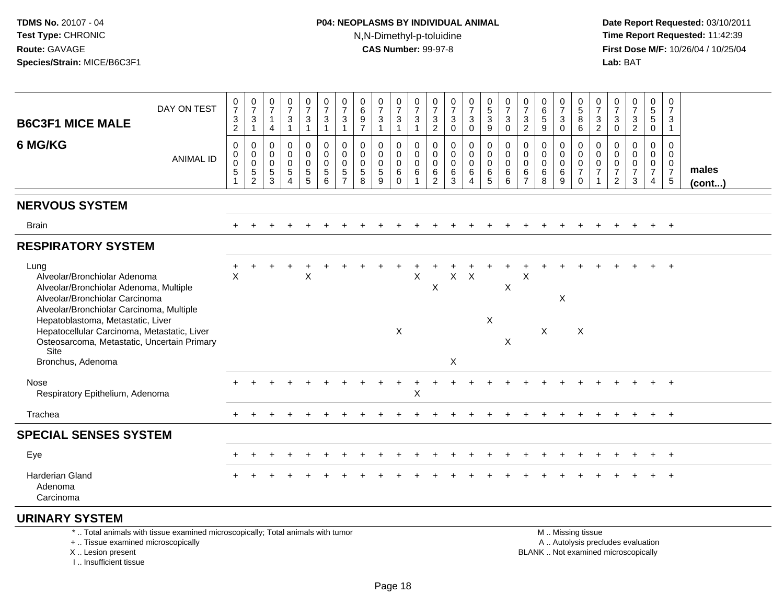# **P04: NEOPLASMS BY INDIVIDUAL ANIMAL**N,N-Dimethyl-p-toluidine

 **Date Report Requested:** 03/10/2011 **Time Report Requested:** 11:42:39 **First Dose M/F:** 10/26/04 / 10/25/04<br>**Lab:** BAT **Lab:** BAT

| <b>B6C3F1 MICE MALE</b>                                                                                                                                                                           | DAY ON TEST                                                                     | $\mathbf 0$<br>$\overline{7}$<br>$\mathbf{3}$<br>$\overline{2}$ | $\frac{0}{7}$<br>$\sqrt{3}$<br>$\overline{1}$       | 0<br>$\overline{7}$<br>$\overline{1}$<br>4 | 0<br>$\overline{7}$<br>$\mathbf{3}$<br>$\mathbf{1}$               | 0<br>$\overline{7}$<br>$\mathbf{3}$<br>1         | 0<br>$\overline{7}$<br>3<br>$\mathbf{1}$           | 0<br>$\overline{7}$<br>3<br>$\mathbf{1}$                         | 0<br>$\,6\,$<br>9<br>$\overline{7}$      | $\frac{0}{7}$<br>$\mathbf{3}$<br>$\overline{1}$               | 0<br>$\overline{7}$<br>$\mathbf{3}$<br>$\overline{1}$     | 0<br>$\overline{7}$<br>$\mathbf{3}$<br>$\overline{1}$          | 0<br>$\overline{7}$<br>3<br>$\overline{2}$ | $\frac{0}{7}$<br>$\sqrt{3}$<br>$\overline{0}$ | 0<br>$\overline{7}$<br>$\mathbf{3}$<br>$\Omega$      | 0<br>$\frac{5}{3}$<br>9     | $\frac{0}{7}$<br>$\sqrt{3}$<br>$\mathbf 0$      | 0<br>$\overline{7}$<br>3<br>$\overline{2}$                          | 0<br>$\,6\,$<br>$\sqrt{5}$<br>9                             | 0<br>$\overline{7}$<br>3<br>$\mathbf{0}$ | 0<br>$5\,$<br>8<br>6                                                   | 0<br>$\overline{7}$<br>3<br>$\overline{2}$              | 0<br>$\overline{7}$<br>$\mathbf{3}$<br>$\Omega$        | $\begin{array}{c} 0 \\ 7 \end{array}$<br>$\frac{3}{2}$         | 0<br>$\begin{array}{c} 5 \\ 5 \end{array}$<br>$\mathbf 0$           | 0<br>$\overline{7}$<br>3<br>$\mathbf{1}$                         |                 |
|---------------------------------------------------------------------------------------------------------------------------------------------------------------------------------------------------|---------------------------------------------------------------------------------|-----------------------------------------------------------------|-----------------------------------------------------|--------------------------------------------|-------------------------------------------------------------------|--------------------------------------------------|----------------------------------------------------|------------------------------------------------------------------|------------------------------------------|---------------------------------------------------------------|-----------------------------------------------------------|----------------------------------------------------------------|--------------------------------------------|-----------------------------------------------|------------------------------------------------------|-----------------------------|-------------------------------------------------|---------------------------------------------------------------------|-------------------------------------------------------------|------------------------------------------|------------------------------------------------------------------------|---------------------------------------------------------|--------------------------------------------------------|----------------------------------------------------------------|---------------------------------------------------------------------|------------------------------------------------------------------|-----------------|
| 6 MG/KG                                                                                                                                                                                           | <b>ANIMAL ID</b>                                                                | 0<br>$\mathbf 0$<br>0<br>$\sqrt{5}$                             | 0<br>$\boldsymbol{0}$<br>$\pmb{0}$<br>$\frac{5}{2}$ | 0<br>$\Omega$<br>0<br>$\sqrt{5}$<br>3      | 0<br>$\Omega$<br>$\Omega$<br>$\sqrt{5}$<br>$\boldsymbol{\Lambda}$ | 0<br>$\mathbf 0$<br>$\mathbf 0$<br>$\frac{5}{5}$ | 0<br>$\mathbf 0$<br>$\mathbf 0$<br>$\sqrt{5}$<br>6 | 0<br>$\mathbf 0$<br>$\mathbf 0$<br>$\mathbf 5$<br>$\overline{7}$ | 0<br>$\mathbf 0$<br>0<br>$\sqrt{5}$<br>8 | $\mathbf 0$<br>$\mathbf 0$<br>$\mathbf 0$<br>$\,$ 5 $\,$<br>9 | 0<br>$\mathbf 0$<br>$\mathbf 0$<br>$\,6\,$<br>$\mathbf 0$ | $\mathbf 0$<br>$\mathbf 0$<br>$\mathbf 0$<br>6<br>$\mathbf{1}$ | 0<br>0<br>0<br>6<br>$\overline{2}$         | 0<br>$\mathbf 0$<br>$\mathbf 0$<br>6<br>3     | 0<br>0<br>$\mathbf 0$<br>6<br>$\boldsymbol{\Lambda}$ | 0<br>0<br>0<br>$\,6\,$<br>5 | $\mathbf 0$<br>$\mathbf 0$<br>0<br>$\,6\,$<br>6 | $\mathbf 0$<br>$\Omega$<br>$\mathbf 0$<br>$\,6\,$<br>$\overline{7}$ | $\mathbf 0$<br>$\mathbf{0}$<br>$\mathbf{0}$<br>$\,6\,$<br>8 | 0<br>0<br>$\mathbf 0$<br>6<br>9          | 0<br>$\mathsf{O}\xspace$<br>$\pmb{0}$<br>$\overline{7}$<br>$\mathbf 0$ | 0<br>$\mathbf 0$<br>0<br>$\overline{7}$<br>$\mathbf{1}$ | 0<br>$\Omega$<br>0<br>$\overline{7}$<br>$\overline{2}$ | $\mathbf 0$<br>$\mathbf 0$<br>$\pmb{0}$<br>$\overline{7}$<br>3 | 0<br>$\mathbf 0$<br>$\mathbf 0$<br>$\overline{7}$<br>$\overline{4}$ | $\mathbf 0$<br>$\mathbf 0$<br>$\mathbf 0$<br>$\overline{7}$<br>5 | males<br>(cont) |
| <b>NERVOUS SYSTEM</b>                                                                                                                                                                             |                                                                                 |                                                                 |                                                     |                                            |                                                                   |                                                  |                                                    |                                                                  |                                          |                                                               |                                                           |                                                                |                                            |                                               |                                                      |                             |                                                 |                                                                     |                                                             |                                          |                                                                        |                                                         |                                                        |                                                                |                                                                     |                                                                  |                 |
| <b>Brain</b>                                                                                                                                                                                      |                                                                                 |                                                                 |                                                     |                                            |                                                                   |                                                  |                                                    |                                                                  |                                          |                                                               |                                                           |                                                                |                                            |                                               |                                                      |                             |                                                 |                                                                     |                                                             |                                          |                                                                        |                                                         |                                                        |                                                                |                                                                     | $+$                                                              |                 |
| <b>RESPIRATORY SYSTEM</b>                                                                                                                                                                         |                                                                                 |                                                                 |                                                     |                                            |                                                                   |                                                  |                                                    |                                                                  |                                          |                                                               |                                                           |                                                                |                                            |                                               |                                                      |                             |                                                 |                                                                     |                                                             |                                          |                                                                        |                                                         |                                                        |                                                                |                                                                     |                                                                  |                 |
| Lung<br>Alveolar/Bronchiolar Adenoma<br>Alveolar/Bronchiolar Adenoma, Multiple<br>Alveolar/Bronchiolar Carcinoma<br>Alveolar/Bronchiolar Carcinoma, Multiple<br>Hepatoblastoma, Metastatic, Liver |                                                                                 | $\times$                                                        |                                                     |                                            |                                                                   | Χ                                                |                                                    |                                                                  |                                          |                                                               |                                                           | Χ                                                              | $\mathsf X$                                | X                                             | $\boldsymbol{\mathsf{X}}$                            | X                           | X                                               | X                                                                   |                                                             | X                                        |                                                                        |                                                         |                                                        |                                                                |                                                                     |                                                                  |                 |
| Hepatocellular Carcinoma, Metastatic, Liver<br>Osteosarcoma, Metastatic, Uncertain Primary<br>Site<br>Bronchus, Adenoma                                                                           |                                                                                 |                                                                 |                                                     |                                            |                                                                   |                                                  |                                                    |                                                                  |                                          |                                                               | X                                                         |                                                                |                                            | X                                             |                                                      |                             | X                                               |                                                                     | X                                                           |                                          | $\boldsymbol{\mathsf{X}}$                                              |                                                         |                                                        |                                                                |                                                                     |                                                                  |                 |
| Nose<br>Respiratory Epithelium, Adenoma                                                                                                                                                           |                                                                                 |                                                                 |                                                     |                                            |                                                                   |                                                  |                                                    |                                                                  |                                          |                                                               |                                                           | $\times$                                                       |                                            |                                               |                                                      |                             |                                                 |                                                                     |                                                             |                                          |                                                                        |                                                         |                                                        |                                                                |                                                                     |                                                                  |                 |
| Trachea                                                                                                                                                                                           |                                                                                 |                                                                 |                                                     |                                            |                                                                   |                                                  |                                                    |                                                                  |                                          |                                                               |                                                           |                                                                |                                            |                                               |                                                      |                             |                                                 |                                                                     |                                                             |                                          |                                                                        |                                                         |                                                        |                                                                |                                                                     |                                                                  |                 |
| <b>SPECIAL SENSES SYSTEM</b>                                                                                                                                                                      |                                                                                 |                                                                 |                                                     |                                            |                                                                   |                                                  |                                                    |                                                                  |                                          |                                                               |                                                           |                                                                |                                            |                                               |                                                      |                             |                                                 |                                                                     |                                                             |                                          |                                                                        |                                                         |                                                        |                                                                |                                                                     |                                                                  |                 |
| Eye                                                                                                                                                                                               |                                                                                 |                                                                 |                                                     |                                            |                                                                   |                                                  |                                                    |                                                                  |                                          |                                                               |                                                           |                                                                |                                            |                                               |                                                      |                             |                                                 |                                                                     |                                                             |                                          |                                                                        |                                                         |                                                        |                                                                |                                                                     | $+$                                                              |                 |
| Harderian Gland<br>Adenoma<br>Carcinoma                                                                                                                                                           |                                                                                 |                                                                 |                                                     |                                            |                                                                   |                                                  |                                                    |                                                                  |                                          |                                                               |                                                           |                                                                |                                            |                                               |                                                      |                             |                                                 |                                                                     |                                                             |                                          |                                                                        |                                                         |                                                        |                                                                |                                                                     |                                                                  |                 |
| <b>URINARY SYSTEM</b>                                                                                                                                                                             |                                                                                 |                                                                 |                                                     |                                            |                                                                   |                                                  |                                                    |                                                                  |                                          |                                                               |                                                           |                                                                |                                            |                                               |                                                      |                             |                                                 |                                                                     |                                                             |                                          |                                                                        |                                                         |                                                        |                                                                |                                                                     |                                                                  |                 |
| +  Tissue examined microscopically<br>X  Lesion present                                                                                                                                           | *  Total animals with tissue examined microscopically; Total animals with tumor |                                                                 |                                                     |                                            |                                                                   |                                                  |                                                    |                                                                  |                                          |                                                               |                                                           |                                                                |                                            |                                               |                                                      |                             |                                                 |                                                                     | BLANK  Not examined microscopically                         |                                          | M  Missing tissue                                                      | A  Autolysis precludes evaluation                       |                                                        |                                                                |                                                                     |                                                                  |                 |

I .. Insufficient tissue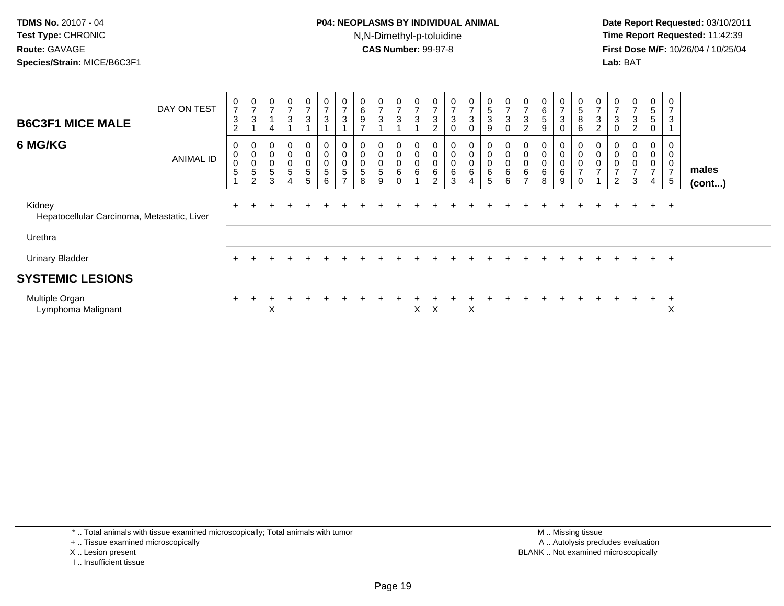#### **P04: NEOPLASMS BY INDIVIDUAL ANIMAL**N,N-Dimethyl-p-toluidine

 **Date Report Requested:** 03/10/2011 **Time Report Requested:** 11:42:39 **First Dose M/F:** 10/26/04 / 10/25/04 Lab: BAT **Lab:** BAT

| <b>B6C3F1 MICE MALE</b><br>6 MG/KG                    | DAY ON TEST<br><b>ANIMAL ID</b> | $\frac{0}{7}$<br>$\sqrt{3}$<br>$\overline{2}$<br>0<br>$\,0\,$<br>$\pmb{0}$<br>5 | $\frac{0}{7}$<br>$\mathsf 3$<br>0<br>$\pmb{0}$<br>$\pmb{0}$<br>5 | $\overline{ }$<br>4<br>0<br>$\mathbf 0$<br>$\pmb{0}$<br>5 | 0<br>$\overline{ }$<br>3<br>0<br>0<br>$\mathsf 0$<br>5 | $\frac{0}{7}$<br>$\ensuremath{\mathsf{3}}$<br>$\mathbf 0$<br>$\pmb{0}$<br>$\mathsf 0$<br>$\sqrt{5}$ | 0<br>$\rightarrow$<br>$\sqrt{3}$<br>0<br>$\pmb{0}$<br>$\pmb{0}$<br>$\sqrt{5}$ | 0<br>$\overline{ }$<br>$\sqrt{3}$<br>0<br>$\pmb{0}$<br>$\pmb{0}$<br>$\sqrt{5}$ | 0<br>$\,6\,$<br>$\boldsymbol{9}$<br>$\overline{ }$<br>0<br>$\pmb{0}$<br>$\pmb{0}$<br>$\sqrt{5}$ | $\frac{0}{7}$<br>$\mathsf 3$<br>$\overline{A}$<br>0<br>$\mathsf 0$<br>$\mathsf 0$<br>$\sqrt{5}$ | 0<br>$\overline{7}$<br>$\ensuremath{\mathsf{3}}$<br>0<br>$\mathbf 0$<br>$\boldsymbol{0}$<br>6 | $\overline{ }$<br>3<br>0<br>$\mathbf 0$<br>6 | $\mathbf 0$<br>$\overline{ }$<br>$\ensuremath{\mathsf{3}}$<br>$\overline{c}$<br>0<br>$\pmb{0}$<br>$\pmb{0}$<br>$\,6\,$ | 0<br>$\overline{ }$<br>$\ensuremath{\mathsf{3}}$<br>0<br>0<br>$\pmb{0}$<br>$\pmb{0}$<br>$\,6\,$ | $\frac{0}{7}$<br>$\mathbf{3}$<br>$\mathbf 0$<br>0<br>$\pmb{0}$<br>$\pmb{0}$<br>$\,6\,$ | $\pmb{0}$<br>$\frac{5}{3}$<br>$\boldsymbol{9}$<br>0<br>$_{\rm 0}^{\rm 0}$<br>$\,6\,$ | $\boldsymbol{0}$<br>$\overline{ }$<br>3<br>$\mathbf 0$<br>0<br>$\pmb{0}$<br>$\pmb{0}$<br>$\,6\,$ | $\overline{ }$<br>3<br>$\overline{c}$<br>$\mathbf 0$<br>$\boldsymbol{0}$<br>$\mathbf 0$<br>6 | 0<br>6<br>$5\phantom{.0}$<br>9<br>0<br>0<br>0<br>6 | $\frac{0}{7}$<br>$\ensuremath{\mathsf{3}}$<br>$\mathbf 0$<br>$\mathbf 0$<br>$\mathbf 0$<br>$\pmb{0}$<br>6 | $\begin{array}{c} 0 \\ 5 \end{array}$<br>$\bf 8$<br>$\,6$<br>0<br>$\pmb{0}$<br>$\pmb{0}$<br>$\rightarrow$ | 0<br>$\overline{ }$<br>$\sqrt{3}$<br>2<br>0<br>$\pmb{0}$<br>$\pmb{0}$<br>$\overline{ }$ | 0<br>$\overline{z}$<br>$\sqrt{3}$<br>$\mathbf 0$<br>0<br>$\begin{smallmatrix} 0\\0 \end{smallmatrix}$<br>$\overline{ }$ | $\frac{0}{7}$<br>$\mathbf{3}$<br>$\overline{c}$<br>0<br>0<br>$\frac{0}{7}$ | 0<br>5<br>5<br>$\mathbf 0$<br>0<br>$\boldsymbol{0}$<br>$\boldsymbol{0}$<br>$\overline{ }$ | $\overline{ }$<br>3<br>0<br>0<br>$\overline{ }$ | males  |
|-------------------------------------------------------|---------------------------------|---------------------------------------------------------------------------------|------------------------------------------------------------------|-----------------------------------------------------------|--------------------------------------------------------|-----------------------------------------------------------------------------------------------------|-------------------------------------------------------------------------------|--------------------------------------------------------------------------------|-------------------------------------------------------------------------------------------------|-------------------------------------------------------------------------------------------------|-----------------------------------------------------------------------------------------------|----------------------------------------------|------------------------------------------------------------------------------------------------------------------------|-------------------------------------------------------------------------------------------------|----------------------------------------------------------------------------------------|--------------------------------------------------------------------------------------|--------------------------------------------------------------------------------------------------|----------------------------------------------------------------------------------------------|----------------------------------------------------|-----------------------------------------------------------------------------------------------------------|-----------------------------------------------------------------------------------------------------------|-----------------------------------------------------------------------------------------|-------------------------------------------------------------------------------------------------------------------------|----------------------------------------------------------------------------|-------------------------------------------------------------------------------------------|-------------------------------------------------|--------|
|                                                       |                                 |                                                                                 | $\overline{c}$                                                   | 3                                                         | 4                                                      | 5                                                                                                   | 6                                                                             | $\rightarrow$                                                                  | 8                                                                                               | 9                                                                                               | $\Omega$                                                                                      |                                              | $\overline{c}$                                                                                                         | $\sqrt{3}$                                                                                      | $\overline{4}$                                                                         | $\overline{5}$                                                                       | 6                                                                                                | $\overline{ }$                                                                               | 8                                                  | 9                                                                                                         | $\mathbf 0$                                                                                               |                                                                                         | $\overline{2}$                                                                                                          | $\mathbf{3}$                                                               | 4                                                                                         | 5                                               | (cont) |
| Kidney<br>Hepatocellular Carcinoma, Metastatic, Liver |                                 |                                                                                 |                                                                  |                                                           |                                                        |                                                                                                     |                                                                               |                                                                                |                                                                                                 |                                                                                                 |                                                                                               |                                              |                                                                                                                        |                                                                                                 |                                                                                        |                                                                                      |                                                                                                  |                                                                                              |                                                    |                                                                                                           |                                                                                                           |                                                                                         |                                                                                                                         |                                                                            | $+$                                                                                       | <u>+</u>                                        |        |
| Urethra                                               |                                 |                                                                                 |                                                                  |                                                           |                                                        |                                                                                                     |                                                                               |                                                                                |                                                                                                 |                                                                                                 |                                                                                               |                                              |                                                                                                                        |                                                                                                 |                                                                                        |                                                                                      |                                                                                                  |                                                                                              |                                                    |                                                                                                           |                                                                                                           |                                                                                         |                                                                                                                         |                                                                            |                                                                                           |                                                 |        |
| <b>Urinary Bladder</b>                                |                                 |                                                                                 |                                                                  |                                                           |                                                        |                                                                                                     |                                                                               |                                                                                |                                                                                                 |                                                                                                 |                                                                                               |                                              |                                                                                                                        |                                                                                                 |                                                                                        |                                                                                      |                                                                                                  |                                                                                              |                                                    |                                                                                                           |                                                                                                           |                                                                                         |                                                                                                                         |                                                                            | $+$                                                                                       | $+$                                             |        |
| <b>SYSTEMIC LESIONS</b>                               |                                 |                                                                                 |                                                                  |                                                           |                                                        |                                                                                                     |                                                                               |                                                                                |                                                                                                 |                                                                                                 |                                                                                               |                                              |                                                                                                                        |                                                                                                 |                                                                                        |                                                                                      |                                                                                                  |                                                                                              |                                                    |                                                                                                           |                                                                                                           |                                                                                         |                                                                                                                         |                                                                            |                                                                                           |                                                 |        |
| Multiple Organ<br>Lymphoma Malignant                  |                                 |                                                                                 |                                                                  | Χ                                                         |                                                        |                                                                                                     |                                                                               |                                                                                |                                                                                                 |                                                                                                 |                                                                                               | X                                            | X                                                                                                                      |                                                                                                 | X                                                                                      |                                                                                      |                                                                                                  |                                                                                              |                                                    |                                                                                                           |                                                                                                           |                                                                                         |                                                                                                                         |                                                                            | $+$                                                                                       | $\mathbf +$<br>X                                |        |

\* .. Total animals with tissue examined microscopically; Total animals with tumor

+ .. Tissue examined microscopically

- X .. Lesion present
- I .. Insufficient tissue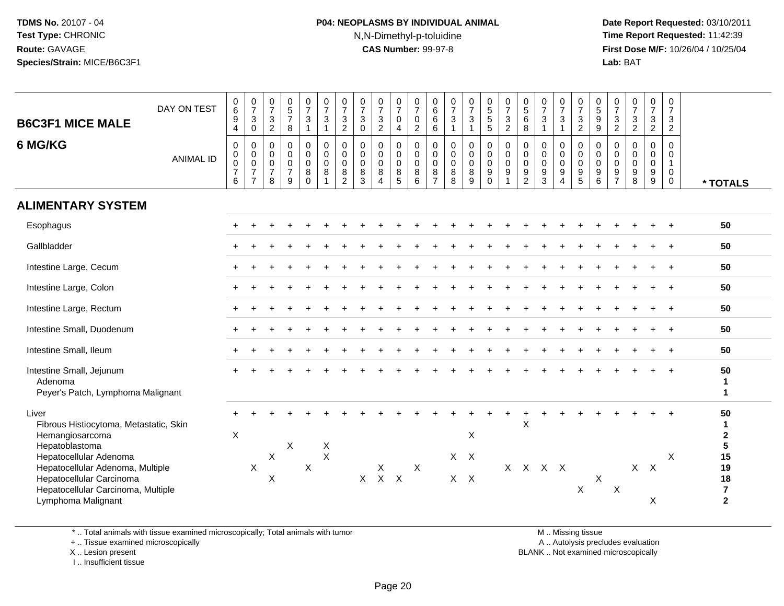# **P04: NEOPLASMS BY INDIVIDUAL ANIMAL**N,N-Dimethyl-p-toluidine

 **Date Report Requested:** 03/10/2011 **Time Report Requested:** 11:42:39 **First Dose M/F:** 10/26/04 / 10/25/04 Lab: BAT **Lab:** BAT

| <b>B6C3F1 MICE MALE</b><br>6 MG/KG                                                                                                                                                                                                         | DAY ON TEST<br><b>ANIMAL ID</b> | 0<br>6<br>9<br>4<br>$\mathbf 0$<br>0<br>0<br>$\boldsymbol{7}$<br>6 | $\frac{0}{7}$<br>$\sqrt{3}$<br>$\pmb{0}$<br>0<br>$\pmb{0}$<br>$\mathbf 0$<br>$\overline{7}$<br>$\overline{7}$ | $\frac{0}{7}$<br>$\ensuremath{\mathsf{3}}$<br>$\sqrt{2}$<br>$\mathsf{O}\xspace$<br>0<br>$\mathsf{O}\xspace$<br>$\overline{7}$<br>8 | $\begin{array}{c} 0 \\ 5 \\ 7 \end{array}$<br>8<br>$\pmb{0}$<br>$\pmb{0}$<br>$\pmb{0}$<br>$\overline{7}$<br>9 | $\begin{smallmatrix}0\\7\end{smallmatrix}$<br>$\mathsf 3$<br>$\overline{1}$<br>$\mathbf 0$<br>$\mathbf 0$<br>$\mathbf 0$<br>$\bf 8$<br>$\mathbf 0$ | $\frac{0}{7}$<br>$\ensuremath{\mathsf{3}}$<br>$\mathbf{1}$<br>$\pmb{0}$<br>$\mathbf 0$<br>$\mathbf 0$<br>8<br>$\overline{1}$ | $\frac{0}{7}$<br>$\sqrt{3}$<br>$\overline{2}$<br>$\mathbf 0$<br>$\mathbf 0$<br>$\mathbf 0$<br>8<br>$\overline{2}$ | $\frac{0}{7}$<br>$\mathbf{3}$<br>$\mathbf 0$<br>$\mathbf 0$<br>$\mathbf 0$<br>$\mathbf 0$<br>8<br>$\mathbf{3}$ | $\frac{0}{7}$<br>3<br>$\overline{c}$<br>0<br>0<br>0<br>8<br>$\overline{4}$ | $\frac{0}{7}$<br>$\boldsymbol{0}$<br>4<br>0<br>$\mathbf 0$<br>$\mathbf 0$<br>$^8$ 5 | $\frac{0}{7}$<br>$\pmb{0}$<br>$\overline{c}$<br>$\pmb{0}$<br>$\pmb{0}$<br>$\mathbf 0$<br>8<br>$\,6$ | $\begin{array}{c} 0 \\ 6 \end{array}$<br>$\,6\,$<br>$6\phantom{1}$<br>$\mathbf 0$<br>$\mathbf 0$<br>$\boldsymbol{0}$<br>$\,8\,$<br>$\overline{7}$ | $\frac{0}{7}$<br>$\mathbf 3$<br>$\overline{1}$<br>$\mathbf 0$<br>$\mathbf 0$<br>$\mathbf 0$<br>8<br>8 | $\begin{smallmatrix}0\\7\end{smallmatrix}$<br>$\mathsf 3$<br>$\mathbf{1}$<br>0<br>$\pmb{0}$<br>$\mathsf{O}\xspace$<br>$\bf 8$<br>$9\,$ | $^{\rm 0}_{\rm 5}$<br>$\,$ 5 $\,$<br>5<br>$\mathbf 0$<br>$\pmb{0}$<br>$\mathbf 0$<br>9<br>$\pmb{0}$ | $\frac{0}{7}$<br>$\mathbf{3}$<br>$\overline{2}$<br>0<br>$\pmb{0}$<br>$\pmb{0}$<br>9<br>1 | $\begin{smallmatrix}0\0\0\end{smallmatrix}$<br>$\,6\,$<br>$\,8\,$<br>$\mathbf 0$<br>$\mathbf 0$<br>$\mathbf 0$<br>9<br>$\overline{2}$ | $\frac{0}{7}$<br>$\ensuremath{\mathsf{3}}$<br>0<br>0<br>$\pmb{0}$<br>9<br>3 | $\frac{0}{7}$<br>$\ensuremath{\mathsf{3}}$<br>$\overline{1}$<br>0<br>$\mathbf 0$<br>$\mathbf 0$<br>9<br>$\overline{4}$ | $\frac{0}{7}$<br>$\frac{3}{2}$<br>$\mathbf 0$<br>$\mathsf{O}$<br>$\mathbf 0$<br>$\begin{array}{c} 9 \\ 5 \end{array}$ | $\begin{array}{c} 0 \\ 5 \end{array}$<br>$\boldsymbol{9}$<br>$9\,$<br>$\mathbf 0$<br>$\mathbf 0$<br>$\mathbf 0$<br>9<br>$\,6\,$ | $\frac{0}{7}$<br>$\mathsf 3$<br>$\overline{2}$<br>$\overline{0}$<br>$\mathbf 0$<br>$\mathbf 0$<br>$\frac{9}{7}$ | $\frac{0}{7}$<br>$\frac{3}{2}$<br>0<br>0<br>$\mathbf 0$<br>9<br>8 | $\frac{0}{7}$<br>$\ensuremath{\mathsf{3}}$<br>$\overline{2}$<br>$\mathbf 0$<br>0<br>$\mathbf 0$<br>9<br>9 | 0<br>$\overline{7}$<br>3<br>$\overline{2}$<br>$\mathbf 0$<br>0<br>$\mathbf{1}$<br>0<br>0 | * TOTALS                                                                                 |
|--------------------------------------------------------------------------------------------------------------------------------------------------------------------------------------------------------------------------------------------|---------------------------------|--------------------------------------------------------------------|---------------------------------------------------------------------------------------------------------------|------------------------------------------------------------------------------------------------------------------------------------|---------------------------------------------------------------------------------------------------------------|----------------------------------------------------------------------------------------------------------------------------------------------------|------------------------------------------------------------------------------------------------------------------------------|-------------------------------------------------------------------------------------------------------------------|----------------------------------------------------------------------------------------------------------------|----------------------------------------------------------------------------|-------------------------------------------------------------------------------------|-----------------------------------------------------------------------------------------------------|---------------------------------------------------------------------------------------------------------------------------------------------------|-------------------------------------------------------------------------------------------------------|----------------------------------------------------------------------------------------------------------------------------------------|-----------------------------------------------------------------------------------------------------|------------------------------------------------------------------------------------------|---------------------------------------------------------------------------------------------------------------------------------------|-----------------------------------------------------------------------------|------------------------------------------------------------------------------------------------------------------------|-----------------------------------------------------------------------------------------------------------------------|---------------------------------------------------------------------------------------------------------------------------------|-----------------------------------------------------------------------------------------------------------------|-------------------------------------------------------------------|-----------------------------------------------------------------------------------------------------------|------------------------------------------------------------------------------------------|------------------------------------------------------------------------------------------|
| <b>ALIMENTARY SYSTEM</b>                                                                                                                                                                                                                   |                                 |                                                                    |                                                                                                               |                                                                                                                                    |                                                                                                               |                                                                                                                                                    |                                                                                                                              |                                                                                                                   |                                                                                                                |                                                                            |                                                                                     |                                                                                                     |                                                                                                                                                   |                                                                                                       |                                                                                                                                        |                                                                                                     |                                                                                          |                                                                                                                                       |                                                                             |                                                                                                                        |                                                                                                                       |                                                                                                                                 |                                                                                                                 |                                                                   |                                                                                                           |                                                                                          |                                                                                          |
| Esophagus                                                                                                                                                                                                                                  |                                 |                                                                    |                                                                                                               |                                                                                                                                    |                                                                                                               |                                                                                                                                                    |                                                                                                                              |                                                                                                                   |                                                                                                                |                                                                            |                                                                                     |                                                                                                     |                                                                                                                                                   |                                                                                                       |                                                                                                                                        |                                                                                                     |                                                                                          |                                                                                                                                       |                                                                             |                                                                                                                        |                                                                                                                       |                                                                                                                                 |                                                                                                                 |                                                                   |                                                                                                           |                                                                                          | 50                                                                                       |
| Gallbladder                                                                                                                                                                                                                                |                                 |                                                                    |                                                                                                               |                                                                                                                                    |                                                                                                               |                                                                                                                                                    |                                                                                                                              |                                                                                                                   |                                                                                                                |                                                                            |                                                                                     |                                                                                                     |                                                                                                                                                   |                                                                                                       |                                                                                                                                        |                                                                                                     |                                                                                          |                                                                                                                                       |                                                                             |                                                                                                                        |                                                                                                                       |                                                                                                                                 |                                                                                                                 |                                                                   |                                                                                                           |                                                                                          | 50                                                                                       |
| Intestine Large, Cecum                                                                                                                                                                                                                     |                                 |                                                                    |                                                                                                               |                                                                                                                                    |                                                                                                               |                                                                                                                                                    |                                                                                                                              |                                                                                                                   |                                                                                                                |                                                                            |                                                                                     |                                                                                                     |                                                                                                                                                   |                                                                                                       |                                                                                                                                        |                                                                                                     |                                                                                          |                                                                                                                                       |                                                                             |                                                                                                                        |                                                                                                                       |                                                                                                                                 |                                                                                                                 |                                                                   |                                                                                                           |                                                                                          | 50                                                                                       |
| Intestine Large, Colon                                                                                                                                                                                                                     |                                 |                                                                    |                                                                                                               |                                                                                                                                    |                                                                                                               |                                                                                                                                                    |                                                                                                                              |                                                                                                                   |                                                                                                                |                                                                            |                                                                                     |                                                                                                     |                                                                                                                                                   |                                                                                                       |                                                                                                                                        |                                                                                                     |                                                                                          |                                                                                                                                       |                                                                             |                                                                                                                        |                                                                                                                       |                                                                                                                                 |                                                                                                                 |                                                                   |                                                                                                           |                                                                                          | 50                                                                                       |
| Intestine Large, Rectum                                                                                                                                                                                                                    |                                 |                                                                    |                                                                                                               |                                                                                                                                    |                                                                                                               |                                                                                                                                                    |                                                                                                                              |                                                                                                                   |                                                                                                                |                                                                            |                                                                                     |                                                                                                     |                                                                                                                                                   |                                                                                                       |                                                                                                                                        |                                                                                                     |                                                                                          |                                                                                                                                       |                                                                             |                                                                                                                        |                                                                                                                       |                                                                                                                                 |                                                                                                                 |                                                                   |                                                                                                           | $+$                                                                                      | 50                                                                                       |
| Intestine Small, Duodenum                                                                                                                                                                                                                  |                                 |                                                                    |                                                                                                               |                                                                                                                                    |                                                                                                               |                                                                                                                                                    |                                                                                                                              |                                                                                                                   |                                                                                                                |                                                                            |                                                                                     |                                                                                                     |                                                                                                                                                   |                                                                                                       |                                                                                                                                        |                                                                                                     |                                                                                          |                                                                                                                                       |                                                                             |                                                                                                                        |                                                                                                                       |                                                                                                                                 |                                                                                                                 |                                                                   |                                                                                                           |                                                                                          | 50                                                                                       |
| Intestine Small, Ileum                                                                                                                                                                                                                     |                                 |                                                                    |                                                                                                               |                                                                                                                                    |                                                                                                               |                                                                                                                                                    |                                                                                                                              |                                                                                                                   |                                                                                                                |                                                                            |                                                                                     |                                                                                                     |                                                                                                                                                   |                                                                                                       |                                                                                                                                        |                                                                                                     |                                                                                          |                                                                                                                                       |                                                                             |                                                                                                                        |                                                                                                                       |                                                                                                                                 |                                                                                                                 |                                                                   |                                                                                                           |                                                                                          | 50                                                                                       |
| Intestine Small, Jejunum<br>Adenoma<br>Peyer's Patch, Lymphoma Malignant                                                                                                                                                                   |                                 |                                                                    |                                                                                                               |                                                                                                                                    |                                                                                                               |                                                                                                                                                    |                                                                                                                              |                                                                                                                   |                                                                                                                |                                                                            |                                                                                     |                                                                                                     |                                                                                                                                                   |                                                                                                       |                                                                                                                                        |                                                                                                     |                                                                                          |                                                                                                                                       |                                                                             |                                                                                                                        |                                                                                                                       |                                                                                                                                 |                                                                                                                 |                                                                   |                                                                                                           |                                                                                          | 50<br>1<br>1                                                                             |
| Liver<br>Fibrous Histiocytoma, Metastatic, Skin<br>Hemangiosarcoma<br>Hepatoblastoma<br>Hepatocellular Adenoma<br>Hepatocellular Adenoma, Multiple<br>Hepatocellular Carcinoma<br>Hepatocellular Carcinoma, Multiple<br>Lymphoma Malignant |                                 | X                                                                  | $\boldsymbol{\mathsf{X}}$                                                                                     | $\boldsymbol{\mathsf{X}}$<br>X                                                                                                     | X                                                                                                             | $\boldsymbol{\mathsf{X}}$                                                                                                                          | Χ<br>$\boldsymbol{\mathsf{X}}$                                                                                               |                                                                                                                   | $\mathsf{X}$                                                                                                   | $\boldsymbol{\mathsf{X}}$<br>$X$ $X$                                       |                                                                                     | $\mathsf{X}$                                                                                        |                                                                                                                                                   |                                                                                                       | X<br>$X$ $X$<br>$X$ $X$                                                                                                                |                                                                                                     |                                                                                          | X                                                                                                                                     | X X X X                                                                     |                                                                                                                        | X                                                                                                                     | $\boldsymbol{\mathsf{X}}$                                                                                                       | $\boldsymbol{\mathsf{X}}$                                                                                       | X                                                                 | $\mathsf{X}$<br>X                                                                                         | Χ                                                                                        | 50<br>1<br>$\mathbf{2}$<br>5<br>15<br>19<br>18<br>$\overline{\mathbf{r}}$<br>$\mathbf 2$ |

\* .. Total animals with tissue examined microscopically; Total animals with tumor

+ .. Tissue examined microscopically

X .. Lesion present

I .. Insufficient tissue

M .. Missing tissue

y the contract of the contract of the contract of the contract of the contract of the contract of the contract of  $A$ . Autolysis precludes evaluation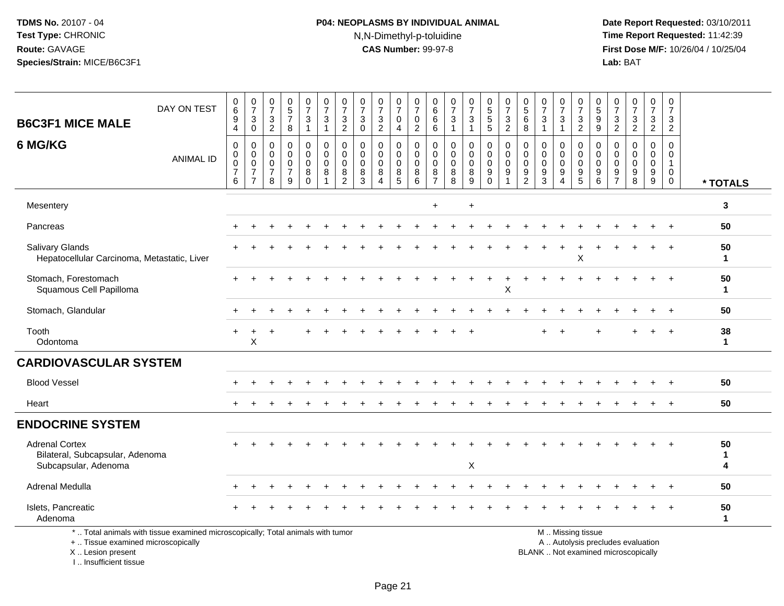# **P04: NEOPLASMS BY INDIVIDUAL ANIMAL**N,N-Dimethyl-p-toluidine

 **Date Report Requested:** 03/10/2011 **Time Report Requested:** 11:42:39 **First Dose M/F:** 10/26/04 / 10/25/04<br>**Lab:** BAT **Lab:** BAT

| <b>B6C3F1 MICE MALE</b>                                                          | DAY ON TEST                                                                     | 0<br>$\,6\,$<br>9<br>4                       | $\boldsymbol{0}$<br>$\overline{7}$<br>$\mathbf{3}$<br>$\mathbf 0$   | $\frac{0}{7}$<br>$\frac{3}{2}$                                   | $\begin{array}{c} 0 \\ 5 \\ 7 \end{array}$<br>8        | 0<br>$\overline{7}$<br>3<br>$\mathbf{1}$ | $\boldsymbol{0}$<br>$\overline{7}$<br>$\mathbf{3}$<br>$\overline{1}$  | 0<br>$\overline{7}$<br>3<br>$\overline{2}$                       | $\frac{0}{7}$<br>$\mathbf{3}$<br>$\overline{0}$          | 0<br>$\overline{7}$<br>3<br>$\overline{2}$                     | 0<br>$\overline{7}$<br>$\mathsf{O}$<br>$\overline{4}$ | 0<br>$\overline{7}$<br>0<br>$\overline{2}$                | 0<br>$\,6$<br>6<br>6                                          | 0<br>$\overline{7}$<br>3<br>$\mathbf{1}$         | 0<br>$\overline{7}$<br>3<br>1                   | 0<br>5<br>5<br>5                                                   | $\boldsymbol{0}$<br>$\overline{7}$<br>$\frac{3}{2}$              | 0<br>$\sqrt{5}$<br>6<br>8                           | 0<br>$\overline{7}$<br>3<br>$\mathbf{1}$          | 0<br>$\overline{7}$<br>3<br>1                               | 0<br>$\overline{7}$<br>$\mathbf{3}$<br>$\overline{2}$ | 0<br>$\sqrt{5}$<br>9<br>$\overline{9}$                                          | 0<br>$\overline{7}$<br>$\frac{3}{2}$                                      | $\frac{0}{7}$<br>$\frac{3}{2}$                                          | 0<br>$\overline{7}$<br>3<br>$\overline{2}$     | 0<br>$\overline{7}$<br>3<br>$\overline{2}$                     |                        |
|----------------------------------------------------------------------------------|---------------------------------------------------------------------------------|----------------------------------------------|---------------------------------------------------------------------|------------------------------------------------------------------|--------------------------------------------------------|------------------------------------------|-----------------------------------------------------------------------|------------------------------------------------------------------|----------------------------------------------------------|----------------------------------------------------------------|-------------------------------------------------------|-----------------------------------------------------------|---------------------------------------------------------------|--------------------------------------------------|-------------------------------------------------|--------------------------------------------------------------------|------------------------------------------------------------------|-----------------------------------------------------|---------------------------------------------------|-------------------------------------------------------------|-------------------------------------------------------|---------------------------------------------------------------------------------|---------------------------------------------------------------------------|-------------------------------------------------------------------------|------------------------------------------------|----------------------------------------------------------------|------------------------|
| 6 MG/KG                                                                          | <b>ANIMAL ID</b>                                                                | 0<br>$\mathbf 0$<br>0<br>$\overline{7}$<br>6 | 0<br>$\mathbf 0$<br>$\mathbf 0$<br>$\overline{7}$<br>$\overline{7}$ | $\mathbf 0$<br>$\mathbf 0$<br>$\mathbf 0$<br>$\overline{7}$<br>8 | $\mathbf 0$<br>0<br>$\mathbf 0$<br>$\overline{7}$<br>9 | 0<br>0<br>0<br>8<br>$\mathbf 0$          | $\mathbf 0$<br>$\mathbf 0$<br>$\mathbf 0$<br>$\, 8$<br>$\overline{1}$ | $\mathbf 0$<br>$\mathbf 0$<br>$\mathbf 0$<br>8<br>$\overline{2}$ | $\mathbf 0$<br>$\mathbf 0$<br>$\mathbf 0$<br>$\, 8$<br>3 | $\mathbf 0$<br>0<br>$\mathbf 0$<br>8<br>$\boldsymbol{\Lambda}$ | 0<br>0<br>0<br>$\bf 8$<br>5                           | $\mathbf 0$<br>$\mathbf 0$<br>$\mathbf 0$<br>$\bf 8$<br>6 | $\mathbf 0$<br>$\Omega$<br>$\mathbf 0$<br>8<br>$\overline{7}$ | $\mathbf 0$<br>$\Omega$<br>$\mathbf 0$<br>8<br>8 | 0<br>$\mathbf 0$<br>$\mathbf 0$<br>$\bf 8$<br>9 | 0<br>$\mathbf 0$<br>$\mathbf 0$<br>$\boldsymbol{9}$<br>$\mathbf 0$ | $\mathbf 0$<br>$\mathbf 0$<br>$\mathbf 0$<br>9<br>$\overline{1}$ | 0<br>$\Omega$<br>$\mathbf 0$<br>9<br>$\overline{2}$ | $\Omega$<br>$\Omega$<br>$\mathbf 0$<br>$9\,$<br>3 | 0<br>$\mathbf 0$<br>0<br>$\boldsymbol{9}$<br>$\overline{4}$ | $\mathbf 0$<br>0<br>0<br>$\boldsymbol{9}$<br>5        | $\mathbf 0$<br>$\mathbf 0$<br>$\mathbf 0$<br>$\boldsymbol{9}$<br>$6\phantom{1}$ | $\Omega$<br>$\Omega$<br>$\mathbf 0$<br>$\boldsymbol{9}$<br>$\overline{7}$ | $\mathbf 0$<br>$\Omega$<br>$\Omega$<br>9<br>8                           | $\mathbf 0$<br>0<br>0<br>$\boldsymbol{9}$<br>9 | 0<br>$\mathbf 0$<br>$\mathbf{1}$<br>$\mathbf 0$<br>$\mathbf 0$ | * TOTALS               |
| Mesentery                                                                        |                                                                                 |                                              |                                                                     |                                                                  |                                                        |                                          |                                                                       |                                                                  |                                                          |                                                                |                                                       |                                                           | $\ddot{}$                                                     |                                                  | $\ddot{}$                                       |                                                                    |                                                                  |                                                     |                                                   |                                                             |                                                       |                                                                                 |                                                                           |                                                                         |                                                |                                                                | 3                      |
| Pancreas                                                                         |                                                                                 |                                              |                                                                     |                                                                  |                                                        |                                          |                                                                       |                                                                  |                                                          |                                                                |                                                       |                                                           |                                                               |                                                  |                                                 |                                                                    |                                                                  |                                                     |                                                   |                                                             |                                                       |                                                                                 |                                                                           |                                                                         |                                                |                                                                | 50                     |
| Salivary Glands<br>Hepatocellular Carcinoma, Metastatic, Liver                   |                                                                                 |                                              |                                                                     |                                                                  |                                                        |                                          |                                                                       |                                                                  |                                                          |                                                                |                                                       |                                                           |                                                               |                                                  |                                                 |                                                                    |                                                                  |                                                     |                                                   |                                                             | Χ                                                     |                                                                                 |                                                                           |                                                                         |                                                |                                                                | 50<br>$\mathbf 1$      |
| Stomach, Forestomach<br>Squamous Cell Papilloma                                  |                                                                                 |                                              |                                                                     |                                                                  |                                                        |                                          |                                                                       |                                                                  |                                                          |                                                                |                                                       |                                                           |                                                               |                                                  |                                                 |                                                                    | X                                                                |                                                     |                                                   |                                                             |                                                       |                                                                                 |                                                                           |                                                                         |                                                |                                                                | 50<br>$\mathbf 1$      |
| Stomach, Glandular                                                               |                                                                                 |                                              |                                                                     |                                                                  |                                                        |                                          |                                                                       |                                                                  |                                                          |                                                                |                                                       |                                                           |                                                               |                                                  |                                                 |                                                                    |                                                                  |                                                     |                                                   |                                                             |                                                       |                                                                                 |                                                                           |                                                                         |                                                |                                                                | 50                     |
| Tooth<br>Odontoma                                                                |                                                                                 |                                              | X                                                                   |                                                                  |                                                        |                                          |                                                                       |                                                                  |                                                          |                                                                |                                                       |                                                           |                                                               |                                                  |                                                 |                                                                    |                                                                  |                                                     |                                                   |                                                             |                                                       |                                                                                 |                                                                           |                                                                         |                                                |                                                                | 38<br>$\mathbf{1}$     |
| <b>CARDIOVASCULAR SYSTEM</b>                                                     |                                                                                 |                                              |                                                                     |                                                                  |                                                        |                                          |                                                                       |                                                                  |                                                          |                                                                |                                                       |                                                           |                                                               |                                                  |                                                 |                                                                    |                                                                  |                                                     |                                                   |                                                             |                                                       |                                                                                 |                                                                           |                                                                         |                                                |                                                                |                        |
| <b>Blood Vessel</b>                                                              |                                                                                 |                                              |                                                                     |                                                                  |                                                        |                                          |                                                                       |                                                                  |                                                          |                                                                |                                                       |                                                           |                                                               |                                                  |                                                 |                                                                    |                                                                  |                                                     |                                                   |                                                             |                                                       |                                                                                 |                                                                           |                                                                         |                                                |                                                                | 50                     |
| Heart                                                                            |                                                                                 |                                              |                                                                     |                                                                  |                                                        |                                          |                                                                       |                                                                  |                                                          |                                                                |                                                       |                                                           |                                                               |                                                  |                                                 |                                                                    |                                                                  |                                                     |                                                   |                                                             |                                                       |                                                                                 |                                                                           |                                                                         |                                                | $\ddot{}$                                                      | 50                     |
| <b>ENDOCRINE SYSTEM</b>                                                          |                                                                                 |                                              |                                                                     |                                                                  |                                                        |                                          |                                                                       |                                                                  |                                                          |                                                                |                                                       |                                                           |                                                               |                                                  |                                                 |                                                                    |                                                                  |                                                     |                                                   |                                                             |                                                       |                                                                                 |                                                                           |                                                                         |                                                |                                                                |                        |
| <b>Adrenal Cortex</b><br>Bilateral, Subcapsular, Adenoma<br>Subcapsular, Adenoma |                                                                                 |                                              |                                                                     |                                                                  |                                                        |                                          |                                                                       |                                                                  |                                                          |                                                                |                                                       |                                                           |                                                               |                                                  | X                                               |                                                                    |                                                                  |                                                     |                                                   |                                                             |                                                       |                                                                                 |                                                                           |                                                                         |                                                |                                                                | 50<br>$\mathbf 1$<br>4 |
| Adrenal Medulla                                                                  |                                                                                 |                                              |                                                                     |                                                                  |                                                        |                                          |                                                                       |                                                                  |                                                          |                                                                |                                                       |                                                           |                                                               |                                                  |                                                 |                                                                    |                                                                  |                                                     |                                                   |                                                             |                                                       |                                                                                 |                                                                           |                                                                         |                                                |                                                                | 50                     |
| Islets, Pancreatic<br>Adenoma                                                    |                                                                                 |                                              |                                                                     |                                                                  |                                                        |                                          |                                                                       |                                                                  |                                                          |                                                                |                                                       |                                                           |                                                               |                                                  |                                                 |                                                                    |                                                                  |                                                     |                                                   |                                                             |                                                       |                                                                                 |                                                                           |                                                                         |                                                |                                                                | 50<br>-1               |
| +  Tissue examined microscopically<br>X Lesion present                           | *  Total animals with tissue examined microscopically; Total animals with tumor |                                              |                                                                     |                                                                  |                                                        |                                          |                                                                       |                                                                  |                                                          |                                                                |                                                       |                                                           |                                                               |                                                  |                                                 |                                                                    |                                                                  |                                                     |                                                   |                                                             | M  Missing tissue                                     |                                                                                 |                                                                           | A  Autolysis precludes evaluation<br>BLANK Not examined microscopically |                                                |                                                                |                        |

I .. Insufficient tissue

lot examined microscopically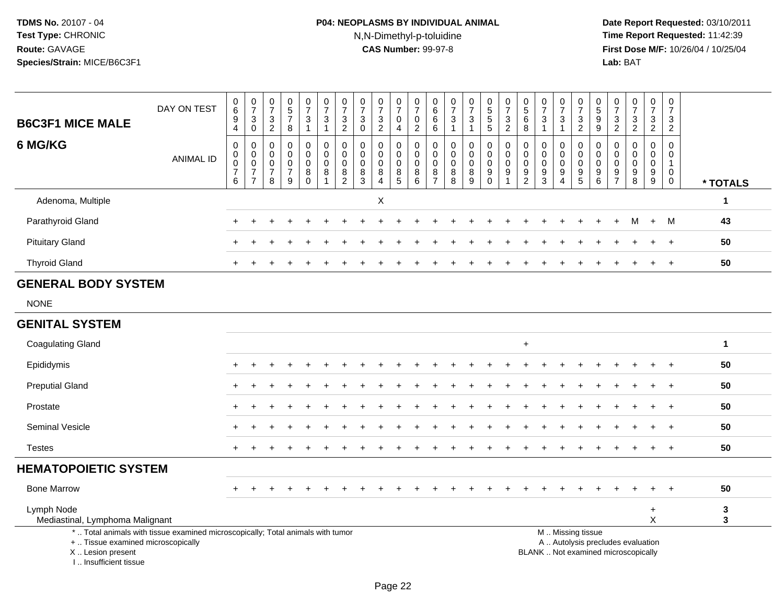# **P04: NEOPLASMS BY INDIVIDUAL ANIMAL**N,N-Dimethyl-p-toluidine

 **Date Report Requested:** 03/10/2011 **Time Report Requested:** 11:42:39 **First Dose M/F:** 10/26/04 / 10/25/04<br>**Lab:** BAT **Lab:** BAT

| <b>B6C3F1 MICE MALE</b>                       | DAY ON TEST                                                                     | $\begin{array}{c} 0 \\ 6 \\ 9 \\ 4 \end{array}$                               | $\frac{0}{7}$<br>$\sqrt{3}$<br>$\overline{0}$                       | $\frac{0}{7}$<br>$\sqrt{3}$<br>$\overline{2}$                    | $\begin{array}{c} 0 \\ 5 \\ 7 \end{array}$<br>8                  | $\frac{0}{7}$<br>3<br>$\mathbf{1}$                       | $\frac{0}{7}$<br>$\mathsf 3$<br>$\mathbf{1}$ | $\frac{0}{7}$<br>$\frac{3}{2}$                                                            | $\begin{array}{c} 0 \\ 7 \end{array}$<br>$_{\rm 0}^3$      | $\frac{0}{7}$<br>$\frac{3}{2}$                                   | $\frac{0}{7}$<br>$\mathsf{O}\xspace$<br>4              | $\frac{0}{7}$<br>$\pmb{0}$<br>$\overline{2}$                   | $_6^0$<br>$\overline{6}$<br>6                       | $\frac{0}{7}$<br>$\ensuremath{\mathsf{3}}$<br>$\mathbf{1}$ | $\begin{array}{c} 0 \\ 7 \end{array}$<br>$\frac{3}{1}$               | 0<br>5<br>5<br>5                                    | $\frac{0}{7}$<br>$\frac{3}{2}$                               | $\begin{array}{c} 0 \\ 5 \end{array}$<br>6<br>8        | $\frac{0}{7}$<br>$\ensuremath{\mathsf{3}}$<br>$\overline{1}$ | $\frac{0}{7}$<br>3<br>$\mathbf{1}$                                       | $\frac{0}{7}$<br>$\frac{3}{2}$                                            | $\begin{array}{c} 0 \\ 5 \end{array}$<br>$\frac{9}{9}$ | $\frac{0}{7}$<br>$\frac{3}{2}$                   | $\begin{array}{c} 0 \\ 7 \end{array}$<br>$\frac{3}{2}$  | $\frac{0}{7}$<br>3<br>$\overline{2}$                             | $\frac{0}{7}$<br>$\frac{3}{2}$                                           |                   |
|-----------------------------------------------|---------------------------------------------------------------------------------|-------------------------------------------------------------------------------|---------------------------------------------------------------------|------------------------------------------------------------------|------------------------------------------------------------------|----------------------------------------------------------|----------------------------------------------|-------------------------------------------------------------------------------------------|------------------------------------------------------------|------------------------------------------------------------------|--------------------------------------------------------|----------------------------------------------------------------|-----------------------------------------------------|------------------------------------------------------------|----------------------------------------------------------------------|-----------------------------------------------------|--------------------------------------------------------------|--------------------------------------------------------|--------------------------------------------------------------|--------------------------------------------------------------------------|---------------------------------------------------------------------------|--------------------------------------------------------|--------------------------------------------------|---------------------------------------------------------|------------------------------------------------------------------|--------------------------------------------------------------------------|-------------------|
| 6 MG/KG                                       | <b>ANIMAL ID</b>                                                                | $\boldsymbol{0}$<br>$\mathbf 0$<br>$\mathsf{O}\xspace$<br>$\overline{7}$<br>6 | 0<br>$\mathsf 0$<br>$\mathbf 0$<br>$\overline{7}$<br>$\overline{7}$ | $\mathbf 0$<br>$\mathbf 0$<br>$\mathbf 0$<br>$\overline{7}$<br>8 | $\mathbf 0$<br>$\mathbf 0$<br>$\mathbf 0$<br>$\overline{7}$<br>9 | $\mathsf{O}$<br>$\mathbf 0$<br>$\mathbf 0$<br>$_{0}^{8}$ | 0<br>$\mathbf 0$<br>0<br>8                   | $\pmb{0}$<br>$\mathbf 0$<br>$\mathbf 0$<br>$\begin{smallmatrix} 8 \\ 2 \end{smallmatrix}$ | $\mathbf 0$<br>$\mathbf 0$<br>$\mathbf 0$<br>$\frac{8}{3}$ | $\mathbf 0$<br>$\mathbf 0$<br>$\mathbf 0$<br>8<br>$\overline{4}$ | 0<br>$\mathbf 0$<br>$\mathbf 0$<br>8<br>$\overline{5}$ | $\pmb{0}$<br>$\mathbf 0$<br>$\mathbf 0$<br>8<br>$\overline{6}$ | 0<br>$\mathbf 0$<br>$\Omega$<br>8<br>$\overline{7}$ | $\mathbf 0$<br>$\mathbf 0$<br>$\mathbf 0$<br>$_{8}^8$      | $\pmb{0}$<br>$\mathbf 0$<br>$\mathbf 0$<br>$\bf 8$<br>$\overline{9}$ | $\pmb{0}$<br>$\pmb{0}$<br>$\mathbf 0$<br>$_{0}^{9}$ | $\pmb{0}$<br>$\mathbf 0$<br>$\mathbf 0$<br>9<br>$\mathbf{1}$ | 0<br>$\mathbf 0$<br>$\mathbf 0$<br>9<br>$\overline{c}$ | $\mathbf 0$<br>$\mathbf 0$<br>$\mathbf 0$<br>$\frac{9}{3}$   | $\mathbf 0$<br>$\mathbf 0$<br>$\mathbf 0$<br>9<br>$\boldsymbol{\Lambda}$ | 0<br>$\mathsf{O}$<br>$\mathbf 0$<br>$\begin{array}{c} 9 \\ 5 \end{array}$ | 0<br>$\Omega$<br>$\Omega$<br>9<br>$\overline{6}$       | 0<br>$\mathbf 0$<br>$\mathbf 0$<br>$\frac{9}{7}$ | $\mathbf 0$<br>$\mathbf 0$<br>$\mathbf 0$<br>$_{8}^{9}$ | $\mathbf 0$<br>$\mathbf 0$<br>$\mathbf 0$<br>9<br>$\overline{9}$ | $\mathbf 0$<br>$\mathbf 0$<br>$\mathbf{1}$<br>$\mathbf 0$<br>$\mathbf 0$ | * TOTALS          |
| Adenoma, Multiple                             |                                                                                 |                                                                               |                                                                     |                                                                  |                                                                  |                                                          |                                              |                                                                                           |                                                            | $\pmb{\times}$                                                   |                                                        |                                                                |                                                     |                                                            |                                                                      |                                                     |                                                              |                                                        |                                                              |                                                                          |                                                                           |                                                        |                                                  |                                                         |                                                                  |                                                                          | $\mathbf 1$       |
| Parathyroid Gland                             |                                                                                 |                                                                               |                                                                     |                                                                  |                                                                  |                                                          |                                              |                                                                                           |                                                            |                                                                  |                                                        |                                                                |                                                     |                                                            |                                                                      |                                                     |                                                              |                                                        |                                                              |                                                                          |                                                                           |                                                        | +                                                | м                                                       | $+$                                                              | M                                                                        | 43                |
| <b>Pituitary Gland</b>                        |                                                                                 |                                                                               |                                                                     |                                                                  |                                                                  |                                                          |                                              |                                                                                           |                                                            |                                                                  |                                                        |                                                                |                                                     |                                                            |                                                                      |                                                     |                                                              |                                                        |                                                              |                                                                          |                                                                           |                                                        |                                                  |                                                         | $\div$                                                           | $\ddot{}$                                                                | 50                |
| <b>Thyroid Gland</b>                          |                                                                                 |                                                                               |                                                                     |                                                                  |                                                                  |                                                          |                                              |                                                                                           |                                                            |                                                                  |                                                        |                                                                |                                                     |                                                            |                                                                      |                                                     |                                                              |                                                        |                                                              |                                                                          |                                                                           |                                                        |                                                  |                                                         |                                                                  |                                                                          | 50                |
| <b>GENERAL BODY SYSTEM</b>                    |                                                                                 |                                                                               |                                                                     |                                                                  |                                                                  |                                                          |                                              |                                                                                           |                                                            |                                                                  |                                                        |                                                                |                                                     |                                                            |                                                                      |                                                     |                                                              |                                                        |                                                              |                                                                          |                                                                           |                                                        |                                                  |                                                         |                                                                  |                                                                          |                   |
| <b>NONE</b>                                   |                                                                                 |                                                                               |                                                                     |                                                                  |                                                                  |                                                          |                                              |                                                                                           |                                                            |                                                                  |                                                        |                                                                |                                                     |                                                            |                                                                      |                                                     |                                                              |                                                        |                                                              |                                                                          |                                                                           |                                                        |                                                  |                                                         |                                                                  |                                                                          |                   |
| <b>GENITAL SYSTEM</b>                         |                                                                                 |                                                                               |                                                                     |                                                                  |                                                                  |                                                          |                                              |                                                                                           |                                                            |                                                                  |                                                        |                                                                |                                                     |                                                            |                                                                      |                                                     |                                                              |                                                        |                                                              |                                                                          |                                                                           |                                                        |                                                  |                                                         |                                                                  |                                                                          |                   |
| <b>Coagulating Gland</b>                      |                                                                                 |                                                                               |                                                                     |                                                                  |                                                                  |                                                          |                                              |                                                                                           |                                                            |                                                                  |                                                        |                                                                |                                                     |                                                            |                                                                      |                                                     |                                                              | $\ddot{}$                                              |                                                              |                                                                          |                                                                           |                                                        |                                                  |                                                         |                                                                  |                                                                          | $\mathbf{1}$      |
| Epididymis                                    |                                                                                 |                                                                               |                                                                     |                                                                  |                                                                  |                                                          |                                              |                                                                                           |                                                            |                                                                  |                                                        |                                                                |                                                     |                                                            |                                                                      |                                                     |                                                              |                                                        |                                                              |                                                                          |                                                                           |                                                        |                                                  |                                                         |                                                                  |                                                                          | 50                |
| <b>Preputial Gland</b>                        |                                                                                 |                                                                               |                                                                     |                                                                  |                                                                  |                                                          |                                              |                                                                                           |                                                            |                                                                  |                                                        |                                                                |                                                     |                                                            |                                                                      |                                                     |                                                              |                                                        |                                                              |                                                                          |                                                                           |                                                        |                                                  |                                                         |                                                                  |                                                                          | 50                |
| Prostate                                      |                                                                                 |                                                                               |                                                                     |                                                                  |                                                                  |                                                          |                                              |                                                                                           |                                                            |                                                                  |                                                        |                                                                |                                                     |                                                            |                                                                      |                                                     |                                                              |                                                        |                                                              |                                                                          |                                                                           |                                                        |                                                  |                                                         |                                                                  |                                                                          | 50                |
| Seminal Vesicle                               |                                                                                 |                                                                               |                                                                     |                                                                  |                                                                  |                                                          |                                              |                                                                                           |                                                            |                                                                  |                                                        |                                                                |                                                     |                                                            |                                                                      |                                                     |                                                              |                                                        |                                                              |                                                                          |                                                                           |                                                        |                                                  |                                                         |                                                                  |                                                                          | 50                |
| <b>Testes</b>                                 |                                                                                 |                                                                               |                                                                     |                                                                  |                                                                  |                                                          |                                              |                                                                                           |                                                            |                                                                  |                                                        |                                                                |                                                     |                                                            |                                                                      |                                                     |                                                              |                                                        |                                                              |                                                                          |                                                                           |                                                        |                                                  |                                                         |                                                                  | $\overline{+}$                                                           | 50                |
| <b>HEMATOPOIETIC SYSTEM</b>                   |                                                                                 |                                                                               |                                                                     |                                                                  |                                                                  |                                                          |                                              |                                                                                           |                                                            |                                                                  |                                                        |                                                                |                                                     |                                                            |                                                                      |                                                     |                                                              |                                                        |                                                              |                                                                          |                                                                           |                                                        |                                                  |                                                         |                                                                  |                                                                          |                   |
| <b>Bone Marrow</b>                            |                                                                                 |                                                                               |                                                                     |                                                                  |                                                                  |                                                          |                                              |                                                                                           |                                                            |                                                                  |                                                        |                                                                |                                                     |                                                            |                                                                      |                                                     |                                                              |                                                        |                                                              |                                                                          |                                                                           |                                                        |                                                  |                                                         |                                                                  |                                                                          | 50                |
| Lymph Node<br>Mediastinal, Lymphoma Malignant |                                                                                 |                                                                               |                                                                     |                                                                  |                                                                  |                                                          |                                              |                                                                                           |                                                            |                                                                  |                                                        |                                                                |                                                     |                                                            |                                                                      |                                                     |                                                              |                                                        |                                                              |                                                                          |                                                                           |                                                        |                                                  |                                                         | $\ddot{}$<br>X                                                   |                                                                          | $\mathbf{3}$<br>3 |
| +  Tissue examined microscopically            | *  Total animals with tissue examined microscopically; Total animals with tumor |                                                                               |                                                                     |                                                                  |                                                                  |                                                          |                                              |                                                                                           |                                                            |                                                                  |                                                        |                                                                |                                                     |                                                            |                                                                      |                                                     |                                                              |                                                        |                                                              |                                                                          | M  Missing tissue                                                         |                                                        |                                                  | A  Autolysis precludes evaluation                       |                                                                  |                                                                          |                   |

 Lesion present BLANK .. Not examined microscopicallyX .. Lesion present I .. Insufficient tissue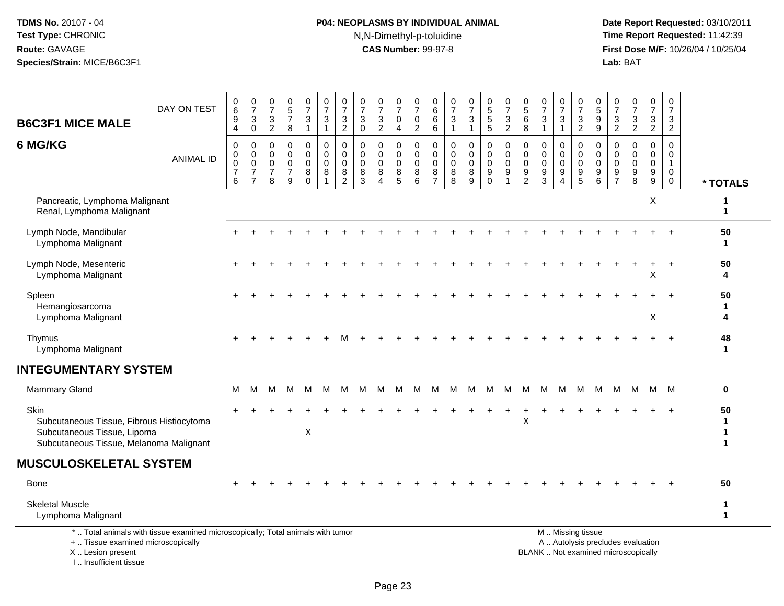# **P04: NEOPLASMS BY INDIVIDUAL ANIMAL**N,N-Dimethyl-p-toluidine

| <b>B6C3F1 MICE MALE</b>                                                                                                     | DAY ON TEST                                                                     | 0<br>$6\phantom{a}$<br>$\boldsymbol{9}$<br>4                   | $\frac{0}{7}$<br>$_{\rm 0}^3$                                               | $\frac{0}{7}$<br>$\mathbf 3$<br>$\overline{2}$         | $\begin{array}{c} 0 \\ 5 \end{array}$<br>$\overline{7}$<br>$\boldsymbol{8}$ | $\frac{0}{7}$<br>3<br>$\mathbf{1}$               | $\begin{smallmatrix}0\\7\end{smallmatrix}$<br>$\mathbf{3}$<br>$\mathbf{1}$ | $\frac{0}{7}$<br>3<br>$\overline{2}$                   | $\begin{array}{c} 0 \\ 7 \end{array}$<br>$\mathbf{3}$<br>$\mathbf 0$ | $\begin{array}{c} 0 \\ 7 \end{array}$<br>3<br>$\overline{2}$ | $\begin{array}{c} 0 \\ 7 \end{array}$<br>$\mathbf 0$<br>4 | 0<br>$\overline{7}$<br>$\mathbf 0$<br>$\overline{2}$              | 0<br>$\,6\,$<br>6<br>$\,6\,$                                     | $\frac{0}{7}$<br>$\mathbf{3}$<br>$\mathbf{1}$    | $\frac{0}{7}$<br>3<br>$\mathbf{1}$ | $\begin{array}{c} 0 \\ 5 \end{array}$<br>$\overline{5}$<br>$\overline{5}$ | $\frac{0}{7}$<br>$\ensuremath{\mathsf{3}}$<br>$\overline{2}$                | $\begin{smallmatrix}0\0\5\end{smallmatrix}$<br>$\,6\,$<br>8      | $\frac{0}{7}$<br>$\mathbf{3}$<br>$\mathbf{1}$                                   | $\frac{0}{7}$<br>3<br>$\mathbf{1}$                                             | $\begin{array}{c} 0 \\ 7 \end{array}$<br>$\frac{3}{2}$                             | 0<br>$\overline{5}$<br>$\boldsymbol{9}$<br>$\overline{9}$         | $\frac{0}{7}$<br>$\frac{3}{2}$                          | $\frac{0}{7}$<br>$\frac{3}{2}$                                           | $\begin{smallmatrix}0\\7\end{smallmatrix}$<br>$\frac{3}{2}$ | $\pmb{0}$<br>$\overline{7}$<br>3<br>$\overline{2}$   |                   |
|-----------------------------------------------------------------------------------------------------------------------------|---------------------------------------------------------------------------------|----------------------------------------------------------------|-----------------------------------------------------------------------------|--------------------------------------------------------|-----------------------------------------------------------------------------|--------------------------------------------------|----------------------------------------------------------------------------|--------------------------------------------------------|----------------------------------------------------------------------|--------------------------------------------------------------|-----------------------------------------------------------|-------------------------------------------------------------------|------------------------------------------------------------------|--------------------------------------------------|------------------------------------|---------------------------------------------------------------------------|-----------------------------------------------------------------------------|------------------------------------------------------------------|---------------------------------------------------------------------------------|--------------------------------------------------------------------------------|------------------------------------------------------------------------------------|-------------------------------------------------------------------|---------------------------------------------------------|--------------------------------------------------------------------------|-------------------------------------------------------------|------------------------------------------------------|-------------------|
| 6 MG/KG                                                                                                                     | <b>ANIMAL ID</b>                                                                | $\mathbf 0$<br>$\pmb{0}$<br>$\mathsf 0$<br>$\overline{7}$<br>6 | $\mathsf 0$<br>$\pmb{0}$<br>$\mathbf 0$<br>$\overline{7}$<br>$\overline{7}$ | $\mathsf 0$<br>0<br>$\mathbf 0$<br>$\overline{7}$<br>8 | $\mathbf 0$<br>$\Omega$<br>$\mathbf 0$<br>$\overline{7}$<br>9               | 0<br>$\mathbf 0$<br>$\mathbf 0$<br>8<br>$\Omega$ | $\pmb{0}$<br>0<br>$\mathsf 0$<br>8<br>1                                    | 0<br>$\mathbf 0$<br>$\mathbf 0$<br>8<br>$\overline{2}$ | $\mathbf 0$<br>0<br>$\mathbf 0$<br>$\frac{8}{3}$                     | $\mathbf 0$<br>$\mathbf 0$<br>0<br>8<br>$\Delta$             | $\mathbf 0$<br>$\mathbf 0$<br>$\mathbf 0$<br>$^8$ 5       | $\mathbf 0$<br>$\mathbf 0$<br>$\mathbf 0$<br>8<br>$6\phantom{1}6$ | $\mathbf 0$<br>$\mathbf 0$<br>$\mathbf 0$<br>8<br>$\overline{7}$ | $\mathbf 0$<br>$\Omega$<br>$\mathbf 0$<br>8<br>8 | 0<br>$\mathbf 0$<br>0<br>8<br>9    | $\mathbf 0$<br>$\mathbf 0$<br>$\mathbf 0$<br>$\boldsymbol{9}$<br>$\Omega$ | $\pmb{0}$<br>$\mathbf 0$<br>$\pmb{0}$<br>$\boldsymbol{9}$<br>$\overline{1}$ | $\mathbf 0$<br>$\mathbf 0$<br>$\mathbf 0$<br>9<br>$\overline{c}$ | $\mathbf 0$<br>$\mathbf 0$<br>$\mathbf 0$<br>$\boldsymbol{9}$<br>$\overline{3}$ | 0<br>$\mathbf 0$<br>$\mathbf 0$<br>$\boldsymbol{9}$<br>$\overline{\mathbf{4}}$ | $\mathbf 0$<br>$\mathbf 0$<br>$\mathbf 0$<br>$\begin{array}{c} 9 \\ 5 \end{array}$ | $\mathbf 0$<br>$\mathbf 0$<br>$\mathbf 0$<br>9<br>$6\phantom{1}6$ | $\mathbf 0$<br>$\Omega$<br>$\mathbf 0$<br>$\frac{9}{7}$ | $\mathsf{O}$<br>$\Omega$<br>$\mathbf 0$<br>$\frac{9}{8}$                 | $\pmb{0}$<br>$\mathbf 0$<br>$\pmb{0}$<br>$^9_9$             | $\mathbf 0$<br>$\mathbf 0$<br>$\mathbf{1}$<br>0<br>0 | * TOTALS          |
| Pancreatic, Lymphoma Malignant<br>Renal, Lymphoma Malignant                                                                 |                                                                                 |                                                                |                                                                             |                                                        |                                                                             |                                                  |                                                                            |                                                        |                                                                      |                                                              |                                                           |                                                                   |                                                                  |                                                  |                                    |                                                                           |                                                                             |                                                                  |                                                                                 |                                                                                |                                                                                    |                                                                   |                                                         |                                                                          | X                                                           |                                                      | 1<br>1            |
| Lymph Node, Mandibular<br>Lymphoma Malignant                                                                                |                                                                                 |                                                                |                                                                             |                                                        |                                                                             |                                                  |                                                                            |                                                        |                                                                      |                                                              |                                                           |                                                                   |                                                                  |                                                  |                                    |                                                                           |                                                                             |                                                                  |                                                                                 |                                                                                |                                                                                    |                                                                   |                                                         |                                                                          |                                                             |                                                      | 50<br>1           |
| Lymph Node, Mesenteric<br>Lymphoma Malignant                                                                                |                                                                                 |                                                                |                                                                             |                                                        |                                                                             |                                                  |                                                                            |                                                        |                                                                      |                                                              |                                                           |                                                                   |                                                                  |                                                  |                                    |                                                                           |                                                                             |                                                                  |                                                                                 |                                                                                |                                                                                    |                                                                   |                                                         |                                                                          | X                                                           |                                                      | 50<br>4           |
| Spleen<br>Hemangiosarcoma<br>Lymphoma Malignant                                                                             |                                                                                 |                                                                |                                                                             |                                                        |                                                                             |                                                  |                                                                            |                                                        |                                                                      |                                                              |                                                           |                                                                   |                                                                  |                                                  |                                    |                                                                           |                                                                             |                                                                  |                                                                                 |                                                                                |                                                                                    |                                                                   |                                                         |                                                                          | X                                                           |                                                      | 50<br>1<br>4      |
| Thymus<br>Lymphoma Malignant                                                                                                |                                                                                 |                                                                |                                                                             |                                                        |                                                                             |                                                  |                                                                            |                                                        |                                                                      |                                                              |                                                           |                                                                   |                                                                  |                                                  |                                    |                                                                           |                                                                             |                                                                  |                                                                                 |                                                                                |                                                                                    |                                                                   |                                                         |                                                                          |                                                             |                                                      | 48<br>1           |
| <b>INTEGUMENTARY SYSTEM</b>                                                                                                 |                                                                                 |                                                                |                                                                             |                                                        |                                                                             |                                                  |                                                                            |                                                        |                                                                      |                                                              |                                                           |                                                                   |                                                                  |                                                  |                                    |                                                                           |                                                                             |                                                                  |                                                                                 |                                                                                |                                                                                    |                                                                   |                                                         |                                                                          |                                                             |                                                      |                   |
| <b>Mammary Gland</b>                                                                                                        |                                                                                 | м                                                              | м                                                                           | м                                                      | м                                                                           | M                                                | M                                                                          | M                                                      | M                                                                    | м                                                            | м                                                         | M                                                                 | M                                                                | M                                                | M                                  | M                                                                         | M                                                                           | M                                                                | M                                                                               | м                                                                              | M                                                                                  | М                                                                 | M                                                       | M                                                                        |                                                             | M M                                                  | 0                 |
| Skin<br>Subcutaneous Tissue, Fibrous Histiocytoma<br>Subcutaneous Tissue, Lipoma<br>Subcutaneous Tissue, Melanoma Malignant |                                                                                 |                                                                |                                                                             |                                                        |                                                                             | X                                                |                                                                            |                                                        |                                                                      |                                                              |                                                           |                                                                   |                                                                  |                                                  |                                    |                                                                           |                                                                             | X                                                                |                                                                                 |                                                                                |                                                                                    |                                                                   |                                                         |                                                                          |                                                             |                                                      | 50<br>1<br>1<br>1 |
| <b>MUSCULOSKELETAL SYSTEM</b>                                                                                               |                                                                                 |                                                                |                                                                             |                                                        |                                                                             |                                                  |                                                                            |                                                        |                                                                      |                                                              |                                                           |                                                                   |                                                                  |                                                  |                                    |                                                                           |                                                                             |                                                                  |                                                                                 |                                                                                |                                                                                    |                                                                   |                                                         |                                                                          |                                                             |                                                      |                   |
| <b>Bone</b>                                                                                                                 |                                                                                 |                                                                |                                                                             |                                                        |                                                                             |                                                  |                                                                            |                                                        |                                                                      |                                                              |                                                           |                                                                   |                                                                  |                                                  |                                    |                                                                           |                                                                             |                                                                  |                                                                                 |                                                                                |                                                                                    |                                                                   |                                                         |                                                                          |                                                             |                                                      | 50                |
| <b>Skeletal Muscle</b><br>Lymphoma Malignant                                                                                |                                                                                 |                                                                |                                                                             |                                                        |                                                                             |                                                  |                                                                            |                                                        |                                                                      |                                                              |                                                           |                                                                   |                                                                  |                                                  |                                    |                                                                           |                                                                             |                                                                  |                                                                                 |                                                                                |                                                                                    |                                                                   |                                                         |                                                                          |                                                             |                                                      | 1<br>1            |
| +  Tissue examined microscopically<br>X  Lesion present<br>I Insufficient tissue                                            | *  Total animals with tissue examined microscopically; Total animals with tumor |                                                                |                                                                             |                                                        |                                                                             |                                                  |                                                                            |                                                        |                                                                      |                                                              |                                                           |                                                                   |                                                                  |                                                  |                                    |                                                                           |                                                                             |                                                                  |                                                                                 |                                                                                | M  Missing tissue                                                                  |                                                                   |                                                         | A  Autolysis precludes evaluation<br>BLANK  Not examined microscopically |                                                             |                                                      |                   |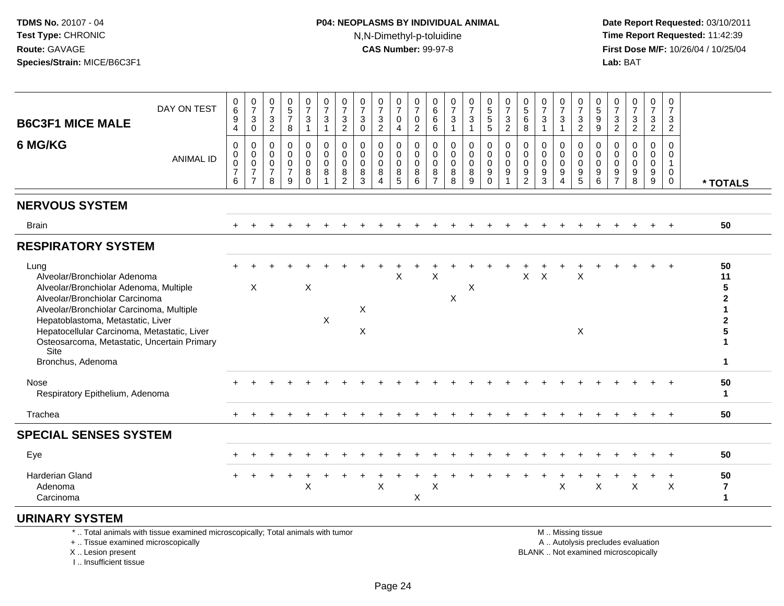#### **P04: NEOPLASMS BY INDIVIDUAL ANIMAL**N,N-Dimethyl-p-toluidine

 **Date Report Requested:** 03/10/2011 **Time Report Requested:** 11:42:39 **First Dose M/F:** 10/26/04 / 10/25/04 Lab: BAT **Lab:** BAT

| DAY ON TEST<br><b>B6C3F1 MICE MALE</b>                                                                                                                                                                                                                                                                                       | $\begin{matrix} 0 \\ 6 \end{matrix}$<br>9<br>$\overline{4}$ | $\frac{0}{7}$<br>$\ensuremath{\mathsf{3}}$<br>$\mathsf 0$       | 0<br>$\overline{7}$<br>$\mathbf{3}$<br>$\overline{c}$ | $\begin{array}{c} 0 \\ 5 \\ 7 \end{array}$<br>$\,8\,$            | $\frac{0}{7}$<br>3<br>$\mathbf{1}$               | $\frac{0}{7}$<br>3<br>$\mathbf{1}$ | $\frac{0}{7}$<br>$\ensuremath{\mathsf{3}}$<br>$\overline{2}$ | $\frac{0}{7}$<br>$\mathbf{3}$<br>$\mathbf 0$ | $\frac{0}{7}$<br>$\ensuremath{\mathsf{3}}$<br>$\sqrt{2}$         | $\frac{0}{7}$<br>0<br>4               | $\frac{0}{7}$<br>$\mathbf 0$<br>$\overline{2}$    | $_{6}^{\rm 0}$<br>$\,6$<br>$\,6$                       | 0<br>$\overline{7}$<br>3 | $\frac{0}{7}$<br>$\ensuremath{\mathsf{3}}$<br>$\mathbf{1}$ | 0<br>5<br>5<br>5                       | 0<br>$\overline{7}$<br>$\ensuremath{\mathsf{3}}$<br>$\overline{2}$ | $0$<br>5<br>6<br>8                         | $\frac{0}{7}$<br>$\mathbf{3}$<br>$\mathbf{1}$ | $\frac{0}{7}$<br>$\ensuremath{\mathsf{3}}$<br>$\mathbf{1}$                               | $\frac{0}{7}$<br>$\sqrt{3}$<br>$\sqrt{2}$                       | $\frac{0}{5}$<br>$\boldsymbol{9}$<br>$9\,$               | $\frac{0}{7}$<br>$\mathbf{3}$<br>$\overline{c}$        | $\frac{0}{7}$<br>3<br>$\boldsymbol{2}$ | $\frac{0}{7}$<br>$\ensuremath{\mathsf{3}}$<br>$\boldsymbol{2}$ | 0<br>$\overline{7}$<br>3<br>$\overline{2}$                     |                                              |
|------------------------------------------------------------------------------------------------------------------------------------------------------------------------------------------------------------------------------------------------------------------------------------------------------------------------------|-------------------------------------------------------------|-----------------------------------------------------------------|-------------------------------------------------------|------------------------------------------------------------------|--------------------------------------------------|------------------------------------|--------------------------------------------------------------|----------------------------------------------|------------------------------------------------------------------|---------------------------------------|---------------------------------------------------|--------------------------------------------------------|--------------------------|------------------------------------------------------------|----------------------------------------|--------------------------------------------------------------------|--------------------------------------------|-----------------------------------------------|------------------------------------------------------------------------------------------|-----------------------------------------------------------------|----------------------------------------------------------|--------------------------------------------------------|----------------------------------------|----------------------------------------------------------------|----------------------------------------------------------------|----------------------------------------------|
| 6 MG/KG<br><b>ANIMAL ID</b>                                                                                                                                                                                                                                                                                                  | 0<br>$\pmb{0}$<br>$\pmb{0}$<br>$\overline{7}$<br>6          | 0<br>$\pmb{0}$<br>$\pmb{0}$<br>$\overline{7}$<br>$\overline{7}$ | 0<br>0<br>$\mathbf 0$<br>$\overline{7}$<br>8          | $\mathbf 0$<br>$\mathbf 0$<br>$\mathbf 0$<br>$\overline{7}$<br>9 | 0<br>$\mathbf 0$<br>$\mathbf 0$<br>8<br>$\Omega$ | 0<br>$\mathbf 0$<br>0<br>8         | 0<br>$\pmb{0}$<br>$\pmb{0}$<br>$\bf8$<br>$\overline{2}$      | 0<br>$\pmb{0}$<br>$\mathbf 0$<br>8<br>3      | $\mathbf 0$<br>$\mathbf 0$<br>$\mathbf 0$<br>8<br>$\overline{4}$ | 0<br>$\mathbf 0$<br>0<br>$\bf 8$<br>5 | 0<br>$\mathsf{O}\xspace$<br>$\mathbf 0$<br>8<br>6 | 0<br>$\mathbf 0$<br>$\mathbf 0$<br>8<br>$\overline{7}$ | 0<br>0<br>0<br>8<br>8    | $\mathbf 0$<br>$\pmb{0}$<br>$\mathbf 0$<br>$\bf 8$<br>9    | 0<br>$\mathsf 0$<br>0<br>9<br>$\Omega$ | 0<br>$\mathsf{O}$<br>$\mathbf 0$<br>9<br>1                         | 0<br>$\pmb{0}$<br>0<br>9<br>$\overline{2}$ | 0<br>0<br>0<br>9<br>3                         | $\mathbf 0$<br>$\mathbf 0$<br>$\mathbf 0$<br>$\boldsymbol{9}$<br>$\overline{\mathbf{4}}$ | 0<br>$\pmb{0}$<br>$\mathbf 0$<br>$\boldsymbol{9}$<br>$\sqrt{5}$ | 0<br>$\mathbf 0$<br>$\mathbf 0$<br>$\boldsymbol{9}$<br>6 | 0<br>$\mathbf 0$<br>$\mathbf 0$<br>9<br>$\overline{7}$ | $\mathbf 0$<br>0<br>0<br>9<br>8        | 0<br>0<br>0<br>$\boldsymbol{9}$<br>$\boldsymbol{9}$            | $\mathbf 0$<br>0<br>$\mathbf{1}$<br>$\mathbf 0$<br>$\mathbf 0$ | * TOTALS                                     |
| <b>NERVOUS SYSTEM</b>                                                                                                                                                                                                                                                                                                        |                                                             |                                                                 |                                                       |                                                                  |                                                  |                                    |                                                              |                                              |                                                                  |                                       |                                                   |                                                        |                          |                                                            |                                        |                                                                    |                                            |                                               |                                                                                          |                                                                 |                                                          |                                                        |                                        |                                                                |                                                                |                                              |
| <b>Brain</b>                                                                                                                                                                                                                                                                                                                 | $+$                                                         |                                                                 |                                                       |                                                                  |                                                  |                                    |                                                              |                                              |                                                                  |                                       |                                                   |                                                        |                          |                                                            |                                        |                                                                    |                                            |                                               |                                                                                          |                                                                 |                                                          |                                                        |                                        |                                                                | $+$                                                            | 50                                           |
| <b>RESPIRATORY SYSTEM</b>                                                                                                                                                                                                                                                                                                    |                                                             |                                                                 |                                                       |                                                                  |                                                  |                                    |                                                              |                                              |                                                                  |                                       |                                                   |                                                        |                          |                                                            |                                        |                                                                    |                                            |                                               |                                                                                          |                                                                 |                                                          |                                                        |                                        |                                                                |                                                                |                                              |
| Lung<br>Alveolar/Bronchiolar Adenoma<br>Alveolar/Bronchiolar Adenoma, Multiple<br>Alveolar/Bronchiolar Carcinoma<br>Alveolar/Bronchiolar Carcinoma, Multiple<br>Hepatoblastoma, Metastatic, Liver<br>Hepatocellular Carcinoma, Metastatic, Liver<br>Osteosarcoma, Metastatic, Uncertain Primary<br>Site<br>Bronchus, Adenoma |                                                             | X                                                               |                                                       |                                                                  | X                                                | X                                  |                                                              | X<br>X                                       |                                                                  | X                                     |                                                   | X                                                      | Χ                        | X                                                          |                                        |                                                                    | X                                          | $\boldsymbol{\mathsf{X}}$                     |                                                                                          | $\sf X$<br>X                                                    |                                                          |                                                        |                                        |                                                                | $\overline{ }$                                                 | 50<br>11<br>5<br>$\mathbf{2}$<br>2<br>1<br>1 |
| Nose<br>Respiratory Epithelium, Adenoma                                                                                                                                                                                                                                                                                      |                                                             |                                                                 |                                                       |                                                                  |                                                  |                                    |                                                              |                                              |                                                                  |                                       |                                                   |                                                        |                          |                                                            |                                        |                                                                    |                                            |                                               |                                                                                          |                                                                 |                                                          |                                                        |                                        |                                                                | $\ddot{}$                                                      | 50<br>1                                      |
| Trachea                                                                                                                                                                                                                                                                                                                      |                                                             |                                                                 |                                                       |                                                                  |                                                  |                                    |                                                              |                                              |                                                                  |                                       |                                                   |                                                        |                          |                                                            |                                        |                                                                    |                                            |                                               |                                                                                          |                                                                 |                                                          |                                                        |                                        |                                                                | $\overline{+}$                                                 | 50                                           |
| <b>SPECIAL SENSES SYSTEM</b>                                                                                                                                                                                                                                                                                                 |                                                             |                                                                 |                                                       |                                                                  |                                                  |                                    |                                                              |                                              |                                                                  |                                       |                                                   |                                                        |                          |                                                            |                                        |                                                                    |                                            |                                               |                                                                                          |                                                                 |                                                          |                                                        |                                        |                                                                |                                                                |                                              |
| Eye                                                                                                                                                                                                                                                                                                                          |                                                             |                                                                 |                                                       |                                                                  |                                                  |                                    |                                                              |                                              |                                                                  |                                       |                                                   |                                                        |                          |                                                            |                                        |                                                                    |                                            |                                               |                                                                                          |                                                                 |                                                          |                                                        |                                        |                                                                |                                                                | 50                                           |
| <b>Harderian Gland</b><br>Adenoma<br>Carcinoma                                                                                                                                                                                                                                                                               |                                                             |                                                                 |                                                       |                                                                  | X                                                |                                    |                                                              |                                              | X                                                                |                                       | X                                                 | X                                                      |                          |                                                            |                                        |                                                                    |                                            |                                               | X                                                                                        |                                                                 | X                                                        |                                                        | X                                      | $\ddot{}$                                                      | $\ddot{}$<br>X                                                 | 50<br>$\overline{\mathbf{7}}$<br>1           |
| <b>URINARY SYSTEM</b>                                                                                                                                                                                                                                                                                                        |                                                             |                                                                 |                                                       |                                                                  |                                                  |                                    |                                                              |                                              |                                                                  |                                       |                                                   |                                                        |                          |                                                            |                                        |                                                                    |                                            |                                               |                                                                                          |                                                                 |                                                          |                                                        |                                        |                                                                |                                                                |                                              |

\* .. Total animals with tissue examined microscopically; Total animals with tumor

+ .. Tissue examined microscopically

 Lesion present BLANK .. Not examined microscopicallyX .. Lesion present

I .. Insufficient tissue

M .. Missing tissue

y the contract of the contract of the contract of the contract of the contract of the contract of the contract of  $A$ . Autolysis precludes evaluation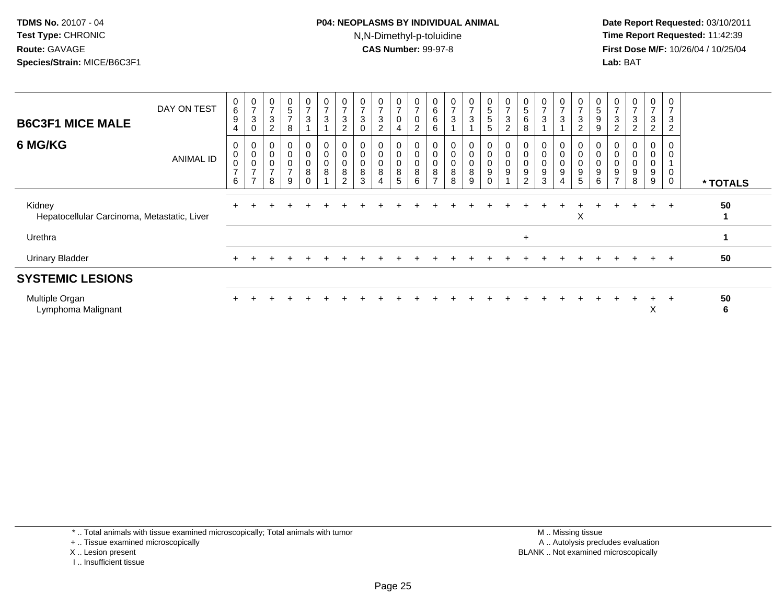#### **P04: NEOPLASMS BY INDIVIDUAL ANIMAL**N,N-Dimethyl-p-toluidine

 **Date Report Requested:** 03/10/2011 **Time Report Requested:** 11:42:39 **First Dose M/F:** 10/26/04 / 10/25/04 Lab: BAT **Lab:** BAT

| <b>B6C3F1 MICE MALE</b>                               | DAY ON TEST      | 0<br>$\,6\,$<br>$9\,$<br>$\overline{4}$              | 0<br>$\overline{z}$<br>$\mathbf{3}$<br>0                                            | $\pmb{0}$<br>$\overline{7}$<br>$\ensuremath{\mathsf{3}}$<br>$\overline{c}$ | 0<br>5<br>$\overline{ }$<br>8                | $\pmb{0}$<br>$\overline{7}$<br>$\mathbf{3}$                          | $\mathbf 0$<br>$\overline{ }$<br>$\sqrt{3}$ | $\mathbf 0$<br>$\overline{ }$<br>$\ensuremath{\mathsf{3}}$<br>$\overline{c}$ | 0<br>$\overline{7}$<br>$\sqrt{3}$<br>$\mathbf 0$                               | 0<br>$\overline{ }$<br>3<br>$\overline{c}$         | 0<br>$\overline{7}$<br>$\mathbf 0$<br>$\overline{4}$ | 0<br>$\overline{ }$<br>$\pmb{0}$<br>$\overline{c}$          | 0<br>6<br>6<br>6                          | $\mathbf 0$<br>$\overline{7}$<br>$\sqrt{3}$                  | $\frac{0}{7}$<br>3<br>$\overline{A}$ | 0<br>5<br>$\sqrt{5}$<br>5                         | 0<br>$\overline{ }$<br>3<br>$\overline{c}$ | 0<br>$\sqrt{5}$<br>$\,6\,$<br>8                   | 0<br>$\overline{ }$<br>$\sqrt{3}$                    | $\frac{0}{7}$<br>$\sqrt{3}$                                                                  | $\frac{0}{7}$<br>$\mathbf{3}$<br>$\overline{2}$                        | 0<br>5<br>9<br>9                      | $\overline{ }$<br>$\ensuremath{\mathsf{3}}$<br>$\overline{c}$ | 0<br>$\rightarrow$<br>$\ensuremath{\mathsf{3}}$<br>$\overline{2}$ | 0<br>$\overline{ }$<br>3<br>2 <sup>1</sup> | 0<br>$\overline{ }$<br>3<br>$\overline{2}$ |          |
|-------------------------------------------------------|------------------|------------------------------------------------------|-------------------------------------------------------------------------------------|----------------------------------------------------------------------------|----------------------------------------------|----------------------------------------------------------------------|---------------------------------------------|------------------------------------------------------------------------------|--------------------------------------------------------------------------------|----------------------------------------------------|------------------------------------------------------|-------------------------------------------------------------|-------------------------------------------|--------------------------------------------------------------|--------------------------------------|---------------------------------------------------|--------------------------------------------|---------------------------------------------------|------------------------------------------------------|----------------------------------------------------------------------------------------------|------------------------------------------------------------------------|---------------------------------------|---------------------------------------------------------------|-------------------------------------------------------------------|--------------------------------------------|--------------------------------------------|----------|
| 6 MG/KG                                               | <b>ANIMAL ID</b> | 0<br>$\pmb{0}$<br>$\mathbf 0$<br>$\overline{ }$<br>6 | 0<br>$\begin{smallmatrix}0\\0\end{smallmatrix}$<br>$\overline{ }$<br>$\overline{ }$ | 0<br>$\pmb{0}$<br>$\pmb{0}$<br>$\overline{7}$<br>8                         | 0<br>$\mathsf 0$<br>0<br>$\overline{ }$<br>9 | $\overline{0}$<br>$\mathsf 0$<br>$\pmb{0}$<br>$\bf 8$<br>$\mathbf 0$ | 0<br>$\mathbf 0$<br>$\mathbf 0$<br>$\bf 8$  | $\pmb{0}$<br>$\pmb{0}$<br>$\pmb{0}$<br>$\, 8$<br>$\overline{2}$              | $\boldsymbol{0}$<br>$\begin{smallmatrix}0\0\0\end{smallmatrix}$<br>$\, 8$<br>3 | 0<br>$\pmb{0}$<br>$\pmb{0}$<br>8<br>$\overline{4}$ | $\mathbf 0$<br>$\pmb{0}$<br>$\mathbf 0$<br>8<br>5    | 0<br>$\mathbf 0$<br>$\ddot{\mathbf{0}}$<br>$\bf 8$<br>$\,6$ | $\sigma$<br>0<br>0<br>8<br>$\overline{ }$ | $\begin{smallmatrix}0\\0\\0\end{smallmatrix}$<br>$\, 8$<br>8 | 0<br>0<br>0<br>8<br>9                | 0<br>$\mathbf 0$<br>$\pmb{0}$<br>9<br>$\mathbf 0$ | 0<br>$\mathbf 0$<br>$\mathbf 0$<br>9       | $\mathbf 0$<br>$\mathbf 0$<br>9<br>$\overline{c}$ | 0<br>$\pmb{0}$<br>$\pmb{0}$<br>$\boldsymbol{9}$<br>3 | $\begin{smallmatrix} 0\\0 \end{smallmatrix}$<br>$\ddot{\mathbf{0}}$<br>$\boldsymbol{9}$<br>4 | $_{\rm 0}^{\rm 0}$<br>$\overline{0}$<br>$\boldsymbol{9}$<br>$\sqrt{5}$ | 0<br>$\,0\,$<br>$\mathbf 0$<br>9<br>6 | O<br>$\pmb{0}$<br>$\pmb{0}$<br>9<br>$\overline{ }$            | 0<br>$\mathbf 0$<br>$\pmb{0}$<br>$\boldsymbol{9}$<br>8            | 0<br>0<br>0<br>9<br>9                      | 0<br>$\mathbf 0$<br>0<br>$\mathbf 0$       | * TOTALS |
| Kidney<br>Hepatocellular Carcinoma, Metastatic, Liver |                  |                                                      |                                                                                     |                                                                            |                                              |                                                                      |                                             |                                                                              |                                                                                |                                                    |                                                      |                                                             |                                           |                                                              |                                      |                                                   |                                            |                                                   |                                                      |                                                                                              | X                                                                      |                                       |                                                               |                                                                   | $\ddot{}$                                  | $+$                                        | 50       |
| Urethra                                               |                  |                                                      |                                                                                     |                                                                            |                                              |                                                                      |                                             |                                                                              |                                                                                |                                                    |                                                      |                                                             |                                           |                                                              |                                      |                                                   |                                            | $\ddot{}$                                         |                                                      |                                                                                              |                                                                        |                                       |                                                               |                                                                   |                                            |                                            |          |
| <b>Urinary Bladder</b>                                |                  |                                                      |                                                                                     |                                                                            |                                              |                                                                      |                                             |                                                                              |                                                                                |                                                    |                                                      |                                                             |                                           |                                                              |                                      |                                                   |                                            |                                                   |                                                      |                                                                                              |                                                                        |                                       |                                                               |                                                                   | $\pm$                                      | $\overline{ }$                             | 50       |
| <b>SYSTEMIC LESIONS</b>                               |                  |                                                      |                                                                                     |                                                                            |                                              |                                                                      |                                             |                                                                              |                                                                                |                                                    |                                                      |                                                             |                                           |                                                              |                                      |                                                   |                                            |                                                   |                                                      |                                                                                              |                                                                        |                                       |                                                               |                                                                   |                                            |                                            |          |
| Multiple Organ<br>Lymphoma Malignant                  |                  |                                                      |                                                                                     |                                                                            |                                              |                                                                      |                                             |                                                                              |                                                                                |                                                    |                                                      |                                                             |                                           |                                                              |                                      |                                                   |                                            |                                                   |                                                      |                                                                                              |                                                                        |                                       |                                                               |                                                                   | $\pm$<br>v                                 | $+$                                        | 50<br>6  |

\* .. Total animals with tissue examined microscopically; Total animals with tumor

+ .. Tissue examined microscopically

- X .. Lesion present
- I .. Insufficient tissue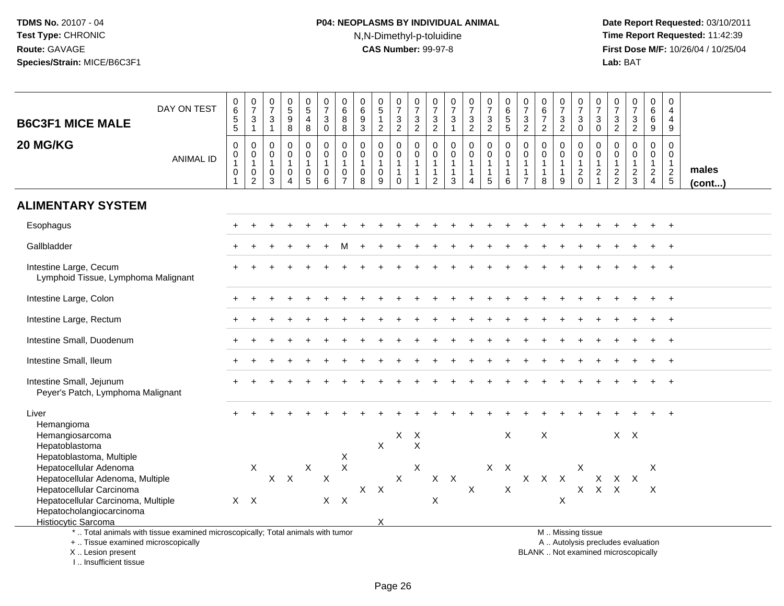I .. Insufficient tissue

# **P04: NEOPLASMS BY INDIVIDUAL ANIMAL**N,N-Dimethyl-p-toluidine

| <b>B6C3F1 MICE MALE</b><br>20 MG/KG                                                                                                                                                  | DAY ON TEST<br><b>ANIMAL ID</b>                                                 | 0<br>6<br>5<br>5<br>$\pmb{0}$<br>$\mathsf{O}$<br>$\mathbf{1}$<br>$\pmb{0}$<br>$\overline{1}$ | $\frac{0}{7}$<br>$\frac{3}{1}$<br>$\pmb{0}$<br>$\mathbf 0$<br>$\mathbf{1}$<br>$\pmb{0}$<br>$\overline{2}$ | $\begin{array}{c} 0 \\ 7 \end{array}$<br>$\ensuremath{\mathsf{3}}$<br>$\overline{1}$<br>$\mathbf 0$<br>$\mathbf 0$<br>$\mathbf{1}$<br>$\mathbf 0$<br>3 | $\begin{array}{c} 0 \\ 5 \\ 9 \end{array}$<br>$\bf8$<br>$\mathbf 0$<br>$\mathbf 0$<br>$\mathbf{1}$<br>$\mathbf 0$<br>$\boldsymbol{\Lambda}$ | $\begin{array}{c} 0 \\ 5 \end{array}$<br>$\overline{4}$<br>$\bf 8$<br>$\mathbf 0$<br>$\mathbf 0$<br>$\mathbf{1}$<br>$\pmb{0}$<br>5 | $\frac{0}{7}$<br>$\mathbf 3$<br>$\mathbf 0$<br>$\pmb{0}$<br>$\mathbf 0$<br>$\mathbf{1}$<br>$\pmb{0}$<br>6 | $\begin{array}{c} 0 \\ 6 \end{array}$<br>8<br>8<br>0<br>$\mathbf 0$<br>$\mathbf{1}$<br>$\mathbf 0$<br>$\overline{7}$ | 0<br>6<br>$\frac{9}{3}$<br>0<br>0<br>$\mathbf{1}$<br>$\mathbf 0$<br>8 | $\begin{array}{c} 0 \\ 5 \end{array}$<br>$\mathbf{1}$<br>$\overline{2}$<br>$\mathbf 0$<br>$\mathbf 0$<br>$\mathbf{1}$<br>$\pmb{0}$<br>9 | $\frac{0}{7}$<br>3<br>$\overline{2}$<br>0<br>0<br>$\mathbf{1}$<br>$\mathbf{1}$<br>$\mathbf 0$ | $\begin{array}{c} 0 \\ 7 \end{array}$<br>$\frac{3}{2}$<br>0<br>$\mathbf 0$<br>$\mathbf{1}$<br>$\overline{1}$<br>$\mathbf{1}$ | $\frac{0}{7}$<br>$\frac{3}{2}$<br>0<br>$\mathbf 0$<br>$\mathbf{1}$<br>$\mathbf{1}$<br>$\overline{2}$ | 0<br>$\overline{7}$<br>$\frac{3}{1}$<br>0<br>$\mathbf 0$<br>$\mathbf{1}$<br>$\mathbf{1}$<br>3 | $\begin{smallmatrix}0\\7\end{smallmatrix}$<br>$\frac{3}{2}$<br>$\mathsf{O}\xspace$<br>$\overline{0}$<br>$\mathbf{1}$<br>$\mathbf{1}$<br>$\boldsymbol{\Lambda}$ | $\frac{0}{7}$<br>$\frac{3}{2}$<br>0<br>0<br>$\mathbf{1}$<br>$\overline{1}$<br>$\sqrt{5}$ | $\begin{array}{c} 0 \\ 6 \end{array}$<br>$\frac{5}{5}$<br>$\mathbf 0$<br>$\mathbf 0$<br>$\mathbf{1}$<br>$\mathbf{1}$<br>6 | $\frac{0}{7}$<br>$\ensuremath{\mathsf{3}}$<br>$\overline{2}$<br>0<br>$\mathbf 0$<br>$\mathbf{1}$<br>$\mathbf{1}$<br>$\overline{7}$ | $\begin{array}{c} 0 \\ 6 \end{array}$<br>$\overline{7}$<br>$\overline{2}$<br>0<br>$\mathbf 0$<br>$\overline{1}$<br>$\mathbf{1}$<br>8 | $\begin{array}{c} 0 \\ 7 \end{array}$<br>$\frac{3}{2}$<br>0<br>$\mathbf 0$<br>$\mathbf{1}$<br>9 | $\begin{array}{c} 0 \\ 7 \end{array}$<br>$_{\rm 0}^3$<br>0<br>$\mathbf 0$<br>$\mathbf{1}$<br>$\sqrt{2}$<br>$\mathbf 0$ | $\begin{array}{c} 0 \\ 7 \end{array}$<br>$\sqrt{3}$<br>$\mathbf 0$<br>0<br>$\mathbf 0$<br>$\mathbf{1}$<br>$\sqrt{2}$<br>$\mathbf{1}$ | $\frac{0}{7}$<br>3<br>$\overline{2}$<br>0<br>$\mathbf 0$<br>$\mathbf{1}$<br>$\frac{2}{2}$ | $\begin{array}{c} 0 \\ 7 \\ 3 \\ 2 \end{array}$<br>$\pmb{0}$<br>$\mathbf 0$<br>$\mathbf{1}$<br>$\frac{2}{3}$ | $_{6}^{\rm 0}$<br>$\overline{6}$<br>$\boldsymbol{9}$<br>0<br>$\mathbf 0$<br>$\mathbf{1}$<br>$\overline{2}$<br>$\overline{4}$ | $\mathbf 0$<br>4<br>4<br>$9\,$<br>0<br>0<br>$\mathbf{1}$<br>$\sqrt{2}$<br>$\overline{5}$ | males  |
|--------------------------------------------------------------------------------------------------------------------------------------------------------------------------------------|---------------------------------------------------------------------------------|----------------------------------------------------------------------------------------------|-----------------------------------------------------------------------------------------------------------|--------------------------------------------------------------------------------------------------------------------------------------------------------|---------------------------------------------------------------------------------------------------------------------------------------------|------------------------------------------------------------------------------------------------------------------------------------|-----------------------------------------------------------------------------------------------------------|----------------------------------------------------------------------------------------------------------------------|-----------------------------------------------------------------------|-----------------------------------------------------------------------------------------------------------------------------------------|-----------------------------------------------------------------------------------------------|------------------------------------------------------------------------------------------------------------------------------|------------------------------------------------------------------------------------------------------|-----------------------------------------------------------------------------------------------|----------------------------------------------------------------------------------------------------------------------------------------------------------------|------------------------------------------------------------------------------------------|---------------------------------------------------------------------------------------------------------------------------|------------------------------------------------------------------------------------------------------------------------------------|--------------------------------------------------------------------------------------------------------------------------------------|-------------------------------------------------------------------------------------------------|------------------------------------------------------------------------------------------------------------------------|--------------------------------------------------------------------------------------------------------------------------------------|-------------------------------------------------------------------------------------------|--------------------------------------------------------------------------------------------------------------|------------------------------------------------------------------------------------------------------------------------------|------------------------------------------------------------------------------------------|--------|
| <b>ALIMENTARY SYSTEM</b>                                                                                                                                                             |                                                                                 |                                                                                              |                                                                                                           |                                                                                                                                                        |                                                                                                                                             |                                                                                                                                    |                                                                                                           |                                                                                                                      |                                                                       |                                                                                                                                         |                                                                                               |                                                                                                                              |                                                                                                      |                                                                                               |                                                                                                                                                                |                                                                                          |                                                                                                                           |                                                                                                                                    |                                                                                                                                      |                                                                                                 |                                                                                                                        |                                                                                                                                      |                                                                                           |                                                                                                              |                                                                                                                              |                                                                                          | (cont) |
| Esophagus                                                                                                                                                                            |                                                                                 |                                                                                              |                                                                                                           |                                                                                                                                                        |                                                                                                                                             |                                                                                                                                    |                                                                                                           |                                                                                                                      |                                                                       |                                                                                                                                         |                                                                                               |                                                                                                                              |                                                                                                      |                                                                                               |                                                                                                                                                                |                                                                                          |                                                                                                                           |                                                                                                                                    |                                                                                                                                      |                                                                                                 |                                                                                                                        |                                                                                                                                      |                                                                                           |                                                                                                              |                                                                                                                              | $\ddot{}$                                                                                |        |
| Gallbladder                                                                                                                                                                          |                                                                                 |                                                                                              |                                                                                                           |                                                                                                                                                        |                                                                                                                                             |                                                                                                                                    |                                                                                                           |                                                                                                                      |                                                                       |                                                                                                                                         |                                                                                               |                                                                                                                              |                                                                                                      |                                                                                               |                                                                                                                                                                |                                                                                          |                                                                                                                           |                                                                                                                                    |                                                                                                                                      |                                                                                                 |                                                                                                                        |                                                                                                                                      |                                                                                           |                                                                                                              |                                                                                                                              |                                                                                          |        |
| Intestine Large, Cecum<br>Lymphoid Tissue, Lymphoma Malignant                                                                                                                        |                                                                                 |                                                                                              |                                                                                                           |                                                                                                                                                        |                                                                                                                                             |                                                                                                                                    |                                                                                                           |                                                                                                                      |                                                                       |                                                                                                                                         |                                                                                               |                                                                                                                              |                                                                                                      |                                                                                               |                                                                                                                                                                |                                                                                          |                                                                                                                           |                                                                                                                                    |                                                                                                                                      |                                                                                                 |                                                                                                                        |                                                                                                                                      |                                                                                           |                                                                                                              |                                                                                                                              |                                                                                          |        |
| Intestine Large, Colon                                                                                                                                                               |                                                                                 |                                                                                              |                                                                                                           |                                                                                                                                                        |                                                                                                                                             |                                                                                                                                    |                                                                                                           |                                                                                                                      |                                                                       |                                                                                                                                         |                                                                                               |                                                                                                                              |                                                                                                      |                                                                                               |                                                                                                                                                                |                                                                                          |                                                                                                                           |                                                                                                                                    |                                                                                                                                      |                                                                                                 |                                                                                                                        |                                                                                                                                      |                                                                                           |                                                                                                              |                                                                                                                              |                                                                                          |        |
| Intestine Large, Rectum                                                                                                                                                              |                                                                                 |                                                                                              |                                                                                                           |                                                                                                                                                        |                                                                                                                                             |                                                                                                                                    |                                                                                                           |                                                                                                                      |                                                                       |                                                                                                                                         |                                                                                               |                                                                                                                              |                                                                                                      |                                                                                               |                                                                                                                                                                |                                                                                          |                                                                                                                           |                                                                                                                                    |                                                                                                                                      |                                                                                                 |                                                                                                                        |                                                                                                                                      |                                                                                           |                                                                                                              |                                                                                                                              |                                                                                          |        |
| Intestine Small, Duodenum                                                                                                                                                            |                                                                                 |                                                                                              |                                                                                                           |                                                                                                                                                        |                                                                                                                                             |                                                                                                                                    |                                                                                                           |                                                                                                                      |                                                                       |                                                                                                                                         |                                                                                               |                                                                                                                              |                                                                                                      |                                                                                               |                                                                                                                                                                |                                                                                          |                                                                                                                           |                                                                                                                                    |                                                                                                                                      |                                                                                                 |                                                                                                                        |                                                                                                                                      |                                                                                           |                                                                                                              |                                                                                                                              |                                                                                          |        |
| Intestine Small, Ileum                                                                                                                                                               |                                                                                 |                                                                                              |                                                                                                           |                                                                                                                                                        |                                                                                                                                             |                                                                                                                                    |                                                                                                           |                                                                                                                      |                                                                       |                                                                                                                                         |                                                                                               |                                                                                                                              |                                                                                                      |                                                                                               |                                                                                                                                                                |                                                                                          |                                                                                                                           |                                                                                                                                    |                                                                                                                                      |                                                                                                 |                                                                                                                        |                                                                                                                                      |                                                                                           |                                                                                                              |                                                                                                                              |                                                                                          |        |
| Intestine Small, Jejunum<br>Peyer's Patch, Lymphoma Malignant                                                                                                                        |                                                                                 |                                                                                              |                                                                                                           |                                                                                                                                                        |                                                                                                                                             |                                                                                                                                    |                                                                                                           |                                                                                                                      |                                                                       |                                                                                                                                         |                                                                                               |                                                                                                                              |                                                                                                      |                                                                                               |                                                                                                                                                                |                                                                                          |                                                                                                                           |                                                                                                                                    |                                                                                                                                      |                                                                                                 |                                                                                                                        |                                                                                                                                      |                                                                                           |                                                                                                              |                                                                                                                              |                                                                                          |        |
| Liver<br>Hemangioma<br>Hemangiosarcoma<br>Hepatoblastoma                                                                                                                             |                                                                                 |                                                                                              |                                                                                                           |                                                                                                                                                        |                                                                                                                                             |                                                                                                                                    |                                                                                                           |                                                                                                                      |                                                                       | $\sf X$                                                                                                                                 | X                                                                                             | $\mathsf{X}$<br>$\sf X$                                                                                                      |                                                                                                      |                                                                                               |                                                                                                                                                                |                                                                                          | X                                                                                                                         |                                                                                                                                    | $\sf X$                                                                                                                              |                                                                                                 |                                                                                                                        |                                                                                                                                      |                                                                                           | $X$ $X$                                                                                                      |                                                                                                                              |                                                                                          |        |
| Hepatoblastoma, Multiple<br>Hepatocellular Adenoma<br>Hepatocellular Adenoma, Multiple<br>Hepatocellular Carcinoma<br>Hepatocellular Carcinoma, Multiple<br>Hepatocholangiocarcinoma |                                                                                 |                                                                                              | X<br>$X$ $X$                                                                                              |                                                                                                                                                        | $X$ $X$                                                                                                                                     | $\pmb{\times}$                                                                                                                     | $\boldsymbol{\mathsf{X}}$<br>$X$ $X$                                                                      | X<br>$\boldsymbol{\mathsf{X}}$                                                                                       |                                                                       | $X$ $X$                                                                                                                                 | $\mathsf X$                                                                                   | $\times$                                                                                                                     | $\boldsymbol{\mathsf{X}}$                                                                            | $X$ $X$                                                                                       | X                                                                                                                                                              |                                                                                          | $X$ $X$<br>$\mathsf{X}$                                                                                                   |                                                                                                                                    | X X X                                                                                                                                | X                                                                                               | X<br>X                                                                                                                 | $\mathsf{X}$                                                                                                                         | X X X<br>$\sf X$                                                                          |                                                                                                              | X<br>X                                                                                                                       |                                                                                          |        |
| Histiocytic Sarcoma                                                                                                                                                                  | *  Total animals with tissue examined microscopically; Total animals with tumor |                                                                                              |                                                                                                           |                                                                                                                                                        |                                                                                                                                             |                                                                                                                                    |                                                                                                           |                                                                                                                      |                                                                       | X                                                                                                                                       |                                                                                               |                                                                                                                              |                                                                                                      |                                                                                               |                                                                                                                                                                |                                                                                          |                                                                                                                           |                                                                                                                                    |                                                                                                                                      |                                                                                                 | M  Missing tissue                                                                                                      |                                                                                                                                      |                                                                                           |                                                                                                              |                                                                                                                              |                                                                                          |        |
| +  Tissue examined microscopically<br>X  Lesion present                                                                                                                              |                                                                                 |                                                                                              |                                                                                                           |                                                                                                                                                        |                                                                                                                                             |                                                                                                                                    |                                                                                                           |                                                                                                                      |                                                                       |                                                                                                                                         |                                                                                               |                                                                                                                              |                                                                                                      |                                                                                               |                                                                                                                                                                |                                                                                          |                                                                                                                           |                                                                                                                                    | BLANK  Not examined microscopically                                                                                                  |                                                                                                 | A  Autolysis precludes evaluation                                                                                      |                                                                                                                                      |                                                                                           |                                                                                                              |                                                                                                                              |                                                                                          |        |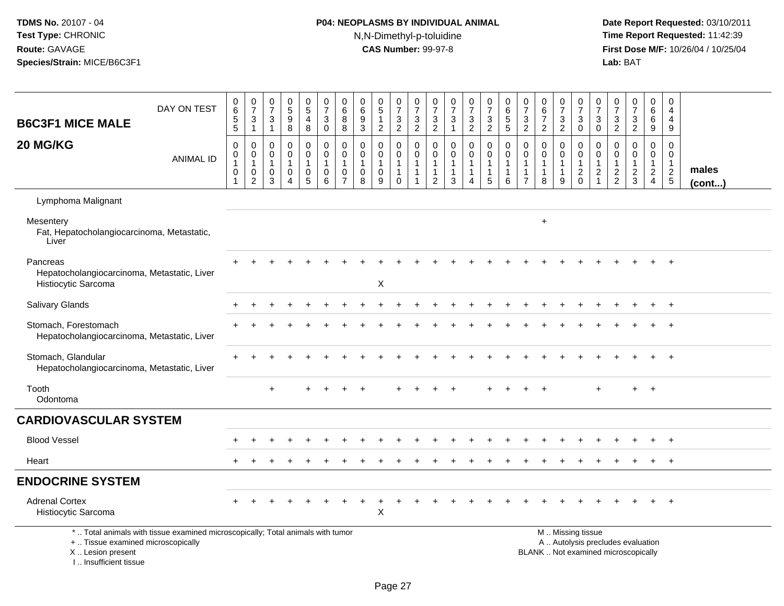# **P04: NEOPLASMS BY INDIVIDUAL ANIMAL**N,N-Dimethyl-p-toluidine

| <b>B6C3F1 MICE MALE</b>                                                          | DAY ON TEST                                                                     | $_6^0$<br>$5\,$<br>$\overline{5}$                                       | $\frac{0}{7}$<br>$\sqrt{3}$<br>$\mathbf{1}$           | 0<br>$\overline{7}$<br>3<br>$\mathbf{1}$             | $\begin{array}{c} 0 \\ 5 \\ 9 \end{array}$<br>$\, 8$                                | 0<br>$\overline{5}$<br>4<br>$\bf 8$           | $\frac{0}{7}$<br>3<br>$\mathbf 0$                         | 0<br>$\,6\,$<br>8<br>8                  | 0<br>$\,6\,$<br>9<br>$\sqrt{3}$                             | $\begin{array}{c} 0 \\ 5 \end{array}$<br>$\mathbf{1}$<br>$\boldsymbol{2}$ | $\frac{0}{7}$<br>$\mathbf{3}$<br>$\overline{2}$   | $\frac{0}{7}$<br>$\frac{3}{2}$                                       | 0<br>$\overline{7}$<br>$\sqrt{3}$<br>$\overline{c}$                          | $\frac{0}{7}$<br>$\sqrt{3}$<br>$\mathbf{1}$       | $\frac{0}{7}$<br>3<br>$\overline{2}$      | $\frac{0}{7}$<br>$\mathbf{3}$<br>$\overline{2}$                 | $\pmb{0}$<br>$\frac{6}{5}$<br>$\overline{5}$ | $\frac{0}{7}$<br>$\mathbf{3}$<br>$\overline{2}$                              | $\pmb{0}$<br>$6\phantom{a}$<br>$\overline{7}$<br>$\sqrt{2}$  | $\frac{0}{7}$<br>$\sqrt{3}$<br>$\overline{2}$         | 0<br>$\overline{7}$<br>3<br>$\mathsf{O}\xspace$         | 0<br>$\boldsymbol{7}$<br>3<br>$\mathsf{O}\xspace$               | $\frac{0}{7}$<br>$\sqrt{3}$<br>$\overline{2}$               | $\frac{0}{7}$<br>3<br>$\overline{2}$                                     | $\mathbf 0$<br>$\,6\,$<br>6<br>$\boldsymbol{9}$             | $\mathbf 0$<br>$\overline{a}$<br>$\overline{4}$<br>$9\,$ |                       |
|----------------------------------------------------------------------------------|---------------------------------------------------------------------------------|-------------------------------------------------------------------------|-------------------------------------------------------|------------------------------------------------------|-------------------------------------------------------------------------------------|-----------------------------------------------|-----------------------------------------------------------|-----------------------------------------|-------------------------------------------------------------|---------------------------------------------------------------------------|---------------------------------------------------|----------------------------------------------------------------------|------------------------------------------------------------------------------|---------------------------------------------------|-------------------------------------------|-----------------------------------------------------------------|----------------------------------------------|------------------------------------------------------------------------------|--------------------------------------------------------------|-------------------------------------------------------|---------------------------------------------------------|-----------------------------------------------------------------|-------------------------------------------------------------|--------------------------------------------------------------------------|-------------------------------------------------------------|----------------------------------------------------------|-----------------------|
| 20 MG/KG                                                                         | <b>ANIMAL ID</b>                                                                | $\mathbf 0$<br>$\pmb{0}$<br>$\mathbf{1}$<br>$\pmb{0}$<br>$\overline{1}$ | 0<br>0<br>$\mathbf{1}$<br>$\pmb{0}$<br>$\overline{2}$ | $\Omega$<br>0<br>$\overline{1}$<br>0<br>$\mathbf{3}$ | $\mathbf 0$<br>$\pmb{0}$<br>$\mathbf{1}$<br>$\mathbf 0$<br>$\boldsymbol{\varDelta}$ | 0<br>0<br>$\mathbf{1}$<br>0<br>$\overline{5}$ | $\Omega$<br>$\mathbf 0$<br>$\mathbf{1}$<br>$\pmb{0}$<br>6 | 0<br>$\mathbf 0$<br>0<br>$\overline{7}$ | $\Omega$<br>$\mathbf 0$<br>$\mathbf{1}$<br>$\mathbf 0$<br>8 | $\mathbf 0$<br>0<br>$\mathbf{1}$<br>0<br>9                                | 0<br>$\mathbf 0$<br>$\overline{1}$<br>$\mathbf 0$ | $\mathbf 0$<br>$\mathbf 0$<br>$\overline{1}$<br>$\overline{1}$<br>-1 | $\mathbf 0$<br>$\mathbf 0$<br>$\mathbf{1}$<br>$\mathbf{1}$<br>$\overline{2}$ | $\mathbf 0$<br>$\Omega$<br>$\mathbf{1}$<br>1<br>3 | 0<br>$\mathbf 0$<br>1<br>$\mathbf 1$<br>4 | $\mathbf 0$<br>$\mathbf 0$<br>$\mathbf{1}$<br>$\mathbf{1}$<br>5 | $\mathbf 0$<br>0<br>1<br>1<br>6              | $\mathbf 0$<br>$\mathbf 0$<br>$\mathbf{1}$<br>$\mathbf{1}$<br>$\overline{7}$ | $\Omega$<br>$\mathbf 0$<br>$\mathbf{1}$<br>$\mathbf{1}$<br>8 | 0<br>$\mathbf 0$<br>$\mathbf{1}$<br>$\mathbf{1}$<br>9 | 0<br>0<br>$\mathbf{1}$<br>$\overline{a}$<br>$\mathbf 0$ | 0<br>$\mathbf 0$<br>1<br>$\overline{2}$<br>$\blacktriangleleft$ | $\mathbf 0$<br>$\mathbf 0$<br>$\mathbf{1}$<br>$\frac{2}{2}$ | $\mathbf 0$<br>$\mathbf 0$<br>$\mathbf{1}$<br>$\frac{2}{3}$              | $\mathbf 0$<br>$\mathbf 0$<br>$\mathbf{1}$<br>$\frac{2}{4}$ | $\Omega$<br>$\mathbf 0$<br>$\mathbf{1}$<br>$\frac{2}{5}$ | males<br>$($ cont $)$ |
| Lymphoma Malignant                                                               |                                                                                 |                                                                         |                                                       |                                                      |                                                                                     |                                               |                                                           |                                         |                                                             |                                                                           |                                                   |                                                                      |                                                                              |                                                   |                                           |                                                                 |                                              |                                                                              |                                                              |                                                       |                                                         |                                                                 |                                                             |                                                                          |                                                             |                                                          |                       |
| Mesentery<br>Fat, Hepatocholangiocarcinoma, Metastatic,<br>Liver                 |                                                                                 |                                                                         |                                                       |                                                      |                                                                                     |                                               |                                                           |                                         |                                                             |                                                                           |                                                   |                                                                      |                                                                              |                                                   |                                           |                                                                 |                                              |                                                                              | $\ddot{}$                                                    |                                                       |                                                         |                                                                 |                                                             |                                                                          |                                                             |                                                          |                       |
| Pancreas<br>Hepatocholangiocarcinoma, Metastatic, Liver<br>Histiocytic Sarcoma   |                                                                                 |                                                                         |                                                       |                                                      |                                                                                     |                                               |                                                           |                                         |                                                             | $\mathsf X$                                                               |                                                   |                                                                      |                                                                              |                                                   |                                           |                                                                 |                                              |                                                                              |                                                              |                                                       |                                                         |                                                                 |                                                             |                                                                          |                                                             | $+$                                                      |                       |
| Salivary Glands                                                                  |                                                                                 |                                                                         |                                                       |                                                      |                                                                                     |                                               |                                                           |                                         |                                                             |                                                                           |                                                   |                                                                      |                                                                              |                                                   |                                           |                                                                 |                                              |                                                                              |                                                              |                                                       |                                                         |                                                                 |                                                             |                                                                          |                                                             | $\overline{+}$                                           |                       |
| Stomach, Forestomach<br>Hepatocholangiocarcinoma, Metastatic, Liver              |                                                                                 |                                                                         |                                                       |                                                      |                                                                                     |                                               |                                                           |                                         |                                                             |                                                                           |                                                   |                                                                      |                                                                              |                                                   |                                           |                                                                 |                                              |                                                                              |                                                              |                                                       |                                                         |                                                                 |                                                             |                                                                          |                                                             |                                                          |                       |
| Stomach, Glandular<br>Hepatocholangiocarcinoma, Metastatic, Liver                |                                                                                 |                                                                         |                                                       |                                                      |                                                                                     |                                               |                                                           |                                         |                                                             |                                                                           |                                                   |                                                                      |                                                                              |                                                   |                                           |                                                                 |                                              |                                                                              |                                                              |                                                       |                                                         |                                                                 |                                                             |                                                                          |                                                             |                                                          |                       |
| Tooth<br>Odontoma                                                                |                                                                                 |                                                                         |                                                       | $+$                                                  |                                                                                     |                                               |                                                           |                                         |                                                             |                                                                           |                                                   |                                                                      |                                                                              |                                                   |                                           |                                                                 |                                              |                                                                              |                                                              |                                                       |                                                         | $\ddot{}$                                                       |                                                             | $+$                                                                      | $+$                                                         |                                                          |                       |
| <b>CARDIOVASCULAR SYSTEM</b>                                                     |                                                                                 |                                                                         |                                                       |                                                      |                                                                                     |                                               |                                                           |                                         |                                                             |                                                                           |                                                   |                                                                      |                                                                              |                                                   |                                           |                                                                 |                                              |                                                                              |                                                              |                                                       |                                                         |                                                                 |                                                             |                                                                          |                                                             |                                                          |                       |
| <b>Blood Vessel</b>                                                              |                                                                                 |                                                                         |                                                       |                                                      |                                                                                     |                                               |                                                           |                                         |                                                             |                                                                           |                                                   |                                                                      |                                                                              |                                                   |                                           |                                                                 |                                              |                                                                              |                                                              |                                                       |                                                         |                                                                 |                                                             |                                                                          |                                                             |                                                          |                       |
| Heart                                                                            |                                                                                 |                                                                         |                                                       |                                                      |                                                                                     |                                               |                                                           |                                         |                                                             |                                                                           |                                                   |                                                                      |                                                                              |                                                   |                                           |                                                                 |                                              |                                                                              |                                                              |                                                       |                                                         |                                                                 |                                                             |                                                                          |                                                             | $\overline{+}$                                           |                       |
| <b>ENDOCRINE SYSTEM</b>                                                          |                                                                                 |                                                                         |                                                       |                                                      |                                                                                     |                                               |                                                           |                                         |                                                             |                                                                           |                                                   |                                                                      |                                                                              |                                                   |                                           |                                                                 |                                              |                                                                              |                                                              |                                                       |                                                         |                                                                 |                                                             |                                                                          |                                                             |                                                          |                       |
| <b>Adrenal Cortex</b><br>Histiocytic Sarcoma                                     |                                                                                 |                                                                         |                                                       |                                                      |                                                                                     |                                               |                                                           |                                         |                                                             | X                                                                         |                                                   |                                                                      |                                                                              |                                                   |                                           |                                                                 |                                              |                                                                              |                                                              |                                                       |                                                         |                                                                 |                                                             |                                                                          |                                                             | $+$                                                      |                       |
| +  Tissue examined microscopically<br>X  Lesion present<br>I Insufficient tissue | *  Total animals with tissue examined microscopically; Total animals with tumor |                                                                         |                                                       |                                                      |                                                                                     |                                               |                                                           |                                         |                                                             |                                                                           |                                                   |                                                                      |                                                                              |                                                   |                                           |                                                                 |                                              |                                                                              |                                                              |                                                       | M  Missing tissue                                       |                                                                 |                                                             | A  Autolysis precludes evaluation<br>BLANK  Not examined microscopically |                                                             |                                                          |                       |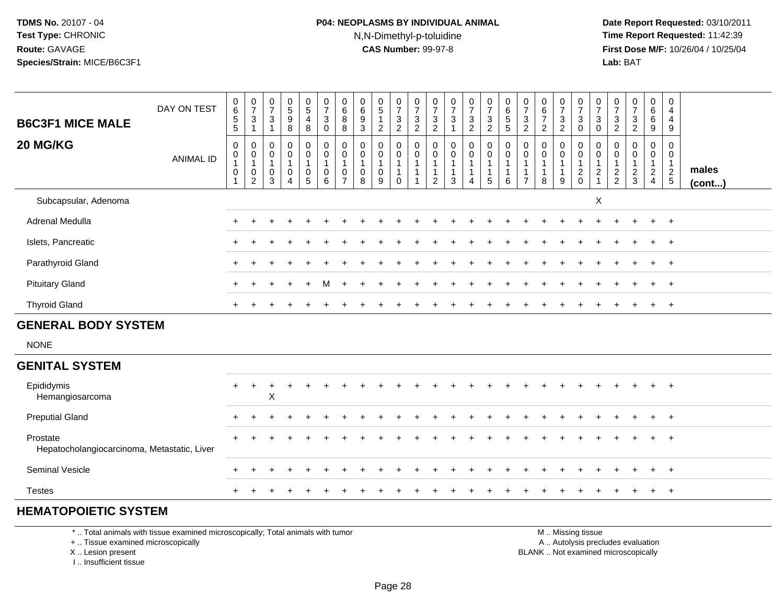#### **P04: NEOPLASMS BY INDIVIDUAL ANIMAL**N,N-Dimethyl-p-toluidine

 **Date Report Requested:** 03/10/2011 **Time Report Requested:** 11:42:39 **First Dose M/F:** 10/26/04 / 10/25/04 Lab: BAT **Lab:** BAT

| <b>B6C3F1 MICE MALE</b>                                 | DAY ON TEST      | 0<br>6<br>5<br>5                                                                           | $\frac{0}{7}$<br>$\sqrt{3}$<br>$\overline{1}$                                                            | $\frac{0}{7}$<br>$\mathbf{3}$<br>$\mathbf{1}$                | $\pmb{0}$<br>$\,$ 5 $\,$<br>$\boldsymbol{9}$<br>8                       | $\begin{array}{c} 0 \\ 5 \end{array}$<br>$\overline{\mathbf{4}}$<br>8     | $\begin{array}{c} 0 \\ 7 \end{array}$<br>$\mathbf{3}$<br>$\mathbf 0$ | $\begin{matrix} 0 \\ 6 \\ 8 \end{matrix}$<br>8          | $\pmb{0}$<br>$\,6\,$<br>$9\,$<br>3           | $\begin{array}{c} 0 \\ 5 \end{array}$<br>$\mathbf{1}$<br>$\overline{2}$ | $\frac{0}{7}$<br>$\ensuremath{\mathsf{3}}$<br>$\sqrt{2}$   | $\frac{0}{7}$<br>$\frac{3}{2}$                                                    | $\frac{0}{7}$<br>$\sqrt{3}$<br>2         | $\frac{0}{7}$<br>$\mathbf{3}$<br>1                   | $\frac{0}{7}$<br>$\frac{3}{2}$                   | $\frac{0}{7}$<br>$\mathbf{3}$<br>$\overline{2}$ | 0<br>6<br>5<br>5                                    | $\frac{0}{7}$<br>$\mathbf 3$<br>$\overline{2}$ | $\pmb{0}$<br>$\frac{6}{7}$<br>$\overline{2}$                  | $\frac{0}{7}$<br>$\mathbf{3}$<br>$\overline{c}$ | $\begin{array}{c} 0 \\ 7 \\ 3 \\ 0 \end{array}$                          | $\frac{0}{7}$<br>$\mathbf{3}$<br>$\mathbf 0$       | $\frac{0}{7}$<br>$\frac{3}{2}$          | $\begin{array}{c} 0 \\ 7 \end{array}$<br>$\frac{3}{2}$  | $\begin{array}{c} 0 \\ 6 \\ 6 \end{array}$<br>9             | 0<br>$\overline{4}$<br>$\overline{4}$<br>9      |                 |
|---------------------------------------------------------|------------------|--------------------------------------------------------------------------------------------|----------------------------------------------------------------------------------------------------------|--------------------------------------------------------------|-------------------------------------------------------------------------|---------------------------------------------------------------------------|----------------------------------------------------------------------|---------------------------------------------------------|----------------------------------------------|-------------------------------------------------------------------------|------------------------------------------------------------|-----------------------------------------------------------------------------------|------------------------------------------|------------------------------------------------------|--------------------------------------------------|-------------------------------------------------|-----------------------------------------------------|------------------------------------------------|---------------------------------------------------------------|-------------------------------------------------|--------------------------------------------------------------------------|----------------------------------------------------|-----------------------------------------|---------------------------------------------------------|-------------------------------------------------------------|-------------------------------------------------|-----------------|
| 20 MG/KG                                                | <b>ANIMAL ID</b> | $\mathbf 0$<br>$\begin{smallmatrix}0\\1\end{smallmatrix}$<br>$\mathbf 0$<br>$\overline{1}$ | $\pmb{0}$<br>$\begin{smallmatrix}0\\1\end{smallmatrix}$<br>$\begin{smallmatrix} 0\\ 2 \end{smallmatrix}$ | $\mathbf 0$<br>$\pmb{0}$<br>$\mathbf{1}$<br>$\mathbf 0$<br>3 | $\pmb{0}$<br>$\mathbf 0$<br>$\mathbf{1}$<br>$\pmb{0}$<br>$\overline{4}$ | 0<br>$\mathbf 0$<br>$\mathbf{1}$<br>$\begin{array}{c} 0 \\ 5 \end{array}$ | $\pmb{0}$<br>$\mathbf 0$<br>$\mathbf{1}$<br>$\boldsymbol{0}$<br>6    | $\pmb{0}$<br>$\pmb{0}$<br>$\mathbf{1}$<br>$\frac{0}{7}$ | $\mathbf 0$<br>0<br>$\overline{1}$<br>0<br>8 | $\boldsymbol{0}$<br>$\mathbf 0$<br>$\mathbf{1}$<br>$\mathbf 0$<br>9     | 0<br>$\pmb{0}$<br>$\mathbf{1}$<br>$\mathbf{1}$<br>$\Omega$ | $\boldsymbol{0}$<br>$\pmb{0}$<br>$\overline{1}$<br>$\mathbf{1}$<br>$\overline{1}$ | 0<br>$\pmb{0}$<br>$\mathbf{1}$<br>1<br>2 | $\mathbf 0$<br>$\mathbf 0$<br>$\mathbf{1}$<br>1<br>3 | $\pmb{0}$<br>$\pmb{0}$<br>$\mathbf{1}$<br>1<br>4 | 0<br>0<br>1<br>5                                | $\pmb{0}$<br>$\pmb{0}$<br>$\overline{1}$<br>-1<br>6 | 0<br>0<br>-1                                   | $\mathbf 0$<br>$\pmb{0}$<br>$\mathbf{1}$<br>$\mathbf{1}$<br>8 | 0<br>0<br>1<br>9                                | $\pmb{0}$<br>$\begin{smallmatrix} 0\\ 1 \end{smallmatrix}$<br>$_{0}^{2}$ | $\mathbf 0$<br>0<br>$\mathbf{1}$<br>$\overline{c}$ | 0<br>0<br>$\mathbf{1}$<br>$\frac{2}{2}$ | $\pmb{0}$<br>$\pmb{0}$<br>$\mathbf{1}$<br>$\frac{2}{3}$ | $\mathbf 0$<br>$\mathbf 0$<br>$\mathbf{1}$<br>$\frac{2}{4}$ | $\mathbf 0$<br>0<br>$\mathbf{1}$<br>$rac{2}{5}$ | males<br>(cont) |
| Subcapsular, Adenoma                                    |                  |                                                                                            |                                                                                                          |                                                              |                                                                         |                                                                           |                                                                      |                                                         |                                              |                                                                         |                                                            |                                                                                   |                                          |                                                      |                                                  |                                                 |                                                     |                                                |                                                               |                                                 |                                                                          | Χ                                                  |                                         |                                                         |                                                             |                                                 |                 |
| Adrenal Medulla                                         |                  | $\ddot{}$                                                                                  |                                                                                                          |                                                              |                                                                         |                                                                           |                                                                      |                                                         |                                              |                                                                         |                                                            |                                                                                   |                                          |                                                      |                                                  |                                                 |                                                     |                                                |                                                               |                                                 |                                                                          |                                                    |                                         |                                                         | $+$                                                         | $+$                                             |                 |
| Islets, Pancreatic                                      |                  |                                                                                            |                                                                                                          |                                                              |                                                                         |                                                                           |                                                                      |                                                         |                                              |                                                                         |                                                            |                                                                                   |                                          |                                                      |                                                  |                                                 |                                                     |                                                |                                                               |                                                 |                                                                          |                                                    |                                         |                                                         |                                                             | $^{+}$                                          |                 |
| Parathyroid Gland                                       |                  | $\ddot{}$                                                                                  |                                                                                                          |                                                              |                                                                         |                                                                           |                                                                      |                                                         |                                              |                                                                         |                                                            |                                                                                   |                                          |                                                      |                                                  |                                                 |                                                     |                                                |                                                               |                                                 |                                                                          |                                                    |                                         |                                                         |                                                             | $^{+}$                                          |                 |
| <b>Pituitary Gland</b>                                  |                  |                                                                                            |                                                                                                          |                                                              |                                                                         |                                                                           | м                                                                    |                                                         |                                              |                                                                         |                                                            |                                                                                   |                                          |                                                      |                                                  |                                                 |                                                     |                                                |                                                               |                                                 |                                                                          |                                                    |                                         |                                                         |                                                             | $\overline{1}$                                  |                 |
| <b>Thyroid Gland</b>                                    |                  |                                                                                            |                                                                                                          |                                                              |                                                                         |                                                                           |                                                                      |                                                         |                                              |                                                                         |                                                            |                                                                                   |                                          |                                                      |                                                  |                                                 |                                                     |                                                |                                                               |                                                 |                                                                          |                                                    |                                         |                                                         | $\pm$                                                       | $+$                                             |                 |
| <b>GENERAL BODY SYSTEM</b>                              |                  |                                                                                            |                                                                                                          |                                                              |                                                                         |                                                                           |                                                                      |                                                         |                                              |                                                                         |                                                            |                                                                                   |                                          |                                                      |                                                  |                                                 |                                                     |                                                |                                                               |                                                 |                                                                          |                                                    |                                         |                                                         |                                                             |                                                 |                 |
| <b>NONE</b>                                             |                  |                                                                                            |                                                                                                          |                                                              |                                                                         |                                                                           |                                                                      |                                                         |                                              |                                                                         |                                                            |                                                                                   |                                          |                                                      |                                                  |                                                 |                                                     |                                                |                                                               |                                                 |                                                                          |                                                    |                                         |                                                         |                                                             |                                                 |                 |
| <b>GENITAL SYSTEM</b>                                   |                  |                                                                                            |                                                                                                          |                                                              |                                                                         |                                                                           |                                                                      |                                                         |                                              |                                                                         |                                                            |                                                                                   |                                          |                                                      |                                                  |                                                 |                                                     |                                                |                                                               |                                                 |                                                                          |                                                    |                                         |                                                         |                                                             |                                                 |                 |
| Epididymis<br>Hemangiosarcoma                           |                  | $\ddot{}$                                                                                  | $+$                                                                                                      | $\ddot{}$<br>X                                               |                                                                         |                                                                           |                                                                      |                                                         |                                              |                                                                         |                                                            |                                                                                   |                                          |                                                      |                                                  |                                                 |                                                     |                                                |                                                               |                                                 |                                                                          |                                                    |                                         |                                                         |                                                             | $+$                                             |                 |
| <b>Preputial Gland</b>                                  |                  |                                                                                            |                                                                                                          |                                                              |                                                                         |                                                                           |                                                                      |                                                         |                                              |                                                                         |                                                            |                                                                                   |                                          |                                                      |                                                  |                                                 |                                                     |                                                |                                                               |                                                 |                                                                          |                                                    |                                         |                                                         |                                                             | $^{+}$                                          |                 |
| Prostate<br>Hepatocholangiocarcinoma, Metastatic, Liver |                  |                                                                                            |                                                                                                          |                                                              |                                                                         |                                                                           |                                                                      |                                                         |                                              |                                                                         |                                                            |                                                                                   |                                          |                                                      |                                                  |                                                 |                                                     |                                                |                                                               |                                                 |                                                                          |                                                    |                                         |                                                         |                                                             | $\overline{1}$                                  |                 |
| Seminal Vesicle                                         |                  |                                                                                            |                                                                                                          |                                                              |                                                                         |                                                                           |                                                                      |                                                         |                                              |                                                                         |                                                            |                                                                                   |                                          |                                                      |                                                  |                                                 |                                                     |                                                |                                                               |                                                 |                                                                          |                                                    |                                         |                                                         |                                                             | $+$                                             |                 |
| <b>Testes</b>                                           |                  |                                                                                            |                                                                                                          |                                                              |                                                                         |                                                                           |                                                                      |                                                         |                                              |                                                                         |                                                            |                                                                                   |                                          |                                                      |                                                  |                                                 |                                                     |                                                |                                                               |                                                 |                                                                          |                                                    |                                         |                                                         |                                                             | $+$                                             |                 |

#### **HEMATOPOIETIC SYSTEM**

\* .. Total animals with tissue examined microscopically; Total animals with tumor

+ .. Tissue examined microscopically

X .. Lesion present

I .. Insufficient tissue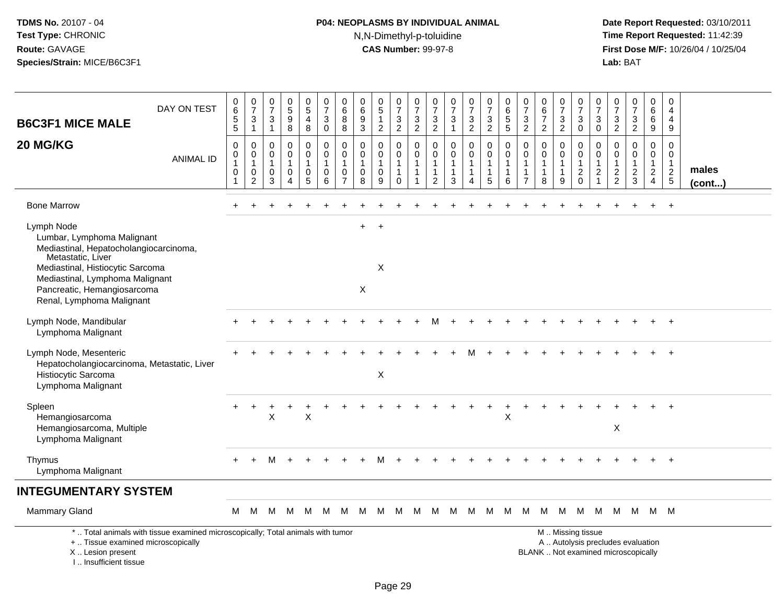I .. Insufficient tissue

# **P04: NEOPLASMS BY INDIVIDUAL ANIMAL**N,N-Dimethyl-p-toluidine

| <b>B6C3F1 MICE MALE</b>                                                                                                         | DAY ON TEST                                                                     | $\mathbf 0$<br>$\,6\,$<br>$\sqrt{5}$<br>5                            | $\frac{0}{7}$<br>$\mathbf{3}$<br>$\mathbf{1}$ | $\frac{0}{7}$<br>3<br>$\mathbf{1}$ | $\begin{array}{c} 0 \\ 5 \\ 9 \end{array}$<br>$\overline{8}$      | $\begin{array}{c} 0 \\ 5 \end{array}$<br>4<br>8         | $\frac{0}{7}$<br>$\mathbf{3}$<br>$\mathbf 0$                     | 0<br>$\,6$<br>8<br>8                            | $\pmb{0}$<br>$\,6\,$<br>$\boldsymbol{9}$<br>$\ensuremath{\mathsf{3}}$ | $\begin{array}{c} 0 \\ 5 \end{array}$<br>$\mathbf{1}$<br>$\overline{2}$ | $\frac{0}{7}$<br>3<br>$\overline{2}$        | $\frac{0}{7}$<br>$\sqrt{3}$<br>$\overline{2}$   | $\begin{array}{c} 0 \\ 7 \end{array}$<br>$\sqrt{3}$<br>$\overline{2}$            | $\begin{smallmatrix}0\\7\end{smallmatrix}$<br>$\sqrt{3}$<br>$\mathbf{1}$ | $\frac{0}{7}$<br>$\sqrt{3}$<br>$\overline{2}$ | $\frac{0}{7}$<br>$\mathbf{3}$<br>$\overline{2}$                 | $\begin{array}{c} 0 \\ 6 \\ 5 \end{array}$<br>$\overline{5}$ | $\pmb{0}$<br>$\overline{7}$<br>$\sqrt{3}$<br>$\overline{2}$      | $\begin{array}{c} 0 \\ 6 \\ 7 \end{array}$<br>$\overline{2}$    | $\begin{array}{c} 0 \\ 7 \end{array}$<br>3<br>$\overline{2}$ | $\begin{matrix} 0 \\ 7 \end{matrix}$<br>$\sqrt{3}$<br>$\mathbf 0$ | $\frac{0}{7}$<br>3<br>$\pmb{0}$                 | $\frac{0}{7}$<br>$\mathbf{3}$<br>$\overline{2}$ | $\frac{0}{7}$<br>$\mathbf{3}$<br>$\overline{2}$                          | 0<br>6<br>6<br>9                              | $\mathbf 0$<br>$\overline{4}$<br>$\overline{4}$<br>9           |                 |
|---------------------------------------------------------------------------------------------------------------------------------|---------------------------------------------------------------------------------|----------------------------------------------------------------------|-----------------------------------------------|------------------------------------|-------------------------------------------------------------------|---------------------------------------------------------|------------------------------------------------------------------|-------------------------------------------------|-----------------------------------------------------------------------|-------------------------------------------------------------------------|---------------------------------------------|-------------------------------------------------|----------------------------------------------------------------------------------|--------------------------------------------------------------------------|-----------------------------------------------|-----------------------------------------------------------------|--------------------------------------------------------------|------------------------------------------------------------------|-----------------------------------------------------------------|--------------------------------------------------------------|-------------------------------------------------------------------|-------------------------------------------------|-------------------------------------------------|--------------------------------------------------------------------------|-----------------------------------------------|----------------------------------------------------------------|-----------------|
| 20 MG/KG                                                                                                                        | <b>ANIMAL ID</b>                                                                | $\mathbf 0$<br>0<br>$\mathbf{1}$<br>$\boldsymbol{0}$<br>$\mathbf{1}$ | 0<br>0<br>1<br>$\pmb{0}$<br>$\overline{c}$    | 0<br>0<br>$\mathbf{1}$<br>0<br>3   | $\mathbf 0$<br>$\mathbf 0$<br>$\mathbf{1}$<br>0<br>$\overline{4}$ | 0<br>0<br>$\mathbf{1}$<br>$\mathbf 0$<br>$\overline{5}$ | $\mathbf 0$<br>$\mathbf 0$<br>$\overline{1}$<br>$\mathbf 0$<br>6 | 0<br>0<br>$\overline{1}$<br>0<br>$\overline{7}$ | 0<br>$\mathbf 0$<br>$\mathbf{1}$<br>$\mathbf 0$<br>8                  | 0<br>0<br>$\mathbf{1}$<br>0<br>9                                        | 0<br>0<br>$\mathbf{1}$<br>$\mathbf{1}$<br>0 | $\mathbf 0$<br>$\mathbf 0$<br>$\mathbf{1}$<br>1 | $\mathbf 0$<br>$\mathbf 0$<br>$\overline{1}$<br>$\overline{1}$<br>$\overline{2}$ | $\mathbf 0$<br>0<br>$\mathbf{1}$<br>$\mathbf{1}$<br>3                    | 0<br>0<br>$\mathbf{1}$<br>$\mathbf{1}$<br>4   | $\mathbf 0$<br>$\mathbf 0$<br>$\mathbf{1}$<br>$\mathbf{1}$<br>5 | 0<br>0<br>$\mathbf{1}$<br>$\mathbf{1}$<br>6                  | $\mathbf 0$<br>0<br>$\mathbf 1$<br>$\mathbf 1$<br>$\overline{7}$ | $\mathbf 0$<br>$\mathbf 0$<br>$\mathbf{1}$<br>$\mathbf{1}$<br>8 | 0<br>0<br>$\mathbf{1}$<br>$\mathbf{1}$<br>9                  | 0<br>$\mathbf 0$<br>$\mathbf{1}$<br>$\sqrt{2}$<br>$\mathbf 0$     | 0<br>0<br>1<br>$\overline{c}$<br>$\overline{1}$ | 0<br>0<br>$\mathbf{1}$<br>$\frac{2}{2}$         | 0<br>0<br>$\mathbf{1}$<br>$\overline{c}$<br>3                            | 0<br>0<br>$\mathbf{1}$<br>$\overline{a}$<br>4 | $\mathbf 0$<br>0<br>$\overline{1}$<br>$\sqrt{2}$<br>$\sqrt{5}$ | males<br>(cont) |
| <b>Bone Marrow</b>                                                                                                              |                                                                                 |                                                                      |                                               |                                    |                                                                   |                                                         |                                                                  |                                                 |                                                                       |                                                                         |                                             |                                                 |                                                                                  |                                                                          |                                               |                                                                 |                                                              |                                                                  |                                                                 |                                                              |                                                                   |                                                 |                                                 |                                                                          |                                               | $+$                                                            |                 |
| Lymph Node<br>Lumbar, Lymphoma Malignant<br>Mediastinal, Hepatocholangiocarcinoma,<br>Metastatic, Liver                         |                                                                                 |                                                                      |                                               |                                    |                                                                   |                                                         |                                                                  |                                                 | $+$                                                                   | $+$                                                                     |                                             |                                                 |                                                                                  |                                                                          |                                               |                                                                 |                                                              |                                                                  |                                                                 |                                                              |                                                                   |                                                 |                                                 |                                                                          |                                               |                                                                |                 |
| Mediastinal, Histiocytic Sarcoma<br>Mediastinal, Lymphoma Malignant<br>Pancreatic, Hemangiosarcoma<br>Renal, Lymphoma Malignant |                                                                                 |                                                                      |                                               |                                    |                                                                   |                                                         |                                                                  |                                                 | $\mathsf X$                                                           | X                                                                       |                                             |                                                 |                                                                                  |                                                                          |                                               |                                                                 |                                                              |                                                                  |                                                                 |                                                              |                                                                   |                                                 |                                                 |                                                                          |                                               |                                                                |                 |
| Lymph Node, Mandibular<br>Lymphoma Malignant                                                                                    |                                                                                 |                                                                      |                                               |                                    |                                                                   |                                                         |                                                                  |                                                 |                                                                       |                                                                         |                                             |                                                 |                                                                                  |                                                                          |                                               |                                                                 |                                                              |                                                                  |                                                                 |                                                              |                                                                   |                                                 |                                                 |                                                                          |                                               |                                                                |                 |
| Lymph Node, Mesenteric<br>Hepatocholangiocarcinoma, Metastatic, Liver<br>Histiocytic Sarcoma<br>Lymphoma Malignant              |                                                                                 |                                                                      |                                               |                                    |                                                                   |                                                         |                                                                  |                                                 |                                                                       | X                                                                       |                                             |                                                 |                                                                                  |                                                                          |                                               |                                                                 |                                                              |                                                                  |                                                                 |                                                              |                                                                   |                                                 |                                                 |                                                                          |                                               |                                                                |                 |
| Spleen<br>Hemangiosarcoma<br>Hemangiosarcoma, Multiple<br>Lymphoma Malignant                                                    |                                                                                 |                                                                      |                                               | X                                  |                                                                   | X                                                       |                                                                  |                                                 |                                                                       |                                                                         |                                             |                                                 |                                                                                  |                                                                          |                                               |                                                                 | $\boldsymbol{\mathsf{X}}$                                    |                                                                  |                                                                 |                                                              |                                                                   |                                                 | $\boldsymbol{\mathsf{X}}$                       |                                                                          |                                               |                                                                |                 |
| Thymus<br>Lymphoma Malignant                                                                                                    |                                                                                 |                                                                      |                                               |                                    |                                                                   |                                                         |                                                                  |                                                 |                                                                       |                                                                         |                                             |                                                 |                                                                                  |                                                                          |                                               |                                                                 |                                                              |                                                                  |                                                                 |                                                              |                                                                   |                                                 |                                                 |                                                                          |                                               | $\ddot{+}$                                                     |                 |
| <b>INTEGUMENTARY SYSTEM</b>                                                                                                     |                                                                                 |                                                                      |                                               |                                    |                                                                   |                                                         |                                                                  |                                                 |                                                                       |                                                                         |                                             |                                                 |                                                                                  |                                                                          |                                               |                                                                 |                                                              |                                                                  |                                                                 |                                                              |                                                                   |                                                 |                                                 |                                                                          |                                               |                                                                |                 |
| Mammary Gland                                                                                                                   |                                                                                 | M                                                                    | M                                             | м                                  | M                                                                 | M                                                       | м                                                                | м                                               | м                                                                     | M                                                                       | M                                           | M                                               | M                                                                                |                                                                          | M M                                           | M                                                               | M                                                            | M                                                                | M                                                               | <b>M</b>                                                     | M                                                                 | M                                               |                                                 | M M M M                                                                  |                                               |                                                                |                 |
| +  Tissue examined microscopically<br>X Lesion present                                                                          | *  Total animals with tissue examined microscopically; Total animals with tumor |                                                                      |                                               |                                    |                                                                   |                                                         |                                                                  |                                                 |                                                                       |                                                                         |                                             |                                                 |                                                                                  |                                                                          |                                               |                                                                 |                                                              |                                                                  |                                                                 |                                                              | M  Missing tissue                                                 |                                                 |                                                 | A  Autolysis precludes evaluation<br>BLANK  Not examined microscopically |                                               |                                                                |                 |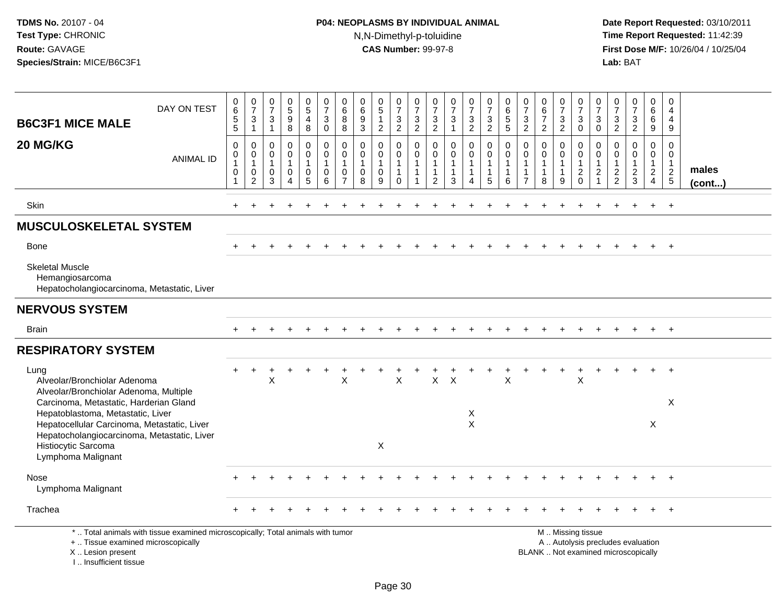I .. Insufficient tissue

# **P04: NEOPLASMS BY INDIVIDUAL ANIMAL**N,N-Dimethyl-p-toluidine

| <b>B6C3F1 MICE MALE</b>                                                                                                                    | DAY ON TEST      | 0<br>6<br>$\overline{5}$<br>5                                                    | 0<br>$\overline{7}$<br>$\mathbf{3}$<br>$\mathbf{1}$ | $\begin{array}{c} 0 \\ 7 \end{array}$<br>3<br>$\overline{1}$ | $^{\rm 0}_{\rm 5}$<br>$\boldsymbol{9}$<br>8   | $\begin{smallmatrix}0\0\5\end{smallmatrix}$<br>4<br>8 | 0<br>$\overline{7}$<br>$\sqrt{3}$<br>$\mathbf 0$                 | 0<br>$6\phantom{a}$<br>8<br>8                                                 | 0<br>6<br>$\frac{9}{3}$                                      | $\begin{array}{c} 0 \\ 5 \end{array}$<br>$\mathbf{1}$<br>$\overline{2}$ | $\frac{0}{7}$<br>$\frac{3}{2}$                                  | $\begin{array}{c} 0 \\ 7 \end{array}$<br>$\frac{3}{2}$ | $\frac{0}{7}$<br>$\frac{3}{2}$                                                 | $\frac{0}{7}$<br>$\sqrt{3}$<br>$\mathbf{1}$           | $\frac{0}{7}$<br>$\frac{3}{2}$   | $\frac{0}{7}$<br>$\frac{3}{2}$                                       | $_{6}^{\rm 0}$<br>$\frac{5}{5}$                       | $\frac{0}{7}$<br>$\frac{3}{2}$                                               | $\begin{array}{c} 0 \\ 6 \\ 7 \end{array}$<br>$\overline{2}$  | 0<br>$\overline{7}$<br>$\frac{3}{2}$                 | $\frac{0}{7}$<br>$\ensuremath{\mathsf{3}}$<br>$\mathbf 0$                                     | 0<br>$\overline{7}$<br>3<br>$\mathbf 0$              | $\frac{0}{7}$<br>$\frac{3}{2}$                  | $\frac{0}{7}$<br>$\mathbf{3}$<br>$\overline{2}$ | 0<br>$\,6\,$<br>6<br>9                  | 0<br>$\overline{4}$<br>4<br>9                               |                 |
|--------------------------------------------------------------------------------------------------------------------------------------------|------------------|----------------------------------------------------------------------------------|-----------------------------------------------------|--------------------------------------------------------------|-----------------------------------------------|-------------------------------------------------------|------------------------------------------------------------------|-------------------------------------------------------------------------------|--------------------------------------------------------------|-------------------------------------------------------------------------|-----------------------------------------------------------------|--------------------------------------------------------|--------------------------------------------------------------------------------|-------------------------------------------------------|----------------------------------|----------------------------------------------------------------------|-------------------------------------------------------|------------------------------------------------------------------------------|---------------------------------------------------------------|------------------------------------------------------|-----------------------------------------------------------------------------------------------|------------------------------------------------------|-------------------------------------------------|-------------------------------------------------|-----------------------------------------|-------------------------------------------------------------|-----------------|
| 20 MG/KG                                                                                                                                   | <b>ANIMAL ID</b> | $\pmb{0}$<br>$\mathbf 0$<br>$\overline{1}$<br>$\boldsymbol{0}$<br>$\overline{1}$ | 0<br>0<br>$\mathbf{1}$<br>0<br>$\overline{c}$       | 0<br>$\mathbf 0$<br>$\overline{1}$<br>$\mathbf 0$<br>3       | 0<br>0<br>$\mathbf{1}$<br>0<br>$\overline{A}$ | 0<br>$\mathbf 0$<br>$\mathbf{1}$<br>$\mathbf 0$<br>5  | $\mathbf 0$<br>$\mathbf 0$<br>$\overline{1}$<br>$\mathbf 0$<br>6 | $\mathbf 0$<br>$\mathbf 0$<br>$\overline{1}$<br>$\mathbf 0$<br>$\overline{7}$ | $\mathbf 0$<br>$\mathbf 0$<br>$\mathbf{1}$<br>$\pmb{0}$<br>8 | 0<br>0<br>$\mathbf{1}$<br>$\pmb{0}$<br>9                                | 0<br>$\mathbf 0$<br>$\mathbf{1}$<br>$\mathbf{1}$<br>$\mathbf 0$ | $\mathbf 0$<br>0<br>1                                  | $\mathbf 0$<br>$\mathbf 0$<br>$\overline{1}$<br>$\mathbf{1}$<br>$\overline{2}$ | $\mathbf 0$<br>0<br>$\mathbf{1}$<br>$\mathbf{1}$<br>3 | 0<br>0<br>$\mathbf{1}$<br>1<br>4 | $\boldsymbol{0}$<br>$\mathbf 0$<br>$\mathbf{1}$<br>$\mathbf{1}$<br>5 | $\mathbf 0$<br>0<br>$\mathbf{1}$<br>$\mathbf{1}$<br>6 | $\mathbf 0$<br>$\mathbf 0$<br>$\mathbf{1}$<br>$\mathbf{1}$<br>$\overline{7}$ | $\mathbf 0$<br>$\pmb{0}$<br>$\mathbf{1}$<br>$\mathbf{1}$<br>8 | 0<br>$\pmb{0}$<br>$\overline{1}$<br>$\mathbf 1$<br>9 | $\mathbf 0$<br>$\mathsf 0$<br>$\overline{1}$<br>$\overline{c}$<br>$\mathbf 0$                 | 0<br>$\mathbf 0$<br>$\overline{c}$<br>$\overline{1}$ | 0<br>$\pmb{0}$<br>$\mathbf{1}$<br>$\frac{2}{2}$ | $\pmb{0}$<br>0<br>$\mathbf{1}$<br>$\frac{2}{3}$ | 0<br>0<br>$\mathbf{1}$<br>$\frac{2}{4}$ | $\mathbf 0$<br>$\mathbf 0$<br>$\mathbf{1}$<br>$\frac{2}{5}$ | males<br>(cont) |
| Skin                                                                                                                                       |                  |                                                                                  |                                                     |                                                              | ÷                                             |                                                       |                                                                  |                                                                               |                                                              |                                                                         |                                                                 |                                                        |                                                                                |                                                       |                                  |                                                                      | ÷                                                     |                                                                              |                                                               |                                                      |                                                                                               |                                                      |                                                 | $\ddot{}$                                       | $+$                                     | $+$                                                         |                 |
| <b>MUSCULOSKELETAL SYSTEM</b>                                                                                                              |                  |                                                                                  |                                                     |                                                              |                                               |                                                       |                                                                  |                                                                               |                                                              |                                                                         |                                                                 |                                                        |                                                                                |                                                       |                                  |                                                                      |                                                       |                                                                              |                                                               |                                                      |                                                                                               |                                                      |                                                 |                                                 |                                         |                                                             |                 |
| <b>Bone</b>                                                                                                                                |                  |                                                                                  |                                                     |                                                              |                                               |                                                       |                                                                  |                                                                               |                                                              |                                                                         |                                                                 |                                                        |                                                                                |                                                       |                                  |                                                                      |                                                       |                                                                              |                                                               |                                                      |                                                                                               |                                                      |                                                 |                                                 |                                         | $+$                                                         |                 |
| <b>Skeletal Muscle</b><br>Hemangiosarcoma<br>Hepatocholangiocarcinoma, Metastatic, Liver                                                   |                  |                                                                                  |                                                     |                                                              |                                               |                                                       |                                                                  |                                                                               |                                                              |                                                                         |                                                                 |                                                        |                                                                                |                                                       |                                  |                                                                      |                                                       |                                                                              |                                                               |                                                      |                                                                                               |                                                      |                                                 |                                                 |                                         |                                                             |                 |
| <b>NERVOUS SYSTEM</b>                                                                                                                      |                  |                                                                                  |                                                     |                                                              |                                               |                                                       |                                                                  |                                                                               |                                                              |                                                                         |                                                                 |                                                        |                                                                                |                                                       |                                  |                                                                      |                                                       |                                                                              |                                                               |                                                      |                                                                                               |                                                      |                                                 |                                                 |                                         |                                                             |                 |
| <b>Brain</b>                                                                                                                               |                  |                                                                                  |                                                     |                                                              |                                               |                                                       |                                                                  |                                                                               |                                                              |                                                                         |                                                                 |                                                        |                                                                                |                                                       |                                  |                                                                      |                                                       |                                                                              |                                                               |                                                      |                                                                                               |                                                      |                                                 |                                                 |                                         | $+$                                                         |                 |
| <b>RESPIRATORY SYSTEM</b>                                                                                                                  |                  |                                                                                  |                                                     |                                                              |                                               |                                                       |                                                                  |                                                                               |                                                              |                                                                         |                                                                 |                                                        |                                                                                |                                                       |                                  |                                                                      |                                                       |                                                                              |                                                               |                                                      |                                                                                               |                                                      |                                                 |                                                 |                                         |                                                             |                 |
| Lung<br>Alveolar/Bronchiolar Adenoma<br>Alveolar/Bronchiolar Adenoma, Multiple                                                             |                  |                                                                                  |                                                     | X                                                            |                                               |                                                       |                                                                  | X                                                                             |                                                              |                                                                         | $\mathsf{X}$                                                    |                                                        | X                                                                              | $\times$                                              |                                  |                                                                      | X                                                     |                                                                              |                                                               |                                                      | X                                                                                             |                                                      |                                                 |                                                 | $+$                                     | $+$                                                         |                 |
| Carcinoma, Metastatic, Harderian Gland<br>Hepatoblastoma, Metastatic, Liver                                                                |                  |                                                                                  |                                                     |                                                              |                                               |                                                       |                                                                  |                                                                               |                                                              |                                                                         |                                                                 |                                                        |                                                                                |                                                       | X                                |                                                                      |                                                       |                                                                              |                                                               |                                                      |                                                                                               |                                                      |                                                 |                                                 |                                         | X                                                           |                 |
| Hepatocellular Carcinoma, Metastatic, Liver<br>Hepatocholangiocarcinoma, Metastatic, Liver                                                 |                  |                                                                                  |                                                     |                                                              |                                               |                                                       |                                                                  |                                                                               |                                                              |                                                                         |                                                                 |                                                        |                                                                                |                                                       | $\mathsf{X}$                     |                                                                      |                                                       |                                                                              |                                                               |                                                      |                                                                                               |                                                      |                                                 |                                                 | X                                       |                                                             |                 |
| Histiocytic Sarcoma<br>Lymphoma Malignant                                                                                                  |                  |                                                                                  |                                                     |                                                              |                                               |                                                       |                                                                  |                                                                               |                                                              | X                                                                       |                                                                 |                                                        |                                                                                |                                                       |                                  |                                                                      |                                                       |                                                                              |                                                               |                                                      |                                                                                               |                                                      |                                                 |                                                 |                                         |                                                             |                 |
| Nose<br>Lymphoma Malignant                                                                                                                 |                  |                                                                                  |                                                     |                                                              |                                               |                                                       |                                                                  |                                                                               |                                                              |                                                                         |                                                                 |                                                        |                                                                                |                                                       |                                  |                                                                      |                                                       |                                                                              |                                                               |                                                      |                                                                                               |                                                      |                                                 |                                                 |                                         |                                                             |                 |
| Trachea                                                                                                                                    |                  |                                                                                  |                                                     |                                                              |                                               |                                                       |                                                                  |                                                                               |                                                              |                                                                         |                                                                 |                                                        |                                                                                |                                                       |                                  |                                                                      |                                                       |                                                                              |                                                               |                                                      |                                                                                               |                                                      |                                                 |                                                 |                                         |                                                             |                 |
| *  Total animals with tissue examined microscopically; Total animals with tumor<br>+  Tissue examined microscopically<br>X  Lesion present |                  |                                                                                  |                                                     |                                                              |                                               |                                                       |                                                                  |                                                                               |                                                              |                                                                         |                                                                 |                                                        |                                                                                |                                                       |                                  |                                                                      |                                                       |                                                                              |                                                               |                                                      | M  Missing tissue<br>A  Autolysis precludes evaluation<br>BLANK  Not examined microscopically |                                                      |                                                 |                                                 |                                         |                                                             |                 |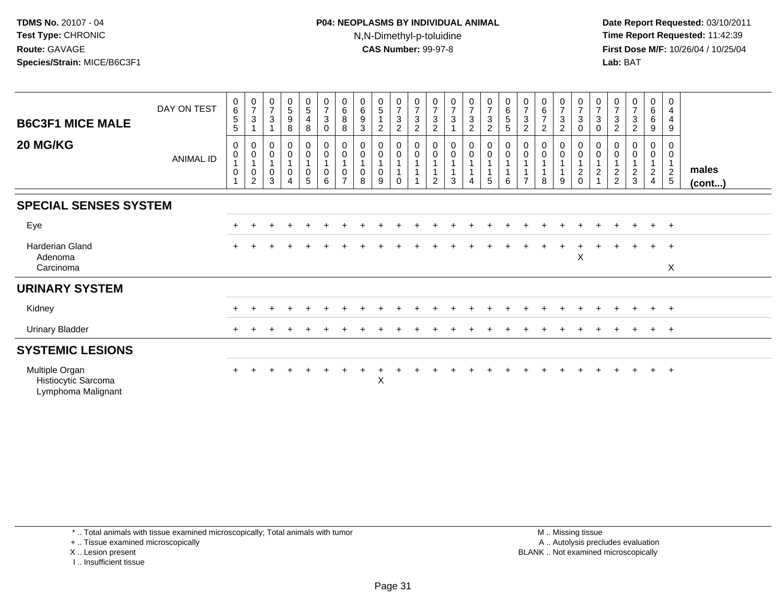#### **P04: NEOPLASMS BY INDIVIDUAL ANIMAL**N,N-Dimethyl-p-toluidine

 **Date Report Requested:** 03/10/2011 **Time Report Requested:** 11:42:39 **First Dose M/F:** 10/26/04 / 10/25/04 Lab: BAT **Lab:** BAT

| <b>B6C3F1 MICE MALE</b><br>20 MG/KG                         | DAY ON TEST<br><b>ANIMAL ID</b> | $\begin{array}{c} 0 \\ 6 \end{array}$<br>$\sqrt{5}$<br>5<br>0<br>$\pmb{0}$<br>1<br>$\boldsymbol{0}$ | $\frac{0}{7}$<br>$\sqrt{3}$<br>$\mathbf{1}$<br>$\pmb{0}$<br>$\pmb{0}$<br>$\mathbf{1}$<br>$\pmb{0}$<br>$\overline{c}$ | $\frac{0}{7}$<br>$\ensuremath{\mathsf{3}}$<br>$\mathbf{1}$<br>$\mathbf 0$<br>$\pmb{0}$<br>$\mathbf{1}$<br>$\pmb{0}$<br>3 | $\begin{array}{c} 0 \\ 5 \end{array}$<br>9<br>8<br>0<br>0<br>$\mathbf{1}$<br>0 | $\begin{array}{c} 0 \\ 5 \end{array}$<br>$\overline{\mathbf{4}}$<br>8<br>0<br>$\boldsymbol{0}$<br>0<br>5 | $\frac{0}{7}$<br>$\sqrt{3}$<br>$\mathbf 0$<br>$\begin{smallmatrix} 0\\0 \end{smallmatrix}$<br>$\overline{1}$<br>$\begin{array}{c} 0 \\ 6 \end{array}$ | $\begin{array}{c} 0 \\ 6 \end{array}$<br>$\,8\,$<br>$\bf8$<br>0<br>0<br>$\overline{1}$<br>0<br>$\overline{ }$ | $\begin{matrix}0\\6\end{matrix}$<br>$\boldsymbol{9}$<br>3<br>0<br>$\boldsymbol{0}$<br>$\mathbf{1}$<br>$\pmb{0}$<br>8 | $\begin{matrix} 0 \\ 5 \end{matrix}$<br>$\overline{2}$<br>0<br>$\mathbf 0$<br>0<br>9 | $\begin{array}{c} 0 \\ 7 \end{array}$<br>$\ensuremath{\mathsf{3}}$<br>$\overline{c}$<br>$_{\rm 0}^{\rm 0}$<br>$\overline{1}$<br>$\overline{1}$<br>$\Omega$ | $\frac{0}{7}$<br>$\ensuremath{\mathsf{3}}$<br>$\overline{2}$<br>$\pmb{0}$<br>$\pmb{0}$ | $\frac{0}{7}$<br>$\frac{3}{2}$<br>$\begin{smallmatrix} 0\\0 \end{smallmatrix}$<br>$\overline{2}$ | $\frac{0}{7}$<br>$\sqrt{3}$<br>$\mathbf{1}$<br>$\pmb{0}$<br>$\mathbf 0$<br>$\mathbf{1}$<br>$\mathbf{1}$<br>3 | $\frac{0}{7}$<br>$\mathbf{3}$<br>$\overline{2}$<br>$\mathbf 0$<br>$\mathbf 0$<br>4 | $\frac{0}{7}$<br>$\ensuremath{\mathsf{3}}$<br>$\sqrt{2}$<br>$\begin{smallmatrix}0\0\0\end{smallmatrix}$<br>$\sqrt{5}$ | $\begin{array}{c} 0 \\ 6 \end{array}$<br>$\mathbf 5$<br>5<br>$\begin{smallmatrix}0\\0\end{smallmatrix}$<br>$\overline{A}$<br>6 | $\frac{0}{7}$<br>$\sqrt{3}$<br>$\overline{2}$<br>0<br>0 | $\begin{array}{c} 0 \\ 6 \\ 7 \end{array}$<br>$\overline{2}$<br>0<br>$\pmb{0}$<br>8 | $\frac{0}{7}$<br>$\ensuremath{\mathsf{3}}$<br>$\overline{2}$<br>$\boldsymbol{0}$<br>$\mathbf 0$<br>1<br>$\mathbf{1}$<br>9 | $\frac{0}{7}$<br>$\sqrt{3}$<br>0<br>$\boldsymbol{0}$<br>$\mathbf 0$<br>$\mathbf{1}$<br>$\sqrt{2}$<br>$\mathbf 0$ | $\frac{0}{7}$<br>3<br>0<br>0<br>0<br>$\mathbf{1}$<br>$\overline{c}$ | $\frac{0}{7}$<br>$\ensuremath{\mathsf{3}}$<br>$\boldsymbol{2}$<br>0<br>$\frac{2}{2}$ | $\begin{smallmatrix}0\\7\end{smallmatrix}$<br>$\ensuremath{\mathsf{3}}$<br>$\overline{2}$<br>0<br>$\pmb{0}$<br>$\frac{2}{3}$ | $\begin{matrix} 0\ 6\ 6 \end{matrix}$<br>9<br>0<br>$\overline{0}$<br>$\overline{1}$<br>$\sqrt{2}$<br>$\overline{4}$ | $\mathbf 0$<br>$\overline{4}$<br>$\overline{4}$<br>9<br>0<br>$\mathbf 0$<br>$\mathbf{1}$<br>$\frac{2}{5}$ | males<br>$($ cont $)$ |
|-------------------------------------------------------------|---------------------------------|-----------------------------------------------------------------------------------------------------|----------------------------------------------------------------------------------------------------------------------|--------------------------------------------------------------------------------------------------------------------------|--------------------------------------------------------------------------------|----------------------------------------------------------------------------------------------------------|-------------------------------------------------------------------------------------------------------------------------------------------------------|---------------------------------------------------------------------------------------------------------------|----------------------------------------------------------------------------------------------------------------------|--------------------------------------------------------------------------------------|------------------------------------------------------------------------------------------------------------------------------------------------------------|----------------------------------------------------------------------------------------|--------------------------------------------------------------------------------------------------|--------------------------------------------------------------------------------------------------------------|------------------------------------------------------------------------------------|-----------------------------------------------------------------------------------------------------------------------|--------------------------------------------------------------------------------------------------------------------------------|---------------------------------------------------------|-------------------------------------------------------------------------------------|---------------------------------------------------------------------------------------------------------------------------|------------------------------------------------------------------------------------------------------------------|---------------------------------------------------------------------|--------------------------------------------------------------------------------------|------------------------------------------------------------------------------------------------------------------------------|---------------------------------------------------------------------------------------------------------------------|-----------------------------------------------------------------------------------------------------------|-----------------------|
| <b>SPECIAL SENSES SYSTEM</b>                                |                                 |                                                                                                     |                                                                                                                      |                                                                                                                          |                                                                                |                                                                                                          |                                                                                                                                                       |                                                                                                               |                                                                                                                      |                                                                                      |                                                                                                                                                            |                                                                                        |                                                                                                  |                                                                                                              |                                                                                    |                                                                                                                       |                                                                                                                                |                                                         |                                                                                     |                                                                                                                           |                                                                                                                  |                                                                     |                                                                                      |                                                                                                                              |                                                                                                                     |                                                                                                           |                       |
|                                                             |                                 |                                                                                                     |                                                                                                                      |                                                                                                                          |                                                                                |                                                                                                          |                                                                                                                                                       |                                                                                                               |                                                                                                                      |                                                                                      |                                                                                                                                                            |                                                                                        |                                                                                                  |                                                                                                              |                                                                                    |                                                                                                                       |                                                                                                                                |                                                         |                                                                                     |                                                                                                                           |                                                                                                                  |                                                                     |                                                                                      |                                                                                                                              |                                                                                                                     |                                                                                                           |                       |
| Eye                                                         |                                 |                                                                                                     |                                                                                                                      |                                                                                                                          |                                                                                |                                                                                                          |                                                                                                                                                       |                                                                                                               |                                                                                                                      |                                                                                      |                                                                                                                                                            |                                                                                        |                                                                                                  |                                                                                                              |                                                                                    |                                                                                                                       |                                                                                                                                |                                                         |                                                                                     |                                                                                                                           |                                                                                                                  |                                                                     |                                                                                      |                                                                                                                              | $\pm$                                                                                                               | $+$                                                                                                       |                       |
| Harderian Gland<br>Adenoma                                  |                                 |                                                                                                     |                                                                                                                      |                                                                                                                          |                                                                                |                                                                                                          |                                                                                                                                                       |                                                                                                               |                                                                                                                      |                                                                                      |                                                                                                                                                            |                                                                                        |                                                                                                  |                                                                                                              |                                                                                    |                                                                                                                       |                                                                                                                                |                                                         |                                                                                     |                                                                                                                           | $\boldsymbol{\mathsf{X}}$                                                                                        |                                                                     |                                                                                      |                                                                                                                              | $\ddot{}$                                                                                                           | $^{+}$                                                                                                    |                       |
| Carcinoma                                                   |                                 |                                                                                                     |                                                                                                                      |                                                                                                                          |                                                                                |                                                                                                          |                                                                                                                                                       |                                                                                                               |                                                                                                                      |                                                                                      |                                                                                                                                                            |                                                                                        |                                                                                                  |                                                                                                              |                                                                                    |                                                                                                                       |                                                                                                                                |                                                         |                                                                                     |                                                                                                                           |                                                                                                                  |                                                                     |                                                                                      |                                                                                                                              |                                                                                                                     | $\sf X$                                                                                                   |                       |
| <b>URINARY SYSTEM</b>                                       |                                 |                                                                                                     |                                                                                                                      |                                                                                                                          |                                                                                |                                                                                                          |                                                                                                                                                       |                                                                                                               |                                                                                                                      |                                                                                      |                                                                                                                                                            |                                                                                        |                                                                                                  |                                                                                                              |                                                                                    |                                                                                                                       |                                                                                                                                |                                                         |                                                                                     |                                                                                                                           |                                                                                                                  |                                                                     |                                                                                      |                                                                                                                              |                                                                                                                     |                                                                                                           |                       |
| Kidney                                                      |                                 |                                                                                                     |                                                                                                                      |                                                                                                                          |                                                                                |                                                                                                          |                                                                                                                                                       |                                                                                                               |                                                                                                                      |                                                                                      |                                                                                                                                                            |                                                                                        |                                                                                                  |                                                                                                              |                                                                                    |                                                                                                                       |                                                                                                                                |                                                         |                                                                                     |                                                                                                                           |                                                                                                                  |                                                                     |                                                                                      |                                                                                                                              | $\pm$                                                                                                               | $+$                                                                                                       |                       |
| <b>Urinary Bladder</b>                                      |                                 |                                                                                                     |                                                                                                                      |                                                                                                                          |                                                                                |                                                                                                          |                                                                                                                                                       |                                                                                                               |                                                                                                                      |                                                                                      |                                                                                                                                                            |                                                                                        |                                                                                                  |                                                                                                              |                                                                                    |                                                                                                                       |                                                                                                                                |                                                         |                                                                                     |                                                                                                                           |                                                                                                                  |                                                                     |                                                                                      |                                                                                                                              | $+$                                                                                                                 | $+$                                                                                                       |                       |
| <b>SYSTEMIC LESIONS</b>                                     |                                 |                                                                                                     |                                                                                                                      |                                                                                                                          |                                                                                |                                                                                                          |                                                                                                                                                       |                                                                                                               |                                                                                                                      |                                                                                      |                                                                                                                                                            |                                                                                        |                                                                                                  |                                                                                                              |                                                                                    |                                                                                                                       |                                                                                                                                |                                                         |                                                                                     |                                                                                                                           |                                                                                                                  |                                                                     |                                                                                      |                                                                                                                              |                                                                                                                     |                                                                                                           |                       |
| Multiple Organ<br>Histiocytic Sarcoma<br>Lymphoma Malignant |                                 |                                                                                                     |                                                                                                                      |                                                                                                                          |                                                                                |                                                                                                          |                                                                                                                                                       |                                                                                                               |                                                                                                                      | $\mathsf X$                                                                          |                                                                                                                                                            |                                                                                        |                                                                                                  |                                                                                                              |                                                                                    |                                                                                                                       |                                                                                                                                |                                                         |                                                                                     |                                                                                                                           |                                                                                                                  |                                                                     |                                                                                      |                                                                                                                              | $\ddot{}$                                                                                                           | $^{+}$                                                                                                    |                       |

\* .. Total animals with tissue examined microscopically; Total animals with tumor

+ .. Tissue examined microscopically

X .. Lesion present

I .. Insufficient tissue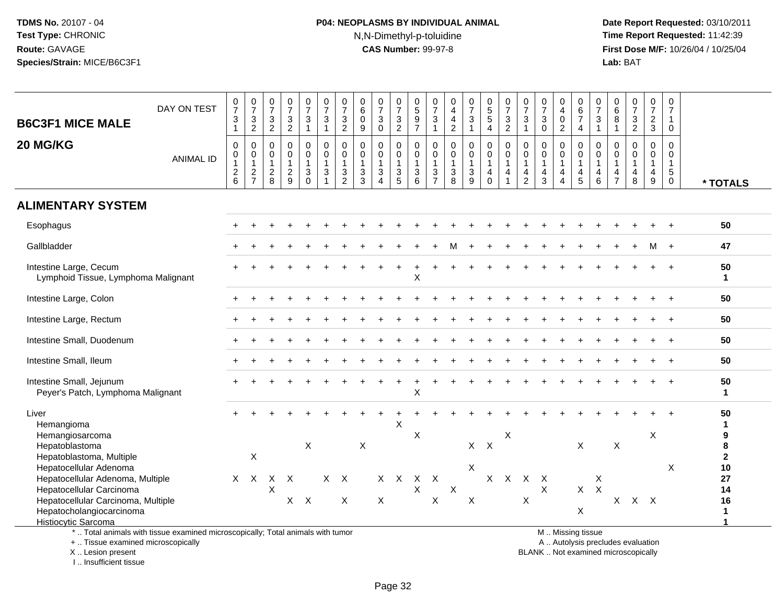# **P04: NEOPLASMS BY INDIVIDUAL ANIMAL**N,N-Dimethyl-p-toluidine

 **Date Report Requested:** 03/10/2011 **Time Report Requested:** 11:42:39 **First Dose M/F:** 10/26/04 / 10/25/04<br>**Lab:** BAT **Lab:** BAT

| <b>B6C3F1 MICE MALE</b>                                                                                                                                                         | DAY ON TEST                                                                     | $\begin{array}{c} 0 \\ 7 \end{array}$<br>$\ensuremath{\mathsf{3}}$<br>$\mathbf{1}$ | $\frac{0}{7}$<br>$\sqrt{3}$<br>$\overline{2}$              | $\frac{0}{7}$<br>$\frac{3}{2}$     | $\frac{0}{7}$<br>$\frac{3}{2}$                              | $\frac{0}{7}$<br>3                | $\frac{0}{7}$<br>$\sqrt{3}$<br>$\overline{1}$                              | $\frac{0}{7}$<br>$\mathbf{3}$<br>$\overline{c}$                  | $\begin{array}{c} 0 \\ 6 \end{array}$<br>$\mathbf 0$<br>9   | $\frac{0}{7}$<br>3<br>$\mathbf 0$     | $\frac{0}{7}$<br>3<br>2                                                  | 0<br>5<br>9<br>7                                     | $\frac{0}{7}$<br>$\ensuremath{\mathsf{3}}$<br>$\mathbf{1}$                      | $\begin{smallmatrix}0\0\4\end{smallmatrix}$<br>$\overline{4}$<br>$\overline{2}$ | $\frac{0}{7}$<br>$\ensuremath{\mathsf{3}}$<br>$\overline{1}$                  | $\begin{array}{c} 0 \\ 5 \\ 5 \end{array}$<br>$\overline{4}$                       | $\frac{0}{7}$<br>$\mathbf{3}$<br>$\overline{c}$ | $\frac{0}{7}$<br>$\overline{3}$<br>$\mathbf{1}$                              | $\frac{0}{7}$<br>$\mathbf{3}$<br>$\mathbf{0}$ | $\begin{smallmatrix}0\\4\\0\end{smallmatrix}$<br>$\overline{2}$                      | 0<br>$rac{6}{7}$<br>$\overline{4}$                                | $\frac{0}{7}$<br>3<br>$\overline{1}$                       | $\begin{array}{c} 0 \\ 6 \end{array}$<br>8<br>$\mathbf{1}$ | $\begin{array}{c} 0 \\ 7 \end{array}$<br>$\ensuremath{\mathsf{3}}$<br>$\overline{2}$ | 0<br>$\overline{7}$<br>$\overline{2}$<br>3 | 0<br>$\overline{7}$<br>1<br>0                     |                                                             |
|---------------------------------------------------------------------------------------------------------------------------------------------------------------------------------|---------------------------------------------------------------------------------|------------------------------------------------------------------------------------|------------------------------------------------------------|------------------------------------|-------------------------------------------------------------|-----------------------------------|----------------------------------------------------------------------------|------------------------------------------------------------------|-------------------------------------------------------------|---------------------------------------|--------------------------------------------------------------------------|------------------------------------------------------|---------------------------------------------------------------------------------|---------------------------------------------------------------------------------|-------------------------------------------------------------------------------|------------------------------------------------------------------------------------|-------------------------------------------------|------------------------------------------------------------------------------|-----------------------------------------------|--------------------------------------------------------------------------------------|-------------------------------------------------------------------|------------------------------------------------------------|------------------------------------------------------------|--------------------------------------------------------------------------------------|--------------------------------------------|---------------------------------------------------|-------------------------------------------------------------|
| 20 MG/KG                                                                                                                                                                        | <b>ANIMAL ID</b>                                                                | $\mathbf 0$<br>0<br>$\mathbf{1}$<br>$\boldsymbol{2}$<br>6                          | 0<br>0<br>$\mathbf{1}$<br>$\overline{c}$<br>$\overline{7}$ | 0<br>0<br>$\mathbf{1}$<br>$_{8}^2$ | $\mathsf 0$<br>$\mathsf 0$<br>$\mathbf{1}$<br>$\frac{2}{9}$ | 0<br>$\mathbf 0$<br>3<br>$\Omega$ | $\mathbf 0$<br>$\pmb{0}$<br>$\overline{1}$<br>$\sqrt{3}$<br>$\overline{1}$ | $\Omega$<br>$\mathbf 0$<br>$\overline{1}$<br>3<br>$\overline{2}$ | $\mathbf 0$<br>$\pmb{0}$<br>$\mathbf{1}$<br>$\sqrt{3}$<br>3 | 0<br>$\mathbf 0$<br>$\mathbf{3}$<br>4 | $\pmb{0}$<br>$\pmb{0}$<br>$\mathbf{1}$<br>$\ensuremath{\mathsf{3}}$<br>5 | $\mathbf 0$<br>$\mathbf 0$<br>$\mathbf{1}$<br>3<br>6 | $\mathbf 0$<br>0<br>$\mathbf{1}$<br>$\ensuremath{\mathsf{3}}$<br>$\overline{7}$ | $\pmb{0}$<br>$\pmb{0}$<br>$\mathbf{1}$<br>$_{8}^{3}$                            | $\pmb{0}$<br>$\overline{0}$<br>$\mathbf{1}$<br>$\ensuremath{\mathsf{3}}$<br>9 | $\mathbf 0$<br>$\mathsf{O}\xspace$<br>$\overline{1}$<br>$\overline{4}$<br>$\Omega$ | 0<br>0<br>1<br>4                                | $\pmb{0}$<br>$\pmb{0}$<br>$\overline{1}$<br>$\overline{4}$<br>$\overline{2}$ | 0<br>$\mathbf 0$<br>$\mathbf{1}$<br>4<br>3    | $\mathsf{O}\xspace$<br>$\pmb{0}$<br>$\mathbf{1}$<br>$\overline{4}$<br>$\overline{4}$ | $\mathbf 0$<br>$\mathsf 0$<br>$\mathbf{1}$<br>$\overline{4}$<br>5 | $\mathbf 0$<br>0<br>$\overline{1}$<br>4<br>$6\phantom{1}6$ | 0<br>0<br>$\mathbf{1}$<br>$\overline{4}$<br>$\overline{7}$ | $\pmb{0}$<br>$\mathbf 0$<br>$\mathbf{1}$<br>4<br>8                                   | $\mathbf 0$<br>0<br>$\mathbf{1}$<br>4<br>9 | $\Omega$<br>0<br>$\mathbf{1}$<br>5<br>$\mathbf 0$ | * TOTALS                                                    |
| <b>ALIMENTARY SYSTEM</b>                                                                                                                                                        |                                                                                 |                                                                                    |                                                            |                                    |                                                             |                                   |                                                                            |                                                                  |                                                             |                                       |                                                                          |                                                      |                                                                                 |                                                                                 |                                                                               |                                                                                    |                                                 |                                                                              |                                               |                                                                                      |                                                                   |                                                            |                                                            |                                                                                      |                                            |                                                   |                                                             |
| Esophagus                                                                                                                                                                       |                                                                                 |                                                                                    |                                                            |                                    |                                                             |                                   |                                                                            |                                                                  |                                                             |                                       |                                                                          |                                                      |                                                                                 |                                                                                 |                                                                               |                                                                                    |                                                 |                                                                              |                                               |                                                                                      |                                                                   |                                                            |                                                            |                                                                                      |                                            |                                                   | 50                                                          |
| Gallbladder                                                                                                                                                                     |                                                                                 |                                                                                    |                                                            |                                    |                                                             |                                   |                                                                            |                                                                  |                                                             |                                       |                                                                          |                                                      |                                                                                 |                                                                                 |                                                                               |                                                                                    |                                                 |                                                                              |                                               |                                                                                      |                                                                   |                                                            |                                                            |                                                                                      |                                            | $\overline{+}$                                    | 47                                                          |
| Intestine Large, Cecum<br>Lymphoid Tissue, Lymphoma Malignant                                                                                                                   |                                                                                 |                                                                                    |                                                            |                                    |                                                             |                                   |                                                                            |                                                                  |                                                             |                                       |                                                                          | X                                                    |                                                                                 |                                                                                 |                                                                               |                                                                                    |                                                 |                                                                              |                                               |                                                                                      |                                                                   |                                                            |                                                            |                                                                                      |                                            |                                                   | 50<br>$\mathbf{1}$                                          |
| Intestine Large, Colon                                                                                                                                                          |                                                                                 |                                                                                    |                                                            |                                    |                                                             |                                   |                                                                            |                                                                  |                                                             |                                       |                                                                          |                                                      |                                                                                 |                                                                                 |                                                                               |                                                                                    |                                                 |                                                                              |                                               |                                                                                      |                                                                   |                                                            |                                                            |                                                                                      |                                            |                                                   | 50                                                          |
| Intestine Large, Rectum                                                                                                                                                         |                                                                                 |                                                                                    |                                                            |                                    |                                                             |                                   |                                                                            |                                                                  |                                                             |                                       |                                                                          |                                                      |                                                                                 |                                                                                 |                                                                               |                                                                                    |                                                 |                                                                              |                                               |                                                                                      |                                                                   |                                                            |                                                            |                                                                                      |                                            |                                                   | 50                                                          |
| Intestine Small, Duodenum                                                                                                                                                       |                                                                                 |                                                                                    |                                                            |                                    |                                                             |                                   |                                                                            |                                                                  |                                                             |                                       |                                                                          |                                                      |                                                                                 |                                                                                 |                                                                               |                                                                                    |                                                 |                                                                              |                                               |                                                                                      |                                                                   |                                                            |                                                            |                                                                                      |                                            |                                                   | 50                                                          |
| Intestine Small, Ileum                                                                                                                                                          |                                                                                 |                                                                                    |                                                            |                                    |                                                             |                                   |                                                                            |                                                                  |                                                             |                                       |                                                                          |                                                      |                                                                                 |                                                                                 |                                                                               |                                                                                    |                                                 |                                                                              |                                               |                                                                                      |                                                                   |                                                            |                                                            |                                                                                      |                                            |                                                   | 50                                                          |
| Intestine Small, Jejunum<br>Peyer's Patch, Lymphoma Malignant                                                                                                                   |                                                                                 |                                                                                    |                                                            |                                    |                                                             |                                   |                                                                            |                                                                  |                                                             |                                       |                                                                          | X                                                    |                                                                                 |                                                                                 |                                                                               |                                                                                    |                                                 |                                                                              |                                               |                                                                                      |                                                                   |                                                            |                                                            |                                                                                      |                                            | $\overline{+}$                                    | 50<br>1                                                     |
| Liver<br>Hemangioma<br>Hemangiosarcoma<br>Hepatoblastoma<br>Hepatoblastoma, Multiple                                                                                            |                                                                                 |                                                                                    | $\mathsf X$                                                |                                    |                                                             | X                                 |                                                                            |                                                                  | X                                                           |                                       | X                                                                        | X                                                    |                                                                                 |                                                                                 | $X$ $X$                                                                       |                                                                                    | Χ                                               |                                                                              |                                               |                                                                                      | X                                                                 |                                                            | $\boldsymbol{\mathsf{X}}$                                  |                                                                                      | X                                          |                                                   | 50<br>$\mathbf{1}$<br>$\boldsymbol{9}$<br>8<br>$\mathbf{2}$ |
| Hepatocellular Adenoma<br>Hepatocellular Adenoma, Multiple<br>Hepatocellular Carcinoma<br>Hepatocellular Carcinoma, Multiple<br>Hepatocholangiocarcinoma<br>Histiocytic Sarcoma | *  Total animals with tissue examined microscopically; Total animals with tumor |                                                                                    | $X$ $X$                                                    | $\times$<br>$\mathsf X$            | $\mathsf{X}$                                                | $X$ $X$                           |                                                                            | $X$ $X$<br>$\pmb{\times}$                                        |                                                             | $\mathsf{X}$                          | $X$ $X$                                                                  | $\mathsf{X}$<br>$\mathsf X$                          | $\mathsf{X}$<br>$\pmb{\times}$                                                  | $\mathsf X$                                                                     | $\boldsymbol{\mathsf{X}}$<br>$\boldsymbol{\mathsf{X}}$                        | $\mathsf{X}$                                                                       | $\mathsf{X}$                                    | $X$ $X$<br>X                                                                 | X                                             |                                                                                      | $X -$<br>X<br>M  Missing tissue                                   | X<br>$\boldsymbol{\mathsf{X}}$                             |                                                            | $X$ $X$ $X$                                                                          |                                            | X                                                 | 10<br>27<br>14<br>16<br>$\mathbf 1$                         |

+ .. Tissue examined microscopically

X .. Lesion present

I .. Insufficient tissue

y the contract of the contract of the contract of the contract of the contract of the contract of the contract of  $A$ . Autolysis precludes evaluation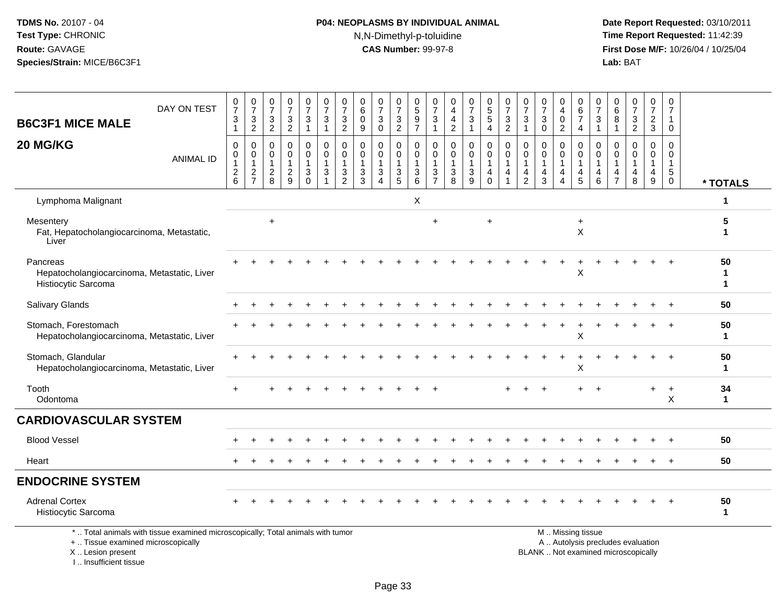# **P04: NEOPLASMS BY INDIVIDUAL ANIMAL**N,N-Dimethyl-p-toluidine

 **Date Report Requested:** 03/10/2011 **Time Report Requested:** 11:42:39 **First Dose M/F:** 10/26/04 / 10/25/04<br>**Lab:** BAT **Lab:** BAT

| DAY ON TEST<br><b>B6C3F1 MICE MALE</b>                                                                                | $\begin{array}{c} 0 \\ 7 \end{array}$<br>3          | $\frac{0}{7}$<br>$\frac{3}{2}$            | $\begin{array}{c} 0 \\ 7 \end{array}$<br>$\sqrt{3}$                 | $\frac{0}{7}$<br>$\mathbf{3}$       | $\frac{0}{7}$<br>$\mathbf{3}$                                             | $\frac{0}{7}$<br>$\mathbf{3}$                                 | $\frac{0}{7}$<br>3                             | $\begin{array}{c} 0 \\ 6 \end{array}$<br>$\mathbf 0$                         | $\frac{0}{7}$<br>$\ensuremath{\mathsf{3}}$                            | 0<br>$\overline{7}$<br>$\ensuremath{\mathsf{3}}$                | 0<br>$\overline{5}$<br>9                          | 0<br>$\frac{5}{7}$<br>3                                         | $_4^{\rm O}$<br>$\overline{4}$                                               | 0<br>$\overline{7}$<br>3                           | $\begin{array}{c} 0 \\ 5 \end{array}$<br>5                                 | $\pmb{0}$<br>$\overline{7}$<br>$\sqrt{3}$                      | 0<br>$\overline{7}$<br>$\mathbf{3}$                                         | $\frac{0}{7}$<br>3                      | $\pmb{0}$<br>$\overline{4}$<br>$\mathbf 0$                           | 0<br>$\,6$<br>$\overline{7}$                           | $\frac{0}{7}$<br>$\sqrt{3}$                                       | 0<br>$6\phantom{a}$<br>8                                           | $\frac{0}{7}$<br>$\frac{3}{2}$                                | 0<br>$\overline{7}$<br>$\frac{2}{3}$                    | 0<br>$\overline{7}$                                      |                    |
|-----------------------------------------------------------------------------------------------------------------------|-----------------------------------------------------|-------------------------------------------|---------------------------------------------------------------------|-------------------------------------|---------------------------------------------------------------------------|---------------------------------------------------------------|------------------------------------------------|------------------------------------------------------------------------------|-----------------------------------------------------------------------|-----------------------------------------------------------------|---------------------------------------------------|-----------------------------------------------------------------|------------------------------------------------------------------------------|----------------------------------------------------|----------------------------------------------------------------------------|----------------------------------------------------------------|-----------------------------------------------------------------------------|-----------------------------------------|----------------------------------------------------------------------|--------------------------------------------------------|-------------------------------------------------------------------|--------------------------------------------------------------------|---------------------------------------------------------------|---------------------------------------------------------|----------------------------------------------------------|--------------------|
|                                                                                                                       | $\mathbf{1}$                                        |                                           | 2                                                                   | $\overline{2}$                      | $\overline{1}$                                                            | $\mathbf{1}$                                                  | $\overline{2}$                                 | 9                                                                            | $\mathbf 0$                                                           | $\overline{2}$                                                  | $\overline{7}$                                    | $\mathbf{1}$                                                    | $\overline{2}$                                                               |                                                    | $\overline{4}$                                                             | $\overline{2}$                                                 | $\overline{1}$                                                              | $\Omega$                                | $\overline{2}$                                                       | 4                                                      | $\overline{1}$                                                    | $\mathbf{1}$                                                       |                                                               |                                                         | $\mathbf{0}$                                             |                    |
| 20 MG/KG<br><b>ANIMAL ID</b>                                                                                          | $\mathbf 0$<br>0<br>$\mathbf{1}$<br>$\sqrt{2}$<br>6 | 0<br>0<br>$\overline{1}$<br>$\frac{2}{7}$ | $\mathbf 0$<br>$\mathbf 0$<br>$\overline{1}$<br>$\overline{2}$<br>8 | 0<br>$\Omega$<br>1<br>$\frac{2}{9}$ | $\mathbf 0$<br>$\mathbf 0$<br>$\mathbf{1}$<br>$\mathbf{3}$<br>$\mathbf 0$ | $\mathbf 0$<br>$\pmb{0}$<br>$\mathbf{1}$<br>$\mathbf{3}$<br>1 | $\mathbf 0$<br>$\Omega$<br>3<br>$\overline{2}$ | $\mathbf 0$<br>$\mathbf 0$<br>$\mathbf{1}$<br>$\ensuremath{\mathsf{3}}$<br>3 | 0<br>$\mathbf{0}$<br>$\overline{1}$<br>$\mathbf{3}$<br>$\overline{4}$ | $\mathbf 0$<br>$\mathbf 0$<br>$\overline{1}$<br>$\sqrt{3}$<br>5 | 0<br>$\Omega$<br>$\mathbf 1$<br>$\mathbf{3}$<br>6 | 0<br>$\Omega$<br>$\overline{1}$<br>$\sqrt{3}$<br>$\overline{7}$ | $\mathbf 0$<br>$\mathbf 0$<br>$\mathbf{1}$<br>$\ensuremath{\mathsf{3}}$<br>8 | 0<br>$\Omega$<br>$\mathbf{1}$<br>$\mathbf{3}$<br>9 | $\mathbf 0$<br>$\mathbf 0$<br>$\overline{1}$<br>$\overline{4}$<br>$\Omega$ | $\mathbf 0$<br>$\Omega$<br>$\overline{1}$<br>4<br>$\mathbf{1}$ | $\mathbf 0$<br>$\Omega$<br>$\mathbf{1}$<br>$\overline{4}$<br>$\overline{2}$ | 0<br>$\Omega$<br>$\mathbf{1}$<br>4<br>3 | 0<br>$\mathbf 0$<br>$\mathbf{1}$<br>$\overline{4}$<br>$\overline{4}$ | 0<br>$\mathbf 0$<br>$\mathbf{1}$<br>4<br>5             | $\mathbf 0$<br>$\Omega$<br>$\overline{1}$<br>4<br>$6\phantom{1}6$ | $\mathbf 0$<br>$\mathbf{0}$<br>$\mathbf{1}$<br>4<br>$\overline{7}$ | 0<br>$\mathbf 0$<br>$\mathbf{1}$<br>$\overline{4}$<br>$\,8\,$ | 0<br>$\mathbf 0$<br>$\mathbf{1}$<br>$\overline{4}$<br>9 | $\Omega$<br>$\Omega$<br>$\mathbf{1}$<br>5<br>$\mathbf 0$ | * TOTALS           |
| Lymphoma Malignant                                                                                                    |                                                     |                                           |                                                                     |                                     |                                                                           |                                                               |                                                |                                                                              |                                                                       |                                                                 | $\pmb{\mathsf{X}}$                                |                                                                 |                                                                              |                                                    |                                                                            |                                                                |                                                                             |                                         |                                                                      |                                                        |                                                                   |                                                                    |                                                               |                                                         |                                                          | 1                  |
| Mesentery<br>Fat, Hepatocholangiocarcinoma, Metastatic,<br>Liver                                                      |                                                     |                                           | $\ddot{}$                                                           |                                     |                                                                           |                                                               |                                                |                                                                              |                                                                       |                                                                 |                                                   | $\ddot{}$                                                       |                                                                              |                                                    | $\overline{+}$                                                             |                                                                |                                                                             |                                         |                                                                      | $\ddot{}$<br>$\times$                                  |                                                                   |                                                                    |                                                               |                                                         |                                                          | 5<br>1             |
| Pancreas<br>Hepatocholangiocarcinoma, Metastatic, Liver<br>Histiocytic Sarcoma                                        |                                                     |                                           |                                                                     |                                     |                                                                           |                                                               |                                                |                                                                              |                                                                       |                                                                 |                                                   |                                                                 |                                                                              |                                                    |                                                                            |                                                                |                                                                             |                                         |                                                                      | X                                                      |                                                                   |                                                                    |                                                               |                                                         |                                                          | 50<br>1<br>1       |
| Salivary Glands                                                                                                       |                                                     |                                           |                                                                     |                                     |                                                                           |                                                               |                                                |                                                                              |                                                                       |                                                                 |                                                   |                                                                 |                                                                              |                                                    |                                                                            |                                                                |                                                                             |                                         |                                                                      |                                                        |                                                                   |                                                                    |                                                               |                                                         |                                                          | 50                 |
| Stomach, Forestomach<br>Hepatocholangiocarcinoma, Metastatic, Liver                                                   |                                                     |                                           |                                                                     |                                     |                                                                           |                                                               |                                                |                                                                              |                                                                       |                                                                 |                                                   |                                                                 |                                                                              |                                                    |                                                                            |                                                                |                                                                             |                                         |                                                                      | $\boldsymbol{\mathsf{X}}$                              |                                                                   |                                                                    |                                                               |                                                         |                                                          | 50<br>1            |
| Stomach, Glandular<br>Hepatocholangiocarcinoma, Metastatic, Liver                                                     |                                                     |                                           |                                                                     |                                     |                                                                           |                                                               |                                                |                                                                              |                                                                       |                                                                 |                                                   |                                                                 |                                                                              |                                                    |                                                                            |                                                                |                                                                             |                                         |                                                                      | Х                                                      |                                                                   |                                                                    |                                                               |                                                         |                                                          | 50<br>1            |
| Tooth<br>Odontoma                                                                                                     | $\div$                                              |                                           |                                                                     |                                     |                                                                           |                                                               |                                                |                                                                              |                                                                       |                                                                 |                                                   |                                                                 |                                                                              |                                                    |                                                                            |                                                                |                                                                             |                                         |                                                                      |                                                        |                                                                   |                                                                    |                                                               |                                                         | $\ddot{}$<br>X                                           | 34<br>$\mathbf{1}$ |
| <b>CARDIOVASCULAR SYSTEM</b>                                                                                          |                                                     |                                           |                                                                     |                                     |                                                                           |                                                               |                                                |                                                                              |                                                                       |                                                                 |                                                   |                                                                 |                                                                              |                                                    |                                                                            |                                                                |                                                                             |                                         |                                                                      |                                                        |                                                                   |                                                                    |                                                               |                                                         |                                                          |                    |
| <b>Blood Vessel</b>                                                                                                   |                                                     |                                           |                                                                     |                                     |                                                                           |                                                               |                                                |                                                                              |                                                                       |                                                                 |                                                   |                                                                 |                                                                              |                                                    |                                                                            |                                                                |                                                                             |                                         |                                                                      |                                                        |                                                                   |                                                                    |                                                               |                                                         |                                                          | 50                 |
| Heart                                                                                                                 |                                                     |                                           |                                                                     |                                     |                                                                           |                                                               |                                                |                                                                              |                                                                       |                                                                 |                                                   |                                                                 |                                                                              |                                                    |                                                                            |                                                                |                                                                             |                                         |                                                                      |                                                        |                                                                   |                                                                    |                                                               |                                                         |                                                          | 50                 |
| <b>ENDOCRINE SYSTEM</b>                                                                                               |                                                     |                                           |                                                                     |                                     |                                                                           |                                                               |                                                |                                                                              |                                                                       |                                                                 |                                                   |                                                                 |                                                                              |                                                    |                                                                            |                                                                |                                                                             |                                         |                                                                      |                                                        |                                                                   |                                                                    |                                                               |                                                         |                                                          |                    |
| <b>Adrenal Cortex</b><br>Histiocytic Sarcoma                                                                          |                                                     |                                           |                                                                     |                                     |                                                                           |                                                               |                                                |                                                                              |                                                                       |                                                                 |                                                   |                                                                 |                                                                              |                                                    |                                                                            |                                                                |                                                                             |                                         |                                                                      |                                                        |                                                                   |                                                                    |                                                               |                                                         |                                                          | 50                 |
| *  Total animals with tissue examined microscopically; Total animals with tumor<br>+  Tissue examined microscopically |                                                     |                                           |                                                                     |                                     |                                                                           |                                                               |                                                |                                                                              |                                                                       |                                                                 |                                                   |                                                                 |                                                                              |                                                    |                                                                            |                                                                |                                                                             |                                         |                                                                      | M  Missing tissue<br>A  Autolysis precludes evaluation |                                                                   |                                                                    |                                                               |                                                         |                                                          |                    |

X .. Lesion present

I .. Insufficient tissue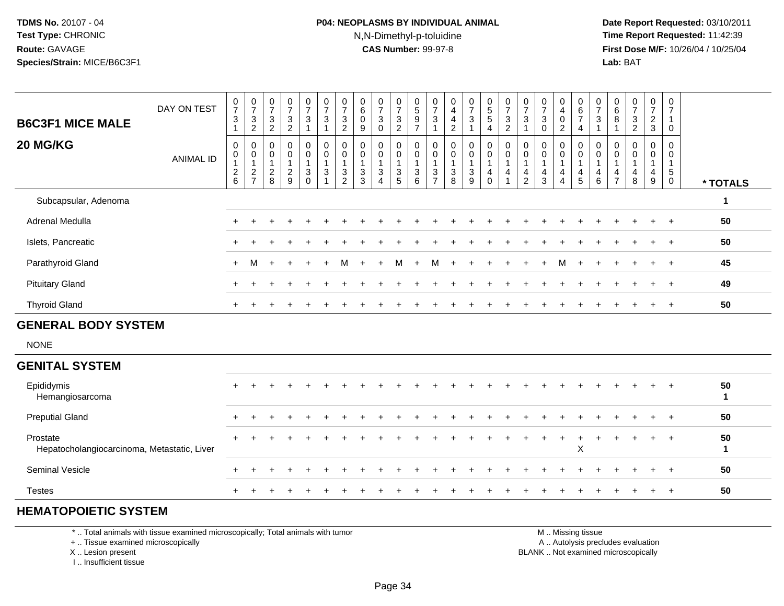#### **P04: NEOPLASMS BY INDIVIDUAL ANIMAL**N,N-Dimethyl-p-toluidine

 **Date Report Requested:** 03/10/2011 **Time Report Requested:** 11:42:39 **First Dose M/F:** 10/26/04 / 10/25/04 Lab: BAT **Lab:** BAT

| <b>B6C3F1 MICE MALE</b>                                 | DAY ON TEST      | $\frac{0}{7}$<br>$\sqrt{3}$<br>$\overline{1}$                               | $\frac{0}{7}$<br>$\frac{3}{2}$                            | $\frac{0}{7}$<br>$\mathbf{3}$<br>$\sqrt{2}$             | $\frac{0}{7}$<br>$\frac{3}{2}$                            | $\frac{0}{7}$<br>3<br>$\mathbf{1}$                     | $\frac{0}{7}$<br>$\ensuremath{\mathsf{3}}$<br>$\mathbf{1}$         | $\frac{0}{7}$<br>$\frac{3}{2}$                            | $\begin{array}{c} 0 \\ 6 \end{array}$<br>$\mathbf 0$<br>9 | $\frac{0}{7}$<br>$\mathbf{3}$<br>$\boldsymbol{0}$                          | $\frac{0}{7}$<br>$\frac{3}{2}$                                   | $\begin{matrix} 0 \\ 5 \end{matrix}$<br>$\frac{9}{7}$ | $\frac{0}{7}$<br>3<br>$\mathbf{1}$                           | 0<br>$\overline{\mathbf{4}}$<br>$\overline{4}$<br>$\mathbf 2$           | $\frac{0}{7}$<br>$\sqrt{3}$<br>$\mathbf{1}$                                             | $\begin{array}{c} 0 \\ 5 \\ 5 \end{array}$<br>$\overline{\mathbf{4}}$ | $\frac{0}{7}$<br>$\frac{3}{2}$                                           | $\frac{0}{7}$<br>3<br>1                       | $\frac{0}{7}$<br>$\ensuremath{\mathsf{3}}$<br>$\pmb{0}$            | 0<br>$\overline{4}$<br>0<br>$\overline{c}$                    | 0<br>$\frac{6}{7}$<br>$\overline{4}$                   | $\frac{0}{7}$<br>$\ensuremath{\mathsf{3}}$<br>$\mathbf{1}$         | $\begin{array}{c} 0 \\ 6 \end{array}$<br>8<br>$\overline{1}$ | $\frac{0}{7}$<br>$\ensuremath{\mathsf{3}}$<br>$\overline{2}$     | 0<br>$\overline{7}$<br>$\frac{2}{3}$ | 0<br>$\overline{7}$<br>$\mathbf{1}$<br>$\pmb{0}$     |                    |
|---------------------------------------------------------|------------------|-----------------------------------------------------------------------------|-----------------------------------------------------------|---------------------------------------------------------|-----------------------------------------------------------|--------------------------------------------------------|--------------------------------------------------------------------|-----------------------------------------------------------|-----------------------------------------------------------|----------------------------------------------------------------------------|------------------------------------------------------------------|-------------------------------------------------------|--------------------------------------------------------------|-------------------------------------------------------------------------|-----------------------------------------------------------------------------------------|-----------------------------------------------------------------------|--------------------------------------------------------------------------|-----------------------------------------------|--------------------------------------------------------------------|---------------------------------------------------------------|--------------------------------------------------------|--------------------------------------------------------------------|--------------------------------------------------------------|------------------------------------------------------------------|--------------------------------------|------------------------------------------------------|--------------------|
| 20 MG/KG                                                | <b>ANIMAL ID</b> | 0<br>$\mathbf 0$<br>$\overline{1}$<br>$\begin{array}{c} 2 \\ 6 \end{array}$ | $\pmb{0}$<br>$\pmb{0}$<br>$\overline{1}$<br>$\frac{2}{7}$ | 0<br>$\pmb{0}$<br>$\overline{1}$<br>$\overline{2}$<br>8 | $\mathbf 0$<br>$\pmb{0}$<br>$\mathbf{1}$<br>$\frac{2}{9}$ | 0<br>$\boldsymbol{0}$<br>$\mathbf{1}$<br>3<br>$\Omega$ | $\pmb{0}$<br>$\pmb{0}$<br>$\mathbf 1$<br>$\ensuremath{\mathsf{3}}$ | $\pmb{0}$<br>$\pmb{0}$<br>$\overline{1}$<br>$\frac{3}{2}$ | 0<br>$\mathbf 0$<br>$\overline{1}$<br>$\frac{3}{3}$       | $\mathbf 0$<br>$\pmb{0}$<br>$\mathbf{1}$<br>$\mathbf{3}$<br>$\overline{4}$ | 0<br>$\pmb{0}$<br>$\mathbf{1}$<br>$\mathbf{3}$<br>$\overline{5}$ | $\pmb{0}$<br>$\overline{0}$<br>1<br>$\mathsf 3$<br>6  | 0<br>$\boldsymbol{0}$<br>$\mathbf{1}$<br>3<br>$\overline{7}$ | 0<br>$\pmb{0}$<br>$\mathbf{1}$<br>$\begin{array}{c} 3 \\ 8 \end{array}$ | $\mathbf 0$<br>$\pmb{0}$<br>$\mathbf{1}$<br>$\ensuremath{\mathsf{3}}$<br>$\overline{9}$ | $\pmb{0}$<br>$\mathbf 0$<br>$\mathbf{1}$<br>4<br>$\mathbf 0$          | $\pmb{0}$<br>$\,0\,$<br>$\overline{1}$<br>$\overline{4}$<br>$\mathbf{1}$ | 0<br>0<br>$\mathbf{1}$<br>4<br>$\overline{2}$ | 0<br>$\mathbf 0$<br>$\mathbf{1}$<br>$\overline{4}$<br>$\mathbf{3}$ | 0<br>$\pmb{0}$<br>$\mathbf{1}$<br>4<br>$\boldsymbol{\Lambda}$ | 0<br>$\mathbf 0$<br>$\mathbf 1$<br>$\overline{4}$<br>5 | 0<br>$\pmb{0}$<br>$\mathbf{1}$<br>$\overline{4}$<br>$6\phantom{1}$ | 0<br>0<br>$\overline{1}$<br>4<br>$\overline{7}$              | 0<br>$\mathbf 0$<br>$\mathbf{1}$<br>$\overline{\mathbf{4}}$<br>8 | 0<br>0<br>1<br>$\overline{4}$<br>9   | 0<br>$\mathbf 0$<br>$\mathbf{1}$<br>5<br>$\mathbf 0$ | * TOTALS           |
| Subcapsular, Adenoma                                    |                  |                                                                             |                                                           |                                                         |                                                           |                                                        |                                                                    |                                                           |                                                           |                                                                            |                                                                  |                                                       |                                                              |                                                                         |                                                                                         |                                                                       |                                                                          |                                               |                                                                    |                                                               |                                                        |                                                                    |                                                              |                                                                  |                                      |                                                      | $\mathbf 1$        |
| Adrenal Medulla                                         |                  | $\pm$                                                                       |                                                           |                                                         |                                                           |                                                        |                                                                    |                                                           |                                                           |                                                                            |                                                                  |                                                       |                                                              |                                                                         |                                                                                         |                                                                       |                                                                          |                                               |                                                                    |                                                               |                                                        |                                                                    |                                                              |                                                                  |                                      |                                                      | 50                 |
| Islets, Pancreatic                                      |                  |                                                                             |                                                           |                                                         |                                                           |                                                        |                                                                    |                                                           |                                                           |                                                                            |                                                                  |                                                       |                                                              |                                                                         |                                                                                         |                                                                       |                                                                          |                                               |                                                                    |                                                               |                                                        |                                                                    |                                                              |                                                                  |                                      |                                                      | 50                 |
| Parathyroid Gland                                       |                  | $+$                                                                         | M                                                         | ÷                                                       |                                                           |                                                        |                                                                    | м                                                         |                                                           |                                                                            | M                                                                |                                                       | м                                                            |                                                                         |                                                                                         |                                                                       |                                                                          |                                               |                                                                    |                                                               |                                                        |                                                                    |                                                              |                                                                  |                                      |                                                      | 45                 |
| <b>Pituitary Gland</b>                                  |                  |                                                                             |                                                           |                                                         |                                                           |                                                        |                                                                    |                                                           |                                                           |                                                                            |                                                                  |                                                       |                                                              |                                                                         |                                                                                         |                                                                       |                                                                          |                                               |                                                                    |                                                               |                                                        |                                                                    |                                                              |                                                                  |                                      |                                                      | 49                 |
| <b>Thyroid Gland</b>                                    |                  |                                                                             |                                                           |                                                         |                                                           |                                                        |                                                                    |                                                           |                                                           |                                                                            |                                                                  |                                                       |                                                              |                                                                         |                                                                                         |                                                                       |                                                                          |                                               |                                                                    |                                                               |                                                        |                                                                    |                                                              |                                                                  |                                      | $\ddot{}$                                            | 50                 |
| <b>GENERAL BODY SYSTEM</b>                              |                  |                                                                             |                                                           |                                                         |                                                           |                                                        |                                                                    |                                                           |                                                           |                                                                            |                                                                  |                                                       |                                                              |                                                                         |                                                                                         |                                                                       |                                                                          |                                               |                                                                    |                                                               |                                                        |                                                                    |                                                              |                                                                  |                                      |                                                      |                    |
| <b>NONE</b>                                             |                  |                                                                             |                                                           |                                                         |                                                           |                                                        |                                                                    |                                                           |                                                           |                                                                            |                                                                  |                                                       |                                                              |                                                                         |                                                                                         |                                                                       |                                                                          |                                               |                                                                    |                                                               |                                                        |                                                                    |                                                              |                                                                  |                                      |                                                      |                    |
| <b>GENITAL SYSTEM</b>                                   |                  |                                                                             |                                                           |                                                         |                                                           |                                                        |                                                                    |                                                           |                                                           |                                                                            |                                                                  |                                                       |                                                              |                                                                         |                                                                                         |                                                                       |                                                                          |                                               |                                                                    |                                                               |                                                        |                                                                    |                                                              |                                                                  |                                      |                                                      |                    |
| Epididymis<br>Hemangiosarcoma                           |                  |                                                                             |                                                           |                                                         |                                                           |                                                        |                                                                    |                                                           |                                                           |                                                                            |                                                                  |                                                       |                                                              |                                                                         |                                                                                         |                                                                       |                                                                          |                                               |                                                                    |                                                               |                                                        |                                                                    |                                                              |                                                                  |                                      |                                                      | 50<br>$\mathbf{1}$ |
| <b>Preputial Gland</b>                                  |                  |                                                                             |                                                           |                                                         |                                                           |                                                        |                                                                    |                                                           |                                                           |                                                                            |                                                                  |                                                       |                                                              |                                                                         |                                                                                         |                                                                       |                                                                          |                                               |                                                                    |                                                               |                                                        |                                                                    |                                                              |                                                                  |                                      |                                                      | 50                 |
| Prostate<br>Hepatocholangiocarcinoma, Metastatic, Liver |                  |                                                                             |                                                           |                                                         |                                                           |                                                        |                                                                    |                                                           |                                                           |                                                                            |                                                                  |                                                       |                                                              |                                                                         |                                                                                         |                                                                       |                                                                          |                                               |                                                                    |                                                               | X                                                      |                                                                    |                                                              |                                                                  |                                      |                                                      | 50<br>$\mathbf 1$  |
| Seminal Vesicle                                         |                  |                                                                             |                                                           |                                                         |                                                           |                                                        |                                                                    |                                                           |                                                           |                                                                            |                                                                  |                                                       |                                                              |                                                                         |                                                                                         |                                                                       |                                                                          |                                               |                                                                    |                                                               |                                                        |                                                                    |                                                              |                                                                  |                                      |                                                      | 50                 |
| <b>Testes</b>                                           |                  |                                                                             |                                                           |                                                         |                                                           |                                                        |                                                                    |                                                           |                                                           |                                                                            |                                                                  |                                                       |                                                              |                                                                         |                                                                                         |                                                                       |                                                                          |                                               |                                                                    |                                                               |                                                        |                                                                    |                                                              |                                                                  |                                      |                                                      | 50                 |

#### **HEMATOPOIETIC SYSTEM**

\* .. Total animals with tissue examined microscopically; Total animals with tumor

+ .. Tissue examined microscopically

X .. Lesion present

I .. Insufficient tissue

 M .. Missing tissuey the contract of the contract of the contract of the contract of the contract of the contract of the contract of  $A$ . Autolysis precludes evaluation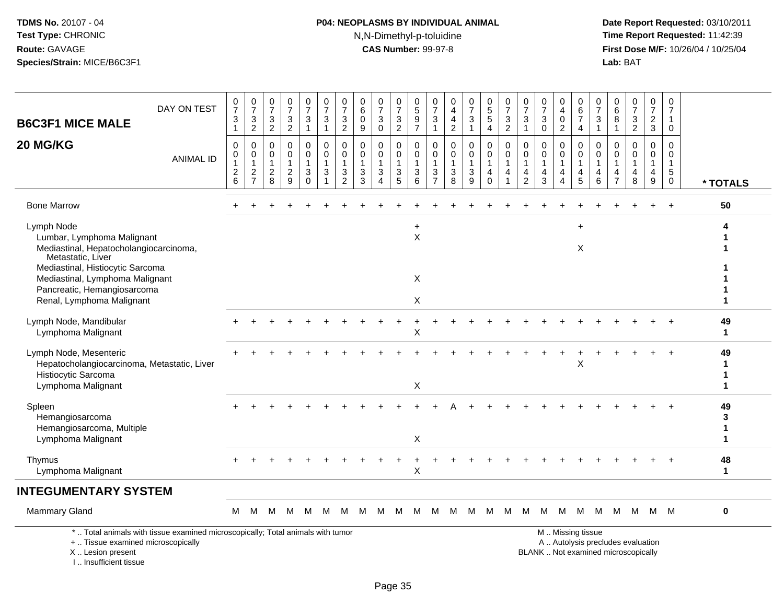I .. Insufficient tissue

# **P04: NEOPLASMS BY INDIVIDUAL ANIMAL**N,N-Dimethyl-p-toluidine

| <b>B6C3F1 MICE MALE</b>                                                                                                                                                                                                                    | DAY ON TEST                                                                     | $\begin{array}{c} 0 \\ 7 \end{array}$<br>3<br>$\mathbf{1}$ | $\begin{array}{c} 0 \\ 7 \end{array}$<br>3<br>$\overline{c}$ | $\begin{array}{c} 0 \\ 7 \end{array}$<br>$\ensuremath{\mathsf{3}}$<br>$\overline{2}$ | $\frac{0}{7}$<br>$\ensuremath{\mathsf{3}}$<br>$\overline{2}$ | $\begin{array}{c} 0 \\ 7 \end{array}$<br>3<br>$\mathbf{1}$        | $\frac{0}{7}$<br>$\sqrt{3}$<br>$\overline{1}$                                  | $\pmb{0}$<br>$\overline{7}$<br>3<br>$\sqrt{2}$                      | $\pmb{0}$<br>$\,6\,$<br>0<br>$\boldsymbol{9}$                                | $\frac{0}{7}$<br>3<br>0                                     | $\frac{0}{7}$<br>$\ensuremath{\mathsf{3}}$<br>$\overline{2}$                         | $\begin{array}{c} 0 \\ 5 \end{array}$<br>$\frac{9}{7}$                         | 0<br>$\overline{7}$<br>3<br>$\mathbf{1}$                 | 0<br>$\overline{\mathbf{4}}$<br>$\overline{4}$<br>$\overline{2}$             | $\frac{0}{7}$<br>3<br>$\mathbf{1}$                      | $\begin{smallmatrix} 0\\5 \end{smallmatrix}$<br>$\sqrt{5}$<br>$\overline{4}$ | $\frac{0}{7}$<br>$\sqrt{3}$<br>$\overline{2}$   | $\frac{0}{7}$<br>$\sqrt{3}$<br>$\overline{1}$                       | $\begin{array}{c} 0 \\ 7 \end{array}$<br>$\mathbf{3}$<br>$\mathbf 0$ | $\pmb{0}$<br>$\overline{\mathbf{4}}$<br>0<br>$\overline{c}$ | $\pmb{0}$<br>$\,6\,$<br>$\overline{\mathcal{I}}$<br>4                 | $\frac{0}{7}$<br>3<br>$\mathbf{1}$         | 0<br>$\,6\,$<br>$\bf 8$<br>$\mathbf{1}$                       | $\begin{smallmatrix}0\\7\end{smallmatrix}$<br>$\frac{3}{2}$              | 0<br>$\overline{7}$<br>$\overline{c}$<br>$\mathbf{3}$ | $\pmb{0}$<br>$\overline{7}$<br>1<br>$\mathbf 0$                |                              |
|--------------------------------------------------------------------------------------------------------------------------------------------------------------------------------------------------------------------------------------------|---------------------------------------------------------------------------------|------------------------------------------------------------|--------------------------------------------------------------|--------------------------------------------------------------------------------------|--------------------------------------------------------------|-------------------------------------------------------------------|--------------------------------------------------------------------------------|---------------------------------------------------------------------|------------------------------------------------------------------------------|-------------------------------------------------------------|--------------------------------------------------------------------------------------|--------------------------------------------------------------------------------|----------------------------------------------------------|------------------------------------------------------------------------------|---------------------------------------------------------|------------------------------------------------------------------------------|-------------------------------------------------|---------------------------------------------------------------------|----------------------------------------------------------------------|-------------------------------------------------------------|-----------------------------------------------------------------------|--------------------------------------------|---------------------------------------------------------------|--------------------------------------------------------------------------|-------------------------------------------------------|----------------------------------------------------------------|------------------------------|
| 20 MG/KG                                                                                                                                                                                                                                   | <b>ANIMAL ID</b>                                                                | $\mathbf 0$<br>0<br>$\mathbf{1}$<br>$\sqrt{2}$<br>$\,6\,$  | 0<br>$\mathbf 0$<br>1<br>$\sqrt{2}$<br>$\overline{7}$        | 0<br>0<br>$\mathbf{1}$<br>$\boldsymbol{2}$<br>8                                      | 0<br>$\mathsf 0$<br>$\mathbf{1}$<br>$\overline{2}$<br>9      | 0<br>$\mathbf 0$<br>1<br>$\ensuremath{\mathsf{3}}$<br>$\mathbf 0$ | $\mathbf 0$<br>$\mathbf 0$<br>$\overline{1}$<br>$\mathbf{3}$<br>$\overline{1}$ | $\mathbf 0$<br>$\mathbf 0$<br>$\overline{1}$<br>3<br>$\overline{2}$ | $\mathbf 0$<br>$\mathbf 0$<br>$\mathbf{1}$<br>$\ensuremath{\mathsf{3}}$<br>3 | 0<br>$\mathbf 0$<br>$\mathbf{1}$<br>$\mathsf 3$<br>$\Delta$ | $\mathbf 0$<br>$\mathsf{O}\xspace$<br>$\mathbf{1}$<br>$\ensuremath{\mathsf{3}}$<br>5 | $\mathbf 0$<br>$\mathsf 0$<br>$\overline{1}$<br>$\ensuremath{\mathsf{3}}$<br>6 | 0<br>0<br>$\mathbf{1}$<br>$\mathbf{3}$<br>$\overline{7}$ | $\mathbf 0$<br>$\mathbf 0$<br>$\mathbf{1}$<br>$\ensuremath{\mathsf{3}}$<br>8 | 0<br>$\mathbf 0$<br>1<br>$\ensuremath{\mathsf{3}}$<br>9 | $\mathbf 0$<br>$\mathbf 0$<br>$\mathbf{1}$<br>4<br>$\mathbf 0$               | $\mathbf 0$<br>$\mathbf 0$<br>$\mathbf{1}$<br>4 | $\mathbf 0$<br>$\mathbf 0$<br>$\overline{1}$<br>4<br>$\overline{2}$ | $\mathbf 0$<br>$\mathbf 0$<br>$\mathbf{1}$<br>$\overline{4}$<br>3    | 0<br>$\mathbf 0$<br>1<br>4<br>$\overline{4}$                | 0<br>$\mathbf 0$<br>$\mathbf{1}$<br>$\overline{4}$<br>$5\phantom{.0}$ | $\mathbf 0$<br>0<br>$\mathbf{1}$<br>4<br>6 | $\Omega$<br>$\mathbf 0$<br>$\mathbf 1$<br>4<br>$\overline{7}$ | $\mathbf 0$<br>$\mathbf 0$<br>$\mathbf{1}$<br>$\overline{4}$<br>8        | 0<br>$\overline{0}$<br>$\mathbf{1}$<br>4<br>9         | $\mathbf 0$<br>$\mathbf 0$<br>$\mathbf{1}$<br>5<br>$\mathbf 0$ | * TOTALS                     |
| <b>Bone Marrow</b>                                                                                                                                                                                                                         |                                                                                 |                                                            |                                                              |                                                                                      |                                                              |                                                                   |                                                                                |                                                                     |                                                                              |                                                             |                                                                                      |                                                                                |                                                          |                                                                              |                                                         |                                                                              |                                                 |                                                                     |                                                                      |                                                             |                                                                       |                                            |                                                               |                                                                          |                                                       | $\ddot{}$                                                      | 50                           |
| Lymph Node<br>Lumbar, Lymphoma Malignant<br>Mediastinal, Hepatocholangiocarcinoma,<br>Metastatic, Liver<br>Mediastinal, Histiocytic Sarcoma<br>Mediastinal, Lymphoma Malignant<br>Pancreatic, Hemangiosarcoma<br>Renal, Lymphoma Malignant |                                                                                 |                                                            |                                                              |                                                                                      |                                                              |                                                                   |                                                                                |                                                                     |                                                                              |                                                             |                                                                                      | $\ddot{}$<br>$\mathsf{X}$<br>X<br>X                                            |                                                          |                                                                              |                                                         |                                                                              |                                                 |                                                                     |                                                                      |                                                             | X                                                                     |                                            |                                                               |                                                                          |                                                       |                                                                |                              |
| Lymph Node, Mandibular<br>Lymphoma Malignant                                                                                                                                                                                               |                                                                                 |                                                            |                                                              |                                                                                      |                                                              |                                                                   |                                                                                |                                                                     |                                                                              |                                                             |                                                                                      | X                                                                              |                                                          |                                                                              |                                                         |                                                                              |                                                 |                                                                     |                                                                      |                                                             |                                                                       |                                            |                                                               |                                                                          |                                                       |                                                                | 49<br>$\mathbf 1$            |
| Lymph Node, Mesenteric<br>Hepatocholangiocarcinoma, Metastatic, Liver<br>Histiocytic Sarcoma<br>Lymphoma Malignant                                                                                                                         |                                                                                 |                                                            |                                                              |                                                                                      |                                                              |                                                                   |                                                                                |                                                                     |                                                                              |                                                             |                                                                                      | X                                                                              |                                                          |                                                                              |                                                         |                                                                              |                                                 |                                                                     |                                                                      |                                                             | X                                                                     |                                            |                                                               |                                                                          |                                                       |                                                                | 49<br>-1<br>1<br>$\mathbf 1$ |
| Spleen<br>Hemangiosarcoma<br>Hemangiosarcoma, Multiple<br>Lymphoma Malignant                                                                                                                                                               |                                                                                 |                                                            |                                                              |                                                                                      |                                                              |                                                                   |                                                                                |                                                                     |                                                                              |                                                             |                                                                                      | X                                                                              |                                                          |                                                                              |                                                         |                                                                              |                                                 |                                                                     |                                                                      |                                                             |                                                                       |                                            |                                                               |                                                                          |                                                       |                                                                | 49<br>3<br>1<br>1            |
| Thymus<br>Lymphoma Malignant                                                                                                                                                                                                               |                                                                                 |                                                            |                                                              |                                                                                      |                                                              |                                                                   |                                                                                |                                                                     |                                                                              |                                                             |                                                                                      | X                                                                              |                                                          |                                                                              |                                                         |                                                                              |                                                 |                                                                     |                                                                      |                                                             |                                                                       |                                            |                                                               |                                                                          |                                                       |                                                                | 48<br>$\mathbf{1}$           |
| <b>INTEGUMENTARY SYSTEM</b>                                                                                                                                                                                                                |                                                                                 |                                                            |                                                              |                                                                                      |                                                              |                                                                   |                                                                                |                                                                     |                                                                              |                                                             |                                                                                      |                                                                                |                                                          |                                                                              |                                                         |                                                                              |                                                 |                                                                     |                                                                      |                                                             |                                                                       |                                            |                                                               |                                                                          |                                                       |                                                                |                              |
| <b>Mammary Gland</b>                                                                                                                                                                                                                       |                                                                                 | М                                                          | м                                                            | м                                                                                    | M                                                            | м                                                                 | м                                                                              | м                                                                   | м                                                                            | м                                                           | M                                                                                    | M                                                                              | м                                                        |                                                                              | M M                                                     | M                                                                            | M                                               | M                                                                   | M                                                                    | M                                                           | M                                                                     | M                                          | M                                                             | M                                                                        | M M                                                   |                                                                | $\bf{0}$                     |
| +  Tissue examined microscopically<br>X  Lesion present                                                                                                                                                                                    | *  Total animals with tissue examined microscopically; Total animals with tumor |                                                            |                                                              |                                                                                      |                                                              |                                                                   |                                                                                |                                                                     |                                                                              |                                                             |                                                                                      |                                                                                |                                                          |                                                                              |                                                         |                                                                              |                                                 |                                                                     |                                                                      |                                                             | M  Missing tissue                                                     |                                            |                                                               | A  Autolysis precludes evaluation<br>BLANK  Not examined microscopically |                                                       |                                                                |                              |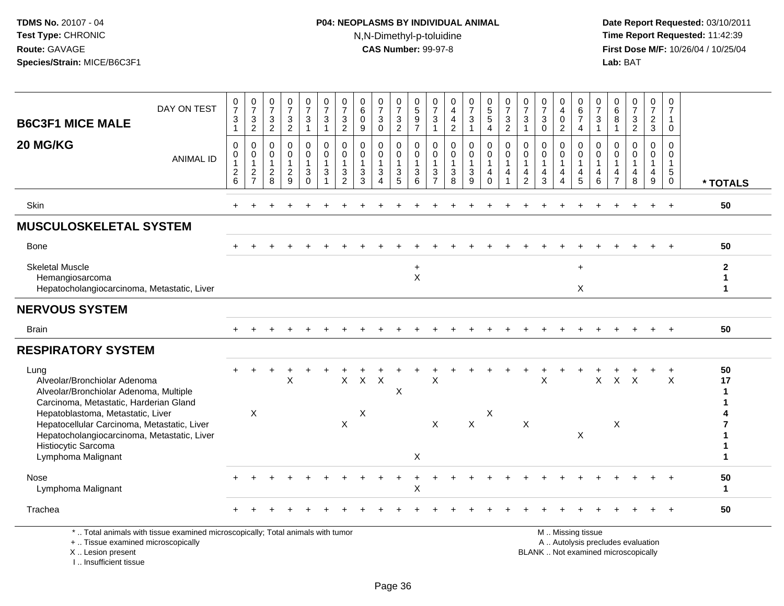# **P04: NEOPLASMS BY INDIVIDUAL ANIMAL**N,N-Dimethyl-p-toluidine

 **Date Report Requested:** 03/10/2011 **Time Report Requested:** 11:42:39 **First Dose M/F:** 10/26/04 / 10/25/04<br>**Lab:** BAT **Lab:** BAT

| <b>B6C3F1 MICE MALE</b>                                                                                                                                                                                                                                                                                  | DAY ON TEST      | $\frac{0}{7}$<br>$\sqrt{3}$<br>$\mathbf{1}$     | $\begin{array}{c} 0 \\ 7 \end{array}$<br>$\frac{3}{2}$    | 0<br>$\overline{7}$<br>$\frac{3}{2}$                                                 | $\frac{0}{7}$<br>$\frac{3}{2}$                                | 0<br>$\overline{7}$<br>$\mathbf{3}$<br>$\mathbf{1}$             | $\frac{0}{7}$<br>3<br>$\mathbf{1}$                | $\frac{0}{7}$<br>$\frac{3}{2}$                                  | 0<br>$6\phantom{a}$<br>$\pmb{0}$<br>9      | $\frac{0}{7}$<br>$\mathbf{3}$<br>$\mathbf 0$                               | 0<br>$\overline{7}$<br>$\frac{3}{2}$                | $\pmb{0}$<br>$\overline{5}$<br>$\frac{9}{7}$                  | 0<br>$\overline{7}$<br>3<br>$\mathbf{1}$            | 0<br>$\overline{4}$<br>$\overline{4}$<br>$\overline{2}$         | $\frac{0}{7}$<br>$\mathbf{3}$<br>$\mathbf{1}$                   | $\begin{smallmatrix}0\0\5\end{smallmatrix}$<br>$5\,$<br>$\overline{4}$ | $\frac{0}{7}$<br>$\frac{3}{2}$                                                 | 0<br>$\overline{7}$<br>3<br>$\mathbf{1}$                           | $\frac{0}{7}$<br>$\ensuremath{\mathsf{3}}$<br>$\mathbf 0$                             | 0<br>$\overline{4}$<br>$\mathbf 0$<br>$\overline{2}$                            | 0<br>$6\phantom{a}$<br>$\overline{7}$<br>$\overline{4}$                      | $\frac{0}{7}$<br>$\mathsf 3$<br>$\mathbf{1}$                                   | 0<br>$\,6\,$<br>8<br>$\overline{1}$         | $\frac{0}{7}$<br>$\frac{3}{2}$                                | 0<br>$\overline{7}$<br>$\frac{2}{3}$ | 0<br>$\overline{7}$<br>$\mathbf{1}$<br>$\mathbf 0$                     |                        |
|----------------------------------------------------------------------------------------------------------------------------------------------------------------------------------------------------------------------------------------------------------------------------------------------------------|------------------|-------------------------------------------------|-----------------------------------------------------------|--------------------------------------------------------------------------------------|---------------------------------------------------------------|-----------------------------------------------------------------|---------------------------------------------------|-----------------------------------------------------------------|--------------------------------------------|----------------------------------------------------------------------------|-----------------------------------------------------|---------------------------------------------------------------|-----------------------------------------------------|-----------------------------------------------------------------|-----------------------------------------------------------------|------------------------------------------------------------------------|--------------------------------------------------------------------------------|--------------------------------------------------------------------|---------------------------------------------------------------------------------------|---------------------------------------------------------------------------------|------------------------------------------------------------------------------|--------------------------------------------------------------------------------|---------------------------------------------|---------------------------------------------------------------|--------------------------------------|------------------------------------------------------------------------|------------------------|
| 20 MG/KG                                                                                                                                                                                                                                                                                                 | <b>ANIMAL ID</b> | 0<br>$\pmb{0}$<br>$\mathbf{1}$<br>$\frac{2}{6}$ | $\mathbf 0$<br>$\pmb{0}$<br>$\mathbf{1}$<br>$\frac{2}{7}$ | $\mathbf{0}$<br>$\mathbf 0$<br>$\mathbf{1}$<br>$\begin{array}{c} 2 \\ 8 \end{array}$ | $\mathbf 0$<br>$\mathbf 0$<br>$\overline{1}$<br>$\frac{2}{9}$ | 0<br>0<br>$\mathbf{1}$<br>$\ensuremath{\mathsf{3}}$<br>$\Omega$ | $\Omega$<br>$\mathbf 0$<br>1<br>3<br>$\mathbf{1}$ | 0<br>$\mathsf{O}\xspace$<br>$\mathbf{1}$<br>3<br>$\overline{2}$ | 0<br>$\mathbf 0$<br>$\mathbf{1}$<br>3<br>3 | $\mathbf 0$<br>$\mathbf 0$<br>$\mathbf{1}$<br>$\sqrt{3}$<br>$\overline{4}$ | 0<br>$\mathbf 0$<br>$\overline{1}$<br>$\frac{3}{5}$ | $\mathbf 0$<br>$\mathsf 0$<br>$\mathbf{1}$<br>$\sqrt{3}$<br>6 | $\Omega$<br>$\mathbf 0$<br>1<br>3<br>$\overline{7}$ | $\mathbf 0$<br>$\mathbf 0$<br>$\mathbf{1}$<br>$\mathbf{3}$<br>8 | $\mathbf 0$<br>$\mathsf 0$<br>$\mathbf{1}$<br>$\mathbf{3}$<br>9 | $\mathbf{0}$<br>$\mathbf 0$<br>$\mathbf{1}$<br>4<br>$\Omega$           | $\mathbf 0$<br>$\mathbf 0$<br>$\mathbf{1}$<br>$\overline{4}$<br>$\overline{1}$ | $\mathbf{0}$<br>$\mathbf 0$<br>$\mathbf{1}$<br>4<br>$\overline{2}$ | $\mathbf 0$<br>$\pmb{0}$<br>$\mathbf{1}$<br>$\overline{\mathbf{4}}$<br>$\overline{3}$ | $\mathbf{0}$<br>$\mathbf 0$<br>$\mathbf{1}$<br>$\overline{4}$<br>$\overline{A}$ | 0<br>$\mathsf{O}\xspace$<br>$\mathbf{1}$<br>$\overline{4}$<br>$\overline{5}$ | $\mathbf 0$<br>$\mathbf 0$<br>$\mathbf{1}$<br>$\overline{4}$<br>$6\phantom{1}$ | $\Omega$<br>$\Omega$<br>4<br>$\overline{7}$ | $\Omega$<br>$\Omega$<br>$\overline{1}$<br>$\overline{4}$<br>8 | $\Omega$<br>0<br>1<br>4<br>9         | $\Omega$<br>$\Omega$<br>$\mathbf{1}$<br>$5\phantom{.0}$<br>$\mathbf 0$ | * TOTALS               |
| Skin                                                                                                                                                                                                                                                                                                     |                  |                                                 |                                                           |                                                                                      |                                                               |                                                                 |                                                   |                                                                 |                                            |                                                                            |                                                     |                                                               |                                                     |                                                                 |                                                                 |                                                                        |                                                                                |                                                                    |                                                                                       |                                                                                 |                                                                              |                                                                                |                                             |                                                               |                                      | $\ddot{}$                                                              | 50                     |
| <b>MUSCULOSKELETAL SYSTEM</b>                                                                                                                                                                                                                                                                            |                  |                                                 |                                                           |                                                                                      |                                                               |                                                                 |                                                   |                                                                 |                                            |                                                                            |                                                     |                                                               |                                                     |                                                                 |                                                                 |                                                                        |                                                                                |                                                                    |                                                                                       |                                                                                 |                                                                              |                                                                                |                                             |                                                               |                                      |                                                                        |                        |
| <b>Bone</b>                                                                                                                                                                                                                                                                                              |                  |                                                 |                                                           |                                                                                      |                                                               |                                                                 |                                                   |                                                                 |                                            |                                                                            |                                                     |                                                               |                                                     |                                                                 |                                                                 |                                                                        |                                                                                |                                                                    |                                                                                       |                                                                                 |                                                                              |                                                                                |                                             |                                                               |                                      |                                                                        | 50                     |
| <b>Skeletal Muscle</b><br>Hemangiosarcoma<br>Hepatocholangiocarcinoma, Metastatic, Liver                                                                                                                                                                                                                 |                  |                                                 |                                                           |                                                                                      |                                                               |                                                                 |                                                   |                                                                 |                                            |                                                                            |                                                     | $\ddot{}$<br>$\sf X$                                          |                                                     |                                                                 |                                                                 |                                                                        |                                                                                |                                                                    |                                                                                       |                                                                                 | $+$<br>X                                                                     |                                                                                |                                             |                                                               |                                      |                                                                        | $\mathbf{2}$<br>1<br>1 |
| <b>NERVOUS SYSTEM</b>                                                                                                                                                                                                                                                                                    |                  |                                                 |                                                           |                                                                                      |                                                               |                                                                 |                                                   |                                                                 |                                            |                                                                            |                                                     |                                                               |                                                     |                                                                 |                                                                 |                                                                        |                                                                                |                                                                    |                                                                                       |                                                                                 |                                                                              |                                                                                |                                             |                                                               |                                      |                                                                        |                        |
| <b>Brain</b>                                                                                                                                                                                                                                                                                             |                  |                                                 |                                                           |                                                                                      |                                                               |                                                                 |                                                   |                                                                 |                                            |                                                                            |                                                     |                                                               |                                                     |                                                                 |                                                                 |                                                                        |                                                                                |                                                                    |                                                                                       |                                                                                 |                                                                              |                                                                                |                                             |                                                               |                                      |                                                                        | 50                     |
| <b>RESPIRATORY SYSTEM</b>                                                                                                                                                                                                                                                                                |                  |                                                 |                                                           |                                                                                      |                                                               |                                                                 |                                                   |                                                                 |                                            |                                                                            |                                                     |                                                               |                                                     |                                                                 |                                                                 |                                                                        |                                                                                |                                                                    |                                                                                       |                                                                                 |                                                                              |                                                                                |                                             |                                                               |                                      |                                                                        |                        |
| Lung<br>Alveolar/Bronchiolar Adenoma<br>Alveolar/Bronchiolar Adenoma, Multiple<br>Carcinoma, Metastatic, Harderian Gland<br>Hepatoblastoma, Metastatic, Liver<br>Hepatocellular Carcinoma, Metastatic, Liver<br>Hepatocholangiocarcinoma, Metastatic, Liver<br>Histiocytic Sarcoma<br>Lymphoma Malignant |                  |                                                 | $\ddot{}$<br>X                                            |                                                                                      | X                                                             |                                                                 |                                                   | X<br>$\mathsf X$                                                | $X$ $X$<br>$\pmb{\times}$                  |                                                                            | X                                                   | X                                                             | X<br>$\mathsf X$                                    |                                                                 | $\mathsf{x}$                                                    | X                                                                      |                                                                                | $\times$                                                           | X                                                                                     |                                                                                 | X                                                                            |                                                                                | $X$ $X$ $X$<br>$\boldsymbol{\mathsf{X}}$    |                                                               |                                      | $\ddot{}$<br>$\sf X$                                                   | 50<br>17<br>-1         |
| Nose<br>Lymphoma Malignant                                                                                                                                                                                                                                                                               |                  |                                                 |                                                           |                                                                                      |                                                               |                                                                 |                                                   |                                                                 |                                            |                                                                            |                                                     | X                                                             |                                                     |                                                                 |                                                                 |                                                                        |                                                                                |                                                                    |                                                                                       |                                                                                 |                                                                              |                                                                                |                                             |                                                               |                                      |                                                                        | 50<br>$\mathbf{1}$     |
| Trachea                                                                                                                                                                                                                                                                                                  |                  |                                                 |                                                           |                                                                                      |                                                               |                                                                 |                                                   |                                                                 |                                            |                                                                            |                                                     |                                                               |                                                     |                                                                 |                                                                 |                                                                        |                                                                                |                                                                    |                                                                                       |                                                                                 |                                                                              |                                                                                |                                             |                                                               |                                      |                                                                        | 50                     |
| *  Total animals with tissue examined microscopically; Total animals with tumor<br>+  Tissue examined microscopically                                                                                                                                                                                    |                  |                                                 |                                                           |                                                                                      |                                                               |                                                                 |                                                   |                                                                 |                                            |                                                                            |                                                     |                                                               |                                                     |                                                                 |                                                                 |                                                                        |                                                                                |                                                                    |                                                                                       |                                                                                 | M  Missing tissue                                                            |                                                                                |                                             | A  Autolysis precludes evaluation                             |                                      |                                                                        |                        |

#### X .. Lesion present

I .. Insufficient tissue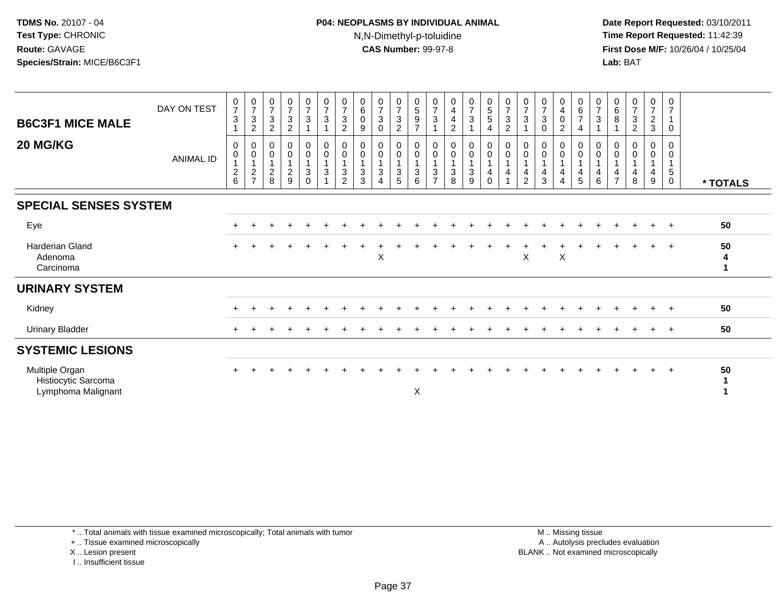# **P04: NEOPLASMS BY INDIVIDUAL ANIMAL**N,N-Dimethyl-p-toluidine

 **Date Report Requested:** 03/10/2011 **Time Report Requested:** 11:42:39 **First Dose M/F:** 10/26/04 / 10/25/04 Lab: BAT **Lab:** BAT

| <b>B6C3F1 MICE MALE</b>                                     | DAY ON TEST      | $\frac{0}{7}$<br>3                                   | $\begin{array}{c} 0 \\ 7 \end{array}$<br>$\ensuremath{\mathsf{3}}$<br>$\sqrt{2}$ | $\frac{0}{7}$<br>$\sqrt{3}$<br>$\sqrt{2}$                          | $\frac{0}{7}$<br>$\mathbf{3}$<br>$\overline{2}$ | $\frac{0}{7}$<br>$\mathbf{3}$                                            | $\frac{0}{7}$<br>$\ensuremath{\mathsf{3}}$<br>$\overline{1}$         | 0<br>$\overline{7}$<br>3<br>$\overline{2}$ | $\begin{smallmatrix}0\0\0\end{smallmatrix}$<br>9               | $\frac{0}{7}$<br>$\sqrt{3}$<br>0                                 | $\frac{0}{7}$<br>$\mathbf{3}$<br>$\sqrt{2}$                                     | 0<br>$5\,$<br>$\boldsymbol{9}$<br>$\overline{ }$ | $\frac{0}{7}$<br>$\ensuremath{\mathsf{3}}$                    | $_4^{\rm 0}$<br>$\overline{\mathbf{4}}$<br>$\overline{c}$ | $\begin{array}{c} 0 \\ 7 \end{array}$<br>$\mathsf 3$ | $\begin{array}{c} 0 \\ 5 \\ 5 \end{array}$<br>$\overline{4}$                       | $\frac{0}{7}$<br>$\ensuremath{\mathsf{3}}$<br>$\overline{c}$ | $\frac{0}{7}$<br>$\sqrt{3}$<br>1           | $\frac{0}{7}$<br>$\mathbf{3}$<br>$\Omega$ | $\begin{smallmatrix}0\\4\\0\end{smallmatrix}$<br>$\overline{c}$                                  | $\begin{array}{c} 0 \\ 6 \\ 7 \end{array}$<br>$\overline{4}$ | $\frac{0}{7}$<br>$\sqrt{3}$             | $\begin{array}{c} 0 \\ 6 \\ 8 \end{array}$<br>$\mathbf{1}$ | $\frac{0}{7}$<br>$\mathbf{3}$<br>$\overline{2}$ | $\begin{smallmatrix}0\\7\end{smallmatrix}$<br>$\frac{2}{3}$ | 0<br>$\overline{7}$<br>$\mathbf{1}$<br>0 |          |
|-------------------------------------------------------------|------------------|------------------------------------------------------|----------------------------------------------------------------------------------|--------------------------------------------------------------------|-------------------------------------------------|--------------------------------------------------------------------------|----------------------------------------------------------------------|--------------------------------------------|----------------------------------------------------------------|------------------------------------------------------------------|---------------------------------------------------------------------------------|--------------------------------------------------|---------------------------------------------------------------|-----------------------------------------------------------|------------------------------------------------------|------------------------------------------------------------------------------------|--------------------------------------------------------------|--------------------------------------------|-------------------------------------------|--------------------------------------------------------------------------------------------------|--------------------------------------------------------------|-----------------------------------------|------------------------------------------------------------|-------------------------------------------------|-------------------------------------------------------------|------------------------------------------|----------|
| <b>20 MG/KG</b>                                             | <b>ANIMAL ID</b> | 0<br>$\pmb{0}$<br>$\boldsymbol{2}$<br>$6\phantom{a}$ | 0<br>$\overline{0}$<br>1<br>$\frac{2}{7}$                                        | 0<br>$\begin{smallmatrix}0\\1\end{smallmatrix}$<br>$\sqrt{2}$<br>8 | 0<br>0<br>$\overline{c}$<br>9                   | $\begin{matrix} 0 \\ 0 \\ 1 \end{matrix}$<br>$\mathbf{3}$<br>$\mathbf 0$ | $_{\rm 0}^{\rm 0}$<br>$\mathbf{1}$<br>$\ensuremath{\mathsf{3}}$<br>1 | 0<br>0<br>$\mathbf{3}$<br>$\overline{2}$   | 0<br>$\pmb{0}$<br>$\overline{1}$<br>$\sqrt{3}$<br>$\mathbf{3}$ | 0<br>$\pmb{0}$<br>$\mathbf{1}$<br>$\ensuremath{\mathsf{3}}$<br>4 | $\begin{smallmatrix} 0\\0 \end{smallmatrix}$<br>$\mathbf{1}$<br>$\sqrt{3}$<br>5 | 0<br>$\mathbf 0$<br>3<br>6                       | 0<br>$\pmb{0}$<br>$\ensuremath{\mathsf{3}}$<br>$\overline{7}$ | 0<br>$\pmb{0}$<br>$\ensuremath{\mathsf{3}}$<br>8          | 0<br>$\mathbf 0$<br>$\sqrt{3}$<br>9                  | $\pmb{0}$<br>$\pmb{0}$<br>$\overline{1}$<br>$\overline{\mathbf{4}}$<br>$\mathbf 0$ | 0<br>$\pmb{0}$<br>$\mathbf 1$<br>4                           | 0<br>$\pmb{0}$<br>1<br>4<br>$\overline{2}$ | 0<br>$\pmb{0}$<br>4<br>3                  | $\begin{smallmatrix} 0\\0 \end{smallmatrix}$<br>$\mathbf{1}$<br>$\overline{4}$<br>$\overline{4}$ | 0<br>$\pmb{0}$<br>$\overline{4}$<br>$\sqrt{5}$               | 0<br>$\mathbf 0$<br>$\overline{4}$<br>6 | 0<br>$\pmb{0}$<br>$\mathbf{1}$<br>4<br>$\overline{7}$      | 0<br>0<br>4<br>8                                | 0<br>$\pmb{0}$<br>$\overline{1}$<br>4<br>9                  | 0<br>0<br>$\sqrt{5}$<br>0                | * TOTALS |
| <b>SPECIAL SENSES SYSTEM</b>                                |                  |                                                      |                                                                                  |                                                                    |                                                 |                                                                          |                                                                      |                                            |                                                                |                                                                  |                                                                                 |                                                  |                                                               |                                                           |                                                      |                                                                                    |                                                              |                                            |                                           |                                                                                                  |                                                              |                                         |                                                            |                                                 |                                                             |                                          |          |
| Eye                                                         |                  |                                                      |                                                                                  |                                                                    |                                                 |                                                                          |                                                                      |                                            |                                                                |                                                                  |                                                                                 |                                                  |                                                               |                                                           |                                                      |                                                                                    |                                                              |                                            |                                           |                                                                                                  |                                                              |                                         |                                                            |                                                 |                                                             | $+$                                      | 50       |
| <b>Harderian Gland</b><br>Adenoma<br>Carcinoma              |                  |                                                      |                                                                                  |                                                                    |                                                 |                                                                          |                                                                      |                                            |                                                                | $\mathsf X$                                                      |                                                                                 |                                                  |                                                               |                                                           |                                                      |                                                                                    |                                                              | X                                          |                                           | X                                                                                                |                                                              |                                         |                                                            |                                                 |                                                             | $+$                                      | 50<br>4  |
| <b>URINARY SYSTEM</b>                                       |                  |                                                      |                                                                                  |                                                                    |                                                 |                                                                          |                                                                      |                                            |                                                                |                                                                  |                                                                                 |                                                  |                                                               |                                                           |                                                      |                                                                                    |                                                              |                                            |                                           |                                                                                                  |                                                              |                                         |                                                            |                                                 |                                                             |                                          |          |
| Kidney                                                      |                  |                                                      |                                                                                  |                                                                    |                                                 |                                                                          |                                                                      |                                            |                                                                |                                                                  |                                                                                 |                                                  |                                                               |                                                           |                                                      |                                                                                    |                                                              |                                            |                                           |                                                                                                  |                                                              |                                         |                                                            |                                                 |                                                             | $+$                                      | 50       |
| <b>Urinary Bladder</b>                                      |                  |                                                      |                                                                                  |                                                                    |                                                 |                                                                          |                                                                      |                                            |                                                                |                                                                  |                                                                                 |                                                  |                                                               |                                                           |                                                      |                                                                                    |                                                              |                                            |                                           |                                                                                                  |                                                              |                                         |                                                            |                                                 |                                                             | $+$                                      | 50       |
| <b>SYSTEMIC LESIONS</b>                                     |                  |                                                      |                                                                                  |                                                                    |                                                 |                                                                          |                                                                      |                                            |                                                                |                                                                  |                                                                                 |                                                  |                                                               |                                                           |                                                      |                                                                                    |                                                              |                                            |                                           |                                                                                                  |                                                              |                                         |                                                            |                                                 |                                                             |                                          |          |
| Multiple Organ<br>Histiocytic Sarcoma<br>Lymphoma Malignant |                  |                                                      |                                                                                  |                                                                    |                                                 |                                                                          |                                                                      |                                            |                                                                |                                                                  |                                                                                 | X                                                |                                                               |                                                           |                                                      |                                                                                    |                                                              |                                            |                                           |                                                                                                  |                                                              |                                         |                                                            |                                                 | $+$                                                         | $+$                                      | 50       |

\* .. Total animals with tissue examined microscopically; Total animals with tumor

+ .. Tissue examined microscopically

X .. Lesion present

I .. Insufficient tissue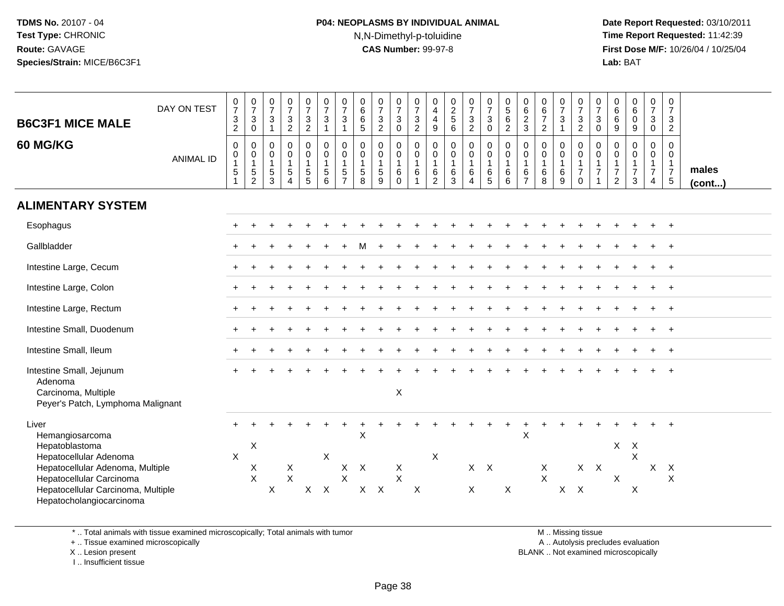# **P04: NEOPLASMS BY INDIVIDUAL ANIMAL**N,N-Dimethyl-p-toluidine

 **Date Report Requested:** 03/10/2011 **Time Report Requested:** 11:42:39 **First Dose M/F:** 10/26/04 / 10/25/04 Lab: BAT **Lab:** BAT

| <b>B6C3F1 MICE MALE</b><br><b>60 MG/KG</b>                                                                                                                                                             | DAY ON TEST<br><b>ANIMAL ID</b> | $\frac{0}{7}$<br>3<br>$\overline{2}$<br>$\mathbf 0$<br>0<br>$\mathbf{1}$<br>5 | $\frac{0}{7}$<br>$\sqrt{3}$<br>$\mathsf{O}\xspace$<br>$\mathbf 0$<br>$\begin{smallmatrix}0\\1\end{smallmatrix}$<br>$\frac{5}{2}$ | $\frac{0}{7}$<br>$\ensuremath{\mathsf{3}}$<br>$\mathbf{1}$<br>0<br>$\begin{smallmatrix}0\\1\end{smallmatrix}$<br>$\frac{5}{3}$ | $\frac{0}{7}$<br>$\frac{3}{2}$<br>$\mathbf 0$<br>$\mathbf 0$<br>$\overline{1}$<br>$\sqrt{5}$<br>$\overline{A}$ | $\frac{0}{7}$<br>$\frac{3}{2}$<br>$\mathbf 0$<br>$\overline{0}$<br>1<br>$\frac{5}{5}$ | $\frac{0}{7}$<br>$\mathbf{3}$<br>$\mathbf{1}$<br>$\mathbf 0$<br>$\mathbf 0$<br>$\mathbf{1}$<br>5<br>6 | $\frac{0}{7}$<br>$\sqrt{3}$<br>$\mathbf{1}$<br>$\mathbf 0$<br>$\mathbf 0$<br>$\mathbf{1}$<br>$\sqrt{5}$<br>$\overline{7}$ | $\begin{matrix} 0 \\ 6 \end{matrix}$<br>$\,6$<br>5<br>$\mathbf 0$<br>0<br>$\mathbf{1}$<br>5<br>8 | $\frac{0}{7}$<br>$\frac{3}{2}$<br>$\mathbf 0$<br>$\mathsf{O}\xspace$<br>$\mathbf{1}$<br>$\frac{5}{9}$ | $\frac{0}{7}$<br>$\mathbf{3}$<br>$\pmb{0}$<br>0<br>$\begin{smallmatrix}0\\1\end{smallmatrix}$<br>6<br>$\mathbf 0$ | 0<br>$\overline{7}$<br>$\sqrt{3}$<br>$\overline{2}$<br>$\mathbf 0$<br>0<br>$\mathbf{1}$<br>$\,6\,$ | $\begin{smallmatrix}0\0\4\end{smallmatrix}$<br>$\overline{4}$<br>$\boldsymbol{9}$<br>$\mathbf 0$<br>$\pmb{0}$<br>$\mathbf{1}$<br>$\frac{6}{2}$ | $\begin{array}{c} 0 \\ 2 \\ 5 \end{array}$<br>$6\overline{6}$<br>0<br>$\pmb{0}$<br>$\overline{1}$<br>$^6_3$ | $\frac{0}{7}$<br>$\frac{3}{2}$<br>$\pmb{0}$<br>$\overline{0}$<br>1<br>$\,6\,$<br>$\overline{4}$ | $\frac{0}{7}$<br>3<br>$\pmb{0}$<br>0<br>0<br>$\mathbf{1}$<br>6<br>5 | $\begin{array}{c} 0 \\ 5 \\ 6 \end{array}$<br>$\overline{2}$<br>$\mathbf 0$<br>$\pmb{0}$<br>$\mathbf{1}$<br>$\,6$<br>6 | 0<br>6<br>2<br>3<br>$\mathbf 0$<br>$\pmb{0}$<br>$\mathbf{1}$<br>6<br>$\overline{7}$ | $\begin{array}{c} 0 \\ 6 \\ 7 \end{array}$<br>$\overline{2}$<br>0<br>$\begin{smallmatrix}0\\1\end{smallmatrix}$<br>$^6_8$ | $\frac{0}{7}$<br>$\ensuremath{\mathsf{3}}$<br>$\overline{1}$<br>$\mathbf 0$<br>$\pmb{0}$<br>$\mathbf{1}$<br>$\,6$<br>$9\,$ | $\frac{0}{7}$<br>$\frac{3}{2}$<br>$\boldsymbol{0}$<br>$\mathbf 0$<br>$\mathbf{1}$<br>$\overline{7}$<br>$\Omega$ | $\frac{0}{7}$<br>$\sqrt{3}$<br>$\mathsf 0$<br>$\mathbf 0$<br>0<br>$\overline{1}$<br>$\overline{7}$<br>$\overline{ }$ | $\begin{array}{c} 0 \\ 6 \end{array}$<br>$\,6\,$<br>$\boldsymbol{9}$<br>0<br>0<br>$\mathbf{1}$<br>$\boldsymbol{7}$<br>$\overline{2}$ | $\begin{array}{c} 0 \\ 6 \end{array}$<br>$\mathbf 0$<br>9<br>0<br>$\mathbf 0$<br>$\mathbf{1}$<br>$\overline{7}$<br>$\mathbf{3}$ | $\frac{0}{7}$<br>3<br>$\mathbf 0$<br>$\mathbf 0$<br>0<br>$\mathbf{1}$<br>$\overline{7}$<br>4 | $\mathbf 0$<br>$\overline{7}$<br>$\mathbf{3}$<br>$\overline{2}$<br>$\Omega$<br>0<br>$\overline{1}$<br>$\overline{7}$<br>$\sqrt{5}$ | males<br>$($ cont $)$ |
|--------------------------------------------------------------------------------------------------------------------------------------------------------------------------------------------------------|---------------------------------|-------------------------------------------------------------------------------|----------------------------------------------------------------------------------------------------------------------------------|--------------------------------------------------------------------------------------------------------------------------------|----------------------------------------------------------------------------------------------------------------|---------------------------------------------------------------------------------------|-------------------------------------------------------------------------------------------------------|---------------------------------------------------------------------------------------------------------------------------|--------------------------------------------------------------------------------------------------|-------------------------------------------------------------------------------------------------------|-------------------------------------------------------------------------------------------------------------------|----------------------------------------------------------------------------------------------------|------------------------------------------------------------------------------------------------------------------------------------------------|-------------------------------------------------------------------------------------------------------------|-------------------------------------------------------------------------------------------------|---------------------------------------------------------------------|------------------------------------------------------------------------------------------------------------------------|-------------------------------------------------------------------------------------|---------------------------------------------------------------------------------------------------------------------------|----------------------------------------------------------------------------------------------------------------------------|-----------------------------------------------------------------------------------------------------------------|----------------------------------------------------------------------------------------------------------------------|--------------------------------------------------------------------------------------------------------------------------------------|---------------------------------------------------------------------------------------------------------------------------------|----------------------------------------------------------------------------------------------|------------------------------------------------------------------------------------------------------------------------------------|-----------------------|
| <b>ALIMENTARY SYSTEM</b>                                                                                                                                                                               |                                 |                                                                               |                                                                                                                                  |                                                                                                                                |                                                                                                                |                                                                                       |                                                                                                       |                                                                                                                           |                                                                                                  |                                                                                                       |                                                                                                                   |                                                                                                    |                                                                                                                                                |                                                                                                             |                                                                                                 |                                                                     |                                                                                                                        |                                                                                     |                                                                                                                           |                                                                                                                            |                                                                                                                 |                                                                                                                      |                                                                                                                                      |                                                                                                                                 |                                                                                              |                                                                                                                                    |                       |
| Esophagus                                                                                                                                                                                              |                                 |                                                                               |                                                                                                                                  |                                                                                                                                |                                                                                                                |                                                                                       |                                                                                                       |                                                                                                                           |                                                                                                  |                                                                                                       |                                                                                                                   |                                                                                                    |                                                                                                                                                |                                                                                                             |                                                                                                 |                                                                     |                                                                                                                        |                                                                                     |                                                                                                                           |                                                                                                                            |                                                                                                                 |                                                                                                                      |                                                                                                                                      |                                                                                                                                 |                                                                                              |                                                                                                                                    |                       |
| Gallbladder                                                                                                                                                                                            |                                 |                                                                               |                                                                                                                                  |                                                                                                                                |                                                                                                                |                                                                                       |                                                                                                       |                                                                                                                           |                                                                                                  |                                                                                                       |                                                                                                                   |                                                                                                    |                                                                                                                                                |                                                                                                             |                                                                                                 |                                                                     |                                                                                                                        |                                                                                     |                                                                                                                           |                                                                                                                            |                                                                                                                 |                                                                                                                      |                                                                                                                                      |                                                                                                                                 |                                                                                              |                                                                                                                                    |                       |
| Intestine Large, Cecum                                                                                                                                                                                 |                                 |                                                                               |                                                                                                                                  |                                                                                                                                |                                                                                                                |                                                                                       |                                                                                                       |                                                                                                                           |                                                                                                  |                                                                                                       |                                                                                                                   |                                                                                                    |                                                                                                                                                |                                                                                                             |                                                                                                 |                                                                     |                                                                                                                        |                                                                                     |                                                                                                                           |                                                                                                                            |                                                                                                                 |                                                                                                                      |                                                                                                                                      |                                                                                                                                 |                                                                                              |                                                                                                                                    |                       |
| Intestine Large, Colon                                                                                                                                                                                 |                                 |                                                                               |                                                                                                                                  |                                                                                                                                |                                                                                                                |                                                                                       |                                                                                                       |                                                                                                                           |                                                                                                  |                                                                                                       |                                                                                                                   |                                                                                                    |                                                                                                                                                |                                                                                                             |                                                                                                 |                                                                     |                                                                                                                        |                                                                                     |                                                                                                                           |                                                                                                                            |                                                                                                                 |                                                                                                                      |                                                                                                                                      |                                                                                                                                 |                                                                                              | $\overline{ }$                                                                                                                     |                       |
| Intestine Large, Rectum                                                                                                                                                                                |                                 |                                                                               |                                                                                                                                  |                                                                                                                                |                                                                                                                |                                                                                       |                                                                                                       |                                                                                                                           |                                                                                                  |                                                                                                       |                                                                                                                   |                                                                                                    |                                                                                                                                                |                                                                                                             |                                                                                                 |                                                                     |                                                                                                                        |                                                                                     |                                                                                                                           |                                                                                                                            |                                                                                                                 |                                                                                                                      |                                                                                                                                      |                                                                                                                                 |                                                                                              |                                                                                                                                    |                       |
| Intestine Small, Duodenum                                                                                                                                                                              |                                 |                                                                               |                                                                                                                                  |                                                                                                                                |                                                                                                                |                                                                                       |                                                                                                       |                                                                                                                           |                                                                                                  |                                                                                                       |                                                                                                                   |                                                                                                    |                                                                                                                                                |                                                                                                             |                                                                                                 |                                                                     |                                                                                                                        |                                                                                     |                                                                                                                           |                                                                                                                            |                                                                                                                 |                                                                                                                      |                                                                                                                                      |                                                                                                                                 |                                                                                              |                                                                                                                                    |                       |
| Intestine Small, Ileum                                                                                                                                                                                 |                                 |                                                                               |                                                                                                                                  |                                                                                                                                |                                                                                                                |                                                                                       |                                                                                                       |                                                                                                                           |                                                                                                  |                                                                                                       |                                                                                                                   |                                                                                                    |                                                                                                                                                |                                                                                                             |                                                                                                 |                                                                     |                                                                                                                        |                                                                                     |                                                                                                                           |                                                                                                                            |                                                                                                                 |                                                                                                                      |                                                                                                                                      |                                                                                                                                 |                                                                                              | $\ddot{}$                                                                                                                          |                       |
| Intestine Small, Jejunum<br>Adenoma<br>Carcinoma, Multiple<br>Peyer's Patch, Lymphoma Malignant                                                                                                        |                                 |                                                                               |                                                                                                                                  |                                                                                                                                |                                                                                                                |                                                                                       |                                                                                                       |                                                                                                                           |                                                                                                  |                                                                                                       | $\mathsf X$                                                                                                       |                                                                                                    |                                                                                                                                                |                                                                                                             |                                                                                                 |                                                                     |                                                                                                                        |                                                                                     |                                                                                                                           |                                                                                                                            |                                                                                                                 |                                                                                                                      |                                                                                                                                      |                                                                                                                                 |                                                                                              |                                                                                                                                    |                       |
| Liver<br>Hemangiosarcoma<br>Hepatoblastoma<br>Hepatocellular Adenoma<br>Hepatocellular Adenoma, Multiple<br>Hepatocellular Carcinoma<br>Hepatocellular Carcinoma, Multiple<br>Hepatocholangiocarcinoma |                                 | $\boldsymbol{\mathsf{X}}$                                                     | $\mathsf X$<br>X<br>$\mathsf{X}$                                                                                                 | X                                                                                                                              | X<br>$\pmb{\times}$                                                                                            |                                                                                       | $\boldsymbol{\mathsf{X}}$<br>$X$ $X$                                                                  | $\mathsf{X}$<br>$\mathsf{X}$                                                                                              | X<br>$\boldsymbol{X}$<br>$X$ $X$                                                                 |                                                                                                       | X<br>$\sf X$                                                                                                      | X                                                                                                  | X                                                                                                                                              |                                                                                                             | $\mathsf{X}$                                                                                    | $X$ $X$                                                             | $\mathsf X$                                                                                                            | $\sf X$                                                                             | X<br>X                                                                                                                    | $\mathsf{X}$                                                                                                               | $\mathsf{X}$                                                                                                    | $X$ $X$                                                                                                              | X.<br>X                                                                                                                              | $\boldsymbol{X}$<br>$\boldsymbol{\mathsf{X}}$<br>$\sf X$                                                                        | X                                                                                            | $\mathsf{X}$<br>X                                                                                                                  |                       |

\* .. Total animals with tissue examined microscopically; Total animals with tumor

+ .. Tissue examined microscopically

 Lesion present BLANK .. Not examined microscopicallyX .. Lesion present

I .. Insufficient tissue

M .. Missing tissue

y the contract of the contract of the contract of the contract of the contract of the contract of the contract of  $A$ . Autolysis precludes evaluation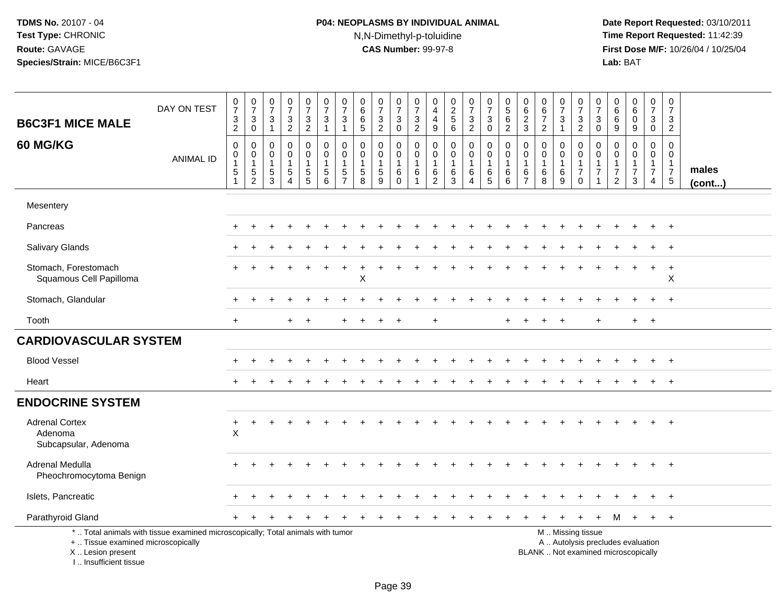# **P04: NEOPLASMS BY INDIVIDUAL ANIMAL**N,N-Dimethyl-p-toluidine

| <b>B6C3F1 MICE MALE</b>                                                          | DAY ON TEST                                                                     | $\frac{0}{7}$<br>3<br>$\overline{2}$                            | $\begin{array}{c} 0 \\ 7 \\ 3 \end{array}$<br>$\overline{0}$ | $\begin{smallmatrix}0\\7\end{smallmatrix}$<br>$\sqrt{3}$<br>$\overline{1}$ | $\frac{0}{7}$<br>$\mathbf{3}$<br>$\overline{2}$        | $\frac{0}{7}$<br>$\ensuremath{\mathsf{3}}$<br>$\overline{2}$                      | $\frac{0}{7}$<br>3<br>$\mathbf{1}$           | $\frac{0}{7}$<br>$\mathbf{3}$<br>$\mathbf{1}$       | $_{6}^{\rm 0}$<br>$\,6\,$<br>5                                   | $\frac{0}{7}$<br>$\frac{3}{2}$                                | $\frac{0}{7}$<br>$\sqrt{3}$<br>$\mathbf 0$       | 0<br>$\boldsymbol{7}$<br>$\ensuremath{\mathsf{3}}$<br>$\overline{2}$ | $\begin{smallmatrix}0\0\4\end{smallmatrix}$<br>$\overline{4}$<br>$\boldsymbol{9}$ | $\begin{array}{c} 0 \\ 2 \\ 5 \end{array}$<br>$6\overline{6}$ | $\frac{0}{7}$<br>$\mathbf{3}$<br>$\overline{2}$ | $\frac{0}{7}$<br>$\sqrt{3}$<br>$\pmb{0}$                   | 0<br>$\frac{5}{6}$<br>$\overline{2}$                   | 0<br>$\,6\,$<br>$\overline{2}$<br>$\mathbf{3}$          | $\begin{array}{c} 0 \\ 6 \\ 7 \end{array}$<br>$\overline{2}$ | $\frac{0}{7}$<br>$\overline{3}$<br>$\overline{1}$  | $\frac{0}{7}$<br>$\frac{3}{2}$                                                                | $\frac{0}{7}$<br>3<br>$\mathbf 0$                        | 0<br>$\,6\,$<br>6<br>$\boldsymbol{9}$                                            | 0<br>$6\overline{6}$<br>$\pmb{0}$<br>$\boldsymbol{9}$ | $\begin{smallmatrix}0\\7\end{smallmatrix}$<br>3<br>$\mathbf 0$  | $\pmb{0}$<br>$\overline{7}$<br>$\mathbf{3}$<br>$\overline{c}$    |                       |
|----------------------------------------------------------------------------------|---------------------------------------------------------------------------------|-----------------------------------------------------------------|--------------------------------------------------------------|----------------------------------------------------------------------------|--------------------------------------------------------|-----------------------------------------------------------------------------------|----------------------------------------------|-----------------------------------------------------|------------------------------------------------------------------|---------------------------------------------------------------|--------------------------------------------------|----------------------------------------------------------------------|-----------------------------------------------------------------------------------|---------------------------------------------------------------|-------------------------------------------------|------------------------------------------------------------|--------------------------------------------------------|---------------------------------------------------------|--------------------------------------------------------------|----------------------------------------------------|-----------------------------------------------------------------------------------------------|----------------------------------------------------------|----------------------------------------------------------------------------------|-------------------------------------------------------|-----------------------------------------------------------------|------------------------------------------------------------------|-----------------------|
| 60 MG/KG                                                                         | <b>ANIMAL ID</b>                                                                | $\mathbf 0$<br>$\mathbf 0$<br>$\mathbf{1}$<br>5<br>$\mathbf{1}$ | $\pmb{0}$<br>0<br>$\mathbf{1}$<br>$\frac{5}{2}$              | $\mathbf 0$<br>0<br>$\mathbf{1}$<br>$\frac{5}{3}$                          | 0<br>0<br>$\mathbf{1}$<br>$\sqrt{5}$<br>$\overline{4}$ | $\pmb{0}$<br>$\mathbf 0$<br>$\mathbf{1}$<br>$\begin{array}{c} 5 \\ 5 \end{array}$ | $\mathbf 0$<br>0<br>1<br>5<br>$6\phantom{a}$ | 0<br>$\mathbf 0$<br>$\overline{1}$<br>$\frac{5}{7}$ | $\mathbf 0$<br>0<br>$\mathbf{1}$<br>$\sqrt{5}$<br>$\overline{8}$ | $\mathbf 0$<br>$\mathbf 0$<br>$\overline{1}$<br>$\frac{5}{9}$ | 0<br>0<br>$\overline{1}$<br>$\,6$<br>$\mathbf 0$ | 0<br>0<br>-1<br>6<br>$\mathbf 1$                                     | $\,0\,$<br>$\mathbf 0$<br>$\overline{1}$<br>$\frac{6}{2}$                         | $\pmb{0}$<br>$\mathbf 0$<br>$\mathbf{1}$<br>$^6_3$            | 0<br>$\overline{0}$<br>1<br>$^6_4$              | $\mathbf 0$<br>$\mathbf 0$<br>$\overline{1}$<br>$6\over 5$ | $\mathbf 0$<br>$\mathbf 0$<br>$\overline{1}$<br>6<br>6 | 0<br>$\mathbf 0$<br>$\mathbf{1}$<br>6<br>$\overline{7}$ | 0<br>$\mathbf 0$<br>$\mathbf{1}$<br>$^6_8$                   | $\pmb{0}$<br>$\mathbf 0$<br>$\mathbf{1}$<br>$^6_9$ | 0<br>$\mathbf 0$<br>$\mathbf{1}$<br>$\overline{7}$<br>$\mathbf 0$                             | $\mathbf 0$<br>0<br>$\mathbf{1}$<br>$\overline{7}$<br>-1 | $\mathbf 0$<br>$\mathbf 0$<br>$\mathbf{1}$<br>$\boldsymbol{7}$<br>$\overline{2}$ | 0<br>$\mathbf 0$<br>$\overline{7}$<br>3               | $\pmb{0}$<br>$\mathbf 0$<br>$\mathbf{1}$<br>$\overline{7}$<br>4 | $\mathbf 0$<br>0<br>$\mathbf{1}$<br>$\overline{7}$<br>$\sqrt{5}$ | males<br>$($ cont $)$ |
| Mesentery                                                                        |                                                                                 |                                                                 |                                                              |                                                                            |                                                        |                                                                                   |                                              |                                                     |                                                                  |                                                               |                                                  |                                                                      |                                                                                   |                                                               |                                                 |                                                            |                                                        |                                                         |                                                              |                                                    |                                                                                               |                                                          |                                                                                  |                                                       |                                                                 |                                                                  |                       |
| Pancreas                                                                         |                                                                                 |                                                                 |                                                              |                                                                            |                                                        |                                                                                   |                                              |                                                     |                                                                  |                                                               |                                                  |                                                                      |                                                                                   |                                                               |                                                 |                                                            |                                                        |                                                         |                                                              |                                                    |                                                                                               |                                                          |                                                                                  |                                                       |                                                                 | $\overline{+}$                                                   |                       |
| Salivary Glands                                                                  |                                                                                 |                                                                 |                                                              |                                                                            |                                                        |                                                                                   |                                              |                                                     |                                                                  |                                                               |                                                  |                                                                      |                                                                                   |                                                               |                                                 |                                                            |                                                        |                                                         |                                                              |                                                    |                                                                                               |                                                          |                                                                                  |                                                       |                                                                 | $\overline{+}$                                                   |                       |
| Stomach, Forestomach<br>Squamous Cell Papilloma                                  |                                                                                 |                                                                 |                                                              |                                                                            |                                                        |                                                                                   |                                              |                                                     | X                                                                |                                                               |                                                  |                                                                      |                                                                                   |                                                               |                                                 |                                                            |                                                        |                                                         |                                                              |                                                    |                                                                                               |                                                          |                                                                                  |                                                       |                                                                 | $+$<br>X                                                         |                       |
| Stomach, Glandular                                                               |                                                                                 |                                                                 |                                                              |                                                                            |                                                        |                                                                                   |                                              |                                                     |                                                                  |                                                               |                                                  |                                                                      |                                                                                   |                                                               |                                                 |                                                            |                                                        |                                                         |                                                              |                                                    |                                                                                               |                                                          |                                                                                  |                                                       |                                                                 | $+$                                                              |                       |
| Tooth                                                                            |                                                                                 | $+$                                                             |                                                              |                                                                            | $\ddot{}$                                              | $\ddot{}$                                                                         |                                              |                                                     |                                                                  |                                                               |                                                  |                                                                      |                                                                                   |                                                               |                                                 |                                                            |                                                        |                                                         |                                                              |                                                    |                                                                                               | $+$                                                      |                                                                                  | $+$                                                   | $+$                                                             |                                                                  |                       |
| <b>CARDIOVASCULAR SYSTEM</b>                                                     |                                                                                 |                                                                 |                                                              |                                                                            |                                                        |                                                                                   |                                              |                                                     |                                                                  |                                                               |                                                  |                                                                      |                                                                                   |                                                               |                                                 |                                                            |                                                        |                                                         |                                                              |                                                    |                                                                                               |                                                          |                                                                                  |                                                       |                                                                 |                                                                  |                       |
| <b>Blood Vessel</b>                                                              |                                                                                 |                                                                 |                                                              |                                                                            |                                                        |                                                                                   |                                              |                                                     |                                                                  |                                                               |                                                  |                                                                      |                                                                                   |                                                               |                                                 |                                                            |                                                        |                                                         |                                                              |                                                    |                                                                                               |                                                          |                                                                                  |                                                       | $\pm$                                                           | $+$                                                              |                       |
| Heart                                                                            |                                                                                 | $\ddot{}$                                                       |                                                              |                                                                            |                                                        |                                                                                   |                                              |                                                     |                                                                  |                                                               |                                                  |                                                                      |                                                                                   |                                                               |                                                 |                                                            |                                                        |                                                         |                                                              |                                                    |                                                                                               |                                                          |                                                                                  |                                                       | $+$                                                             | $+$                                                              |                       |
| <b>ENDOCRINE SYSTEM</b>                                                          |                                                                                 |                                                                 |                                                              |                                                                            |                                                        |                                                                                   |                                              |                                                     |                                                                  |                                                               |                                                  |                                                                      |                                                                                   |                                                               |                                                 |                                                            |                                                        |                                                         |                                                              |                                                    |                                                                                               |                                                          |                                                                                  |                                                       |                                                                 |                                                                  |                       |
| <b>Adrenal Cortex</b><br>Adenoma<br>Subcapsular, Adenoma                         |                                                                                 | $\ddot{}$<br>$\sf X$                                            |                                                              |                                                                            |                                                        |                                                                                   |                                              |                                                     |                                                                  |                                                               |                                                  |                                                                      |                                                                                   |                                                               |                                                 |                                                            |                                                        |                                                         |                                                              |                                                    |                                                                                               |                                                          |                                                                                  |                                                       |                                                                 |                                                                  |                       |
| Adrenal Medulla<br>Pheochromocytoma Benign                                       |                                                                                 |                                                                 |                                                              |                                                                            |                                                        |                                                                                   |                                              |                                                     |                                                                  |                                                               |                                                  |                                                                      |                                                                                   |                                                               |                                                 |                                                            |                                                        |                                                         |                                                              |                                                    |                                                                                               |                                                          |                                                                                  |                                                       |                                                                 | $\overline{+}$                                                   |                       |
| Islets, Pancreatic                                                               |                                                                                 |                                                                 |                                                              |                                                                            |                                                        |                                                                                   |                                              |                                                     |                                                                  |                                                               |                                                  |                                                                      |                                                                                   |                                                               |                                                 |                                                            |                                                        |                                                         |                                                              |                                                    |                                                                                               |                                                          |                                                                                  |                                                       |                                                                 | $\overline{1}$                                                   |                       |
| Parathyroid Gland                                                                |                                                                                 |                                                                 |                                                              |                                                                            |                                                        |                                                                                   |                                              |                                                     |                                                                  |                                                               |                                                  |                                                                      |                                                                                   |                                                               |                                                 |                                                            |                                                        |                                                         |                                                              |                                                    |                                                                                               | $+$                                                      | M                                                                                | $+$                                                   | $+$                                                             | $+$                                                              |                       |
| +  Tissue examined microscopically<br>X  Lesion present<br>I Insufficient tissue | *  Total animals with tissue examined microscopically; Total animals with tumor |                                                                 |                                                              |                                                                            |                                                        |                                                                                   |                                              |                                                     |                                                                  |                                                               |                                                  |                                                                      |                                                                                   |                                                               |                                                 |                                                            |                                                        |                                                         |                                                              |                                                    | M  Missing tissue<br>A  Autolysis precludes evaluation<br>BLANK  Not examined microscopically |                                                          |                                                                                  |                                                       |                                                                 |                                                                  |                       |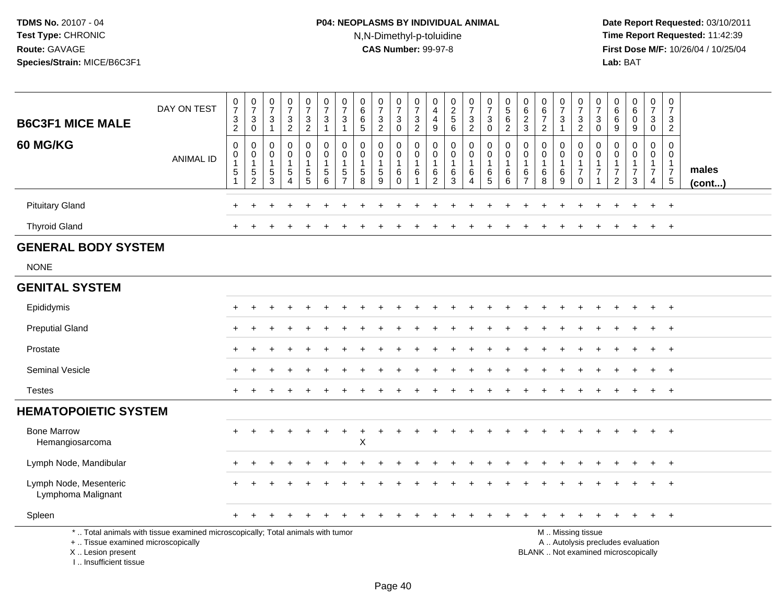# **P04: NEOPLASMS BY INDIVIDUAL ANIMAL**N,N-Dimethyl-p-toluidine

| <b>B6C3F1 MICE MALE</b>                                                            | DAY ON TEST                                                                     | $\frac{0}{7}$<br>$\ensuremath{\mathsf{3}}$<br>$\overline{2}$            | $\frac{0}{7}$<br>$\ensuremath{\mathsf{3}}$<br>$\mathbf 0$   | $\frac{0}{7}$<br>$\frac{3}{1}$                                     | $\frac{0}{7}$<br>$\frac{3}{2}$       | $\pmb{0}$<br>$\overline{7}$<br>$\frac{3}{2}$                                      | $\frac{0}{7}$<br>$\frac{3}{1}$                                                              | $\frac{0}{7}$<br>$\ensuremath{\mathsf{3}}$<br>$\overline{1}$ | 0<br>$\,6$<br>$\,6\,$<br>$5\phantom{1}$                       | $\frac{0}{7}$<br>$\frac{3}{2}$ | $\frac{0}{7}$<br>$_{0}^{3}$                                | 0<br>$\overline{7}$<br>$\frac{3}{2}$                          | 0<br>$\overline{4}$<br>$\overline{4}$<br>$\boldsymbol{9}$ | $0$<br>$2$<br>$5$<br>$6$                                                | $\frac{0}{7}$<br>$\frac{3}{2}$                   | $\frac{0}{7}$<br>$\ensuremath{\mathsf{3}}$<br>$\mathbf 0$           | $\begin{array}{c} 0 \\ 5 \end{array}$<br>$\,6\,$<br>$\overline{2}$ | 0<br>$6\phantom{a}$<br>$\overline{2}$<br>$\mathbf{3}$ | $\begin{array}{c} 0 \\ 6 \\ 7 \end{array}$<br>$\overline{2}$ | 0<br>$\overline{7}$<br>$\sqrt{3}$<br>$\overline{1}$ | $\frac{0}{7}$<br>$\frac{3}{2}$                                                | 0<br>$\overline{7}$<br>$\mathbf{3}$<br>$\mathbf 0$ | $\mathbf 0$<br>6<br>$\,6$<br>$9\,$                               | $\begin{matrix} 0 \\ 6 \end{matrix}$<br>$\mathbf 0$<br>9 | $\mathbf 0$<br>$\overline{7}$<br>$\mathbf{3}$<br>$\mathbf 0$        | 0<br>$\overline{7}$<br>3<br>$\overline{c}$                                 |                       |
|------------------------------------------------------------------------------------|---------------------------------------------------------------------------------|-------------------------------------------------------------------------|-------------------------------------------------------------|--------------------------------------------------------------------|--------------------------------------|-----------------------------------------------------------------------------------|---------------------------------------------------------------------------------------------|--------------------------------------------------------------|---------------------------------------------------------------|--------------------------------|------------------------------------------------------------|---------------------------------------------------------------|-----------------------------------------------------------|-------------------------------------------------------------------------|--------------------------------------------------|---------------------------------------------------------------------|--------------------------------------------------------------------|-------------------------------------------------------|--------------------------------------------------------------|-----------------------------------------------------|-------------------------------------------------------------------------------|----------------------------------------------------|------------------------------------------------------------------|----------------------------------------------------------|---------------------------------------------------------------------|----------------------------------------------------------------------------|-----------------------|
| 60 MG/KG                                                                           | <b>ANIMAL ID</b>                                                                | $\mathsf 0$<br>$\pmb{0}$<br>$\mathbf{1}$<br>$\,$ 5 $\,$<br>$\mathbf{1}$ | $\mathbf 0$<br>$\boldsymbol{0}$<br>1<br>5<br>$\overline{c}$ | 0<br>$\mathbf 0$<br>$\mathbf{1}$<br>$\overline{5}$<br>$\mathbf{3}$ | 0<br>$\overline{0}$<br>5<br>$\Delta$ | 0<br>$\ddot{\mathbf{0}}$<br>$\mathbf{1}$<br>$\begin{array}{c} 5 \\ 5 \end{array}$ | $\pmb{0}$<br>$\ddot{\mathbf{0}}$<br>$\overline{1}$<br>$\begin{array}{c} 5 \\ 6 \end{array}$ | 0<br>$\mathbf 0$<br>5<br>$\overline{7}$                      | $\mathbf 0$<br>$\mathbf 0$<br>$\mathbf{1}$<br>$\sqrt{5}$<br>8 | 0<br>$\mathbf 0$<br>5<br>9     | 0<br>$\ddot{\mathbf{0}}$<br>$\mathbf{1}$<br>6<br>$\pmb{0}$ | 0<br>$\mathbf 0$<br>$\mathbf{1}$<br>6<br>$\blacktriangleleft$ | $\mathbf 0$<br>0<br>$\overline{1}$<br>6<br>$\overline{c}$ | $\mathbf 0$<br>$\mathsf{O}\xspace$<br>$\mathbf{1}$<br>6<br>$\mathbf{3}$ | 0<br>$\mathbf 0$<br>$\overline{1}$<br>$\,6$<br>4 | $\mathbf 0$<br>$\mathbf 0$<br>$\overline{1}$<br>$\,6$<br>$\sqrt{5}$ | 0<br>$\mathbf 0$<br>6<br>6                                         | 0<br>$\mathbf 0$<br>1<br>6<br>$\overline{7}$          | 0<br>$\mathbf 0$<br>$\mathbf{1}$<br>6<br>8                   | 0<br>$\mathbf 0$<br>6<br>9                          | $\mathbf 0$<br>$\mathbf 0$<br>$\mathbf{1}$<br>$\boldsymbol{7}$<br>$\mathbf 0$ | 0<br>$\Omega$<br>$\mathbf{1}$<br>7<br>-1           | $\Omega$<br>$\mathbf 0$<br>1<br>$\overline{7}$<br>$\overline{2}$ | 0<br>$\mathbf 0$<br>$\overline{7}$<br>3                  | $\mathbf 0$<br>$\mathbf 0$<br>$\overline{1}$<br>$\overline{7}$<br>4 | $\mathbf 0$<br>$\mathbf 0$<br>$\mathbf{1}$<br>$\overline{7}$<br>$\sqrt{5}$ | males<br>$($ cont $)$ |
| <b>Pituitary Gland</b>                                                             |                                                                                 |                                                                         |                                                             |                                                                    |                                      |                                                                                   |                                                                                             |                                                              |                                                               |                                |                                                            |                                                               |                                                           |                                                                         |                                                  |                                                                     |                                                                    |                                                       |                                                              |                                                     |                                                                               |                                                    |                                                                  |                                                          | $\ddot{}$                                                           | $\overline{+}$                                                             |                       |
| <b>Thyroid Gland</b>                                                               |                                                                                 | +                                                                       |                                                             |                                                                    |                                      |                                                                                   |                                                                                             |                                                              |                                                               |                                |                                                            |                                                               |                                                           |                                                                         |                                                  |                                                                     |                                                                    |                                                       |                                                              |                                                     |                                                                               |                                                    |                                                                  |                                                          | $+$                                                                 | $+$                                                                        |                       |
| <b>GENERAL BODY SYSTEM</b>                                                         |                                                                                 |                                                                         |                                                             |                                                                    |                                      |                                                                                   |                                                                                             |                                                              |                                                               |                                |                                                            |                                                               |                                                           |                                                                         |                                                  |                                                                     |                                                                    |                                                       |                                                              |                                                     |                                                                               |                                                    |                                                                  |                                                          |                                                                     |                                                                            |                       |
| <b>NONE</b>                                                                        |                                                                                 |                                                                         |                                                             |                                                                    |                                      |                                                                                   |                                                                                             |                                                              |                                                               |                                |                                                            |                                                               |                                                           |                                                                         |                                                  |                                                                     |                                                                    |                                                       |                                                              |                                                     |                                                                               |                                                    |                                                                  |                                                          |                                                                     |                                                                            |                       |
| <b>GENITAL SYSTEM</b>                                                              |                                                                                 |                                                                         |                                                             |                                                                    |                                      |                                                                                   |                                                                                             |                                                              |                                                               |                                |                                                            |                                                               |                                                           |                                                                         |                                                  |                                                                     |                                                                    |                                                       |                                                              |                                                     |                                                                               |                                                    |                                                                  |                                                          |                                                                     |                                                                            |                       |
| Epididymis                                                                         |                                                                                 |                                                                         |                                                             |                                                                    |                                      |                                                                                   |                                                                                             |                                                              |                                                               |                                |                                                            |                                                               |                                                           |                                                                         |                                                  |                                                                     |                                                                    |                                                       |                                                              |                                                     |                                                                               |                                                    |                                                                  |                                                          |                                                                     | $\overline{1}$                                                             |                       |
| <b>Preputial Gland</b>                                                             |                                                                                 |                                                                         |                                                             |                                                                    |                                      |                                                                                   |                                                                                             |                                                              |                                                               |                                |                                                            |                                                               |                                                           |                                                                         |                                                  |                                                                     |                                                                    |                                                       |                                                              |                                                     |                                                                               |                                                    |                                                                  |                                                          | $\div$                                                              | $^{+}$                                                                     |                       |
| Prostate                                                                           |                                                                                 | $\div$                                                                  | ÷                                                           |                                                                    |                                      |                                                                                   |                                                                                             |                                                              |                                                               |                                |                                                            |                                                               |                                                           |                                                                         |                                                  |                                                                     |                                                                    |                                                       |                                                              |                                                     |                                                                               |                                                    |                                                                  | ÷.                                                       | $+$                                                                 | $+$                                                                        |                       |
| Seminal Vesicle                                                                    |                                                                                 |                                                                         |                                                             |                                                                    |                                      |                                                                                   |                                                                                             |                                                              |                                                               |                                |                                                            |                                                               |                                                           |                                                                         |                                                  |                                                                     |                                                                    |                                                       |                                                              |                                                     |                                                                               |                                                    |                                                                  |                                                          |                                                                     | $\overline{1}$                                                             |                       |
| <b>Testes</b>                                                                      |                                                                                 | +                                                                       |                                                             |                                                                    |                                      |                                                                                   |                                                                                             |                                                              |                                                               |                                |                                                            |                                                               |                                                           |                                                                         |                                                  |                                                                     |                                                                    |                                                       |                                                              |                                                     |                                                                               |                                                    |                                                                  |                                                          |                                                                     | $+$                                                                        |                       |
| <b>HEMATOPOIETIC SYSTEM</b>                                                        |                                                                                 |                                                                         |                                                             |                                                                    |                                      |                                                                                   |                                                                                             |                                                              |                                                               |                                |                                                            |                                                               |                                                           |                                                                         |                                                  |                                                                     |                                                                    |                                                       |                                                              |                                                     |                                                                               |                                                    |                                                                  |                                                          |                                                                     |                                                                            |                       |
| <b>Bone Marrow</b><br>Hemangiosarcoma                                              |                                                                                 | $+$                                                                     |                                                             |                                                                    |                                      |                                                                                   | $\ddot{}$                                                                                   | $\ddot{}$                                                    | $\ddot{}$<br>X                                                | $\ddot{}$                      |                                                            |                                                               |                                                           |                                                                         |                                                  |                                                                     |                                                                    |                                                       |                                                              |                                                     |                                                                               |                                                    |                                                                  |                                                          | $\ddot{}$                                                           | $+$                                                                        |                       |
| Lymph Node, Mandibular                                                             |                                                                                 |                                                                         |                                                             |                                                                    |                                      |                                                                                   |                                                                                             |                                                              |                                                               |                                |                                                            |                                                               |                                                           |                                                                         |                                                  |                                                                     |                                                                    |                                                       |                                                              |                                                     |                                                                               |                                                    |                                                                  |                                                          | $\ddot{}$                                                           | $+$                                                                        |                       |
| Lymph Node, Mesenteric<br>Lymphoma Malignant                                       |                                                                                 |                                                                         |                                                             |                                                                    |                                      |                                                                                   |                                                                                             |                                                              |                                                               |                                |                                                            |                                                               |                                                           |                                                                         |                                                  |                                                                     |                                                                    |                                                       |                                                              |                                                     |                                                                               |                                                    |                                                                  |                                                          |                                                                     | $\div$                                                                     |                       |
| Spleen                                                                             |                                                                                 |                                                                         |                                                             |                                                                    |                                      |                                                                                   |                                                                                             |                                                              |                                                               |                                |                                                            |                                                               |                                                           |                                                                         |                                                  |                                                                     |                                                                    |                                                       |                                                              |                                                     |                                                                               |                                                    |                                                                  |                                                          | $\ddot{}$                                                           | $+$                                                                        |                       |
| +  Tissue examined microscopically<br>X  Lesion present<br>I., Insufficient tissue | *  Total animals with tissue examined microscopically; Total animals with tumor |                                                                         |                                                             |                                                                    |                                      |                                                                                   |                                                                                             |                                                              |                                                               |                                |                                                            |                                                               |                                                           |                                                                         |                                                  |                                                                     |                                                                    | BLANK  Not examined microscopically                   |                                                              |                                                     | M  Missing tissue<br>A  Autolysis precludes evaluation                        |                                                    |                                                                  |                                                          |                                                                     |                                                                            |                       |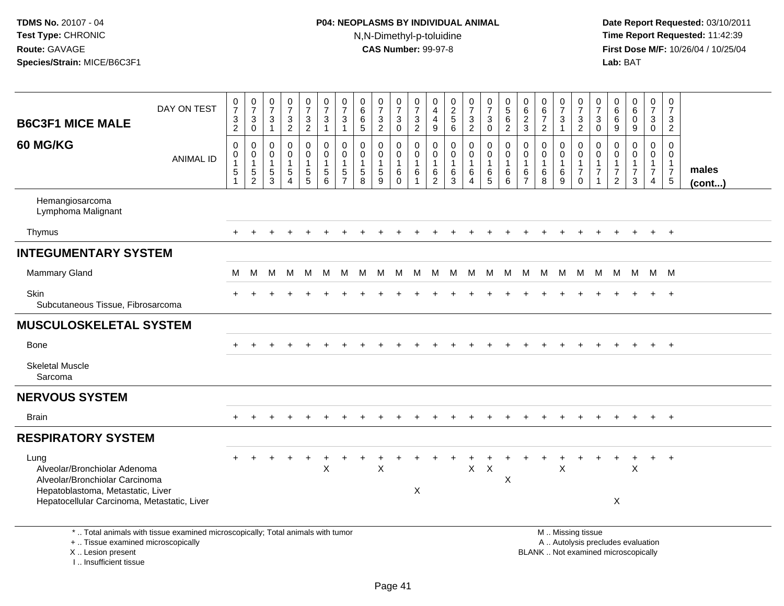I .. Insufficient tissue

# **P04: NEOPLASMS BY INDIVIDUAL ANIMAL**N,N-Dimethyl-p-toluidine

| <b>B6C3F1 MICE MALE</b>                                                                                                                                    | DAY ON TEST                                                                     | $\frac{0}{7}$<br>$\frac{3}{2}$                    | $\frac{0}{7}$<br>$\sqrt{3}$<br>$\overline{0}$                               | 0<br>$\overline{7}$<br>3<br>$\mathbf{1}$       | $\frac{0}{7}$<br>$\frac{3}{2}$                                      | $\frac{0}{7}$<br>$\frac{3}{2}$                                            | $\frac{0}{7}$<br>$\sqrt{3}$<br>$\mathbf{1}$                                 | $\frac{0}{7}$<br>3<br>$\mathbf{1}$                 | 0<br>$\,6\,$<br>$^6$ 5                                     | $\frac{0}{7}$<br>3<br>$\overline{2}$                              | $\frac{0}{7}$<br>$\frac{3}{0}$                       | 0<br>$\overline{7}$<br>$\frac{3}{2}$                      | 0<br>$\overline{4}$<br>4<br>$9\,$                      | $\frac{0}{2}$<br>6                                       | $\frac{0}{7}$<br>3<br>$\overline{2}$ | $\frac{0}{7}$<br>$_0^3$                              | $\begin{array}{c} 0 \\ 5 \end{array}$<br>$\,6$<br>$\overline{2}$  | 0<br>$\,6\,$<br>$\frac{2}{3}$                  | $\begin{array}{c} 0 \\ 6 \end{array}$<br>$\overline{7}$<br>$\overline{2}$ | $\frac{0}{7}$<br>$\ensuremath{\mathsf{3}}$<br>$\overline{1}$ | $\frac{0}{7}$<br>$\frac{3}{2}$                                                                | 0<br>$\overline{7}$<br>3<br>$\mathbf 0$   | 0<br>$\,6\,$<br>$\,6$<br>$\boldsymbol{9}$                                           | $_6^0$<br>$\mathsf{O}$<br>9                                       | $\mathbf 0$<br>$\boldsymbol{7}$<br>$\frac{3}{0}$                                 | $\boldsymbol{0}$<br>$\overline{7}$<br>3<br>$\overline{2}$                       |                       |
|------------------------------------------------------------------------------------------------------------------------------------------------------------|---------------------------------------------------------------------------------|---------------------------------------------------|-----------------------------------------------------------------------------|------------------------------------------------|---------------------------------------------------------------------|---------------------------------------------------------------------------|-----------------------------------------------------------------------------|----------------------------------------------------|------------------------------------------------------------|-------------------------------------------------------------------|------------------------------------------------------|-----------------------------------------------------------|--------------------------------------------------------|----------------------------------------------------------|--------------------------------------|------------------------------------------------------|-------------------------------------------------------------------|------------------------------------------------|---------------------------------------------------------------------------|--------------------------------------------------------------|-----------------------------------------------------------------------------------------------|-------------------------------------------|-------------------------------------------------------------------------------------|-------------------------------------------------------------------|----------------------------------------------------------------------------------|---------------------------------------------------------------------------------|-----------------------|
| 60 MG/KG                                                                                                                                                   | <b>ANIMAL ID</b>                                                                | $\mathbf 0$<br>$\mathbf 0$<br>$\overline{1}$<br>5 | $\mathbf 0$<br>$\mathbf 0$<br>$\mathbf{1}$<br>$\,$ 5 $\,$<br>$\overline{2}$ | $\mathbf 0$<br>$\mathbf{0}$<br>$\sqrt{5}$<br>3 | $\pmb{0}$<br>$\mathbf 0$<br>$\mathbf{1}$<br>$\,$ 5 $\,$<br>$\Delta$ | 0<br>$\mathbf 0$<br>$\mathbf{1}$<br>$\begin{array}{c} 5 \\ 5 \end{array}$ | $\mathbf 0$<br>$\mathbf 0$<br>$\mathbf{1}$<br>$\sqrt{5}$<br>$6\phantom{1}6$ | $\mathbf 0$<br>$\mathbf{0}$<br>5<br>$\overline{7}$ | $\Omega$<br>$\mathbf 0$<br>$\mathbf{1}$<br>$\sqrt{5}$<br>8 | $\mathbf 0$<br>$\mathbf 0$<br>$\mathbf{1}$<br>$\overline{5}$<br>9 | 0<br>$\mathbf 0$<br>$\mathbf{1}$<br>6<br>$\mathbf 0$ | $\mathbf 0$<br>$\Omega$<br>$\overline{1}$<br>$\,6\,$<br>1 | 0<br>$\Omega$<br>$\overline{1}$<br>6<br>$\overline{2}$ | $\mathbf 0$<br>$\mathbf 0$<br>$\mathbf{1}$<br>$\,6$<br>3 | 0<br>$\mathbf 0$<br>1<br>6<br>4      | $\mathbf 0$<br>$\mathbf 0$<br>$\mathbf{1}$<br>$^6_5$ | $\mathbf 0$<br>$\mathbf 0$<br>$\mathbf{1}$<br>6<br>$6\phantom{a}$ | $\mathbf 0$<br>$\Omega$<br>6<br>$\overline{7}$ | $\pmb{0}$<br>$\mathbf 0$<br>$\mathbf{1}$<br>$\,6\,$<br>8                  | 0<br>$\mathbf 0$<br>$\mathbf{1}$<br>6<br>9                   | $\mathsf{O}\xspace$<br>$\mathbf 0$<br>$\mathbf{1}$<br>$\overline{7}$<br>$\mathbf 0$           | $\mathbf 0$<br>$\Omega$<br>$\overline{7}$ | $\mathbf 0$<br>$\Omega$<br>$\mathbf 1$<br>$\overline{\mathbf{7}}$<br>$\overline{2}$ | $\mathbf 0$<br>$\mathbf 0$<br>$\mathbf{1}$<br>$\overline{7}$<br>3 | $\mathbf 0$<br>$\mathbf 0$<br>$\mathbf{1}$<br>$\boldsymbol{7}$<br>$\overline{4}$ | $\mathbf 0$<br>$\mathbf 0$<br>$\mathbf{1}$<br>$\overline{7}$<br>$5\phantom{.0}$ | males<br>$($ cont $)$ |
| Hemangiosarcoma<br>Lymphoma Malignant                                                                                                                      |                                                                                 |                                                   |                                                                             |                                                |                                                                     |                                                                           |                                                                             |                                                    |                                                            |                                                                   |                                                      |                                                           |                                                        |                                                          |                                      |                                                      |                                                                   |                                                |                                                                           |                                                              |                                                                                               |                                           |                                                                                     |                                                                   |                                                                                  |                                                                                 |                       |
| Thymus                                                                                                                                                     |                                                                                 |                                                   |                                                                             |                                                |                                                                     |                                                                           |                                                                             |                                                    |                                                            |                                                                   |                                                      |                                                           |                                                        |                                                          |                                      |                                                      |                                                                   |                                                |                                                                           |                                                              |                                                                                               |                                           |                                                                                     |                                                                   | $+$                                                                              | $+$                                                                             |                       |
| <b>INTEGUMENTARY SYSTEM</b>                                                                                                                                |                                                                                 |                                                   |                                                                             |                                                |                                                                     |                                                                           |                                                                             |                                                    |                                                            |                                                                   |                                                      |                                                           |                                                        |                                                          |                                      |                                                      |                                                                   |                                                |                                                                           |                                                              |                                                                                               |                                           |                                                                                     |                                                                   |                                                                                  |                                                                                 |                       |
| <b>Mammary Gland</b>                                                                                                                                       |                                                                                 | M                                                 | M                                                                           | M                                              | M                                                                   | M                                                                         | M                                                                           | M                                                  |                                                            | M M                                                               | <b>M</b>                                             |                                                           |                                                        |                                                          |                                      |                                                      | M M M M M M M M                                                   |                                                |                                                                           |                                                              | M                                                                                             | M                                         |                                                                                     | M M                                                               |                                                                                  | M M                                                                             |                       |
| Skin<br>Subcutaneous Tissue, Fibrosarcoma                                                                                                                  |                                                                                 |                                                   |                                                                             |                                                |                                                                     |                                                                           |                                                                             |                                                    |                                                            |                                                                   |                                                      |                                                           |                                                        |                                                          |                                      |                                                      |                                                                   |                                                |                                                                           |                                                              |                                                                                               |                                           |                                                                                     |                                                                   |                                                                                  | $+$                                                                             |                       |
| <b>MUSCULOSKELETAL SYSTEM</b>                                                                                                                              |                                                                                 |                                                   |                                                                             |                                                |                                                                     |                                                                           |                                                                             |                                                    |                                                            |                                                                   |                                                      |                                                           |                                                        |                                                          |                                      |                                                      |                                                                   |                                                |                                                                           |                                                              |                                                                                               |                                           |                                                                                     |                                                                   |                                                                                  |                                                                                 |                       |
| Bone                                                                                                                                                       |                                                                                 |                                                   |                                                                             |                                                |                                                                     |                                                                           |                                                                             |                                                    |                                                            |                                                                   |                                                      |                                                           |                                                        |                                                          |                                      |                                                      |                                                                   |                                                |                                                                           |                                                              |                                                                                               |                                           |                                                                                     |                                                                   | $+$                                                                              | $+$                                                                             |                       |
| <b>Skeletal Muscle</b><br>Sarcoma                                                                                                                          |                                                                                 |                                                   |                                                                             |                                                |                                                                     |                                                                           |                                                                             |                                                    |                                                            |                                                                   |                                                      |                                                           |                                                        |                                                          |                                      |                                                      |                                                                   |                                                |                                                                           |                                                              |                                                                                               |                                           |                                                                                     |                                                                   |                                                                                  |                                                                                 |                       |
| <b>NERVOUS SYSTEM</b>                                                                                                                                      |                                                                                 |                                                   |                                                                             |                                                |                                                                     |                                                                           |                                                                             |                                                    |                                                            |                                                                   |                                                      |                                                           |                                                        |                                                          |                                      |                                                      |                                                                   |                                                |                                                                           |                                                              |                                                                                               |                                           |                                                                                     |                                                                   |                                                                                  |                                                                                 |                       |
| <b>Brain</b>                                                                                                                                               |                                                                                 | $+$                                               |                                                                             |                                                |                                                                     |                                                                           |                                                                             |                                                    |                                                            |                                                                   |                                                      |                                                           |                                                        |                                                          |                                      |                                                      |                                                                   |                                                |                                                                           |                                                              |                                                                                               |                                           |                                                                                     | $\ddot{}$                                                         | $+$                                                                              | $+$                                                                             |                       |
| <b>RESPIRATORY SYSTEM</b>                                                                                                                                  |                                                                                 |                                                   |                                                                             |                                                |                                                                     |                                                                           |                                                                             |                                                    |                                                            |                                                                   |                                                      |                                                           |                                                        |                                                          |                                      |                                                      |                                                                   |                                                |                                                                           |                                                              |                                                                                               |                                           |                                                                                     |                                                                   |                                                                                  |                                                                                 |                       |
| Lung<br>Alveolar/Bronchiolar Adenoma<br>Alveolar/Bronchiolar Carcinoma<br>Hepatoblastoma, Metastatic, Liver<br>Hepatocellular Carcinoma, Metastatic, Liver |                                                                                 |                                                   |                                                                             |                                                |                                                                     |                                                                           | $\times$                                                                    |                                                    |                                                            | X                                                                 |                                                      | X                                                         |                                                        |                                                          | $\mathsf{X}$                         | $\mathsf{X}$                                         | X                                                                 |                                                |                                                                           | X                                                            |                                                                                               |                                           | X                                                                                   | $\ddot{}$<br>X                                                    | $+$                                                                              | $+$                                                                             |                       |
| +  Tissue examined microscopically<br>X  Lesion present                                                                                                    | *  Total animals with tissue examined microscopically; Total animals with tumor |                                                   |                                                                             |                                                |                                                                     |                                                                           |                                                                             |                                                    |                                                            |                                                                   |                                                      |                                                           |                                                        |                                                          |                                      |                                                      |                                                                   |                                                |                                                                           |                                                              | M  Missing tissue<br>A  Autolysis precludes evaluation<br>BLANK  Not examined microscopically |                                           |                                                                                     |                                                                   |                                                                                  |                                                                                 |                       |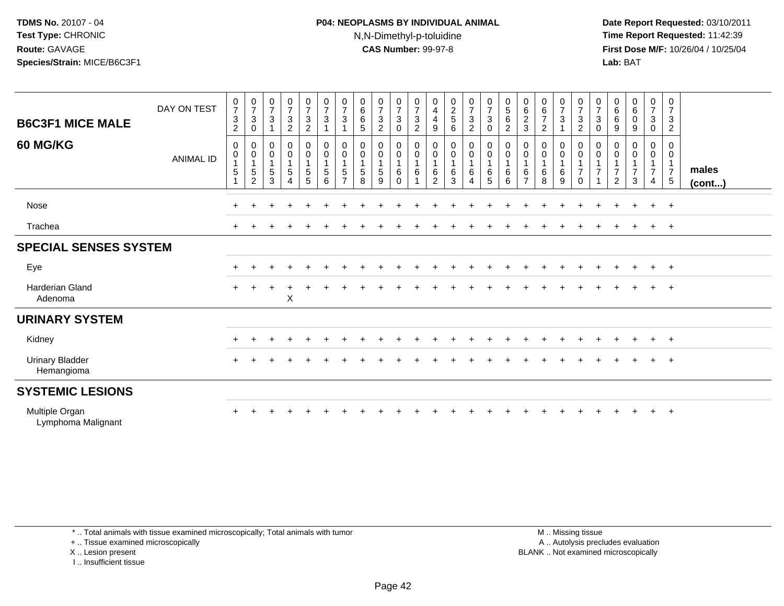## **P04: NEOPLASMS BY INDIVIDUAL ANIMAL**N,N-Dimethyl-p-toluidine

 **Date Report Requested:** 03/10/2011 **Time Report Requested:** 11:42:39 **First Dose M/F:** 10/26/04 / 10/25/04 Lab: BAT **Lab:** BAT

| <b>B6C3F1 MICE MALE</b>              | DAY ON TEST      | $\frac{0}{7}$<br>$\ensuremath{\mathsf{3}}$<br>$\overline{2}$ | $\begin{array}{c} 0 \\ 7 \\ 3 \end{array}$<br>$\boldsymbol{0}$ | $\begin{array}{c} 0 \\ 7 \\ 3 \end{array}$<br>$\mathbf{1}$ | $\begin{array}{c} 0 \\ 7 \\ 3 \end{array}$<br>$\overline{c}$ | $\frac{0}{7}$<br>$\frac{3}{2}$                                | $\begin{smallmatrix}0\\7\end{smallmatrix}$<br>$\mathbf 3$     | $\frac{0}{7}$<br>$\mathbf{3}$                           | $\begin{matrix} 0 \\ 6 \\ 6 \end{matrix}$<br>$\overline{5}$                         | $\begin{matrix} 0 \\ 7 \\ 3 \end{matrix}$<br>$\overline{2}$                     | $\frac{0}{7}$<br>$\sqrt{3}$<br>$\mathbf 0$                    | $\frac{0}{7}$<br>$\frac{3}{2}$                | $_4^{\rm 0}$<br>$\overline{\mathbf{4}}$<br>$\boldsymbol{9}$   | $\begin{array}{c} 0 \\ 2 \\ 5 \end{array}$<br>$\,6\,$                        | $\frac{0}{7}$<br>$\mathbf 3$<br>$\boldsymbol{2}$                                           | $\begin{array}{c} 0 \\ 7 \\ 3 \end{array}$<br>$\pmb{0}$           | $\begin{matrix} 0 \\ 5 \end{matrix}$<br>$\,6\,$<br>$\overline{c}$ | $\begin{matrix} 0 \\ 6 \\ 2 \end{matrix}$<br>$\mathbf{3}$ | $_{6}^{\rm 0}$<br>$\overline{7}$<br>$\overline{c}$ | $\frac{0}{7}$<br>$\mathbf 3$                                                                 | $\begin{array}{c} 0 \\ 7 \\ 3 \end{array}$<br>$\overline{2}$                     | $\frac{0}{7}$<br>$\ensuremath{\mathsf{3}}$<br>0 | $\begin{matrix} 0 \\ 6 \\ 6 \end{matrix}$<br>$\boldsymbol{9}$ | $\begin{matrix} 0 \\ 6 \\ 0 \end{matrix}$<br>9 | $\frac{0}{7}$<br>$\mathbf{3}$<br>$\mathsf 0$            | $\mathbf 0$<br>$\overline{7}$<br>$\frac{3}{2}$                         |                 |
|--------------------------------------|------------------|--------------------------------------------------------------|----------------------------------------------------------------|------------------------------------------------------------|--------------------------------------------------------------|---------------------------------------------------------------|---------------------------------------------------------------|---------------------------------------------------------|-------------------------------------------------------------------------------------|---------------------------------------------------------------------------------|---------------------------------------------------------------|-----------------------------------------------|---------------------------------------------------------------|------------------------------------------------------------------------------|--------------------------------------------------------------------------------------------|-------------------------------------------------------------------|-------------------------------------------------------------------|-----------------------------------------------------------|----------------------------------------------------|----------------------------------------------------------------------------------------------|----------------------------------------------------------------------------------|-------------------------------------------------|---------------------------------------------------------------|------------------------------------------------|---------------------------------------------------------|------------------------------------------------------------------------|-----------------|
| <b>60 MG/KG</b>                      | <b>ANIMAL ID</b> | 0<br>$\mathbf 0$<br>5                                        | $\pmb{0}$<br>$\mathbf 0$<br>$\overline{1}$<br>$\frac{5}{2}$    | $\pmb{0}$<br>$\overline{0}$<br>1<br>$\,$ 5 $\,$<br>3       | 0<br>$\overline{0}$<br>1<br>5<br>$\overline{4}$              | $\begin{matrix} 0 \\ 0 \\ 1 \end{matrix}$<br>$\,$ 5 $\,$<br>5 | $\begin{matrix} 0 \\ 0 \\ 1 \end{matrix}$<br>$\mathbf 5$<br>6 | 0<br>$\mathbf 0$<br>$\mathbf{1}$<br>5<br>$\overline{ }$ | $\begin{smallmatrix} 0\\0 \end{smallmatrix}$<br>$\mathbf{1}$<br>$\overline{5}$<br>8 | $\begin{smallmatrix}0\0\0\end{smallmatrix}$<br>$\mathbf{1}$<br>$\,$ 5 $\,$<br>9 | $\pmb{0}$<br>$\pmb{0}$<br>$\mathbf{1}$<br>$\,6\,$<br>$\Omega$ | 0<br>$\mathsf{O}\xspace$<br>$\mathbf{1}$<br>6 | $_{\rm 0}^{\rm 0}$<br>$\mathbf{1}$<br>$\,6$<br>$\overline{2}$ | $\begin{smallmatrix} 0\\0 \end{smallmatrix}$<br>$\mathbf{1}$<br>$\,6\,$<br>3 | $\begin{smallmatrix}0\0\0\end{smallmatrix}$<br>$\overline{1}$<br>$\,6\,$<br>$\overline{4}$ | $\begin{matrix} 0 \\ 0 \\ 1 \end{matrix}$<br>$6\phantom{1}6$<br>5 | 0<br>$\ddot{\mathbf{0}}$<br>$\mathbf{1}$<br>6<br>6                | 0<br>$\pmb{0}$<br>$\overline{1}$<br>6<br>$\overline{7}$   | 0<br>$\pmb{0}$<br>$\,6\,$<br>8                     | $\begin{smallmatrix}0\0\0\end{smallmatrix}$<br>$\overline{1}$<br>$\,6\,$<br>$\boldsymbol{9}$ | $\mathbf 0$<br>$\ddot{\mathbf{0}}$<br>$\mathbf{1}$<br>$\overline{7}$<br>$\Omega$ | 0<br>$\mathsf{O}\xspace$<br>$\overline{7}$      | 0<br>$\mathbf 0$<br>$\overline{7}$<br>$\overline{2}$          | 0<br>$\mathsf{O}$<br>$\overline{7}$<br>3       | 0<br>$\overline{0}$<br>$\overline{7}$<br>$\overline{4}$ | 0<br>$\mathbf 0$<br>$\overline{1}$<br>$\overline{7}$<br>$\overline{5}$ | males<br>(cont) |
| <b>Nose</b>                          |                  | $+$                                                          |                                                                |                                                            |                                                              |                                                               |                                                               |                                                         |                                                                                     |                                                                                 |                                                               |                                               |                                                               |                                                                              |                                                                                            |                                                                   |                                                                   |                                                           |                                                    |                                                                                              |                                                                                  |                                                 |                                                               | $\ddot{}$                                      | $+$                                                     | $+$                                                                    |                 |
| Trachea                              |                  |                                                              |                                                                |                                                            |                                                              |                                                               |                                                               |                                                         |                                                                                     |                                                                                 |                                                               |                                               |                                                               |                                                                              |                                                                                            |                                                                   |                                                                   |                                                           |                                                    |                                                                                              |                                                                                  |                                                 |                                                               |                                                | $+$                                                     | $+$                                                                    |                 |
| <b>SPECIAL SENSES SYSTEM</b>         |                  |                                                              |                                                                |                                                            |                                                              |                                                               |                                                               |                                                         |                                                                                     |                                                                                 |                                                               |                                               |                                                               |                                                                              |                                                                                            |                                                                   |                                                                   |                                                           |                                                    |                                                                                              |                                                                                  |                                                 |                                                               |                                                |                                                         |                                                                        |                 |
| Eye                                  |                  | $\pm$                                                        |                                                                |                                                            |                                                              |                                                               |                                                               |                                                         |                                                                                     |                                                                                 |                                                               |                                               |                                                               |                                                                              |                                                                                            |                                                                   |                                                                   |                                                           |                                                    |                                                                                              |                                                                                  |                                                 |                                                               |                                                | $\pm$                                                   | $+$                                                                    |                 |
| <b>Harderian Gland</b><br>Adenoma    |                  | $+$                                                          |                                                                | $\ddot{}$                                                  | $\ddot{}$<br>$\mathsf X$                                     |                                                               |                                                               |                                                         |                                                                                     |                                                                                 |                                                               |                                               |                                                               |                                                                              |                                                                                            |                                                                   |                                                                   |                                                           |                                                    |                                                                                              |                                                                                  |                                                 |                                                               |                                                |                                                         | $+$                                                                    |                 |
| <b>URINARY SYSTEM</b>                |                  |                                                              |                                                                |                                                            |                                                              |                                                               |                                                               |                                                         |                                                                                     |                                                                                 |                                                               |                                               |                                                               |                                                                              |                                                                                            |                                                                   |                                                                   |                                                           |                                                    |                                                                                              |                                                                                  |                                                 |                                                               |                                                |                                                         |                                                                        |                 |
| Kidney                               |                  | $\pm$                                                        |                                                                |                                                            |                                                              |                                                               |                                                               |                                                         |                                                                                     |                                                                                 |                                                               |                                               |                                                               |                                                                              |                                                                                            |                                                                   |                                                                   |                                                           |                                                    |                                                                                              |                                                                                  |                                                 |                                                               |                                                | $+$                                                     | $+$                                                                    |                 |
| <b>Urinary Bladder</b><br>Hemangioma |                  | $+$                                                          |                                                                |                                                            |                                                              |                                                               |                                                               |                                                         |                                                                                     |                                                                                 |                                                               |                                               |                                                               |                                                                              |                                                                                            |                                                                   |                                                                   |                                                           |                                                    |                                                                                              |                                                                                  |                                                 |                                                               |                                                |                                                         | $+$                                                                    |                 |
| <b>SYSTEMIC LESIONS</b>              |                  |                                                              |                                                                |                                                            |                                                              |                                                               |                                                               |                                                         |                                                                                     |                                                                                 |                                                               |                                               |                                                               |                                                                              |                                                                                            |                                                                   |                                                                   |                                                           |                                                    |                                                                                              |                                                                                  |                                                 |                                                               |                                                |                                                         |                                                                        |                 |
| Multiple Organ<br>Lymphoma Malignant |                  |                                                              |                                                                |                                                            |                                                              |                                                               |                                                               |                                                         |                                                                                     |                                                                                 |                                                               |                                               |                                                               |                                                                              |                                                                                            |                                                                   |                                                                   |                                                           |                                                    |                                                                                              |                                                                                  |                                                 |                                                               |                                                |                                                         | $+$                                                                    |                 |

\* .. Total animals with tissue examined microscopically; Total animals with tumor

+ .. Tissue examined microscopically

X .. Lesion present

I .. Insufficient tissue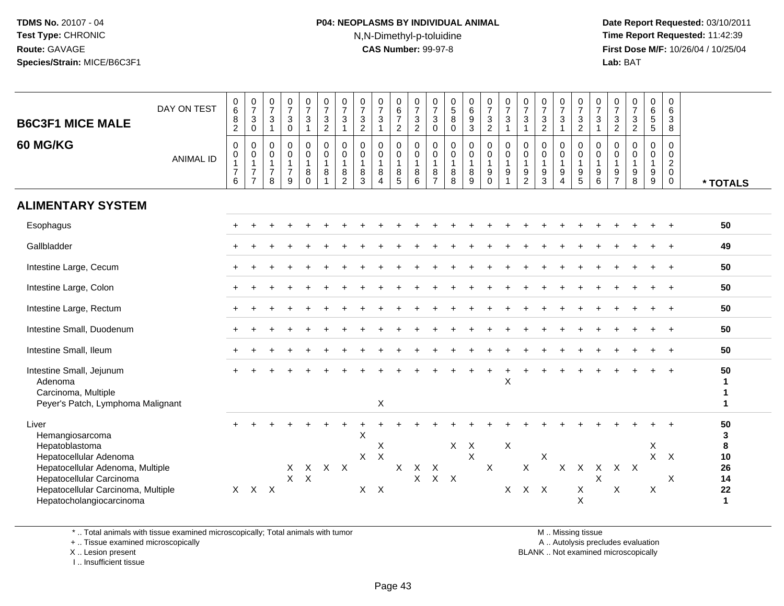# **P04: NEOPLASMS BY INDIVIDUAL ANIMAL**N,N-Dimethyl-p-toluidine

 **Date Report Requested:** 03/10/2011 **Time Report Requested:** 11:42:39 **First Dose M/F:** 10/26/04 / 10/25/04 Lab: BAT **Lab:** BAT

| <b>B6C3F1 MICE MALE</b><br><b>60 MG/KG</b>                                                                                                                                                             | DAY ON TEST<br><b>ANIMAL ID</b> | $_{6}^{\rm 0}$<br>$\bf 8$<br>$\overline{2}$<br>$\mathbf 0$<br>$\begin{smallmatrix}0\\1\end{smallmatrix}$<br>$\overline{7}$<br>$\,6\,$ | $\frac{0}{7}$<br>$\mathbf{3}$<br>$\mathbf 0$<br>0<br>$\pmb{0}$<br>$\mathbf{1}$<br>$\overline{7}$<br>$\overline{7}$ | $\frac{0}{7}$<br>$\mathsf 3$<br>$\overline{1}$<br>$\mathbf 0$<br>$\begin{smallmatrix}0\\1\end{smallmatrix}$<br>$\overline{7}$<br>8 | $\frac{0}{7}$<br>3<br>$\mathbf 0$<br>$\mathsf{O}$<br>$\pmb{0}$<br>$\overline{1}$<br>$\overline{7}$<br>9 | $\frac{0}{7}$<br>$\sqrt{3}$<br>$\overline{1}$<br>$\pmb{0}$<br>$\overline{0}$<br>1<br>$\,8\,$<br>$\mathbf 0$ | $\frac{0}{7}$<br>$\mathbf{3}$<br>$\overline{c}$<br>$\mathbf 0$<br>0<br>$\mathbf{1}$<br>8 | $\frac{0}{7}$<br>$\sqrt{3}$<br>$\mathbf{1}$<br>$\mathbf 0$<br>$\pmb{0}$<br>$\mathbf{1}$<br>$\bf 8$<br>$\overline{2}$ | $\frac{0}{7}$<br>$\frac{3}{2}$<br>$\mathbf 0$<br>$\mathbf 0$<br>$\mathbf{1}$<br>8<br>3 | $\frac{0}{7}$<br>$\ensuremath{\mathsf{3}}$<br>$\mathbf{1}$<br>0<br>$\overline{0}$<br>1<br>$_{4}^{8}$ | $\begin{array}{c} 0 \\ 6 \end{array}$<br>$\overline{7}$<br>$\overline{2}$<br>0<br>$\pmb{0}$<br>$\mathbf{1}$<br>$^8$ 5 | $\frac{0}{7}$<br>$\frac{3}{2}$<br>$\mathbf 0$<br>$\mathbf 0$<br>$\overline{1}$<br>$^8_6$ | $\frac{0}{7}$<br>$\sqrt{3}$<br>$\mathbf 0$<br>$\mathbf 0$<br>0<br>$\overline{1}$<br>$\bf 8$<br>$\overline{7}$ | $\begin{array}{c} 0 \\ 5 \\ 8 \end{array}$<br>$\mathbf 0$<br>0<br>$\mathsf{O}\xspace$<br>$\mathbf{1}$<br>$_{8}^8$ | 0<br>$\,6\,$<br>$\boldsymbol{9}$<br>$\overline{3}$<br>$\pmb{0}$<br>$\pmb{0}$<br>$\mathbf{1}$<br>8<br>$\boldsymbol{9}$ | $\frac{0}{7}$<br>$\mathbf{3}$<br>$\overline{2}$<br>$\mathbf 0$<br>$\boldsymbol{0}$<br>$\mathbf{1}$<br>9<br>$\Omega$ | $\frac{0}{7}$<br>$\mathbf{3}$<br>$\overline{1}$<br>$\Omega$<br>0<br>$\mathbf{1}$<br>9 | $\frac{0}{7}$<br>$\ensuremath{\mathsf{3}}$<br>$\mathbf{1}$<br>$\mathbf 0$<br>$\pmb{0}$<br>$\mathbf{1}$<br>$\frac{9}{2}$ | $\frac{0}{7}$<br>$\sqrt{3}$<br>$\overline{2}$<br>$\mathbf 0$<br>0<br>$\overline{1}$<br>$\frac{9}{3}$ | $\frac{0}{7}$<br>$\frac{3}{1}$<br>$\mathbf 0$<br>$\begin{smallmatrix}0\\1\end{smallmatrix}$<br>$\boldsymbol{9}$<br>$\overline{4}$ | $\frac{0}{7}$<br>$\sqrt{3}$<br>$\overline{2}$<br>$\mathbf 0$<br>0<br>$\overline{1}$<br>9<br>$\overline{5}$ | $\frac{0}{7}$<br>$\mathbf{3}$<br>$\overline{1}$<br>$\mathbf 0$<br>$\mathbf 0$<br>$\overline{1}$<br>$\begin{array}{c} 9 \\ 6 \end{array}$ | $\frac{0}{7}$<br>3<br>$\overline{2}$<br>$\mathbf 0$<br>0<br>$\mathbf{1}$<br>$\frac{9}{7}$ | $\frac{0}{7}$<br>$\frac{3}{2}$<br>0<br>$\begin{smallmatrix}0\\1\end{smallmatrix}$<br>$_{8}^{\rm 9}$ | $\begin{array}{c} 0 \\ 6 \end{array}$<br>5<br>5<br>$\Omega$<br>0<br>$\mathbf{1}$<br>9<br>9 | 0<br>6<br>3<br>8<br>$\Omega$<br>$\mathbf 0$<br>$\overline{c}$<br>$\mathbf 0$<br>$\mathbf 0$ | * TOTALS                                             |
|--------------------------------------------------------------------------------------------------------------------------------------------------------------------------------------------------------|---------------------------------|---------------------------------------------------------------------------------------------------------------------------------------|--------------------------------------------------------------------------------------------------------------------|------------------------------------------------------------------------------------------------------------------------------------|---------------------------------------------------------------------------------------------------------|-------------------------------------------------------------------------------------------------------------|------------------------------------------------------------------------------------------|----------------------------------------------------------------------------------------------------------------------|----------------------------------------------------------------------------------------|------------------------------------------------------------------------------------------------------|-----------------------------------------------------------------------------------------------------------------------|------------------------------------------------------------------------------------------|---------------------------------------------------------------------------------------------------------------|-------------------------------------------------------------------------------------------------------------------|-----------------------------------------------------------------------------------------------------------------------|---------------------------------------------------------------------------------------------------------------------|---------------------------------------------------------------------------------------|-------------------------------------------------------------------------------------------------------------------------|------------------------------------------------------------------------------------------------------|-----------------------------------------------------------------------------------------------------------------------------------|------------------------------------------------------------------------------------------------------------|------------------------------------------------------------------------------------------------------------------------------------------|-------------------------------------------------------------------------------------------|-----------------------------------------------------------------------------------------------------|--------------------------------------------------------------------------------------------|---------------------------------------------------------------------------------------------|------------------------------------------------------|
| <b>ALIMENTARY SYSTEM</b>                                                                                                                                                                               |                                 |                                                                                                                                       |                                                                                                                    |                                                                                                                                    |                                                                                                         |                                                                                                             |                                                                                          |                                                                                                                      |                                                                                        |                                                                                                      |                                                                                                                       |                                                                                          |                                                                                                               |                                                                                                                   |                                                                                                                       |                                                                                                                     |                                                                                       |                                                                                                                         |                                                                                                      |                                                                                                                                   |                                                                                                            |                                                                                                                                          |                                                                                           |                                                                                                     |                                                                                            |                                                                                             |                                                      |
| Esophagus                                                                                                                                                                                              |                                 |                                                                                                                                       |                                                                                                                    |                                                                                                                                    |                                                                                                         |                                                                                                             |                                                                                          |                                                                                                                      |                                                                                        |                                                                                                      |                                                                                                                       |                                                                                          |                                                                                                               |                                                                                                                   |                                                                                                                       |                                                                                                                     |                                                                                       |                                                                                                                         |                                                                                                      |                                                                                                                                   |                                                                                                            |                                                                                                                                          |                                                                                           |                                                                                                     |                                                                                            |                                                                                             | 50                                                   |
| Gallbladder                                                                                                                                                                                            |                                 |                                                                                                                                       |                                                                                                                    |                                                                                                                                    |                                                                                                         |                                                                                                             |                                                                                          |                                                                                                                      |                                                                                        |                                                                                                      |                                                                                                                       |                                                                                          |                                                                                                               |                                                                                                                   |                                                                                                                       |                                                                                                                     |                                                                                       |                                                                                                                         |                                                                                                      |                                                                                                                                   |                                                                                                            |                                                                                                                                          |                                                                                           |                                                                                                     |                                                                                            |                                                                                             | 49                                                   |
| Intestine Large, Cecum                                                                                                                                                                                 |                                 |                                                                                                                                       |                                                                                                                    |                                                                                                                                    |                                                                                                         |                                                                                                             |                                                                                          |                                                                                                                      |                                                                                        |                                                                                                      |                                                                                                                       |                                                                                          |                                                                                                               |                                                                                                                   |                                                                                                                       |                                                                                                                     |                                                                                       |                                                                                                                         |                                                                                                      |                                                                                                                                   |                                                                                                            |                                                                                                                                          |                                                                                           |                                                                                                     |                                                                                            |                                                                                             | 50                                                   |
| Intestine Large, Colon                                                                                                                                                                                 |                                 |                                                                                                                                       |                                                                                                                    |                                                                                                                                    |                                                                                                         |                                                                                                             |                                                                                          |                                                                                                                      |                                                                                        |                                                                                                      |                                                                                                                       |                                                                                          |                                                                                                               |                                                                                                                   |                                                                                                                       |                                                                                                                     |                                                                                       |                                                                                                                         |                                                                                                      |                                                                                                                                   |                                                                                                            |                                                                                                                                          |                                                                                           |                                                                                                     |                                                                                            |                                                                                             | 50                                                   |
| Intestine Large, Rectum                                                                                                                                                                                |                                 |                                                                                                                                       |                                                                                                                    |                                                                                                                                    |                                                                                                         |                                                                                                             |                                                                                          |                                                                                                                      |                                                                                        |                                                                                                      |                                                                                                                       |                                                                                          |                                                                                                               |                                                                                                                   |                                                                                                                       |                                                                                                                     |                                                                                       |                                                                                                                         |                                                                                                      |                                                                                                                                   |                                                                                                            |                                                                                                                                          |                                                                                           |                                                                                                     |                                                                                            |                                                                                             | 50                                                   |
| Intestine Small, Duodenum                                                                                                                                                                              |                                 |                                                                                                                                       |                                                                                                                    |                                                                                                                                    |                                                                                                         |                                                                                                             |                                                                                          |                                                                                                                      |                                                                                        |                                                                                                      |                                                                                                                       |                                                                                          |                                                                                                               |                                                                                                                   |                                                                                                                       |                                                                                                                     |                                                                                       |                                                                                                                         |                                                                                                      |                                                                                                                                   |                                                                                                            |                                                                                                                                          |                                                                                           |                                                                                                     |                                                                                            |                                                                                             | 50                                                   |
| Intestine Small, Ileum                                                                                                                                                                                 |                                 |                                                                                                                                       |                                                                                                                    |                                                                                                                                    |                                                                                                         |                                                                                                             |                                                                                          |                                                                                                                      |                                                                                        |                                                                                                      |                                                                                                                       |                                                                                          |                                                                                                               |                                                                                                                   |                                                                                                                       |                                                                                                                     |                                                                                       |                                                                                                                         |                                                                                                      |                                                                                                                                   |                                                                                                            |                                                                                                                                          |                                                                                           |                                                                                                     |                                                                                            |                                                                                             | 50                                                   |
| Intestine Small, Jejunum<br>Adenoma<br>Carcinoma, Multiple<br>Peyer's Patch, Lymphoma Malignant                                                                                                        |                                 |                                                                                                                                       |                                                                                                                    |                                                                                                                                    |                                                                                                         |                                                                                                             |                                                                                          |                                                                                                                      |                                                                                        | X                                                                                                    |                                                                                                                       |                                                                                          |                                                                                                               |                                                                                                                   |                                                                                                                       |                                                                                                                     | X                                                                                     |                                                                                                                         |                                                                                                      |                                                                                                                                   |                                                                                                            |                                                                                                                                          |                                                                                           |                                                                                                     |                                                                                            |                                                                                             | 50<br>1<br>1                                         |
| Liver<br>Hemangiosarcoma<br>Hepatoblastoma<br>Hepatocellular Adenoma<br>Hepatocellular Adenoma, Multiple<br>Hepatocellular Carcinoma<br>Hepatocellular Carcinoma, Multiple<br>Hepatocholangiocarcinoma |                                 |                                                                                                                                       | $X$ $X$ $X$                                                                                                        |                                                                                                                                    | X                                                                                                       | X<br>$X$ $X$                                                                                                | X X                                                                                      |                                                                                                                      | X<br>X<br>$X$ $X$                                                                      | Χ<br>$\mathsf{X}$                                                                                    | $\mathsf{X}$                                                                                                          | $\mathsf{X}$<br>X                                                                        | X<br>$X$ $X$                                                                                                  | $X$ $X$                                                                                                           | $\mathsf{X}$                                                                                                          | $\boldsymbol{X}$                                                                                                    | $\boldsymbol{\mathsf{X}}$                                                             | X<br>X X X                                                                                                              | X                                                                                                    | $\mathsf{X}$                                                                                                                      | X<br>X<br>X                                                                                                | X<br>X                                                                                                                                   | X X<br>X                                                                                  |                                                                                                     | X<br>X<br>X                                                                                | $\mathsf{X}$<br>X                                                                           | 50<br>3<br>8<br>10<br>26<br>14<br>22<br>$\mathbf{1}$ |

\* .. Total animals with tissue examined microscopically; Total animals with tumor

+ .. Tissue examined microscopically

X .. Lesion present

I .. Insufficient tissue

M .. Missing tissue

y the contract of the contract of the contract of the contract of the contract of the contract of the contract of  $A$ . Autolysis precludes evaluation

Lesion present BLANK .. Not examined microscopically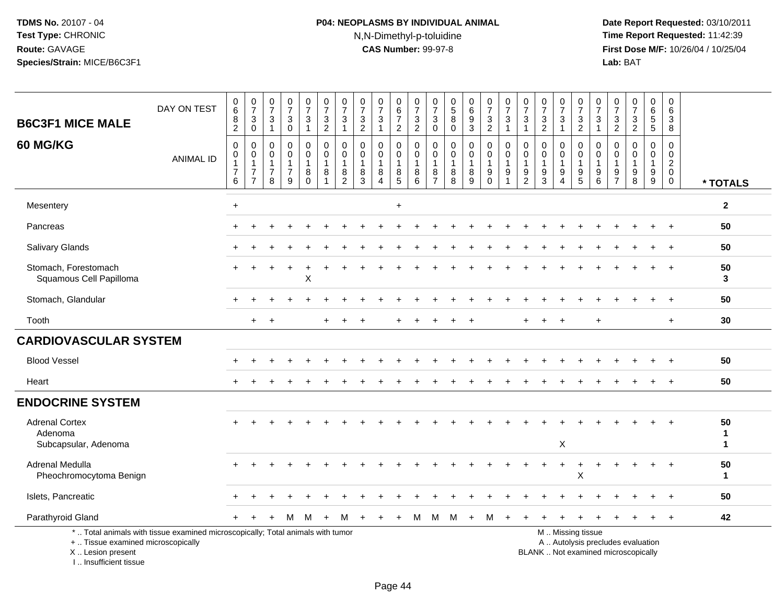# **P04: NEOPLASMS BY INDIVIDUAL ANIMAL**N,N-Dimethyl-p-toluidine

 **Date Report Requested:** 03/10/2011 **Time Report Requested:** 11:42:39 **First Dose M/F:** 10/26/04 / 10/25/04<br>Lab: BAT **Lab:** BAT

| <b>B6C3F1 MICE MALE</b>                                  | DAY ON TEST                                                                     | $\begin{array}{c} 0 \\ 6 \end{array}$<br>8<br>$\overline{2}$                   | $\frac{0}{7}$<br>3<br>$\mathbf 0$                         | $\frac{0}{7}$<br>$\mathbf{3}$<br>$\overline{1}$            | $\frac{0}{7}$<br>$\ensuremath{\mathsf{3}}$<br>$\mathbf 0$ | 0<br>$\overline{7}$<br>$\mathbf{3}$<br>$\mathbf{1}$ | $\pmb{0}$<br>$\overline{7}$<br>$\mathbf{3}$<br>$\overline{2}$    | $\pmb{0}$<br>$\overline{7}$<br>$\mathbf{3}$<br>$\mathbf{1}$    | 0<br>$\overline{7}$<br>$\ensuremath{\mathsf{3}}$<br>$\overline{2}$ | $\frac{0}{7}$<br>3<br>$\mathbf{1}$                | 0<br>$6\phantom{a}$<br>$\overline{7}$<br>$\overline{2}$ | $\frac{0}{7}$<br>$\frac{3}{2}$                    | 0<br>$\overline{7}$<br>3<br>$\mathbf 0$              | 0<br>$\overline{5}$<br>$\bf8$<br>$\mathbf 0$   | $^{\rm 0}_{\rm 6}$<br>9<br>3 | $\frac{0}{7}$<br>$\ensuremath{\mathsf{3}}$<br>$\overline{2}$ | $\frac{0}{7}$<br>$\sqrt{3}$<br>1      | $\frac{0}{7}$<br>$\mathbf{3}$<br>$\overline{1}$                    | 0<br>$\overline{7}$<br>$\sqrt{3}$<br>$\overline{2}$ | 0<br>$\overline{7}$<br>$\ensuremath{\mathsf{3}}$<br>$\mathbf{1}$ | 0<br>$\overline{7}$<br>$\ensuremath{\mathsf{3}}$<br>$\overline{2}$                  | 0<br>$\overline{7}$<br>3<br>$\mathbf{1}$          | 0<br>$\overline{7}$<br>$\sqrt{3}$<br>$\overline{2}$ | $\begin{array}{c} 0 \\ 7 \end{array}$<br>$\frac{3}{2}$                   | 0<br>$\,6\,$<br>$\sqrt{5}$<br>$5\phantom{.0}$  | 0<br>$\,6\,$<br>3<br>8                                                  |                         |
|----------------------------------------------------------|---------------------------------------------------------------------------------|--------------------------------------------------------------------------------|-----------------------------------------------------------|------------------------------------------------------------|-----------------------------------------------------------|-----------------------------------------------------|------------------------------------------------------------------|----------------------------------------------------------------|--------------------------------------------------------------------|---------------------------------------------------|---------------------------------------------------------|---------------------------------------------------|------------------------------------------------------|------------------------------------------------|------------------------------|--------------------------------------------------------------|---------------------------------------|--------------------------------------------------------------------|-----------------------------------------------------|------------------------------------------------------------------|-------------------------------------------------------------------------------------|---------------------------------------------------|-----------------------------------------------------|--------------------------------------------------------------------------|------------------------------------------------|-------------------------------------------------------------------------|-------------------------|
| <b>60 MG/KG</b>                                          | <b>ANIMAL ID</b>                                                                | $\mathbf 0$<br>$\mathbf 0$<br>$\mathbf{1}$<br>$\overline{7}$<br>$6\phantom{1}$ | 0<br>$\mathbf 0$<br>1<br>$\overline{7}$<br>$\overline{7}$ | $\Omega$<br>$\Omega$<br>$\mathbf 1$<br>$\overline{7}$<br>8 | $\mathbf 0$<br>$\Omega$<br>1<br>$\overline{7}$<br>9       | $\mathbf 0$<br>$\Omega$<br>8<br>$\Omega$            | $\mathbf 0$<br>$\Omega$<br>$\overline{1}$<br>8<br>$\overline{ }$ | $\mathbf 0$<br>$\Omega$<br>$\mathbf{1}$<br>8<br>$\overline{2}$ | $\mathbf 0$<br>$\mathbf{0}$<br>$\mathbf{1}$<br>8<br>3              | 0<br>$\Omega$<br>1<br>8<br>$\boldsymbol{\Lambda}$ | $\mathbf 0$<br>$\mathbf 0$<br>$\mathbf{1}$<br>$^8$ 5    | $\mathbf 0$<br>$\Omega$<br>$\mathbf{1}$<br>8<br>6 | $\mathbf 0$<br>$\Omega$<br>-1<br>8<br>$\overline{7}$ | $\Omega$<br>$\Omega$<br>$\mathbf{1}$<br>8<br>8 | 0<br>$\mathbf 0$<br>8<br>9   | $\mathbf 0$<br>$\Omega$<br>$\mathbf{1}$<br>9<br>$\Omega$     | $\mathbf 0$<br>$\mathbf 0$<br>-1<br>9 | $\mathbf 0$<br>$\mathbf{0}$<br>$\mathbf{1}$<br>9<br>$\overline{2}$ | $\Omega$<br>$\Omega$<br>$\mathbf{1}$<br>$9\,$<br>3  | 0<br>$\Omega$<br>$\mathbf{1}$<br>9<br>$\boldsymbol{\Lambda}$     | $\mathbf 0$<br>$\mathbf 0$<br>$\mathbf{1}$<br>$\begin{array}{c} 9 \\ 5 \end{array}$ | $\mathbf 0$<br>$\Omega$<br>$\mathbf{1}$<br>9<br>6 | $\Omega$<br>$\Omega$<br>9<br>$\overline{7}$         | $\mathbf 0$<br>$\Omega$<br>$\mathbf{1}$<br>9<br>8                        | $\Omega$<br>$\Omega$<br>$\mathbf{1}$<br>9<br>9 | $\Omega$<br>$\mathbf 0$<br>$\overline{a}$<br>$\mathbf 0$<br>$\mathbf 0$ | * TOTALS                |
| Mesentery                                                |                                                                                 | $\ddot{}$                                                                      |                                                           |                                                            |                                                           |                                                     |                                                                  |                                                                |                                                                    |                                                   | $\ddot{}$                                               |                                                   |                                                      |                                                |                              |                                                              |                                       |                                                                    |                                                     |                                                                  |                                                                                     |                                                   |                                                     |                                                                          |                                                |                                                                         | $\mathbf{2}$            |
| Pancreas                                                 |                                                                                 |                                                                                |                                                           |                                                            |                                                           |                                                     |                                                                  |                                                                |                                                                    |                                                   |                                                         |                                                   |                                                      |                                                |                              |                                                              |                                       |                                                                    |                                                     |                                                                  |                                                                                     |                                                   |                                                     |                                                                          |                                                |                                                                         | 50                      |
| Salivary Glands                                          |                                                                                 |                                                                                |                                                           |                                                            |                                                           |                                                     |                                                                  |                                                                |                                                                    |                                                   |                                                         |                                                   |                                                      |                                                |                              |                                                              |                                       |                                                                    |                                                     |                                                                  |                                                                                     |                                                   |                                                     |                                                                          |                                                |                                                                         | 50                      |
| Stomach, Forestomach<br>Squamous Cell Papilloma          |                                                                                 |                                                                                |                                                           |                                                            |                                                           | X                                                   |                                                                  |                                                                |                                                                    |                                                   |                                                         |                                                   |                                                      |                                                |                              |                                                              |                                       |                                                                    |                                                     |                                                                  |                                                                                     |                                                   |                                                     |                                                                          |                                                | $+$                                                                     | 50<br>3                 |
| Stomach, Glandular                                       |                                                                                 |                                                                                |                                                           |                                                            |                                                           |                                                     |                                                                  |                                                                |                                                                    |                                                   |                                                         |                                                   |                                                      |                                                |                              |                                                              |                                       |                                                                    |                                                     |                                                                  |                                                                                     |                                                   |                                                     |                                                                          | $\pm$                                          | $\ddot{}$                                                               | 50                      |
| Tooth                                                    |                                                                                 |                                                                                | $\ddot{}$                                                 |                                                            |                                                           |                                                     |                                                                  |                                                                |                                                                    |                                                   |                                                         |                                                   |                                                      |                                                |                              |                                                              |                                       |                                                                    |                                                     |                                                                  |                                                                                     | $+$                                               |                                                     |                                                                          |                                                | $+$                                                                     | 30                      |
| <b>CARDIOVASCULAR SYSTEM</b>                             |                                                                                 |                                                                                |                                                           |                                                            |                                                           |                                                     |                                                                  |                                                                |                                                                    |                                                   |                                                         |                                                   |                                                      |                                                |                              |                                                              |                                       |                                                                    |                                                     |                                                                  |                                                                                     |                                                   |                                                     |                                                                          |                                                |                                                                         |                         |
| <b>Blood Vessel</b>                                      |                                                                                 |                                                                                |                                                           |                                                            |                                                           |                                                     |                                                                  |                                                                |                                                                    |                                                   |                                                         |                                                   |                                                      |                                                |                              |                                                              |                                       |                                                                    |                                                     |                                                                  |                                                                                     |                                                   |                                                     |                                                                          |                                                |                                                                         | 50                      |
| Heart                                                    |                                                                                 |                                                                                |                                                           |                                                            |                                                           |                                                     |                                                                  |                                                                |                                                                    |                                                   |                                                         |                                                   |                                                      |                                                |                              |                                                              |                                       |                                                                    |                                                     |                                                                  |                                                                                     |                                                   |                                                     |                                                                          |                                                |                                                                         | 50                      |
| <b>ENDOCRINE SYSTEM</b>                                  |                                                                                 |                                                                                |                                                           |                                                            |                                                           |                                                     |                                                                  |                                                                |                                                                    |                                                   |                                                         |                                                   |                                                      |                                                |                              |                                                              |                                       |                                                                    |                                                     |                                                                  |                                                                                     |                                                   |                                                     |                                                                          |                                                |                                                                         |                         |
| <b>Adrenal Cortex</b><br>Adenoma<br>Subcapsular, Adenoma |                                                                                 |                                                                                |                                                           |                                                            |                                                           |                                                     |                                                                  |                                                                |                                                                    |                                                   |                                                         |                                                   |                                                      |                                                |                              |                                                              |                                       |                                                                    |                                                     | X                                                                |                                                                                     |                                                   |                                                     |                                                                          |                                                |                                                                         | 50<br>1<br>$\mathbf{1}$ |
| Adrenal Medulla<br>Pheochromocytoma Benign               |                                                                                 |                                                                                |                                                           |                                                            |                                                           |                                                     |                                                                  |                                                                |                                                                    |                                                   |                                                         |                                                   |                                                      |                                                |                              |                                                              |                                       |                                                                    |                                                     |                                                                  | $\sf X$                                                                             |                                                   |                                                     |                                                                          |                                                |                                                                         | 50<br>$\mathbf{1}$      |
| Islets, Pancreatic                                       |                                                                                 |                                                                                |                                                           |                                                            |                                                           |                                                     |                                                                  |                                                                |                                                                    |                                                   |                                                         |                                                   |                                                      |                                                |                              |                                                              |                                       |                                                                    |                                                     |                                                                  |                                                                                     |                                                   |                                                     |                                                                          |                                                |                                                                         | 50                      |
| Parathyroid Gland                                        |                                                                                 |                                                                                |                                                           |                                                            | M                                                         | M                                                   |                                                                  | м                                                              |                                                                    |                                                   | $\ddot{}$                                               | м                                                 | м                                                    | M                                              | $\ddot{}$                    | М                                                            | $\ddot{}$                             |                                                                    |                                                     |                                                                  |                                                                                     |                                                   |                                                     |                                                                          |                                                | $+$                                                                     | 42                      |
| +  Tissue examined microscopically<br>X  Lesion present  | *  Total animals with tissue examined microscopically; Total animals with tumor |                                                                                |                                                           |                                                            |                                                           |                                                     |                                                                  |                                                                |                                                                    |                                                   |                                                         |                                                   |                                                      |                                                |                              |                                                              |                                       |                                                                    |                                                     |                                                                  | M  Missing tissue                                                                   |                                                   |                                                     | A  Autolysis precludes evaluation<br>BLANK  Not examined microscopically |                                                |                                                                         |                         |

X .. Lesion present I .. Insufficient tissue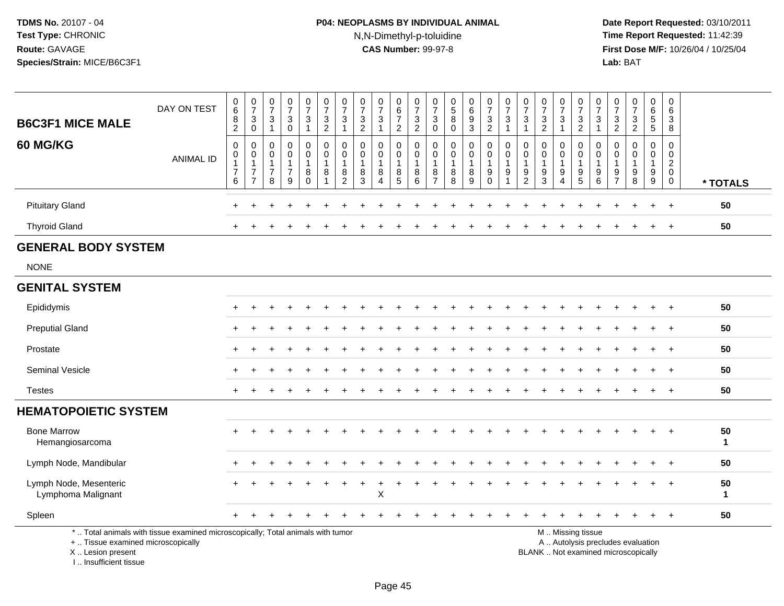# **P04: NEOPLASMS BY INDIVIDUAL ANIMAL**N,N-Dimethyl-p-toluidine

 **Date Report Requested:** 03/10/2011 **Time Report Requested:** 11:42:39 **First Dose M/F:** 10/26/04 / 10/25/04<br>Lab: BAT **Lab:** BAT

| <b>B6C3F1 MICE MALE</b>                                 | DAY ON TEST                                                                     | $\begin{array}{c} 0 \\ 6 \end{array}$<br>8<br>$\overline{2}$ | $\frac{0}{7}$<br>$_{\rm 0}^3$                                                    | $\mathbf 0$<br>$\overline{7}$<br>$\mathbf{3}$<br>$\overline{1}$ | 0<br>$\overline{7}$<br>3<br>$\mathbf 0$                | $\frac{0}{7}$<br>$\mathbf{3}$<br>$\mathbf{1}$ | $\begin{array}{c} 0 \\ 7 \end{array}$<br>$\frac{3}{2}$   | $\frac{0}{7}$<br>$\mathbf{3}$<br>$\mathbf{1}$             | $\frac{0}{7}$<br>$\frac{3}{2}$                           | $\pmb{0}$<br>$\overline{7}$<br>$\sqrt{3}$<br>$\overline{1}$ | $\pmb{0}$<br>$\,6\,$<br>$\overline{7}$<br>$\overline{2}$ | 0<br>$\overline{7}$<br>$\mathbf{3}$<br>$\overline{2}$ | $\frac{0}{7}$<br>3<br>$\mathbf 0$                                 | 0<br>$\sqrt{5}$<br>$\bf 8$<br>$\mathbf 0$            | $\begin{array}{c} 0 \\ 6 \end{array}$<br>$\boldsymbol{9}$<br>$\mathbf{3}$ | $\begin{smallmatrix}0\\7\end{smallmatrix}$<br>$\frac{3}{2}$          | $\frac{0}{7}$<br>$\sqrt{3}$<br>$\mathbf{1}$             | $\frac{0}{7}$<br>$\mathbf{3}$<br>$\mathbf{1}$           | $\begin{smallmatrix}0\\7\end{smallmatrix}$<br>$\frac{3}{2}$         | $\frac{0}{7}$<br>3<br>$\mathbf{1}$ | $\frac{0}{7}$<br>$\frac{3}{2}$                    | $\frac{0}{7}$<br>$\mathbf{3}$<br>$\mathbf{1}$          | $\frac{0}{7}$<br>$\frac{3}{2}$                       | $\begin{smallmatrix}0\\7\end{smallmatrix}$<br>$\frac{3}{2}$              | 0<br>$\,6\,$<br>5<br>5                                        | 0<br>6<br>$\mathbf{3}$<br>8                               |                    |
|---------------------------------------------------------|---------------------------------------------------------------------------------|--------------------------------------------------------------|----------------------------------------------------------------------------------|-----------------------------------------------------------------|--------------------------------------------------------|-----------------------------------------------|----------------------------------------------------------|-----------------------------------------------------------|----------------------------------------------------------|-------------------------------------------------------------|----------------------------------------------------------|-------------------------------------------------------|-------------------------------------------------------------------|------------------------------------------------------|---------------------------------------------------------------------------|----------------------------------------------------------------------|---------------------------------------------------------|---------------------------------------------------------|---------------------------------------------------------------------|------------------------------------|---------------------------------------------------|--------------------------------------------------------|------------------------------------------------------|--------------------------------------------------------------------------|---------------------------------------------------------------|-----------------------------------------------------------|--------------------|
| <b>60 MG/KG</b>                                         | <b>ANIMAL ID</b>                                                                | 0<br>$\mathbf 0$<br>$\mathbf{1}$<br>$\overline{7}$<br>6      | $\mathbf 0$<br>$\mathbf 0$<br>$\overline{1}$<br>$\overline{7}$<br>$\overline{7}$ | $\mathbf 0$<br>$\Omega$<br>$\mathbf{1}$<br>$\overline{7}$<br>8  | $\mathbf 0$<br>$\Omega$<br>-1<br>$\boldsymbol{7}$<br>9 | 0<br>$\mathbf 0$<br>8<br>$\Omega$             | $\mathbf 0$<br>$\overline{0}$<br>$\mathbf{1}$<br>8<br>-1 | 0<br>$\mathbf 0$<br>$\overline{1}$<br>8<br>$\overline{2}$ | 0<br>$\mathbf{0}$<br>$\overline{1}$<br>8<br>$\mathbf{3}$ | $\mathbf 0$<br>$\mathbf{0}$<br>$\mathbf{1}$<br>8<br>Δ       | 0<br>$\mathbf 0$<br>$\mathbf{1}$<br>8<br>$\overline{5}$  | 0<br>$\mathbf 0$<br>$\mathbf{1}$<br>8<br>6            | $\mathbf 0$<br>$\mathbf 0$<br>$\mathbf{1}$<br>8<br>$\overline{7}$ | $\mathbf 0$<br>$\mathbf 0$<br>$\mathbf{1}$<br>8<br>8 | $\mathbf 0$<br>$\mathbf 0$<br>8<br>$\overline{9}$                         | $\mathbf 0$<br>$\mathbf 0$<br>$\overline{1}$<br>$9\,$<br>$\mathbf 0$ | 0<br>$\mathbf 0$<br>$\mathbf{1}$<br>9<br>$\overline{ }$ | $\mathbf 0$<br>$\Omega$<br>1<br>$9\,$<br>$\overline{2}$ | $\mathbf 0$<br>$\mathbf 0$<br>$\mathbf{1}$<br>$\boldsymbol{9}$<br>3 | 0<br>$\Omega$<br>1<br>9<br>4       | 0<br>$\mathbf 0$<br>$\mathbf{1}$<br>$\frac{9}{5}$ | $\mathbf 0$<br>$\Omega$<br>$\mathbf 1$<br>9<br>$\,6\,$ | $\mathbf 0$<br>$\Omega$<br>-1<br>9<br>$\overline{7}$ | $\mathbf 0$<br>$\Omega$<br>$\mathbf{1}$<br>$\boldsymbol{9}$<br>8         | 0<br>$\mathbf 0$<br>$\mathbf{1}$<br>$9\,$<br>$\boldsymbol{9}$ | $\mathbf 0$<br>$\mathsf 0$<br>$^2_{\rm 0}$<br>$\mathbf 0$ | * TOTALS           |
| <b>Pituitary Gland</b>                                  |                                                                                 |                                                              |                                                                                  |                                                                 |                                                        | $\ddot{}$                                     | $\ddot{}$                                                | $\ddot{}$                                                 | +                                                        |                                                             |                                                          |                                                       |                                                                   |                                                      | $\ddot{}$                                                                 | $\ddot{}$                                                            | $\div$                                                  |                                                         |                                                                     |                                    |                                                   |                                                        |                                                      |                                                                          | $\ddot{}$                                                     | $+$                                                       | 50                 |
| <b>Thyroid Gland</b>                                    |                                                                                 |                                                              |                                                                                  |                                                                 |                                                        |                                               |                                                          |                                                           |                                                          |                                                             |                                                          |                                                       |                                                                   |                                                      |                                                                           |                                                                      |                                                         |                                                         |                                                                     |                                    |                                                   |                                                        |                                                      |                                                                          | $\ddot{}$                                                     | $\overline{+}$                                            | 50                 |
| <b>GENERAL BODY SYSTEM</b>                              |                                                                                 |                                                              |                                                                                  |                                                                 |                                                        |                                               |                                                          |                                                           |                                                          |                                                             |                                                          |                                                       |                                                                   |                                                      |                                                                           |                                                                      |                                                         |                                                         |                                                                     |                                    |                                                   |                                                        |                                                      |                                                                          |                                                               |                                                           |                    |
| <b>NONE</b>                                             |                                                                                 |                                                              |                                                                                  |                                                                 |                                                        |                                               |                                                          |                                                           |                                                          |                                                             |                                                          |                                                       |                                                                   |                                                      |                                                                           |                                                                      |                                                         |                                                         |                                                                     |                                    |                                                   |                                                        |                                                      |                                                                          |                                                               |                                                           |                    |
| <b>GENITAL SYSTEM</b>                                   |                                                                                 |                                                              |                                                                                  |                                                                 |                                                        |                                               |                                                          |                                                           |                                                          |                                                             |                                                          |                                                       |                                                                   |                                                      |                                                                           |                                                                      |                                                         |                                                         |                                                                     |                                    |                                                   |                                                        |                                                      |                                                                          |                                                               |                                                           |                    |
| Epididymis                                              |                                                                                 |                                                              |                                                                                  |                                                                 |                                                        |                                               |                                                          |                                                           |                                                          |                                                             |                                                          |                                                       |                                                                   |                                                      |                                                                           |                                                                      |                                                         |                                                         |                                                                     |                                    |                                                   |                                                        |                                                      |                                                                          |                                                               |                                                           | 50                 |
| <b>Preputial Gland</b>                                  |                                                                                 |                                                              |                                                                                  |                                                                 |                                                        |                                               |                                                          |                                                           |                                                          |                                                             |                                                          |                                                       |                                                                   |                                                      |                                                                           |                                                                      |                                                         |                                                         |                                                                     |                                    |                                                   |                                                        |                                                      |                                                                          |                                                               |                                                           | 50                 |
| Prostate                                                |                                                                                 |                                                              |                                                                                  |                                                                 |                                                        |                                               |                                                          |                                                           |                                                          |                                                             |                                                          |                                                       |                                                                   |                                                      |                                                                           |                                                                      |                                                         |                                                         |                                                                     |                                    |                                                   |                                                        |                                                      |                                                                          |                                                               |                                                           | 50                 |
| Seminal Vesicle                                         |                                                                                 |                                                              |                                                                                  |                                                                 |                                                        |                                               |                                                          |                                                           |                                                          |                                                             |                                                          |                                                       |                                                                   |                                                      |                                                                           |                                                                      |                                                         |                                                         |                                                                     |                                    |                                                   |                                                        |                                                      |                                                                          |                                                               |                                                           | 50                 |
| <b>Testes</b>                                           |                                                                                 |                                                              |                                                                                  |                                                                 |                                                        |                                               |                                                          |                                                           |                                                          |                                                             |                                                          |                                                       |                                                                   |                                                      |                                                                           |                                                                      |                                                         |                                                         |                                                                     |                                    |                                                   |                                                        |                                                      |                                                                          |                                                               |                                                           | 50                 |
| <b>HEMATOPOIETIC SYSTEM</b>                             |                                                                                 |                                                              |                                                                                  |                                                                 |                                                        |                                               |                                                          |                                                           |                                                          |                                                             |                                                          |                                                       |                                                                   |                                                      |                                                                           |                                                                      |                                                         |                                                         |                                                                     |                                    |                                                   |                                                        |                                                      |                                                                          |                                                               |                                                           |                    |
| <b>Bone Marrow</b><br>Hemangiosarcoma                   |                                                                                 |                                                              |                                                                                  |                                                                 |                                                        |                                               |                                                          |                                                           |                                                          |                                                             |                                                          |                                                       |                                                                   |                                                      |                                                                           |                                                                      |                                                         |                                                         |                                                                     |                                    |                                                   |                                                        |                                                      |                                                                          |                                                               | $\overline{+}$                                            | 50<br>$\mathbf{1}$ |
| Lymph Node, Mandibular                                  |                                                                                 |                                                              |                                                                                  |                                                                 |                                                        |                                               |                                                          |                                                           |                                                          |                                                             |                                                          |                                                       |                                                                   |                                                      |                                                                           |                                                                      |                                                         |                                                         |                                                                     |                                    |                                                   |                                                        |                                                      |                                                                          |                                                               |                                                           | 50                 |
| Lymph Node, Mesenteric<br>Lymphoma Malignant            |                                                                                 |                                                              |                                                                                  |                                                                 |                                                        |                                               |                                                          |                                                           |                                                          | $\ddot{}$<br>$\sf X$                                        |                                                          |                                                       |                                                                   |                                                      |                                                                           |                                                                      |                                                         |                                                         |                                                                     |                                    |                                                   |                                                        |                                                      |                                                                          |                                                               |                                                           | 50<br>$\mathbf{1}$ |
| Spleen                                                  |                                                                                 |                                                              |                                                                                  |                                                                 |                                                        |                                               |                                                          |                                                           |                                                          |                                                             |                                                          |                                                       |                                                                   |                                                      |                                                                           |                                                                      |                                                         |                                                         |                                                                     |                                    |                                                   |                                                        |                                                      |                                                                          |                                                               |                                                           | 50                 |
| +  Tissue examined microscopically<br>X  Lesion present | *  Total animals with tissue examined microscopically; Total animals with tumor |                                                              |                                                                                  |                                                                 |                                                        |                                               |                                                          |                                                           |                                                          |                                                             |                                                          |                                                       |                                                                   |                                                      |                                                                           |                                                                      |                                                         |                                                         |                                                                     |                                    | M  Missing tissue                                 |                                                        |                                                      | A  Autolysis precludes evaluation<br>BLANK  Not examined microscopically |                                                               |                                                           |                    |

I .. Insufficient tissue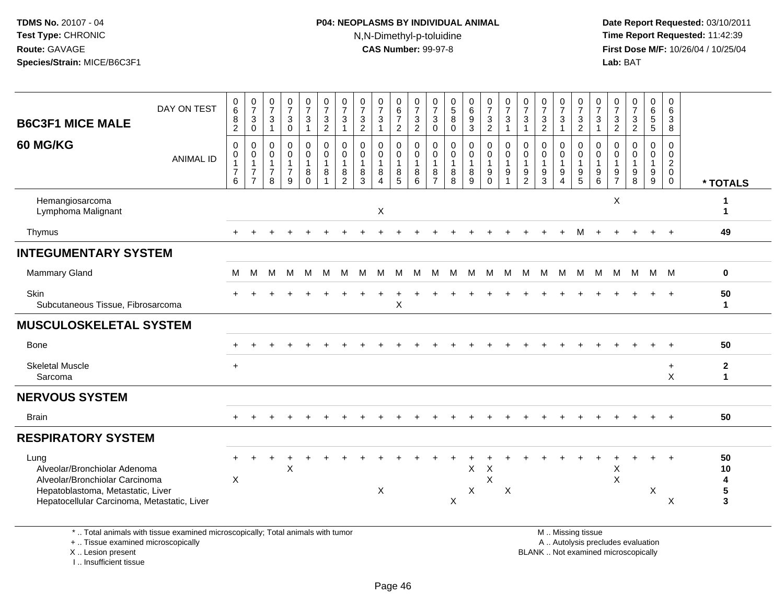# **P04: NEOPLASMS BY INDIVIDUAL ANIMAL**N,N-Dimethyl-p-toluidine

 **Date Report Requested:** 03/10/2011 **Time Report Requested:** 11:42:39 **First Dose M/F:** 10/26/04 / 10/25/04<br>Lab: BAT **Lab:** BAT

| <b>B6C3F1 MICE MALE</b>                                                                                                                                    | DAY ON TEST                                                                     | 0<br>6<br>$\frac{8}{2}$                                                      | $\begin{smallmatrix}0\\7\end{smallmatrix}$<br>$_{0}^{3}$                       | 0<br>$\overline{7}$<br>3<br>$\mathbf{1}$            | $\frac{0}{7}$<br>$_{0}^{3}$                                       | $\begin{smallmatrix}0\\7\end{smallmatrix}$<br>$\mathbf{3}$<br>$\mathbf{1}$ | $\frac{0}{7}$<br>$\frac{3}{2}$                                          | $\frac{0}{7}$<br>$\mathbf{3}$<br>$\mathbf{1}$                     | 0<br>$\overline{7}$<br>$\frac{3}{2}$           | $\frac{0}{7}$<br>$\sqrt{3}$       | 0<br>$\,6\,$<br>$\overline{7}$<br>2                 | 0<br>$\overline{7}$<br>$\frac{3}{2}$      | 0<br>$\overline{7}$<br>3<br>$\overline{0}$           | 0<br>5<br>8<br>0                                  | $_6^0$<br>9<br>$\overline{3}$             | $\begin{smallmatrix}0\\7\end{smallmatrix}$<br>$\frac{3}{2}$ | $\frac{0}{7}$<br>$\mathbf{3}$<br>$\mathbf{1}$ | $\begin{array}{c} 0 \\ 7 \end{array}$<br>3<br>$\overline{1}$   | $\frac{0}{7}$<br>$\frac{3}{2}$                                | $\frac{0}{7}$<br>3<br>1      | $\frac{0}{7}$<br>$\frac{3}{2}$                                                                | 0<br>$\overline{7}$<br>3<br>$\mathbf{1}$          | 0<br>$\overline{7}$<br>$\frac{3}{2}$        | $\begin{smallmatrix}0\\7\end{smallmatrix}$<br>$\frac{3}{2}$      | 0<br>$\,6\,$<br>$5\phantom{.0}$<br>$5\phantom{.0}$ | 0<br>6<br>3<br>8                                                          |                                                            |
|------------------------------------------------------------------------------------------------------------------------------------------------------------|---------------------------------------------------------------------------------|------------------------------------------------------------------------------|--------------------------------------------------------------------------------|-----------------------------------------------------|-------------------------------------------------------------------|----------------------------------------------------------------------------|-------------------------------------------------------------------------|-------------------------------------------------------------------|------------------------------------------------|-----------------------------------|-----------------------------------------------------|-------------------------------------------|------------------------------------------------------|---------------------------------------------------|-------------------------------------------|-------------------------------------------------------------|-----------------------------------------------|----------------------------------------------------------------|---------------------------------------------------------------|------------------------------|-----------------------------------------------------------------------------------------------|---------------------------------------------------|---------------------------------------------|------------------------------------------------------------------|----------------------------------------------------|---------------------------------------------------------------------------|------------------------------------------------------------|
| 60 MG/KG                                                                                                                                                   | <b>ANIMAL ID</b>                                                                | $\mathbf 0$<br>$\mathbf 0$<br>$\overline{1}$<br>$\overline{\mathbf{7}}$<br>6 | $\mathbf 0$<br>$\mathbf 0$<br>$\mathbf{1}$<br>$\overline{7}$<br>$\overline{7}$ | 0<br>$\Omega$<br>$\mathbf 1$<br>$\overline{7}$<br>8 | $\mathbf 0$<br>$\mathbf 0$<br>$\mathbf{1}$<br>$\overline{7}$<br>9 | 0<br>$\mathbf 0$<br>$\mathbf{1}$<br>8<br>$\Omega$                          | $\mathbf 0$<br>$\mathbf 0$<br>$\mathbf{1}$<br>$\bf 8$<br>$\overline{ }$ | $\mathbf 0$<br>$\mathbf 0$<br>$\mathbf{1}$<br>8<br>$\overline{2}$ | $\Omega$<br>$\Omega$<br>$\mathbf{1}$<br>8<br>3 | $\mathbf 0$<br>$\Omega$<br>8<br>Δ | $\mathbf 0$<br>$\Omega$<br>$\overline{1}$<br>8<br>5 | 0<br>$\Omega$<br>$\overline{1}$<br>8<br>6 | $\mathbf 0$<br>$\Omega$<br>-1<br>8<br>$\overline{7}$ | $\mathbf 0$<br>$\Omega$<br>$\mathbf{1}$<br>8<br>8 | $\mathbf 0$<br>$\mathbf 0$<br>1<br>8<br>9 | 0<br>$\mathbf 0$<br>$\mathbf{1}$<br>$_{0}^{9}$              | $\mathbf 0$<br>$\Omega$<br>$\mathbf{1}$<br>9  | $\mathbf 0$<br>$\Omega$<br>$\mathbf{1}$<br>9<br>$\overline{2}$ | $\Omega$<br>$\mathbf{0}$<br>$\mathbf{1}$<br>9<br>$\mathbf{3}$ | 0<br>$\Omega$<br>1<br>9<br>4 | $\mathbf 0$<br>$\mathbf 0$<br>$\mathbf{1}$<br>$\frac{9}{5}$                                   | $\mathbf 0$<br>$\Omega$<br>$\mathbf{1}$<br>9<br>6 | $\Omega$<br>$\Omega$<br>9<br>$\overline{7}$ | $\mathbf 0$<br>$\Omega$<br>$\mathbf{1}$<br>$\boldsymbol{9}$<br>8 | 0<br>$\Omega$<br>$\mathbf{1}$<br>9<br>9            | $\Omega$<br>$\mathbf 0$<br>$\boldsymbol{2}$<br>$\mathbf 0$<br>$\mathbf 0$ | * TOTALS                                                   |
| Hemangiosarcoma<br>Lymphoma Malignant                                                                                                                      |                                                                                 |                                                                              |                                                                                |                                                     |                                                                   |                                                                            |                                                                         |                                                                   |                                                | X                                 |                                                     |                                           |                                                      |                                                   |                                           |                                                             |                                               |                                                                |                                                               |                              |                                                                                               |                                                   | X                                           |                                                                  |                                                    |                                                                           | -1<br>$\mathbf 1$                                          |
| Thymus                                                                                                                                                     |                                                                                 |                                                                              |                                                                                |                                                     |                                                                   |                                                                            |                                                                         |                                                                   |                                                |                                   |                                                     |                                           |                                                      |                                                   |                                           |                                                             |                                               |                                                                |                                                               |                              |                                                                                               |                                                   |                                             |                                                                  |                                                    | $+$                                                                       | 49                                                         |
| <b>INTEGUMENTARY SYSTEM</b>                                                                                                                                |                                                                                 |                                                                              |                                                                                |                                                     |                                                                   |                                                                            |                                                                         |                                                                   |                                                |                                   |                                                     |                                           |                                                      |                                                   |                                           |                                                             |                                               |                                                                |                                                               |                              |                                                                                               |                                                   |                                             |                                                                  |                                                    |                                                                           |                                                            |
| Mammary Gland                                                                                                                                              |                                                                                 | M                                                                            | M                                                                              | м                                                   | M                                                                 | M                                                                          | M                                                                       | M                                                                 | M                                              | M                                 | M                                                   | M                                         | M                                                    | M                                                 | - M                                       | M                                                           | M                                             |                                                                | M M M                                                         |                              | M                                                                                             | M                                                 |                                             | M M M M                                                          |                                                    |                                                                           | 0                                                          |
| Skin<br>Subcutaneous Tissue, Fibrosarcoma                                                                                                                  |                                                                                 |                                                                              |                                                                                |                                                     |                                                                   |                                                                            |                                                                         |                                                                   |                                                |                                   | $\mathsf X$                                         |                                           |                                                      |                                                   |                                           |                                                             |                                               |                                                                |                                                               |                              |                                                                                               |                                                   |                                             |                                                                  | $+$                                                | $+$                                                                       | 50<br>$\mathbf 1$                                          |
| <b>MUSCULOSKELETAL SYSTEM</b>                                                                                                                              |                                                                                 |                                                                              |                                                                                |                                                     |                                                                   |                                                                            |                                                                         |                                                                   |                                                |                                   |                                                     |                                           |                                                      |                                                   |                                           |                                                             |                                               |                                                                |                                                               |                              |                                                                                               |                                                   |                                             |                                                                  |                                                    |                                                                           |                                                            |
| Bone                                                                                                                                                       |                                                                                 |                                                                              |                                                                                |                                                     |                                                                   |                                                                            |                                                                         |                                                                   |                                                |                                   |                                                     |                                           |                                                      |                                                   |                                           |                                                             |                                               |                                                                |                                                               |                              |                                                                                               |                                                   |                                             |                                                                  |                                                    |                                                                           | 50                                                         |
| <b>Skeletal Muscle</b><br>Sarcoma                                                                                                                          |                                                                                 |                                                                              |                                                                                |                                                     |                                                                   |                                                                            |                                                                         |                                                                   |                                                |                                   |                                                     |                                           |                                                      |                                                   |                                           |                                                             |                                               |                                                                |                                                               |                              |                                                                                               |                                                   |                                             |                                                                  |                                                    | $\ddot{}$<br>X                                                            | $\mathbf{2}$<br>$\mathbf{1}$                               |
| <b>NERVOUS SYSTEM</b>                                                                                                                                      |                                                                                 |                                                                              |                                                                                |                                                     |                                                                   |                                                                            |                                                                         |                                                                   |                                                |                                   |                                                     |                                           |                                                      |                                                   |                                           |                                                             |                                               |                                                                |                                                               |                              |                                                                                               |                                                   |                                             |                                                                  |                                                    |                                                                           |                                                            |
| <b>Brain</b>                                                                                                                                               |                                                                                 |                                                                              |                                                                                |                                                     |                                                                   |                                                                            |                                                                         |                                                                   |                                                |                                   |                                                     |                                           |                                                      |                                                   |                                           |                                                             |                                               |                                                                |                                                               |                              |                                                                                               |                                                   |                                             |                                                                  |                                                    | $\ddot{+}$                                                                | 50                                                         |
| <b>RESPIRATORY SYSTEM</b>                                                                                                                                  |                                                                                 |                                                                              |                                                                                |                                                     |                                                                   |                                                                            |                                                                         |                                                                   |                                                |                                   |                                                     |                                           |                                                      |                                                   |                                           |                                                             |                                               |                                                                |                                                               |                              |                                                                                               |                                                   |                                             |                                                                  |                                                    |                                                                           |                                                            |
| Lung<br>Alveolar/Bronchiolar Adenoma<br>Alveolar/Bronchiolar Carcinoma<br>Hepatoblastoma, Metastatic, Liver<br>Hepatocellular Carcinoma, Metastatic, Liver |                                                                                 | X                                                                            |                                                                                |                                                     | X                                                                 |                                                                            |                                                                         |                                                                   |                                                | X                                 |                                                     |                                           |                                                      | X                                                 | X<br>X                                    | X<br>X                                                      | X                                             |                                                                |                                                               |                              |                                                                                               |                                                   | Х<br>$\mathsf X$                            |                                                                  | $\boldsymbol{\mathsf{X}}$                          | X                                                                         | 50<br>10<br>$\overline{\mathbf{4}}$<br>$5\phantom{1}$<br>3 |
| +  Tissue examined microscopically<br>X  Lesion present                                                                                                    | *  Total animals with tissue examined microscopically; Total animals with tumor |                                                                              |                                                                                |                                                     |                                                                   |                                                                            |                                                                         |                                                                   |                                                |                                   |                                                     |                                           |                                                      |                                                   |                                           |                                                             |                                               |                                                                |                                                               |                              | M  Missing tissue<br>A  Autolysis precludes evaluation<br>BLANK  Not examined microscopically |                                                   |                                             |                                                                  |                                                    |                                                                           |                                                            |

X .. Lesion present

I .. Insufficient tissue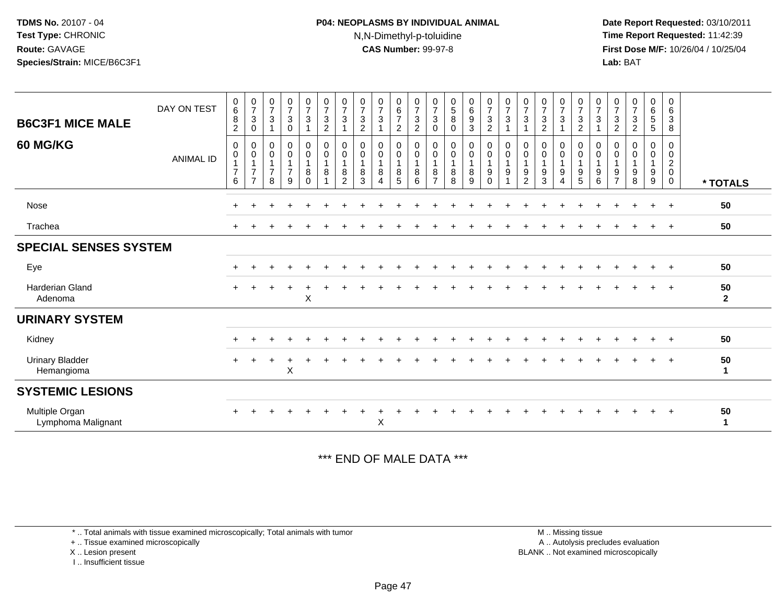## **P04: NEOPLASMS BY INDIVIDUAL ANIMAL**N,N-Dimethyl-p-toluidine

 **Date Report Requested:** 03/10/2011 **Time Report Requested:** 11:42:39 **First Dose M/F:** 10/26/04 / 10/25/04 Lab: BAT **Lab:** BAT

| <b>B6C3F1 MICE MALE</b>              | DAY ON TEST      | $\begin{matrix} 0 \\ 6 \end{matrix}$<br>8<br>$\overline{2}$ | $\frac{0}{7}$<br>$\mathbf{3}$<br>$\boldsymbol{0}$                  | $\frac{0}{7}$<br>$\sqrt{3}$<br>1                             | $\frac{0}{7}$<br>3<br>$\mathbf 0$                    | $\frac{0}{7}$<br>$\mathbf{3}$          | $\begin{array}{c} 0 \\ 7 \end{array}$<br>$\sqrt{3}$<br>$\overline{c}$ | $\frac{0}{7}$<br>$\sqrt{3}$                             | $\frac{0}{7}$<br>$\ensuremath{\mathsf{3}}$<br>$\sqrt{2}$        | $\frac{0}{7}$<br>$\sqrt{3}$<br>$\mathbf{1}$                    | $_{6}^{\rm 0}$<br>$\overline{7}$<br>$\overline{c}$ | $\frac{0}{7}$<br>$\sqrt{3}$<br>$\overline{c}$ | $\frac{0}{7}$<br>$\ensuremath{\mathsf{3}}$<br>0                 | $\begin{array}{c} 0 \\ 5 \\ 8 \end{array}$<br>0 | $\begin{array}{c} 0 \\ 6 \\ 9 \end{array}$<br>$\sqrt{3}$        | $\frac{0}{7}$<br>$\ensuremath{\mathsf{3}}$<br>$\overline{c}$ | $\frac{0}{7}$<br>$\ensuremath{\mathsf{3}}$<br>$\overline{1}$ | $\frac{0}{7}$<br>3                       | $\frac{0}{7}$<br>$\ensuremath{\mathsf{3}}$<br>$\overline{c}$ | $\frac{0}{7}$<br>$\sqrt{3}$                                    | $\frac{0}{7}$<br>$\sqrt{3}$<br>$\overline{c}$        | $\frac{0}{7}$<br>$\sqrt{3}$<br>$\overline{1}$                            | $\frac{0}{7}$<br>$\sqrt{3}$<br>$\sqrt{2}$               | $\frac{0}{7}$<br>$\ensuremath{\mathsf{3}}$<br>$\overline{c}$ | $\begin{array}{c} 0 \\ 6 \\ 5 \end{array}$<br>5 | $\begin{array}{c} 0 \\ 6 \end{array}$<br>$\ensuremath{\mathsf{3}}$<br>$\bf 8$ |                    |
|--------------------------------------|------------------|-------------------------------------------------------------|--------------------------------------------------------------------|--------------------------------------------------------------|------------------------------------------------------|----------------------------------------|-----------------------------------------------------------------------|---------------------------------------------------------|-----------------------------------------------------------------|----------------------------------------------------------------|----------------------------------------------------|-----------------------------------------------|-----------------------------------------------------------------|-------------------------------------------------|-----------------------------------------------------------------|--------------------------------------------------------------|--------------------------------------------------------------|------------------------------------------|--------------------------------------------------------------|----------------------------------------------------------------|------------------------------------------------------|--------------------------------------------------------------------------|---------------------------------------------------------|--------------------------------------------------------------|-------------------------------------------------|-------------------------------------------------------------------------------|--------------------|
| <b>60 MG/KG</b>                      | <b>ANIMAL ID</b> | 0<br>0<br>$\overline{7}$<br>6                               | 0<br>$\pmb{0}$<br>$\mathbf{1}$<br>$\overline{7}$<br>$\overline{7}$ | 0<br>$\boldsymbol{0}$<br>$\mathbf{1}$<br>$\overline{7}$<br>8 | 0<br>$\pmb{0}$<br>$\mathbf 1$<br>$\overline{7}$<br>9 | 0<br>$\boldsymbol{0}$<br>8<br>$\Omega$ | $\pmb{0}$<br>$\pmb{0}$<br>$\mathbf{1}$<br>8<br>$\overline{1}$         | 0<br>$\pmb{0}$<br>$\overline{1}$<br>8<br>$\overline{c}$ | $\mathbf 0$<br>$\pmb{0}$<br>$\overline{1}$<br>8<br>$\mathbf{3}$ | 0<br>$\pmb{0}$<br>$\mathbf{1}$<br>8<br>$\overline{\mathbf{4}}$ | 0<br>$\mathsf 0$<br>$\mathbf{1}$<br>8<br>5         | 0<br>$\pmb{0}$<br>$\mathbf{1}$<br>8<br>6      | 0<br>$\mathsf{O}\xspace$<br>$\mathbf{1}$<br>8<br>$\overline{7}$ | 0<br>0<br>$\overline{1}$<br>8<br>8              | $\mathbf 0$<br>$\pmb{0}$<br>$\mathbf{1}$<br>8<br>$\overline{9}$ | 0<br>$\pmb{0}$<br>$\mathbf{1}$<br>9<br>$\Omega$              | $\pmb{0}$<br>$\pmb{0}$<br>$\mathbf{1}$<br>9<br>1             | 0<br>$\pmb{0}$<br>$\mathbf{1}$<br>9<br>2 | 0<br>$\pmb{0}$<br>$\overline{1}$<br>9<br>3                   | 0<br>$\pmb{0}$<br>$\mathbf{1}$<br>9<br>$\overline{\mathbf{4}}$ | 0<br>$\mathsf{O}\xspace$<br>1<br>9<br>$\overline{5}$ | $\mathbf 0$<br>$\mathbf 0$<br>$\overline{1}$<br>$9\,$<br>$6\phantom{1}6$ | 0<br>$\mathbf 0$<br>$\mathbf{1}$<br>9<br>$\overline{7}$ | 0<br>0<br>$\mathbf{1}$<br>9<br>8                             | 0<br>0<br>$\mathbf{1}$<br>9<br>9                | 0<br>$\pmb{0}$<br>$\overline{c}$<br>$\pmb{0}$<br>$\mathbf 0$                  | * TOTALS           |
| Nose                                 |                  |                                                             |                                                                    |                                                              |                                                      |                                        |                                                                       |                                                         |                                                                 |                                                                |                                                    |                                               |                                                                 |                                                 |                                                                 |                                                              |                                                              |                                          |                                                              |                                                                |                                                      |                                                                          |                                                         |                                                              |                                                 | $\overline{ }$                                                                | 50                 |
| Trachea                              |                  | $+$                                                         |                                                                    |                                                              |                                                      |                                        |                                                                       |                                                         |                                                                 |                                                                |                                                    |                                               |                                                                 |                                                 |                                                                 |                                                              |                                                              |                                          |                                                              |                                                                |                                                      |                                                                          |                                                         |                                                              |                                                 | $\pm$                                                                         | 50                 |
| <b>SPECIAL SENSES SYSTEM</b>         |                  |                                                             |                                                                    |                                                              |                                                      |                                        |                                                                       |                                                         |                                                                 |                                                                |                                                    |                                               |                                                                 |                                                 |                                                                 |                                                              |                                                              |                                          |                                                              |                                                                |                                                      |                                                                          |                                                         |                                                              |                                                 |                                                                               |                    |
| Eye                                  |                  | $+$                                                         |                                                                    |                                                              |                                                      |                                        | ÷.                                                                    |                                                         |                                                                 |                                                                |                                                    |                                               |                                                                 |                                                 |                                                                 | ÷                                                            |                                                              |                                          |                                                              |                                                                | ÷                                                    |                                                                          |                                                         |                                                              | $\ddot{}$                                       | $+$                                                                           | 50                 |
| <b>Harderian Gland</b><br>Adenoma    |                  | $+$                                                         |                                                                    |                                                              |                                                      | X                                      |                                                                       |                                                         |                                                                 |                                                                |                                                    |                                               |                                                                 |                                                 |                                                                 |                                                              |                                                              |                                          |                                                              |                                                                |                                                      |                                                                          |                                                         |                                                              | $\pm$                                           | $\overline{+}$                                                                | 50<br>$\mathbf{2}$ |
| <b>URINARY SYSTEM</b>                |                  |                                                             |                                                                    |                                                              |                                                      |                                        |                                                                       |                                                         |                                                                 |                                                                |                                                    |                                               |                                                                 |                                                 |                                                                 |                                                              |                                                              |                                          |                                                              |                                                                |                                                      |                                                                          |                                                         |                                                              |                                                 |                                                                               |                    |
| Kidney                               |                  |                                                             |                                                                    |                                                              |                                                      |                                        |                                                                       |                                                         |                                                                 |                                                                |                                                    |                                               |                                                                 |                                                 |                                                                 |                                                              |                                                              |                                          |                                                              |                                                                |                                                      |                                                                          |                                                         |                                                              | $\ddot{}$                                       | $\pm$                                                                         | 50                 |
| <b>Urinary Bladder</b><br>Hemangioma |                  |                                                             |                                                                    |                                                              | X                                                    |                                        |                                                                       |                                                         |                                                                 |                                                                |                                                    |                                               |                                                                 |                                                 |                                                                 |                                                              |                                                              |                                          |                                                              |                                                                |                                                      |                                                                          |                                                         |                                                              | $\ddot{}$                                       | $+$                                                                           | 50<br>$\mathbf{1}$ |
| <b>SYSTEMIC LESIONS</b>              |                  |                                                             |                                                                    |                                                              |                                                      |                                        |                                                                       |                                                         |                                                                 |                                                                |                                                    |                                               |                                                                 |                                                 |                                                                 |                                                              |                                                              |                                          |                                                              |                                                                |                                                      |                                                                          |                                                         |                                                              |                                                 |                                                                               |                    |
| Multiple Organ<br>Lymphoma Malignant |                  |                                                             |                                                                    |                                                              |                                                      |                                        |                                                                       |                                                         |                                                                 | X                                                              |                                                    |                                               |                                                                 |                                                 |                                                                 |                                                              |                                                              |                                          |                                                              |                                                                |                                                      |                                                                          |                                                         |                                                              | $\ddot{}$                                       | $\pm$                                                                         | 50<br>1            |
|                                      |                  |                                                             |                                                                    |                                                              |                                                      |                                        |                                                                       |                                                         |                                                                 |                                                                |                                                    |                                               |                                                                 |                                                 |                                                                 |                                                              |                                                              |                                          |                                                              |                                                                |                                                      |                                                                          |                                                         |                                                              |                                                 |                                                                               |                    |

#### \*\*\* END OF MALE DATA \*\*\*

\* .. Total animals with tissue examined microscopically; Total animals with tumor

+ .. Tissue examined microscopically

X .. Lesion present

I .. Insufficient tissue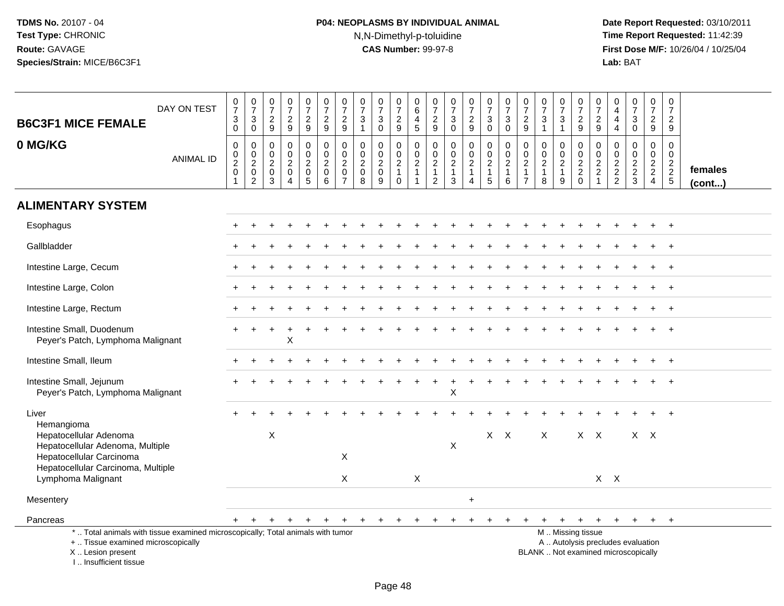# **P04: NEOPLASMS BY INDIVIDUAL ANIMAL**N,N-Dimethyl-p-toluidine

| DAY ON TEST<br><b>B6C3F1 MICE FEMALE</b>                                                                                                                              | $\frac{0}{7}$<br>$\sqrt{3}$<br>$\mathbf 0$                | $\frac{0}{7}$<br>$\ensuremath{\mathsf{3}}$<br>$\mathbf 0$                    | $\frac{0}{7}$<br>$\sqrt{2}$<br>9                             | $\frac{0}{7}$<br>$\frac{2}{9}$                                      | $\begin{array}{c} 0 \\ 7 \end{array}$<br>$\frac{2}{9}$                                       | $\frac{0}{7}$<br>$\overline{2}$<br>9                                 | $\frac{0}{7}$<br>$\overline{2}$<br>9                              | $\frac{0}{7}$<br>$\frac{3}{1}$                               | $\frac{0}{7}$<br>$\ensuremath{\mathsf{3}}$<br>$\mathsf{O}\xspace$ | $\begin{array}{c} 0 \\ 7 \end{array}$<br>$\frac{2}{9}$ | $\begin{array}{c} 0 \\ 6 \end{array}$<br>$\overline{\mathbf{4}}$<br>$\sqrt{5}$ | $\frac{0}{7}$<br>$\frac{2}{9}$                                | $\frac{0}{7}$<br>3<br>$\mathbf 0$                       | $\frac{0}{7}$<br>$\frac{2}{9}$       | $\frac{0}{7}$<br>$\ensuremath{\mathsf{3}}$<br>$\mathbf 0$ | $\begin{array}{c} 0 \\ 7 \end{array}$<br>$\ensuremath{\mathsf{3}}$<br>$\mathbf 0$ | $\begin{array}{c} 0 \\ 7 \end{array}$<br>$\frac{2}{9}$        | $\frac{0}{7}$<br>3<br>$\mathbf{1}$                        | $\frac{0}{7}$<br>$\frac{3}{1}$    | $\frac{0}{7}$<br>$\frac{2}{9}$           | $\frac{0}{7}$<br>$\frac{2}{9}$         | $\begin{smallmatrix}0\0\4\end{smallmatrix}$<br>$\overline{4}$<br>$\overline{4}$ | $\begin{smallmatrix}0\\7\end{smallmatrix}$<br>$\ensuremath{\mathsf{3}}$<br>$\mathbf 0$ | $\frac{0}{7}$<br>$\sqrt{2}$<br>9                              | $\mathbf 0$<br>$\overline{7}$<br>$\overline{c}$<br>9         |                         |
|-----------------------------------------------------------------------------------------------------------------------------------------------------------------------|-----------------------------------------------------------|------------------------------------------------------------------------------|--------------------------------------------------------------|---------------------------------------------------------------------|----------------------------------------------------------------------------------------------|----------------------------------------------------------------------|-------------------------------------------------------------------|--------------------------------------------------------------|-------------------------------------------------------------------|--------------------------------------------------------|--------------------------------------------------------------------------------|---------------------------------------------------------------|---------------------------------------------------------|--------------------------------------|-----------------------------------------------------------|-----------------------------------------------------------------------------------|---------------------------------------------------------------|-----------------------------------------------------------|-----------------------------------|------------------------------------------|----------------------------------------|---------------------------------------------------------------------------------|----------------------------------------------------------------------------------------|---------------------------------------------------------------|--------------------------------------------------------------|-------------------------|
| 0 MG/KG<br><b>ANIMAL ID</b>                                                                                                                                           | $\pmb{0}$<br>$\frac{0}{2}$<br>$\pmb{0}$<br>$\overline{1}$ | 0<br>$\begin{smallmatrix} 0\\2 \end{smallmatrix}$<br>$\pmb{0}$<br>$\sqrt{2}$ | $\mathbf 0$<br>$\mathbf 0$<br>$\sqrt{2}$<br>$\mathbf 0$<br>3 | 0<br>$\mathbf 0$<br>$\overline{c}$<br>$\mathsf 0$<br>$\overline{4}$ | $\pmb{0}$<br>$\mathsf{O}\xspace$<br>$\overline{2}$<br>$\mathsf{O}\xspace$<br>$5\phantom{.0}$ | $\pmb{0}$<br>$\mathsf{O}\xspace$<br>$\overline{2}$<br>$\pmb{0}$<br>6 | 0<br>$\pmb{0}$<br>$\overline{c}$<br>$\mathbf 0$<br>$\overline{7}$ | $\mathbf 0$<br>$\mathbf 0$<br>$\sqrt{2}$<br>$\mathbf 0$<br>8 | 0<br>$\mathbf 0$<br>$\overline{2}$<br>$\pmb{0}$<br>9              | $\mathbf 0$<br>$\frac{0}{2}$<br>$\mathbf 0$            | 0<br>$\mathbf 0$<br>$\overline{c}$<br>$\mathbf{1}$                             | $\boldsymbol{0}$<br>$\frac{0}{2}$<br>$\overline{\frac{1}{2}}$ | 0<br>$\mathbf 0$<br>$\overline{2}$<br>$\mathbf{1}$<br>3 | 0<br>$\frac{0}{2}$<br>$\overline{4}$ | $\pmb{0}$<br>$\frac{0}{2}$<br>5                           | $\mathbf 0$<br>$\mathbf 0$<br>$\overline{2}$<br>$\mathbf{1}$<br>6                 | $\mathbf 0$<br>$\mathbf 0$<br>$\frac{2}{1}$<br>$\overline{7}$ | 0<br>$\mathbf 0$<br>$\boldsymbol{2}$<br>$\mathbf{1}$<br>8 | $\mathbf 0$<br>$\frac{0}{2}$<br>9 | $\mathbf 0$<br>$\frac{0}{2}$<br>$\Omega$ | 0<br>$\mathbf 0$<br>$\frac{2}{2}$<br>1 | 0<br>$\mathbf 0$<br>$\frac{2}{2}$                                               | 0<br>$\mathsf{O}\xspace$<br>$\frac{2}{3}$                                              | $\mathbf 0$<br>$\mathbf 0$<br>$\frac{2}{2}$<br>$\overline{4}$ | $\Omega$<br>$\mathbf 0$<br>$\overline{2}$<br>$\sqrt{2}$<br>5 | females<br>$($ cont $)$ |
| <b>ALIMENTARY SYSTEM</b>                                                                                                                                              |                                                           |                                                                              |                                                              |                                                                     |                                                                                              |                                                                      |                                                                   |                                                              |                                                                   |                                                        |                                                                                |                                                               |                                                         |                                      |                                                           |                                                                                   |                                                               |                                                           |                                   |                                          |                                        |                                                                                 |                                                                                        |                                                               |                                                              |                         |
| Esophagus                                                                                                                                                             |                                                           |                                                                              |                                                              |                                                                     |                                                                                              |                                                                      |                                                                   |                                                              |                                                                   |                                                        |                                                                                |                                                               |                                                         |                                      |                                                           |                                                                                   |                                                               |                                                           |                                   |                                          |                                        |                                                                                 |                                                                                        |                                                               |                                                              |                         |
| Gallbladder                                                                                                                                                           |                                                           |                                                                              |                                                              |                                                                     |                                                                                              |                                                                      |                                                                   |                                                              |                                                                   |                                                        |                                                                                |                                                               |                                                         |                                      |                                                           |                                                                                   |                                                               |                                                           |                                   |                                          |                                        |                                                                                 |                                                                                        |                                                               |                                                              |                         |
| Intestine Large, Cecum                                                                                                                                                |                                                           |                                                                              |                                                              |                                                                     |                                                                                              |                                                                      |                                                                   |                                                              |                                                                   |                                                        |                                                                                |                                                               |                                                         |                                      |                                                           |                                                                                   |                                                               |                                                           |                                   |                                          |                                        |                                                                                 |                                                                                        |                                                               | $\ddot{}$                                                    |                         |
| Intestine Large, Colon                                                                                                                                                |                                                           |                                                                              |                                                              |                                                                     |                                                                                              |                                                                      |                                                                   |                                                              |                                                                   |                                                        |                                                                                |                                                               |                                                         |                                      |                                                           |                                                                                   |                                                               |                                                           |                                   |                                          |                                        |                                                                                 |                                                                                        |                                                               |                                                              |                         |
| Intestine Large, Rectum                                                                                                                                               |                                                           |                                                                              |                                                              |                                                                     |                                                                                              |                                                                      |                                                                   |                                                              |                                                                   |                                                        |                                                                                |                                                               |                                                         |                                      |                                                           |                                                                                   |                                                               |                                                           |                                   |                                          |                                        |                                                                                 |                                                                                        |                                                               |                                                              |                         |
| Intestine Small, Duodenum<br>Peyer's Patch, Lymphoma Malignant                                                                                                        |                                                           |                                                                              |                                                              | $\ddot{}$<br>Χ                                                      |                                                                                              |                                                                      |                                                                   |                                                              |                                                                   |                                                        |                                                                                |                                                               |                                                         |                                      |                                                           |                                                                                   |                                                               |                                                           |                                   |                                          |                                        |                                                                                 |                                                                                        |                                                               |                                                              |                         |
| Intestine Small, Ileum                                                                                                                                                |                                                           |                                                                              |                                                              |                                                                     |                                                                                              |                                                                      |                                                                   |                                                              |                                                                   |                                                        |                                                                                |                                                               |                                                         |                                      |                                                           |                                                                                   |                                                               |                                                           |                                   |                                          |                                        |                                                                                 |                                                                                        |                                                               |                                                              |                         |
| Intestine Small, Jejunum<br>Peyer's Patch, Lymphoma Malignant                                                                                                         |                                                           |                                                                              |                                                              |                                                                     |                                                                                              |                                                                      |                                                                   |                                                              |                                                                   |                                                        |                                                                                |                                                               | X                                                       |                                      |                                                           |                                                                                   |                                                               |                                                           |                                   |                                          |                                        |                                                                                 |                                                                                        |                                                               |                                                              |                         |
| Liver                                                                                                                                                                 |                                                           |                                                                              |                                                              |                                                                     |                                                                                              |                                                                      |                                                                   |                                                              |                                                                   |                                                        |                                                                                |                                                               |                                                         |                                      |                                                           |                                                                                   |                                                               |                                                           |                                   |                                          |                                        |                                                                                 |                                                                                        |                                                               |                                                              |                         |
| Hemangioma<br>Hepatocellular Adenoma<br>Hepatocellular Adenoma, Multiple<br>Hepatocellular Carcinoma                                                                  |                                                           |                                                                              | $\boldsymbol{\mathsf{X}}$                                    |                                                                     |                                                                                              |                                                                      | X                                                                 |                                                              |                                                                   |                                                        |                                                                                |                                                               | X                                                       |                                      | $X$ $X$                                                   |                                                                                   |                                                               | X                                                         |                                   | X                                        | $\mathsf{X}$                           |                                                                                 | $X$ $X$                                                                                |                                                               |                                                              |                         |
| Hepatocellular Carcinoma, Multiple<br>Lymphoma Malignant                                                                                                              |                                                           |                                                                              |                                                              |                                                                     |                                                                                              |                                                                      | X                                                                 |                                                              |                                                                   |                                                        | $\sf X$                                                                        |                                                               |                                                         |                                      |                                                           |                                                                                   |                                                               |                                                           |                                   |                                          |                                        | $X$ $X$                                                                         |                                                                                        |                                                               |                                                              |                         |
| Mesentery                                                                                                                                                             |                                                           |                                                                              |                                                              |                                                                     |                                                                                              |                                                                      |                                                                   |                                                              |                                                                   |                                                        |                                                                                |                                                               |                                                         | $+$                                  |                                                           |                                                                                   |                                                               |                                                           |                                   |                                          |                                        |                                                                                 |                                                                                        |                                                               |                                                              |                         |
| Pancreas                                                                                                                                                              |                                                           | $+$                                                                          | $^{+}$                                                       | $+$                                                                 | $+$                                                                                          | $+$                                                                  | $+$                                                               | $+$                                                          | $+$                                                               | $^{+}$                                                 | $\ddot{}$                                                                      |                                                               | $\ddot{}$                                               | $\ddot{}$                            |                                                           |                                                                                   |                                                               | +                                                         | $+$                               | $+$                                      | $+$                                    | $+$                                                                             | $+$                                                                                    | $+$                                                           | $_{+}$                                                       |                         |
| *  Total animals with tissue examined microscopically; Total animals with tumor<br>+  Tissue examined microscopically<br>X  Lesion present<br>I., Insufficient tissue |                                                           |                                                                              |                                                              |                                                                     |                                                                                              |                                                                      |                                                                   |                                                              |                                                                   |                                                        |                                                                                |                                                               |                                                         |                                      |                                                           |                                                                                   |                                                               |                                                           |                                   | M  Missing tissue                        |                                        | A  Autolysis precludes evaluation<br>BLANK  Not examined microscopically        |                                                                                        |                                                               |                                                              |                         |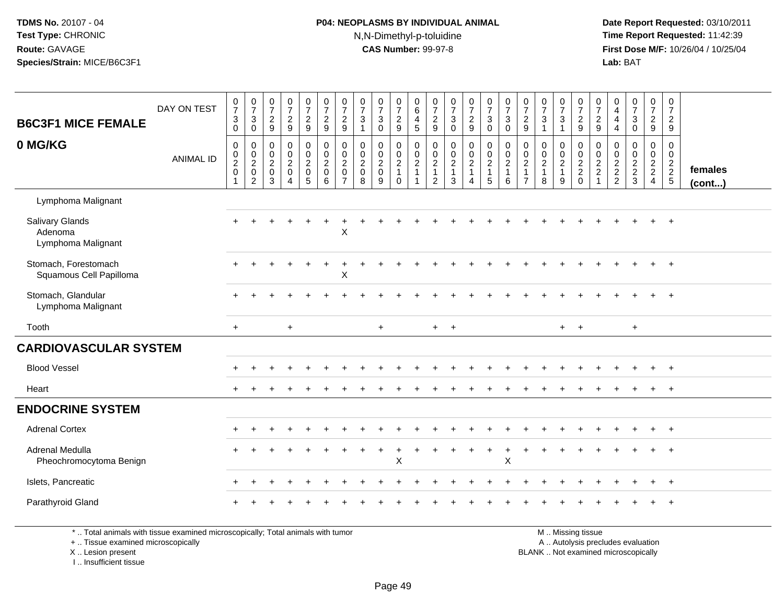## **P04: NEOPLASMS BY INDIVIDUAL ANIMAL**N,N-Dimethyl-p-toluidine

 **Date Report Requested:** 03/10/2011 **Time Report Requested:** 11:42:39 **First Dose M/F:** 10/26/04 / 10/25/04 Lab: BAT **Lab:** BAT

| <b>B6C3F1 MICE FEMALE</b>                                                       | DAY ON TEST      | $\frac{0}{7}$<br>$\sqrt{3}$<br>$\Omega$ | $\frac{0}{7}$<br>$\mathbf{3}$<br>$\Omega$                     | $\begin{array}{c} 0 \\ 7 \end{array}$<br>$\sqrt{2}$<br>9 | $\frac{0}{7}$<br>$\overline{2}$<br>9            | $\begin{array}{c} 0 \\ 7 \end{array}$<br>$\overline{a}$<br>9 | $\begin{array}{c} 0 \\ 7 \end{array}$<br>$\sqrt{2}$<br>9 | $\frac{0}{7}$<br>$\overline{c}$<br>9                                | $\pmb{0}$<br>$\overline{7}$<br>$\mathbf{3}$<br>$\overline{1}$         | $\frac{0}{7}$<br>$\mathbf{3}$<br>$\Omega$ | $\begin{array}{c} 0 \\ 7 \end{array}$<br>$\sqrt{2}$<br>9 | $\pmb{0}$<br>$\,6\,$<br>$\overline{\mathbf{4}}$<br>5 | $\pmb{0}$<br>$\overline{7}$<br>$\frac{2}{9}$                      | $\frac{0}{7}$<br>$\mathbf 3$<br>$\Omega$                          | $\frac{0}{7}$<br>$\overline{2}$<br>9                 | $\begin{array}{c} 0 \\ 7 \end{array}$<br>$\mathbf{3}$<br>$\mathbf 0$ | $\begin{smallmatrix}0\\7\end{smallmatrix}$<br>3<br>$\Omega$ | $\pmb{0}$<br>$\overline{7}$<br>$\overline{2}$<br>9         | $\begin{array}{c} 0 \\ 7 \end{array}$<br>$\ensuremath{\mathsf{3}}$<br>$\mathbf{1}$ | $\frac{0}{7}$<br>$\mathbf{3}$<br>$\overline{1}$         | $\frac{0}{7}$<br>$\overline{c}$<br>9                           | 0<br>$\overline{7}$<br>$\overline{c}$<br>9                       | 0<br>$\overline{4}$<br>4<br>$\overline{4}$ | $\frac{0}{7}$<br>$\ensuremath{\mathsf{3}}$<br>$\Omega$ | $\mathbf 0$<br>$\overline{7}$<br>$\overline{2}$<br>9 | $\pmb{0}$<br>$\overline{7}$<br>$\overline{c}$<br>9 |                   |
|---------------------------------------------------------------------------------|------------------|-----------------------------------------|---------------------------------------------------------------|----------------------------------------------------------|-------------------------------------------------|--------------------------------------------------------------|----------------------------------------------------------|---------------------------------------------------------------------|-----------------------------------------------------------------------|-------------------------------------------|----------------------------------------------------------|------------------------------------------------------|-------------------------------------------------------------------|-------------------------------------------------------------------|------------------------------------------------------|----------------------------------------------------------------------|-------------------------------------------------------------|------------------------------------------------------------|------------------------------------------------------------------------------------|---------------------------------------------------------|----------------------------------------------------------------|------------------------------------------------------------------|--------------------------------------------|--------------------------------------------------------|------------------------------------------------------|----------------------------------------------------|-------------------|
| 0 MG/KG                                                                         | <b>ANIMAL ID</b> | $\mathbf 0$<br>$\frac{0}{2}$            | $\mathbf 0$<br>$\mathbf 0$<br>$\frac{2}{0}$<br>$\overline{2}$ | $\mathbf 0$<br>$\mathbf 0$<br>$\frac{2}{0}$<br>3         | 0<br>0<br>$\overline{2}$<br>$\overline{0}$<br>4 | $\pmb{0}$<br>$\frac{0}{2}$<br>$\overline{5}$                 | $\mathbf 0$<br>$\frac{0}{2}$<br>6                        | $\mathbf 0$<br>0<br>$\overline{2}$<br>$\mathbf 0$<br>$\overline{7}$ | $\mathbf 0$<br>$\boldsymbol{0}$<br>$\overline{2}$<br>$\mathbf 0$<br>8 | 0<br>$\mathbf 0$<br>$\frac{2}{0}$<br>9    | $\pmb{0}$<br>$\frac{0}{2}$<br>$\overline{1}$<br>$\Omega$ | $\pmb{0}$<br>$\frac{0}{2}$<br>1                      | $\mathbf 0$<br>$\mathbf 0$<br>$\overline{c}$<br>$\mathbf{1}$<br>2 | $\mathbf 0$<br>$\mathbf 0$<br>$\overline{2}$<br>$\mathbf{1}$<br>3 | 0<br>$\frac{0}{2}$<br>$\mathbf{1}$<br>$\overline{4}$ | $\mathbf 0$<br>$\frac{0}{2}$<br>1<br>5                               | 0<br>$\pmb{0}$<br>$\overline{2}$<br>$\mathbf{1}$<br>6       | $\mathbf 0$<br>0<br>$\overline{2}$<br>-1<br>$\overline{7}$ | $\mathbf 0$<br>$\frac{0}{2}$<br>$\mathbf{1}$<br>8                                  | 0<br>$\mathbf 0$<br>$\overline{2}$<br>$\mathbf{1}$<br>9 | $\mathbf 0$<br>$\begin{array}{c} 0 \\ 2 \\ 2 \\ 0 \end{array}$ | $\mathbf 0$<br>$\mathbf 0$<br>$\overline{c}$<br>$\boldsymbol{2}$ | 0<br>0<br>$\frac{2}{2}$                    | 0<br>$\frac{0}{2}$<br>3                                | 0<br>$\mathbf 0$<br>$\frac{2}{2}$<br>$\overline{4}$  | $\mathbf 0$<br>$\mathbf 0$<br>$\frac{2}{2}$        | females<br>(cont) |
| Lymphoma Malignant                                                              |                  |                                         |                                                               |                                                          |                                                 |                                                              |                                                          |                                                                     |                                                                       |                                           |                                                          |                                                      |                                                                   |                                                                   |                                                      |                                                                      |                                                             |                                                            |                                                                                    |                                                         |                                                                |                                                                  |                                            |                                                        |                                                      |                                                    |                   |
| Salivary Glands<br>Adenoma<br>Lymphoma Malignant                                |                  |                                         |                                                               |                                                          |                                                 |                                                              |                                                          | X                                                                   |                                                                       |                                           |                                                          |                                                      |                                                                   |                                                                   |                                                      |                                                                      |                                                             |                                                            |                                                                                    |                                                         |                                                                |                                                                  |                                            |                                                        |                                                      |                                                    |                   |
| Stomach, Forestomach<br>Squamous Cell Papilloma                                 |                  |                                         |                                                               |                                                          |                                                 |                                                              |                                                          | X                                                                   |                                                                       |                                           |                                                          |                                                      |                                                                   |                                                                   |                                                      |                                                                      |                                                             |                                                            |                                                                                    |                                                         |                                                                |                                                                  |                                            |                                                        |                                                      |                                                    |                   |
| Stomach, Glandular<br>Lymphoma Malignant                                        |                  |                                         |                                                               |                                                          |                                                 |                                                              |                                                          |                                                                     |                                                                       |                                           |                                                          |                                                      |                                                                   |                                                                   |                                                      |                                                                      |                                                             |                                                            |                                                                                    |                                                         |                                                                |                                                                  |                                            |                                                        |                                                      | $+$                                                |                   |
| Tooth                                                                           |                  | $+$                                     |                                                               |                                                          | $\ddot{}$                                       |                                                              |                                                          |                                                                     |                                                                       | $+$                                       |                                                          |                                                      | $+$                                                               | $+$                                                               |                                                      |                                                                      |                                                             |                                                            |                                                                                    | $+$                                                     | $+$                                                            |                                                                  |                                            | $+$                                                    |                                                      |                                                    |                   |
| <b>CARDIOVASCULAR SYSTEM</b>                                                    |                  |                                         |                                                               |                                                          |                                                 |                                                              |                                                          |                                                                     |                                                                       |                                           |                                                          |                                                      |                                                                   |                                                                   |                                                      |                                                                      |                                                             |                                                            |                                                                                    |                                                         |                                                                |                                                                  |                                            |                                                        |                                                      |                                                    |                   |
| <b>Blood Vessel</b>                                                             |                  |                                         |                                                               |                                                          |                                                 |                                                              |                                                          |                                                                     |                                                                       |                                           |                                                          |                                                      |                                                                   |                                                                   |                                                      |                                                                      |                                                             |                                                            |                                                                                    |                                                         |                                                                |                                                                  |                                            |                                                        |                                                      |                                                    |                   |
| Heart                                                                           |                  |                                         |                                                               |                                                          |                                                 |                                                              |                                                          |                                                                     |                                                                       |                                           |                                                          |                                                      |                                                                   |                                                                   |                                                      |                                                                      |                                                             |                                                            |                                                                                    |                                                         |                                                                |                                                                  |                                            |                                                        |                                                      | $+$                                                |                   |
| <b>ENDOCRINE SYSTEM</b>                                                         |                  |                                         |                                                               |                                                          |                                                 |                                                              |                                                          |                                                                     |                                                                       |                                           |                                                          |                                                      |                                                                   |                                                                   |                                                      |                                                                      |                                                             |                                                            |                                                                                    |                                                         |                                                                |                                                                  |                                            |                                                        |                                                      |                                                    |                   |
| <b>Adrenal Cortex</b>                                                           |                  |                                         |                                                               |                                                          |                                                 |                                                              |                                                          |                                                                     |                                                                       |                                           |                                                          |                                                      |                                                                   |                                                                   |                                                      |                                                                      |                                                             |                                                            |                                                                                    |                                                         |                                                                |                                                                  |                                            |                                                        | $\ddot{}$                                            | $+$                                                |                   |
| Adrenal Medulla<br>Pheochromocytoma Benign                                      |                  |                                         |                                                               |                                                          |                                                 |                                                              |                                                          |                                                                     |                                                                       |                                           | X                                                        |                                                      |                                                                   |                                                                   |                                                      |                                                                      | $\div$<br>X                                                 |                                                            |                                                                                    |                                                         |                                                                |                                                                  |                                            |                                                        |                                                      | $+$                                                |                   |
| Islets, Pancreatic                                                              |                  |                                         |                                                               |                                                          |                                                 |                                                              |                                                          |                                                                     |                                                                       |                                           |                                                          |                                                      |                                                                   |                                                                   |                                                      |                                                                      |                                                             |                                                            |                                                                                    |                                                         |                                                                |                                                                  |                                            |                                                        |                                                      | $^{+}$                                             |                   |
| Parathyroid Gland                                                               |                  |                                         |                                                               |                                                          |                                                 |                                                              |                                                          |                                                                     |                                                                       |                                           |                                                          |                                                      |                                                                   |                                                                   |                                                      |                                                                      |                                                             |                                                            |                                                                                    |                                                         |                                                                |                                                                  |                                            |                                                        |                                                      |                                                    |                   |
| * Total opimals with tigaus oversined microscopically: Total opimals with tumor |                  |                                         |                                                               |                                                          |                                                 |                                                              |                                                          |                                                                     |                                                                       |                                           |                                                          |                                                      |                                                                   |                                                                   |                                                      |                                                                      |                                                             |                                                            |                                                                                    |                                                         | M <sub>1</sub> Micrisa fissue                                  |                                                                  |                                            |                                                        |                                                      |                                                    |                   |

\* .. Total animals with tissue examined microscopically; Total animals with tumor

+ .. Tissue examined microscopically

X .. Lesion present

I .. Insufficient tissue

M .. Missing tissue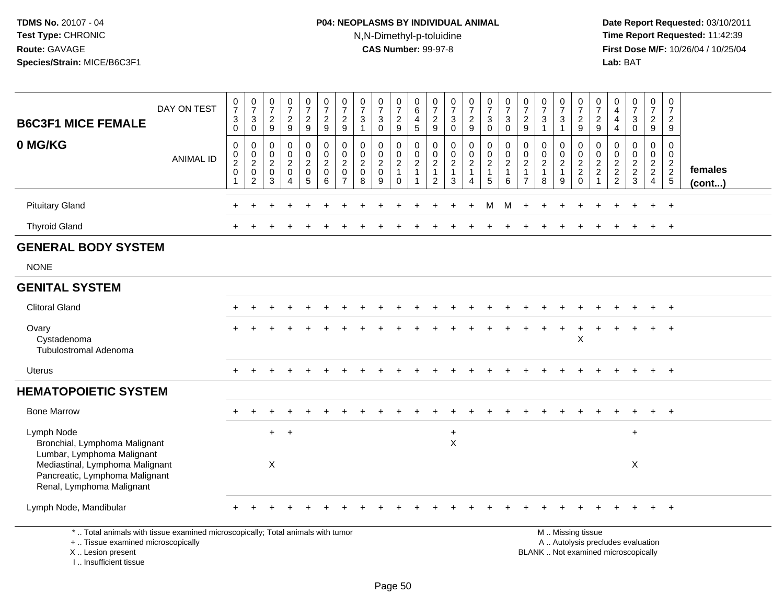# **P04: NEOPLASMS BY INDIVIDUAL ANIMAL**N,N-Dimethyl-p-toluidine

 **Date Report Requested:** 03/10/2011 **Time Report Requested:** 11:42:39 **First Dose M/F:** 10/26/04 / 10/25/04<br>Lab: BAT **Lab:** BAT

| <b>B6C3F1 MICE FEMALE</b>                                                                                             | DAY ON TEST      | $\frac{0}{7}$<br>$\sqrt{3}$<br>$\mathbf 0$                                         | $\frac{0}{7}$<br>$\ensuremath{\mathsf{3}}$<br>$\mathbf 0$ | $\frac{0}{7}$<br>$\sqrt{2}$<br>9             | $\frac{0}{7}$<br>$\overline{c}$<br>$\overline{9}$                       | $\frac{0}{7}$<br>$\sqrt{2}$<br>9                                 | $\frac{0}{7}$<br>$\overline{c}$<br>9                           | $\frac{0}{7}$<br>$\sqrt{2}$<br>9                                              | $\frac{0}{7}$<br>$\ensuremath{\mathsf{3}}$<br>-1                      | $\frac{0}{7}$<br>3<br>$\Omega$                       | $\frac{0}{7}$<br>$\sqrt{2}$<br>9                               | 0<br>$6\phantom{a}$<br>$\overline{4}$<br>5                 | $\frac{0}{7}$<br>$\overline{c}$<br>9                                                | $\frac{0}{7}$<br>$\sqrt{3}$<br>$\Omega$                         | $\frac{0}{7}$<br>$\sqrt{2}$<br>$\overline{9}$                     | $\frac{0}{7}$<br>$\ensuremath{\mathsf{3}}$<br>$\mathbf 0$                                    | $\frac{0}{7}$<br>$\mathbf{3}$<br>$\Omega$               | $\frac{0}{7}$<br>$\sqrt{2}$<br>9                           | $\frac{0}{7}$<br>$\ensuremath{\mathsf{3}}$                                       | $\frac{0}{7}$<br>$\ensuremath{\mathsf{3}}$<br>$\overline{\mathbf{1}}$ | $\frac{0}{7}$<br>$\sqrt{2}$<br>9                                                          | 0<br>$\overline{7}$<br>$\boldsymbol{2}$<br>9                   | $\begin{smallmatrix}0\0\4\end{smallmatrix}$<br>4<br>$\overline{4}$ | $\frac{0}{7}$<br>$\ensuremath{\mathsf{3}}$<br>$\Omega$ | $\frac{0}{7}$<br>$\overline{2}$<br>9                   | 0<br>$\overline{7}$<br>$\sqrt{2}$<br>9                    |                   |
|-----------------------------------------------------------------------------------------------------------------------|------------------|------------------------------------------------------------------------------------|-----------------------------------------------------------|----------------------------------------------|-------------------------------------------------------------------------|------------------------------------------------------------------|----------------------------------------------------------------|-------------------------------------------------------------------------------|-----------------------------------------------------------------------|------------------------------------------------------|----------------------------------------------------------------|------------------------------------------------------------|-------------------------------------------------------------------------------------|-----------------------------------------------------------------|-------------------------------------------------------------------|----------------------------------------------------------------------------------------------|---------------------------------------------------------|------------------------------------------------------------|----------------------------------------------------------------------------------|-----------------------------------------------------------------------|-------------------------------------------------------------------------------------------|----------------------------------------------------------------|--------------------------------------------------------------------|--------------------------------------------------------|--------------------------------------------------------|-----------------------------------------------------------|-------------------|
| 0 MG/KG                                                                                                               | <b>ANIMAL ID</b> | $\boldsymbol{0}$<br>$\begin{smallmatrix} 0\\2 \end{smallmatrix}$<br>$\pmb{0}$<br>1 | 0<br>$\mathbf 0$<br>$\overline{2}$<br>$\pmb{0}$<br>2      | 0<br>0<br>$\overline{c}$<br>$\mathbf 0$<br>3 | 0<br>$\pmb{0}$<br>$\overline{2}$<br>$\pmb{0}$<br>$\boldsymbol{\Lambda}$ | $\mathbf 0$<br>$\mathbf 0$<br>$\overline{2}$<br>$\mathbf 0$<br>5 | $\mathbf 0$<br>$\mathbf 0$<br>$\overline{2}$<br>$\pmb{0}$<br>6 | $\mathbf 0$<br>$\mathbf 0$<br>$\overline{2}$<br>$\mathbf 0$<br>$\overline{7}$ | $\mathbf 0$<br>$\boldsymbol{0}$<br>$\overline{2}$<br>$\mathbf 0$<br>8 | 0<br>$\mathbf 0$<br>$\overline{2}$<br>$\pmb{0}$<br>9 | 0<br>$\mathbf 0$<br>$\overline{2}$<br>$\mathbf{1}$<br>$\Omega$ | $\mathbf 0$<br>$\pmb{0}$<br>$\overline{2}$<br>$\mathbf{1}$ | $\mathbf 0$<br>$\boldsymbol{0}$<br>$\overline{c}$<br>$\mathbf{1}$<br>$\overline{2}$ | $\mathbf 0$<br>$\pmb{0}$<br>$\overline{2}$<br>$\mathbf{1}$<br>3 | $\mathbf 0$<br>$\mathbf 0$<br>$\overline{2}$<br>$\mathbf{1}$<br>4 | $\pmb{0}$<br>$\begin{smallmatrix} 0\\2 \end{smallmatrix}$<br>$\mathbf{1}$<br>$5\overline{)}$ | 0<br>$\mathbf 0$<br>$\overline{2}$<br>$\mathbf{1}$<br>6 | 0<br>0<br>$\overline{2}$<br>$\mathbf{1}$<br>$\overline{7}$ | $\mathbf 0$<br>$\begin{smallmatrix} 0\\2 \end{smallmatrix}$<br>$\mathbf{1}$<br>8 | 0<br>$\mathbf 0$<br>$\overline{2}$<br>$\overline{1}$<br>9             | $\mathbf 0$<br>$\begin{smallmatrix} 0\\2 \end{smallmatrix}$<br>$\overline{c}$<br>$\Omega$ | $\mathbf 0$<br>$\mathbf 0$<br>$\overline{2}$<br>$\overline{c}$ | 0<br>$\pmb{0}$<br>$\frac{2}{2}$                                    | 0<br>$\mathbf 0$<br>$\frac{2}{2}$<br>3                 | 0<br>$\overline{0}$<br>$\frac{2}{2}$<br>$\overline{4}$ | $\mathbf 0$<br>$\mathbf 0$<br>$\frac{2}{2}$<br>$\sqrt{5}$ | females<br>(cont) |
| <b>Pituitary Gland</b>                                                                                                |                  |                                                                                    |                                                           |                                              |                                                                         |                                                                  |                                                                |                                                                               |                                                                       |                                                      |                                                                |                                                            |                                                                                     |                                                                 |                                                                   | м                                                                                            | м                                                       |                                                            |                                                                                  |                                                                       |                                                                                           |                                                                |                                                                    |                                                        |                                                        | $+$                                                       |                   |
| <b>Thyroid Gland</b>                                                                                                  |                  |                                                                                    |                                                           |                                              |                                                                         |                                                                  |                                                                |                                                                               |                                                                       |                                                      |                                                                |                                                            |                                                                                     |                                                                 |                                                                   |                                                                                              |                                                         |                                                            |                                                                                  |                                                                       |                                                                                           |                                                                |                                                                    |                                                        | $\ddot{}$                                              | $+$                                                       |                   |
| <b>GENERAL BODY SYSTEM</b>                                                                                            |                  |                                                                                    |                                                           |                                              |                                                                         |                                                                  |                                                                |                                                                               |                                                                       |                                                      |                                                                |                                                            |                                                                                     |                                                                 |                                                                   |                                                                                              |                                                         |                                                            |                                                                                  |                                                                       |                                                                                           |                                                                |                                                                    |                                                        |                                                        |                                                           |                   |
| <b>NONE</b>                                                                                                           |                  |                                                                                    |                                                           |                                              |                                                                         |                                                                  |                                                                |                                                                               |                                                                       |                                                      |                                                                |                                                            |                                                                                     |                                                                 |                                                                   |                                                                                              |                                                         |                                                            |                                                                                  |                                                                       |                                                                                           |                                                                |                                                                    |                                                        |                                                        |                                                           |                   |
| <b>GENITAL SYSTEM</b>                                                                                                 |                  |                                                                                    |                                                           |                                              |                                                                         |                                                                  |                                                                |                                                                               |                                                                       |                                                      |                                                                |                                                            |                                                                                     |                                                                 |                                                                   |                                                                                              |                                                         |                                                            |                                                                                  |                                                                       |                                                                                           |                                                                |                                                                    |                                                        |                                                        |                                                           |                   |
| <b>Clitoral Gland</b>                                                                                                 |                  |                                                                                    |                                                           |                                              |                                                                         |                                                                  |                                                                |                                                                               |                                                                       |                                                      |                                                                |                                                            |                                                                                     |                                                                 |                                                                   |                                                                                              |                                                         |                                                            |                                                                                  |                                                                       |                                                                                           |                                                                |                                                                    |                                                        |                                                        | $+$                                                       |                   |
| Ovary<br>Cystadenoma<br><b>Tubulostromal Adenoma</b>                                                                  |                  |                                                                                    |                                                           |                                              |                                                                         |                                                                  |                                                                |                                                                               |                                                                       |                                                      |                                                                |                                                            |                                                                                     |                                                                 |                                                                   |                                                                                              |                                                         |                                                            |                                                                                  |                                                                       | $\boldsymbol{\mathsf{X}}$                                                                 |                                                                |                                                                    |                                                        |                                                        | $\ddot{}$                                                 |                   |
| Uterus                                                                                                                |                  |                                                                                    |                                                           |                                              |                                                                         |                                                                  |                                                                |                                                                               |                                                                       |                                                      |                                                                |                                                            |                                                                                     |                                                                 |                                                                   |                                                                                              |                                                         |                                                            |                                                                                  |                                                                       |                                                                                           |                                                                |                                                                    |                                                        | $+$                                                    | $+$                                                       |                   |
| <b>HEMATOPOIETIC SYSTEM</b>                                                                                           |                  |                                                                                    |                                                           |                                              |                                                                         |                                                                  |                                                                |                                                                               |                                                                       |                                                      |                                                                |                                                            |                                                                                     |                                                                 |                                                                   |                                                                                              |                                                         |                                                            |                                                                                  |                                                                       |                                                                                           |                                                                |                                                                    |                                                        |                                                        |                                                           |                   |
| <b>Bone Marrow</b>                                                                                                    |                  |                                                                                    |                                                           |                                              |                                                                         |                                                                  |                                                                |                                                                               |                                                                       |                                                      |                                                                |                                                            |                                                                                     |                                                                 |                                                                   |                                                                                              |                                                         |                                                            |                                                                                  |                                                                       |                                                                                           |                                                                |                                                                    |                                                        | $+$                                                    | $+$                                                       |                   |
| Lymph Node<br>Bronchial, Lymphoma Malignant<br>Lumbar, Lymphoma Malignant                                             |                  |                                                                                    |                                                           | $+$                                          | $+$                                                                     |                                                                  |                                                                |                                                                               |                                                                       |                                                      |                                                                |                                                            |                                                                                     | $\ddot{}$<br>$\mathsf X$                                        |                                                                   |                                                                                              |                                                         |                                                            |                                                                                  |                                                                       |                                                                                           |                                                                |                                                                    | $\ddot{}$                                              |                                                        |                                                           |                   |
| Mediastinal, Lymphoma Malignant<br>Pancreatic, Lymphoma Malignant<br>Renal, Lymphoma Malignant                        |                  |                                                                                    |                                                           | $\boldsymbol{\mathsf{X}}$                    |                                                                         |                                                                  |                                                                |                                                                               |                                                                       |                                                      |                                                                |                                                            |                                                                                     |                                                                 |                                                                   |                                                                                              |                                                         |                                                            |                                                                                  |                                                                       |                                                                                           |                                                                |                                                                    | X                                                      |                                                        |                                                           |                   |
| Lymph Node, Mandibular                                                                                                |                  |                                                                                    |                                                           |                                              |                                                                         |                                                                  |                                                                |                                                                               |                                                                       |                                                      |                                                                |                                                            |                                                                                     |                                                                 |                                                                   |                                                                                              |                                                         |                                                            |                                                                                  |                                                                       |                                                                                           |                                                                |                                                                    |                                                        |                                                        | $\div$                                                    |                   |
| *  Total animals with tissue examined microscopically; Total animals with tumor<br>+  Tissue examined microscopically |                  |                                                                                    |                                                           |                                              |                                                                         |                                                                  |                                                                |                                                                               |                                                                       |                                                      |                                                                |                                                            |                                                                                     |                                                                 |                                                                   |                                                                                              |                                                         |                                                            |                                                                                  |                                                                       | M  Missing tissue                                                                         |                                                                |                                                                    | A  Autolysis precludes evaluation                      |                                                        |                                                           |                   |

X .. Lesion present

I .. Insufficient tissue

Lesion present BLANK .. Not examined microscopically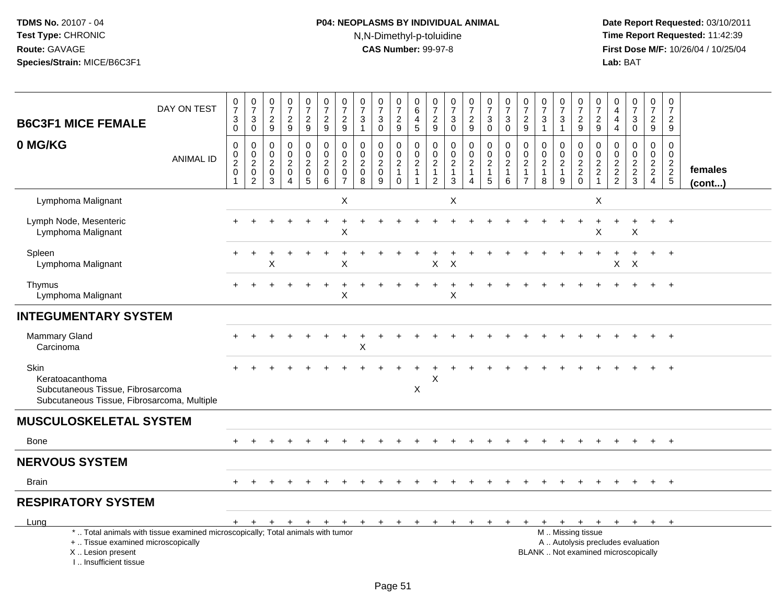# **P04: NEOPLASMS BY INDIVIDUAL ANIMAL**N,N-Dimethyl-p-toluidine

| <b>B6C3F1 MICE FEMALE</b>                                                                                                                                             | DAY ON TEST      | $\frac{0}{7}$<br>$_0^3$    | $\frac{0}{7}$<br>$\frac{3}{0}$               | $\frac{0}{7}$<br>$\frac{2}{9}$  | $\frac{0}{7}$<br>$\frac{2}{9}$                                                | $\frac{0}{7}$<br>$\overline{c}$<br>$\overline{9}$      | $\frac{0}{7}$<br>$\frac{2}{9}$                     | $\begin{array}{c} 0 \\ 7 \end{array}$<br>$\frac{2}{9}$                        | 0<br>$\overline{7}$<br>$\ensuremath{\mathsf{3}}$<br>$\overline{1}$ | $\frac{0}{7}$<br>$_{0}^{3}$                                | $\frac{0}{7}$<br>$\frac{2}{9}$                    | 0<br>$\,6\,$<br>$\overline{4}$<br>$5\phantom{1}$                       | $\frac{0}{7}$<br>$\frac{2}{9}$                                                 | $\frac{0}{7}$<br>3<br>$\mathbf 0$                               | $\frac{0}{7}$<br>$\frac{2}{9}$                                       | $\frac{0}{7}$<br>$\frac{3}{0}$                               | $\frac{0}{7}$<br>$\ensuremath{\mathsf{3}}$<br>$\mathbf 0$       | $\frac{0}{7}$<br>$\frac{2}{9}$                            | $\frac{0}{7}$<br>$\ensuremath{\mathsf{3}}$<br>$\overline{1}$  | $\frac{0}{7}$<br>$\ensuremath{\mathsf{3}}$<br>$\mathbf{1}$ | 0<br>$\overline{7}$<br>$\frac{2}{9}$                                        | 0<br>$\overline{7}$<br>$\overline{c}$<br>9                                     | 0<br>$\overline{4}$<br>4<br>$\overline{4}$          | $\frac{0}{7}$<br>$\mathbf 3$<br>$\mathbf 0$                              | 0<br>$\overline{7}$<br>$\frac{2}{9}$                   | $\boldsymbol{0}$<br>$\overline{7}$<br>$\frac{2}{9}$ |                         |
|-----------------------------------------------------------------------------------------------------------------------------------------------------------------------|------------------|----------------------------|----------------------------------------------|---------------------------------|-------------------------------------------------------------------------------|--------------------------------------------------------|----------------------------------------------------|-------------------------------------------------------------------------------|--------------------------------------------------------------------|------------------------------------------------------------|---------------------------------------------------|------------------------------------------------------------------------|--------------------------------------------------------------------------------|-----------------------------------------------------------------|----------------------------------------------------------------------|--------------------------------------------------------------|-----------------------------------------------------------------|-----------------------------------------------------------|---------------------------------------------------------------|------------------------------------------------------------|-----------------------------------------------------------------------------|--------------------------------------------------------------------------------|-----------------------------------------------------|--------------------------------------------------------------------------|--------------------------------------------------------|-----------------------------------------------------|-------------------------|
| 0 MG/KG                                                                                                                                                               | <b>ANIMAL ID</b> | 0<br>$_2^0$<br>$\mathbf 0$ | $\pmb{0}$<br>$\frac{0}{2}$<br>$\overline{2}$ | 0<br>$\mathbf 0$<br>2<br>0<br>3 | $\mathbf 0$<br>$\mathsf 0$<br>$\overline{c}$<br>$\mathbf 0$<br>$\overline{4}$ | 0<br>$\mathbf 0$<br>$\overline{c}$<br>$\mathbf 0$<br>5 | $\pmb{0}$<br>$\frac{0}{2}$<br>$\pmb{0}$<br>$\,6\,$ | $\mathbf 0$<br>$\mathbf 0$<br>$\overline{c}$<br>$\mathbf 0$<br>$\overline{7}$ | 0<br>$\pmb{0}$<br>$\overline{c}$<br>$\pmb{0}$<br>8                 | $\mathbf 0$<br>$\mathbf 0$<br>$\sqrt{2}$<br>$\pmb{0}$<br>9 | 0<br>$\frac{0}{2}$<br>$\mathbf{1}$<br>$\mathbf 0$ | 0<br>$\mathbf 0$<br>$\overline{2}$<br>$\overline{1}$<br>$\overline{1}$ | $\mathbf 0$<br>$\mathbf 0$<br>$\overline{c}$<br>$\mathbf{1}$<br>$\overline{2}$ | $\pmb{0}$<br>$\mathbf 0$<br>$\overline{c}$<br>$\mathbf{1}$<br>3 | 0<br>$\mathbf 0$<br>$\overline{a}$<br>$\mathbf{1}$<br>$\overline{4}$ | $\pmb{0}$<br>$\frac{0}{2}$<br>$\mathbf{1}$<br>$\overline{5}$ | $\mathbf 0$<br>$\pmb{0}$<br>$\overline{c}$<br>$\mathbf{1}$<br>6 | $\mathbf 0$<br>$\mathbf 0$<br>$\sqrt{2}$<br>$\frac{1}{7}$ | $\mathbf 0$<br>$\mathbf 0$<br>$\sqrt{2}$<br>$\mathbf{1}$<br>8 | 0<br>$\pmb{0}$<br>$\boldsymbol{2}$<br>$\mathbf{1}$<br>9    | $\mathbf 0$<br>$\begin{smallmatrix} 0\\2 \end{smallmatrix}$<br>$^2_{\rm 0}$ | $\mathbf 0$<br>$\mathbf 0$<br>$\overline{c}$<br>$\overline{c}$<br>$\mathbf{1}$ | 0<br>$\mathsf 0$<br>$\overline{2}$<br>$\frac{2}{2}$ | $\pmb{0}$<br>$\pmb{0}$<br>$\frac{2}{3}$                                  | 0<br>$\overline{0}$<br>$\frac{2}{2}$<br>$\overline{4}$ | $\mathbf 0$<br>$\mathbf 0$<br>$\frac{2}{2}$         | females<br>$($ cont $)$ |
| Lymphoma Malignant                                                                                                                                                    |                  |                            |                                              |                                 |                                                                               |                                                        |                                                    | X                                                                             |                                                                    |                                                            |                                                   |                                                                        |                                                                                | X                                                               |                                                                      |                                                              |                                                                 |                                                           |                                                               |                                                            |                                                                             | X                                                                              |                                                     |                                                                          |                                                        |                                                     |                         |
| Lymph Node, Mesenteric<br>Lymphoma Malignant                                                                                                                          |                  |                            |                                              |                                 |                                                                               |                                                        |                                                    | Χ                                                                             |                                                                    |                                                            |                                                   |                                                                        |                                                                                |                                                                 |                                                                      |                                                              |                                                                 |                                                           |                                                               |                                                            |                                                                             | X                                                                              |                                                     | X                                                                        |                                                        |                                                     |                         |
| Spleen<br>Lymphoma Malignant                                                                                                                                          |                  | $+$                        |                                              | X                               |                                                                               |                                                        |                                                    | $\overline{1}$<br>X                                                           |                                                                    |                                                            |                                                   |                                                                        | X                                                                              | X                                                               |                                                                      |                                                              |                                                                 |                                                           |                                                               |                                                            |                                                                             |                                                                                | X                                                   | $\ddot{}$<br>X                                                           | $+$                                                    | $+$                                                 |                         |
| Thymus<br>Lymphoma Malignant                                                                                                                                          |                  |                            |                                              |                                 |                                                                               |                                                        |                                                    | $\mathsf X$                                                                   |                                                                    |                                                            |                                                   |                                                                        |                                                                                | X                                                               |                                                                      |                                                              |                                                                 |                                                           |                                                               |                                                            |                                                                             |                                                                                |                                                     |                                                                          |                                                        |                                                     |                         |
| <b>INTEGUMENTARY SYSTEM</b>                                                                                                                                           |                  |                            |                                              |                                 |                                                                               |                                                        |                                                    |                                                                               |                                                                    |                                                            |                                                   |                                                                        |                                                                                |                                                                 |                                                                      |                                                              |                                                                 |                                                           |                                                               |                                                            |                                                                             |                                                                                |                                                     |                                                                          |                                                        |                                                     |                         |
| <b>Mammary Gland</b><br>Carcinoma                                                                                                                                     |                  |                            |                                              |                                 |                                                                               |                                                        |                                                    |                                                                               | X                                                                  |                                                            |                                                   |                                                                        |                                                                                |                                                                 |                                                                      |                                                              |                                                                 |                                                           |                                                               |                                                            |                                                                             |                                                                                |                                                     |                                                                          |                                                        | $+$                                                 |                         |
| Skin<br>Keratoacanthoma<br>Subcutaneous Tissue, Fibrosarcoma<br>Subcutaneous Tissue, Fibrosarcoma, Multiple                                                           |                  |                            |                                              |                                 |                                                                               |                                                        |                                                    |                                                                               |                                                                    |                                                            |                                                   | $\times$                                                               | X                                                                              |                                                                 |                                                                      |                                                              |                                                                 |                                                           |                                                               |                                                            |                                                                             |                                                                                |                                                     |                                                                          |                                                        |                                                     |                         |
| <b>MUSCULOSKELETAL SYSTEM</b>                                                                                                                                         |                  |                            |                                              |                                 |                                                                               |                                                        |                                                    |                                                                               |                                                                    |                                                            |                                                   |                                                                        |                                                                                |                                                                 |                                                                      |                                                              |                                                                 |                                                           |                                                               |                                                            |                                                                             |                                                                                |                                                     |                                                                          |                                                        |                                                     |                         |
| Bone                                                                                                                                                                  |                  |                            |                                              |                                 |                                                                               |                                                        |                                                    |                                                                               |                                                                    |                                                            |                                                   |                                                                        |                                                                                |                                                                 |                                                                      |                                                              |                                                                 |                                                           |                                                               |                                                            |                                                                             | $\div$                                                                         |                                                     | $\ddot{}$                                                                | $+$                                                    | $+$                                                 |                         |
| <b>NERVOUS SYSTEM</b>                                                                                                                                                 |                  |                            |                                              |                                 |                                                                               |                                                        |                                                    |                                                                               |                                                                    |                                                            |                                                   |                                                                        |                                                                                |                                                                 |                                                                      |                                                              |                                                                 |                                                           |                                                               |                                                            |                                                                             |                                                                                |                                                     |                                                                          |                                                        |                                                     |                         |
| <b>Brain</b>                                                                                                                                                          |                  |                            |                                              |                                 |                                                                               |                                                        |                                                    |                                                                               |                                                                    |                                                            |                                                   |                                                                        |                                                                                |                                                                 |                                                                      |                                                              |                                                                 |                                                           |                                                               |                                                            |                                                                             |                                                                                |                                                     |                                                                          |                                                        | $+$                                                 |                         |
| <b>RESPIRATORY SYSTEM</b>                                                                                                                                             |                  |                            |                                              |                                 |                                                                               |                                                        |                                                    |                                                                               |                                                                    |                                                            |                                                   |                                                                        |                                                                                |                                                                 |                                                                      |                                                              |                                                                 |                                                           |                                                               |                                                            |                                                                             |                                                                                |                                                     |                                                                          |                                                        |                                                     |                         |
| Lung                                                                                                                                                                  |                  |                            | $+$ $+$                                      | $+$                             | $+$                                                                           | $+$                                                    |                                                    | $+$                                                                           | $+$                                                                | $+$ $+$                                                    |                                                   | $+$                                                                    | $\ddot{}$                                                                      | $\ddot{}$                                                       | $\ddot{}$                                                            | $+$                                                          | $+$                                                             | $+$                                                       |                                                               |                                                            |                                                                             |                                                                                |                                                     | + + + + + + +                                                            |                                                        | $+$                                                 |                         |
| *  Total animals with tissue examined microscopically; Total animals with tumor<br>+  Tissue examined microscopically<br>X  Lesion present<br>I., Insufficient tissue |                  |                            |                                              |                                 |                                                                               |                                                        |                                                    |                                                                               |                                                                    |                                                            |                                                   |                                                                        |                                                                                |                                                                 |                                                                      |                                                              |                                                                 |                                                           |                                                               |                                                            | M  Missing tissue                                                           |                                                                                |                                                     | A  Autolysis precludes evaluation<br>BLANK  Not examined microscopically |                                                        |                                                     |                         |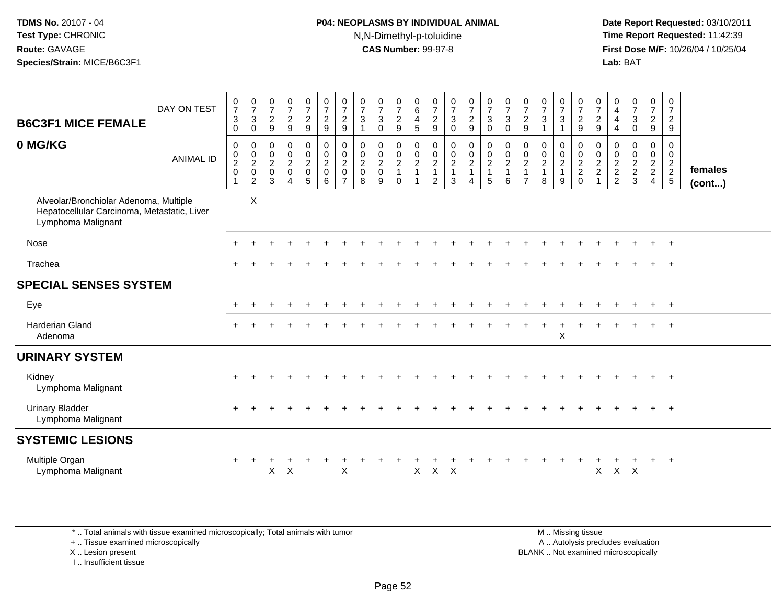## **P04: NEOPLASMS BY INDIVIDUAL ANIMAL**N,N-Dimethyl-p-toluidine

 **Date Report Requested:** 03/10/2011 **Time Report Requested:** 11:42:39 **First Dose M/F:** 10/26/04 / 10/25/04 Lab: BAT **Lab:** BAT

| <b>B6C3F1 MICE FEMALE</b>                                                                                   | DAY ON TEST      | $\frac{0}{7}$<br>$\ensuremath{\mathsf{3}}$<br>0                                                 | $\frac{0}{7}$<br>3<br>$\mathbf 0$                                           | $\begin{array}{c} 0 \\ 7 \end{array}$<br>$\sqrt{2}$<br>9                 | $\begin{array}{c} 0 \\ 7 \end{array}$<br>$\sqrt{2}$<br>$\overline{9}$ | $\frac{0}{7}$<br>$\overline{2}$<br>$\boldsymbol{9}$     | $\frac{0}{7}$<br>$\overline{c}$<br>$\boldsymbol{9}$            | $\frac{0}{7}$<br>$\overline{c}$<br>$\boldsymbol{9}$     | $\frac{0}{7}$<br>$\ensuremath{\mathsf{3}}$<br>$\mathbf{1}$ | $\frac{0}{7}$<br>$\sqrt{3}$<br>$\mathbf 0$       | $\begin{smallmatrix}0\\7\end{smallmatrix}$<br>$\frac{2}{9}$ | $\begin{array}{c} 0 \\ 6 \end{array}$<br>$\overline{4}$<br>$\overline{5}$ | $\frac{0}{7}$<br>$\overline{c}$<br>9                        | $\frac{0}{7}$<br>$\sqrt{3}$<br>$\mathbf 0$                             | $\frac{0}{7}$<br>$\overline{c}$<br>9                 | $\frac{0}{7}$<br>$\ensuremath{\mathsf{3}}$<br>$\mathbf 0$ | $\frac{0}{7}$<br>$\mathbf{3}$<br>$\mathbf 0$        | $\frac{0}{7}$<br>$\boldsymbol{2}$<br>$\boldsymbol{9}$                          | $\frac{0}{7}$<br>$\ensuremath{\mathsf{3}}$<br>$\mathbf{1}$ | $\frac{0}{7}$<br>3                                   | $\frac{0}{7}$<br>$\overline{c}$<br>9 | $\frac{0}{7}$<br>$\boldsymbol{2}$<br>9                     | 0<br>$\overline{4}$<br>4<br>4             | $\frac{0}{7}$<br>$\sqrt{3}$<br>$\mathbf 0$ | $\frac{0}{7}$<br>$\overline{c}$<br>9      | $\begin{array}{c} 0 \\ 7 \end{array}$<br>$\overline{2}$<br>$9\,$ |                   |
|-------------------------------------------------------------------------------------------------------------|------------------|-------------------------------------------------------------------------------------------------|-----------------------------------------------------------------------------|--------------------------------------------------------------------------|-----------------------------------------------------------------------|---------------------------------------------------------|----------------------------------------------------------------|---------------------------------------------------------|------------------------------------------------------------|--------------------------------------------------|-------------------------------------------------------------|---------------------------------------------------------------------------|-------------------------------------------------------------|------------------------------------------------------------------------|------------------------------------------------------|-----------------------------------------------------------|-----------------------------------------------------|--------------------------------------------------------------------------------|------------------------------------------------------------|------------------------------------------------------|--------------------------------------|------------------------------------------------------------|-------------------------------------------|--------------------------------------------|-------------------------------------------|------------------------------------------------------------------|-------------------|
| 0 MG/KG                                                                                                     | <b>ANIMAL ID</b> | $\boldsymbol{0}$<br>$\begin{smallmatrix} 0\\2 \end{smallmatrix}$<br>$\mathbf 0$<br>$\mathbf{1}$ | 0<br>$\mathsf{O}\xspace$<br>$\overline{2}$<br>$\mathsf 0$<br>$\overline{c}$ | $\Omega$<br>$\mathbf 0$<br>$\overline{2}$<br>$\mathbf 0$<br>$\mathbf{3}$ | $\mathbf 0$<br>$\mathbf 0$<br>$\frac{2}{0}$<br>$\overline{4}$         | 0<br>$\overline{0}$<br>$\overline{2}$<br>$\pmb{0}$<br>5 | $\mathbf 0$<br>$\mathbf 0$<br>$\overline{c}$<br>$\pmb{0}$<br>6 | 0<br>0<br>$\overline{c}$<br>$\pmb{0}$<br>$\overline{7}$ | 0<br>$\mathbf 0$<br>$\frac{2}{0}$<br>8                     | $\mathbf 0$<br>$\mathbf 0$<br>$\frac{2}{0}$<br>9 | 0<br>$\frac{0}{2}$<br>1<br>$\mathbf{0}$                     | $\mathbf 0$<br>$\frac{0}{2}$<br>1<br>$\mathbf{1}$                         | $\Omega$<br>$\mathbf 0$<br>$\overline{c}$<br>$\overline{c}$ | 0<br>$\begin{smallmatrix} 0\\2 \end{smallmatrix}$<br>$\mathbf{1}$<br>3 | $\pmb{0}$<br>$^{\rm 0}_{\rm 2}$<br>$\mathbf{1}$<br>4 | 0<br>$\mathbf 0$<br>$\frac{2}{1}$<br>$\overline{5}$       | $\mathbf 0$<br>$\overline{0}$<br>$\frac{2}{1}$<br>6 | $\mathbf 0$<br>$\mathbf 0$<br>$\overline{2}$<br>$\mathbf{1}$<br>$\overline{7}$ | 0<br>$\begin{matrix} 0 \\ 2 \\ 1 \end{matrix}$<br>8        | $\Omega$<br>0<br>$\overline{c}$<br>$\mathbf{1}$<br>9 | 0<br>$\frac{0}{2}$<br>$\mathbf 0$    | $\Omega$<br>$\mathbf 0$<br>$\frac{2}{2}$<br>$\overline{1}$ | 0<br>0<br>$\frac{2}{2}$<br>$\overline{2}$ | $\Omega$<br>0<br>$\frac{2}{2}$<br>3        | 0<br>0<br>$\frac{2}{2}$<br>$\overline{4}$ | $\mathbf 0$<br>$\mathbf 0$<br>$\frac{2}{2}$<br>$\overline{5}$    | females<br>(cont) |
| Alveolar/Bronchiolar Adenoma, Multiple<br>Hepatocellular Carcinoma, Metastatic, Liver<br>Lymphoma Malignant |                  |                                                                                                 | $\mathsf X$                                                                 |                                                                          |                                                                       |                                                         |                                                                |                                                         |                                                            |                                                  |                                                             |                                                                           |                                                             |                                                                        |                                                      |                                                           |                                                     |                                                                                |                                                            |                                                      |                                      |                                                            |                                           |                                            |                                           |                                                                  |                   |
| Nose                                                                                                        |                  |                                                                                                 |                                                                             |                                                                          |                                                                       |                                                         |                                                                |                                                         |                                                            |                                                  |                                                             |                                                                           |                                                             |                                                                        |                                                      |                                                           |                                                     |                                                                                |                                                            |                                                      |                                      |                                                            |                                           |                                            |                                           | $+$                                                              |                   |
| Trachea                                                                                                     |                  |                                                                                                 |                                                                             |                                                                          |                                                                       |                                                         |                                                                |                                                         |                                                            |                                                  |                                                             |                                                                           |                                                             |                                                                        |                                                      |                                                           |                                                     |                                                                                |                                                            |                                                      |                                      |                                                            |                                           |                                            |                                           | $\ddot{}$                                                        |                   |
| <b>SPECIAL SENSES SYSTEM</b>                                                                                |                  |                                                                                                 |                                                                             |                                                                          |                                                                       |                                                         |                                                                |                                                         |                                                            |                                                  |                                                             |                                                                           |                                                             |                                                                        |                                                      |                                                           |                                                     |                                                                                |                                                            |                                                      |                                      |                                                            |                                           |                                            |                                           |                                                                  |                   |
| Eye                                                                                                         |                  |                                                                                                 |                                                                             |                                                                          |                                                                       |                                                         |                                                                |                                                         |                                                            |                                                  |                                                             |                                                                           |                                                             |                                                                        |                                                      |                                                           |                                                     |                                                                                |                                                            |                                                      |                                      |                                                            |                                           |                                            | $\pm$                                     | $+$                                                              |                   |
| <b>Harderian Gland</b><br>Adenoma                                                                           |                  |                                                                                                 |                                                                             |                                                                          |                                                                       |                                                         |                                                                |                                                         |                                                            |                                                  |                                                             |                                                                           |                                                             |                                                                        |                                                      |                                                           |                                                     |                                                                                |                                                            | X                                                    |                                      |                                                            |                                           |                                            | $+$                                       | $+$                                                              |                   |
| <b>URINARY SYSTEM</b>                                                                                       |                  |                                                                                                 |                                                                             |                                                                          |                                                                       |                                                         |                                                                |                                                         |                                                            |                                                  |                                                             |                                                                           |                                                             |                                                                        |                                                      |                                                           |                                                     |                                                                                |                                                            |                                                      |                                      |                                                            |                                           |                                            |                                           |                                                                  |                   |
| Kidney<br>Lymphoma Malignant                                                                                |                  |                                                                                                 |                                                                             |                                                                          |                                                                       |                                                         |                                                                |                                                         |                                                            |                                                  |                                                             |                                                                           |                                                             |                                                                        |                                                      |                                                           |                                                     |                                                                                |                                                            |                                                      |                                      |                                                            |                                           |                                            |                                           | $+$                                                              |                   |
| <b>Urinary Bladder</b><br>Lymphoma Malignant                                                                |                  |                                                                                                 |                                                                             |                                                                          |                                                                       |                                                         |                                                                |                                                         |                                                            |                                                  |                                                             |                                                                           |                                                             |                                                                        |                                                      |                                                           |                                                     |                                                                                |                                                            |                                                      |                                      |                                                            |                                           |                                            |                                           | $+$                                                              |                   |
| <b>SYSTEMIC LESIONS</b>                                                                                     |                  |                                                                                                 |                                                                             |                                                                          |                                                                       |                                                         |                                                                |                                                         |                                                            |                                                  |                                                             |                                                                           |                                                             |                                                                        |                                                      |                                                           |                                                     |                                                                                |                                                            |                                                      |                                      |                                                            |                                           |                                            |                                           |                                                                  |                   |
| Multiple Organ<br>Lymphoma Malignant                                                                        |                  |                                                                                                 |                                                                             | X                                                                        | $\times$                                                              |                                                         |                                                                | $\pmb{\times}$                                          |                                                            |                                                  |                                                             | X                                                                         | $\mathsf{X}$                                                | $\times$                                                               |                                                      |                                                           |                                                     |                                                                                |                                                            |                                                      |                                      | X                                                          | X                                         | $\mathsf{X}$                               |                                           | $\ddot{}$                                                        |                   |

\* .. Total animals with tissue examined microscopically; Total animals with tumor

+ .. Tissue examined microscopically

X .. Lesion present

I .. Insufficient tissue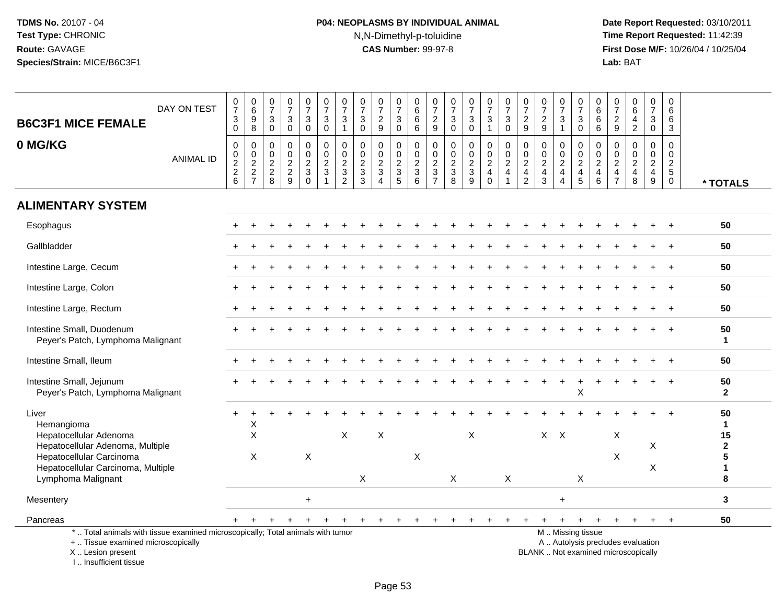# **P04: NEOPLASMS BY INDIVIDUAL ANIMAL**N,N-Dimethyl-p-toluidine

 **Date Report Requested:** 03/10/2011 **Time Report Requested:** 11:42:39 **First Dose M/F:** 10/26/04 / 10/25/04<br>Lab: BAT **Lab:** BAT

| <b>B6C3F1 MICE FEMALE</b>                                                                                                                  | DAY ON TEST      | $\frac{0}{7}$<br>$\mathsf 3$<br>$\mathbf 0$ | $\begin{array}{c} 0 \\ 6 \end{array}$<br>$\boldsymbol{9}$<br>8 | $\mathbf 0$<br>$\overline{7}$<br>$\mathbf{3}$<br>$\mathbf 0$             | 0<br>$\overline{7}$<br>3<br>$\mathbf 0$          | $\frac{0}{7}$<br>3<br>$\mathbf 0$                        | $\frac{0}{7}$<br>$\ensuremath{\mathsf{3}}$<br>$\mathsf 0$ | $\frac{0}{7}$<br>$\ensuremath{\mathsf{3}}$<br>$\mathbf{1}$ | $\frac{0}{7}$<br>$\boldsymbol{3}$<br>$\mathbf 0$              | $\frac{0}{7}$<br>$\sqrt{2}$<br>9                 | $\frac{0}{7}$<br>3<br>$\mathbf 0$                             | 0<br>$6\overline{6}$<br>6<br>6    | $\frac{0}{7}$<br>$\overline{\mathbf{c}}$<br>9       | 0<br>$\overline{7}$<br>$\mathbf{3}$<br>$\mathbf 0$  | $\frac{0}{7}$<br>$\sqrt{3}$<br>$\mathbf 0$                  | $\frac{0}{7}$<br>$\mathbf{3}$<br>$\mathbf{1}$     | $\begin{array}{c} 0 \\ 7 \end{array}$<br>$\ensuremath{\mathsf{3}}$<br>$\mathbf 0$ | 0<br>$\overline{7}$<br>$\overline{\mathbf{c}}$<br>9                              | 0<br>$\overline{7}$<br>$\sqrt{2}$<br>9                                     | $\frac{0}{7}$<br>$\sqrt{3}$                                                         | 0<br>$\overline{7}$<br>$\mathsf 3$<br>$\mathbf 0$                                             | 0<br>$\,6\,$<br>$\,6\,$<br>6                               | 0<br>$\overline{7}$<br>$\overline{c}$<br>9                                    | 0<br>$\,6\,$<br>$\overline{4}$<br>$\overline{2}$              | $\frac{0}{7}$<br>3<br>$\mathbf 0$                                | 0<br>6<br>6<br>$\mathbf{3}$                                   |                                      |
|--------------------------------------------------------------------------------------------------------------------------------------------|------------------|---------------------------------------------|----------------------------------------------------------------|--------------------------------------------------------------------------|--------------------------------------------------|----------------------------------------------------------|-----------------------------------------------------------|------------------------------------------------------------|---------------------------------------------------------------|--------------------------------------------------|---------------------------------------------------------------|-----------------------------------|-----------------------------------------------------|-----------------------------------------------------|-------------------------------------------------------------|---------------------------------------------------|-----------------------------------------------------------------------------------|----------------------------------------------------------------------------------|----------------------------------------------------------------------------|-------------------------------------------------------------------------------------|-----------------------------------------------------------------------------------------------|------------------------------------------------------------|-------------------------------------------------------------------------------|---------------------------------------------------------------|------------------------------------------------------------------|---------------------------------------------------------------|--------------------------------------|
| 0 MG/KG                                                                                                                                    | <b>ANIMAL ID</b> | $\mathbf 0$<br>0<br>$\frac{2}{2}$<br>6      | $\mathbf 0$<br>$\frac{0}{2}$<br>7                              | $\mathbf 0$<br>$\mathbf 0$<br>$\begin{array}{c} 2 \\ 2 \\ 8 \end{array}$ | $\mathbf 0$<br>$\mathbf 0$<br>$\frac{2}{2}$<br>9 | $\mathbf 0$<br>$\mathbf 0$<br>$\frac{2}{3}$<br>$\bar{0}$ | 0<br>$\mathsf 0$<br>$\frac{2}{3}$                         | $\mathbf 0$<br>$\pmb{0}$<br>$\frac{2}{3}$                  | $\mathbf 0$<br>$\mathbf 0$<br>$\frac{2}{3}$<br>$\overline{3}$ | $\mathbf 0$<br>$\mathbf 0$<br>$\frac{2}{3}$<br>4 | $\mathbf 0$<br>$\mathbf 0$<br>$\frac{2}{3}$<br>$\overline{5}$ | 0<br>$\mathsf 0$<br>$\frac{2}{3}$ | 0<br>$\mathbf 0$<br>$\frac{2}{3}$<br>$\overline{7}$ | $\mathbf 0$<br>0<br>$\frac{2}{3}$<br>$\overline{8}$ | $\mathbf 0$<br>$\pmb{0}$<br>$\frac{2}{3}$<br>$\overline{9}$ | 0<br>$\pmb{0}$<br>$\overline{c}$<br>4<br>$\Omega$ | $\mathbf 0$<br>$\mathbf 0$<br>$\overline{\mathbf{c}}$<br>$\overline{4}$           | $\mathbf 0$<br>$\mathbf 0$<br>$\overline{c}$<br>$\overline{4}$<br>$\overline{2}$ | $\Omega$<br>$\Omega$<br>$\overline{c}$<br>$\overline{4}$<br>$\overline{3}$ | $\mathbf 0$<br>$\mathbf 0$<br>$\overline{\mathbf{c}}$<br>$\overline{4}$<br>$\Delta$ | $\mathbf 0$<br>$\mathbf 0$<br>$\frac{2}{4}$<br>5                                              | $\mathbf 0$<br>$\Omega$<br>$\frac{2}{4}$<br>$6\phantom{1}$ | $\mathbf 0$<br>$\Omega$<br>$\overline{c}$<br>$\overline{4}$<br>$\overline{7}$ | $\Omega$<br>$\Omega$<br>$\overline{c}$<br>$\overline{4}$<br>8 | $\mathbf 0$<br>$\Omega$<br>$\overline{a}$<br>$\overline{4}$<br>9 | $\mathbf 0$<br>$\mathbf 0$<br>$\frac{2}{5}$<br>$\overline{0}$ | * TOTALS                             |
| <b>ALIMENTARY SYSTEM</b>                                                                                                                   |                  |                                             |                                                                |                                                                          |                                                  |                                                          |                                                           |                                                            |                                                               |                                                  |                                                               |                                   |                                                     |                                                     |                                                             |                                                   |                                                                                   |                                                                                  |                                                                            |                                                                                     |                                                                                               |                                                            |                                                                               |                                                               |                                                                  |                                                               |                                      |
| Esophagus                                                                                                                                  |                  |                                             |                                                                |                                                                          |                                                  |                                                          |                                                           |                                                            |                                                               |                                                  |                                                               |                                   |                                                     |                                                     |                                                             |                                                   |                                                                                   |                                                                                  |                                                                            |                                                                                     |                                                                                               |                                                            |                                                                               |                                                               |                                                                  |                                                               | 50                                   |
| Gallbladder                                                                                                                                |                  |                                             |                                                                |                                                                          |                                                  |                                                          |                                                           |                                                            |                                                               |                                                  |                                                               |                                   |                                                     |                                                     |                                                             |                                                   |                                                                                   |                                                                                  |                                                                            |                                                                                     |                                                                                               |                                                            |                                                                               |                                                               |                                                                  |                                                               | 50                                   |
| Intestine Large, Cecum                                                                                                                     |                  |                                             |                                                                |                                                                          |                                                  |                                                          |                                                           |                                                            |                                                               |                                                  |                                                               |                                   |                                                     |                                                     |                                                             |                                                   |                                                                                   |                                                                                  |                                                                            |                                                                                     |                                                                                               |                                                            |                                                                               |                                                               |                                                                  | $\ddot{+}$                                                    | 50                                   |
| Intestine Large, Colon                                                                                                                     |                  |                                             |                                                                |                                                                          |                                                  |                                                          |                                                           |                                                            |                                                               |                                                  |                                                               |                                   |                                                     |                                                     |                                                             |                                                   |                                                                                   |                                                                                  |                                                                            |                                                                                     |                                                                                               |                                                            |                                                                               |                                                               |                                                                  |                                                               | 50                                   |
| Intestine Large, Rectum                                                                                                                    |                  |                                             |                                                                |                                                                          |                                                  |                                                          |                                                           |                                                            |                                                               |                                                  |                                                               |                                   |                                                     |                                                     |                                                             |                                                   |                                                                                   |                                                                                  |                                                                            |                                                                                     |                                                                                               |                                                            |                                                                               |                                                               |                                                                  |                                                               | 50                                   |
| Intestine Small, Duodenum<br>Peyer's Patch, Lymphoma Malignant                                                                             |                  |                                             |                                                                |                                                                          |                                                  |                                                          |                                                           |                                                            |                                                               |                                                  |                                                               |                                   |                                                     |                                                     |                                                             |                                                   |                                                                                   |                                                                                  |                                                                            |                                                                                     |                                                                                               |                                                            |                                                                               |                                                               |                                                                  |                                                               | 50<br>$\mathbf{1}$                   |
| Intestine Small, Ileum                                                                                                                     |                  |                                             |                                                                |                                                                          |                                                  |                                                          |                                                           |                                                            |                                                               |                                                  |                                                               |                                   |                                                     |                                                     |                                                             |                                                   |                                                                                   |                                                                                  |                                                                            |                                                                                     |                                                                                               |                                                            |                                                                               |                                                               |                                                                  |                                                               | 50                                   |
| Intestine Small, Jejunum<br>Peyer's Patch, Lymphoma Malignant                                                                              |                  |                                             |                                                                |                                                                          |                                                  |                                                          |                                                           |                                                            |                                                               |                                                  |                                                               |                                   |                                                     |                                                     |                                                             |                                                   |                                                                                   |                                                                                  |                                                                            |                                                                                     | X                                                                                             |                                                            |                                                                               |                                                               |                                                                  |                                                               | 50<br>$\overline{2}$                 |
| Liver<br>Hemangioma<br>Hepatocellular Adenoma                                                                                              |                  |                                             | X<br>X                                                         |                                                                          |                                                  |                                                          |                                                           | X                                                          |                                                               | $\pmb{\times}$                                   |                                                               |                                   |                                                     |                                                     | X                                                           |                                                   |                                                                                   |                                                                                  |                                                                            | $X \times$                                                                          |                                                                                               |                                                            | $\boldsymbol{\mathsf{X}}$                                                     |                                                               |                                                                  |                                                               | 50<br>$\mathbf{1}$<br>15             |
| Hepatocellular Adenoma, Multiple<br>Hepatocellular Carcinoma<br>Hepatocellular Carcinoma, Multiple                                         |                  |                                             | X                                                              |                                                                          |                                                  | $\pmb{\times}$                                           |                                                           |                                                            |                                                               |                                                  |                                                               | X                                 |                                                     |                                                     |                                                             |                                                   |                                                                                   |                                                                                  |                                                                            |                                                                                     |                                                                                               |                                                            | X                                                                             |                                                               | X<br>X                                                           |                                                               | $\boldsymbol{2}$<br>5<br>$\mathbf 1$ |
| Lymphoma Malignant                                                                                                                         |                  |                                             |                                                                |                                                                          |                                                  |                                                          |                                                           |                                                            | X                                                             |                                                  |                                                               |                                   |                                                     | X                                                   |                                                             |                                                   | $\boldsymbol{\mathsf{X}}$                                                         |                                                                                  |                                                                            |                                                                                     | X                                                                                             |                                                            |                                                                               |                                                               |                                                                  |                                                               | 8                                    |
| Mesentery<br>Pancreas                                                                                                                      |                  |                                             |                                                                |                                                                          |                                                  | $\ddot{}$                                                |                                                           |                                                            |                                                               |                                                  |                                                               |                                   |                                                     |                                                     |                                                             |                                                   |                                                                                   |                                                                                  |                                                                            | $\ddot{}$<br>$+$                                                                    |                                                                                               |                                                            |                                                                               |                                                               | $\ddot{}$                                                        | $+$                                                           | 3<br>50                              |
| *  Total animals with tissue examined microscopically; Total animals with tumor<br>+  Tissue examined microscopically<br>X  Lesion present |                  |                                             |                                                                |                                                                          |                                                  |                                                          |                                                           |                                                            |                                                               |                                                  |                                                               |                                   |                                                     |                                                     |                                                             |                                                   |                                                                                   |                                                                                  |                                                                            |                                                                                     | M  Missing tissue<br>A  Autolysis precludes evaluation<br>BLANK  Not examined microscopically |                                                            |                                                                               |                                                               |                                                                  |                                                               |                                      |

I .. Insufficient tissue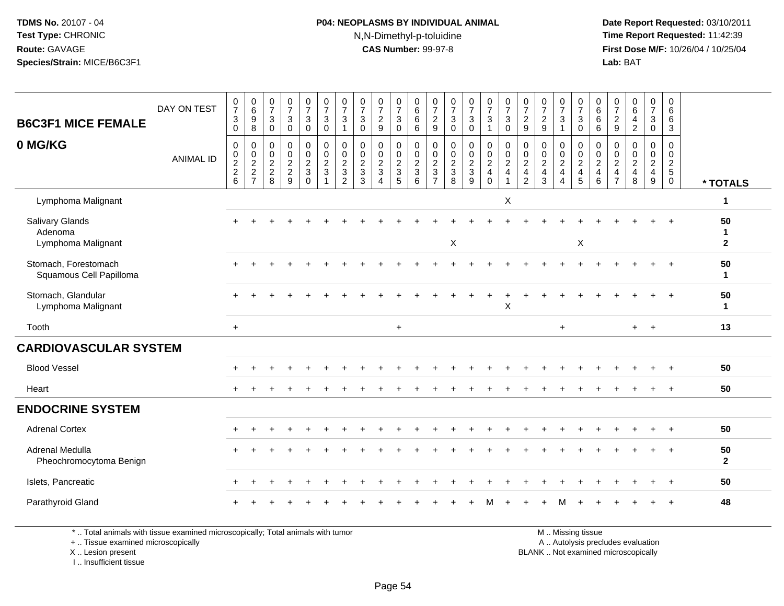## **P04: NEOPLASMS BY INDIVIDUAL ANIMAL**N,N-Dimethyl-p-toluidine

 **Date Report Requested:** 03/10/2011 **Time Report Requested:** 11:42:39 **First Dose M/F:** 10/26/04 / 10/25/04 Lab: BAT **Lab:** BAT

| <b>B6C3F1 MICE FEMALE</b>                               | DAY ON TEST      | $\frac{0}{7}$<br>3<br>0                                                | 0<br>0<br>0<br>0<br>0                       | $\begin{smallmatrix}0\\7\end{smallmatrix}$<br>$\sqrt{3}$<br>$\mathbf 0$ | $\frac{0}{7}$<br>$\mathsf 3$<br>$\mathbf 0$  | $\begin{array}{c} 0 \\ 7 \end{array}$<br>$\ensuremath{\mathsf{3}}$<br>$\overline{0}$ | $\begin{array}{c} 0 \\ 7 \end{array}$<br>$\mathbf 3$<br>$\overline{0}$ | $\frac{0}{7}$<br>3<br>1                                            | $\frac{0}{7}$<br>$\sqrt{3}$<br>$\mathbf 0$ | $\frac{0}{7}$<br>$\overline{c}$<br>$\mathsf g$                                        | $\frac{0}{7}$<br>$\mathbf{3}$<br>$\mathbf 0$       | $\begin{array}{c} 0 \\ 6 \end{array}$<br>$6\phantom{1}6$<br>$6\phantom{1}6$ | $\frac{0}{7}$<br>$\overline{c}$<br>$\mathsf g$      | $\frac{0}{7}$<br>$\sqrt{3}$<br>$\mathbf 0$     | $\frac{0}{7}$<br>$\mathbf{3}$<br>0                       | $\frac{0}{7}$<br>$\mathsf 3$<br>$\overline{1}$                                       | $\frac{0}{7}$<br>$\mathsf 3$<br>$\mathbf 0$                     | $\frac{0}{7}$<br>$\sqrt{2}$<br>9                                             | $\frac{0}{7}$<br>$\frac{2}{9}$                                              | $\begin{array}{c} 0 \\ 7 \end{array}$<br>$\sqrt{3}$<br>$\mathbf{1}$          | $\frac{0}{7}$<br>$\mathbf{3}$<br>$\mathbf 0$   | 0<br>$6\overline{6}$<br>$\overline{6}$<br>6          | $\frac{0}{7}$<br>$\boldsymbol{2}$<br>$\boldsymbol{9}$ | $\begin{array}{c} 0 \\ 6 \end{array}$<br>$\overline{4}$<br>$\overline{c}$          | $\begin{array}{c} 0 \\ 7 \end{array}$<br>$\mathbf{3}$<br>$\ddot{\mathbf{0}}$ | 0<br>$6\phantom{1}6$<br>$\,6\,$<br>3             |                           |
|---------------------------------------------------------|------------------|------------------------------------------------------------------------|---------------------------------------------|-------------------------------------------------------------------------|----------------------------------------------|--------------------------------------------------------------------------------------|------------------------------------------------------------------------|--------------------------------------------------------------------|--------------------------------------------|---------------------------------------------------------------------------------------|----------------------------------------------------|-----------------------------------------------------------------------------|-----------------------------------------------------|------------------------------------------------|----------------------------------------------------------|--------------------------------------------------------------------------------------|-----------------------------------------------------------------|------------------------------------------------------------------------------|-----------------------------------------------------------------------------|------------------------------------------------------------------------------|------------------------------------------------|------------------------------------------------------|-------------------------------------------------------|------------------------------------------------------------------------------------|------------------------------------------------------------------------------|--------------------------------------------------|---------------------------|
| 0 MG/KG                                                 | <b>ANIMAL ID</b> | $\pmb{0}$<br>$\mathbf 0$<br>$\begin{array}{c} 2 \\ 2 \\ 6 \end{array}$ | $\mathbf 0$<br>$\mathbf 0$<br>$\frac{2}{7}$ | $\pmb{0}$<br>$\mathbf 0$<br>$\frac{2}{8}$                               | $\pmb{0}$<br>$\frac{0}{2}$<br>$\overline{9}$ | $_{\rm 0}^{\rm 0}$<br>$\frac{2}{3}$<br>$\mathbf 0$                                   | $\pmb{0}$<br>$\ddot{\mathbf{0}}$<br>$\frac{2}{3}$<br>$\mathbf{1}$      | 0<br>$\mathbf 0$<br>$\overline{\mathbf{c}}$<br>3<br>$\overline{c}$ | $\pmb{0}$<br>$\frac{0}{2}$<br>3            | $\mathsf{O}\xspace$<br>$\mathsf{O}\xspace$<br>$\frac{2}{3}$<br>$\boldsymbol{\Lambda}$ | 0<br>$\pmb{0}$<br>$\frac{2}{3}$<br>$5\phantom{.0}$ | $\pmb{0}$<br>$\mathsf{O}\xspace$<br>$\frac{2}{3}$<br>$\,6\,$                | 0<br>$\mathbf 0$<br>$\frac{2}{3}$<br>$\overline{7}$ | $\pmb{0}$<br>$\mathbf 0$<br>$\frac{2}{3}$<br>8 | $\mathbf 0$<br>$\mathsf{O}\xspace$<br>$\frac{2}{3}$<br>9 | $\begin{smallmatrix}0\0\0\end{smallmatrix}$<br>$\overline{2}$<br>$\overline{4}$<br>0 | $\pmb{0}$<br>$\pmb{0}$<br>$\overline{2}$<br>$\overline{4}$<br>1 | $\mathbf 0$<br>$\mathbf 0$<br>$\sqrt{2}$<br>$\overline{4}$<br>$\overline{2}$ | $\mathbf 0$<br>$\mathsf{O}\xspace$<br>$\overline{2}$<br>$\overline{4}$<br>3 | $\pmb{0}$<br>$\pmb{0}$<br>$\overline{2}$<br>$\overline{4}$<br>$\overline{4}$ | $\pmb{0}$<br>$\mathbf 0$<br>$\frac{2}{4}$<br>5 | 0<br>$\mathsf{O}\xspace$<br>$\overline{c}$<br>4<br>6 | 0<br>$\mathbf 0$<br>$\frac{2}{4}$<br>$\overline{7}$   | $\pmb{0}$<br>$\mathsf{O}\xspace$<br>$\overline{2}$<br>$\overline{\mathbf{4}}$<br>8 | $\mathbf 0$<br>$\mathbf 0$<br>$\frac{2}{4}$<br>9                             | 0<br>$\mathbf 0$<br>$\frac{2}{5}$<br>$\mathbf 0$ | * TOTALS                  |
| Lymphoma Malignant                                      |                  |                                                                        |                                             |                                                                         |                                              |                                                                                      |                                                                        |                                                                    |                                            |                                                                                       |                                                    |                                                                             |                                                     |                                                |                                                          |                                                                                      | X                                                               |                                                                              |                                                                             |                                                                              |                                                |                                                      |                                                       |                                                                                    |                                                                              |                                                  | 1                         |
| <b>Salivary Glands</b><br>Adenoma<br>Lymphoma Malignant |                  |                                                                        |                                             |                                                                         |                                              |                                                                                      |                                                                        |                                                                    |                                            |                                                                                       |                                                    |                                                                             |                                                     | X                                              |                                                          |                                                                                      |                                                                 |                                                                              |                                                                             |                                                                              | X                                              |                                                      |                                                       |                                                                                    |                                                                              | $\overline{+}$                                   | 50<br>1<br>$\overline{2}$ |
| Stomach, Forestomach<br>Squamous Cell Papilloma         |                  |                                                                        |                                             |                                                                         |                                              |                                                                                      |                                                                        |                                                                    |                                            |                                                                                       |                                                    |                                                                             |                                                     |                                                |                                                          |                                                                                      |                                                                 |                                                                              |                                                                             |                                                                              |                                                |                                                      |                                                       |                                                                                    |                                                                              | $\ddot{}$                                        | 50<br>$\mathbf 1$         |
| Stomach, Glandular<br>Lymphoma Malignant                |                  |                                                                        |                                             |                                                                         |                                              |                                                                                      |                                                                        |                                                                    |                                            |                                                                                       |                                                    |                                                                             |                                                     |                                                |                                                          | $\ddot{}$                                                                            | $\ddot{}$<br>$\sf X$                                            |                                                                              |                                                                             |                                                                              |                                                |                                                      |                                                       |                                                                                    |                                                                              | $^{+}$                                           | 50<br>$\mathbf 1$         |
| Tooth                                                   |                  | $+$                                                                    |                                             |                                                                         |                                              |                                                                                      |                                                                        |                                                                    |                                            |                                                                                       | $+$                                                |                                                                             |                                                     |                                                |                                                          |                                                                                      |                                                                 |                                                                              |                                                                             | $\ddot{}$                                                                    |                                                |                                                      |                                                       | $+$                                                                                | $+$                                                                          |                                                  | 13                        |
| <b>CARDIOVASCULAR SYSTEM</b>                            |                  |                                                                        |                                             |                                                                         |                                              |                                                                                      |                                                                        |                                                                    |                                            |                                                                                       |                                                    |                                                                             |                                                     |                                                |                                                          |                                                                                      |                                                                 |                                                                              |                                                                             |                                                                              |                                                |                                                      |                                                       |                                                                                    |                                                                              |                                                  |                           |
| <b>Blood Vessel</b>                                     |                  |                                                                        |                                             |                                                                         |                                              |                                                                                      |                                                                        |                                                                    |                                            |                                                                                       |                                                    |                                                                             |                                                     |                                                |                                                          |                                                                                      |                                                                 |                                                                              |                                                                             |                                                                              |                                                |                                                      |                                                       |                                                                                    | $\ddot{}$                                                                    | $^{+}$                                           | 50                        |
| Heart                                                   |                  |                                                                        |                                             |                                                                         |                                              |                                                                                      |                                                                        |                                                                    |                                            |                                                                                       |                                                    |                                                                             |                                                     |                                                |                                                          |                                                                                      |                                                                 |                                                                              |                                                                             |                                                                              |                                                |                                                      |                                                       |                                                                                    |                                                                              | $+$                                              | 50                        |
| <b>ENDOCRINE SYSTEM</b>                                 |                  |                                                                        |                                             |                                                                         |                                              |                                                                                      |                                                                        |                                                                    |                                            |                                                                                       |                                                    |                                                                             |                                                     |                                                |                                                          |                                                                                      |                                                                 |                                                                              |                                                                             |                                                                              |                                                |                                                      |                                                       |                                                                                    |                                                                              |                                                  |                           |
| <b>Adrenal Cortex</b>                                   |                  |                                                                        |                                             |                                                                         |                                              |                                                                                      |                                                                        |                                                                    |                                            |                                                                                       |                                                    |                                                                             |                                                     |                                                |                                                          |                                                                                      |                                                                 |                                                                              |                                                                             |                                                                              |                                                |                                                      |                                                       |                                                                                    |                                                                              | $\ddot{}$                                        | 50                        |
| Adrenal Medulla<br>Pheochromocytoma Benign              |                  |                                                                        |                                             |                                                                         |                                              |                                                                                      |                                                                        |                                                                    |                                            |                                                                                       |                                                    |                                                                             |                                                     |                                                |                                                          |                                                                                      |                                                                 |                                                                              |                                                                             |                                                                              |                                                |                                                      |                                                       |                                                                                    |                                                                              | $\ddot{}$                                        | 50<br>$\mathbf{2}$        |
| Islets, Pancreatic                                      |                  |                                                                        |                                             |                                                                         |                                              |                                                                                      |                                                                        |                                                                    |                                            |                                                                                       |                                                    |                                                                             |                                                     |                                                |                                                          |                                                                                      |                                                                 |                                                                              |                                                                             |                                                                              |                                                |                                                      |                                                       |                                                                                    |                                                                              | $^{+}$                                           | 50                        |
| Parathyroid Gland                                       |                  |                                                                        |                                             |                                                                         |                                              |                                                                                      |                                                                        |                                                                    |                                            |                                                                                       |                                                    |                                                                             |                                                     |                                                |                                                          |                                                                                      |                                                                 |                                                                              |                                                                             |                                                                              |                                                |                                                      |                                                       |                                                                                    |                                                                              |                                                  | 48                        |

\* .. Total animals with tissue examined microscopically; Total animals with tumor

+ .. Tissue examined microscopically

X .. Lesion present

I .. Insufficient tissue

M .. Missing tissue

y the contract of the contract of the contract of the contract of the contract of the contract of the contract of  $A$ . Autolysis precludes evaluation

Lesion present BLANK .. Not examined microscopically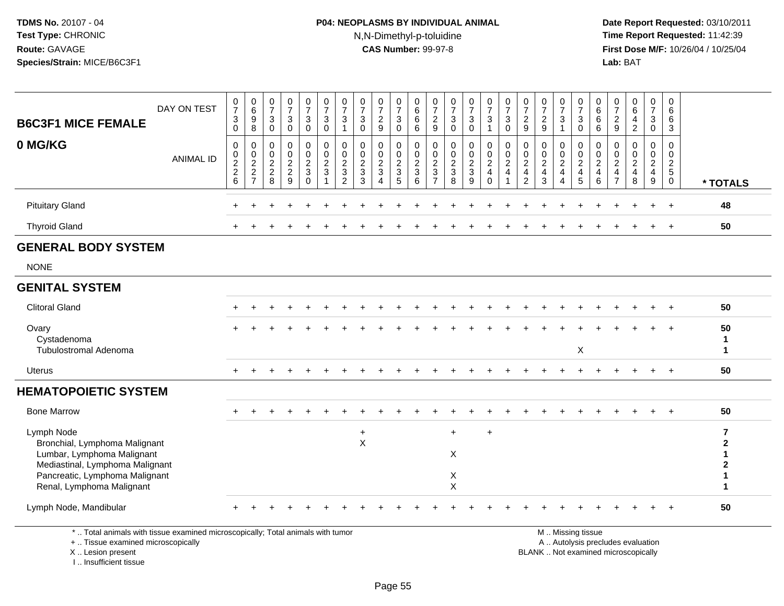# **P04: NEOPLASMS BY INDIVIDUAL ANIMAL**N,N-Dimethyl-p-toluidine

 **Date Report Requested:** 03/10/2011 **Time Report Requested:** 11:42:39 **First Dose M/F:** 10/26/04 / 10/25/04<br>Lab: BAT **Lab:** BAT

| <b>B6C3F1 MICE FEMALE</b>                                                                                                                  | DAY ON TEST      | $\frac{0}{7}$<br>$\mathbf{3}$<br>$\mathbf 0$                      | $\begin{array}{c} 0 \\ 6 \end{array}$<br>9<br>8     | 0<br>$\overline{7}$<br>3<br>$\mathbf{0}$                        | $\frac{0}{7}$<br>$\mathbf{3}$<br>$\mathbf 0$                    | $\frac{0}{7}$<br>$\mathbf{3}$<br>$\Omega$              | $\frac{0}{7}$<br>$\mathbf{3}$<br>$\Omega$                                      | 0<br>$\overline{7}$<br>3<br>$\mathbf{1}$                             | $\frac{0}{7}$<br>3<br>$\Omega$                                   | $\frac{0}{7}$<br>$\overline{c}$<br>9                                           | 0<br>$\overline{7}$<br>$\mathsf 3$<br>$\Omega$     | 0<br>$\,6\,$<br>6<br>6                                            | 0<br>$\overline{7}$<br>$\overline{c}$<br>9             | $\frac{0}{7}$<br>$\mathbf{3}$<br>$\Omega$                        | $\frac{0}{7}$<br>3<br>$\Omega$     | $\frac{0}{7}$<br>$\mathbf{3}$<br>$\overline{1}$                     | $\frac{0}{7}$<br>$\mathbf{3}$<br>$\mathbf 0$          | 0<br>$\overline{7}$<br>$\overline{2}$<br>9                             | 0<br>$\overline{7}$<br>$\frac{2}{9}$                                | 0<br>$\overline{7}$<br>3                                  | 0<br>$\overline{7}$<br>$\mathbf{3}$<br>$\mathbf{0}$       | 0<br>$\,6$<br>6<br>6                                         | 0<br>$\overline{7}$<br>$\overline{c}$<br>9                              | $\mathbf 0$<br>$6\overline{6}$<br>$\overline{4}$<br>$\overline{2}$       | 0<br>$\overline{7}$<br>$\mathbf{3}$<br>$\Omega$                     | 0<br>6<br>6<br>3                                  |                                                |
|--------------------------------------------------------------------------------------------------------------------------------------------|------------------|-------------------------------------------------------------------|-----------------------------------------------------|-----------------------------------------------------------------|-----------------------------------------------------------------|--------------------------------------------------------|--------------------------------------------------------------------------------|----------------------------------------------------------------------|------------------------------------------------------------------|--------------------------------------------------------------------------------|----------------------------------------------------|-------------------------------------------------------------------|--------------------------------------------------------|------------------------------------------------------------------|------------------------------------|---------------------------------------------------------------------|-------------------------------------------------------|------------------------------------------------------------------------|---------------------------------------------------------------------|-----------------------------------------------------------|-----------------------------------------------------------|--------------------------------------------------------------|-------------------------------------------------------------------------|--------------------------------------------------------------------------|---------------------------------------------------------------------|---------------------------------------------------|------------------------------------------------|
| 0 MG/KG                                                                                                                                    | <b>ANIMAL ID</b> | 0<br>$\begin{array}{c} 0 \\ 2 \\ 2 \end{array}$<br>$6\phantom{a}$ | 0<br>$\mathbf 0$<br>$\frac{2}{2}$<br>$\overline{7}$ | $\mathbf 0$<br>$\mathbf 0$<br>$\overline{2}$<br>$\sqrt{2}$<br>8 | $\mathbf 0$<br>$\mathbf 0$<br>$\overline{2}$<br>$\sqrt{2}$<br>9 | 0<br>0<br>$\overline{2}$<br>$\mathfrak{S}$<br>$\Omega$ | $\mathbf 0$<br>$\mathbf 0$<br>$\overline{2}$<br>$\mathbf{3}$<br>$\overline{ }$ | 0<br>$\mathbf 0$<br>$\overline{2}$<br>$\mathbf{3}$<br>$\overline{2}$ | $\Omega$<br>$\mathbf 0$<br>$\overline{c}$<br>$\mathfrak{Z}$<br>3 | $\mathbf 0$<br>0<br>$\boldsymbol{2}$<br>$\mathbf{3}$<br>$\boldsymbol{\Lambda}$ | 0<br>$\mathbf 0$<br>$\sqrt{2}$<br>$\mathsf 3$<br>5 | $\mathbf 0$<br>$\mathbf 0$<br>$\overline{2}$<br>$\mathbf{3}$<br>6 | $\mathbf 0$<br>$\mathbf 0$<br>2<br>3<br>$\overline{7}$ | $\mathbf 0$<br>$\mathbf 0$<br>$\overline{2}$<br>$\mathbf 3$<br>8 | 0<br>0<br>$\overline{c}$<br>3<br>9 | 0<br>$\mathbf 0$<br>$\overline{2}$<br>$\overline{4}$<br>$\mathbf 0$ | 0<br>$\mathbf 0$<br>$\sqrt{2}$<br>$\overline{4}$<br>1 | 0<br>$\mathbf 0$<br>$\overline{2}$<br>$\overline{4}$<br>$\overline{2}$ | $\mathbf 0$<br>$\mathbf 0$<br>$\overline{2}$<br>$\overline{4}$<br>3 | 0<br>$\mathbf 0$<br>$\overline{c}$<br>$\overline{4}$<br>4 | 0<br>$\mathsf 0$<br>$\overline{2}$<br>$\overline{4}$<br>5 | 0<br>0<br>$\overline{c}$<br>$\overline{\mathbf{4}}$<br>$\,6$ | 0<br>$\mathbf{0}$<br>$\overline{2}$<br>$\overline{4}$<br>$\overline{7}$ | $\mathbf 0$<br>$\mathbf 0$<br>$\overline{2}$<br>$\overline{4}$<br>8      | 0<br>$\mathbf 0$<br>$\overline{2}$<br>$\overline{4}$<br>$\mathsf g$ | 0<br>$\mathbf 0$<br>$rac{2}{5}$<br>$\overline{0}$ | * TOTALS                                       |
| <b>Pituitary Gland</b>                                                                                                                     |                  |                                                                   |                                                     |                                                                 |                                                                 | $\div$                                                 |                                                                                |                                                                      |                                                                  |                                                                                |                                                    |                                                                   |                                                        |                                                                  |                                    |                                                                     |                                                       |                                                                        |                                                                     |                                                           |                                                           |                                                              |                                                                         |                                                                          | $+$                                                                 | $\overline{+}$                                    | 48                                             |
| <b>Thyroid Gland</b>                                                                                                                       |                  |                                                                   |                                                     |                                                                 |                                                                 |                                                        |                                                                                |                                                                      |                                                                  |                                                                                |                                                    |                                                                   |                                                        |                                                                  |                                    |                                                                     |                                                       |                                                                        |                                                                     |                                                           |                                                           |                                                              |                                                                         |                                                                          |                                                                     |                                                   | 50                                             |
| <b>GENERAL BODY SYSTEM</b>                                                                                                                 |                  |                                                                   |                                                     |                                                                 |                                                                 |                                                        |                                                                                |                                                                      |                                                                  |                                                                                |                                                    |                                                                   |                                                        |                                                                  |                                    |                                                                     |                                                       |                                                                        |                                                                     |                                                           |                                                           |                                                              |                                                                         |                                                                          |                                                                     |                                                   |                                                |
| <b>NONE</b>                                                                                                                                |                  |                                                                   |                                                     |                                                                 |                                                                 |                                                        |                                                                                |                                                                      |                                                                  |                                                                                |                                                    |                                                                   |                                                        |                                                                  |                                    |                                                                     |                                                       |                                                                        |                                                                     |                                                           |                                                           |                                                              |                                                                         |                                                                          |                                                                     |                                                   |                                                |
| <b>GENITAL SYSTEM</b>                                                                                                                      |                  |                                                                   |                                                     |                                                                 |                                                                 |                                                        |                                                                                |                                                                      |                                                                  |                                                                                |                                                    |                                                                   |                                                        |                                                                  |                                    |                                                                     |                                                       |                                                                        |                                                                     |                                                           |                                                           |                                                              |                                                                         |                                                                          |                                                                     |                                                   |                                                |
| <b>Clitoral Gland</b>                                                                                                                      |                  |                                                                   |                                                     |                                                                 |                                                                 |                                                        |                                                                                |                                                                      |                                                                  |                                                                                |                                                    |                                                                   |                                                        |                                                                  |                                    |                                                                     |                                                       |                                                                        |                                                                     |                                                           |                                                           |                                                              |                                                                         |                                                                          |                                                                     |                                                   | 50                                             |
| Ovary<br>Cystadenoma<br><b>Tubulostromal Adenoma</b>                                                                                       |                  |                                                                   |                                                     |                                                                 |                                                                 |                                                        |                                                                                |                                                                      |                                                                  |                                                                                |                                                    |                                                                   |                                                        |                                                                  |                                    |                                                                     |                                                       |                                                                        |                                                                     |                                                           | X                                                         |                                                              |                                                                         |                                                                          |                                                                     |                                                   | 50<br>$\mathbf{1}$<br>$\mathbf{1}$             |
| Uterus                                                                                                                                     |                  |                                                                   |                                                     |                                                                 |                                                                 |                                                        |                                                                                |                                                                      |                                                                  |                                                                                |                                                    |                                                                   |                                                        |                                                                  |                                    |                                                                     |                                                       |                                                                        |                                                                     |                                                           |                                                           |                                                              |                                                                         |                                                                          |                                                                     |                                                   | 50                                             |
| <b>HEMATOPOIETIC SYSTEM</b>                                                                                                                |                  |                                                                   |                                                     |                                                                 |                                                                 |                                                        |                                                                                |                                                                      |                                                                  |                                                                                |                                                    |                                                                   |                                                        |                                                                  |                                    |                                                                     |                                                       |                                                                        |                                                                     |                                                           |                                                           |                                                              |                                                                         |                                                                          |                                                                     |                                                   |                                                |
| <b>Bone Marrow</b>                                                                                                                         |                  |                                                                   |                                                     |                                                                 |                                                                 |                                                        |                                                                                |                                                                      |                                                                  |                                                                                |                                                    |                                                                   |                                                        |                                                                  |                                    |                                                                     |                                                       |                                                                        |                                                                     |                                                           |                                                           |                                                              |                                                                         |                                                                          |                                                                     |                                                   | 50                                             |
| Lymph Node<br>Bronchial, Lymphoma Malignant<br>Lumbar, Lymphoma Malignant<br>Mediastinal, Lymphoma Malignant                               |                  |                                                                   |                                                     |                                                                 |                                                                 |                                                        |                                                                                |                                                                      | $\ddot{}$<br>$\mathsf X$                                         |                                                                                |                                                    |                                                                   |                                                        | $+$<br>X                                                         |                                    | $+$                                                                 |                                                       |                                                                        |                                                                     |                                                           |                                                           |                                                              |                                                                         |                                                                          |                                                                     |                                                   | $\overline{7}$<br>$\mathbf{2}$<br>$\mathbf{2}$ |
| Pancreatic, Lymphoma Malignant<br>Renal, Lymphoma Malignant                                                                                |                  |                                                                   |                                                     |                                                                 |                                                                 |                                                        |                                                                                |                                                                      |                                                                  |                                                                                |                                                    |                                                                   |                                                        | X<br>$\pmb{\times}$                                              |                                    |                                                                     |                                                       |                                                                        |                                                                     |                                                           |                                                           |                                                              |                                                                         |                                                                          |                                                                     |                                                   |                                                |
| Lymph Node, Mandibular                                                                                                                     |                  |                                                                   |                                                     |                                                                 |                                                                 |                                                        |                                                                                |                                                                      |                                                                  |                                                                                |                                                    |                                                                   |                                                        |                                                                  |                                    |                                                                     |                                                       |                                                                        |                                                                     |                                                           |                                                           |                                                              |                                                                         |                                                                          |                                                                     |                                                   | 50                                             |
| *  Total animals with tissue examined microscopically; Total animals with tumor<br>+  Tissue examined microscopically<br>X  Lesion present |                  |                                                                   |                                                     |                                                                 |                                                                 |                                                        |                                                                                |                                                                      |                                                                  |                                                                                |                                                    |                                                                   |                                                        |                                                                  |                                    |                                                                     |                                                       |                                                                        |                                                                     |                                                           | M  Missing tissue                                         |                                                              |                                                                         | A  Autolysis precludes evaluation<br>BLANK  Not examined microscopically |                                                                     |                                                   |                                                |

I .. Insufficient tissue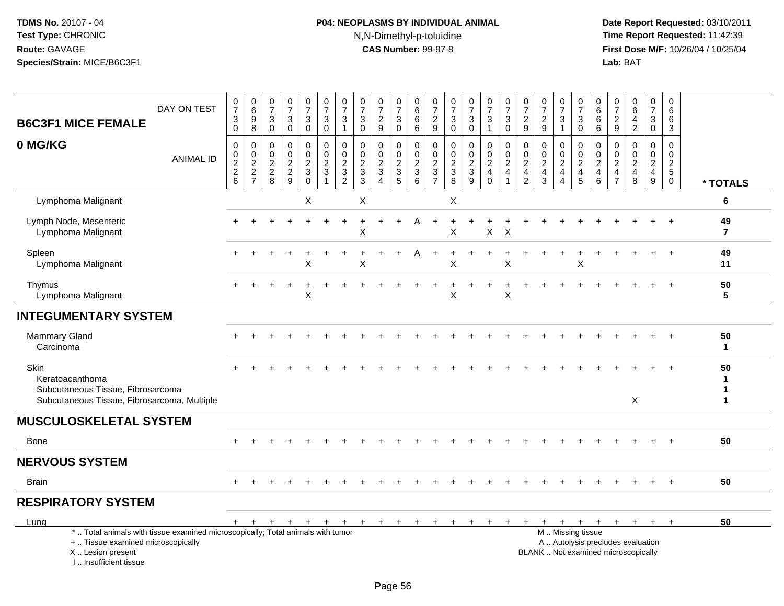# **P04: NEOPLASMS BY INDIVIDUAL ANIMAL**N,N-Dimethyl-p-toluidine

|                                                                                                                                                                     | DAY ON TEST      | $\frac{0}{7}$                            | $\begin{array}{c} 0 \\ 6 \end{array}$                 | $\begin{smallmatrix}0\\7\end{smallmatrix}$ | $\begin{array}{c} 0 \\ 7 \end{array}$       | $\begin{array}{c} 0 \\ 7 \end{array}$                    | $\begin{array}{c} 0 \\ 7 \end{array}$                               | $\frac{0}{7}$                                                               | $\frac{0}{7}$                                                   | $\frac{0}{7}$                                             | $\frac{0}{7}$                             | 0<br>$\,6$                                                                    | 0<br>$\overline{7}$                                                              | $\frac{0}{7}$                                                         | $\frac{0}{7}$                                                   | $\frac{0}{7}$                                                      | $\frac{0}{7}$                                           | $\frac{0}{7}$                                                       | $\frac{0}{7}$                                 | $\begin{array}{c} 0 \\ 7 \end{array}$                                   | $\frac{0}{7}$                                                                    | 0<br>6                                    | 0<br>$\boldsymbol{7}$                                                     | 0<br>$\overline{6}$                       | $\mathbf 0$<br>$\overline{7}$                                  | $\mathbf 0$<br>6                                                               |                       |
|---------------------------------------------------------------------------------------------------------------------------------------------------------------------|------------------|------------------------------------------|-------------------------------------------------------|--------------------------------------------|---------------------------------------------|----------------------------------------------------------|---------------------------------------------------------------------|-----------------------------------------------------------------------------|-----------------------------------------------------------------|-----------------------------------------------------------|-------------------------------------------|-------------------------------------------------------------------------------|----------------------------------------------------------------------------------|-----------------------------------------------------------------------|-----------------------------------------------------------------|--------------------------------------------------------------------|---------------------------------------------------------|---------------------------------------------------------------------|-----------------------------------------------|-------------------------------------------------------------------------|----------------------------------------------------------------------------------|-------------------------------------------|---------------------------------------------------------------------------|-------------------------------------------|----------------------------------------------------------------|--------------------------------------------------------------------------------|-----------------------|
| <b>B6C3F1 MICE FEMALE</b>                                                                                                                                           |                  | $\ensuremath{\mathsf{3}}$<br>$\mathbf 0$ | 9<br>8                                                | $\mathsf 3$<br>$\mathbf 0$                 | $\ensuremath{\mathsf{3}}$<br>$\mathbf 0$    | $\ensuremath{\mathsf{3}}$<br>$\mathbf 0$                 | $\ensuremath{\mathsf{3}}$<br>$\mathbf 0$                            | $\mathbf{3}$<br>$\mathbf{1}$                                                | $\ensuremath{\mathsf{3}}$<br>$\mathbf 0$                        | $\overline{\mathbf{c}}$<br>9                              | 3<br>$\mathbf 0$                          | $\,6$<br>6                                                                    | $\frac{2}{9}$                                                                    | $\sqrt{3}$<br>$\mathbf 0$                                             | $\ensuremath{\mathsf{3}}$<br>$\mathbf 0$                        | 3<br>$\mathbf{1}$                                                  | $\ensuremath{\mathsf{3}}$<br>$\mathbf 0$                | $\sqrt{2}$<br>9                                                     | $\boldsymbol{2}$<br>9                         | $\mathbf{3}$<br>$\mathbf{1}$                                            | $\sqrt{3}$<br>$\mathbf 0$                                                        | $\,6\,$<br>6                              | $\sqrt{2}$<br>9                                                           | 4<br>$\overline{2}$                       | 3<br>$\mathbf 0$                                               | 6<br>3                                                                         |                       |
| 0 MG/KG                                                                                                                                                             | <b>ANIMAL ID</b> | $\pmb{0}$<br>$0$<br>$2$<br>$6$           | 0<br>$\mathbf 0$<br>$\boldsymbol{2}$<br>$\frac{2}{7}$ | 0<br>0<br>$\boldsymbol{2}$<br>$_{8}^2$     | $\mathbf 0$<br>$\mathbf 0$<br>$\frac{2}{9}$ | $\mathbf 0$<br>$\mathbf 0$<br>$\sqrt{2}$<br>$_{\rm 0}^3$ | 0<br>$\Omega$<br>$\boldsymbol{2}$<br>$\mathbf{3}$<br>$\overline{1}$ | $\mathbf 0$<br>$\Omega$<br>$\overline{2}$<br>$\mathbf{3}$<br>$\overline{2}$ | $\mathbf 0$<br>$\mathbf 0$<br>$\boldsymbol{2}$<br>$\frac{3}{3}$ | 0<br>$\mathbf 0$<br>$\overline{c}$<br>3<br>$\overline{4}$ | 0<br>0<br>$\sqrt{2}$<br>$\mathbf{3}$<br>5 | 0<br>$\mathsf{O}\xspace$<br>$\overline{c}$<br>$\mathbf{3}$<br>$6\overline{6}$ | $\mathbf 0$<br>$\mathbf 0$<br>$\boldsymbol{2}$<br>$\mathbf{3}$<br>$\overline{7}$ | $\mathbf 0$<br>$\mathbf 0$<br>$\boldsymbol{2}$<br>3<br>$\overline{8}$ | 0<br>$\mathbf 0$<br>$\sqrt{2}$<br>$\mathsf 3$<br>$\overline{9}$ | $\mathbf 0$<br>$\mathbf 0$<br>$\boldsymbol{2}$<br>4<br>$\mathbf 0$ | 0<br>$\mathbf 0$<br>$\overline{c}$<br>4<br>$\mathbf{1}$ | $\mathbf 0$<br>$\mathbf 0$<br>$\overline{c}$<br>4<br>$\overline{2}$ | 0<br>0<br>$\overline{c}$<br>4<br>$\mathbf{3}$ | 0<br>$\mathbf{0}$<br>$\overline{2}$<br>$\overline{4}$<br>$\overline{4}$ | $\mathbf 0$<br>$\mathbf 0$<br>$\overline{2}$<br>$\overline{a}$<br>$\overline{5}$ | 0<br>$\Omega$<br>$\overline{2}$<br>4<br>6 | $\mathbf 0$<br>$\Omega$<br>$\sqrt{2}$<br>$\overline{4}$<br>$\overline{7}$ | 0<br>$\Omega$<br>$\overline{c}$<br>4<br>8 | 0<br>0<br>$\overline{a}$<br>$\overline{4}$<br>$\boldsymbol{9}$ | $\mathbf 0$<br>$\mathbf 0$<br>$\overline{c}$<br>$5\phantom{.0}$<br>$\mathsf 0$ | * TOTALS              |
| Lymphoma Malignant                                                                                                                                                  |                  |                                          |                                                       |                                            |                                             | X                                                        |                                                                     |                                                                             | X                                                               |                                                           |                                           |                                                                               |                                                                                  | X                                                                     |                                                                 |                                                                    |                                                         |                                                                     |                                               |                                                                         |                                                                                  |                                           |                                                                           |                                           |                                                                |                                                                                | 6                     |
| Lymph Node, Mesenteric<br>Lymphoma Malignant                                                                                                                        |                  |                                          |                                                       |                                            |                                             |                                                          |                                                                     |                                                                             | Х                                                               |                                                           |                                           |                                                                               |                                                                                  | X                                                                     |                                                                 | $\mathsf{X}$                                                       | $\mathsf{X}$                                            |                                                                     |                                               |                                                                         |                                                                                  |                                           |                                                                           |                                           |                                                                | $\overline{1}$                                                                 | 49<br>$\overline{7}$  |
| Spleen<br>Lymphoma Malignant                                                                                                                                        |                  |                                          |                                                       |                                            | $\pm$                                       | $\ddot{}$<br>X                                           |                                                                     |                                                                             | X                                                               |                                                           |                                           | A                                                                             | $\ddot{}$                                                                        | $\ddot{}$<br>X                                                        | $+$                                                             | $+$                                                                | $\ddot{}$<br>X                                          |                                                                     |                                               | $\ddot{}$                                                               | $\ddot{}$<br>X                                                                   |                                           |                                                                           |                                           |                                                                | $\overline{+}$                                                                 | 49<br>11              |
| Thymus<br>Lymphoma Malignant                                                                                                                                        |                  |                                          |                                                       |                                            |                                             | X                                                        |                                                                     |                                                                             |                                                                 |                                                           |                                           |                                                                               |                                                                                  | X                                                                     |                                                                 |                                                                    | X                                                       |                                                                     |                                               |                                                                         |                                                                                  |                                           |                                                                           |                                           |                                                                | $\overline{+}$                                                                 | 50<br>$5\phantom{.0}$ |
| <b>INTEGUMENTARY SYSTEM</b>                                                                                                                                         |                  |                                          |                                                       |                                            |                                             |                                                          |                                                                     |                                                                             |                                                                 |                                                           |                                           |                                                                               |                                                                                  |                                                                       |                                                                 |                                                                    |                                                         |                                                                     |                                               |                                                                         |                                                                                  |                                           |                                                                           |                                           |                                                                |                                                                                |                       |
| <b>Mammary Gland</b><br>Carcinoma                                                                                                                                   |                  |                                          |                                                       |                                            |                                             |                                                          |                                                                     |                                                                             |                                                                 |                                                           |                                           |                                                                               |                                                                                  |                                                                       |                                                                 |                                                                    |                                                         |                                                                     |                                               |                                                                         |                                                                                  |                                           |                                                                           |                                           |                                                                | $+$                                                                            | 50<br>1               |
| <b>Skin</b><br>Keratoacanthoma<br>Subcutaneous Tissue, Fibrosarcoma<br>Subcutaneous Tissue, Fibrosarcoma, Multiple                                                  |                  |                                          |                                                       |                                            |                                             |                                                          |                                                                     |                                                                             |                                                                 |                                                           |                                           |                                                                               |                                                                                  |                                                                       |                                                                 |                                                                    |                                                         |                                                                     |                                               |                                                                         |                                                                                  |                                           |                                                                           | X                                         |                                                                |                                                                                | 50<br>1<br>1<br>1     |
| <b>MUSCULOSKELETAL SYSTEM</b>                                                                                                                                       |                  |                                          |                                                       |                                            |                                             |                                                          |                                                                     |                                                                             |                                                                 |                                                           |                                           |                                                                               |                                                                                  |                                                                       |                                                                 |                                                                    |                                                         |                                                                     |                                               |                                                                         |                                                                                  |                                           |                                                                           |                                           |                                                                |                                                                                |                       |
| Bone                                                                                                                                                                |                  |                                          |                                                       |                                            |                                             |                                                          |                                                                     |                                                                             |                                                                 |                                                           |                                           |                                                                               |                                                                                  |                                                                       |                                                                 |                                                                    |                                                         |                                                                     |                                               |                                                                         |                                                                                  |                                           |                                                                           |                                           |                                                                | $+$                                                                            | 50                    |
| <b>NERVOUS SYSTEM</b>                                                                                                                                               |                  |                                          |                                                       |                                            |                                             |                                                          |                                                                     |                                                                             |                                                                 |                                                           |                                           |                                                                               |                                                                                  |                                                                       |                                                                 |                                                                    |                                                         |                                                                     |                                               |                                                                         |                                                                                  |                                           |                                                                           |                                           |                                                                |                                                                                |                       |
| <b>Brain</b>                                                                                                                                                        |                  |                                          |                                                       |                                            |                                             |                                                          |                                                                     |                                                                             |                                                                 |                                                           |                                           |                                                                               |                                                                                  |                                                                       |                                                                 |                                                                    |                                                         |                                                                     |                                               |                                                                         |                                                                                  |                                           |                                                                           |                                           |                                                                |                                                                                | 50                    |
| <b>RESPIRATORY SYSTEM</b>                                                                                                                                           |                  |                                          |                                                       |                                            |                                             |                                                          |                                                                     |                                                                             |                                                                 |                                                           |                                           |                                                                               |                                                                                  |                                                                       |                                                                 |                                                                    |                                                         |                                                                     |                                               |                                                                         |                                                                                  |                                           |                                                                           |                                           |                                                                |                                                                                |                       |
| Lung                                                                                                                                                                |                  | $+$                                      | $+$                                                   | $+$                                        | $+$                                         | $+$                                                      | $+$                                                                 | $+$                                                                         | $+$                                                             | $+$ $+$                                                   |                                           | $+$                                                                           | $+$                                                                              | $+$                                                                   | $+$                                                             | $+$                                                                | $+$                                                     | $+$                                                                 | $+$                                           |                                                                         | $+$ $+$                                                                          | $+$                                       |                                                                           | $+$ $+$                                   | $+$                                                            | $+$                                                                            | 50                    |
| *  Total animals with tissue examined microscopically; Total animals with tumor<br>+  Tissue examined microscopically<br>X  Lesion present<br>I Insufficient tissue |                  |                                          |                                                       |                                            |                                             |                                                          |                                                                     |                                                                             |                                                                 |                                                           |                                           |                                                                               |                                                                                  |                                                                       |                                                                 |                                                                    |                                                         |                                                                     | BLANK  Not examined microscopically           |                                                                         | M  Missing tissue<br>A  Autolysis precludes evaluation                           |                                           |                                                                           |                                           |                                                                |                                                                                |                       |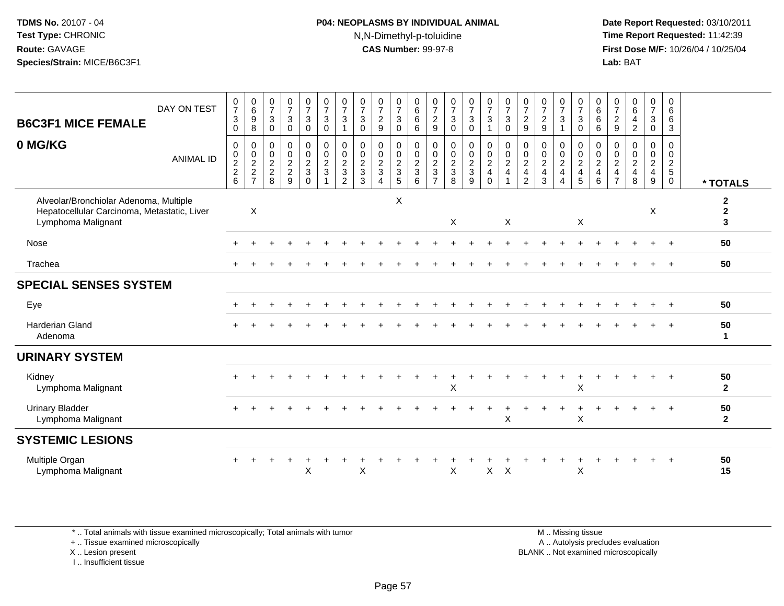## **P04: NEOPLASMS BY INDIVIDUAL ANIMAL**N,N-Dimethyl-p-toluidine

 **Date Report Requested:** 03/10/2011 **Time Report Requested:** 11:42:39 **First Dose M/F:** 10/26/04 / 10/25/04 Lab: BAT **Lab:** BAT

| <b>B6C3F1 MICE FEMALE</b>                                                                                   | DAY ON TEST      | $\frac{0}{7}$<br>$\mathbf{3}$<br>$\Omega$      | 0<br>$6\phantom{a}$<br>$\boldsymbol{9}$<br>8      | $\frac{0}{7}$<br>$\mathbf{3}$<br>0                          | $\frac{0}{7}$<br>$\mathfrak{Z}$<br>$\mathbf 0$               | $\frac{0}{7}$<br>$\sqrt{3}$<br>$\mathbf 0$      | $\frac{0}{7}$<br>$\sqrt{3}$<br>$\mathbf 0$                                                     | $\frac{0}{7}$<br>3                                      | $\frac{0}{7}$<br>$\mathbf{3}$<br>$\Omega$      | $\frac{0}{7}$<br>$\boldsymbol{2}$<br>9 | $\frac{0}{7}$<br>3<br>$\mathbf 0$ | 0<br>$6\phantom{a}$<br>$\,6\,$<br>6                 | $\frac{0}{7}$<br>$\overline{c}$<br>9                          | $\frac{0}{7}$<br>$\mathbf{3}$<br>$\mathbf 0$ | $\frac{0}{7}$<br>3<br>$\mathbf 0$ | $\frac{0}{7}$<br>$\mathbf{3}$                         | $\frac{0}{7}$<br>$\sqrt{3}$<br>$\mathbf 0$                        | $\frac{0}{7}$<br>$\boldsymbol{2}$<br>$9\,$                                  | $\frac{0}{7}$<br>$\sqrt{2}$<br>9                               | $\frac{0}{7}$<br>3                            | $\frac{0}{7}$<br>$\mathbf{3}$<br>$\mathbf 0$                       | $\begin{array}{c} 0 \\ 6 \end{array}$<br>$\,6$<br>6                | $\frac{0}{7}$<br>$\sqrt{2}$<br>9                                   | $\begin{array}{c} 0 \\ 6 \end{array}$<br>4<br>$\overline{2}$    | 0<br>$\overline{7}$<br>3<br>$\mathbf 0$ | 0<br>6<br>$\,6\,$<br>3                                          |                                   |
|-------------------------------------------------------------------------------------------------------------|------------------|------------------------------------------------|---------------------------------------------------|-------------------------------------------------------------|--------------------------------------------------------------|-------------------------------------------------|------------------------------------------------------------------------------------------------|---------------------------------------------------------|------------------------------------------------|----------------------------------------|-----------------------------------|-----------------------------------------------------|---------------------------------------------------------------|----------------------------------------------|-----------------------------------|-------------------------------------------------------|-------------------------------------------------------------------|-----------------------------------------------------------------------------|----------------------------------------------------------------|-----------------------------------------------|--------------------------------------------------------------------|--------------------------------------------------------------------|--------------------------------------------------------------------|-----------------------------------------------------------------|-----------------------------------------|-----------------------------------------------------------------|-----------------------------------|
| 0 MG/KG                                                                                                     | <b>ANIMAL ID</b> | $\mathbf 0$<br>$\pmb{0}$<br>$\frac{2}{2}$<br>6 | 0<br>$\pmb{0}$<br>$\frac{2}{2}$<br>$\overline{7}$ | 0<br>$\mathbf 0$<br>$\overline{c}$<br>$\boldsymbol{2}$<br>8 | 0<br>$\overline{0}$<br>$\overline{c}$<br>$\overline{2}$<br>9 | $_{\rm 0}^{\rm 0}$<br>$\frac{2}{3}$<br>$\Omega$ | $\begin{smallmatrix} 0\\0 \end{smallmatrix}$<br>$\overline{c}$<br>$\sqrt{3}$<br>$\overline{1}$ | 0<br>$\mathbf 0$<br>$\overline{c}$<br>$\mathbf{3}$<br>2 | $\mathbf 0$<br>$\pmb{0}$<br>$\frac{2}{3}$<br>3 | 0<br>$\pmb{0}$<br>$\frac{2}{3}$<br>4   | 0<br>0<br>$\frac{2}{3}$<br>5      | $\mathbf 0$<br>$\overline{0}$<br>$\frac{2}{3}$<br>6 | $\mathbf 0$<br>$\mathbf 0$<br>$\frac{2}{3}$<br>$\overline{7}$ | $\pmb{0}$<br>$\pmb{0}$<br>$\frac{2}{3}$<br>8 | $_0^0$<br>$\frac{2}{3}$<br>9      | 0<br>$\mathsf{O}\xspace$<br>$\frac{2}{4}$<br>$\Omega$ | $\begin{smallmatrix} 0\\0\\2 \end{smallmatrix}$<br>$\overline{4}$ | 0<br>$\mathbf 0$<br>$\sqrt{2}$<br>$\overline{\mathbf{4}}$<br>$\overline{2}$ | 0<br>$\boldsymbol{0}$<br>$\overline{c}$<br>$\overline{4}$<br>3 | 0<br>$\mathbf 0$<br>$\frac{2}{4}$<br>$\Delta$ | $\begin{smallmatrix} 0\\0 \end{smallmatrix}$<br>$\frac{2}{4}$<br>5 | 0<br>$\mathbf 0$<br>$\overline{2}$<br>$\overline{\mathbf{4}}$<br>6 | 0<br>$\mathbf 0$<br>$\sqrt{2}$<br>$\overline{4}$<br>$\overline{7}$ | $\mathbf 0$<br>$\mathbf 0$<br>$\sqrt{2}$<br>$\overline{4}$<br>8 | 0<br>$\mathbf 0$<br>$\frac{2}{4}$<br>9  | 0<br>$\mathbf 0$<br>$\overline{c}$<br>$\sqrt{5}$<br>$\mathbf 0$ | * TOTALS                          |
| Alveolar/Bronchiolar Adenoma, Multiple<br>Hepatocellular Carcinoma, Metastatic, Liver<br>Lymphoma Malignant |                  |                                                | $\boldsymbol{\mathsf{X}}$                         |                                                             |                                                              |                                                 |                                                                                                |                                                         |                                                |                                        | X                                 |                                                     |                                                               | $\sf X$                                      |                                   |                                                       | X                                                                 |                                                                             |                                                                |                                               | X                                                                  |                                                                    |                                                                    |                                                                 | X                                       |                                                                 | $\mathbf{2}$<br>$\mathbf{2}$<br>3 |
| Nose                                                                                                        |                  |                                                |                                                   |                                                             |                                                              |                                                 |                                                                                                |                                                         |                                                |                                        |                                   |                                                     |                                                               |                                              |                                   |                                                       |                                                                   |                                                                             |                                                                |                                               |                                                                    |                                                                    |                                                                    |                                                                 |                                         |                                                                 | 50                                |
| Trachea                                                                                                     |                  |                                                |                                                   |                                                             |                                                              |                                                 |                                                                                                |                                                         |                                                |                                        |                                   |                                                     |                                                               |                                              |                                   |                                                       |                                                                   |                                                                             |                                                                |                                               |                                                                    |                                                                    |                                                                    |                                                                 |                                         |                                                                 | 50                                |
| <b>SPECIAL SENSES SYSTEM</b>                                                                                |                  |                                                |                                                   |                                                             |                                                              |                                                 |                                                                                                |                                                         |                                                |                                        |                                   |                                                     |                                                               |                                              |                                   |                                                       |                                                                   |                                                                             |                                                                |                                               |                                                                    |                                                                    |                                                                    |                                                                 |                                         |                                                                 |                                   |
| Eye                                                                                                         |                  |                                                |                                                   |                                                             |                                                              |                                                 |                                                                                                |                                                         |                                                |                                        |                                   |                                                     |                                                               |                                              |                                   |                                                       |                                                                   |                                                                             |                                                                |                                               |                                                                    |                                                                    |                                                                    |                                                                 |                                         |                                                                 | 50                                |
| <b>Harderian Gland</b><br>Adenoma                                                                           |                  |                                                |                                                   |                                                             |                                                              |                                                 |                                                                                                |                                                         |                                                |                                        |                                   |                                                     |                                                               |                                              |                                   |                                                       |                                                                   |                                                                             |                                                                |                                               |                                                                    |                                                                    |                                                                    |                                                                 |                                         |                                                                 | 50<br>1                           |
| <b>URINARY SYSTEM</b>                                                                                       |                  |                                                |                                                   |                                                             |                                                              |                                                 |                                                                                                |                                                         |                                                |                                        |                                   |                                                     |                                                               |                                              |                                   |                                                       |                                                                   |                                                                             |                                                                |                                               |                                                                    |                                                                    |                                                                    |                                                                 |                                         |                                                                 |                                   |
| Kidney<br>Lymphoma Malignant                                                                                |                  |                                                |                                                   |                                                             |                                                              |                                                 |                                                                                                |                                                         |                                                |                                        |                                   |                                                     |                                                               | X                                            |                                   |                                                       |                                                                   |                                                                             |                                                                |                                               | X                                                                  |                                                                    |                                                                    |                                                                 |                                         |                                                                 | 50<br>$\mathbf{2}$                |
| <b>Urinary Bladder</b><br>Lymphoma Malignant                                                                |                  |                                                |                                                   |                                                             |                                                              |                                                 |                                                                                                |                                                         |                                                |                                        |                                   |                                                     |                                                               |                                              |                                   |                                                       | $\boldsymbol{\mathsf{X}}$                                         |                                                                             |                                                                |                                               | X                                                                  |                                                                    |                                                                    |                                                                 |                                         | $\ddot{}$                                                       | 50<br>$\overline{2}$              |
| <b>SYSTEMIC LESIONS</b>                                                                                     |                  |                                                |                                                   |                                                             |                                                              |                                                 |                                                                                                |                                                         |                                                |                                        |                                   |                                                     |                                                               |                                              |                                   |                                                       |                                                                   |                                                                             |                                                                |                                               |                                                                    |                                                                    |                                                                    |                                                                 |                                         |                                                                 |                                   |
| Multiple Organ<br>Lymphoma Malignant                                                                        |                  |                                                |                                                   |                                                             |                                                              | Χ                                               |                                                                                                |                                                         | X                                              |                                        |                                   |                                                     |                                                               | X                                            |                                   | $\mathsf{X}$                                          | $\boldsymbol{\mathsf{X}}$                                         |                                                                             |                                                                |                                               | X                                                                  |                                                                    |                                                                    |                                                                 |                                         | $\ddot{}$                                                       | 50<br>15                          |

\* .. Total animals with tissue examined microscopically; Total animals with tumor

+ .. Tissue examined microscopically

X .. Lesion present

I .. Insufficient tissue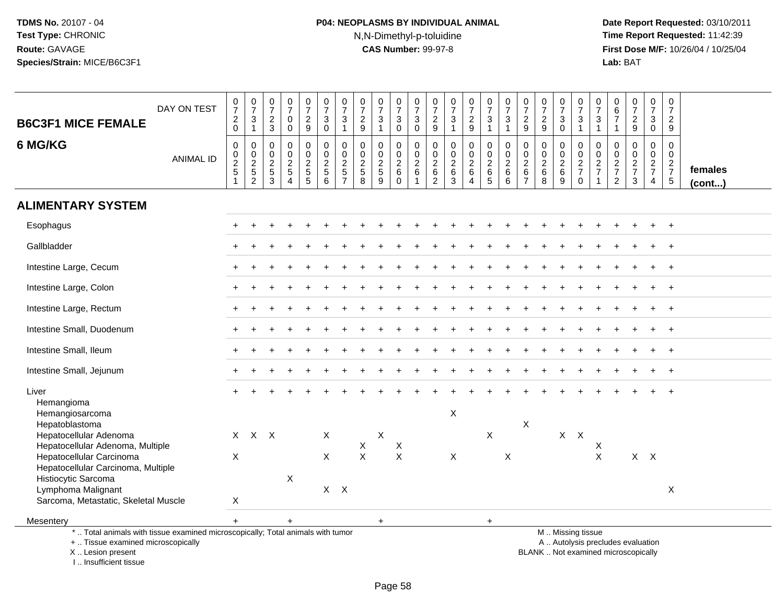# **P04: NEOPLASMS BY INDIVIDUAL ANIMAL**N,N-Dimethyl-p-toluidine

 **Date Report Requested:** 03/10/2011 **Time Report Requested:** 11:42:39 **First Dose M/F:** 10/26/04 / 10/25/04<br>Lab: BAT **Lab:** BAT

| <b>B6C3F1 MICE FEMALE</b>                                                                                                                  | DAY ON TEST      | $\frac{0}{7}$<br>$\boldsymbol{2}$<br>$\mathsf{O}\xspace$ | $\frac{0}{7}$<br>$\mathbf{3}$<br>$\mathbf{1}$               | $\frac{0}{7}$<br>$\frac{2}{3}$            | $\begin{smallmatrix}0\\7\end{smallmatrix}$<br>$\mathbf 0$<br>$\mathbf 0$ | $\begin{array}{c} 0 \\ 7 \end{array}$<br>$\frac{2}{9}$ | $\frac{0}{7}$<br>$\ensuremath{\mathsf{3}}$<br>$\mathbf 0$ | $\frac{0}{7}$<br>$\ensuremath{\mathsf{3}}$<br>$\overline{1}$ | $\frac{0}{7}$<br>$\frac{2}{9}$                                | $\begin{array}{c} 0 \\ 7 \end{array}$<br>$\mathsf 3$<br>$\overline{1}$ | $\frac{0}{7}$<br>$_{0}^{3}$                                   | 0<br>$\overline{7}$<br>$\mathbf{3}$<br>$\mathbf 0$       | $\frac{0}{7}$<br>$\frac{2}{9}$                                     | $\frac{0}{7}$<br>$\mathbf{3}$<br>$\mathbf{1}$     | $\frac{0}{7}$<br>$\frac{2}{9}$                                   | $\frac{0}{7}$<br>$\ensuremath{\mathsf{3}}$<br>$\mathbf{1}$ | $\begin{smallmatrix}0\\7\end{smallmatrix}$<br>$\sqrt{3}$                        | $\frac{0}{7}$<br>$\frac{2}{9}$                               | $\frac{0}{7}$<br>$\frac{2}{9}$                   | $\frac{0}{7}$<br>$\sqrt{3}$<br>$\mathbf 0$           | 0<br>$\overline{7}$<br>3<br>$\blacktriangleleft$                                              | $\frac{0}{7}$<br>$\mathsf 3$<br>$\mathbf{1}$               | $\begin{array}{c} 0 \\ 6 \\ 7 \end{array}$<br>$\mathbf{1}$ | $\frac{0}{7}$<br>$\frac{2}{9}$                    | $\frac{0}{7}$<br>$\sqrt{3}$<br>$\mathbf 0$                    | $\mathbf 0$<br>$\overline{7}$<br>$\overline{c}$<br>9 |                         |
|--------------------------------------------------------------------------------------------------------------------------------------------|------------------|----------------------------------------------------------|-------------------------------------------------------------|-------------------------------------------|--------------------------------------------------------------------------|--------------------------------------------------------|-----------------------------------------------------------|--------------------------------------------------------------|---------------------------------------------------------------|------------------------------------------------------------------------|---------------------------------------------------------------|----------------------------------------------------------|--------------------------------------------------------------------|---------------------------------------------------|------------------------------------------------------------------|------------------------------------------------------------|---------------------------------------------------------------------------------|--------------------------------------------------------------|--------------------------------------------------|------------------------------------------------------|-----------------------------------------------------------------------------------------------|------------------------------------------------------------|------------------------------------------------------------|---------------------------------------------------|---------------------------------------------------------------|------------------------------------------------------|-------------------------|
| 6 MG/KG                                                                                                                                    | <b>ANIMAL ID</b> | $\mathbf 0$<br>$\mathbf 0$<br>$\frac{2}{5}$              | 0<br>$\mathsf{O}\xspace$<br>$\frac{2}{5}$<br>$\overline{2}$ | $\mathbf 0$<br>$\mathbf 0$<br>$rac{2}{3}$ | 0<br>$\mathsf{O}\xspace$<br>$\frac{2}{5}$<br>$\overline{4}$              | $\mathbf 0$<br>$\overline{0}$<br>$\frac{2}{5}$         | $\mathbf 0$<br>$\mathbf 0$<br>$\frac{2}{5}$<br>6          | $\Omega$<br>$\Omega$<br>$\frac{2}{5}$                        | $\mathbf 0$<br>$\mathbf 0$<br>$\frac{2}{5}$<br>$\overline{8}$ | $\mathbf 0$<br>$\Omega$<br>$\frac{2}{5}$<br>9                          | $\mathbf 0$<br>$\overline{0}$<br>$\frac{2}{6}$<br>$\mathbf 0$ | $\mathbf{0}$<br>$\Omega$<br>$\overline{\mathbf{c}}$<br>6 | $\Omega$<br>$\mathbf 0$<br>$\boldsymbol{2}$<br>6<br>$\overline{2}$ | 0<br>$\mathbf 0$<br>$\frac{2}{6}$<br>$\mathbf{3}$ | $\mathbf 0$<br>$\overline{0}$<br>$\frac{2}{6}$<br>$\overline{4}$ | $\mathbf 0$<br>$\ddot{\mathbf{0}}$<br>$\frac{2}{6}$        | $\Omega$<br>$\Omega$<br>$\begin{array}{c} 2 \\ 6 \end{array}$<br>$6\phantom{1}$ | $\mathbf 0$<br>$\pmb{0}$<br>$^{\,2}_{\,6}$<br>$\overline{7}$ | $\mathbf 0$<br>$\mathbf 0$<br>$\frac{2}{6}$<br>8 | $\mathbf 0$<br>$\mathbf 0$<br>$\frac{2}{6}$<br>$9\,$ | $\mathbf 0$<br>$\mathbf 0$<br>$\frac{2}{7}$<br>$\mathbf 0$                                    | $\Omega$<br>$\mathbf 0$<br>$\frac{2}{7}$<br>$\overline{1}$ | 0<br>$\mathbf 0$<br>$\frac{2}{7}$<br>$\overline{2}$        | 0<br>$\mathbf 0$<br>$\frac{2}{7}$<br>$\mathbf{3}$ | $\mathbf 0$<br>$\mathbf 0$<br>$\frac{2}{7}$<br>$\overline{4}$ | $\Omega$<br>$\Omega$<br>$\frac{2}{7}$<br>$\sqrt{5}$  | females<br>$($ cont $)$ |
| <b>ALIMENTARY SYSTEM</b>                                                                                                                   |                  |                                                          |                                                             |                                           |                                                                          |                                                        |                                                           |                                                              |                                                               |                                                                        |                                                               |                                                          |                                                                    |                                                   |                                                                  |                                                            |                                                                                 |                                                              |                                                  |                                                      |                                                                                               |                                                            |                                                            |                                                   |                                                               |                                                      |                         |
| Esophagus                                                                                                                                  |                  |                                                          |                                                             |                                           |                                                                          |                                                        |                                                           |                                                              |                                                               |                                                                        |                                                               |                                                          |                                                                    |                                                   |                                                                  |                                                            |                                                                                 |                                                              |                                                  |                                                      |                                                                                               |                                                            |                                                            |                                                   |                                                               | $\ddot{+}$                                           |                         |
| Gallbladder                                                                                                                                |                  |                                                          |                                                             |                                           |                                                                          |                                                        |                                                           |                                                              |                                                               |                                                                        |                                                               |                                                          |                                                                    |                                                   |                                                                  |                                                            |                                                                                 |                                                              |                                                  |                                                      |                                                                                               |                                                            |                                                            |                                                   |                                                               |                                                      |                         |
| Intestine Large, Cecum                                                                                                                     |                  |                                                          |                                                             |                                           |                                                                          |                                                        |                                                           |                                                              |                                                               |                                                                        |                                                               |                                                          |                                                                    |                                                   |                                                                  |                                                            |                                                                                 |                                                              |                                                  |                                                      |                                                                                               |                                                            |                                                            |                                                   |                                                               | $\ddot{+}$                                           |                         |
| Intestine Large, Colon                                                                                                                     |                  |                                                          |                                                             |                                           |                                                                          |                                                        |                                                           |                                                              |                                                               |                                                                        |                                                               |                                                          |                                                                    |                                                   |                                                                  |                                                            |                                                                                 |                                                              |                                                  |                                                      |                                                                                               |                                                            |                                                            |                                                   |                                                               | $\ddot{+}$                                           |                         |
| Intestine Large, Rectum                                                                                                                    |                  |                                                          |                                                             |                                           |                                                                          |                                                        |                                                           |                                                              |                                                               |                                                                        |                                                               |                                                          |                                                                    |                                                   |                                                                  |                                                            |                                                                                 |                                                              |                                                  |                                                      |                                                                                               |                                                            |                                                            |                                                   |                                                               |                                                      |                         |
| Intestine Small, Duodenum                                                                                                                  |                  |                                                          |                                                             |                                           |                                                                          |                                                        |                                                           |                                                              |                                                               |                                                                        |                                                               |                                                          |                                                                    |                                                   |                                                                  |                                                            |                                                                                 |                                                              |                                                  |                                                      |                                                                                               |                                                            |                                                            |                                                   |                                                               | $+$                                                  |                         |
| Intestine Small, Ileum                                                                                                                     |                  |                                                          |                                                             |                                           |                                                                          |                                                        |                                                           |                                                              |                                                               |                                                                        |                                                               |                                                          |                                                                    |                                                   |                                                                  |                                                            |                                                                                 |                                                              |                                                  |                                                      |                                                                                               |                                                            |                                                            |                                                   |                                                               | $\ddot{+}$                                           |                         |
| Intestine Small, Jejunum                                                                                                                   |                  |                                                          |                                                             |                                           |                                                                          |                                                        |                                                           |                                                              |                                                               |                                                                        |                                                               |                                                          |                                                                    |                                                   |                                                                  |                                                            |                                                                                 |                                                              |                                                  |                                                      |                                                                                               |                                                            |                                                            |                                                   |                                                               |                                                      |                         |
| Liver<br>Hemangioma<br>Hemangiosarcoma                                                                                                     |                  |                                                          |                                                             |                                           |                                                                          |                                                        |                                                           |                                                              |                                                               |                                                                        |                                                               |                                                          |                                                                    | X                                                 |                                                                  |                                                            |                                                                                 |                                                              |                                                  |                                                      |                                                                                               |                                                            |                                                            |                                                   |                                                               |                                                      |                         |
| Hepatoblastoma<br>Hepatocellular Adenoma<br>Hepatocellular Adenoma, Multiple                                                               |                  |                                                          | $X$ $X$ $X$                                                 |                                           |                                                                          |                                                        | $\boldsymbol{X}$                                          |                                                              | X                                                             | X                                                                      | X                                                             |                                                          |                                                                    |                                                   |                                                                  | $\mathsf X$                                                |                                                                                 | X                                                            |                                                  |                                                      | $X$ $X$                                                                                       | X                                                          |                                                            |                                                   |                                                               |                                                      |                         |
| Hepatocellular Carcinoma<br>Hepatocellular Carcinoma, Multiple<br>Histiocytic Sarcoma                                                      |                  | $\boldsymbol{\mathsf{X}}$                                |                                                             |                                           | X                                                                        |                                                        | $\times$                                                  |                                                              | $\mathsf{X}$                                                  |                                                                        | $\pmb{\times}$                                                |                                                          |                                                                    | $\mathsf{X}$                                      |                                                                  |                                                            | X                                                                               |                                                              |                                                  |                                                      |                                                                                               | $\mathsf{X}$                                               |                                                            |                                                   | $X$ $X$                                                       |                                                      |                         |
| Lymphoma Malignant<br>Sarcoma, Metastatic, Skeletal Muscle                                                                                 |                  | X                                                        |                                                             |                                           |                                                                          |                                                        |                                                           | $X$ $X$                                                      |                                                               |                                                                        |                                                               |                                                          |                                                                    |                                                   |                                                                  |                                                            |                                                                                 |                                                              |                                                  |                                                      |                                                                                               |                                                            |                                                            |                                                   |                                                               | $\pmb{\times}$                                       |                         |
| Mesentery                                                                                                                                  |                  | $+$                                                      |                                                             |                                           | $\ddot{}$                                                                |                                                        |                                                           |                                                              |                                                               | $\ddot{}$                                                              |                                                               |                                                          |                                                                    |                                                   |                                                                  | $+$                                                        |                                                                                 |                                                              |                                                  |                                                      |                                                                                               |                                                            |                                                            |                                                   |                                                               |                                                      |                         |
| *  Total animals with tissue examined microscopically; Total animals with tumor<br>+  Tissue examined microscopically<br>X  Lesion present |                  |                                                          |                                                             |                                           |                                                                          |                                                        |                                                           |                                                              |                                                               |                                                                        |                                                               |                                                          |                                                                    |                                                   |                                                                  |                                                            |                                                                                 |                                                              |                                                  |                                                      | M  Missing tissue<br>A  Autolysis precludes evaluation<br>BLANK  Not examined microscopically |                                                            |                                                            |                                                   |                                                               |                                                      |                         |

X .. Lesion present

I .. Insufficient tissue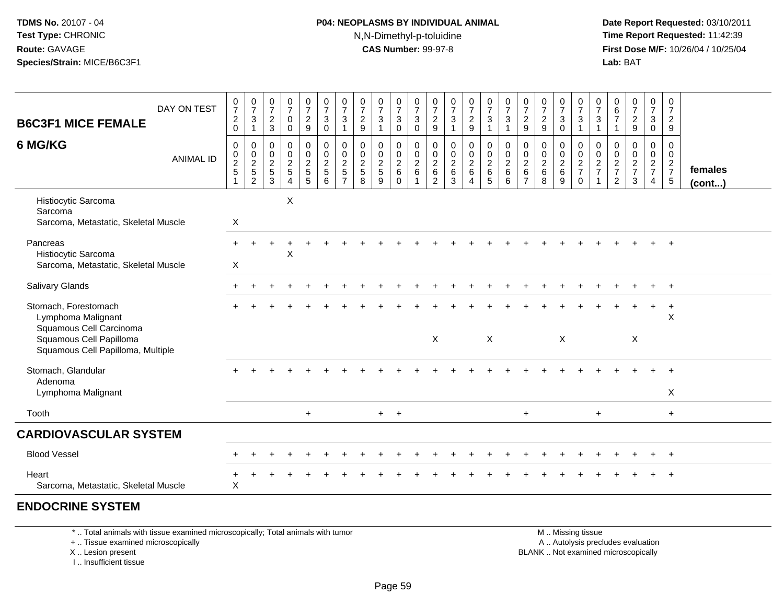## **P04: NEOPLASMS BY INDIVIDUAL ANIMAL**N,N-Dimethyl-p-toluidine

 **Date Report Requested:** 03/10/2011 **Time Report Requested:** 11:42:39 **First Dose M/F:** 10/26/04 / 10/25/04 Lab: BAT **Lab:** BAT

| <b>B6C3F1 MICE FEMALE</b>                                                                                                             | DAY ON TEST      | $\frac{0}{7}$<br>$^2_{\rm 0}$           | $\frac{0}{7}$<br>$\mathbf{3}$<br>$\mathbf{1}$ | $\frac{0}{7}$<br>$\frac{2}{3}$                                 | $\frac{0}{7}$<br>$\mathbf 0$<br>0                           | $\frac{0}{7}$<br>$\frac{2}{9}$          | $\begin{smallmatrix}0\\7\end{smallmatrix}$<br>$_{0}^{3}$ | $\frac{0}{7}$<br>3<br>$\mathbf{1}$                            | 0<br>$\overline{7}$<br>$\overline{c}$<br>$9\,$ | $\frac{0}{7}$<br>$\ensuremath{\mathsf{3}}$<br>$\mathbf{1}$ | $\frac{0}{7}$<br>$\sqrt{3}$<br>0               | $\frac{0}{7}$<br>$\mathbf{3}$<br>$\mathbf 0$                | 0<br>$\overline{7}$<br>$\frac{2}{9}$         | $\frac{0}{7}$<br>$\ensuremath{\mathsf{3}}$<br>$\mathbf{1}$ | $\frac{0}{7}$<br>$\frac{2}{9}$               | $\frac{0}{7}$<br>$\mathbf{3}$<br>$\mathbf{1}$ | $\frac{0}{7}$<br>$\mathbf 3$<br>$\mathbf{1}$           | $\pmb{0}$<br>$\overline{7}$<br>$\frac{2}{9}$             | $\pmb{0}$<br>$\boldsymbol{7}$<br>$\overline{2}$<br>$\boldsymbol{9}$ | $\frac{0}{7}$<br>$\mathbf{3}$<br>$\mathbf 0$ | $\frac{0}{7}$<br>$\mathbf{3}$<br>$\mathbf{1}$     | $\boldsymbol{0}$<br>$\overline{7}$<br>$\sqrt{3}$<br>$\mathbf{1}$ | 0<br>$\frac{6}{7}$<br>$\overline{1}$          | $\frac{0}{7}$<br>$\frac{2}{9}$                  | $\frac{0}{7}$<br>$\mathbf{3}$<br>$\mathbf 0$      | $\mathbf 0$<br>$\overline{7}$<br>$\overline{a}$<br>9 |                   |
|---------------------------------------------------------------------------------------------------------------------------------------|------------------|-----------------------------------------|-----------------------------------------------|----------------------------------------------------------------|-------------------------------------------------------------|-----------------------------------------|----------------------------------------------------------|---------------------------------------------------------------|------------------------------------------------|------------------------------------------------------------|------------------------------------------------|-------------------------------------------------------------|----------------------------------------------|------------------------------------------------------------|----------------------------------------------|-----------------------------------------------|--------------------------------------------------------|----------------------------------------------------------|---------------------------------------------------------------------|----------------------------------------------|---------------------------------------------------|------------------------------------------------------------------|-----------------------------------------------|-------------------------------------------------|---------------------------------------------------|------------------------------------------------------|-------------------|
| 6 MG/KG                                                                                                                               | <b>ANIMAL ID</b> | $\pmb{0}$<br>$\pmb{0}$<br>$\frac{2}{5}$ | $\pmb{0}$<br>$\pmb{0}$<br>$\frac{2}{5}$       | $\mathbf 0$<br>$\begin{array}{c} 0 \\ 2 \\ 5 \\ 3 \end{array}$ | $\mathbf 0$<br>$\pmb{0}$<br>$\frac{2}{5}$<br>$\overline{4}$ | 0<br>$\mathsf{O}\xspace$<br>$rac{2}{5}$ | $\pmb{0}$<br>$0$<br>$5$<br>$6$                           | $\mathbf 0$<br>$\mathbf 0$<br>$\frac{2}{5}$<br>$\overline{7}$ | 0<br>$\pmb{0}$<br>$rac{2}{5}$<br>8             | $\mathbf 0$<br>$\pmb{0}$<br>$\frac{2}{5}$<br>9             | 0<br>$\pmb{0}$<br>$\frac{2}{6}$<br>$\mathbf 0$ | $\pmb{0}$<br>$\mathbf 0$<br>$\frac{2}{6}$<br>$\overline{1}$ | 0<br>0<br>$^2\phantom{1}6$<br>$\overline{c}$ | $\pmb{0}$<br>$\pmb{0}$<br>$\frac{2}{6}$<br>$\mathbf{3}$    | $\pmb{0}$<br>$\frac{0}{2}$<br>$\overline{4}$ | $\mathbf 0$<br>$\mathbf 0$<br>$\frac{2}{6}$   | $_{\rm 0}^{\rm 0}$<br>$\frac{2}{6}$<br>$6\phantom{1}6$ | 0<br>$\boldsymbol{0}$<br>$\frac{2}{6}$<br>$\overline{7}$ | $\mathbf 0$<br>$\pmb{0}$<br>$\frac{2}{6}$<br>8                      | 0<br>$\mathbf 0$<br>$\frac{2}{6}$<br>$9\,$   | 0<br>$\mathbf 0$<br>$\frac{2}{7}$<br>$\mathsf{O}$ | 0<br>$\pmb{0}$<br>$\frac{2}{7}$                                  | 0<br>$\pmb{0}$<br>$\frac{2}{7}$<br>$\sqrt{2}$ | 0<br>$\pmb{0}$<br>$\frac{2}{7}$<br>$\mathbf{3}$ | 0<br>$\mathbf 0$<br>$rac{2}{7}$<br>$\overline{4}$ | $\mathbf 0$<br>$\mathbf 0$<br>$\frac{2}{7}$          | females<br>(cont) |
| Histiocytic Sarcoma<br>Sarcoma<br>Sarcoma, Metastatic, Skeletal Muscle                                                                |                  | X                                       |                                               |                                                                | X                                                           |                                         |                                                          |                                                               |                                                |                                                            |                                                |                                                             |                                              |                                                            |                                              |                                               |                                                        |                                                          |                                                                     |                                              |                                                   |                                                                  |                                               |                                                 |                                                   |                                                      |                   |
| Pancreas<br>Histiocytic Sarcoma<br>Sarcoma, Metastatic, Skeletal Muscle                                                               |                  | $+$<br>$\boldsymbol{X}$                 |                                               |                                                                | X                                                           |                                         |                                                          |                                                               |                                                |                                                            |                                                |                                                             |                                              |                                                            |                                              |                                               |                                                        |                                                          |                                                                     |                                              |                                                   |                                                                  |                                               |                                                 |                                                   |                                                      |                   |
| Salivary Glands                                                                                                                       |                  |                                         |                                               |                                                                |                                                             |                                         |                                                          |                                                               |                                                |                                                            |                                                |                                                             |                                              |                                                            |                                              |                                               |                                                        |                                                          |                                                                     |                                              |                                                   |                                                                  |                                               |                                                 |                                                   |                                                      |                   |
| Stomach, Forestomach<br>Lymphoma Malignant<br>Squamous Cell Carcinoma<br>Squamous Cell Papilloma<br>Squamous Cell Papilloma, Multiple |                  |                                         |                                               |                                                                |                                                             |                                         |                                                          |                                                               |                                                |                                                            |                                                |                                                             | $\boldsymbol{\mathsf{X}}$                    |                                                            |                                              | X                                             |                                                        |                                                          |                                                                     | $\boldsymbol{\mathsf{X}}$                    |                                                   |                                                                  |                                               | X                                               |                                                   | $\ddot{}$<br>X                                       |                   |
| Stomach, Glandular<br>Adenoma<br>Lymphoma Malignant                                                                                   |                  |                                         |                                               |                                                                |                                                             |                                         |                                                          |                                                               |                                                |                                                            |                                                |                                                             |                                              |                                                            |                                              |                                               |                                                        |                                                          |                                                                     |                                              |                                                   |                                                                  |                                               |                                                 |                                                   | X                                                    |                   |
| Tooth                                                                                                                                 |                  |                                         |                                               |                                                                |                                                             | $+$                                     |                                                          |                                                               |                                                | $+$ $+$                                                    |                                                |                                                             |                                              |                                                            |                                              |                                               |                                                        | $+$                                                      |                                                                     |                                              |                                                   | $+$                                                              |                                               |                                                 |                                                   | $+$                                                  |                   |
| <b>CARDIOVASCULAR SYSTEM</b>                                                                                                          |                  |                                         |                                               |                                                                |                                                             |                                         |                                                          |                                                               |                                                |                                                            |                                                |                                                             |                                              |                                                            |                                              |                                               |                                                        |                                                          |                                                                     |                                              |                                                   |                                                                  |                                               |                                                 |                                                   |                                                      |                   |
| <b>Blood Vessel</b>                                                                                                                   |                  |                                         |                                               |                                                                |                                                             |                                         |                                                          |                                                               |                                                |                                                            |                                                |                                                             |                                              |                                                            |                                              |                                               |                                                        |                                                          |                                                                     |                                              |                                                   |                                                                  |                                               |                                                 |                                                   |                                                      |                   |
| Heart<br>Sarcoma, Metastatic, Skeletal Muscle                                                                                         |                  | +<br>$\boldsymbol{\mathsf{X}}$          |                                               |                                                                |                                                             |                                         |                                                          |                                                               |                                                |                                                            |                                                |                                                             |                                              |                                                            |                                              |                                               |                                                        |                                                          |                                                                     |                                              |                                                   |                                                                  |                                               |                                                 |                                                   |                                                      |                   |
| <b>ENDOCRINE SYSTEM</b>                                                                                                               |                  |                                         |                                               |                                                                |                                                             |                                         |                                                          |                                                               |                                                |                                                            |                                                |                                                             |                                              |                                                            |                                              |                                               |                                                        |                                                          |                                                                     |                                              |                                                   |                                                                  |                                               |                                                 |                                                   |                                                      |                   |

\* .. Total animals with tissue examined microscopically; Total animals with tumor

+ .. Tissue examined microscopically

X .. Lesion present

I .. Insufficient tissue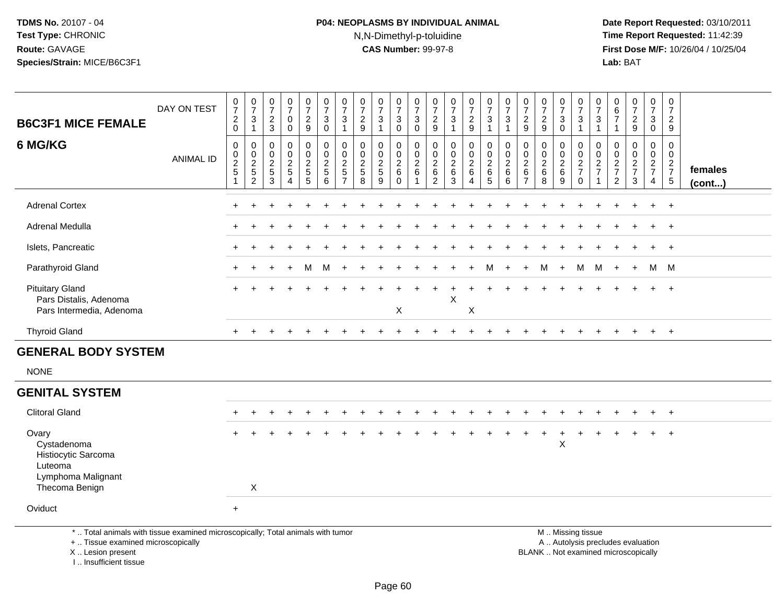## **P04: NEOPLASMS BY INDIVIDUAL ANIMAL**N,N-Dimethyl-p-toluidine

 **Date Report Requested:** 03/10/2011 **Time Report Requested:** 11:42:39 **First Dose M/F:** 10/26/04 / 10/25/04 Lab: BAT **Lab:** BAT

| <b>B6C3F1 MICE FEMALE</b>                                                    | DAY ON TEST      | $\frac{0}{7}$<br>$\frac{2}{0}$                            | $\frac{0}{7}$<br>$\sqrt{3}$<br>$\mathbf{1}$ | $\frac{0}{7}$<br>$\frac{2}{3}$                   | $\frac{0}{7}$<br>$\mathbf 0$<br>$\mathbf 0$           | $\frac{0}{7}$<br>$\overline{2}$<br>$\boldsymbol{9}$               | $\frac{0}{7}$<br>3<br>0              | $\frac{0}{7}$<br>3<br>$\mathbf{1}$                | $\frac{0}{7}$<br>$\frac{2}{9}$         | $\frac{0}{7}$<br>$\sqrt{3}$                          | $\frac{0}{7}$<br>$\sqrt{3}$<br>$\mathbf 0$                  | $\frac{0}{7}$<br>$\sqrt{3}$<br>$\mathbf 0$ | $\frac{0}{7}$<br>$\overline{2}$<br>$9\,$ | $\frac{0}{7}$<br>$\mathbf{3}$        | $\frac{0}{7}$<br>$\frac{2}{9}$ | $\begin{array}{c} 0 \\ 7 \\ 3 \end{array}$<br>$\mathbf{1}$ | $\frac{0}{7}$<br>$\sqrt{3}$ | $\frac{0}{7}$<br>9                                                               | $\frac{0}{7}$<br>$\frac{2}{9}$                            | $\frac{0}{7}$<br>3<br>$\mathbf 0$ | $\frac{0}{7}$<br>3<br>$\mathbf{1}$ | $\frac{0}{7}$<br>3<br>$\overline{1}$ | $\begin{array}{c} 0 \\ 6 \\ 7 \end{array}$<br>$\mathbf{1}$ | $\frac{0}{7}$<br>$\frac{2}{9}$ | $\frac{0}{7}$<br>$_{\rm 0}^3$                                     | 0<br>$\overline{7}$<br>$\overline{2}$<br>$9\,$       |                   |
|------------------------------------------------------------------------------|------------------|-----------------------------------------------------------|---------------------------------------------|--------------------------------------------------|-------------------------------------------------------|-------------------------------------------------------------------|--------------------------------------|---------------------------------------------------|----------------------------------------|------------------------------------------------------|-------------------------------------------------------------|--------------------------------------------|------------------------------------------|--------------------------------------|--------------------------------|------------------------------------------------------------|-----------------------------|----------------------------------------------------------------------------------|-----------------------------------------------------------|-----------------------------------|------------------------------------|--------------------------------------|------------------------------------------------------------|--------------------------------|-------------------------------------------------------------------|------------------------------------------------------|-------------------|
| 6 MG/KG                                                                      | <b>ANIMAL ID</b> | $\mathbf 0$<br>$\begin{array}{c} 0 \\ 2 \\ 5 \end{array}$ | 0<br>$\frac{0}{2}$<br>$\overline{2}$        | $\mathbf 0$<br>$\mathbf 0$<br>$\frac{2}{5}$<br>3 | $\pmb{0}$<br>$\frac{0}{2}$<br>$\overline{\mathbf{4}}$ | 0<br>$\begin{array}{c} 0 \\ 2 \\ 5 \end{array}$<br>$\overline{5}$ | 0<br>$\pmb{0}$<br>$\frac{2}{5}$<br>6 | 0<br>$\pmb{0}$<br>$\frac{2}{5}$<br>$\overline{7}$ | 0<br>$\mathbf 0$<br>$\frac{2}{5}$<br>8 | 0<br>$\begin{array}{c} 0 \\ 2 \\ 5 \end{array}$<br>9 | 0<br>$\begin{array}{c} 0 \\ 2 \\ 6 \end{array}$<br>$\Omega$ | 0<br>$\pmb{0}$<br>$\frac{2}{6}$<br>-1      | 0<br>$\mathbf 0$<br>$\frac{2}{6}$<br>2   | 0<br>$\pmb{0}$<br>$\frac{2}{6}$<br>3 | 0<br>$\frac{0}{2}$ 6<br>4      | 0<br>$\frac{0}{2}$ 6<br>$\overline{5}$                     | 0<br>$\frac{0}{2}$<br>6     | $\mathbf 0$<br>$\begin{smallmatrix} 0\\2\\6 \end{smallmatrix}$<br>$\overline{7}$ | 0<br>$\begin{smallmatrix} 0\\2\\6 \end{smallmatrix}$<br>8 | 0<br>$\frac{0}{2}$<br>9           | 0<br>$\frac{0}{2}$<br>$\mathbf 0$  | 0<br>$\mathbf 0$<br>$\frac{2}{7}$    | 0<br>$\pmb{0}$<br>$\frac{2}{7}$<br>$\overline{2}$          | 0<br>$\frac{0}{2}$<br>3        | 0<br>$\begin{array}{c} 0 \\ 2 \\ 7 \end{array}$<br>$\overline{4}$ | 0<br>$\mathbf 0$<br>$\frac{2}{7}$<br>$5\phantom{.0}$ | females<br>(cont) |
| <b>Adrenal Cortex</b>                                                        |                  |                                                           |                                             |                                                  |                                                       |                                                                   |                                      |                                                   |                                        |                                                      |                                                             |                                            |                                          |                                      |                                |                                                            |                             |                                                                                  |                                                           |                                   |                                    |                                      |                                                            |                                | $+$                                                               | $+$                                                  |                   |
| <b>Adrenal Medulla</b>                                                       |                  |                                                           |                                             |                                                  |                                                       |                                                                   |                                      |                                                   |                                        |                                                      |                                                             |                                            |                                          |                                      |                                |                                                            |                             |                                                                                  |                                                           |                                   |                                    |                                      |                                                            | $\pm$                          | $+$                                                               | $+$                                                  |                   |
| Islets, Pancreatic                                                           |                  |                                                           |                                             |                                                  |                                                       |                                                                   |                                      |                                                   |                                        |                                                      |                                                             |                                            |                                          |                                      |                                |                                                            |                             |                                                                                  |                                                           |                                   |                                    |                                      |                                                            |                                | $+$                                                               | $+$                                                  |                   |
| Parathyroid Gland                                                            |                  |                                                           |                                             |                                                  |                                                       | м                                                                 | М                                    |                                                   |                                        |                                                      |                                                             |                                            |                                          |                                      |                                | M                                                          |                             | $+$                                                                              | м                                                         | $+$                               | M                                  | M                                    | $+$                                                        | $+$                            |                                                                   | M M                                                  |                   |
| <b>Pituitary Gland</b><br>Pars Distalis, Adenoma<br>Pars Intermedia, Adenoma |                  |                                                           |                                             |                                                  |                                                       |                                                                   |                                      |                                                   |                                        |                                                      | X                                                           |                                            |                                          | X                                    | X                              |                                                            |                             |                                                                                  |                                                           |                                   |                                    |                                      |                                                            |                                |                                                                   | $+$                                                  |                   |
| <b>Thyroid Gland</b>                                                         |                  | $+$                                                       | $\ddot{}$                                   |                                                  |                                                       |                                                                   |                                      |                                                   |                                        |                                                      |                                                             |                                            |                                          |                                      |                                |                                                            |                             |                                                                                  |                                                           |                                   |                                    |                                      |                                                            | $\div$                         | $+$                                                               | $+$                                                  |                   |
| <b>GENERAL BODY SYSTEM</b>                                                   |                  |                                                           |                                             |                                                  |                                                       |                                                                   |                                      |                                                   |                                        |                                                      |                                                             |                                            |                                          |                                      |                                |                                                            |                             |                                                                                  |                                                           |                                   |                                    |                                      |                                                            |                                |                                                                   |                                                      |                   |
| <b>NONE</b>                                                                  |                  |                                                           |                                             |                                                  |                                                       |                                                                   |                                      |                                                   |                                        |                                                      |                                                             |                                            |                                          |                                      |                                |                                                            |                             |                                                                                  |                                                           |                                   |                                    |                                      |                                                            |                                |                                                                   |                                                      |                   |
| <b>GENITAL SYSTEM</b>                                                        |                  |                                                           |                                             |                                                  |                                                       |                                                                   |                                      |                                                   |                                        |                                                      |                                                             |                                            |                                          |                                      |                                |                                                            |                             |                                                                                  |                                                           |                                   |                                    |                                      |                                                            |                                |                                                                   |                                                      |                   |
| <b>Clitoral Gland</b>                                                        |                  | $+$                                                       | $\ddot{}$                                   |                                                  |                                                       |                                                                   |                                      |                                                   |                                        |                                                      |                                                             |                                            |                                          |                                      |                                |                                                            |                             |                                                                                  |                                                           |                                   |                                    |                                      |                                                            |                                | $+$                                                               | $+$                                                  |                   |
| Ovary<br>Cystadenoma<br>Histiocytic Sarcoma<br>Luteoma<br>Lymphoma Malignant |                  |                                                           |                                             |                                                  |                                                       |                                                                   |                                      |                                                   |                                        |                                                      |                                                             |                                            |                                          |                                      |                                |                                                            |                             |                                                                                  |                                                           | +<br>Χ                            |                                    | $\ddot{}$                            |                                                            |                                | $+$                                                               | $+$                                                  |                   |

Oviduct<sup>+</sup>

Thecoma Benign

\* .. Total animals with tissue examined microscopically; Total animals with tumor

n X

+ .. Tissue examined microscopically

X .. Lesion present

I .. Insufficient tissue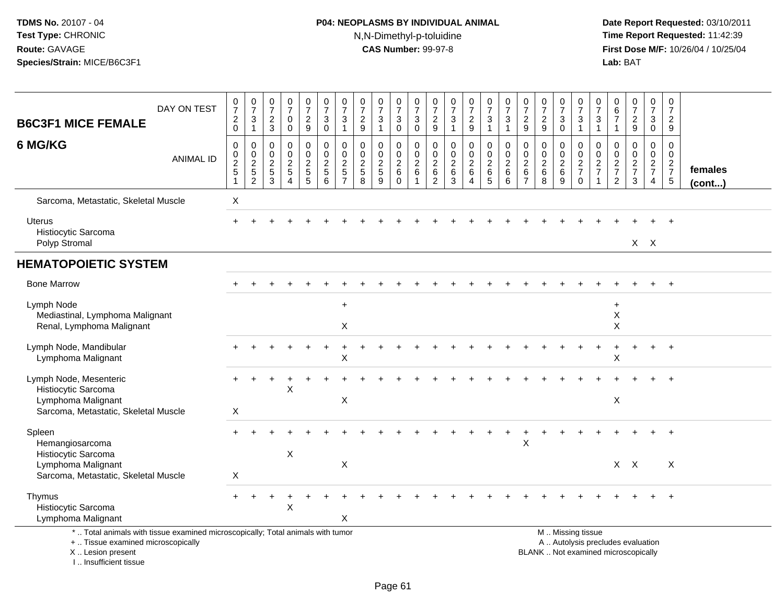# **P04: NEOPLASMS BY INDIVIDUAL ANIMAL**N,N-Dimethyl-p-toluidine

 **Date Report Requested:** 03/10/2011 **Time Report Requested:** 11:42:39 **First Dose M/F:** 10/26/04 / 10/25/04<br>Lab: BAT **Lab:** BAT

| <b>B6C3F1 MICE FEMALE</b>                                                                                                                  | DAY ON TEST      | $\frac{0}{7}$<br>$\overline{c}$<br>$\mathbf 0$ | $\frac{0}{7}$<br>$\sqrt{3}$<br>$\overline{1}$                               | $\frac{0}{7}$<br>$\overline{c}$<br>3                   | $\pmb{0}$<br>$\overline{7}$<br>$\mathbf 0$<br>$\mathbf 0$           | $\frac{0}{7}$<br>$\frac{2}{9}$                            | $\frac{0}{7}$<br>$\mathbf{3}$<br>$\mathbf 0$                  | $\frac{0}{7}$<br>3<br>$\mathbf{1}$                                                 | $\frac{0}{7}$<br>$\overline{c}$<br>$9\,$         | $\frac{0}{7}$<br>$\sqrt{3}$<br>$\mathbf{1}$    | $\frac{0}{7}$<br>$\sqrt{3}$<br>$\mathbf 0$          | $\frac{0}{7}$<br>$\mathsf 3$<br>$\mathbf 0$                   | 0<br>$\overline{7}$<br>$\frac{2}{9}$                                   | $\frac{0}{7}$<br>$\mathbf{3}$<br>$\mathbf{1}$    | $\frac{0}{7}$<br>$\frac{2}{9}$                               | $\frac{0}{7}$<br>3<br>$\mathbf{1}$                        | $\frac{0}{7}$<br>$\sqrt{3}$<br>$\overline{1}$                           | $\frac{0}{7}$<br>$\frac{2}{9}$                                   | 0<br>$\overline{7}$<br>$\sqrt{2}$<br>9                           | $\frac{0}{7}$<br>3<br>$\mathbf 0$                              | $\frac{0}{7}$<br>$\mathbf{3}$<br>$\mathbf{1}$                                                 | $\frac{0}{7}$<br>3<br>$\mathbf{1}$                               | 0<br>$\,6\,$<br>$\overline{7}$<br>$\mathbf{1}$                | $\begin{smallmatrix}0\\7\end{smallmatrix}$<br>$\frac{2}{9}$ | $\mathbf 0$<br>$\boldsymbol{7}$<br>3<br>0        | 0<br>$\overline{7}$<br>$\overline{2}$<br>9                  |                         |
|--------------------------------------------------------------------------------------------------------------------------------------------|------------------|------------------------------------------------|-----------------------------------------------------------------------------|--------------------------------------------------------|---------------------------------------------------------------------|-----------------------------------------------------------|---------------------------------------------------------------|------------------------------------------------------------------------------------|--------------------------------------------------|------------------------------------------------|-----------------------------------------------------|---------------------------------------------------------------|------------------------------------------------------------------------|--------------------------------------------------|--------------------------------------------------------------|-----------------------------------------------------------|-------------------------------------------------------------------------|------------------------------------------------------------------|------------------------------------------------------------------|----------------------------------------------------------------|-----------------------------------------------------------------------------------------------|------------------------------------------------------------------|---------------------------------------------------------------|-------------------------------------------------------------|--------------------------------------------------|-------------------------------------------------------------|-------------------------|
| 6 MG/KG                                                                                                                                    | <b>ANIMAL ID</b> | 0<br>0<br>$\frac{2}{5}$                        | $\mathbf 0$<br>$\begin{array}{c} 0 \\ 2 \\ 5 \end{array}$<br>$\overline{c}$ | 0<br>$\mathbf{0}$<br>$\overline{2}$<br>$\sqrt{5}$<br>3 | $\Omega$<br>$\mathbf 0$<br>$\overline{2}$<br>$\sqrt{5}$<br>$\Delta$ | 0<br>$\mathbf 0$<br>$\overline{c}$<br>$\overline{5}$<br>5 | $\mathbf 0$<br>$\mathbf 0$<br>$\frac{2}{5}$<br>$6\phantom{1}$ | $\mathbf 0$<br>$\mathbf 0$<br>$\boldsymbol{2}$<br>$\overline{5}$<br>$\overline{7}$ | $\mathbf 0$<br>$\mathbf 0$<br>$\frac{2}{5}$<br>8 | $\mathbf 0$<br>$\pmb{0}$<br>$\frac{2}{5}$<br>9 | 0<br>$\mathbf 0$<br>$^2\phantom{1}6$<br>$\mathbf 0$ | $\mathbf 0$<br>$\mathbf 0$<br>$\frac{2}{6}$<br>$\overline{1}$ | 0<br>$\mathbf 0$<br>$\overline{c}$<br>$\overline{6}$<br>$\overline{c}$ | $\mathbf 0$<br>$\mathbf 0$<br>$\frac{2}{6}$<br>3 | 0<br>$\overline{0}$<br>$\overline{2}$<br>$\overline{6}$<br>Δ | 0<br>$\mathbf 0$<br>$\overline{2}$<br>$\overline{6}$<br>5 | $\mathbf 0$<br>$\mathsf{O}\xspace$<br>$\sqrt{2}$<br>$\overline{6}$<br>6 | $\mathbf 0$<br>$\Omega$<br>$\overline{2}$<br>6<br>$\overline{7}$ | $\Omega$<br>$\mathbf 0$<br>$\overline{2}$<br>$\overline{6}$<br>8 | 0<br>$\mathbf 0$<br>$\begin{array}{c} 2 \\ 6 \end{array}$<br>9 | 0<br>$\pmb{0}$<br>$\frac{2}{7}$<br>$\mathbf 0$                                                | $\mathbf 0$<br>$\Omega$<br>$\overline{c}$<br>$\overline{7}$<br>1 | $\mathbf 0$<br>$\mathbf 0$<br>$\frac{2}{7}$<br>$\overline{c}$ | $\mathbf 0$<br>$\mathbf 0$<br>$\frac{2}{7}$<br>$\mathbf{3}$ | $\mathbf 0$<br>$\mathbf 0$<br>$\frac{2}{7}$<br>4 | $\Omega$<br>$\mathbf 0$<br>$\frac{2}{7}$<br>$5\phantom{.0}$ | females<br>$($ cont $)$ |
| Sarcoma, Metastatic, Skeletal Muscle                                                                                                       |                  | X                                              |                                                                             |                                                        |                                                                     |                                                           |                                                               |                                                                                    |                                                  |                                                |                                                     |                                                               |                                                                        |                                                  |                                                              |                                                           |                                                                         |                                                                  |                                                                  |                                                                |                                                                                               |                                                                  |                                                               |                                                             |                                                  |                                                             |                         |
| <b>Uterus</b><br>Histiocytic Sarcoma                                                                                                       |                  |                                                |                                                                             |                                                        |                                                                     |                                                           |                                                               |                                                                                    |                                                  |                                                |                                                     |                                                               |                                                                        |                                                  |                                                              |                                                           |                                                                         |                                                                  |                                                                  |                                                                |                                                                                               |                                                                  |                                                               |                                                             |                                                  |                                                             |                         |
| Polyp Stromal                                                                                                                              |                  |                                                |                                                                             |                                                        |                                                                     |                                                           |                                                               |                                                                                    |                                                  |                                                |                                                     |                                                               |                                                                        |                                                  |                                                              |                                                           |                                                                         |                                                                  |                                                                  |                                                                |                                                                                               |                                                                  |                                                               |                                                             | $X$ $X$                                          |                                                             |                         |
| <b>HEMATOPOIETIC SYSTEM</b>                                                                                                                |                  |                                                |                                                                             |                                                        |                                                                     |                                                           |                                                               |                                                                                    |                                                  |                                                |                                                     |                                                               |                                                                        |                                                  |                                                              |                                                           |                                                                         |                                                                  |                                                                  |                                                                |                                                                                               |                                                                  |                                                               |                                                             |                                                  |                                                             |                         |
| <b>Bone Marrow</b>                                                                                                                         |                  |                                                |                                                                             |                                                        |                                                                     |                                                           |                                                               |                                                                                    |                                                  |                                                |                                                     |                                                               |                                                                        |                                                  |                                                              |                                                           |                                                                         |                                                                  |                                                                  |                                                                |                                                                                               |                                                                  |                                                               |                                                             |                                                  |                                                             |                         |
| Lymph Node<br>Mediastinal, Lymphoma Malignant<br>Renal, Lymphoma Malignant                                                                 |                  |                                                |                                                                             |                                                        |                                                                     |                                                           |                                                               | $\ddot{}$<br>$\mathsf X$                                                           |                                                  |                                                |                                                     |                                                               |                                                                        |                                                  |                                                              |                                                           |                                                                         |                                                                  |                                                                  |                                                                |                                                                                               |                                                                  | $\ddot{}$<br>X<br>$\sf X$                                     |                                                             |                                                  |                                                             |                         |
| Lymph Node, Mandibular<br>Lymphoma Malignant                                                                                               |                  |                                                |                                                                             |                                                        |                                                                     |                                                           |                                                               | X                                                                                  |                                                  |                                                |                                                     |                                                               |                                                                        |                                                  |                                                              |                                                           |                                                                         |                                                                  |                                                                  |                                                                |                                                                                               |                                                                  | X                                                             |                                                             | $+$                                              | $\ddot{}$                                                   |                         |
| Lymph Node, Mesenteric<br>Histiocytic Sarcoma<br>Lymphoma Malignant<br>Sarcoma, Metastatic, Skeletal Muscle                                |                  | X                                              |                                                                             |                                                        | X                                                                   |                                                           |                                                               | Χ                                                                                  |                                                  |                                                |                                                     |                                                               |                                                                        |                                                  |                                                              |                                                           |                                                                         |                                                                  |                                                                  |                                                                |                                                                                               |                                                                  | X                                                             |                                                             |                                                  |                                                             |                         |
| Spleen<br>Hemangiosarcoma<br>Histiocytic Sarcoma                                                                                           |                  |                                                |                                                                             |                                                        | X                                                                   |                                                           |                                                               |                                                                                    |                                                  |                                                |                                                     |                                                               |                                                                        |                                                  |                                                              |                                                           |                                                                         | X                                                                |                                                                  |                                                                |                                                                                               |                                                                  |                                                               |                                                             |                                                  |                                                             |                         |
| Lymphoma Malignant<br>Sarcoma, Metastatic, Skeletal Muscle                                                                                 |                  | X                                              |                                                                             |                                                        |                                                                     |                                                           |                                                               | $\pmb{\mathsf{X}}$                                                                 |                                                  |                                                |                                                     |                                                               |                                                                        |                                                  |                                                              |                                                           |                                                                         |                                                                  |                                                                  |                                                                |                                                                                               |                                                                  | X                                                             | $\mathsf{X}$                                                |                                                  | X                                                           |                         |
| Thymus<br>Histiocytic Sarcoma<br>Lymphoma Malignant                                                                                        |                  | $+$                                            |                                                                             |                                                        | X                                                                   |                                                           |                                                               | X                                                                                  |                                                  |                                                |                                                     |                                                               |                                                                        |                                                  |                                                              |                                                           |                                                                         |                                                                  |                                                                  |                                                                |                                                                                               |                                                                  |                                                               |                                                             |                                                  |                                                             |                         |
| *  Total animals with tissue examined microscopically; Total animals with tumor<br>+  Tissue examined microscopically<br>X  Lesion present |                  |                                                |                                                                             |                                                        |                                                                     |                                                           |                                                               |                                                                                    |                                                  |                                                |                                                     |                                                               |                                                                        |                                                  |                                                              |                                                           |                                                                         |                                                                  |                                                                  |                                                                | M  Missing tissue<br>A  Autolysis precludes evaluation<br>BLANK  Not examined microscopically |                                                                  |                                                               |                                                             |                                                  |                                                             |                         |

X .. Lesion present

I .. Insufficient tissue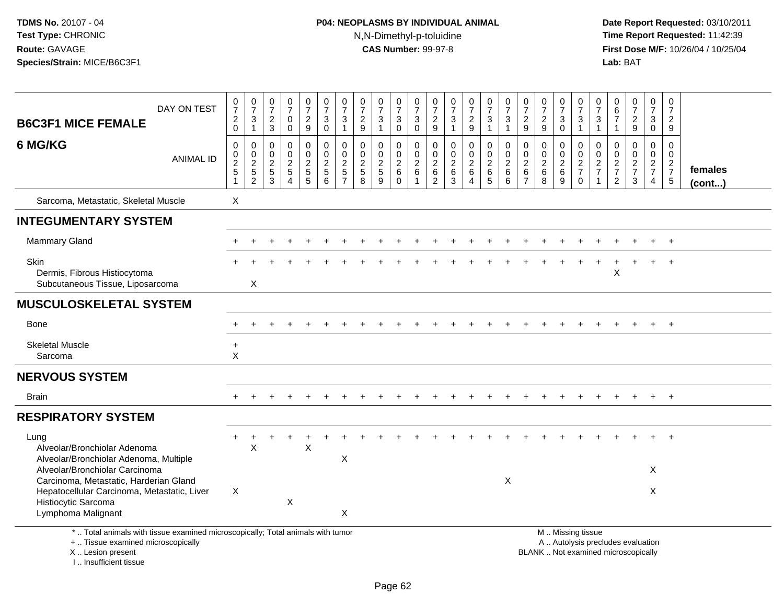# **P04: NEOPLASMS BY INDIVIDUAL ANIMAL**N,N-Dimethyl-p-toluidine

| <b>B6C3F1 MICE FEMALE</b>                                                                                                                                           | DAY ON TEST      | $\begin{smallmatrix}0\\7\end{smallmatrix}$<br>$^2_{\rm 0}$ | $\frac{0}{7}$<br>$\ensuremath{\mathsf{3}}$<br>$\mathbf{1}$ | $\begin{array}{c} 0 \\ 7 \end{array}$<br>$\frac{2}{3}$        | $\frac{0}{7}$<br>0<br>$\mathbf 0$                                     | $\begin{array}{c} 0 \\ 7 \end{array}$<br>$\frac{2}{9}$ | $\frac{0}{7}$<br>$\mathbf{3}$<br>$\mathbf 0$          | 0<br>$\overline{7}$<br>3<br>$\mathbf{1}$     | $\frac{0}{7}$<br>$\sqrt{2}$<br>9            | 0<br>$\overline{7}$<br>$\ensuremath{\mathsf{3}}$<br>$\mathbf{1}$ | $\begin{array}{c} 0 \\ 7 \end{array}$<br>$\ensuremath{\mathsf{3}}$<br>$\mathbf 0$ | 0<br>$\overline{7}$<br>3<br>$\mathbf 0$ | $\frac{0}{7}$<br>$\overline{c}$<br>$\boldsymbol{9}$ | $\frac{0}{7}$<br>$\ensuremath{\mathsf{3}}$<br>$\mathbf{1}$ | $\mathbf 0$<br>$\overline{7}$<br>$\frac{2}{9}$                  | $\begin{array}{c} 0 \\ 7 \end{array}$<br>$\ensuremath{\mathsf{3}}$<br>$\mathbf{1}$    | 0<br>$\overline{7}$<br>$\ensuremath{\mathsf{3}}$<br>$\mathbf{1}$ | $\frac{0}{7}$<br>$\boldsymbol{2}$<br>9                                    | $\frac{0}{7}$<br>$\frac{2}{9}$ | $\frac{0}{7}$<br>$\mathbf{3}$<br>$\mathbf 0$                              | 0<br>$\overline{7}$<br>$\ensuremath{\mathsf{3}}$<br>$\mathbf{1}$                              | $\mathbf 0$<br>$\overline{7}$<br>$\sqrt{3}$<br>$\overline{1}$ | 0<br>$\overline{6}$<br>$\overline{7}$<br>$\overline{1}$       | $\begin{array}{c} 0 \\ 7 \end{array}$<br>$\frac{2}{9}$      | 0<br>$\overline{7}$<br>$\mathbf{3}$<br>$\mathbf 0$            | 0<br>$\overline{7}$<br>$\overline{c}$<br>9    |                         |
|---------------------------------------------------------------------------------------------------------------------------------------------------------------------|------------------|------------------------------------------------------------|------------------------------------------------------------|---------------------------------------------------------------|-----------------------------------------------------------------------|--------------------------------------------------------|-------------------------------------------------------|----------------------------------------------|---------------------------------------------|------------------------------------------------------------------|-----------------------------------------------------------------------------------|-----------------------------------------|-----------------------------------------------------|------------------------------------------------------------|-----------------------------------------------------------------|---------------------------------------------------------------------------------------|------------------------------------------------------------------|---------------------------------------------------------------------------|--------------------------------|---------------------------------------------------------------------------|-----------------------------------------------------------------------------------------------|---------------------------------------------------------------|---------------------------------------------------------------|-------------------------------------------------------------|---------------------------------------------------------------|-----------------------------------------------|-------------------------|
| 6 MG/KG                                                                                                                                                             | <b>ANIMAL ID</b> | $\mathbf 0$<br>$\pmb{0}$<br>$\overline{2}$<br>$\sqrt{5}$   | $\mathbf 0$<br>$\mathbf 0$<br>$\frac{2}{5}$                | $\mathbf 0$<br>$\mathbf 0$<br>$\overline{2}$<br>$\frac{5}{3}$ | $\mathbf 0$<br>$\mathbf 0$<br>$\frac{2}{5}$<br>$\boldsymbol{\Lambda}$ | 0<br>$\mathbf 0$<br>$\overline{2}$<br>$\frac{5}{5}$    | $\pmb{0}$<br>$\pmb{0}$<br>$\sqrt{2}$<br>$\frac{5}{6}$ | $\mathbf 0$<br>0<br>$\sqrt{2}$<br>$\sqrt{5}$ | $\mathbf 0$<br>$\mathbf 0$<br>$\frac{2}{5}$ | 0<br>$\mathbf 0$<br>$\sqrt{2}$<br>$\frac{5}{9}$                  | $\mathbf 0$<br>$\mathbf 0$<br>$\overline{2}$<br>$\,6\,$<br>$\Omega$               | 0<br>0<br>$\boldsymbol{2}$<br>$\,6\,$   | $\mathbf 0$<br>0<br>$\overline{2}$<br>$\frac{6}{2}$ | $\mathbf 0$<br>$\pmb{0}$<br>$\overline{2}$<br>$^6_3$       | $\mathbf 0$<br>$\mathbf 0$<br>$\sqrt{2}$<br>6<br>$\overline{4}$ | $\mathbf 0$<br>$\mathbf 0$<br>$\overline{c}$<br>$\begin{array}{c} 6 \\ 5 \end{array}$ | $\mathbf 0$<br>$\mathbf 0$<br>$\sqrt{2}$<br>$\,6\,$<br>6         | $\mathbf 0$<br>$\mathbf 0$<br>$\boldsymbol{2}$<br>$\,6$<br>$\overline{7}$ | 0<br>0<br>$\frac{2}{6}$        | $\mathbf 0$<br>$\mathbf 0$<br>$\overline{2}$<br>$\,6\,$<br>$\overline{9}$ | $\mathbf 0$<br>$\pmb{0}$<br>$\frac{2}{7}$<br>$\mathbf 0$                                      | $\mathbf 0$<br>0<br>$\frac{2}{7}$                             | $\mathbf 0$<br>$\mathbf 0$<br>$\frac{2}{7}$<br>$\overline{2}$ | $\mathbf 0$<br>$\mathbf 0$<br>$\frac{2}{7}$<br>$\mathbf{3}$ | $\mathbf 0$<br>$\mathbf 0$<br>$\frac{2}{7}$<br>$\overline{4}$ | $\Omega$<br>$\mathbf 0$<br>$\frac{2}{7}$<br>5 | females<br>$($ cont $)$ |
| Sarcoma, Metastatic, Skeletal Muscle                                                                                                                                |                  | $\boldsymbol{\mathsf{X}}$                                  |                                                            |                                                               |                                                                       |                                                        |                                                       |                                              |                                             |                                                                  |                                                                                   |                                         |                                                     |                                                            |                                                                 |                                                                                       |                                                                  |                                                                           |                                |                                                                           |                                                                                               |                                                               |                                                               |                                                             |                                                               |                                               |                         |
| <b>INTEGUMENTARY SYSTEM</b>                                                                                                                                         |                  |                                                            |                                                            |                                                               |                                                                       |                                                        |                                                       |                                              |                                             |                                                                  |                                                                                   |                                         |                                                     |                                                            |                                                                 |                                                                                       |                                                                  |                                                                           |                                |                                                                           |                                                                                               |                                                               |                                                               |                                                             |                                                               |                                               |                         |
| <b>Mammary Gland</b>                                                                                                                                                |                  |                                                            |                                                            |                                                               |                                                                       |                                                        |                                                       |                                              |                                             |                                                                  |                                                                                   |                                         |                                                     |                                                            |                                                                 |                                                                                       |                                                                  |                                                                           |                                |                                                                           |                                                                                               |                                                               |                                                               |                                                             |                                                               | $\ddot{}$                                     |                         |
| Skin<br>Dermis, Fibrous Histiocytoma<br>Subcutaneous Tissue, Liposarcoma                                                                                            |                  |                                                            | $\boldsymbol{\mathsf{X}}$                                  |                                                               |                                                                       |                                                        |                                                       |                                              |                                             |                                                                  |                                                                                   |                                         |                                                     |                                                            |                                                                 |                                                                                       |                                                                  |                                                                           |                                |                                                                           |                                                                                               |                                                               | X                                                             |                                                             |                                                               | $\ddot{}$                                     |                         |
| <b>MUSCULOSKELETAL SYSTEM</b>                                                                                                                                       |                  |                                                            |                                                            |                                                               |                                                                       |                                                        |                                                       |                                              |                                             |                                                                  |                                                                                   |                                         |                                                     |                                                            |                                                                 |                                                                                       |                                                                  |                                                                           |                                |                                                                           |                                                                                               |                                                               |                                                               |                                                             |                                                               |                                               |                         |
| Bone                                                                                                                                                                |                  |                                                            |                                                            |                                                               |                                                                       |                                                        |                                                       |                                              |                                             |                                                                  |                                                                                   |                                         |                                                     |                                                            |                                                                 |                                                                                       |                                                                  |                                                                           |                                |                                                                           |                                                                                               |                                                               |                                                               |                                                             | $\ddot{}$                                                     | $+$                                           |                         |
| <b>Skeletal Muscle</b><br>Sarcoma                                                                                                                                   |                  | $\ddot{}$<br>X                                             |                                                            |                                                               |                                                                       |                                                        |                                                       |                                              |                                             |                                                                  |                                                                                   |                                         |                                                     |                                                            |                                                                 |                                                                                       |                                                                  |                                                                           |                                |                                                                           |                                                                                               |                                                               |                                                               |                                                             |                                                               |                                               |                         |
| <b>NERVOUS SYSTEM</b>                                                                                                                                               |                  |                                                            |                                                            |                                                               |                                                                       |                                                        |                                                       |                                              |                                             |                                                                  |                                                                                   |                                         |                                                     |                                                            |                                                                 |                                                                                       |                                                                  |                                                                           |                                |                                                                           |                                                                                               |                                                               |                                                               |                                                             |                                                               |                                               |                         |
| <b>Brain</b>                                                                                                                                                        |                  |                                                            |                                                            |                                                               |                                                                       |                                                        |                                                       |                                              |                                             |                                                                  |                                                                                   |                                         |                                                     |                                                            |                                                                 |                                                                                       |                                                                  |                                                                           |                                |                                                                           |                                                                                               |                                                               |                                                               |                                                             |                                                               | $\ddot{}$                                     |                         |
| <b>RESPIRATORY SYSTEM</b>                                                                                                                                           |                  |                                                            |                                                            |                                                               |                                                                       |                                                        |                                                       |                                              |                                             |                                                                  |                                                                                   |                                         |                                                     |                                                            |                                                                 |                                                                                       |                                                                  |                                                                           |                                |                                                                           |                                                                                               |                                                               |                                                               |                                                             |                                                               |                                               |                         |
| Lung<br>Alveolar/Bronchiolar Adenoma<br>Alveolar/Bronchiolar Adenoma, Multiple                                                                                      |                  |                                                            | $\sf X$                                                    |                                                               |                                                                       | $\boldsymbol{\mathsf{X}}$                              |                                                       | Χ                                            |                                             |                                                                  |                                                                                   |                                         |                                                     |                                                            |                                                                 |                                                                                       |                                                                  |                                                                           |                                |                                                                           |                                                                                               |                                                               |                                                               |                                                             |                                                               |                                               |                         |
| Alveolar/Bronchiolar Carcinoma<br>Carcinoma, Metastatic, Harderian Gland<br>Hepatocellular Carcinoma, Metastatic, Liver                                             |                  | $\boldsymbol{\mathsf{X}}$                                  |                                                            |                                                               |                                                                       |                                                        |                                                       |                                              |                                             |                                                                  |                                                                                   |                                         |                                                     |                                                            |                                                                 |                                                                                       | X                                                                |                                                                           |                                |                                                                           |                                                                                               |                                                               |                                                               |                                                             | X<br>$\times$                                                 |                                               |                         |
| Histiocytic Sarcoma<br>Lymphoma Malignant                                                                                                                           |                  |                                                            |                                                            |                                                               | X                                                                     |                                                        |                                                       | $\boldsymbol{\mathsf{X}}$                    |                                             |                                                                  |                                                                                   |                                         |                                                     |                                                            |                                                                 |                                                                                       |                                                                  |                                                                           |                                |                                                                           |                                                                                               |                                                               |                                                               |                                                             |                                                               |                                               |                         |
| *  Total animals with tissue examined microscopically; Total animals with tumor<br>+  Tissue examined microscopically<br>X  Lesion present<br>I Insufficient tissue |                  |                                                            |                                                            |                                                               |                                                                       |                                                        |                                                       |                                              |                                             |                                                                  |                                                                                   |                                         |                                                     |                                                            |                                                                 |                                                                                       |                                                                  |                                                                           |                                |                                                                           | M. Missing tissue<br>A  Autolysis precludes evaluation<br>BLANK  Not examined microscopically |                                                               |                                                               |                                                             |                                                               |                                               |                         |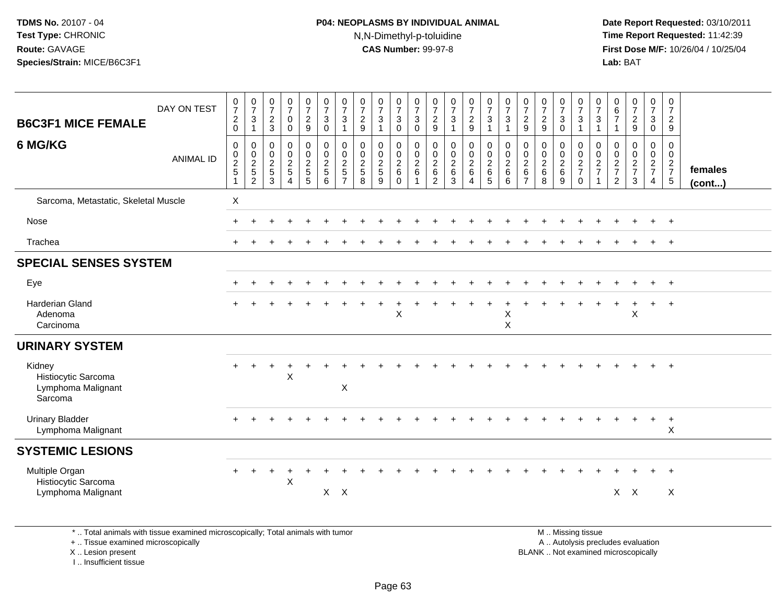## **P04: NEOPLASMS BY INDIVIDUAL ANIMAL**N,N-Dimethyl-p-toluidine

 **Date Report Requested:** 03/10/2011 **Time Report Requested:** 11:42:39 **First Dose M/F:** 10/26/04 / 10/25/04 Lab: BAT **Lab:** BAT

| $\frac{0}{7}$<br>$\frac{2}{0}$                                                 | $\frac{0}{7}$<br>3<br>$\mathbf{1}$                | $\frac{0}{7}$<br>$\frac{2}{3}$                                 | $\frac{0}{7}$<br>$\mathbf 0$<br>$\mathbf 0$     | $\frac{0}{7}$<br>$\frac{2}{9}$         | $\frac{0}{7}$<br>$_{0}^{3}$                                        | $\frac{0}{7}$<br>3<br>$\overline{1}$                               | $\frac{0}{7}$<br>$\sqrt{2}$<br>$9\,$                            | $\frac{0}{7}$<br>3<br>$\mathbf{1}$                | $\frac{0}{7}$<br>$\frac{3}{0}$         | $\frac{0}{7}$<br>3<br>0                                   | $\frac{0}{7}$<br>$\frac{2}{9}$                    | $\frac{0}{7}$<br>$\mathsf 3$<br>$\mathbf{1}$              | $\frac{0}{7}$<br>$\frac{2}{9}$                 | $\frac{0}{7}$<br>$\mathbf{3}$<br>$\overline{1}$ | $\frac{0}{7}$<br>$\mathbf{3}$<br>1         | $\frac{0}{7}$<br>$\frac{2}{9}$                                                 | $\frac{0}{7}$<br>$\frac{2}{9}$                             | $\frac{0}{7}$<br>$\frac{3}{0}$ | $\frac{0}{7}$<br>$\ensuremath{\mathsf{3}}$<br>$\mathbf{1}$ | $\frac{0}{7}$<br>3<br>$\overline{1}$ | $\begin{array}{c} 0 \\ 6 \\ 7 \end{array}$<br>$\mathbf{1}$     | $\frac{0}{7}$<br>$\frac{2}{9}$         | $\frac{0}{7}$<br>$\frac{3}{0}$               | $\frac{0}{7}$<br>$\overline{2}$<br>9                 |                   |
|--------------------------------------------------------------------------------|---------------------------------------------------|----------------------------------------------------------------|-------------------------------------------------|----------------------------------------|--------------------------------------------------------------------|--------------------------------------------------------------------|-----------------------------------------------------------------|---------------------------------------------------|----------------------------------------|-----------------------------------------------------------|---------------------------------------------------|-----------------------------------------------------------|------------------------------------------------|-------------------------------------------------|--------------------------------------------|--------------------------------------------------------------------------------|------------------------------------------------------------|--------------------------------|------------------------------------------------------------|--------------------------------------|----------------------------------------------------------------|----------------------------------------|----------------------------------------------|------------------------------------------------------|-------------------|
| $\boldsymbol{0}$<br>$\begin{array}{c} 0 \\ 2 \\ 5 \end{array}$<br>$\mathbf{1}$ | 0<br>$\pmb{0}$<br>$\frac{2}{5}$<br>$\overline{c}$ | $\mathbf 0$<br>$\begin{array}{c} 0 \\ 2 \\ 5 \end{array}$<br>3 | $\pmb{0}$<br>$\mathsf{O}$<br>$\frac{2}{5}$<br>4 | 0<br>$\mathbf 0$<br>$\frac{2}{5}$<br>5 | $\begin{array}{c} 0 \\ 0 \\ 2 \\ 5 \end{array}$<br>$6\phantom{1}6$ | 0<br>$\mathbf 0$<br>$\overline{c}$<br>$\sqrt{5}$<br>$\overline{7}$ | $\mathbf 0$<br>$\mathbf 0$<br>$\sqrt{2}$<br>$\overline{5}$<br>8 | 0<br>$\mathbf 0$<br>$\sqrt{2}$<br>$\sqrt{5}$<br>9 | $\pmb{0}$<br>$\frac{0}{2}$<br>$\Omega$ | 0<br>$\mathbf 0$<br>$\overline{c}$<br>$6\phantom{1}$<br>1 | 0<br>$\pmb{0}$<br>$\frac{2}{6}$<br>$\overline{c}$ | $\pmb{0}$<br>$\mathbf 0$<br>$\frac{2}{6}$<br>$\mathbf{3}$ | $\pmb{0}$<br>$\mathbf 0$<br>$\frac{2}{6}$<br>4 | $\pmb{0}$<br>$\frac{0}{2}$<br>$\sqrt{5}$        | 0<br>$\pmb{0}$<br>$\overline{c}$<br>6<br>6 | $\pmb{0}$<br>$\begin{smallmatrix} 0\\2\\6 \end{smallmatrix}$<br>$\overline{7}$ | $\mathbf 0$<br>$\pmb{0}$<br>$\overline{c}$<br>$\,6\,$<br>8 | 0<br>$\frac{0}{2}$ 6<br>$9\,$  | $\pmb{0}$<br>$\frac{0}{2}$<br>$\mathbf 0$                  | 0<br>$\pmb{0}$<br>$\frac{2}{7}$      | $\,0\,$<br>$\boldsymbol{0}$<br>$\frac{2}{7}$<br>$\overline{2}$ | 0<br>$\mathbf 0$<br>$\frac{2}{7}$<br>3 | $\pmb{0}$<br>$\frac{0}{2}$<br>$\overline{4}$ | 0<br>$\mathbf 0$<br>$\frac{2}{7}$<br>$5\phantom{.0}$ | females<br>(cont) |
| $\pmb{\times}$                                                                 |                                                   |                                                                |                                                 |                                        |                                                                    |                                                                    |                                                                 |                                                   |                                        |                                                           |                                                   |                                                           |                                                |                                                 |                                            |                                                                                |                                                            |                                |                                                            |                                      |                                                                |                                        |                                              |                                                      |                   |
|                                                                                |                                                   |                                                                |                                                 |                                        |                                                                    |                                                                    |                                                                 |                                                   |                                        |                                                           |                                                   |                                                           |                                                |                                                 |                                            |                                                                                |                                                            |                                |                                                            |                                      |                                                                |                                        |                                              | $^{+}$                                               |                   |
|                                                                                |                                                   |                                                                |                                                 |                                        |                                                                    |                                                                    |                                                                 |                                                   |                                        |                                                           |                                                   |                                                           |                                                |                                                 |                                            |                                                                                |                                                            |                                |                                                            |                                      |                                                                |                                        |                                              | $\ddot{}$                                            |                   |
|                                                                                |                                                   |                                                                |                                                 |                                        |                                                                    |                                                                    |                                                                 |                                                   |                                        |                                                           |                                                   |                                                           |                                                |                                                 |                                            |                                                                                |                                                            |                                |                                                            |                                      |                                                                |                                        |                                              |                                                      |                   |
|                                                                                |                                                   |                                                                |                                                 |                                        |                                                                    |                                                                    |                                                                 |                                                   |                                        |                                                           |                                                   |                                                           |                                                |                                                 |                                            |                                                                                |                                                            |                                |                                                            |                                      |                                                                |                                        |                                              | $\ddot{}$                                            |                   |
|                                                                                |                                                   |                                                                |                                                 |                                        |                                                                    |                                                                    |                                                                 |                                                   | $\mathsf{X}$                           |                                                           |                                                   |                                                           |                                                |                                                 | $\mathsf X$<br>X                           |                                                                                |                                                            |                                |                                                            |                                      |                                                                | X                                      | $+$                                          | $+$                                                  |                   |
|                                                                                |                                                   |                                                                |                                                 |                                        |                                                                    |                                                                    |                                                                 |                                                   |                                        |                                                           |                                                   |                                                           |                                                |                                                 |                                            |                                                                                |                                                            |                                |                                                            |                                      |                                                                |                                        |                                              |                                                      |                   |
|                                                                                |                                                   |                                                                | $\overline{1}$<br>$\sf X$                       |                                        |                                                                    | $\boldsymbol{\mathsf{X}}$                                          |                                                                 |                                                   |                                        |                                                           |                                                   |                                                           |                                                |                                                 |                                            |                                                                                |                                                            |                                |                                                            |                                      |                                                                |                                        |                                              | $+$                                                  |                   |
|                                                                                |                                                   |                                                                |                                                 |                                        |                                                                    |                                                                    |                                                                 |                                                   |                                        |                                                           |                                                   |                                                           |                                                |                                                 |                                            |                                                                                |                                                            |                                |                                                            |                                      |                                                                |                                        |                                              | $\ddot{}$<br>X                                       |                   |
|                                                                                |                                                   |                                                                |                                                 |                                        |                                                                    |                                                                    |                                                                 |                                                   |                                        |                                                           |                                                   |                                                           |                                                |                                                 |                                            |                                                                                |                                                            |                                |                                                            |                                      |                                                                |                                        |                                              |                                                      |                   |
|                                                                                |                                                   |                                                                | $\overline{1}$<br>$\sf X$                       |                                        |                                                                    |                                                                    |                                                                 |                                                   |                                        |                                                           |                                                   |                                                           |                                                |                                                 |                                            |                                                                                |                                                            |                                |                                                            |                                      |                                                                |                                        |                                              | $\ddot{}$<br>X                                       |                   |
| <b>ANIMAL ID</b>                                                               |                                                   |                                                                |                                                 |                                        |                                                                    |                                                                    | $X$ $X$                                                         |                                                   |                                        |                                                           |                                                   |                                                           |                                                |                                                 |                                            |                                                                                |                                                            |                                |                                                            |                                      |                                                                |                                        | $X$ $X$                                      |                                                      |                   |

\* .. Total animals with tissue examined microscopically; Total animals with tumor

+ .. Tissue examined microscopically

X .. Lesion present

I .. Insufficient tissue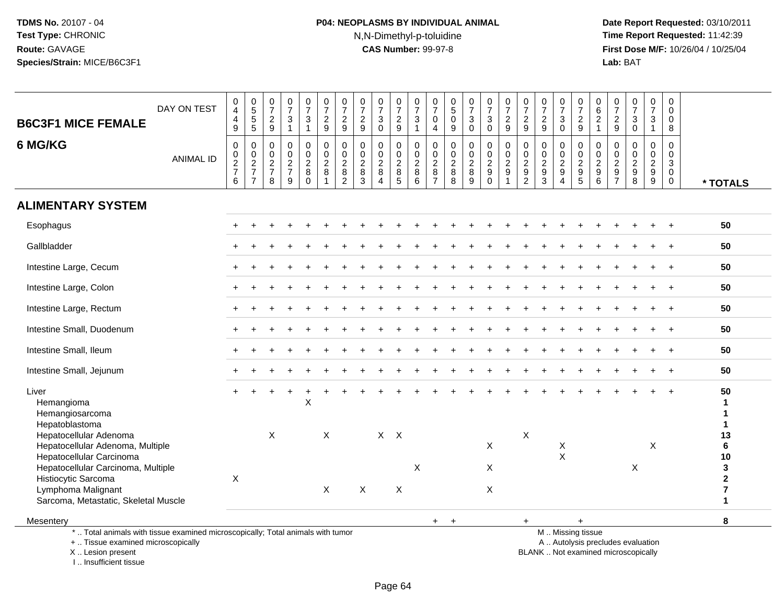# **P04: NEOPLASMS BY INDIVIDUAL ANIMAL**N,N-Dimethyl-p-toluidine

 **Date Report Requested:** 03/10/2011 **Time Report Requested:** 11:42:39 **First Dose M/F:** 10/26/04 / 10/25/04<br>Lab: BAT **Lab:** BAT

| <b>B6C3F1 MICE FEMALE</b>                                                                                                                  | DAY ON TEST      | 0<br>$\overline{4}$<br>$\overline{\mathbf{4}}$<br>9                       | 0<br>5<br>5<br>5                                 | $\frac{0}{7}$<br>$\frac{2}{9}$                   | $\frac{0}{7}$<br>3<br>1                | $\frac{0}{7}$<br>$\mathbf{3}$<br>$\mathbf{1}$ | $\frac{0}{7}$<br>$\frac{2}{9}$          | $\frac{0}{7}$<br>$\frac{2}{9}$                    | $\frac{0}{7}$<br>$\frac{2}{9}$                   | $\frac{0}{7}$<br>$\sqrt{3}$<br>$\overline{0}$ | $\frac{0}{7}$<br>$\frac{2}{9}$                   | 0<br>$\overline{7}$<br>3<br>$\mathbf{1}$ | $\frac{0}{7}$<br>$\mathbf 0$<br>$\overline{4}$      | $\begin{array}{c} 0 \\ 5 \end{array}$<br>$\pmb{0}$<br>9            | $\frac{0}{7}$<br>$\mathbf{3}$<br>$\Omega$ | $\frac{0}{7}$<br>$\sqrt{3}$<br>$\Omega$     | $\frac{0}{7}$<br>$\frac{2}{9}$                                 | $\frac{0}{7}$<br>$\frac{2}{9}$                                | 0<br>$\overline{7}$<br>$\frac{2}{9}$   | $\frac{0}{7}$<br>$\frac{3}{0}$ | 0<br>$\overline{7}$<br>$\frac{2}{9}$ | $_{6}^{\rm 0}$<br>$\overline{c}$<br>$\mathbf{1}$ | $\begin{smallmatrix}0\\7\end{smallmatrix}$<br>$\frac{2}{9}$              | $\frac{0}{7}$<br>$_{0}^{3}$          | $\frac{0}{7}$<br>$\mathbf{3}$<br>$\mathbf{1}$                   | 0<br>$\Omega$<br>$\Omega$<br>8                                |                                         |
|--------------------------------------------------------------------------------------------------------------------------------------------|------------------|---------------------------------------------------------------------------|--------------------------------------------------|--------------------------------------------------|----------------------------------------|-----------------------------------------------|-----------------------------------------|---------------------------------------------------|--------------------------------------------------|-----------------------------------------------|--------------------------------------------------|------------------------------------------|-----------------------------------------------------|--------------------------------------------------------------------|-------------------------------------------|---------------------------------------------|----------------------------------------------------------------|---------------------------------------------------------------|----------------------------------------|--------------------------------|--------------------------------------|--------------------------------------------------|--------------------------------------------------------------------------|--------------------------------------|-----------------------------------------------------------------|---------------------------------------------------------------|-----------------------------------------|
| 6 MG/KG                                                                                                                                    | <b>ANIMAL ID</b> | $\boldsymbol{0}$<br>$\begin{array}{c} 0 \\ 2 \\ 7 \end{array}$<br>$\,6\,$ | $\mathbf 0$<br>$\mathbf 0$<br>$\frac{2}{7}$<br>7 | $\mathbf 0$<br>$\mathbf 0$<br>$\frac{2}{7}$<br>8 | $\mathbf 0$<br>0<br>$\frac{2}{7}$<br>9 | 0<br>$\frac{0}{2}$<br>$\mathbf 0$             | $\pmb{0}$<br>$\pmb{0}$<br>$\frac{2}{8}$ | 0<br>$\pmb{0}$<br>$\frac{2}{8}$<br>$\overline{2}$ | $\mathbf 0$<br>$\mathbf 0$<br>$\frac{2}{8}$<br>3 | 0<br>0<br>$\frac{2}{8}$<br>4                  | $\mathbf 0$<br>$\mathbf 0$<br>$\frac{2}{8}$<br>5 | 0<br>0<br>$_{8}^2$<br>6                  | $\mathbf 0$<br>0<br>$\frac{2}{8}$<br>$\overline{7}$ | $\mathbf 0$<br>$\boldsymbol{0}$<br>$\frac{2}{8}$<br>$\overline{8}$ | $\mathbf 0$<br>0<br>$\frac{2}{8}$<br>9    | $\mathbf 0$<br>$\frac{0}{2}$<br>$\mathbf 0$ | $\mathbf 0$<br>$\mathbf 0$<br>$\overline{c}$<br>$\overline{9}$ | $\mathbf 0$<br>$\mathbf 0$<br>$\frac{2}{9}$<br>$\overline{2}$ | 0<br>$\mathbf 0$<br>$\frac{2}{9}$<br>3 | 0<br>$\frac{0}{2}$<br>4        | $\mathbf 0$<br>0<br>$\frac{2}{9}$    | $\mathbf 0$<br>0<br>$\frac{2}{9}$                | $\mathbf 0$<br>$\mathsf 0$<br>$\frac{2}{9}$<br>$\overline{7}$            | 0<br>$\frac{0}{2}$<br>$\overline{8}$ | $\mathbf 0$<br>$\mathbf 0$<br>$\frac{2}{9}$<br>$\boldsymbol{9}$ | $\mathbf 0$<br>$\mathbf 0$<br>3<br>$\mathbf 0$<br>$\mathbf 0$ | * TOTALS                                |
| <b>ALIMENTARY SYSTEM</b>                                                                                                                   |                  |                                                                           |                                                  |                                                  |                                        |                                               |                                         |                                                   |                                                  |                                               |                                                  |                                          |                                                     |                                                                    |                                           |                                             |                                                                |                                                               |                                        |                                |                                      |                                                  |                                                                          |                                      |                                                                 |                                                               |                                         |
| Esophagus                                                                                                                                  |                  |                                                                           |                                                  |                                                  |                                        |                                               |                                         |                                                   |                                                  |                                               |                                                  |                                          |                                                     |                                                                    |                                           |                                             |                                                                |                                                               |                                        |                                |                                      |                                                  |                                                                          |                                      |                                                                 |                                                               | 50                                      |
| Gallbladder                                                                                                                                |                  |                                                                           |                                                  |                                                  |                                        |                                               |                                         |                                                   |                                                  |                                               |                                                  |                                          |                                                     |                                                                    |                                           |                                             |                                                                |                                                               |                                        |                                |                                      |                                                  |                                                                          |                                      |                                                                 |                                                               | 50                                      |
| Intestine Large, Cecum                                                                                                                     |                  |                                                                           |                                                  |                                                  |                                        |                                               |                                         |                                                   |                                                  |                                               |                                                  |                                          |                                                     |                                                                    |                                           |                                             |                                                                |                                                               |                                        |                                |                                      |                                                  |                                                                          |                                      |                                                                 |                                                               | 50                                      |
| Intestine Large, Colon                                                                                                                     |                  |                                                                           |                                                  |                                                  |                                        |                                               |                                         |                                                   |                                                  |                                               |                                                  |                                          |                                                     |                                                                    |                                           |                                             |                                                                |                                                               |                                        |                                |                                      |                                                  |                                                                          |                                      |                                                                 |                                                               | 50                                      |
| Intestine Large, Rectum                                                                                                                    |                  |                                                                           |                                                  |                                                  |                                        |                                               |                                         |                                                   |                                                  |                                               |                                                  |                                          |                                                     |                                                                    |                                           |                                             |                                                                |                                                               |                                        |                                |                                      |                                                  |                                                                          |                                      |                                                                 |                                                               | 50                                      |
| Intestine Small, Duodenum                                                                                                                  |                  |                                                                           |                                                  |                                                  |                                        |                                               |                                         |                                                   |                                                  |                                               |                                                  |                                          |                                                     |                                                                    |                                           |                                             |                                                                |                                                               |                                        |                                |                                      |                                                  |                                                                          |                                      |                                                                 | $\ddot{+}$                                                    | 50                                      |
| Intestine Small, Ileum                                                                                                                     |                  |                                                                           |                                                  |                                                  |                                        |                                               |                                         |                                                   |                                                  |                                               |                                                  |                                          |                                                     |                                                                    |                                           |                                             |                                                                |                                                               |                                        |                                |                                      |                                                  |                                                                          |                                      |                                                                 |                                                               | 50                                      |
| Intestine Small, Jejunum                                                                                                                   |                  |                                                                           |                                                  |                                                  |                                        |                                               |                                         |                                                   |                                                  |                                               |                                                  |                                          |                                                     |                                                                    |                                           |                                             |                                                                |                                                               |                                        |                                |                                      |                                                  |                                                                          |                                      |                                                                 |                                                               | 50                                      |
| Liver<br>Hemangioma<br>Hemangiosarcoma<br>Hepatoblastoma<br>Hepatocellular Adenoma                                                         |                  |                                                                           |                                                  | X                                                |                                        | X                                             | $\times$                                |                                                   |                                                  | $X \times$                                    |                                                  |                                          |                                                     |                                                                    |                                           |                                             |                                                                | X                                                             |                                        |                                |                                      |                                                  |                                                                          |                                      |                                                                 |                                                               | 50<br>1<br>$\mathbf 1$<br>1<br>13       |
| Hepatocellular Adenoma, Multiple<br>Hepatocellular Carcinoma                                                                               |                  |                                                                           |                                                  |                                                  |                                        |                                               |                                         |                                                   |                                                  |                                               |                                                  |                                          |                                                     |                                                                    |                                           | X                                           |                                                                |                                                               |                                        | X<br>$\mathsf{X}$              |                                      |                                                  |                                                                          |                                      | X                                                               |                                                               | 6<br>10                                 |
| Hepatocellular Carcinoma, Multiple<br>Histiocytic Sarcoma                                                                                  |                  | X                                                                         |                                                  |                                                  |                                        |                                               |                                         |                                                   |                                                  |                                               |                                                  | Х                                        |                                                     |                                                                    |                                           | X                                           |                                                                |                                                               |                                        |                                |                                      |                                                  |                                                                          | X                                    |                                                                 |                                                               | 3<br>$\mathbf 2$                        |
| Lymphoma Malignant<br>Sarcoma, Metastatic, Skeletal Muscle                                                                                 |                  |                                                                           |                                                  |                                                  |                                        |                                               | X                                       |                                                   | $\boldsymbol{\mathsf{X}}$                        |                                               | $\boldsymbol{\mathsf{X}}$                        |                                          |                                                     |                                                                    |                                           | $\pmb{\times}$                              |                                                                |                                                               |                                        |                                |                                      |                                                  |                                                                          |                                      |                                                                 |                                                               | $\overline{\mathbf{7}}$<br>$\mathbf{1}$ |
| Mesentery                                                                                                                                  |                  |                                                                           |                                                  |                                                  |                                        |                                               |                                         |                                                   |                                                  |                                               |                                                  |                                          | $+$                                                 | $\ddot{}$                                                          |                                           |                                             |                                                                | $+$                                                           |                                        |                                | $\ddot{}$                            |                                                  |                                                                          |                                      |                                                                 |                                                               | 8                                       |
| *  Total animals with tissue examined microscopically; Total animals with tumor<br>+  Tissue examined microscopically<br>X  Lesion present |                  |                                                                           |                                                  |                                                  |                                        |                                               |                                         |                                                   |                                                  |                                               |                                                  |                                          |                                                     |                                                                    |                                           |                                             |                                                                |                                                               |                                        |                                | M  Missing tissue                    |                                                  | A  Autolysis precludes evaluation<br>BLANK  Not examined microscopically |                                      |                                                                 |                                                               |                                         |

I .. Insufficient tissue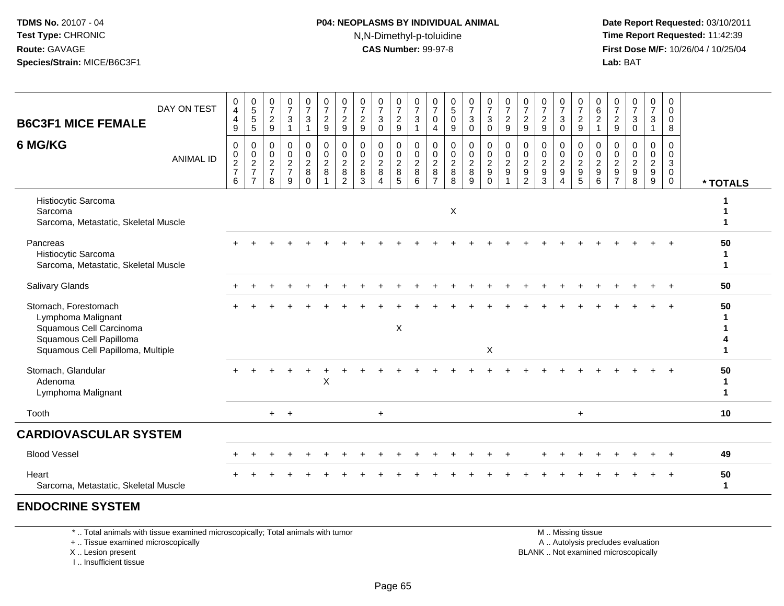## **P04: NEOPLASMS BY INDIVIDUAL ANIMAL**N,N-Dimethyl-p-toluidine

 **Date Report Requested:** 03/10/2011 **Time Report Requested:** 11:42:39 **First Dose M/F:** 10/26/04 / 10/25/04 Lab: BAT **Lab:** BAT

| <b>B6C3F1 MICE FEMALE</b>                                                                                                             | DAY ON TEST      | 0<br>$\overline{4}$<br>$\overline{\mathbf{4}}$<br>9  | $\begin{array}{c} 0 \\ 5 \\ 5 \end{array}$<br>$\sqrt{5}$ | $\frac{0}{7}$<br>$\boldsymbol{2}$<br>$\boldsymbol{9}$             | $\frac{0}{7}$<br>$\sqrt{3}$<br>$\mathbf{1}$                    | $\frac{0}{7}$<br>$\mathbf{3}$<br>$\mathbf{1}$                  | 0<br>$\boldsymbol{7}$<br>$\frac{2}{9}$            | $\frac{0}{7}$<br>$\frac{2}{9}$                              | $\frac{0}{7}$<br>$\overline{c}$<br>$9\,$       | $\frac{0}{7}$<br>$\mathbf{3}$<br>$\mathbf 0$                                 | $\frac{0}{7}$<br>$\overline{a}$<br>9       | $\frac{0}{7}$<br>$\ensuremath{\mathsf{3}}$<br>$\overline{1}$ | $\frac{0}{7}$<br>$\pmb{0}$<br>4              | 0<br>$\sqrt{5}$<br>$\pmb{0}$<br>$\boldsymbol{9}$          | $\frac{0}{7}$<br>$\ensuremath{\mathsf{3}}$<br>$\pmb{0}$ | $\frac{0}{7}$<br>$\ensuremath{\mathsf{3}}$<br>$\mathsf{O}\xspace$ | $\frac{0}{7}$<br>$\overline{c}$<br>9                  | $\frac{0}{7}$<br>$\frac{2}{9}$                            | $\frac{0}{7}$<br>$\sqrt{2}$<br>9                            | $\frac{0}{7}$<br>$\sqrt{3}$<br>$\mathbf 0$                          | 0<br>$\boldsymbol{7}$<br>$\frac{2}{9}$                      | 0<br>$\,6\,$<br>$\overline{2}$<br>$\mathbf{1}$                        | $\frac{0}{7}$<br>$\boldsymbol{2}$<br>$\boldsymbol{9}$     | $\frac{0}{7}$<br>$\ensuremath{\mathsf{3}}$<br>$\mathbf 0$             | $\frac{0}{7}$<br>3<br>$\mathbf{1}$                             | 0<br>$\mathbf 0$<br>$\pmb{0}$<br>8                   |                   |
|---------------------------------------------------------------------------------------------------------------------------------------|------------------|------------------------------------------------------|----------------------------------------------------------|-------------------------------------------------------------------|----------------------------------------------------------------|----------------------------------------------------------------|---------------------------------------------------|-------------------------------------------------------------|------------------------------------------------|------------------------------------------------------------------------------|--------------------------------------------|--------------------------------------------------------------|----------------------------------------------|-----------------------------------------------------------|---------------------------------------------------------|-------------------------------------------------------------------|-------------------------------------------------------|-----------------------------------------------------------|-------------------------------------------------------------|---------------------------------------------------------------------|-------------------------------------------------------------|-----------------------------------------------------------------------|-----------------------------------------------------------|-----------------------------------------------------------------------|----------------------------------------------------------------|------------------------------------------------------|-------------------|
| 6 MG/KG                                                                                                                               | <b>ANIMAL ID</b> | 0<br>$\begin{array}{c} 0 \\ 2 \\ 7 \end{array}$<br>6 | $\mathbf 0$<br>$\frac{0}{2}$<br>$\overline{7}$           | $\mathbf 0$<br>$\pmb{0}$<br>$\overline{2}$<br>$\overline{7}$<br>8 | $\mathbf 0$<br>$\begin{array}{c} 0 \\ 2 \\ 7 \end{array}$<br>9 | $\mathsf{O}$<br>$_2^0$<br>$\begin{matrix} 8 \\ 0 \end{matrix}$ | $\mathbf 0$<br>$\mathbf 0$<br>$\overline{2}$<br>8 | $\pmb{0}$<br>$\mathbf 0$<br>$\frac{2}{8}$<br>$\overline{2}$ | 0<br>$\mathbf 0$<br>$\boldsymbol{2}$<br>8<br>3 | $\pmb{0}$<br>$\pmb{0}$<br>$\overline{2}$<br>$\, 8$<br>$\boldsymbol{\Lambda}$ | 0<br>0<br>$\boldsymbol{2}$<br>$\,8\,$<br>5 | $\pmb{0}$<br>$\frac{0}{2}$<br>$\overline{6}$                 | $\pmb{0}$<br>$\frac{0}{2}$<br>$\overline{7}$ | 0<br>$\mathbf 0$<br>$\overline{2}$<br>8<br>$\overline{8}$ | $\pmb{0}$<br>$\frac{0}{2}$<br>9                         | 0<br>$\mathbf 0$<br>$\frac{2}{9}$<br>$\Omega$                     | $\mathbf 0$<br>$\mathbf 0$<br>$\overline{2}$<br>$9\,$ | $\pmb{0}$<br>$\pmb{0}$<br>$\frac{2}{9}$<br>$\overline{2}$ | 0<br>$\mathbf 0$<br>$\overline{2}$<br>$\boldsymbol{9}$<br>3 | $\mathbf 0$<br>$\pmb{0}$<br>$\overline{2}$<br>$\boldsymbol{9}$<br>Δ | 0<br>$\mathsf{O}\xspace$<br>$\frac{2}{9}$<br>$\overline{5}$ | $\mathbf 0$<br>$\mathbf 0$<br>$\overline{2}$<br>$\boldsymbol{9}$<br>6 | $\mathbf 0$<br>0<br>$\sqrt{2}$<br>$9\,$<br>$\overline{7}$ | $\mathbf 0$<br>$\mathbf 0$<br>$\overline{2}$<br>$\boldsymbol{9}$<br>8 | 0<br>$\mathbf 0$<br>$\begin{array}{c}\n 2 \\ 9 \\ \end{array}$ | 0<br>0<br>$\mathbf{3}$<br>$\mathbf 0$<br>$\mathbf 0$ | * TOTALS          |
| Histiocytic Sarcoma<br>Sarcoma<br>Sarcoma, Metastatic, Skeletal Muscle                                                                |                  |                                                      |                                                          |                                                                   |                                                                |                                                                |                                                   |                                                             |                                                |                                                                              |                                            |                                                              |                                              | X                                                         |                                                         |                                                                   |                                                       |                                                           |                                                             |                                                                     |                                                             |                                                                       |                                                           |                                                                       |                                                                |                                                      |                   |
| Pancreas<br>Histiocytic Sarcoma<br>Sarcoma, Metastatic, Skeletal Muscle                                                               |                  |                                                      |                                                          |                                                                   |                                                                |                                                                |                                                   |                                                             |                                                |                                                                              |                                            |                                                              |                                              |                                                           |                                                         |                                                                   |                                                       |                                                           |                                                             |                                                                     |                                                             |                                                                       |                                                           |                                                                       |                                                                |                                                      | 50<br>1<br>1      |
| Salivary Glands                                                                                                                       |                  |                                                      |                                                          |                                                                   |                                                                |                                                                |                                                   |                                                             |                                                |                                                                              |                                            |                                                              |                                              |                                                           |                                                         |                                                                   |                                                       |                                                           |                                                             |                                                                     |                                                             |                                                                       |                                                           |                                                                       |                                                                |                                                      | 50                |
| Stomach, Forestomach<br>Lymphoma Malignant<br>Squamous Cell Carcinoma<br>Squamous Cell Papilloma<br>Squamous Cell Papilloma, Multiple |                  |                                                      |                                                          |                                                                   |                                                                |                                                                |                                                   |                                                             |                                                |                                                                              | $\mathsf X$                                |                                                              |                                              |                                                           |                                                         | X                                                                 |                                                       |                                                           |                                                             |                                                                     |                                                             |                                                                       |                                                           |                                                                       |                                                                |                                                      | 50                |
| Stomach, Glandular<br>Adenoma<br>Lymphoma Malignant                                                                                   |                  |                                                      |                                                          |                                                                   |                                                                |                                                                | X                                                 |                                                             |                                                |                                                                              |                                            |                                                              |                                              |                                                           |                                                         |                                                                   |                                                       |                                                           |                                                             |                                                                     |                                                             |                                                                       |                                                           |                                                                       |                                                                |                                                      | 50<br>1<br>1      |
| Tooth                                                                                                                                 |                  |                                                      |                                                          | $+$                                                               | $+$                                                            |                                                                |                                                   |                                                             |                                                | $\ddot{}$                                                                    |                                            |                                                              |                                              |                                                           |                                                         |                                                                   |                                                       |                                                           |                                                             |                                                                     | $\ddot{}$                                                   |                                                                       |                                                           |                                                                       |                                                                |                                                      | 10                |
| <b>CARDIOVASCULAR SYSTEM</b>                                                                                                          |                  |                                                      |                                                          |                                                                   |                                                                |                                                                |                                                   |                                                             |                                                |                                                                              |                                            |                                                              |                                              |                                                           |                                                         |                                                                   |                                                       |                                                           |                                                             |                                                                     |                                                             |                                                                       |                                                           |                                                                       |                                                                |                                                      |                   |
| <b>Blood Vessel</b>                                                                                                                   |                  |                                                      |                                                          |                                                                   |                                                                |                                                                |                                                   |                                                             |                                                |                                                                              |                                            |                                                              |                                              |                                                           |                                                         |                                                                   |                                                       |                                                           |                                                             |                                                                     |                                                             |                                                                       |                                                           |                                                                       |                                                                |                                                      | 49                |
| Heart<br>Sarcoma, Metastatic, Skeletal Muscle                                                                                         |                  |                                                      |                                                          |                                                                   |                                                                |                                                                |                                                   |                                                             |                                                |                                                                              |                                            |                                                              |                                              |                                                           |                                                         |                                                                   |                                                       |                                                           |                                                             |                                                                     |                                                             |                                                                       |                                                           |                                                                       |                                                                |                                                      | 50<br>$\mathbf 1$ |
|                                                                                                                                       |                  |                                                      |                                                          |                                                                   |                                                                |                                                                |                                                   |                                                             |                                                |                                                                              |                                            |                                                              |                                              |                                                           |                                                         |                                                                   |                                                       |                                                           |                                                             |                                                                     |                                                             |                                                                       |                                                           |                                                                       |                                                                |                                                      |                   |

**ENDOCRINE SYSTEM**

\* .. Total animals with tissue examined microscopically; Total animals with tumor

+ .. Tissue examined microscopically

X .. Lesion present

I .. Insufficient tissue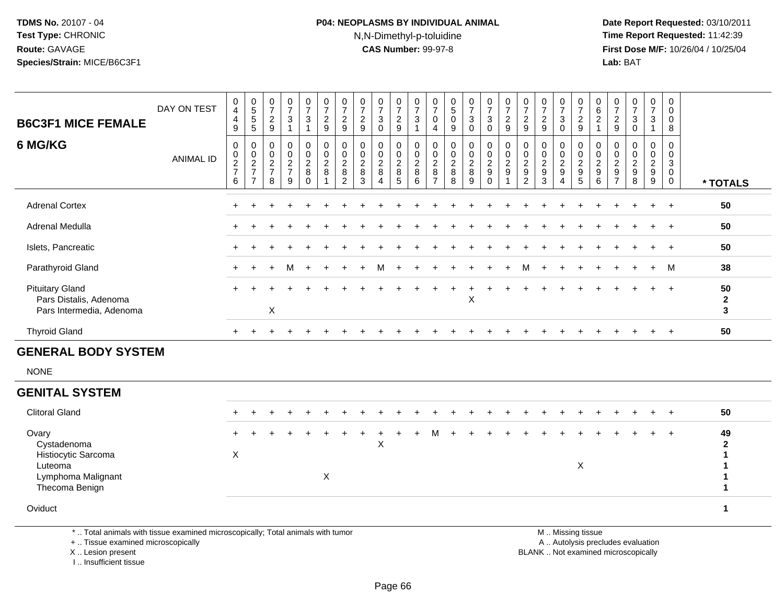## **P04: NEOPLASMS BY INDIVIDUAL ANIMAL**N,N-Dimethyl-p-toluidine

 **Date Report Requested:** 03/10/2011 **Time Report Requested:** 11:42:39 **First Dose M/F:** 10/26/04 / 10/25/04 Lab: BAT **Lab:** BAT

| <b>B6C3F1 MICE FEMALE</b>                                                    | DAY ON TEST      | 0<br>4<br>$\overline{a}$<br>9                        | $\begin{array}{c} 0 \\ 5 \\ 5 \end{array}$<br>5 | $\overline{\mathbf{7}}$<br>$\boldsymbol{2}$<br>9 | 0<br>$\overline{ }$<br>3             | $\frac{0}{7}$<br>$\mathbf{3}$ | 0<br>$\overline{ }$<br>$\boldsymbol{2}$<br>9 | 0<br>$\overline{z}$<br>$\boldsymbol{2}$<br>9        | $\overline{\mathcal{I}}$<br>$\mathbf 2$<br>9                 | $\overline{ }$<br>3<br>$\Omega$ | $\frac{0}{7}$<br>$\overline{c}$<br>9           | 0<br>$\overline{7}$<br>$\mathbf 3$                | $\frac{0}{7}$<br>$\pmb{0}$<br>$\overline{4}$      | $\overline{5}$<br>9                                  | 0<br>$\overline{7}$<br>3<br>$\Omega$             | $\frac{0}{7}$<br>$\sqrt{3}$<br>$\Omega$     | 0<br>$\overline{ }$<br>$\overline{c}$<br>9                    | 0<br>$\overline{7}$<br>$\frac{2}{9}$                                            | $\overline{7}$<br>$\overline{2}$<br>9                     | 0<br>$\overline{ }$<br>3<br>$\Omega$      | $\frac{0}{7}$<br>9                   | $\begin{array}{c} 0 \\ 6 \\ 2 \end{array}$      | $\overline{7}$<br>$\sqrt{2}$<br>9                 | $\boldsymbol{7}$<br>$\mathsf 3$<br>$\overline{0}$ | 0<br>$\overline{7}$<br>3     | $\mathbf 0$<br>$\mathbf 0$<br>$\pmb{0}$<br>8        |                                    |
|------------------------------------------------------------------------------|------------------|------------------------------------------------------|-------------------------------------------------|--------------------------------------------------|--------------------------------------|-------------------------------|----------------------------------------------|-----------------------------------------------------|--------------------------------------------------------------|---------------------------------|------------------------------------------------|---------------------------------------------------|---------------------------------------------------|------------------------------------------------------|--------------------------------------------------|---------------------------------------------|---------------------------------------------------------------|---------------------------------------------------------------------------------|-----------------------------------------------------------|-------------------------------------------|--------------------------------------|-------------------------------------------------|---------------------------------------------------|---------------------------------------------------|------------------------------|-----------------------------------------------------|------------------------------------|
| 6 MG/KG                                                                      | <b>ANIMAL ID</b> | 0<br>$\begin{array}{c} 0 \\ 2 \\ 7 \end{array}$<br>6 | 00027<br>$\overline{z}$                         | 0<br>$\boldsymbol{0}$<br>$\frac{2}{7}$<br>8      | 0<br>$\bar{0}$<br>$\frac{2}{7}$<br>9 | 00028<br>0                    | $_{\rm 0}^{\rm 0}$<br>$\frac{2}{8}$          | 0<br>$\mathsf 0$<br>$\frac{2}{8}$<br>$\overline{2}$ | 0<br>$\pmb{0}$<br>$\begin{array}{c} 2 \\ 8 \end{array}$<br>3 | 0<br>$\frac{2}{8}$              | 0<br>$\mathsf{O}\xspace$<br>$\frac{2}{8}$<br>5 | 0<br>$\pmb{0}$<br>$\frac{2}{8}$<br>$6\phantom{1}$ | 0<br>$\pmb{0}$<br>$\frac{2}{8}$<br>$\overline{z}$ | 0<br>$\begin{array}{c} 0 \\ 2 \\ 8 \end{array}$<br>8 | $\mathbf 0$<br>$\mathsf 0$<br>$\frac{2}{8}$<br>9 | 0<br>$\pmb{0}$<br>$\frac{2}{9}$<br>$\Omega$ | $\begin{smallmatrix} 0\\0 \end{smallmatrix}$<br>$\frac{2}{9}$ | $\begin{smallmatrix} 0\\0 \end{smallmatrix}$<br>$\frac{2}{9}$<br>$\overline{2}$ | 0<br>$\ddot{\mathbf{0}}$<br>$\frac{2}{9}$<br>$\mathbf{3}$ | 0<br>0<br>$\frac{2}{9}$<br>$\overline{4}$ | 0<br>$\pmb{0}$<br>$\frac{2}{9}$<br>5 | 0<br>$\overline{0}$<br>$\frac{2}{9}$<br>$\,6\,$ | 0<br>$\pmb{0}$<br>$\frac{2}{9}$<br>$\overline{z}$ | 0<br>$\mathbf 0$<br>$\frac{2}{9}$<br>8            | 0<br>0<br>$\frac{2}{9}$<br>9 | 0<br>$\sqrt{3}$<br>$\pmb{0}$<br>$\mathsf{O}\xspace$ | * TOTALS                           |
| <b>Adrenal Cortex</b>                                                        |                  |                                                      |                                                 |                                                  |                                      |                               |                                              |                                                     |                                                              |                                 |                                                |                                                   |                                                   |                                                      |                                                  |                                             |                                                               |                                                                                 |                                                           |                                           |                                      |                                                 |                                                   |                                                   |                              |                                                     | 50                                 |
| Adrenal Medulla                                                              |                  |                                                      |                                                 |                                                  |                                      |                               |                                              |                                                     |                                                              |                                 |                                                |                                                   |                                                   |                                                      |                                                  |                                             |                                                               |                                                                                 |                                                           |                                           |                                      |                                                 |                                                   |                                                   |                              |                                                     | 50                                 |
| Islets, Pancreatic                                                           |                  |                                                      |                                                 |                                                  |                                      |                               |                                              |                                                     |                                                              |                                 |                                                |                                                   |                                                   |                                                      |                                                  |                                             |                                                               |                                                                                 |                                                           |                                           |                                      |                                                 |                                                   |                                                   |                              |                                                     | 50                                 |
| Parathyroid Gland                                                            |                  |                                                      |                                                 |                                                  | м                                    | $+$                           |                                              |                                                     |                                                              | M                               |                                                |                                                   |                                                   |                                                      |                                                  |                                             |                                                               | м                                                                               |                                                           |                                           |                                      |                                                 |                                                   |                                                   | $+$                          | M                                                   | 38                                 |
| <b>Pituitary Gland</b><br>Pars Distalis, Adenoma<br>Pars Intermedia, Adenoma |                  | $+$                                                  |                                                 | $\sf X$                                          |                                      |                               |                                              |                                                     |                                                              |                                 |                                                |                                                   |                                                   |                                                      | X                                                |                                             |                                                               |                                                                                 |                                                           |                                           |                                      |                                                 |                                                   |                                                   |                              | $\overline{+}$                                      | 50<br>$\mathbf{2}$<br>$\mathbf{3}$ |
| <b>Thyroid Gland</b>                                                         |                  |                                                      |                                                 |                                                  |                                      |                               |                                              |                                                     |                                                              |                                 |                                                |                                                   |                                                   |                                                      |                                                  |                                             |                                                               |                                                                                 |                                                           |                                           |                                      |                                                 |                                                   |                                                   | $\ddot{}$                    | $\pm$                                               | 50                                 |
|                                                                              |                  |                                                      |                                                 |                                                  |                                      |                               |                                              |                                                     |                                                              |                                 |                                                |                                                   |                                                   |                                                      |                                                  |                                             |                                                               |                                                                                 |                                                           |                                           |                                      |                                                 |                                                   |                                                   |                              |                                                     |                                    |

#### **GENERAL BODY SYSTEM**

NONE

| <b>GENITAL SYSTEM</b>                                                                          |     |  |  |                   |  |   |  |  |  |     |         |   |         |  |         |         |
|------------------------------------------------------------------------------------------------|-----|--|--|-------------------|--|---|--|--|--|-----|---------|---|---------|--|---------|---------|
| <b>Clitoral Gland</b>                                                                          | $+$ |  |  |                   |  |   |  |  |  | $+$ | $+$ $+$ |   | $+$ $+$ |  | $+$ $+$ | 50      |
| Ovary<br>Cystadenoma<br>Histiocytic Sarcoma<br>Luteoma<br>Lymphoma Malignant<br>Thecoma Benign | ∧   |  |  | $\checkmark$<br>A |  | X |  |  |  |     |         | X |         |  |         | 49<br>ົ |

**Oviduct 1**

\* .. Total animals with tissue examined microscopically; Total animals with tumor

+ .. Tissue examined microscopically

X .. Lesion present

I .. Insufficient tissue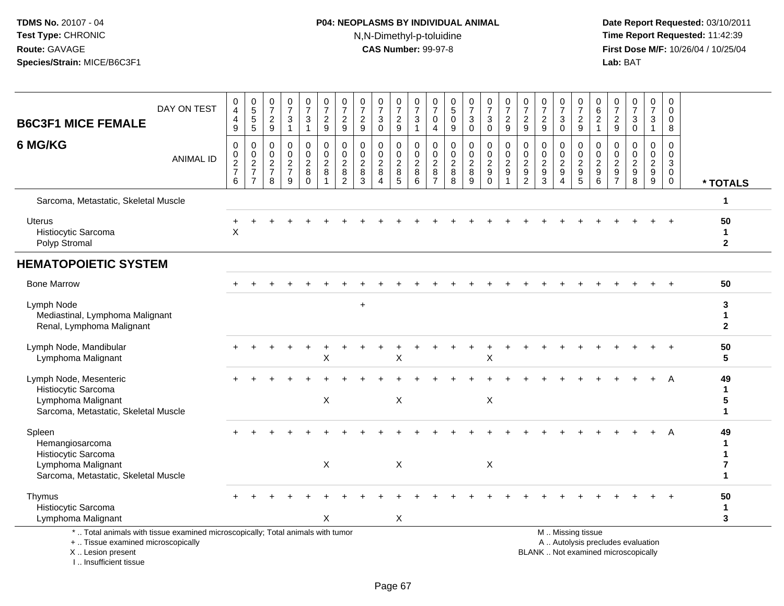# **P04: NEOPLASMS BY INDIVIDUAL ANIMAL**N,N-Dimethyl-p-toluidine

| <b>B6C3F1 MICE FEMALE</b>                                                                                                                  | DAY ON TEST      | 0<br>$\overline{\mathbf{4}}$<br>$\overline{4}$<br>9 | 0<br>$\overline{5}$<br>$\sqrt{5}$<br>$\sqrt{5}$                   | 0<br>$\overline{7}$<br>$\sqrt{2}$<br>9                              | 0<br>$\overline{7}$<br>$\sqrt{3}$<br>$\mathbf{1}$ | 0<br>$\overline{7}$<br>3<br>1                                 | $\frac{0}{7}$<br>$\sqrt{2}$<br>9                  | $\frac{0}{7}$<br>$\sqrt{2}$<br>$\boldsymbol{9}$           | 0<br>$\overline{7}$<br>$\sqrt{2}$<br>9            | $\frac{0}{7}$<br>$\sqrt{3}$<br>$\mathbf{0}$                 | 0<br>$\overline{7}$<br>$\overline{c}$<br>9 | 0<br>$\overline{7}$<br>$\mathbf{3}$<br>$\mathbf{1}$ | 0<br>$\overline{7}$<br>$\mathbf 0$<br>$\overline{4}$ | $\begin{array}{c} 0 \\ 5 \end{array}$<br>$\pmb{0}$<br>9 | $\frac{0}{7}$<br>$\sqrt{3}$<br>$\mathbf 0$ | 0<br>$\overline{7}$<br>$\ensuremath{\mathsf{3}}$<br>$\mathbf 0$ | $\frac{0}{7}$<br>$\sqrt{2}$<br>9           | 0<br>$\overline{7}$<br>$\sqrt{2}$<br>9                                           | $\frac{0}{7}$<br>$\sqrt{2}$<br>9                          | 0<br>$\overline{7}$<br>3<br>$\Omega$                                              | $\frac{0}{7}$<br>$\overline{\mathbf{c}}$<br>$9\,$ | 0<br>$\,6\,$<br>$\sqrt{2}$<br>$\mathbf{1}$             | 0<br>$\overline{7}$<br>$\overline{c}$<br>9          | $\frac{0}{7}$<br>$\sqrt{3}$<br>$\mathbf 0$                               | 0<br>$\overline{7}$<br>3<br>1          | 0<br>$\mathbf 0$<br>$\mathbf 0$<br>8                              |                                    |
|--------------------------------------------------------------------------------------------------------------------------------------------|------------------|-----------------------------------------------------|-------------------------------------------------------------------|---------------------------------------------------------------------|---------------------------------------------------|---------------------------------------------------------------|---------------------------------------------------|-----------------------------------------------------------|---------------------------------------------------|-------------------------------------------------------------|--------------------------------------------|-----------------------------------------------------|------------------------------------------------------|---------------------------------------------------------|--------------------------------------------|-----------------------------------------------------------------|--------------------------------------------|----------------------------------------------------------------------------------|-----------------------------------------------------------|-----------------------------------------------------------------------------------|---------------------------------------------------|--------------------------------------------------------|-----------------------------------------------------|--------------------------------------------------------------------------|----------------------------------------|-------------------------------------------------------------------|------------------------------------|
| 6 MG/KG                                                                                                                                    | <b>ANIMAL ID</b> | 0<br>$\frac{0}{2}$<br>6                             | 0<br>$\begin{array}{c} 0 \\ 2 \\ 7 \end{array}$<br>$\overline{7}$ | $\mathbf 0$<br>$\mathbf 0$<br>$\overline{2}$<br>$\overline{7}$<br>8 | $\mathbf 0$<br>$\mathbf 0$<br>$\frac{2}{7}$<br>9  | $\mathbf 0$<br>$\mathbf 0$<br>$\overline{2}$<br>8<br>$\Omega$ | 0<br>$\pmb{0}$<br>$\frac{2}{8}$<br>$\overline{1}$ | $\pmb{0}$<br>$\pmb{0}$<br>$\frac{2}{8}$<br>$\overline{2}$ | 0<br>$\mathbf 0$<br>$\frac{2}{8}$<br>$\mathbf{3}$ | $\mathbf 0$<br>$\pmb{0}$<br>$\frac{2}{8}$<br>$\overline{4}$ | 0<br>0<br>$_{8}^2$<br>5                    | 0<br>$\pmb{0}$<br>$\frac{2}{8}$<br>6                | 0<br>0<br>$\overline{2}$<br>8<br>$\overline{7}$      | 0<br>$\mathbf 0$<br>$_{8}^{\rm 2}$<br>8                 | 0<br>$\mathbf 0$<br>$\frac{2}{8}$<br>9     | 0<br>$\pmb{0}$<br>$\frac{2}{9}$<br>$\mathbf 0$                  | $\pmb{0}$<br>$\frac{0}{2}$<br>$\mathbf{1}$ | $\mathbf 0$<br>$\mathbf 0$<br>$\overline{2}$<br>$\overline{9}$<br>$\overline{2}$ | $\mathbf 0$<br>$\pmb{0}$<br>$\frac{2}{9}$<br>$\mathbf{3}$ | $\mathbf{0}$<br>$\mathbf 0$<br>$\overline{2}$<br>$\overline{9}$<br>$\overline{4}$ | 0<br>$\pmb{0}$<br>$\frac{2}{9}$                   | $\mathbf 0$<br>$\mathbf 0$<br>$\frac{2}{9}$<br>$\,6\,$ | 0<br>$\mathbf 0$<br>$\frac{2}{9}$<br>$\overline{7}$ | $\mathbf 0$<br>$\mathbf 0$<br>$\frac{2}{9}$<br>8                         | 0<br>$\mathbf 0$<br>$\frac{2}{9}$<br>9 | 0<br>$\mathbf 0$<br>$\mathbf{3}$<br>$\overline{0}$<br>$\mathbf 0$ | * TOTALS                           |
| Sarcoma, Metastatic, Skeletal Muscle                                                                                                       |                  |                                                     |                                                                   |                                                                     |                                                   |                                                               |                                                   |                                                           |                                                   |                                                             |                                            |                                                     |                                                      |                                                         |                                            |                                                                 |                                            |                                                                                  |                                                           |                                                                                   |                                                   |                                                        |                                                     |                                                                          |                                        |                                                                   | $\mathbf 1$                        |
| Uterus<br>Histiocytic Sarcoma<br>Polyp Stromal                                                                                             |                  | ٠<br>X                                              |                                                                   |                                                                     |                                                   |                                                               |                                                   |                                                           |                                                   |                                                             |                                            |                                                     |                                                      |                                                         |                                            |                                                                 |                                            |                                                                                  |                                                           |                                                                                   |                                                   |                                                        |                                                     |                                                                          |                                        |                                                                   | 50<br>$\mathbf{1}$<br>$\mathbf{2}$ |
| <b>HEMATOPOIETIC SYSTEM</b>                                                                                                                |                  |                                                     |                                                                   |                                                                     |                                                   |                                                               |                                                   |                                                           |                                                   |                                                             |                                            |                                                     |                                                      |                                                         |                                            |                                                                 |                                            |                                                                                  |                                                           |                                                                                   |                                                   |                                                        |                                                     |                                                                          |                                        |                                                                   |                                    |
| <b>Bone Marrow</b>                                                                                                                         |                  |                                                     |                                                                   |                                                                     |                                                   |                                                               |                                                   |                                                           |                                                   |                                                             |                                            |                                                     |                                                      |                                                         |                                            |                                                                 |                                            |                                                                                  |                                                           |                                                                                   |                                                   |                                                        |                                                     |                                                                          |                                        |                                                                   | 50                                 |
| Lymph Node<br>Mediastinal, Lymphoma Malignant<br>Renal, Lymphoma Malignant                                                                 |                  |                                                     |                                                                   |                                                                     |                                                   |                                                               |                                                   |                                                           | $\ddot{}$                                         |                                                             |                                            |                                                     |                                                      |                                                         |                                            |                                                                 |                                            |                                                                                  |                                                           |                                                                                   |                                                   |                                                        |                                                     |                                                                          |                                        |                                                                   | 3<br>1<br>$\mathbf{2}$             |
| Lymph Node, Mandibular<br>Lymphoma Malignant                                                                                               |                  |                                                     |                                                                   |                                                                     |                                                   |                                                               | X                                                 |                                                           |                                                   |                                                             | X                                          |                                                     |                                                      |                                                         |                                            | X                                                               |                                            |                                                                                  |                                                           |                                                                                   |                                                   |                                                        |                                                     |                                                                          |                                        |                                                                   | 50<br>$5\phantom{.0}$              |
| Lymph Node, Mesenteric<br>Histiocytic Sarcoma<br>Lymphoma Malignant<br>Sarcoma, Metastatic, Skeletal Muscle                                |                  |                                                     |                                                                   |                                                                     |                                                   |                                                               | $\pmb{\times}$                                    |                                                           |                                                   |                                                             | X                                          |                                                     |                                                      |                                                         |                                            | $\boldsymbol{\mathsf{X}}$                                       |                                            |                                                                                  |                                                           |                                                                                   |                                                   |                                                        |                                                     |                                                                          |                                        | A                                                                 | 49<br>$\mathbf 1$<br>5<br>1        |
| Spleen<br>Hemangiosarcoma<br>Histiocytic Sarcoma<br>Lymphoma Malignant<br>Sarcoma, Metastatic, Skeletal Muscle                             |                  |                                                     |                                                                   |                                                                     |                                                   |                                                               | X                                                 |                                                           |                                                   |                                                             | X                                          |                                                     |                                                      |                                                         |                                            | $\boldsymbol{\mathsf{X}}$                                       |                                            |                                                                                  |                                                           |                                                                                   |                                                   |                                                        |                                                     |                                                                          |                                        | А                                                                 | 49                                 |
| Thymus<br>Histiocytic Sarcoma<br>Lymphoma Malignant                                                                                        |                  |                                                     |                                                                   |                                                                     |                                                   |                                                               | Χ                                                 |                                                           |                                                   |                                                             | X                                          |                                                     |                                                      |                                                         |                                            |                                                                 |                                            |                                                                                  |                                                           |                                                                                   |                                                   |                                                        |                                                     |                                                                          |                                        |                                                                   | 50<br>$\mathbf 1$<br>3             |
| *  Total animals with tissue examined microscopically; Total animals with tumor<br>+  Tissue examined microscopically<br>X  Lesion present |                  |                                                     |                                                                   |                                                                     |                                                   |                                                               |                                                   |                                                           |                                                   |                                                             |                                            |                                                     |                                                      |                                                         |                                            |                                                                 |                                            |                                                                                  |                                                           |                                                                                   | M  Missing tissue                                 |                                                        |                                                     | A  Autolysis precludes evaluation<br>BLANK  Not examined microscopically |                                        |                                                                   |                                    |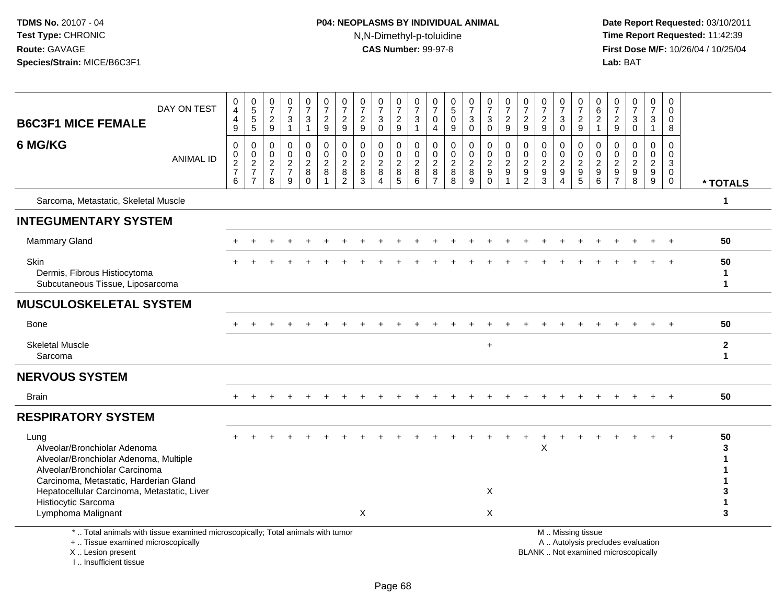# **P04: NEOPLASMS BY INDIVIDUAL ANIMAL**N,N-Dimethyl-p-toluidine

| <b>B6C3F1 MICE FEMALE</b>                                                                                                                                                                                                        | DAY ON TEST      | $_4^{\rm 0}$<br>$\overline{\mathbf{4}}$<br>9                        | 0<br>5<br>5<br>5                                                                 | $\frac{0}{7}$<br>$\frac{2}{9}$                                        | $\begin{array}{c} 0 \\ 7 \end{array}$<br>$\ensuremath{\mathsf{3}}$<br>$\overline{1}$ | $\frac{0}{7}$<br>$\ensuremath{\mathsf{3}}$<br>$\mathbf{1}$           | $\frac{0}{7}$<br>$\overline{a}$<br>9                    | $\frac{0}{7}$<br>$\overline{c}$<br>9                                      | $\frac{0}{7}$<br>$\overline{c}$<br>9                      | $\frac{0}{7}$<br>$\mathbf{3}$<br>$\Omega$                       | $\begin{array}{c} 0 \\ 7 \end{array}$<br>$\frac{2}{9}$          | 0<br>$\overline{7}$<br>$\sqrt{3}$<br>$\mathbf{1}$  | 0<br>$\overline{7}$<br>$\mathbf 0$<br>$\overline{4}$            | 0<br>$\overline{5}$<br>$\mathbf 0$<br>9                | $\frac{0}{7}$<br>$\mathbf{3}$<br>$\mathbf 0$ | $\frac{0}{7}$<br>$\mathbf{3}$<br>$\mathbf 0$        | $\begin{array}{c} 0 \\ 7 \end{array}$<br>$\boldsymbol{2}$<br>$\overline{9}$    | $\frac{0}{7}$<br>$\sqrt{2}$<br>9                                                   | $\frac{0}{7}$<br>$\boldsymbol{2}$<br>9                                | 0<br>$\overline{7}$<br>3<br>$\mathbf 0$                              | 0<br>$\overline{7}$<br>$\overline{c}$<br>9                                     | 0<br>6<br>$\overline{c}$<br>$\mathbf{1}$ | $\frac{0}{7}$<br>$\overline{c}$<br>9                                     | $\frac{0}{7}$<br>$\mathbf{3}$<br>$\mathbf 0$                             | $\frac{0}{7}$<br>3<br>$\mathbf{1}$                  | 0<br>$\mathbf 0$<br>$\mathbf 0$<br>8             |                             |
|----------------------------------------------------------------------------------------------------------------------------------------------------------------------------------------------------------------------------------|------------------|---------------------------------------------------------------------|----------------------------------------------------------------------------------|-----------------------------------------------------------------------|--------------------------------------------------------------------------------------|----------------------------------------------------------------------|---------------------------------------------------------|---------------------------------------------------------------------------|-----------------------------------------------------------|-----------------------------------------------------------------|-----------------------------------------------------------------|----------------------------------------------------|-----------------------------------------------------------------|--------------------------------------------------------|----------------------------------------------|-----------------------------------------------------|--------------------------------------------------------------------------------|------------------------------------------------------------------------------------|-----------------------------------------------------------------------|----------------------------------------------------------------------|--------------------------------------------------------------------------------|------------------------------------------|--------------------------------------------------------------------------|--------------------------------------------------------------------------|-----------------------------------------------------|--------------------------------------------------|-----------------------------|
| 6 MG/KG                                                                                                                                                                                                                          | <b>ANIMAL ID</b> | $\mathbf 0$<br>$\pmb{0}$<br>$\overline{2}$<br>$\boldsymbol{7}$<br>6 | $\mathbf 0$<br>$\mathbf 0$<br>$\overline{2}$<br>$\overline{7}$<br>$\overline{7}$ | $\mathbf 0$<br>$\mathbf 0$<br>$\overline{2}$<br>$\boldsymbol{7}$<br>8 | $\mathbf 0$<br>$\mathbf 0$<br>$\overline{c}$<br>$\overline{7}$<br>9                  | $\mathbf 0$<br>$\mathbf 0$<br>$\boldsymbol{2}$<br>$\bf8$<br>$\Omega$ | 0<br>$\mathbf 0$<br>$\overline{c}$<br>8<br>$\mathbf{1}$ | $\mathbf 0$<br>$\mathbf 0$<br>$\overline{c}$<br>$\bf 8$<br>$\overline{2}$ | $\mathbf 0$<br>0<br>$\overline{c}$<br>8<br>$\overline{3}$ | $\mathbf 0$<br>0<br>$\overline{c}$<br>$\bf 8$<br>$\overline{4}$ | $\mathbf 0$<br>0<br>$\overline{c}$<br>$\bf 8$<br>$\overline{5}$ | $\mathbf 0$<br>$\mathbf 0$<br>$\sqrt{2}$<br>8<br>6 | $\mathbf 0$<br>$\mathbf 0$<br>$\sqrt{2}$<br>8<br>$\overline{7}$ | $\mathbf 0$<br>$\mathbf 0$<br>$\overline{2}$<br>8<br>8 | 0<br>0<br>$\overline{c}$<br>8<br>9           | $\mathbf 0$<br>0<br>$\overline{2}$<br>9<br>$\Omega$ | $\mathbf 0$<br>$\mathbf 0$<br>$\sqrt{2}$<br>$\boldsymbol{9}$<br>$\overline{1}$ | $\mathbf 0$<br>$\mathbf 0$<br>$\overline{2}$<br>$\boldsymbol{9}$<br>$\overline{2}$ | $\mathbf 0$<br>$\mathbf 0$<br>$\overline{2}$<br>$\boldsymbol{9}$<br>3 | 0<br>$\mathbf 0$<br>$\sqrt{2}$<br>$\boldsymbol{9}$<br>$\overline{4}$ | $\mathbf 0$<br>$\mathbf 0$<br>$\sqrt{2}$<br>$\boldsymbol{9}$<br>$\overline{5}$ | 0<br>$\mathbf{0}$<br>2<br>9<br>6         | 0<br>$\mathbf 0$<br>$\overline{c}$<br>$\boldsymbol{9}$<br>$\overline{7}$ | $\mathbf 0$<br>0<br>$\overline{c}$<br>$\frac{9}{8}$                      | 0<br>0<br>$\overline{2}$<br>$9\,$<br>$\overline{9}$ | $\Omega$<br>0<br>$\mathsf 3$<br>$\mathbf 0$<br>0 | * TOTALS                    |
| Sarcoma, Metastatic, Skeletal Muscle                                                                                                                                                                                             |                  |                                                                     |                                                                                  |                                                                       |                                                                                      |                                                                      |                                                         |                                                                           |                                                           |                                                                 |                                                                 |                                                    |                                                                 |                                                        |                                              |                                                     |                                                                                |                                                                                    |                                                                       |                                                                      |                                                                                |                                          |                                                                          |                                                                          |                                                     |                                                  | 1                           |
| <b>INTEGUMENTARY SYSTEM</b>                                                                                                                                                                                                      |                  |                                                                     |                                                                                  |                                                                       |                                                                                      |                                                                      |                                                         |                                                                           |                                                           |                                                                 |                                                                 |                                                    |                                                                 |                                                        |                                              |                                                     |                                                                                |                                                                                    |                                                                       |                                                                      |                                                                                |                                          |                                                                          |                                                                          |                                                     |                                                  |                             |
| <b>Mammary Gland</b>                                                                                                                                                                                                             |                  |                                                                     |                                                                                  |                                                                       |                                                                                      |                                                                      |                                                         |                                                                           |                                                           |                                                                 |                                                                 |                                                    |                                                                 |                                                        |                                              |                                                     |                                                                                |                                                                                    |                                                                       |                                                                      |                                                                                |                                          |                                                                          |                                                                          |                                                     |                                                  | 50                          |
| Skin<br>Dermis, Fibrous Histiocytoma<br>Subcutaneous Tissue, Liposarcoma                                                                                                                                                         |                  |                                                                     |                                                                                  |                                                                       |                                                                                      |                                                                      |                                                         |                                                                           |                                                           |                                                                 |                                                                 |                                                    |                                                                 |                                                        |                                              |                                                     |                                                                                |                                                                                    |                                                                       |                                                                      |                                                                                |                                          |                                                                          |                                                                          |                                                     |                                                  | 50<br>1<br>1                |
| <b>MUSCULOSKELETAL SYSTEM</b>                                                                                                                                                                                                    |                  |                                                                     |                                                                                  |                                                                       |                                                                                      |                                                                      |                                                         |                                                                           |                                                           |                                                                 |                                                                 |                                                    |                                                                 |                                                        |                                              |                                                     |                                                                                |                                                                                    |                                                                       |                                                                      |                                                                                |                                          |                                                                          |                                                                          |                                                     |                                                  |                             |
| Bone                                                                                                                                                                                                                             |                  |                                                                     |                                                                                  |                                                                       |                                                                                      |                                                                      |                                                         |                                                                           |                                                           |                                                                 |                                                                 |                                                    |                                                                 |                                                        |                                              |                                                     |                                                                                |                                                                                    |                                                                       |                                                                      |                                                                                |                                          |                                                                          |                                                                          |                                                     | $+$                                              | 50                          |
| <b>Skeletal Muscle</b><br>Sarcoma                                                                                                                                                                                                |                  |                                                                     |                                                                                  |                                                                       |                                                                                      |                                                                      |                                                         |                                                                           |                                                           |                                                                 |                                                                 |                                                    |                                                                 |                                                        |                                              | $+$                                                 |                                                                                |                                                                                    |                                                                       |                                                                      |                                                                                |                                          |                                                                          |                                                                          |                                                     |                                                  | $\mathbf 2$<br>$\mathbf{1}$ |
| <b>NERVOUS SYSTEM</b>                                                                                                                                                                                                            |                  |                                                                     |                                                                                  |                                                                       |                                                                                      |                                                                      |                                                         |                                                                           |                                                           |                                                                 |                                                                 |                                                    |                                                                 |                                                        |                                              |                                                     |                                                                                |                                                                                    |                                                                       |                                                                      |                                                                                |                                          |                                                                          |                                                                          |                                                     |                                                  |                             |
| <b>Brain</b>                                                                                                                                                                                                                     |                  |                                                                     |                                                                                  |                                                                       |                                                                                      |                                                                      |                                                         |                                                                           |                                                           |                                                                 |                                                                 |                                                    |                                                                 |                                                        |                                              |                                                     |                                                                                |                                                                                    |                                                                       |                                                                      |                                                                                |                                          |                                                                          |                                                                          |                                                     |                                                  | 50                          |
| <b>RESPIRATORY SYSTEM</b>                                                                                                                                                                                                        |                  |                                                                     |                                                                                  |                                                                       |                                                                                      |                                                                      |                                                         |                                                                           |                                                           |                                                                 |                                                                 |                                                    |                                                                 |                                                        |                                              |                                                     |                                                                                |                                                                                    |                                                                       |                                                                      |                                                                                |                                          |                                                                          |                                                                          |                                                     |                                                  |                             |
| Lung<br>Alveolar/Bronchiolar Adenoma<br>Alveolar/Bronchiolar Adenoma, Multiple<br>Alveolar/Bronchiolar Carcinoma<br>Carcinoma, Metastatic, Harderian Gland<br>Hepatocellular Carcinoma, Metastatic, Liver<br>Histiocytic Sarcoma |                  |                                                                     |                                                                                  |                                                                       |                                                                                      |                                                                      |                                                         |                                                                           |                                                           |                                                                 |                                                                 |                                                    |                                                                 |                                                        |                                              | X                                                   |                                                                                |                                                                                    | $\pmb{\times}$                                                        |                                                                      |                                                                                |                                          |                                                                          |                                                                          |                                                     |                                                  | 50<br>3<br>1<br>1<br>3<br>1 |
| Lymphoma Malignant                                                                                                                                                                                                               |                  |                                                                     |                                                                                  |                                                                       |                                                                                      |                                                                      |                                                         |                                                                           | X                                                         |                                                                 |                                                                 |                                                    |                                                                 |                                                        |                                              | X                                                   |                                                                                |                                                                                    |                                                                       |                                                                      |                                                                                |                                          |                                                                          |                                                                          |                                                     |                                                  | 3                           |
| *  Total animals with tissue examined microscopically; Total animals with tumor<br>+  Tissue examined microscopically<br>X  Lesion present<br>I Insufficient tissue                                                              |                  |                                                                     |                                                                                  |                                                                       |                                                                                      |                                                                      |                                                         |                                                                           |                                                           |                                                                 |                                                                 |                                                    |                                                                 |                                                        |                                              |                                                     |                                                                                |                                                                                    |                                                                       |                                                                      | M  Missing tissue                                                              |                                          |                                                                          | A  Autolysis precludes evaluation<br>BLANK  Not examined microscopically |                                                     |                                                  |                             |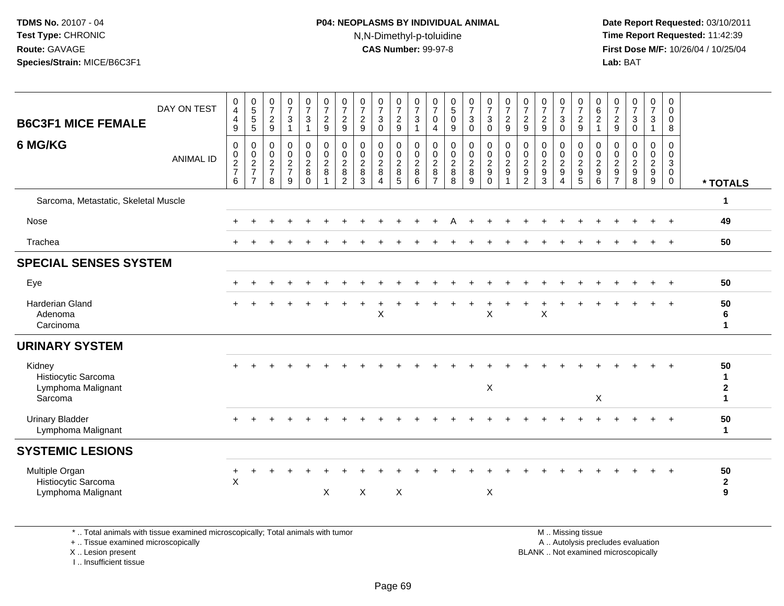## **P04: NEOPLASMS BY INDIVIDUAL ANIMAL**N,N-Dimethyl-p-toluidine

 **Date Report Requested:** 03/10/2011 **Time Report Requested:** 11:42:39 **First Dose M/F:** 10/26/04 / 10/25/04 Lab: BAT **Lab:** BAT

| <b>B6C3F1 MICE FEMALE</b>                                      | DAY ON TEST      | $\begin{smallmatrix}0\0\4\end{smallmatrix}$<br>$\overline{\mathbf{4}}$<br>9 | 0<br>5<br>5<br>5                                              | $\frac{0}{7}$<br>$\frac{2}{9}$              | $\frac{0}{7}$<br>$\ensuremath{\mathsf{3}}$<br>$\overline{1}$ | $\begin{smallmatrix}0\\7\end{smallmatrix}$<br>$\ensuremath{\mathsf{3}}$<br>$\overline{1}$ | $\frac{0}{7}$<br>$\overline{c}$<br>9                    | $\frac{0}{7}$<br>$\overline{c}$<br>$\boldsymbol{9}$         | $\begin{smallmatrix}0\\7\end{smallmatrix}$<br>$\frac{2}{9}$           | $\frac{0}{7}$<br>$\mathbf{3}$<br>$\mathbf{0}$             | $\frac{0}{7}$<br>$\frac{2}{9}$                          | $\frac{0}{7}$<br>$\sqrt{3}$<br>$\overline{1}$                               | $\frac{0}{7}$<br>0<br>$\overline{4}$                      | $\frac{0}{5}$<br>$\pmb{0}$<br>9                                        | $\frac{0}{7}$<br>$\mathbf{3}$<br>$\mathbf 0$           | $\frac{0}{7}$<br>$\mathbf{3}$<br>$\mathbf 0$           | $\frac{0}{7}$<br>$\overline{c}$<br>$\overline{9}$            | $\frac{0}{7}$<br>$\sqrt{2}$<br>9                                               | $\frac{0}{7}$<br>$\overline{c}$<br>9                                             | $\frac{0}{7}$<br>$\ensuremath{\mathsf{3}}$<br>$\mathbf 0$ | $\frac{0}{7}$<br>$\overline{c}$<br>$\boldsymbol{9}$                                       | $_{6}^{\rm 0}$<br>$\overline{c}$<br>$\mathbf{1}$      | $\frac{0}{7}$<br>$\overline{c}$<br>$\mathsf g$             | $\frac{0}{7}$<br>$\ensuremath{\mathsf{3}}$<br>$\mathbf 0$   | $\begin{smallmatrix}0\\7\end{smallmatrix}$<br>$\frac{3}{1}$ | $\mathbf 0$<br>$\mathbf 0$<br>0<br>$\,8\,$                     |                                               |
|----------------------------------------------------------------|------------------|-----------------------------------------------------------------------------|---------------------------------------------------------------|---------------------------------------------|--------------------------------------------------------------|-------------------------------------------------------------------------------------------|---------------------------------------------------------|-------------------------------------------------------------|-----------------------------------------------------------------------|-----------------------------------------------------------|---------------------------------------------------------|-----------------------------------------------------------------------------|-----------------------------------------------------------|------------------------------------------------------------------------|--------------------------------------------------------|--------------------------------------------------------|--------------------------------------------------------------|--------------------------------------------------------------------------------|----------------------------------------------------------------------------------|-----------------------------------------------------------|-------------------------------------------------------------------------------------------|-------------------------------------------------------|------------------------------------------------------------|-------------------------------------------------------------|-------------------------------------------------------------|----------------------------------------------------------------|-----------------------------------------------|
| 6 MG/KG                                                        | <b>ANIMAL ID</b> | 0<br>$\pmb{0}$<br>$\frac{2}{7}$<br>6                                        | $\mathbf 0$<br>$\mathbf 0$<br>$\frac{2}{7}$<br>$\overline{7}$ | 0<br>$\boldsymbol{0}$<br>$\frac{2}{7}$<br>8 | $\pmb{0}$<br>$\frac{0}{2}$<br>$\overline{9}$                 | $\mathbf 0$<br>$\pmb{0}$<br>$\overline{2}$<br>$\bf 8$<br>$\overline{0}$                   | $\pmb{0}$<br>$\frac{0}{2}$<br>$\,8\,$<br>$\overline{1}$ | 0<br>$\mathbf 0$<br>$\boldsymbol{2}$<br>8<br>$\overline{c}$ | $\pmb{0}$<br>$\pmb{0}$<br>$\overline{2}$<br>$\bf 8$<br>$\overline{3}$ | $\mathbf 0$<br>0<br>$\overline{2}$<br>8<br>$\overline{4}$ | 0<br>$\pmb{0}$<br>$\overline{2}$<br>8<br>$\overline{5}$ | $\mathbf 0$<br>$\begin{smallmatrix} 0\\2 \end{smallmatrix}$<br>$\bf 8$<br>6 | 0<br>$\mathbf 0$<br>$\overline{c}$<br>8<br>$\overline{7}$ | $\mathbf 0$<br>$\pmb{0}$<br>$\overline{2}$<br>$\, 8$<br>$\overline{8}$ | $\mathbf 0$<br>$\mathbf 0$<br>$\overline{c}$<br>8<br>9 | 0<br>$_2^0$<br>$\boldsymbol{9}$<br>$\ddot{\mathbf{0}}$ | $\pmb{0}$<br>$\pmb{0}$<br>$\overline{c}$<br>$\boldsymbol{9}$ | $\mathbf 0$<br>$\mathbf 0$<br>$\sqrt{2}$<br>$\boldsymbol{9}$<br>$\overline{2}$ | $\mathbf 0$<br>$\pmb{0}$<br>$\overline{2}$<br>$\boldsymbol{9}$<br>$\overline{3}$ | 0<br>$\pmb{0}$<br>$\frac{2}{9}$<br>$\overline{4}$         | $\mathbf 0$<br>$\boldsymbol{0}$<br>$\boldsymbol{2}$<br>$\boldsymbol{9}$<br>$\overline{5}$ | 0<br>0<br>$\overline{c}$<br>$\boldsymbol{9}$<br>$\,6$ | $\Omega$<br>$\mathbf 0$<br>$\overline{c}$<br>$\frac{9}{7}$ | $\mathbf 0$<br>$\pmb{0}$<br>$\frac{2}{9}$<br>$\overline{8}$ | $\mathbf 0$<br>$\mathbf 0$<br>$\frac{2}{9}$                 | $\mathbf 0$<br>$\mathbf 0$<br>$\mathbf{3}$<br>0<br>$\mathbf 0$ | * TOTALS                                      |
| Sarcoma, Metastatic, Skeletal Muscle                           |                  |                                                                             |                                                               |                                             |                                                              |                                                                                           |                                                         |                                                             |                                                                       |                                                           |                                                         |                                                                             |                                                           |                                                                        |                                                        |                                                        |                                                              |                                                                                |                                                                                  |                                                           |                                                                                           |                                                       |                                                            |                                                             |                                                             |                                                                | 1                                             |
| Nose                                                           |                  |                                                                             |                                                               |                                             |                                                              |                                                                                           |                                                         |                                                             |                                                                       |                                                           |                                                         |                                                                             |                                                           |                                                                        |                                                        |                                                        |                                                              |                                                                                |                                                                                  |                                                           |                                                                                           |                                                       |                                                            |                                                             |                                                             | $+$                                                            | 49                                            |
| Trachea                                                        |                  |                                                                             |                                                               |                                             |                                                              |                                                                                           |                                                         |                                                             |                                                                       |                                                           |                                                         |                                                                             |                                                           |                                                                        |                                                        |                                                        |                                                              |                                                                                |                                                                                  |                                                           |                                                                                           |                                                       |                                                            |                                                             | $\pm$                                                       | $+$                                                            | 50                                            |
| <b>SPECIAL SENSES SYSTEM</b>                                   |                  |                                                                             |                                                               |                                             |                                                              |                                                                                           |                                                         |                                                             |                                                                       |                                                           |                                                         |                                                                             |                                                           |                                                                        |                                                        |                                                        |                                                              |                                                                                |                                                                                  |                                                           |                                                                                           |                                                       |                                                            |                                                             |                                                             |                                                                |                                               |
| Eye                                                            |                  |                                                                             |                                                               |                                             |                                                              |                                                                                           |                                                         |                                                             |                                                                       |                                                           |                                                         |                                                                             |                                                           |                                                                        |                                                        |                                                        |                                                              |                                                                                |                                                                                  |                                                           |                                                                                           |                                                       |                                                            |                                                             |                                                             | $+$                                                            | 50                                            |
| Harderian Gland<br>Adenoma<br>Carcinoma                        |                  |                                                                             |                                                               |                                             |                                                              |                                                                                           |                                                         |                                                             |                                                                       | $\ddot{}$<br>X                                            |                                                         |                                                                             |                                                           |                                                                        | $\ddot{}$                                              | $\ddot{}$<br>$\mathsf{X}$                              |                                                              |                                                                                | X                                                                                |                                                           |                                                                                           |                                                       |                                                            |                                                             |                                                             | $+$                                                            | 50<br>6<br>$\mathbf 1$                        |
| <b>URINARY SYSTEM</b>                                          |                  |                                                                             |                                                               |                                             |                                                              |                                                                                           |                                                         |                                                             |                                                                       |                                                           |                                                         |                                                                             |                                                           |                                                                        |                                                        |                                                        |                                                              |                                                                                |                                                                                  |                                                           |                                                                                           |                                                       |                                                            |                                                             |                                                             |                                                                |                                               |
| Kidney<br>Histiocytic Sarcoma<br>Lymphoma Malignant<br>Sarcoma |                  |                                                                             |                                                               |                                             |                                                              |                                                                                           |                                                         |                                                             |                                                                       |                                                           |                                                         |                                                                             |                                                           |                                                                        |                                                        | $\mathsf X$                                            |                                                              |                                                                                |                                                                                  |                                                           |                                                                                           | $\boldsymbol{\mathsf{X}}$                             |                                                            |                                                             |                                                             | $\ddot{}$                                                      | 50<br>$\mathbf{1}$<br>$\bf 2$<br>$\mathbf{1}$ |
| <b>Urinary Bladder</b><br>Lymphoma Malignant                   |                  |                                                                             |                                                               |                                             |                                                              |                                                                                           |                                                         |                                                             |                                                                       |                                                           |                                                         |                                                                             |                                                           |                                                                        |                                                        |                                                        |                                                              |                                                                                |                                                                                  |                                                           |                                                                                           |                                                       |                                                            |                                                             |                                                             |                                                                | 50<br>$\mathbf{1}$                            |
| <b>SYSTEMIC LESIONS</b>                                        |                  |                                                                             |                                                               |                                             |                                                              |                                                                                           |                                                         |                                                             |                                                                       |                                                           |                                                         |                                                                             |                                                           |                                                                        |                                                        |                                                        |                                                              |                                                                                |                                                                                  |                                                           |                                                                                           |                                                       |                                                            |                                                             |                                                             |                                                                |                                               |
| Multiple Organ<br>Histiocytic Sarcoma<br>Lymphoma Malignant    |                  | $\sf X$                                                                     |                                                               |                                             |                                                              |                                                                                           | $\times$                                                |                                                             | $\boldsymbol{\mathsf{X}}$                                             |                                                           | X                                                       |                                                                             |                                                           |                                                                        |                                                        | X                                                      |                                                              |                                                                                |                                                                                  |                                                           |                                                                                           |                                                       |                                                            |                                                             | $+$                                                         | $+$                                                            | 50<br>$\overline{2}$<br>9                     |

\* .. Total animals with tissue examined microscopically; Total animals with tumor

+ .. Tissue examined microscopically

X .. Lesion present

I .. Insufficient tissue

 M .. Missing tissuey the contract of the contract of the contract of the contract of the contract of the contract of the contract of  $A$ . Autolysis precludes evaluation

Lesion present BLANK .. Not examined microscopically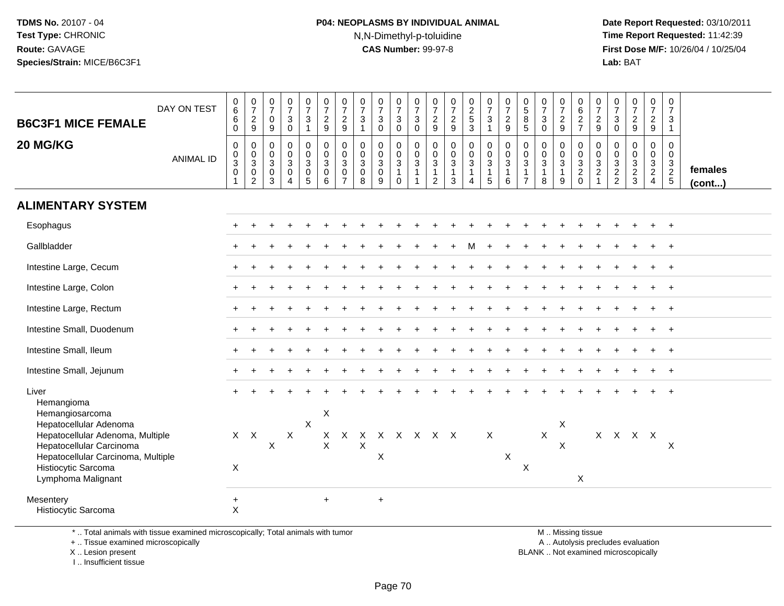## **P04: NEOPLASMS BY INDIVIDUAL ANIMAL**N,N-Dimethyl-p-toluidine

 **Date Report Requested:** 03/10/2011 **Time Report Requested:** 11:42:39 **First Dose M/F:** 10/26/04 / 10/25/04 Lab: BAT **Lab:** BAT

| <b>B6C3F1 MICE FEMALE</b>                                                                                                                                                 | DAY ON TEST      | $\begin{array}{c} 0 \\ 6 \end{array}$<br>6<br>$\mathbf 0$   | $\frac{0}{7}$<br>$\overline{2}$<br>9                 | $\frac{0}{7}$<br>$\mathbf 0$<br>9                                                | $\frac{0}{7}$<br>3<br>$\mathbf 0$                       | $\begin{array}{c} 0 \\ 7 \end{array}$<br>$\mathbf{3}$<br>$\overline{1}$      | $\begin{array}{c} 0 \\ 7 \\ 2 \end{array}$<br>9        | $\frac{0}{7}$<br>$\overline{2}$<br>9                             | $\frac{0}{7}$<br>$\mathbf{3}$<br>$\overline{1}$        | $\frac{0}{7}$<br>$\mathbf{3}$<br>$\Omega$ | $\begin{array}{c} 0 \\ 7 \end{array}$<br>$\ensuremath{\mathsf{3}}$<br>$\mathbf 0$ | $\begin{array}{c} 0 \\ 7 \\ 3 \end{array}$<br>$\mathbf 0$                  | $\frac{0}{7}$<br>$\overline{2}$<br>9                              | $\frac{0}{7}$<br>$\frac{2}{9}$                  | $\begin{array}{c} 0 \\ 2 \\ 5 \\ 3 \end{array}$              | $\begin{array}{c} 0 \\ 7 \end{array}$<br>3<br>$\mathbf{1}$              | $\begin{array}{c} 0 \\ 7 \\ 2 \end{array}$<br>9 | $\begin{smallmatrix} 0\\5 \end{smallmatrix}$<br>8<br>$\sqrt{5}$              | $\frac{0}{7}$<br>$\mathbf{3}$<br>$\mathbf 0$      | $\frac{0}{7}$<br>$\overline{2}$<br>9    | 0627                                                 | $\frac{0}{7}$<br>$\frac{2}{9}$               | $\frac{0}{7}$<br>3<br>$\mathbf 0$            | $\frac{0}{7}$<br>$\overline{2}$<br>9                       | $\frac{0}{7}$<br>$\frac{2}{9}$    | $\begin{array}{c} 0 \\ 7 \end{array}$<br>3<br>$\mathbf{1}$ |                         |
|---------------------------------------------------------------------------------------------------------------------------------------------------------------------------|------------------|-------------------------------------------------------------|------------------------------------------------------|----------------------------------------------------------------------------------|---------------------------------------------------------|------------------------------------------------------------------------------|--------------------------------------------------------|------------------------------------------------------------------|--------------------------------------------------------|-------------------------------------------|-----------------------------------------------------------------------------------|----------------------------------------------------------------------------|-------------------------------------------------------------------|-------------------------------------------------|--------------------------------------------------------------|-------------------------------------------------------------------------|-------------------------------------------------|------------------------------------------------------------------------------|---------------------------------------------------|-----------------------------------------|------------------------------------------------------|----------------------------------------------|----------------------------------------------|------------------------------------------------------------|-----------------------------------|------------------------------------------------------------|-------------------------|
| 20 MG/KG                                                                                                                                                                  | <b>ANIMAL ID</b> | $\Omega$<br>$\pmb{0}$<br>$\overline{3}$<br>$\mathbf 0$<br>1 | $\mathbf 0$<br>$_{3}^{\rm 0}$<br>0<br>$\overline{2}$ | $\mathsf{O}\xspace$<br>$\mathsf{O}\xspace$<br>$\overline{3}$<br>$\mathbf 0$<br>3 | $\pmb{0}$<br>$\overline{0}$<br>3<br>0<br>$\overline{4}$ | $\pmb{0}$<br>$\overline{0}$<br>$\overline{3}$<br>$\pmb{0}$<br>$\overline{5}$ | $\mathbf 0$<br>$\overline{0}$<br>3<br>$\mathbf 0$<br>6 | $\mathbf 0$<br>$\mathbf 0$<br>3<br>$\mathbf 0$<br>$\overline{7}$ | $\mathbf 0$<br>$\mathbf 0$<br>$\overline{3}$<br>0<br>8 | 0<br>$\frac{0}{3}$<br>0<br>9              | $\mathbf 0$<br>$\mathbf 0$<br>$\overline{3}$<br>$\overline{1}$<br>$\Omega$        | 0<br>$\mathsf{O}\xspace$<br>$\overline{3}$<br>$\mathbf{1}$<br>$\mathbf{1}$ | $\mathbf 0$<br>$\pmb{0}$<br>$\overline{3}$<br>1<br>$\overline{c}$ | $\pmb{0}$<br>$\frac{0}{3}$<br>$\mathbf{1}$<br>3 | $\pmb{0}$<br>$\frac{0}{3}$<br>$\mathbf{1}$<br>$\overline{4}$ | 0<br>$\overline{0}$<br>$\overline{3}$<br>$\mathbf{1}$<br>$\overline{5}$ | $\mathbf 0$<br>$\frac{0}{3}$<br>6               | $\pmb{0}$<br>$\pmb{0}$<br>$\overline{3}$<br>$\overline{1}$<br>$\overline{7}$ | $\mathbf 0$<br>$\frac{0}{3}$<br>$\mathbf{1}$<br>8 | 0<br>$\frac{0}{3}$<br>$\mathbf{1}$<br>9 | 0<br>$\begin{array}{c} 0 \\ 3 \\ 2 \\ 0 \end{array}$ | $\mathbf 0$<br>$\,0\,$<br>$\frac{3}{2}$<br>1 | $\Omega$<br>0<br>$\sqrt{3}$<br>$\frac{2}{2}$ | $\Omega$<br>$\mathbf 0$<br>$\overline{3}$<br>$\frac{2}{3}$ | 0<br>$\mathbf 0$<br>$\frac{3}{2}$ | $\mathbf 0$<br>$\mathbf 0$<br>$\frac{3}{2}$<br>5           | females<br>$($ cont $)$ |
| <b>ALIMENTARY SYSTEM</b>                                                                                                                                                  |                  |                                                             |                                                      |                                                                                  |                                                         |                                                                              |                                                        |                                                                  |                                                        |                                           |                                                                                   |                                                                            |                                                                   |                                                 |                                                              |                                                                         |                                                 |                                                                              |                                                   |                                         |                                                      |                                              |                                              |                                                            |                                   |                                                            |                         |
| Esophagus                                                                                                                                                                 |                  |                                                             |                                                      |                                                                                  |                                                         |                                                                              |                                                        |                                                                  |                                                        |                                           |                                                                                   |                                                                            |                                                                   |                                                 |                                                              |                                                                         |                                                 |                                                                              |                                                   |                                         |                                                      |                                              |                                              |                                                            |                                   |                                                            |                         |
| Gallbladder                                                                                                                                                               |                  |                                                             |                                                      |                                                                                  |                                                         |                                                                              |                                                        |                                                                  |                                                        |                                           |                                                                                   |                                                                            |                                                                   |                                                 | м                                                            |                                                                         |                                                 |                                                                              |                                                   |                                         |                                                      |                                              |                                              |                                                            |                                   | $\ddot{}$                                                  |                         |
| Intestine Large, Cecum                                                                                                                                                    |                  |                                                             |                                                      |                                                                                  |                                                         |                                                                              |                                                        |                                                                  |                                                        |                                           |                                                                                   |                                                                            |                                                                   |                                                 |                                                              |                                                                         |                                                 |                                                                              |                                                   |                                         |                                                      |                                              |                                              |                                                            |                                   |                                                            |                         |
| Intestine Large, Colon                                                                                                                                                    |                  |                                                             |                                                      |                                                                                  |                                                         |                                                                              |                                                        |                                                                  |                                                        |                                           |                                                                                   |                                                                            |                                                                   |                                                 |                                                              |                                                                         |                                                 |                                                                              |                                                   |                                         |                                                      |                                              |                                              |                                                            |                                   | $\ddot{}$                                                  |                         |
| Intestine Large, Rectum                                                                                                                                                   |                  |                                                             |                                                      |                                                                                  |                                                         |                                                                              |                                                        |                                                                  |                                                        |                                           |                                                                                   |                                                                            |                                                                   |                                                 |                                                              |                                                                         |                                                 |                                                                              |                                                   |                                         |                                                      |                                              |                                              |                                                            |                                   |                                                            |                         |
| Intestine Small, Duodenum                                                                                                                                                 |                  |                                                             |                                                      |                                                                                  |                                                         |                                                                              |                                                        |                                                                  |                                                        |                                           |                                                                                   |                                                                            |                                                                   |                                                 |                                                              |                                                                         |                                                 |                                                                              |                                                   |                                         |                                                      |                                              |                                              |                                                            |                                   | $\ddot{}$                                                  |                         |
| Intestine Small, Ileum                                                                                                                                                    |                  |                                                             |                                                      |                                                                                  |                                                         |                                                                              |                                                        |                                                                  |                                                        |                                           |                                                                                   |                                                                            |                                                                   |                                                 |                                                              |                                                                         |                                                 |                                                                              |                                                   |                                         |                                                      |                                              |                                              |                                                            |                                   | $+$                                                        |                         |
| Intestine Small, Jejunum                                                                                                                                                  |                  |                                                             |                                                      |                                                                                  |                                                         |                                                                              |                                                        |                                                                  |                                                        |                                           |                                                                                   |                                                                            |                                                                   |                                                 |                                                              |                                                                         |                                                 |                                                                              |                                                   |                                         |                                                      |                                              |                                              |                                                            |                                   | $+$                                                        |                         |
| Liver<br>Hemangioma<br>Hemangiosarcoma                                                                                                                                    |                  |                                                             |                                                      |                                                                                  |                                                         |                                                                              | X                                                      |                                                                  |                                                        |                                           |                                                                                   |                                                                            |                                                                   |                                                 |                                                              |                                                                         |                                                 |                                                                              |                                                   |                                         |                                                      |                                              |                                              |                                                            |                                   | $\ddot{}$                                                  |                         |
| Hepatocellular Adenoma<br>Hepatocellular Adenoma, Multiple<br>Hepatocellular Carcinoma<br>Hepatocellular Carcinoma, Multiple<br>Histiocytic Sarcoma<br>Lymphoma Malignant |                  | X                                                           | $X$ $X$                                              | $\mathsf{X}$                                                                     | $\mathsf X$                                             | $\mathsf{X}$                                                                 | $\sf X$                                                | X X                                                              | $\pmb{\times}$                                         | x x x x x x<br>$\pmb{\times}$             |                                                                                   |                                                                            |                                                                   |                                                 |                                                              | $\mathsf X$                                                             | X                                               | $\boldsymbol{\mathsf{X}}$                                                    | $\mathsf X$                                       | X<br>X                                  | X                                                    |                                              |                                              | X X X X                                                    |                                   | X                                                          |                         |
| Mesentery<br>Histiocytic Sarcoma                                                                                                                                          |                  | $+$<br>$\times$                                             |                                                      |                                                                                  |                                                         |                                                                              | $\ddot{}$                                              |                                                                  |                                                        | $+$                                       |                                                                                   |                                                                            |                                                                   |                                                 |                                                              |                                                                         |                                                 |                                                                              |                                                   |                                         |                                                      |                                              |                                              |                                                            |                                   |                                                            |                         |

\* .. Total animals with tissue examined microscopically; Total animals with tumor

+ .. Tissue examined microscopically

X .. Lesion present

I .. Insufficient tissue

M .. Missing tissue

y the contract of the contract of the contract of the contract of the contract of the contract of the contract of  $A$ . Autolysis precludes evaluation

Lesion present BLANK .. Not examined microscopically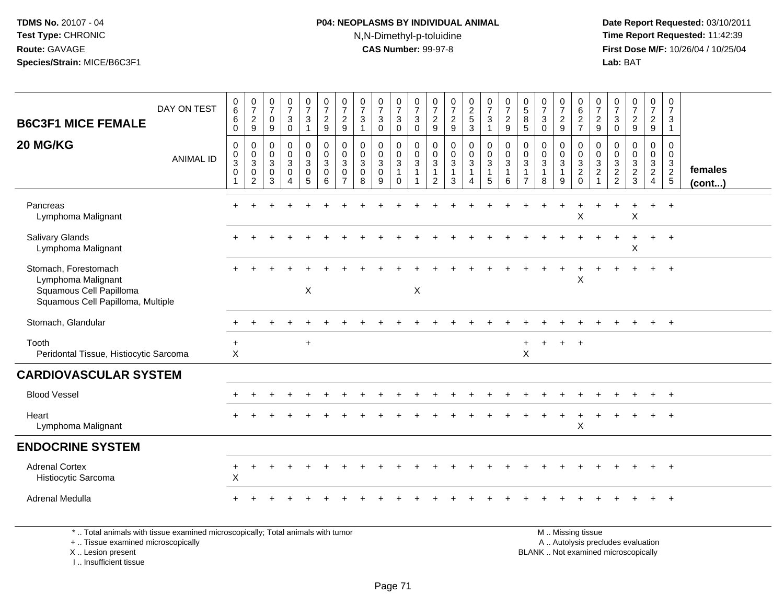## **P04: NEOPLASMS BY INDIVIDUAL ANIMAL**N,N-Dimethyl-p-toluidine

 **Date Report Requested:** 03/10/2011 **Time Report Requested:** 11:42:39 **First Dose M/F:** 10/26/04 / 10/25/04 Lab: BAT **Lab:** BAT

| DAY ON TEST<br><b>B6C3F1 MICE FEMALE</b><br>20 MG/KG<br><b>ANIMAL ID</b>                                   | $\pmb{0}$<br>$\,6\,$<br>$\,6\,$<br>$\mathbf 0$<br>0<br>$\pmb{0}$<br>$\sqrt{3}$<br>$\mathbf 0$ | 0729<br>$\mathbf 0$<br>$\begin{bmatrix} 0 \\ 3 \\ 0 \end{bmatrix}$<br>$\sqrt{2}$ | $\frac{0}{7}$<br>$\mathbf 0$<br>9<br>0<br>$\mathsf 0$<br>$\mathbf{3}$<br>$\mathbf 0$<br>3 | $\frac{0}{7}$<br>3<br>$\mathbf 0$<br>$\pmb{0}$<br>$\mathbf 0$<br>$\mathbf{3}$<br>$\pmb{0}$<br>4 | $\begin{smallmatrix}0\\7\end{smallmatrix}$<br>$\mathbf{3}$<br>$\mathbf{1}$<br>$\begin{smallmatrix}0\\0\end{smallmatrix}$<br>$\mathbf{3}$<br>$\pmb{0}$<br>$5\overline{)}$ | $\frac{0}{7}$<br>$\overline{c}$<br>9<br>$\pmb{0}$<br>$\mathsf{O}\xspace$<br>3<br>$\Omega$<br>6 | $\frac{0}{7}$<br>$\frac{2}{9}$<br>0<br>0<br>3<br>$\mathbf 0$<br>$\overline{7}$ | $\frac{0}{7}$<br>$\sqrt{3}$<br>$\mathbf 0$<br>$\ddot{\mathbf{0}}$<br>$\ensuremath{\mathsf{3}}$<br>$\mathbf 0$<br>8 | $\frac{0}{7}$<br>$\mathbf{3}$<br>0<br>0<br>$\mathbf 0$<br>$\mathbf{3}$<br>$\mathbf 0$<br>9 | $\frac{0}{7}$<br>$\mathbf{3}$<br>$\mathbf 0$<br>$\pmb{0}$<br>$\overline{0}$<br>$\overline{3}$<br>$\mathbf{1}$<br>$\mathbf 0$ | $\frac{0}{7}$<br>$\mathbf{3}$<br>$\mathbf 0$<br>0<br>$\mathbf 0$<br>3 | $\frac{0}{7}$<br>$\frac{2}{9}$<br>$\pmb{0}$<br>$\frac{0}{3}$<br>$\mathbf{1}$<br>$\overline{2}$ | $\frac{0}{7}$<br>$\frac{2}{9}$<br>$\mathbf 0$<br>$\mathsf{O}\xspace$<br>$\overline{3}$<br>$\mathbf{1}$<br>3 | $\begin{array}{c} 0 \\ 2 \\ 5 \end{array}$<br>$\overline{3}$<br>0<br>$\overline{0}$<br>$\mathbf{3}$<br>$\overline{4}$ | $\frac{0}{7}$<br>$\sqrt{3}$<br>$\mathbf{1}$<br>$\begin{smallmatrix}0\\0\\3\end{smallmatrix}$<br>$\overline{1}$<br>5 | $\frac{0}{7}$<br>$\overline{c}$<br>$\boldsymbol{9}$<br>0<br>$\mathbf 0$<br>3<br>$\mathbf{1}$<br>6 | $\frac{0}{5}$<br>$\bf8$<br>5<br>$\pmb{0}$<br>$\mathbf 0$<br>3<br>$\mathbf{1}$<br>$\overline{7}$ | $\frac{0}{7}$<br>$\sqrt{3}$<br>$\mathbf 0$<br>0<br>$\mathbf 0$<br>3<br>$\mathbf{1}$<br>8 | $\begin{smallmatrix}0\\7\end{smallmatrix}$<br>$\overline{c}$<br>$\mathsf g$<br>$\mathbf 0$<br>$\mathsf{O}\xspace$<br>$\mathbf{3}$<br>$\mathbf{1}$<br>9 | $\boldsymbol{0}$<br>$\,6\,$<br>$\frac{2}{7}$<br>0<br>$\frac{0}{3}$<br>$\overline{c}$<br>$\Omega$ | $\mathbf 0$<br>$\boldsymbol{7}$<br>$\frac{2}{9}$<br>0<br>$\mathbf 0$<br>$\ensuremath{\mathsf{3}}$<br>$\sqrt{2}$ | $\frac{0}{7}$<br>$\mathbf{3}$<br>$\mathbf 0$<br>0<br>$\mathbf 0$<br>$\sqrt{3}$<br>$\overline{c}$<br>$\overline{2}$ | $\begin{smallmatrix}0\\7\end{smallmatrix}$<br>$\frac{2}{9}$<br>0<br>$\mathbf 0$<br>$\mathbf{3}$<br>$\overline{c}$<br>$\mathbf{3}$ | 0<br>$\boldsymbol{7}$<br>$\frac{2}{9}$<br>0<br>$\mathbf 0$<br>3<br>$\overline{a}$<br>$\overline{4}$ | 0<br>$\overline{7}$<br>3<br>$\mathbf{1}$<br>0<br>0<br>3<br>$rac{2}{5}$ | females<br>(cont) |
|------------------------------------------------------------------------------------------------------------|-----------------------------------------------------------------------------------------------|----------------------------------------------------------------------------------|-------------------------------------------------------------------------------------------|-------------------------------------------------------------------------------------------------|--------------------------------------------------------------------------------------------------------------------------------------------------------------------------|------------------------------------------------------------------------------------------------|--------------------------------------------------------------------------------|--------------------------------------------------------------------------------------------------------------------|--------------------------------------------------------------------------------------------|------------------------------------------------------------------------------------------------------------------------------|-----------------------------------------------------------------------|------------------------------------------------------------------------------------------------|-------------------------------------------------------------------------------------------------------------|-----------------------------------------------------------------------------------------------------------------------|---------------------------------------------------------------------------------------------------------------------|---------------------------------------------------------------------------------------------------|-------------------------------------------------------------------------------------------------|------------------------------------------------------------------------------------------|--------------------------------------------------------------------------------------------------------------------------------------------------------|--------------------------------------------------------------------------------------------------|-----------------------------------------------------------------------------------------------------------------|--------------------------------------------------------------------------------------------------------------------|-----------------------------------------------------------------------------------------------------------------------------------|-----------------------------------------------------------------------------------------------------|------------------------------------------------------------------------|-------------------|
| Pancreas<br>Lymphoma Malignant                                                                             |                                                                                               |                                                                                  |                                                                                           |                                                                                                 |                                                                                                                                                                          |                                                                                                |                                                                                |                                                                                                                    |                                                                                            |                                                                                                                              |                                                                       |                                                                                                |                                                                                                             |                                                                                                                       |                                                                                                                     |                                                                                                   |                                                                                                 |                                                                                          |                                                                                                                                                        | X                                                                                                |                                                                                                                 |                                                                                                                    | $\pmb{\times}$                                                                                                                    |                                                                                                     |                                                                        |                   |
| <b>Salivary Glands</b><br>Lymphoma Malignant                                                               |                                                                                               |                                                                                  |                                                                                           |                                                                                                 |                                                                                                                                                                          |                                                                                                |                                                                                |                                                                                                                    |                                                                                            |                                                                                                                              |                                                                       |                                                                                                |                                                                                                             |                                                                                                                       |                                                                                                                     |                                                                                                   |                                                                                                 |                                                                                          |                                                                                                                                                        |                                                                                                  |                                                                                                                 |                                                                                                                    | X                                                                                                                                 |                                                                                                     | $+$                                                                    |                   |
| Stomach, Forestomach<br>Lymphoma Malignant<br>Squamous Cell Papilloma<br>Squamous Cell Papilloma, Multiple |                                                                                               |                                                                                  |                                                                                           |                                                                                                 | $\mathsf X$                                                                                                                                                              |                                                                                                |                                                                                |                                                                                                                    |                                                                                            |                                                                                                                              | $\boldsymbol{\mathsf{X}}$                                             |                                                                                                |                                                                                                             |                                                                                                                       |                                                                                                                     |                                                                                                   |                                                                                                 |                                                                                          |                                                                                                                                                        | X                                                                                                |                                                                                                                 |                                                                                                                    |                                                                                                                                   |                                                                                                     | $+$                                                                    |                   |
| Stomach, Glandular                                                                                         |                                                                                               |                                                                                  |                                                                                           |                                                                                                 |                                                                                                                                                                          |                                                                                                |                                                                                |                                                                                                                    |                                                                                            |                                                                                                                              |                                                                       |                                                                                                |                                                                                                             |                                                                                                                       |                                                                                                                     |                                                                                                   |                                                                                                 |                                                                                          |                                                                                                                                                        |                                                                                                  |                                                                                                                 |                                                                                                                    |                                                                                                                                   |                                                                                                     | $\div$                                                                 |                   |
| Tooth<br>Peridontal Tissue, Histiocytic Sarcoma                                                            | $\ddot{}$<br>X                                                                                |                                                                                  |                                                                                           |                                                                                                 | $\ddot{}$                                                                                                                                                                |                                                                                                |                                                                                |                                                                                                                    |                                                                                            |                                                                                                                              |                                                                       |                                                                                                |                                                                                                             |                                                                                                                       |                                                                                                                     |                                                                                                   | $\ddot{}$<br>$\mathsf{X}$                                                                       | $\ddot{}$                                                                                | $+$                                                                                                                                                    | $+$                                                                                              |                                                                                                                 |                                                                                                                    |                                                                                                                                   |                                                                                                     |                                                                        |                   |
| <b>CARDIOVASCULAR SYSTEM</b>                                                                               |                                                                                               |                                                                                  |                                                                                           |                                                                                                 |                                                                                                                                                                          |                                                                                                |                                                                                |                                                                                                                    |                                                                                            |                                                                                                                              |                                                                       |                                                                                                |                                                                                                             |                                                                                                                       |                                                                                                                     |                                                                                                   |                                                                                                 |                                                                                          |                                                                                                                                                        |                                                                                                  |                                                                                                                 |                                                                                                                    |                                                                                                                                   |                                                                                                     |                                                                        |                   |
| <b>Blood Vessel</b>                                                                                        |                                                                                               |                                                                                  |                                                                                           |                                                                                                 |                                                                                                                                                                          |                                                                                                |                                                                                |                                                                                                                    |                                                                                            |                                                                                                                              |                                                                       |                                                                                                |                                                                                                             |                                                                                                                       |                                                                                                                     |                                                                                                   |                                                                                                 |                                                                                          |                                                                                                                                                        |                                                                                                  |                                                                                                                 |                                                                                                                    |                                                                                                                                   |                                                                                                     |                                                                        |                   |
| Heart<br>Lymphoma Malignant                                                                                |                                                                                               |                                                                                  |                                                                                           |                                                                                                 |                                                                                                                                                                          |                                                                                                |                                                                                |                                                                                                                    |                                                                                            |                                                                                                                              |                                                                       |                                                                                                |                                                                                                             |                                                                                                                       |                                                                                                                     |                                                                                                   |                                                                                                 |                                                                                          |                                                                                                                                                        | $\boldsymbol{\mathsf{X}}$                                                                        |                                                                                                                 |                                                                                                                    |                                                                                                                                   |                                                                                                     |                                                                        |                   |
| <b>ENDOCRINE SYSTEM</b>                                                                                    |                                                                                               |                                                                                  |                                                                                           |                                                                                                 |                                                                                                                                                                          |                                                                                                |                                                                                |                                                                                                                    |                                                                                            |                                                                                                                              |                                                                       |                                                                                                |                                                                                                             |                                                                                                                       |                                                                                                                     |                                                                                                   |                                                                                                 |                                                                                          |                                                                                                                                                        |                                                                                                  |                                                                                                                 |                                                                                                                    |                                                                                                                                   |                                                                                                     |                                                                        |                   |
| <b>Adrenal Cortex</b><br>Histiocytic Sarcoma                                                               | $\pmb{\times}$                                                                                |                                                                                  |                                                                                           |                                                                                                 |                                                                                                                                                                          |                                                                                                |                                                                                |                                                                                                                    |                                                                                            |                                                                                                                              |                                                                       |                                                                                                |                                                                                                             |                                                                                                                       |                                                                                                                     |                                                                                                   |                                                                                                 |                                                                                          |                                                                                                                                                        |                                                                                                  |                                                                                                                 |                                                                                                                    |                                                                                                                                   |                                                                                                     |                                                                        |                   |
| <b>Adrenal Medulla</b>                                                                                     |                                                                                               |                                                                                  |                                                                                           |                                                                                                 |                                                                                                                                                                          |                                                                                                |                                                                                |                                                                                                                    |                                                                                            |                                                                                                                              |                                                                       |                                                                                                |                                                                                                             |                                                                                                                       |                                                                                                                     |                                                                                                   |                                                                                                 |                                                                                          |                                                                                                                                                        |                                                                                                  |                                                                                                                 |                                                                                                                    |                                                                                                                                   |                                                                                                     |                                                                        |                   |

\* .. Total animals with tissue examined microscopically; Total animals with tumor

+ .. Tissue examined microscopically

X .. Lesion present

I .. Insufficient tissue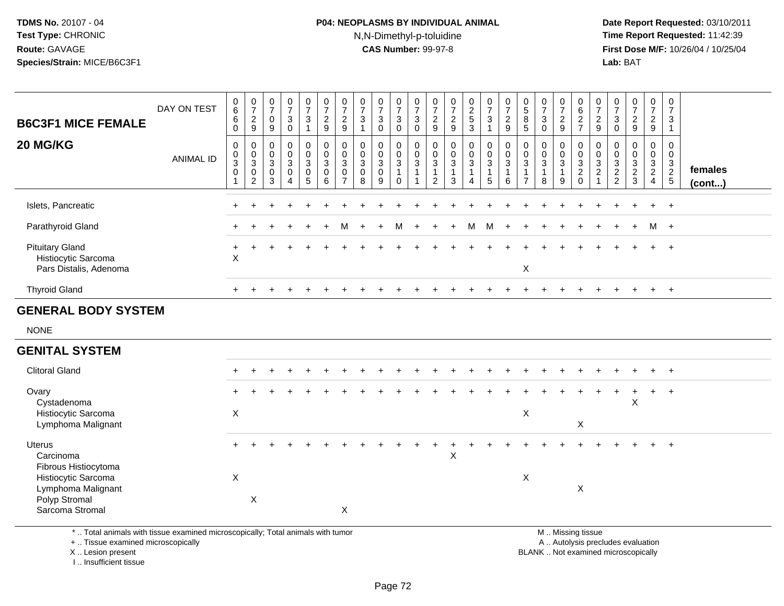## **P04: NEOPLASMS BY INDIVIDUAL ANIMAL**N,N-Dimethyl-p-toluidine

 **Date Report Requested:** 03/10/2011 **Time Report Requested:** 11:42:39 **First Dose M/F:** 10/26/04 / 10/25/04 Lab: BAT **Lab:** BAT

| <b>B6C3F1 MICE FEMALE</b>                                               | DAY ON TEST | $\begin{array}{c} 0 \\ 6 \end{array}$<br>$\,6\,$<br>$\pmb{0}$ | 0<br>$\overline{ }$<br>$\boldsymbol{2}$<br>9                               | $\overline{ }$<br>$\mathbf 0$<br>9                  | $\mathbf 0$<br>$\overline{\phantom{a}}$<br>$\ensuremath{\mathsf{3}}$<br>$\mathbf 0$ | 0<br>$\overline{ }$<br>3  | $\boldsymbol{0}$<br>$\overline{ }$<br>$\frac{2}{9}$             | 0<br>$\overline{ }$<br>$\frac{2}{9}$                                                     | $\boldsymbol{0}$<br>$\overline{7}$<br>$\ensuremath{\mathsf{3}}$<br>$\overline{A}$ | 0<br>$\overline{ }$<br>3<br>$\mathbf 0$            | $\frac{0}{7}$<br>$\sqrt{3}$<br>$\overline{0}$     | 0<br>$\overline{ }$<br>3<br>0             | $\overline{ }$<br>$\overline{c}$<br>$\boldsymbol{9}$     | $\mathbf 0$<br>$\overline{z}$<br>$\frac{2}{9}$                  | 0<br>$\frac{2}{5}$<br>$\mathbf{3}$                   | $\frac{0}{7}$<br>$\sqrt{3}$<br>$\mathbf{1}$                    | $\overline{ }$<br>$\overline{\mathbf{c}}$<br>9 | $\sqrt{5}$<br>8<br>5 | 0<br>$\overline{ }$<br>3<br>0 | $\frac{0}{7}$<br>$\frac{2}{9}$                 | 0<br>$\,6\,$<br>$\frac{2}{7}$                                                         | 0<br>$\overline{z}$<br>$\frac{2}{9}$ | $\pmb{0}$<br>$\overline{7}$<br>$\sqrt{3}$<br>$\mathbf 0$ | 0<br>$\overline{ }$<br>$\frac{2}{9}$ | $\frac{0}{7}$<br>$\overline{c}$<br>$\boldsymbol{9}$                             | 0<br>$\overline{ }$<br>3                          |                         |
|-------------------------------------------------------------------------|-------------|---------------------------------------------------------------|----------------------------------------------------------------------------|-----------------------------------------------------|-------------------------------------------------------------------------------------|---------------------------|-----------------------------------------------------------------|------------------------------------------------------------------------------------------|-----------------------------------------------------------------------------------|----------------------------------------------------|---------------------------------------------------|-------------------------------------------|----------------------------------------------------------|-----------------------------------------------------------------|------------------------------------------------------|----------------------------------------------------------------|------------------------------------------------|----------------------|-------------------------------|------------------------------------------------|---------------------------------------------------------------------------------------|--------------------------------------|----------------------------------------------------------|--------------------------------------|---------------------------------------------------------------------------------|---------------------------------------------------|-------------------------|
| 20 MG/KG                                                                | ANIMAL ID   | $\begin{matrix} 0 \\ 0 \\ 3 \\ 0 \end{matrix}$                | 0<br>$\pmb{0}$<br>$\ensuremath{\mathsf{3}}$<br>$\pmb{0}$<br>$\overline{2}$ | $\boldsymbol{0}$<br>$\frac{0}{3}$<br>$\pmb{0}$<br>3 | $_0^0$<br>$\mathbf{3}$<br>$\pmb{0}$<br>4                                            | $_{0}^{0}$<br>3<br>0<br>5 | $\begin{smallmatrix}0\\0\\3\end{smallmatrix}$<br>$\pmb{0}$<br>6 | $\begin{smallmatrix}0\0\0\end{smallmatrix}$<br>$\sqrt{3}$<br>$\pmb{0}$<br>$\overline{ }$ | $_{\rm 0}^{\rm 0}$<br>$\mathbf{3}$<br>$\pmb{0}$<br>8                              | 0<br>$\mathsf 0$<br>$\mathbf{3}$<br>$\pmb{0}$<br>9 | $\begin{smallmatrix} 0\\0 \end{smallmatrix}$<br>3 | $\begin{matrix} 0 \\ 0 \\ 3 \end{matrix}$ | $\pmb{0}$<br>$\ensuremath{\mathsf{3}}$<br>$\overline{2}$ | $\begin{smallmatrix} 0\\0 \end{smallmatrix}$<br>$\sqrt{3}$<br>3 | $\begin{smallmatrix} 0\\0\\3 \end{smallmatrix}$<br>4 | $\begin{matrix} 0 \\ 0 \\ 3 \end{matrix}$<br>$\mathbf{1}$<br>5 | 0<br>$\mathbf 0$<br>3<br>6                     | $\bar{0}$<br>3       | $_0^0$<br>3<br>8              | $\begin{matrix} 0 \\ 0 \end{matrix}$<br>3<br>9 | $\begin{matrix} 0 \\ 0 \end{matrix}$<br>$\sqrt{3}$<br>$\boldsymbol{2}$<br>$\mathbf 0$ | 0003                                 | $0003$<br>$22$                                           | 0<br>0<br>3<br>$\frac{2}{3}$         | 0<br>$\pmb{0}$<br>$\ensuremath{\mathsf{3}}$<br>$\overline{2}$<br>$\overline{4}$ | 0<br>$\boldsymbol{0}$<br>3<br>$\overline{2}$<br>5 | females<br>$($ cont $)$ |
| Islets, Pancreatic                                                      |             |                                                               |                                                                            |                                                     |                                                                                     |                           |                                                                 |                                                                                          |                                                                                   |                                                    |                                                   |                                           |                                                          |                                                                 |                                                      |                                                                |                                                |                      |                               |                                                |                                                                                       |                                      |                                                          |                                      |                                                                                 | $+$                                               |                         |
| Parathyroid Gland                                                       |             |                                                               |                                                                            |                                                     |                                                                                     |                           |                                                                 | м                                                                                        |                                                                                   |                                                    | м                                                 |                                           |                                                          |                                                                 | М                                                    | M                                                              |                                                |                      |                               |                                                |                                                                                       |                                      | $+$                                                      | $+$                                  |                                                                                 | M +                                               |                         |
| <b>Pituitary Gland</b><br>Histiocytic Sarcoma<br>Pars Distalis, Adenoma |             | X                                                             |                                                                            |                                                     |                                                                                     |                           |                                                                 |                                                                                          |                                                                                   |                                                    |                                                   |                                           |                                                          |                                                                 |                                                      |                                                                |                                                | X                    |                               |                                                |                                                                                       |                                      |                                                          | $\div$                               | $+$                                                                             | $+$                                               |                         |
| <b>Thyroid Gland</b>                                                    |             | $+$                                                           |                                                                            |                                                     |                                                                                     |                           |                                                                 |                                                                                          |                                                                                   |                                                    |                                                   |                                           |                                                          |                                                                 |                                                      |                                                                |                                                |                      |                               |                                                |                                                                                       |                                      |                                                          |                                      | $+$                                                                             | $+$                                               |                         |
| <b>GENERAL BODY SYSTEM</b>                                              |             |                                                               |                                                                            |                                                     |                                                                                     |                           |                                                                 |                                                                                          |                                                                                   |                                                    |                                                   |                                           |                                                          |                                                                 |                                                      |                                                                |                                                |                      |                               |                                                |                                                                                       |                                      |                                                          |                                      |                                                                                 |                                                   |                         |
| <b>NONE</b>                                                             |             |                                                               |                                                                            |                                                     |                                                                                     |                           |                                                                 |                                                                                          |                                                                                   |                                                    |                                                   |                                           |                                                          |                                                                 |                                                      |                                                                |                                                |                      |                               |                                                |                                                                                       |                                      |                                                          |                                      |                                                                                 |                                                   |                         |

#### **GENITAL SYSTEM**

| <b>Clitoral Gland</b>                       | $+$ | $+$ |  |  |                   |  |  |   |  |   |  |   | $\div$ |   | $+$    |  |
|---------------------------------------------|-----|-----|--|--|-------------------|--|--|---|--|---|--|---|--------|---|--------|--|
| Ovary<br>Cystadenoma                        | $+$ |     |  |  |                   |  |  |   |  |   |  |   |        | X | $^{+}$ |  |
| Histiocytic Sarcoma                         | X   |     |  |  |                   |  |  |   |  | X |  |   |        |   |        |  |
| Lymphoma Malignant                          |     |     |  |  |                   |  |  |   |  |   |  | X |        |   |        |  |
| <b>Uterus</b>                               | $+$ |     |  |  |                   |  |  |   |  |   |  |   |        |   | $+$    |  |
| Carcinoma                                   |     |     |  |  |                   |  |  | X |  |   |  |   |        |   |        |  |
| Fibrous Histiocytoma<br>Histiocytic Sarcoma | X   |     |  |  |                   |  |  |   |  | X |  |   |        |   |        |  |
| Lymphoma Malignant                          |     |     |  |  |                   |  |  |   |  |   |  | X |        |   |        |  |
| Polyp Stromal                               |     | X   |  |  |                   |  |  |   |  |   |  |   |        |   |        |  |
| Sarcoma Stromal                             |     |     |  |  | $\checkmark$<br>∧ |  |  |   |  |   |  |   |        |   |        |  |

\* .. Total animals with tissue examined microscopically; Total animals with tumor

+ .. Tissue examined microscopically

X .. Lesion present

I .. Insufficient tissue

 M .. Missing tissuey the contract of the contract of the contract of the contract of the contract of the contract of the contract of  $A$ . Autolysis precludes evaluation

Lesion present BLANK .. Not examined microscopically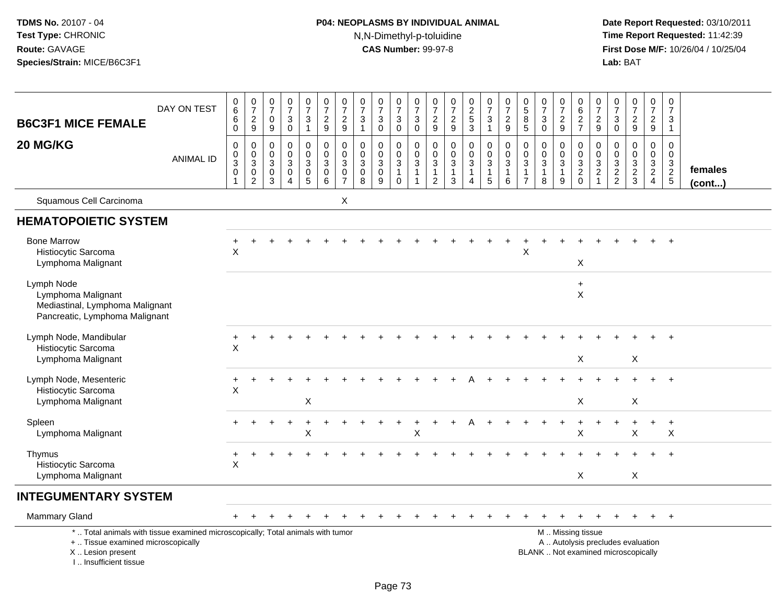# **P04: NEOPLASMS BY INDIVIDUAL ANIMAL**N,N-Dimethyl-p-toluidine

| <b>B6C3F1 MICE FEMALE</b>                                                                                                                                            | DAY ON TEST      | $\begin{array}{c} 0 \\ 6 \end{array}$<br>$\,6\,$<br>0     | $\begin{array}{c} 0 \\ 7 \end{array}$<br>$\frac{2}{9}$                                  | 0<br>$\overline{7}$<br>0<br>9             | $\frac{0}{7}$<br>$\ensuremath{\mathsf{3}}$<br>$\mathbf 0$                                | $\frac{0}{7}$<br>$\mathbf{3}$<br>$\mathbf{1}$                | $\frac{0}{7}$<br>$\frac{2}{9}$                                  | $\frac{0}{7}$<br>$\frac{2}{9}$                                        | $\frac{0}{7}$<br>$\mathbf{3}$<br>$\overline{1}$                     | $\frac{0}{7}$<br>$\sqrt{3}$<br>$\Omega$                    | $\frac{0}{7}$<br>$\sqrt{3}$<br>$\mathsf{O}\xspace$ | 0<br>$\overline{7}$<br>$\mathbf{3}$<br>$\mathbf 0$                                    | $\frac{0}{7}$<br>$\frac{2}{9}$                       | $\frac{0}{7}$<br>$\frac{2}{9}$                                     | $\frac{0}{2}$<br>$\frac{5}{3}$                                               | $\frac{0}{7}$<br>$\frac{3}{1}$                                                          | $\frac{0}{7}$<br>$\frac{2}{9}$                                  | $\begin{array}{c} 0 \\ 5 \end{array}$<br>$\bf8$<br>$\overline{5}$ | $\frac{0}{7}$<br>$\mathsf 3$<br>$\mathbf 0$                                | $\frac{0}{7}$<br>$\frac{2}{9}$                       | $\begin{array}{c} 0 \\ 6 \end{array}$<br>$\frac{2}{7}$ | $\begin{array}{c} 0 \\ 7 \end{array}$<br>$\frac{2}{9}$         | $\frac{0}{7}$<br>$_0^3$           | $\begin{array}{c} 0 \\ 7 \end{array}$<br>$\frac{2}{9}$                | $\begin{smallmatrix}0\\7\end{smallmatrix}$<br>$\frac{2}{9}$   | 0<br>$\overline{7}$<br>3<br>$\mathbf{1}$                  |                         |
|----------------------------------------------------------------------------------------------------------------------------------------------------------------------|------------------|-----------------------------------------------------------|-----------------------------------------------------------------------------------------|-------------------------------------------|------------------------------------------------------------------------------------------|--------------------------------------------------------------|-----------------------------------------------------------------|-----------------------------------------------------------------------|---------------------------------------------------------------------|------------------------------------------------------------|----------------------------------------------------|---------------------------------------------------------------------------------------|------------------------------------------------------|--------------------------------------------------------------------|------------------------------------------------------------------------------|-----------------------------------------------------------------------------------------|-----------------------------------------------------------------|-------------------------------------------------------------------|----------------------------------------------------------------------------|------------------------------------------------------|--------------------------------------------------------|----------------------------------------------------------------|-----------------------------------|-----------------------------------------------------------------------|---------------------------------------------------------------|-----------------------------------------------------------|-------------------------|
| 20 MG/KG                                                                                                                                                             | <b>ANIMAL ID</b> | $\mathbf 0$<br>$\pmb{0}$<br>$\overline{3}$<br>$\mathsf 0$ | $\boldsymbol{0}$<br>$\mathbf 0$<br>$\overline{3}$<br>$\boldsymbol{0}$<br>$\overline{2}$ | 0<br>$\mathbf 0$<br>3<br>$\mathbf 0$<br>3 | $\mathsf 0$<br>$\mathbf 0$<br>$\ensuremath{\mathsf{3}}$<br>$\mathbf 0$<br>$\overline{4}$ | $\mathsf 0$<br>$\mathbf 0$<br>$\mathbf{3}$<br>$\pmb{0}$<br>5 | $\mathbf 0$<br>0<br>$\ensuremath{\mathsf{3}}$<br>$\pmb{0}$<br>6 | $\pmb{0}$<br>$\mathbf 0$<br>$\sqrt{3}$<br>$\pmb{0}$<br>$\overline{7}$ | $\mathbf 0$<br>$\mathbf 0$<br>$\mathbf{3}$<br>$\boldsymbol{0}$<br>8 | $\pmb{0}$<br>$\mathbf 0$<br>$\sqrt{3}$<br>$\mathbf 0$<br>9 | 0<br>$\mathbf 0$<br>3<br>$\mathbf{1}$<br>$\Omega$  | $\pmb{0}$<br>$\mathbf 0$<br>$\ensuremath{\mathsf{3}}$<br>$\mathbf{1}$<br>$\mathbf{1}$ | 0<br>$\Omega$<br>3<br>$\mathbf{1}$<br>$\overline{2}$ | 0<br>$\mathbf 0$<br>$\ensuremath{\mathsf{3}}$<br>$\mathbf{1}$<br>3 | $\mathbf 0$<br>$\mathbf 0$<br>$\ensuremath{\mathsf{3}}$<br>$\mathbf{1}$<br>4 | $\mathbf 0$<br>$\mathbf 0$<br>$\ensuremath{\mathsf{3}}$<br>$\overline{1}$<br>$\sqrt{5}$ | $\mathsf 0$<br>$\mathbf 0$<br>$\sqrt{3}$<br>$\overline{1}$<br>6 | $\mathbf 0$<br>$\mathbf 0$<br>3<br>$\mathbf{1}$<br>$\overline{7}$ | $\pmb{0}$<br>$\mathbf 0$<br>$\ensuremath{\mathsf{3}}$<br>$\mathbf{1}$<br>8 | $\mathbf 0$<br>$\mathbf 0$<br>3<br>$\mathbf{1}$<br>9 | 0<br>$\pmb{0}$<br>$\frac{3}{2}$ <sub>0</sub>           | 0<br>$\mathbf 0$<br>$\ensuremath{\mathsf{3}}$<br>$\frac{2}{1}$ | $\mathbf 0$<br>0<br>$\frac{3}{2}$ | $\mathbf 0$<br>$\Omega$<br>$\ensuremath{\mathsf{3}}$<br>$\frac{2}{3}$ | $\mathbf 0$<br>$\mathbf 0$<br>$\frac{3}{2}$<br>$\overline{4}$ | $\mathsf 0$<br>$\mathbf 0$<br>$\sqrt{3}$<br>$\frac{2}{5}$ | females<br>$($ cont $)$ |
| Squamous Cell Carcinoma                                                                                                                                              |                  |                                                           |                                                                                         |                                           |                                                                                          |                                                              |                                                                 | Χ                                                                     |                                                                     |                                                            |                                                    |                                                                                       |                                                      |                                                                    |                                                                              |                                                                                         |                                                                 |                                                                   |                                                                            |                                                      |                                                        |                                                                |                                   |                                                                       |                                                               |                                                           |                         |
| <b>HEMATOPOIETIC SYSTEM</b>                                                                                                                                          |                  |                                                           |                                                                                         |                                           |                                                                                          |                                                              |                                                                 |                                                                       |                                                                     |                                                            |                                                    |                                                                                       |                                                      |                                                                    |                                                                              |                                                                                         |                                                                 |                                                                   |                                                                            |                                                      |                                                        |                                                                |                                   |                                                                       |                                                               |                                                           |                         |
| <b>Bone Marrow</b><br>Histiocytic Sarcoma<br>Lymphoma Malignant                                                                                                      |                  | X                                                         |                                                                                         |                                           |                                                                                          |                                                              |                                                                 |                                                                       |                                                                     |                                                            |                                                    |                                                                                       |                                                      |                                                                    |                                                                              |                                                                                         |                                                                 | Χ                                                                 |                                                                            |                                                      | X                                                      |                                                                |                                   |                                                                       |                                                               |                                                           |                         |
| Lymph Node<br>Lymphoma Malignant<br>Mediastinal, Lymphoma Malignant<br>Pancreatic, Lymphoma Malignant                                                                |                  |                                                           |                                                                                         |                                           |                                                                                          |                                                              |                                                                 |                                                                       |                                                                     |                                                            |                                                    |                                                                                       |                                                      |                                                                    |                                                                              |                                                                                         |                                                                 |                                                                   |                                                                            |                                                      | $\ddot{}$<br>X                                         |                                                                |                                   |                                                                       |                                                               |                                                           |                         |
| Lymph Node, Mandibular<br>Histiocytic Sarcoma<br>Lymphoma Malignant                                                                                                  |                  | $\times$                                                  |                                                                                         |                                           |                                                                                          |                                                              |                                                                 |                                                                       |                                                                     |                                                            |                                                    |                                                                                       |                                                      |                                                                    |                                                                              |                                                                                         |                                                                 |                                                                   |                                                                            |                                                      | X                                                      |                                                                |                                   | X                                                                     |                                                               |                                                           |                         |
| Lymph Node, Mesenteric<br>Histiocytic Sarcoma<br>Lymphoma Malignant                                                                                                  |                  | $\ddot{}$<br>X                                            |                                                                                         |                                           |                                                                                          | X                                                            |                                                                 |                                                                       |                                                                     |                                                            |                                                    |                                                                                       |                                                      |                                                                    |                                                                              |                                                                                         |                                                                 |                                                                   |                                                                            |                                                      | X                                                      |                                                                |                                   | $\boldsymbol{\mathsf{X}}$                                             |                                                               |                                                           |                         |
| Spleen<br>Lymphoma Malignant                                                                                                                                         |                  |                                                           |                                                                                         |                                           |                                                                                          | X                                                            |                                                                 |                                                                       |                                                                     |                                                            |                                                    | X                                                                                     |                                                      |                                                                    |                                                                              |                                                                                         |                                                                 |                                                                   |                                                                            |                                                      | $\mathsf{X}$                                           |                                                                |                                   | $\times$                                                              |                                                               | X                                                         |                         |
| Thymus<br>Histiocytic Sarcoma<br>Lymphoma Malignant                                                                                                                  |                  | $\ddot{}$<br>$\times$                                     |                                                                                         |                                           |                                                                                          |                                                              |                                                                 |                                                                       |                                                                     |                                                            |                                                    |                                                                                       |                                                      |                                                                    |                                                                              |                                                                                         |                                                                 |                                                                   |                                                                            |                                                      | X                                                      |                                                                |                                   | X                                                                     |                                                               |                                                           |                         |
| <b>INTEGUMENTARY SYSTEM</b>                                                                                                                                          |                  |                                                           |                                                                                         |                                           |                                                                                          |                                                              |                                                                 |                                                                       |                                                                     |                                                            |                                                    |                                                                                       |                                                      |                                                                    |                                                                              |                                                                                         |                                                                 |                                                                   |                                                                            |                                                      |                                                        |                                                                |                                   |                                                                       |                                                               |                                                           |                         |
| <b>Mammary Gland</b>                                                                                                                                                 |                  |                                                           |                                                                                         |                                           |                                                                                          |                                                              |                                                                 |                                                                       |                                                                     |                                                            |                                                    |                                                                                       |                                                      |                                                                    |                                                                              |                                                                                         |                                                                 |                                                                   |                                                                            |                                                      |                                                        |                                                                |                                   |                                                                       |                                                               |                                                           |                         |
| *  Total animals with tissue examined microscopically; Total animals with tumor<br>+  Tissue examined microscopically<br>X  Lesion present<br>L. Insufficient tissue |                  |                                                           |                                                                                         |                                           |                                                                                          |                                                              |                                                                 |                                                                       |                                                                     |                                                            |                                                    |                                                                                       |                                                      |                                                                    |                                                                              |                                                                                         |                                                                 |                                                                   | BLANK  Not examined microscopically                                        |                                                      | M  Missing tissue<br>A  Autolysis precludes evaluation |                                                                |                                   |                                                                       |                                                               |                                                           |                         |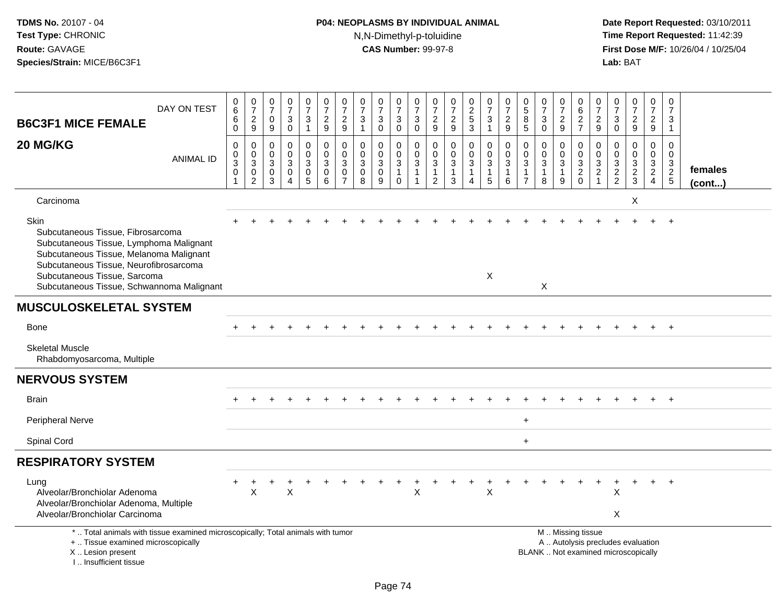# **P04: NEOPLASMS BY INDIVIDUAL ANIMAL**N,N-Dimethyl-p-toluidine

| DAY ON TEST<br><b>B6C3F1 MICE FEMALE</b>                                                                                                                                                                                                               | $_{6}^{\rm 0}$<br>$\,6$<br>$\mathsf{O}\xspace$            | $\frac{0}{7}$<br>$\frac{2}{9}$                         | $\pmb{0}$<br>$\overline{7}$<br>$\pmb{0}$<br>$9\,$                  | $\begin{array}{c} 0 \\ 7 \end{array}$<br>$_{\rm 0}^3$                 | $\begin{smallmatrix}0\\7\end{smallmatrix}$<br>$\frac{3}{1}$                              | $\frac{0}{7}$<br>$\frac{2}{9}$                               | $\pmb{0}$<br>$\overline{7}$<br>$\frac{2}{9}$                                | 0<br>$\overline{7}$<br>$\ensuremath{\mathsf{3}}$<br>$\mathbf{1}$          | $\frac{0}{7}$<br>3<br>$\overline{0}$         | 0<br>$\overline{7}$<br>$\frac{3}{0}$                                    | $\frac{0}{7}$<br>$\ensuremath{\mathsf{3}}$<br>$\overline{0}$      | 0<br>$\overline{7}$<br>$\frac{2}{9}$                                     | $\frac{0}{7}$<br>$\frac{2}{9}$                                                      | $\begin{array}{c} 0 \\ 2 \\ 5 \end{array}$<br>$\overline{3}$        | $\frac{0}{7}$<br>3<br>$\mathbf{1}$                                         | $\frac{0}{7}$<br>$\frac{2}{9}$                                       | 0<br>$\sqrt{5}$<br>$\bf8$<br>5                                          | $\begin{array}{c} 0 \\ 7 \end{array}$<br>$\ensuremath{\mathsf{3}}$<br>$\mathbf 0$ | 0<br>$\overline{7}$<br>$\frac{2}{9}$                   | 0<br>$\,6\,$<br>$\frac{2}{7}$                                                                 | 0<br>$\overline{7}$<br>$\frac{2}{9}$                                    | 0<br>$\overline{7}$<br>3<br>$\mathbf 0$  | $\frac{0}{7}$<br>$\frac{2}{9}$              | 0<br>$\overline{7}$<br>$\frac{2}{9}$ | $\pmb{0}$<br>$\overline{7}$<br>3<br>$\mathbf{1}$ |                   |
|--------------------------------------------------------------------------------------------------------------------------------------------------------------------------------------------------------------------------------------------------------|-----------------------------------------------------------|--------------------------------------------------------|--------------------------------------------------------------------|-----------------------------------------------------------------------|------------------------------------------------------------------------------------------|--------------------------------------------------------------|-----------------------------------------------------------------------------|---------------------------------------------------------------------------|----------------------------------------------|-------------------------------------------------------------------------|-------------------------------------------------------------------|--------------------------------------------------------------------------|-------------------------------------------------------------------------------------|---------------------------------------------------------------------|----------------------------------------------------------------------------|----------------------------------------------------------------------|-------------------------------------------------------------------------|-----------------------------------------------------------------------------------|--------------------------------------------------------|-----------------------------------------------------------------------------------------------|-------------------------------------------------------------------------|------------------------------------------|---------------------------------------------|--------------------------------------|--------------------------------------------------|-------------------|
| 20 MG/KG<br><b>ANIMAL ID</b>                                                                                                                                                                                                                           | $\pmb{0}$<br>$\pmb{0}$<br>$\sqrt{3}$<br>0<br>$\mathbf{1}$ | $\mathbf 0$<br>$\mathbf 0$<br>3<br>0<br>$\overline{2}$ | $\pmb{0}$<br>0<br>$\sqrt{3}$<br>$\boldsymbol{0}$<br>$\overline{3}$ | $\pmb{0}$<br>$\mathbf 0$<br>$\sqrt{3}$<br>$\pmb{0}$<br>$\overline{4}$ | $\mathbf 0$<br>$\mathbf 0$<br>$\ensuremath{\mathsf{3}}$<br>$\mathbf 0$<br>$\overline{5}$ | $\mathbf 0$<br>$\mathbf 0$<br>$\sqrt{3}$<br>$\mathbf 0$<br>6 | $\mathbf 0$<br>$\mathbf 0$<br>$\mathbf{3}$<br>$\mathbf 0$<br>$\overline{7}$ | $\mathbf 0$<br>$\mathbf 0$<br>$\sqrt{3}$<br>$\mathbf 0$<br>$\overline{8}$ | 0<br>$\mathbf 0$<br>3<br>0<br>$\overline{9}$ | 0<br>$\mathsf{O}\xspace$<br>$\mathbf{3}$<br>$\mathbf{1}$<br>$\mathbf 0$ | 0<br>$\pmb{0}$<br>$\ensuremath{\mathsf{3}}$<br>$\mathbf{1}$<br>-1 | $\boldsymbol{0}$<br>0<br>$\mathsf 3$<br>$\overline{1}$<br>$\overline{2}$ | $\pmb{0}$<br>$\pmb{0}$<br>$\ensuremath{\mathsf{3}}$<br>$\mathbf{1}$<br>$\mathbf{3}$ | $\boldsymbol{0}$<br>$\mathbf 0$<br>$\mathsf 3$<br>$\mathbf{1}$<br>4 | $\pmb{0}$<br>$\mathbf 0$<br>$\ensuremath{\mathsf{3}}$<br>$\mathbf{1}$<br>5 | $\boldsymbol{0}$<br>$\mathbf 0$<br>$\mathbf{3}$<br>$\mathbf{1}$<br>6 | $\mathbf 0$<br>$\Omega$<br>$\sqrt{3}$<br>$\mathbf{1}$<br>$\overline{7}$ | $\mathbf 0$<br>$\mathsf{O}\xspace$<br>$\sqrt{3}$<br>$\mathbf{1}$<br>8             | 0<br>$\mathbf{0}$<br>$\mathbf{3}$<br>$\mathbf{1}$<br>9 | 0<br>$\begin{array}{c} 0 \\ 3 \\ 2 \\ 0 \end{array}$                                          | $\mathbf 0$<br>$\mathbf{0}$<br>$\sqrt{3}$<br>$\sqrt{2}$<br>$\mathbf{1}$ | $\Omega$<br>$\mathbf 0$<br>$\frac{3}{2}$ | $\mathbf 0$<br>$\mathbf 0$<br>$\frac{3}{2}$ | 0<br>$\mathbf 0$<br>$\frac{3}{2}$    | $\mathbf 0$<br>$\Omega$<br>$\frac{3}{2}$         | females<br>(cont) |
| Carcinoma                                                                                                                                                                                                                                              |                                                           |                                                        |                                                                    |                                                                       |                                                                                          |                                                              |                                                                             |                                                                           |                                              |                                                                         |                                                                   |                                                                          |                                                                                     |                                                                     |                                                                            |                                                                      |                                                                         |                                                                                   |                                                        |                                                                                               |                                                                         |                                          | X                                           |                                      |                                                  |                   |
| Skin<br>Subcutaneous Tissue, Fibrosarcoma<br>Subcutaneous Tissue, Lymphoma Malignant<br>Subcutaneous Tissue, Melanoma Malignant<br>Subcutaneous Tissue, Neurofibrosarcoma<br>Subcutaneous Tissue, Sarcoma<br>Subcutaneous Tissue, Schwannoma Malignant |                                                           |                                                        |                                                                    |                                                                       |                                                                                          |                                                              |                                                                             |                                                                           |                                              |                                                                         |                                                                   |                                                                          |                                                                                     |                                                                     | $\sf X$                                                                    |                                                                      |                                                                         | X                                                                                 |                                                        |                                                                                               |                                                                         |                                          |                                             |                                      | $+$                                              |                   |
| <b>MUSCULOSKELETAL SYSTEM</b>                                                                                                                                                                                                                          |                                                           |                                                        |                                                                    |                                                                       |                                                                                          |                                                              |                                                                             |                                                                           |                                              |                                                                         |                                                                   |                                                                          |                                                                                     |                                                                     |                                                                            |                                                                      |                                                                         |                                                                                   |                                                        |                                                                                               |                                                                         |                                          |                                             |                                      |                                                  |                   |
| <b>Bone</b>                                                                                                                                                                                                                                            |                                                           |                                                        |                                                                    |                                                                       |                                                                                          |                                                              |                                                                             |                                                                           |                                              |                                                                         |                                                                   |                                                                          |                                                                                     |                                                                     |                                                                            |                                                                      |                                                                         |                                                                                   |                                                        |                                                                                               |                                                                         |                                          |                                             |                                      | $+$                                              |                   |
| <b>Skeletal Muscle</b><br>Rhabdomyosarcoma, Multiple                                                                                                                                                                                                   |                                                           |                                                        |                                                                    |                                                                       |                                                                                          |                                                              |                                                                             |                                                                           |                                              |                                                                         |                                                                   |                                                                          |                                                                                     |                                                                     |                                                                            |                                                                      |                                                                         |                                                                                   |                                                        |                                                                                               |                                                                         |                                          |                                             |                                      |                                                  |                   |
| <b>NERVOUS SYSTEM</b>                                                                                                                                                                                                                                  |                                                           |                                                        |                                                                    |                                                                       |                                                                                          |                                                              |                                                                             |                                                                           |                                              |                                                                         |                                                                   |                                                                          |                                                                                     |                                                                     |                                                                            |                                                                      |                                                                         |                                                                                   |                                                        |                                                                                               |                                                                         |                                          |                                             |                                      |                                                  |                   |
| <b>Brain</b>                                                                                                                                                                                                                                           |                                                           |                                                        |                                                                    |                                                                       |                                                                                          |                                                              |                                                                             |                                                                           |                                              |                                                                         |                                                                   |                                                                          |                                                                                     |                                                                     |                                                                            |                                                                      |                                                                         |                                                                                   |                                                        |                                                                                               |                                                                         |                                          |                                             |                                      | $+$                                              |                   |
| Peripheral Nerve                                                                                                                                                                                                                                       |                                                           |                                                        |                                                                    |                                                                       |                                                                                          |                                                              |                                                                             |                                                                           |                                              |                                                                         |                                                                   |                                                                          |                                                                                     |                                                                     |                                                                            |                                                                      | $\ddot{}$                                                               |                                                                                   |                                                        |                                                                                               |                                                                         |                                          |                                             |                                      |                                                  |                   |
| Spinal Cord                                                                                                                                                                                                                                            |                                                           |                                                        |                                                                    |                                                                       |                                                                                          |                                                              |                                                                             |                                                                           |                                              |                                                                         |                                                                   |                                                                          |                                                                                     |                                                                     |                                                                            |                                                                      | $\ddot{}$                                                               |                                                                                   |                                                        |                                                                                               |                                                                         |                                          |                                             |                                      |                                                  |                   |
| <b>RESPIRATORY SYSTEM</b>                                                                                                                                                                                                                              |                                                           |                                                        |                                                                    |                                                                       |                                                                                          |                                                              |                                                                             |                                                                           |                                              |                                                                         |                                                                   |                                                                          |                                                                                     |                                                                     |                                                                            |                                                                      |                                                                         |                                                                                   |                                                        |                                                                                               |                                                                         |                                          |                                             |                                      |                                                  |                   |
| Lung<br>Alveolar/Bronchiolar Adenoma<br>Alveolar/Bronchiolar Adenoma, Multiple<br>Alveolar/Bronchiolar Carcinoma                                                                                                                                       |                                                           | X                                                      |                                                                    | X                                                                     |                                                                                          |                                                              |                                                                             |                                                                           |                                              |                                                                         | X                                                                 |                                                                          |                                                                                     |                                                                     | $\sf X$                                                                    |                                                                      |                                                                         |                                                                                   |                                                        |                                                                                               | $\ddot{}$                                                               | X<br>$\boldsymbol{\mathsf{X}}$           |                                             |                                      | $+$                                              |                   |
| *  Total animals with tissue examined microscopically; Total animals with tumor<br>+  Tissue examined microscopically<br>X  Lesion present<br>I Insufficient tissue                                                                                    |                                                           |                                                        |                                                                    |                                                                       |                                                                                          |                                                              |                                                                             |                                                                           |                                              |                                                                         |                                                                   |                                                                          |                                                                                     |                                                                     |                                                                            |                                                                      |                                                                         |                                                                                   |                                                        | M  Missing tissue<br>A  Autolysis precludes evaluation<br>BLANK  Not examined microscopically |                                                                         |                                          |                                             |                                      |                                                  |                   |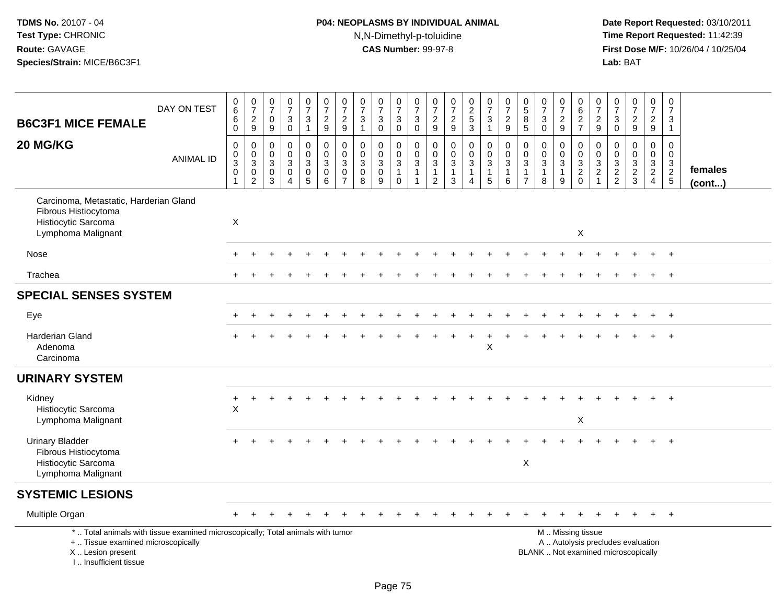# **P04: NEOPLASMS BY INDIVIDUAL ANIMAL**N,N-Dimethyl-p-toluidine

| <b>B6C3F1 MICE FEMALE</b>                                                                                                                                             | DAY ON TEST      | $\begin{array}{c} 0 \\ 6 \end{array}$<br>$\,6\,$<br>$\overline{0}$                                 | $\frac{0}{7}$<br>$\frac{2}{9}$                               | $\pmb{0}$<br>$\overline{7}$<br>$\mathbf 0$<br>$\boldsymbol{9}$  | $\frac{0}{7}$<br>$\mathbf{3}$<br>$\mathbf 0$                              | $\frac{0}{7}$<br>3<br>$\mathbf{1}$                                                   | $\begin{smallmatrix}0\\7\end{smallmatrix}$<br>$\frac{2}{9}$                | $\frac{0}{7}$<br>$\frac{2}{9}$                                      | $\begin{array}{c} 0 \\ 7 \end{array}$<br>$\sqrt{3}$<br>$\overline{1}$                | $\frac{0}{7}$<br>$\mathbf{3}$<br>$\mathbf 0$             | $\begin{array}{c} 0 \\ 7 \end{array}$<br>$\ensuremath{\mathsf{3}}$<br>$\overline{0}$ | $\frac{0}{7}$<br>$\ensuremath{\mathsf{3}}$<br>$\overline{0}$                  | $\frac{0}{7}$<br>$\frac{2}{9}$                                             | $\begin{array}{c} 0 \\ 7 \end{array}$<br>$\frac{2}{9}$                     | $\frac{0}{2}$<br>3                                                             | $\begin{smallmatrix} 0\\7 \end{smallmatrix}$<br>$\frac{3}{1}$                                            | $\frac{0}{7}$<br>$\frac{2}{9}$                              | $\begin{array}{c} 0 \\ 5 \end{array}$<br>8<br>$\overline{5}$             | $\frac{0}{7}$<br>$\sqrt{3}$<br>$\mathbf 0$                    | $\frac{0}{7}$<br>$\frac{2}{9}$                        | $_6^0$<br>$\frac{2}{7}$                         | $\frac{0}{7}$<br>$\frac{2}{9}$                                  | $\begin{smallmatrix}0\\7\end{smallmatrix}$<br>$\mathbf{3}$<br>$\overline{0}$ | $\begin{array}{c} 0 \\ 7 \end{array}$<br>$\boldsymbol{2}$<br>$\overline{9}$ | $\begin{array}{c} 0 \\ 7 \end{array}$<br>$\frac{2}{9}$ | $\frac{0}{7}$<br>$\mathbf{3}$<br>$\mathbf{1}$              |                   |
|-----------------------------------------------------------------------------------------------------------------------------------------------------------------------|------------------|----------------------------------------------------------------------------------------------------|--------------------------------------------------------------|-----------------------------------------------------------------|---------------------------------------------------------------------------|--------------------------------------------------------------------------------------|----------------------------------------------------------------------------|---------------------------------------------------------------------|--------------------------------------------------------------------------------------|----------------------------------------------------------|--------------------------------------------------------------------------------------|-------------------------------------------------------------------------------|----------------------------------------------------------------------------|----------------------------------------------------------------------------|--------------------------------------------------------------------------------|----------------------------------------------------------------------------------------------------------|-------------------------------------------------------------|--------------------------------------------------------------------------|---------------------------------------------------------------|-------------------------------------------------------|-------------------------------------------------|-----------------------------------------------------------------|------------------------------------------------------------------------------|-----------------------------------------------------------------------------|--------------------------------------------------------|------------------------------------------------------------|-------------------|
| 20 MG/KG                                                                                                                                                              | <b>ANIMAL ID</b> | $\boldsymbol{0}$<br>$\boldsymbol{0}$<br>$\ensuremath{\mathsf{3}}$<br>$\mathbf 0$<br>$\overline{1}$ | $\mathsf 0$<br>$_{3}^{\rm 0}$<br>$\pmb{0}$<br>$\overline{2}$ | $\boldsymbol{0}$<br>$\mathbf 0$<br>$\sqrt{3}$<br>$\pmb{0}$<br>3 | $\pmb{0}$<br>$\mathbf 0$<br>$\mathbf{3}$<br>$\mathbf 0$<br>$\overline{4}$ | $\mathsf{O}$<br>$\mathbf 0$<br>$\mathbf{3}$<br>$\mathsf{O}\xspace$<br>$\overline{5}$ | $\mathsf 0$<br>$\overline{0}$<br>$\mathsf 3$<br>$\mathbf 0$<br>$6^{\circ}$ | $\pmb{0}$<br>$\pmb{0}$<br>$\sqrt{3}$<br>$\pmb{0}$<br>$\overline{7}$ | $\mathbf 0$<br>$\pmb{0}$<br>$\ensuremath{\mathsf{3}}$<br>$\pmb{0}$<br>$\overline{8}$ | $\pmb{0}$<br>$\mathbf 0$<br>$\sqrt{3}$<br>$\pmb{0}$<br>9 | 0<br>$\mathbf 0$<br>$\sqrt{3}$<br>$\mathbf{1}$<br>$\mathbf 0$                        | $\boldsymbol{0}$<br>$\mathbf 0$<br>$\sqrt{3}$<br>$\mathbf{1}$<br>$\mathbf{1}$ | $\mathsf{O}\xspace$<br>0<br>$\mathbf{3}$<br>$\mathbf{1}$<br>$\overline{2}$ | $\mathsf 0$<br>$\mathbf 0$<br>$\mathbf{3}$<br>$\mathbf{1}$<br>$\mathbf{3}$ | $\pmb{0}$<br>$\pmb{0}$<br>$\sqrt{3}$<br>$\mathbf{1}$<br>$\boldsymbol{\Lambda}$ | $\mathbf 0$<br>$\ddot{\mathbf{0}}$<br>$\ensuremath{\mathsf{3}}$<br>$\begin{array}{c} 1 \\ 5 \end{array}$ | $\pmb{0}$<br>$\mathbf 0$<br>$\sqrt{3}$<br>$\mathbf{1}$<br>6 | $\pmb{0}$<br>$\mathbf 0$<br>$\sqrt{3}$<br>$\mathbf{1}$<br>$\overline{7}$ | $\pmb{0}$<br>$\mathbf 0$<br>$\mathbf{3}$<br>$\mathbf{1}$<br>8 | 0<br>$\mathbf 0$<br>$\mathbf{3}$<br>$\mathbf{1}$<br>9 | 0<br>$\mathbf 0$<br>$\sqrt{3}$<br>$\frac{2}{0}$ | 0<br>$\pmb{0}$<br>$\ensuremath{\mathsf{3}}$<br>$\boldsymbol{2}$ | 0<br>$\mathbf 0$<br>$\ensuremath{\mathsf{3}}$<br>$\frac{2}{2}$               | $\mathbf 0$<br>$\mathbf 0$<br>$\frac{3}{2}$                                 | $\pmb{0}$<br>$\mathbf 0$<br>$\frac{3}{2}$              | $\mathbf 0$<br>$\mathbf{0}$<br>$\mathbf{3}$<br>$rac{2}{5}$ | females<br>(cont) |
| Carcinoma, Metastatic, Harderian Gland<br>Fibrous Histiocytoma<br>Histiocytic Sarcoma<br>Lymphoma Malignant                                                           |                  | X                                                                                                  |                                                              |                                                                 |                                                                           |                                                                                      |                                                                            |                                                                     |                                                                                      |                                                          |                                                                                      |                                                                               |                                                                            |                                                                            |                                                                                |                                                                                                          |                                                             |                                                                          |                                                               |                                                       | X                                               |                                                                 |                                                                              |                                                                             |                                                        |                                                            |                   |
| Nose                                                                                                                                                                  |                  |                                                                                                    |                                                              |                                                                 |                                                                           |                                                                                      |                                                                            |                                                                     |                                                                                      |                                                          |                                                                                      |                                                                               |                                                                            |                                                                            |                                                                                |                                                                                                          |                                                             |                                                                          |                                                               |                                                       |                                                 |                                                                 |                                                                              |                                                                             |                                                        | $+$                                                        |                   |
| Trachea                                                                                                                                                               |                  |                                                                                                    |                                                              |                                                                 |                                                                           |                                                                                      |                                                                            |                                                                     |                                                                                      |                                                          |                                                                                      |                                                                               |                                                                            |                                                                            |                                                                                |                                                                                                          |                                                             |                                                                          |                                                               |                                                       |                                                 |                                                                 |                                                                              |                                                                             |                                                        | $+$                                                        |                   |
| <b>SPECIAL SENSES SYSTEM</b>                                                                                                                                          |                  |                                                                                                    |                                                              |                                                                 |                                                                           |                                                                                      |                                                                            |                                                                     |                                                                                      |                                                          |                                                                                      |                                                                               |                                                                            |                                                                            |                                                                                |                                                                                                          |                                                             |                                                                          |                                                               |                                                       |                                                 |                                                                 |                                                                              |                                                                             |                                                        |                                                            |                   |
| Eye                                                                                                                                                                   |                  |                                                                                                    |                                                              |                                                                 |                                                                           |                                                                                      |                                                                            |                                                                     |                                                                                      |                                                          |                                                                                      |                                                                               |                                                                            |                                                                            |                                                                                |                                                                                                          |                                                             |                                                                          |                                                               |                                                       |                                                 |                                                                 |                                                                              |                                                                             |                                                        |                                                            |                   |
| <b>Harderian Gland</b><br>Adenoma<br>Carcinoma                                                                                                                        |                  |                                                                                                    |                                                              |                                                                 |                                                                           |                                                                                      |                                                                            |                                                                     |                                                                                      |                                                          |                                                                                      |                                                                               |                                                                            |                                                                            |                                                                                | $\pmb{\times}$                                                                                           |                                                             |                                                                          |                                                               |                                                       |                                                 |                                                                 |                                                                              |                                                                             | $\ddot{}$                                              | $^{+}$                                                     |                   |
| <b>URINARY SYSTEM</b>                                                                                                                                                 |                  |                                                                                                    |                                                              |                                                                 |                                                                           |                                                                                      |                                                                            |                                                                     |                                                                                      |                                                          |                                                                                      |                                                                               |                                                                            |                                                                            |                                                                                |                                                                                                          |                                                             |                                                                          |                                                               |                                                       |                                                 |                                                                 |                                                                              |                                                                             |                                                        |                                                            |                   |
| Kidney<br>Histiocytic Sarcoma<br>Lymphoma Malignant                                                                                                                   |                  | +<br>$\pmb{\times}$                                                                                |                                                              |                                                                 |                                                                           |                                                                                      |                                                                            |                                                                     |                                                                                      |                                                          |                                                                                      |                                                                               |                                                                            |                                                                            |                                                                                |                                                                                                          |                                                             |                                                                          |                                                               |                                                       | $\pmb{\times}$                                  |                                                                 |                                                                              |                                                                             |                                                        |                                                            |                   |
| <b>Urinary Bladder</b><br>Fibrous Histiocytoma<br>Histiocytic Sarcoma<br>Lymphoma Malignant                                                                           |                  |                                                                                                    |                                                              |                                                                 |                                                                           |                                                                                      |                                                                            |                                                                     |                                                                                      |                                                          |                                                                                      |                                                                               |                                                                            |                                                                            |                                                                                |                                                                                                          |                                                             | X                                                                        |                                                               |                                                       |                                                 |                                                                 |                                                                              |                                                                             |                                                        | $\div$                                                     |                   |
| <b>SYSTEMIC LESIONS</b>                                                                                                                                               |                  |                                                                                                    |                                                              |                                                                 |                                                                           |                                                                                      |                                                                            |                                                                     |                                                                                      |                                                          |                                                                                      |                                                                               |                                                                            |                                                                            |                                                                                |                                                                                                          |                                                             |                                                                          |                                                               |                                                       |                                                 |                                                                 |                                                                              |                                                                             |                                                        |                                                            |                   |
| Multiple Organ                                                                                                                                                        |                  |                                                                                                    |                                                              |                                                                 |                                                                           |                                                                                      |                                                                            |                                                                     |                                                                                      |                                                          |                                                                                      |                                                                               |                                                                            |                                                                            |                                                                                |                                                                                                          |                                                             |                                                                          |                                                               |                                                       |                                                 |                                                                 |                                                                              |                                                                             |                                                        | $+$                                                        |                   |
| *  Total animals with tissue examined microscopically; Total animals with tumor<br>+  Tissue examined microscopically<br>X  Lesion present<br>I., Insufficient tissue |                  |                                                                                                    |                                                              |                                                                 |                                                                           |                                                                                      |                                                                            |                                                                     |                                                                                      |                                                          |                                                                                      |                                                                               |                                                                            |                                                                            |                                                                                |                                                                                                          |                                                             |                                                                          |                                                               | M  Missing tissue                                     |                                                 |                                                                 |                                                                              | A  Autolysis precludes evaluation<br>BLANK  Not examined microscopically    |                                                        |                                                            |                   |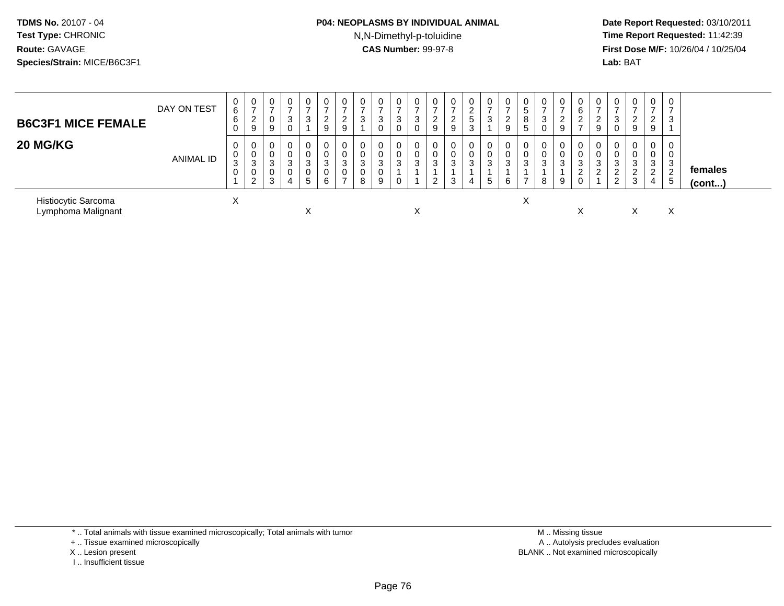### **P04: NEOPLASMS BY INDIVIDUAL ANIMAL**N,N-Dimethyl-p-toluidine

 **Date Report Requested:** 03/10/2011 **Time Report Requested:** 11:42:39 **First Dose M/F:** 10/26/04 / 10/25/04 Lab: BAT **Lab:** BAT

| <b>B6C3F1 MICE FEMALE</b>                 | DAY ON TEST      | 0<br>6<br>6<br>0 | 0<br>$\rightarrow$<br>2<br>9 | 0<br>$\rightarrow$<br>0<br>9 | $\mathbf 0$<br>3                               | 3                      | 0<br>2<br>9                      | 0<br>ົ<br>$\epsilon$<br>9 | 0<br>3                          | 0<br>$\overline{ }$<br>3<br>0    | 0<br>$\rightarrow$<br>3<br>0 | $\sim$<br>చ | ∠<br>9                     | 0<br>$\mathcal{D}$<br>∼<br>9 | 0<br>$\sim$<br><u>.</u><br>$5\phantom{.0}$<br>3 | 0<br>$\rightarrow$<br>3 | 0<br>$\rightarrow$<br>$\overline{2}$<br>9 | 0<br>5<br>8<br>5 | $\mathbf 0$<br>-3                    | 0<br>$\rightarrow$<br>ົ<br>$\epsilon$<br>9 | 0<br>6<br>$\Omega$<br>∠    | U<br><u>_</u><br>9    | 0<br>$\rightarrow$<br>3<br>0                  | 0<br>$\overline{ }$<br>$\overline{2}$<br>9   | 0<br>$\rightarrow$<br>◠<br>$\epsilon$<br>9 | 0<br>3   |                   |  |
|-------------------------------------------|------------------|------------------|------------------------------|------------------------------|------------------------------------------------|------------------------|----------------------------------|---------------------------|---------------------------------|----------------------------------|------------------------------|-------------|----------------------------|------------------------------|-------------------------------------------------|-------------------------|-------------------------------------------|------------------|--------------------------------------|--------------------------------------------|----------------------------|-----------------------|-----------------------------------------------|----------------------------------------------|--------------------------------------------|----------|-------------------|--|
| 20 MG/KG                                  | <b>ANIMAL ID</b> | 0<br>U<br>3<br>0 | 0<br>0<br>3<br>0<br>2        | 0<br>0<br>3<br>0<br>3        | $\mathbf 0$<br>$\mathbf 0$<br>3<br>$\sim$<br>4 | $\sim$<br>J.<br>-<br>b | $\mathbf{0}$<br>0<br>3<br>0<br>6 | 0<br>0<br>3<br>0          | $\mathbf 0$<br>0<br>3<br>0<br>8 | 0<br>0<br>3<br>$\mathbf{0}$<br>9 | 0<br>0<br>3<br>0             | 3           | $\sim$<br>C.<br>$\epsilon$ | 0<br>3<br>3                  | 0<br>0<br>3<br>4                                | 0<br>0<br>3<br>5        | 0<br>0<br>3<br>6                          | 0<br>0<br>3      | $\mathbf 0$<br>$\mathbf 0$<br>3<br>8 | 0<br>0<br>3<br>9                           | 0<br>0<br>3<br>ົ<br>∠<br>0 | 0<br>0<br>3<br>$\sim$ | $\mathbf 0$<br>0<br>3<br>റ<br>$\epsilon$<br>2 | $\mathbf 0$<br>0<br>3<br>$\overline{2}$<br>3 | 0<br>0<br>3<br>$\sim$<br>4                 | 3<br>. 5 | females<br>(cont) |  |
| Histiocytic Sarcoma<br>Lymphoma Malignant |                  | $\sim$           |                              |                              |                                                |                        |                                  |                           |                                 |                                  |                              | ⋏           |                            |                              |                                                 |                         |                                           | X                |                                      |                                            | $\lambda$                  |                       |                                               | х                                            |                                            | Χ        |                   |  |

\* .. Total animals with tissue examined microscopically; Total animals with tumor

+ .. Tissue examined microscopically

- X .. Lesion present
- I .. Insufficient tissue

 M .. Missing tissuey the contract of the contract of the contract of the contract of the contract of the contract of the contract of  $A$ . Autolysis precludes evaluation Lesion present BLANK .. Not examined microscopically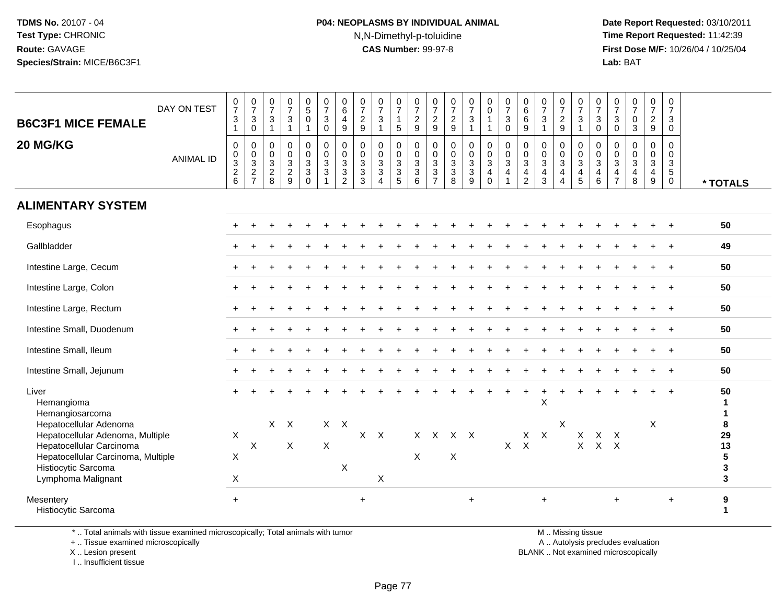### **P04: NEOPLASMS BY INDIVIDUAL ANIMAL**N,N-Dimethyl-p-toluidine

 **Date Report Requested:** 03/10/2011 **Time Report Requested:** 11:42:39 **First Dose M/F:** 10/26/04 / 10/25/04 Lab: BAT **Lab:** BAT

| <b>B6C3F1 MICE FEMALE</b>                                                                                                    | DAY ON TEST      | $\begin{array}{c} 0 \\ 7 \end{array}$<br>$\mathbf{3}$<br>$\overline{1}$ | $\frac{0}{7}$<br>$\mathbf{3}$<br>$\overline{0}$ | $\frac{0}{7}$<br>$\sqrt{3}$<br>$\mathbf{1}$ | $\frac{0}{7}$<br>$\frac{3}{1}$          | $\begin{smallmatrix}0\\5\\0\end{smallmatrix}$<br>$\overline{1}$ | $\frac{0}{7}$<br>$\mathbf{3}$<br>$\overline{0}$                     | 0<br>$\overline{6}$<br>4<br>9                | $\frac{0}{7}$<br>$\frac{2}{9}$          | $\frac{0}{7}$<br>3<br>$\mathbf{1}$                             | $\frac{0}{7}$<br>$\mathbf{1}$<br>$5\phantom{.0}$ | $\frac{0}{7}$<br>$\frac{2}{9}$                 | $\frac{0}{7}$<br>$\frac{2}{9}$            | $\frac{0}{7}$<br>$\frac{2}{9}$                   | $\frac{0}{7}$<br>$\mathbf{3}$<br>$\mathbf{1}$                       | 0<br>$\mathbf 0$<br>$\mathbf{1}$<br>$\overline{1}$                          | $\frac{0}{7}$<br>$\sqrt{3}$<br>$\ddot{\mathbf{0}}$         | $\begin{array}{c} 0 \\ 6 \end{array}$<br>$6\phantom{a}$<br>$\overline{9}$               | $\frac{0}{7}$<br>$\sqrt{3}$<br>$\mathbf{1}$                         | $\frac{0}{7}$<br>$\frac{2}{9}$                                    | 0<br>$\overline{7}$<br>$\sqrt{3}$<br>$\overline{1}$               | $\frac{0}{7}$<br>3<br>$\mathsf{O}\xspace$ | 0<br>$\overline{7}$<br>$\mathbf{3}$<br>$\pmb{0}$ | $\frac{0}{7}$<br>$\mathbf 0$<br>$\overline{3}$                               | $\frac{0}{7}$<br>$\frac{2}{9}$                          | 0<br>$\overline{7}$<br>$\ensuremath{\mathsf{3}}$<br>$\mathbf 0$        |                            |
|------------------------------------------------------------------------------------------------------------------------------|------------------|-------------------------------------------------------------------------|-------------------------------------------------|---------------------------------------------|-----------------------------------------|-----------------------------------------------------------------|---------------------------------------------------------------------|----------------------------------------------|-----------------------------------------|----------------------------------------------------------------|--------------------------------------------------|------------------------------------------------|-------------------------------------------|--------------------------------------------------|---------------------------------------------------------------------|-----------------------------------------------------------------------------|------------------------------------------------------------|-----------------------------------------------------------------------------------------|---------------------------------------------------------------------|-------------------------------------------------------------------|-------------------------------------------------------------------|-------------------------------------------|--------------------------------------------------|------------------------------------------------------------------------------|---------------------------------------------------------|------------------------------------------------------------------------|----------------------------|
| 20 MG/KG                                                                                                                     | <b>ANIMAL ID</b> | $\mathbf 0$<br>0<br>$\overline{3}$<br>$\frac{2}{6}$                     | $\pmb{0}$<br>$\pmb{0}$<br>$\frac{3}{2}$         | $\pmb{0}$<br>$\mathbf 0$<br>$\frac{3}{2}$   | $\pmb{0}$<br>$\pmb{0}$<br>$\frac{3}{2}$ | $\pmb{0}$<br>$\pmb{0}$<br>$\frac{3}{3}$                         | $\mathsf{O}\xspace$<br>$\mathbf 0$<br>$\frac{3}{3}$<br>$\mathbf{1}$ | 0<br>$\mathbf 0$<br>3<br>3<br>$\overline{2}$ | $\pmb{0}$<br>$\pmb{0}$<br>$\frac{3}{3}$ | $\mathsf{O}$<br>$\mathbf 0$<br>$\frac{3}{3}$<br>$\overline{4}$ | 0<br>0<br>$\overline{3}$<br>$\frac{3}{5}$        | $\pmb{0}$<br>$\boldsymbol{0}$<br>$\frac{3}{3}$ | $\pmb{0}$<br>$\mathbf 0$<br>$\frac{3}{3}$ | $\mathbf 0$<br>$\mathbf 0$<br>$\frac{3}{3}$<br>8 | $\mathbf 0$<br>$\mathsf 0$<br>$\overline{3}$<br>$\overline{3}$<br>9 | $\pmb{0}$<br>$\mathbf 0$<br>$\overline{3}$<br>$\overline{4}$<br>$\mathbf 0$ | $\pmb{0}$<br>$\pmb{0}$<br>$\overline{3}$<br>$\overline{4}$ | $\mathbf 0$<br>$\pmb{0}$<br>$\overline{3}$<br>$\overline{\mathbf{4}}$<br>$\overline{2}$ | $\mathbf 0$<br>$\mathbf 0$<br>$\overline{3}$<br>$\overline{a}$<br>3 | 0<br>$\mathsf{O}\xspace$<br>$\overline{3}$<br>4<br>$\overline{4}$ | $\pmb{0}$<br>$\mathsf 0$<br>$\overline{3}$<br>4<br>$\overline{5}$ | 0<br>0<br>$\mathbf{3}$<br>4<br>6          | 0<br>0<br>$\overline{3}$<br>$\frac{4}{7}$        | $\mathsf 0$<br>$\mathbf 0$<br>$\overline{3}$<br>$\overline{\mathbf{4}}$<br>8 | 0<br>$\pmb{0}$<br>$\overline{3}$<br>4<br>$\overline{9}$ | $\mathbf 0$<br>$\mathbf 0$<br>$\sqrt{3}$<br>$\,$ 5 $\,$<br>$\mathbf 0$ | * TOTALS                   |
| <b>ALIMENTARY SYSTEM</b>                                                                                                     |                  |                                                                         |                                                 |                                             |                                         |                                                                 |                                                                     |                                              |                                         |                                                                |                                                  |                                                |                                           |                                                  |                                                                     |                                                                             |                                                            |                                                                                         |                                                                     |                                                                   |                                                                   |                                           |                                                  |                                                                              |                                                         |                                                                        |                            |
| Esophagus                                                                                                                    |                  |                                                                         |                                                 |                                             |                                         |                                                                 |                                                                     |                                              |                                         |                                                                |                                                  |                                                |                                           |                                                  |                                                                     |                                                                             |                                                            |                                                                                         |                                                                     |                                                                   |                                                                   |                                           |                                                  |                                                                              |                                                         |                                                                        | 50                         |
| Gallbladder                                                                                                                  |                  |                                                                         |                                                 |                                             |                                         |                                                                 |                                                                     |                                              |                                         |                                                                |                                                  |                                                |                                           |                                                  |                                                                     |                                                                             |                                                            |                                                                                         |                                                                     |                                                                   |                                                                   |                                           |                                                  |                                                                              |                                                         |                                                                        | 49                         |
| Intestine Large, Cecum                                                                                                       |                  |                                                                         |                                                 |                                             |                                         |                                                                 |                                                                     |                                              |                                         |                                                                |                                                  |                                                |                                           |                                                  |                                                                     |                                                                             |                                                            |                                                                                         |                                                                     |                                                                   |                                                                   |                                           |                                                  |                                                                              |                                                         |                                                                        | 50                         |
| Intestine Large, Colon                                                                                                       |                  |                                                                         |                                                 |                                             |                                         |                                                                 |                                                                     |                                              |                                         |                                                                |                                                  |                                                |                                           |                                                  |                                                                     |                                                                             |                                                            |                                                                                         |                                                                     |                                                                   |                                                                   |                                           |                                                  |                                                                              |                                                         | $\ddot{}$                                                              | 50                         |
| Intestine Large, Rectum                                                                                                      |                  |                                                                         |                                                 |                                             |                                         |                                                                 |                                                                     |                                              |                                         |                                                                |                                                  |                                                |                                           |                                                  |                                                                     |                                                                             |                                                            |                                                                                         |                                                                     |                                                                   |                                                                   |                                           |                                                  |                                                                              |                                                         | $\overline{+}$                                                         | 50                         |
| Intestine Small, Duodenum                                                                                                    |                  |                                                                         |                                                 |                                             |                                         |                                                                 |                                                                     |                                              |                                         |                                                                |                                                  |                                                |                                           |                                                  |                                                                     |                                                                             |                                                            |                                                                                         |                                                                     |                                                                   |                                                                   |                                           |                                                  |                                                                              |                                                         |                                                                        | 50                         |
| Intestine Small, Ileum                                                                                                       |                  |                                                                         |                                                 |                                             |                                         |                                                                 |                                                                     |                                              |                                         |                                                                |                                                  |                                                |                                           |                                                  |                                                                     |                                                                             |                                                            |                                                                                         |                                                                     |                                                                   |                                                                   |                                           |                                                  |                                                                              |                                                         |                                                                        | 50                         |
| Intestine Small, Jejunum                                                                                                     |                  |                                                                         |                                                 |                                             |                                         |                                                                 |                                                                     |                                              |                                         |                                                                |                                                  |                                                |                                           |                                                  |                                                                     |                                                                             |                                                            |                                                                                         |                                                                     |                                                                   |                                                                   |                                           |                                                  |                                                                              |                                                         |                                                                        | 50                         |
| Liver<br>Hemangioma<br>Hemangiosarcoma                                                                                       |                  |                                                                         |                                                 |                                             |                                         |                                                                 |                                                                     |                                              |                                         |                                                                |                                                  |                                                |                                           |                                                  |                                                                     |                                                                             |                                                            |                                                                                         | $\times$                                                            |                                                                   |                                                                   |                                           |                                                  |                                                                              | $\ddot{}$                                               | $+$                                                                    | 50<br>$\mathbf{1}$         |
| Hepatocellular Adenoma<br>Hepatocellular Adenoma, Multiple<br>Hepatocellular Carcinoma<br>Hepatocellular Carcinoma, Multiple |                  | $\mathsf X$<br>X                                                        | $\boldsymbol{\mathsf{X}}$                       |                                             | $X$ $X$<br>X                            |                                                                 | $\mathsf X$                                                         | $X$ $X$                                      |                                         | $X$ $X$                                                        |                                                  | X<br>X                                         | $\mathsf{X}$                              | $X \times$<br>$\boldsymbol{\mathsf{X}}$          |                                                                     |                                                                             | X                                                          | X<br>$\mathsf{X}$                                                                       | $\sf X$                                                             | X                                                                 | X<br>$\pmb{\times}$                                               | X<br>$\mathsf{X}$                         | $\times$<br>$\times$                             |                                                                              | $\boldsymbol{\mathsf{X}}$                               |                                                                        | 8<br>29<br>13<br>${\bf 5}$ |
| Histiocytic Sarcoma<br>Lymphoma Malignant                                                                                    |                  | X                                                                       |                                                 |                                             |                                         |                                                                 |                                                                     | X                                            |                                         | X                                                              |                                                  |                                                |                                           |                                                  |                                                                     |                                                                             |                                                            |                                                                                         |                                                                     |                                                                   |                                                                   |                                           |                                                  |                                                                              |                                                         |                                                                        | 3<br>$\mathbf{3}$          |
| Mesentery<br>Histiocytic Sarcoma                                                                                             |                  | $+$                                                                     |                                                 |                                             |                                         |                                                                 |                                                                     |                                              | $\ddot{}$                               |                                                                |                                                  |                                                |                                           |                                                  | $\ddot{}$                                                           |                                                                             |                                                            |                                                                                         | $\ddot{}$                                                           |                                                                   |                                                                   |                                           | $+$                                              |                                                                              |                                                         | $\ddot{}$                                                              | 9<br>$\mathbf 1$           |

\* .. Total animals with tissue examined microscopically; Total animals with tumor

+ .. Tissue examined microscopically

X .. Lesion present

I .. Insufficient tissue

M .. Missing tissue

y the contract of the contract of the contract of the contract of the contract of the contract of the contract of  $A$ . Autolysis precludes evaluation

Lesion present BLANK .. Not examined microscopically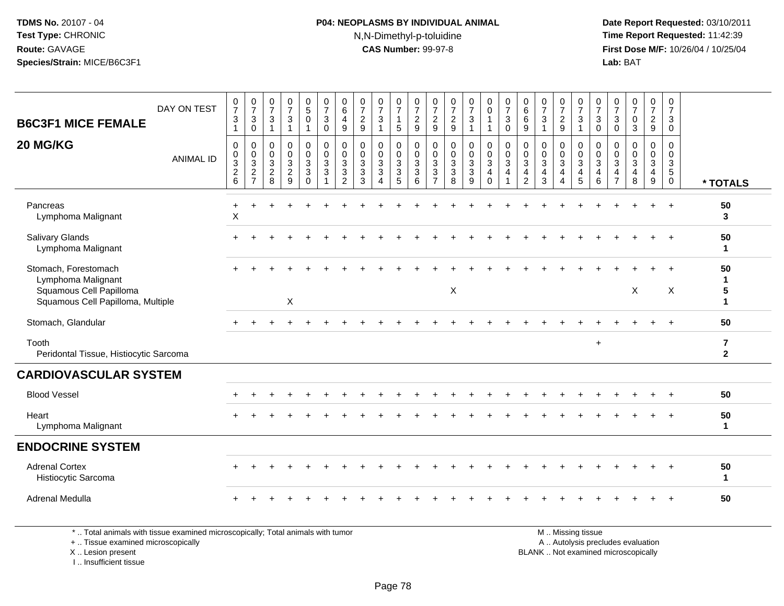### **P04: NEOPLASMS BY INDIVIDUAL ANIMAL**N,N-Dimethyl-p-toluidine

 **Date Report Requested:** 03/10/2011 **Time Report Requested:** 11:42:39 **First Dose M/F:** 10/26/04 / 10/25/04 Lab: BAT **Lab:** BAT

| DAY ON TEST<br><b>B6C3F1 MICE FEMALE</b>                                                                   | $\frac{0}{7}$<br>$\mathbf{3}$<br>$\overline{1}$           | $\frac{0}{7}$<br>$\mathbf{3}$<br>$\mathbf 0$                   | $\frac{0}{7}$<br>$\mathbf{3}$<br>$\mathbf{1}$                          | $\frac{0}{7}$<br>3<br>$\mathbf{1}$           | $\begin{smallmatrix} 0\\5 \end{smallmatrix}$<br>0<br>$\mathbf{1}$  | $\frac{0}{7}$<br>$\mathsf 3$<br>$\mathbf 0$        | 0<br>$\,6\,$<br>$\overline{4}$<br>9                 | $\frac{0}{7}$<br>$\overline{a}$<br>9              | $\frac{0}{7}$<br>3<br>$\mathbf{1}$ | $\begin{smallmatrix}0\\7\end{smallmatrix}$<br>$\mathbf{1}$<br>$\sqrt{5}$         | $\frac{0}{7}$<br>$\sqrt{2}$<br>$9\,$                                   | $\frac{0}{7}$<br>9                                          | $\frac{0}{7}$<br>$\sqrt{2}$<br>$9\,$                        | $\frac{0}{7}$<br>3<br>1                    | $_0^0$<br>1<br>$\overline{1}$                                         | $\frac{0}{7}$<br>$\sqrt{3}$<br>$\mathbf 0$               | $\begin{matrix} 0 \\ 6 \end{matrix}$<br>6<br>$\boldsymbol{9}$                 | $\frac{0}{7}$<br>3<br>$\mathbf{1}$                      | 0<br>$\overline{7}$<br>$\frac{2}{9}$                | 0<br>$\overline{7}$<br>$\mathbf{3}$<br>$\mathbf{1}$        | $\frac{0}{7}$<br>3<br>$\mathbf 0$ | 0<br>$\overline{7}$<br>3<br>0      | $\frac{0}{7}$<br>$\mathbf 0$<br>3                                | 0<br>$\overline{7}$<br>$\sqrt{2}$<br>9 | 0<br>$\overline{7}$<br>3<br>$\mathbf 0$                                     |                                         |
|------------------------------------------------------------------------------------------------------------|-----------------------------------------------------------|----------------------------------------------------------------|------------------------------------------------------------------------|----------------------------------------------|--------------------------------------------------------------------|----------------------------------------------------|-----------------------------------------------------|---------------------------------------------------|------------------------------------|----------------------------------------------------------------------------------|------------------------------------------------------------------------|-------------------------------------------------------------|-------------------------------------------------------------|--------------------------------------------|-----------------------------------------------------------------------|----------------------------------------------------------|-------------------------------------------------------------------------------|---------------------------------------------------------|-----------------------------------------------------|------------------------------------------------------------|-----------------------------------|------------------------------------|------------------------------------------------------------------|----------------------------------------|-----------------------------------------------------------------------------|-----------------------------------------|
| 20 MG/KG<br><b>ANIMAL ID</b>                                                                               | $\mathbf 0$<br>$\mathbf 0$<br>$\sqrt{3}$<br>$\frac{2}{6}$ | $\boldsymbol{0}$<br>$\mathbf 0$<br>$\sqrt{3}$<br>$\frac{2}{7}$ | $\pmb{0}$<br>$\mathbf 0$<br>$\ensuremath{\mathsf{3}}$<br>$\frac{2}{8}$ | 0<br>$\mathbf 0$<br>3<br>$\overline{c}$<br>9 | $\pmb{0}$<br>$\mathsf{O}\xspace$<br>3<br>$\sqrt{3}$<br>$\mathbf 0$ | $\pmb{0}$<br>$\pmb{0}$<br>$\sqrt{3}$<br>$\sqrt{3}$ | 0<br>$\mathbf 0$<br>$\sqrt{3}$<br>$\mathbf{3}$<br>2 | 0<br>$\mathbf 0$<br>$\sqrt{3}$<br>$\sqrt{3}$<br>3 | 0<br>$\mathbf 0$<br>3<br>3<br>4    | 0<br>$\mathbf 0$<br>$\ensuremath{\mathsf{3}}$<br>$\mathbf{3}$<br>$5\phantom{.0}$ | $\pmb{0}$<br>$\pmb{0}$<br>$\ensuremath{\mathsf{3}}$<br>$\sqrt{3}$<br>6 | $\boldsymbol{0}$<br>$\mathbf 0$<br>$_3^3$<br>$\overline{7}$ | $\pmb{0}$<br>$\mathbf 0$<br>$\mathbf{3}$<br>$\sqrt{3}$<br>8 | 0<br>$\mathbf 0$<br>3<br>$\mathbf{3}$<br>9 | $\mathbf 0$<br>$\mathsf{O}\xspace$<br>3<br>$\overline{4}$<br>$\Omega$ | $\pmb{0}$<br>$\pmb{0}$<br>$\ensuremath{\mathsf{3}}$<br>4 | $\mathbf 0$<br>$\mathbf 0$<br>$\mathsf 3$<br>$\overline{4}$<br>$\overline{2}$ | 0<br>$\mathbf 0$<br>$\mathbf{3}$<br>$\overline{4}$<br>3 | 0<br>$\pmb{0}$<br>$\sqrt{3}$<br>4<br>$\overline{4}$ | $\pmb{0}$<br>$\mathsf{O}\xspace$<br>$\mathbf{3}$<br>4<br>5 | 0<br>0<br>3<br>4<br>6             | 0<br>0<br>3<br>4<br>$\overline{7}$ | $\mathbf 0$<br>$\mathbf 0$<br>$\mathsf 3$<br>$\overline{4}$<br>8 | 0<br>0<br>3<br>4<br>$9\,$              | $\mathbf 0$<br>$\mathbf 0$<br>$\mathbf{3}$<br>$\overline{5}$<br>$\mathbf 0$ | * TOTALS                                |
| Pancreas<br>Lymphoma Malignant                                                                             | $\times$                                                  |                                                                |                                                                        |                                              |                                                                    |                                                    |                                                     |                                                   |                                    |                                                                                  |                                                                        |                                                             |                                                             |                                            |                                                                       |                                                          |                                                                               |                                                         |                                                     |                                                            |                                   |                                    |                                                                  | $\ddot{}$                              | $\overline{+}$                                                              | 50<br>3                                 |
| <b>Salivary Glands</b><br>Lymphoma Malignant                                                               |                                                           |                                                                |                                                                        |                                              |                                                                    |                                                    |                                                     |                                                   |                                    |                                                                                  |                                                                        |                                                             |                                                             |                                            |                                                                       |                                                          |                                                                               |                                                         |                                                     |                                                            |                                   |                                    |                                                                  |                                        |                                                                             | 50<br>$\mathbf{1}$                      |
| Stomach, Forestomach<br>Lymphoma Malignant<br>Squamous Cell Papilloma<br>Squamous Cell Papilloma, Multiple |                                                           |                                                                |                                                                        | X                                            |                                                                    |                                                    |                                                     |                                                   |                                    |                                                                                  |                                                                        |                                                             | X                                                           |                                            |                                                                       |                                                          |                                                                               |                                                         |                                                     |                                                            |                                   |                                    | X                                                                |                                        | X                                                                           | 50<br>1<br>${\bf 5}$<br>$\mathbf{1}$    |
| Stomach, Glandular                                                                                         |                                                           |                                                                |                                                                        |                                              |                                                                    |                                                    |                                                     |                                                   |                                    |                                                                                  |                                                                        |                                                             |                                                             |                                            |                                                                       |                                                          |                                                                               |                                                         |                                                     |                                                            |                                   |                                    |                                                                  | $+$                                    | $+$                                                                         | 50                                      |
| Tooth<br>Peridontal Tissue, Histiocytic Sarcoma                                                            |                                                           |                                                                |                                                                        |                                              |                                                                    |                                                    |                                                     |                                                   |                                    |                                                                                  |                                                                        |                                                             |                                                             |                                            |                                                                       |                                                          |                                                                               |                                                         |                                                     |                                                            | $\ddot{}$                         |                                    |                                                                  |                                        |                                                                             | $\overline{\mathbf{r}}$<br>$\mathbf{2}$ |
| <b>CARDIOVASCULAR SYSTEM</b>                                                                               |                                                           |                                                                |                                                                        |                                              |                                                                    |                                                    |                                                     |                                                   |                                    |                                                                                  |                                                                        |                                                             |                                                             |                                            |                                                                       |                                                          |                                                                               |                                                         |                                                     |                                                            |                                   |                                    |                                                                  |                                        |                                                                             |                                         |
| <b>Blood Vessel</b>                                                                                        |                                                           |                                                                |                                                                        |                                              |                                                                    |                                                    |                                                     |                                                   |                                    |                                                                                  |                                                                        |                                                             |                                                             |                                            |                                                                       |                                                          |                                                                               |                                                         |                                                     |                                                            |                                   |                                    |                                                                  |                                        |                                                                             | 50                                      |
| Heart<br>Lymphoma Malignant                                                                                |                                                           |                                                                |                                                                        |                                              |                                                                    |                                                    |                                                     |                                                   |                                    |                                                                                  |                                                                        |                                                             |                                                             |                                            |                                                                       |                                                          |                                                                               |                                                         |                                                     |                                                            |                                   |                                    |                                                                  |                                        | $\ddot{}$                                                                   | 50<br>$\mathbf{1}$                      |
| <b>ENDOCRINE SYSTEM</b>                                                                                    |                                                           |                                                                |                                                                        |                                              |                                                                    |                                                    |                                                     |                                                   |                                    |                                                                                  |                                                                        |                                                             |                                                             |                                            |                                                                       |                                                          |                                                                               |                                                         |                                                     |                                                            |                                   |                                    |                                                                  |                                        |                                                                             |                                         |
| <b>Adrenal Cortex</b><br>Histiocytic Sarcoma                                                               |                                                           |                                                                |                                                                        |                                              |                                                                    |                                                    |                                                     |                                                   |                                    |                                                                                  |                                                                        |                                                             |                                                             |                                            |                                                                       |                                                          |                                                                               |                                                         |                                                     |                                                            |                                   |                                    |                                                                  |                                        |                                                                             | 50<br>$\mathbf{1}$                      |
| <b>Adrenal Medulla</b>                                                                                     |                                                           |                                                                |                                                                        |                                              |                                                                    |                                                    |                                                     |                                                   |                                    |                                                                                  |                                                                        |                                                             |                                                             |                                            |                                                                       |                                                          |                                                                               |                                                         |                                                     |                                                            |                                   |                                    |                                                                  |                                        |                                                                             | 50                                      |

\* .. Total animals with tissue examined microscopically; Total animals with tumor

+ .. Tissue examined microscopically

X .. Lesion present

I .. Insufficient tissue

 M .. Missing tissuey the contract of the contract of the contract of the contract of the contract of the contract of the contract of  $A$ . Autolysis precludes evaluation

Lesion present BLANK .. Not examined microscopically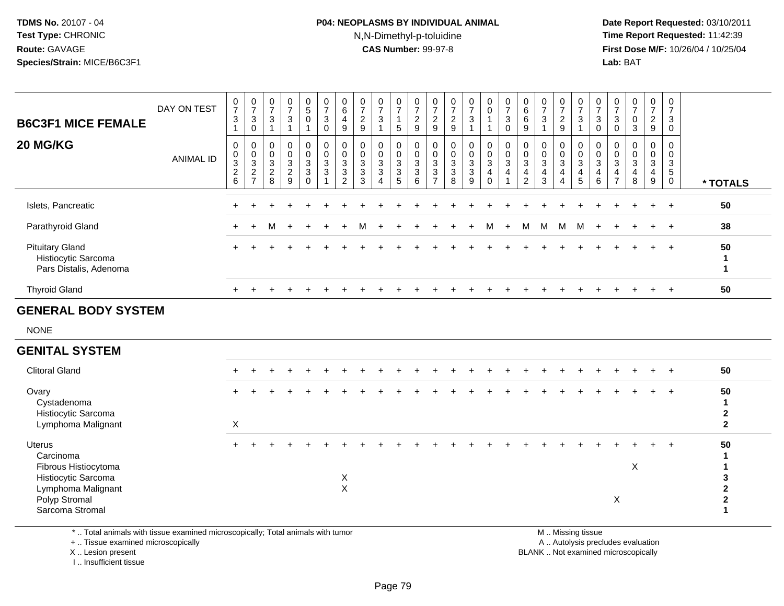### **P04: NEOPLASMS BY INDIVIDUAL ANIMAL**N,N-Dimethyl-p-toluidine

 **Date Report Requested:** 03/10/2011 **Time Report Requested:** 11:42:39 **First Dose M/F:** 10/26/04 / 10/25/04 Lab: BAT **Lab:** BAT

| <b>B6C3F1 MICE FEMALE</b>                                               | DAY ON TEST      | $\begin{array}{c} 0 \\ 7 \end{array}$<br>$\sqrt{3}$<br>$\overline{1}$      | $\begin{array}{c} 0 \\ 7 \end{array}$<br>$\ensuremath{\mathsf{3}}$<br>$\pmb{0}$         | $\mathbf 0$<br>$\overline{7}$<br>$\mathsf 3$<br>$\overline{1}$ | $\pmb{0}$<br>$\overline{7}$<br>$\ensuremath{\mathsf{3}}$<br>$\overline{1}$ | $\begin{array}{c} 0 \\ 5 \end{array}$<br>$\mathbf 0$<br>1    | $\pmb{0}$<br>$\boldsymbol{7}$<br>$\mathbf{3}$<br>$\mathsf 0$                                    | 0<br>$\,6\,$<br>$\overline{4}$<br>9                               | 0<br>$\overline{7}$<br>$\overline{c}$<br>9  | $\begin{array}{c} 0 \\ 7 \end{array}$<br>$\mathbf{3}$    | 0<br>$\overline{7}$<br>$\mathbf{1}$<br>5 | $\pmb{0}$<br>$\overline{\mathbf{7}}$<br>$\boldsymbol{2}$<br>9 | 0<br>$\overline{7}$<br>$\frac{2}{9}$                                                    | $\pmb{0}$<br>$\overline{7}$<br>$\frac{2}{9}$                 | $\begin{smallmatrix}0\\7\end{smallmatrix}$<br>$\mathbf{3}$ | $\mathbf 0$<br>$\pmb{0}$<br>$\overline{1}$                                      | $\frac{0}{7}$<br>$\mathbf{3}$<br>$\mathbf 0$                  | 0<br>$\,6\,$<br>$\,6\,$<br>9                                                  | 0<br>$\overline{7}$<br>$\sqrt{3}$                               | $\frac{0}{7}$<br>$\overline{c}$<br>$9\,$ | $\boldsymbol{0}$<br>$\boldsymbol{7}$<br>$\mathsf 3$<br>$\overline{1}$ | 0<br>$\overline{7}$<br>$\mathsf 3$<br>$\mathbf 0$                           | 0<br>$\overline{7}$<br>3<br>$\mathbf 0$ | 0<br>$\overline{7}$<br>$\pmb{0}$<br>$\mathbf{3}$                              | $\pmb{0}$<br>$\overline{7}$<br>$\overline{c}$<br>9              | 0<br>$\overline{7}$<br>3<br>$\mathbf 0$                     |                                        |
|-------------------------------------------------------------------------|------------------|----------------------------------------------------------------------------|-----------------------------------------------------------------------------------------|----------------------------------------------------------------|----------------------------------------------------------------------------|--------------------------------------------------------------|-------------------------------------------------------------------------------------------------|-------------------------------------------------------------------|---------------------------------------------|----------------------------------------------------------|------------------------------------------|---------------------------------------------------------------|-----------------------------------------------------------------------------------------|--------------------------------------------------------------|------------------------------------------------------------|---------------------------------------------------------------------------------|---------------------------------------------------------------|-------------------------------------------------------------------------------|-----------------------------------------------------------------|------------------------------------------|-----------------------------------------------------------------------|-----------------------------------------------------------------------------|-----------------------------------------|-------------------------------------------------------------------------------|-----------------------------------------------------------------|-------------------------------------------------------------|----------------------------------------|
| 20 MG/KG                                                                | <b>ANIMAL ID</b> | $\pmb{0}$<br>$\pmb{0}$<br>$\ensuremath{\mathsf{3}}$<br>$\overline{c}$<br>6 | $\pmb{0}$<br>$\pmb{0}$<br>$\ensuremath{\mathsf{3}}$<br>$\overline{c}$<br>$\overline{7}$ | $\mathbf 0$<br>$\mathbf 0$<br>$\sqrt{3}$<br>$^2_{\bf 8}$       | $\mathbf 0$<br>$\mathbf 0$<br>$\mathbf 3$<br>$\overline{2}$<br>9           | 0<br>$\mathbf 0$<br>$\mathbf{3}$<br>$\mathbf{3}$<br>$\Omega$ | $\pmb{0}$<br>$\mathsf{O}\xspace$<br>$\ensuremath{\mathsf{3}}$<br>$\mathbf{3}$<br>$\overline{1}$ | $\mathbf 0$<br>$\mathbf 0$<br>$\mathbf{3}$<br>3<br>$\overline{2}$ | $\mathbf{0}$<br>0<br>3<br>$\mathbf{3}$<br>3 | $\mathbf 0$<br>$\mathbf 0$<br>$\mathbf 3$<br>$\mathbf 3$ | 0<br>0<br>$\sqrt{3}$<br>$\mathsf 3$<br>5 | 0<br>$\mathbf 0$<br>$\mathbf{3}$<br>$\sqrt{3}$<br>6           | 0<br>$\mathsf{O}\xspace$<br>$\mathbf{3}$<br>$\ensuremath{\mathsf{3}}$<br>$\overline{7}$ | 0<br>$\pmb{0}$<br>$\ensuremath{\mathsf{3}}$<br>$\frac{3}{8}$ | $\pmb{0}$<br>$\frac{0}{3}$<br>$\mathfrak{S}$<br>9          | 0<br>$\mathsf{O}\xspace$<br>$\mathbf{3}$<br>$\overline{\mathbf{4}}$<br>$\Omega$ | $\pmb{0}$<br>$\pmb{0}$<br>$\mathbf{3}$<br>$\overline{4}$<br>1 | 0<br>$\mathsf 0$<br>$\mathbf{3}$<br>$\overline{\mathbf{4}}$<br>$\overline{2}$ | $\mathbf 0$<br>$\mathbf 0$<br>$\sqrt{3}$<br>$\overline{4}$<br>3 | 0<br>$\pmb{0}$<br>$\sqrt{3}$<br>4<br>Δ   | 0<br>$\mathbf 0$<br>$\mathsf 3$<br>$\overline{4}$<br>$\overline{5}$   | 0<br>$\mathbf 0$<br>$\sqrt{3}$<br>$\overline{\mathbf{4}}$<br>$6\phantom{1}$ | 0<br>0<br>3<br>4<br>$\overline{7}$      | 0<br>$\mathbf 0$<br>$\ensuremath{\mathsf{3}}$<br>$\overline{\mathbf{4}}$<br>8 | 0<br>$\pmb{0}$<br>$\mathbf{3}$<br>$\overline{4}$<br>$\mathsf g$ | $\mathbf{0}$<br>$\mathbf 0$<br>$\frac{3}{5}$<br>$\mathbf 0$ | * TOTALS                               |
| Islets, Pancreatic                                                      |                  |                                                                            |                                                                                         |                                                                |                                                                            |                                                              |                                                                                                 |                                                                   |                                             |                                                          |                                          |                                                               |                                                                                         |                                                              |                                                            |                                                                                 |                                                               |                                                                               |                                                                 |                                          |                                                                       |                                                                             |                                         |                                                                               | $+$                                                             | $+$                                                         | 50                                     |
| Parathyroid Gland                                                       |                  |                                                                            |                                                                                         | м                                                              |                                                                            |                                                              |                                                                                                 |                                                                   |                                             |                                                          |                                          |                                                               |                                                                                         |                                                              |                                                            |                                                                                 |                                                               | м                                                                             | M                                                               | M                                        | M                                                                     |                                                                             |                                         |                                                                               |                                                                 | $^{+}$                                                      | 38                                     |
| <b>Pituitary Gland</b><br>Histiocytic Sarcoma<br>Pars Distalis, Adenoma |                  |                                                                            |                                                                                         |                                                                |                                                                            |                                                              |                                                                                                 |                                                                   |                                             |                                                          |                                          |                                                               |                                                                                         |                                                              |                                                            |                                                                                 |                                                               |                                                                               |                                                                 |                                          |                                                                       |                                                                             |                                         |                                                                               |                                                                 | $\overline{1}$                                              | 50<br>1<br>1                           |
| <b>Thyroid Gland</b>                                                    |                  | $+$                                                                        |                                                                                         |                                                                |                                                                            |                                                              |                                                                                                 |                                                                   |                                             |                                                          |                                          |                                                               |                                                                                         |                                                              |                                                            |                                                                                 |                                                               |                                                                               |                                                                 |                                          |                                                                       |                                                                             |                                         |                                                                               | $\ddot{}$                                                       | $+$                                                         | 50                                     |
| <b>GENERAL BODY SYSTEM</b>                                              |                  |                                                                            |                                                                                         |                                                                |                                                                            |                                                              |                                                                                                 |                                                                   |                                             |                                                          |                                          |                                                               |                                                                                         |                                                              |                                                            |                                                                                 |                                                               |                                                                               |                                                                 |                                          |                                                                       |                                                                             |                                         |                                                                               |                                                                 |                                                             |                                        |
| <b>NONE</b>                                                             |                  |                                                                            |                                                                                         |                                                                |                                                                            |                                                              |                                                                                                 |                                                                   |                                             |                                                          |                                          |                                                               |                                                                                         |                                                              |                                                            |                                                                                 |                                                               |                                                                               |                                                                 |                                          |                                                                       |                                                                             |                                         |                                                                               |                                                                 |                                                             |                                        |
| <b>GENITAL SYSTEM</b>                                                   |                  |                                                                            |                                                                                         |                                                                |                                                                            |                                                              |                                                                                                 |                                                                   |                                             |                                                          |                                          |                                                               |                                                                                         |                                                              |                                                            |                                                                                 |                                                               |                                                                               |                                                                 |                                          |                                                                       |                                                                             |                                         |                                                                               |                                                                 |                                                             |                                        |
| <b>Clitoral Gland</b>                                                   |                  |                                                                            |                                                                                         |                                                                |                                                                            |                                                              |                                                                                                 |                                                                   |                                             |                                                          |                                          |                                                               |                                                                                         |                                                              |                                                            |                                                                                 |                                                               |                                                                               |                                                                 |                                          |                                                                       |                                                                             |                                         |                                                                               |                                                                 |                                                             | 50                                     |
| Ovary<br>Cystadenoma<br>Histiocytic Sarcoma<br>Lymphoma Malignant       |                  | $\boldsymbol{X}$                                                           |                                                                                         |                                                                |                                                                            |                                                              |                                                                                                 |                                                                   |                                             |                                                          |                                          |                                                               |                                                                                         |                                                              |                                                            |                                                                                 |                                                               |                                                                               |                                                                 |                                          |                                                                       |                                                                             |                                         |                                                                               |                                                                 | $\ddot{}$                                                   | 50<br>1<br>$\mathbf 2$<br>$\mathbf{2}$ |
| Uterus<br>Carcinoma<br>Fibrous Histiocytoma<br>Histiocytic Sarcoma      |                  |                                                                            |                                                                                         |                                                                |                                                                            |                                                              |                                                                                                 | X<br>$\lambda$                                                    |                                             |                                                          |                                          |                                                               |                                                                                         |                                                              |                                                            |                                                                                 |                                                               |                                                                               |                                                                 |                                          |                                                                       |                                                                             |                                         | X                                                                             |                                                                 |                                                             | 50<br>1<br>3                           |

\* .. Total animals with tissue examined microscopically; Total animals with tumor

t X

+ .. Tissue examined microscopically

X .. Lesion present

Lymphoma Malignant

Polyp Stromal

Sarcoma Stromal

I .. Insufficient tissue

M .. Missing tissue

**<sup>2</sup>**

y the contract of the contract of the contract of the contract of the contract of the contract of the contract of  $A$ . Autolysis precludes evaluation Lesion present BLANK .. Not examined microscopically

**<sup>2</sup>**

**1**

<u>i</u>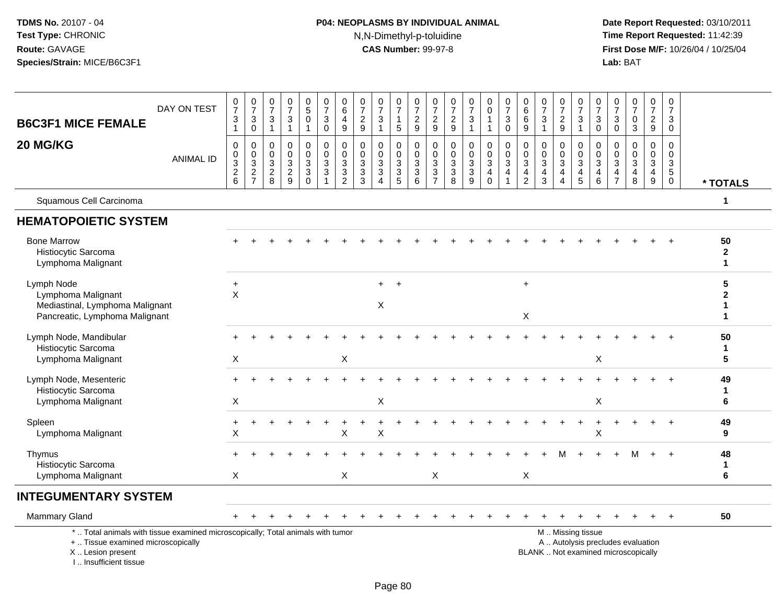# **P04: NEOPLASMS BY INDIVIDUAL ANIMAL**N,N-Dimethyl-p-toluidine

| <b>B6C3F1 MICE FEMALE</b>                                                                                                                                           | DAY ON TEST      | $\frac{0}{7}$<br>3<br>$\mathbf{1}$ | $\frac{0}{7}$<br>$\sqrt{3}$<br>$\mathbf 0$                     | 0<br>$\overline{7}$<br>3<br>$\mathbf{1}$     | $\frac{0}{7}$<br>$\sqrt{3}$<br>$\mathbf{1}$                | $\begin{array}{c} 0 \\ 5 \end{array}$<br>$\Omega$ | $\frac{0}{7}$<br>$\ensuremath{\mathsf{3}}$<br>$\mathbf 0$                     | $\begin{array}{c} 0 \\ 6 \end{array}$<br>4<br>$\boldsymbol{9}$             | $\frac{0}{7}$<br>$\frac{2}{9}$                   | $\frac{0}{7}$<br>$\mathbf{3}$<br>$\mathbf{1}$                         | 0<br>$\overline{7}$<br>$\mathbf{1}$<br>$\sqrt{5}$             | 0<br>$\overline{7}$<br>$\frac{2}{9}$                                         | 0<br>$\overline{7}$<br>$\frac{2}{9}$                                                    | $\frac{0}{7}$<br>$\frac{2}{9}$                                               | $\frac{0}{7}$<br>$\mathbf{3}$                                   | 0<br>$\ddot{\mathbf{0}}$               | $\frac{0}{7}$<br>3<br>$\mathbf 0$                                            | 0<br>$\,6\,$<br>6<br>9                                                         | $\frac{0}{7}$<br>$\sqrt{3}$<br>$\mathbf{1}$               | 0<br>$\overline{7}$<br>$\frac{2}{9}$         | $\frac{0}{7}$<br>$\ensuremath{\mathsf{3}}$<br>$\mathbf{1}$ | $\frac{0}{7}$<br>3<br>0                             | $\frac{0}{7}$<br>3<br>$\mathbf 0$                                      | $\frac{0}{7}$<br>$\pmb{0}$<br>$\mathbf{3}$                               | 0<br>$\overline{7}$<br>$\frac{2}{9}$                                           | 0<br>$\overline{7}$<br>3<br>$\mathbf 0$                                 |                             |
|---------------------------------------------------------------------------------------------------------------------------------------------------------------------|------------------|------------------------------------|----------------------------------------------------------------|----------------------------------------------|------------------------------------------------------------|---------------------------------------------------|-------------------------------------------------------------------------------|----------------------------------------------------------------------------|--------------------------------------------------|-----------------------------------------------------------------------|---------------------------------------------------------------|------------------------------------------------------------------------------|-----------------------------------------------------------------------------------------|------------------------------------------------------------------------------|-----------------------------------------------------------------|----------------------------------------|------------------------------------------------------------------------------|--------------------------------------------------------------------------------|-----------------------------------------------------------|----------------------------------------------|------------------------------------------------------------|-----------------------------------------------------|------------------------------------------------------------------------|--------------------------------------------------------------------------|--------------------------------------------------------------------------------|-------------------------------------------------------------------------|-----------------------------|
| 20 MG/KG                                                                                                                                                            | <b>ANIMAL ID</b> | 0<br>0<br>$\frac{3}{2}$ 6          | $\mathbf 0$<br>$\begin{array}{c} 0 \\ 3 \\ 2 \\ 7 \end{array}$ | 0<br>$\mathbf 0$<br>3<br>$\overline{c}$<br>8 | $\mathbf 0$<br>$\mathbf 0$<br>$\mathsf 3$<br>$\frac{2}{9}$ | $\mathbf 0$<br>$\mathbf 0$<br>3<br>3<br>$\Omega$  | 0<br>$\pmb{0}$<br>$\mathbf{3}$<br>$\ensuremath{\mathsf{3}}$<br>$\overline{1}$ | 0<br>$\mathsf{O}\xspace$<br>$\sqrt{3}$<br>$\overline{3}$<br>$\overline{2}$ | $\mathbf 0$<br>$\mathbf 0$<br>$\frac{3}{3}$<br>3 | $\mathbf{0}$<br>$\mathbf{0}$<br>$\sqrt{3}$<br>$\mathbf 3$<br>$\Delta$ | $\mathbf 0$<br>$\mathbf 0$<br>$\mathbf{3}$<br>$\sqrt{3}$<br>5 | $\mathbf 0$<br>$\mathbf 0$<br>$\mathbf{3}$<br>$\ensuremath{\mathsf{3}}$<br>6 | $\mathbf 0$<br>$\mathbf 0$<br>$\sqrt{3}$<br>$\ensuremath{\mathsf{3}}$<br>$\overline{7}$ | $\mathbf 0$<br>$\mathbf 0$<br>$\mathbf{3}$<br>$\ensuremath{\mathsf{3}}$<br>8 | $\mathbf 0$<br>$\pmb{0}$<br>$\mathbf{3}$<br>$\overline{3}$<br>9 | $\mathbf 0$<br>0<br>3<br>4<br>$\Omega$ | $\mathbf 0$<br>$\mathbf 0$<br>$\overline{3}$<br>4<br>$\overline{\mathbf{1}}$ | $\mathbf 0$<br>$\mathbf 0$<br>$\mathbf{3}$<br>$\overline{4}$<br>$\overline{2}$ | $\Omega$<br>$\Omega$<br>$\sqrt{3}$<br>$\overline{4}$<br>3 | 0<br>$\mathbf 0$<br>3<br>$\overline{4}$<br>4 | 0<br>$\mathsf{O}\xspace$<br>$\mathbf{3}$<br>$\frac{4}{5}$  | $\mathbf 0$<br>$\Omega$<br>3<br>$\overline{4}$<br>6 | $\Omega$<br>$\Omega$<br>$\sqrt{3}$<br>$\overline{4}$<br>$\overline{7}$ | $\mathbf 0$<br>0<br>$\mathfrak{S}$<br>$\overline{\mathbf{4}}$<br>8       | $\mathbf 0$<br>$\mathbf 0$<br>$\sqrt{3}$<br>$\overline{4}$<br>$\boldsymbol{9}$ | $\mathbf 0$<br>$\mathbf 0$<br>$\mathbf{3}$<br>$\sqrt{5}$<br>$\mathbf 0$ | * TOTALS                    |
| Squamous Cell Carcinoma                                                                                                                                             |                  |                                    |                                                                |                                              |                                                            |                                                   |                                                                               |                                                                            |                                                  |                                                                       |                                                               |                                                                              |                                                                                         |                                                                              |                                                                 |                                        |                                                                              |                                                                                |                                                           |                                              |                                                            |                                                     |                                                                        |                                                                          |                                                                                |                                                                         | $\mathbf 1$                 |
| <b>HEMATOPOIETIC SYSTEM</b>                                                                                                                                         |                  |                                    |                                                                |                                              |                                                            |                                                   |                                                                               |                                                                            |                                                  |                                                                       |                                                               |                                                                              |                                                                                         |                                                                              |                                                                 |                                        |                                                                              |                                                                                |                                                           |                                              |                                                            |                                                     |                                                                        |                                                                          |                                                                                |                                                                         |                             |
| <b>Bone Marrow</b><br>Histiocytic Sarcoma<br>Lymphoma Malignant                                                                                                     |                  |                                    |                                                                |                                              |                                                            |                                                   |                                                                               |                                                                            |                                                  |                                                                       |                                                               |                                                                              |                                                                                         |                                                                              |                                                                 |                                        |                                                                              |                                                                                |                                                           |                                              |                                                            |                                                     |                                                                        |                                                                          |                                                                                |                                                                         | 50<br>$\overline{2}$<br>1   |
| Lymph Node<br>Lymphoma Malignant<br>Mediastinal, Lymphoma Malignant<br>Pancreatic, Lymphoma Malignant                                                               |                  | $\ddot{}$<br>$\times$              |                                                                |                                              |                                                            |                                                   |                                                                               |                                                                            |                                                  | $+$<br>X                                                              | $+$                                                           |                                                                              |                                                                                         |                                                                              |                                                                 |                                        |                                                                              | $+$<br>$\mathsf X$                                                             |                                                           |                                              |                                                            |                                                     |                                                                        |                                                                          |                                                                                |                                                                         | 5<br>$\mathbf{2}$<br>1<br>1 |
| Lymph Node, Mandibular<br>Histiocytic Sarcoma<br>Lymphoma Malignant                                                                                                 |                  | $\mathsf X$                        |                                                                |                                              |                                                            |                                                   |                                                                               | $\boldsymbol{\mathsf{X}}$                                                  |                                                  |                                                                       |                                                               |                                                                              |                                                                                         |                                                                              |                                                                 |                                        |                                                                              |                                                                                |                                                           |                                              |                                                            | X                                                   |                                                                        |                                                                          |                                                                                |                                                                         | 50<br>1<br>5                |
| Lymph Node, Mesenteric<br>Histiocytic Sarcoma<br>Lymphoma Malignant                                                                                                 |                  | $\boldsymbol{\mathsf{X}}$          |                                                                |                                              |                                                            |                                                   |                                                                               |                                                                            |                                                  | X                                                                     |                                                               |                                                                              |                                                                                         |                                                                              |                                                                 |                                        |                                                                              |                                                                                |                                                           |                                              |                                                            | $\mathsf X$                                         |                                                                        |                                                                          |                                                                                |                                                                         | 49<br>1<br>6                |
| Spleen<br>Lymphoma Malignant                                                                                                                                        |                  | $\ddot{}$<br>$\pmb{\times}$        |                                                                |                                              |                                                            |                                                   |                                                                               | X                                                                          |                                                  | X                                                                     |                                                               |                                                                              |                                                                                         |                                                                              |                                                                 |                                        |                                                                              |                                                                                |                                                           |                                              |                                                            | $\mathsf X$                                         |                                                                        |                                                                          |                                                                                |                                                                         | 49<br>9                     |
| Thymus<br>Histiocytic Sarcoma<br>Lymphoma Malignant                                                                                                                 |                  | X                                  |                                                                |                                              |                                                            |                                                   |                                                                               | X                                                                          |                                                  |                                                                       |                                                               |                                                                              | X                                                                                       |                                                                              |                                                                 |                                        |                                                                              | X                                                                              |                                                           |                                              |                                                            |                                                     |                                                                        |                                                                          |                                                                                |                                                                         | 48<br>$\mathbf{1}$<br>6     |
| <b>INTEGUMENTARY SYSTEM</b>                                                                                                                                         |                  |                                    |                                                                |                                              |                                                            |                                                   |                                                                               |                                                                            |                                                  |                                                                       |                                                               |                                                                              |                                                                                         |                                                                              |                                                                 |                                        |                                                                              |                                                                                |                                                           |                                              |                                                            |                                                     |                                                                        |                                                                          |                                                                                |                                                                         |                             |
| Mammary Gland                                                                                                                                                       |                  |                                    |                                                                |                                              |                                                            |                                                   |                                                                               |                                                                            |                                                  |                                                                       |                                                               |                                                                              |                                                                                         |                                                                              |                                                                 |                                        |                                                                              |                                                                                |                                                           |                                              |                                                            |                                                     |                                                                        |                                                                          |                                                                                |                                                                         | 50                          |
| *  Total animals with tissue examined microscopically; Total animals with tumor<br>+  Tissue examined microscopically<br>X  Lesion present<br>I Insufficient tissue |                  |                                    |                                                                |                                              |                                                            |                                                   |                                                                               |                                                                            |                                                  |                                                                       |                                                               |                                                                              |                                                                                         |                                                                              |                                                                 |                                        |                                                                              |                                                                                |                                                           |                                              | M  Missing tissue                                          |                                                     |                                                                        | A  Autolysis precludes evaluation<br>BLANK  Not examined microscopically |                                                                                |                                                                         |                             |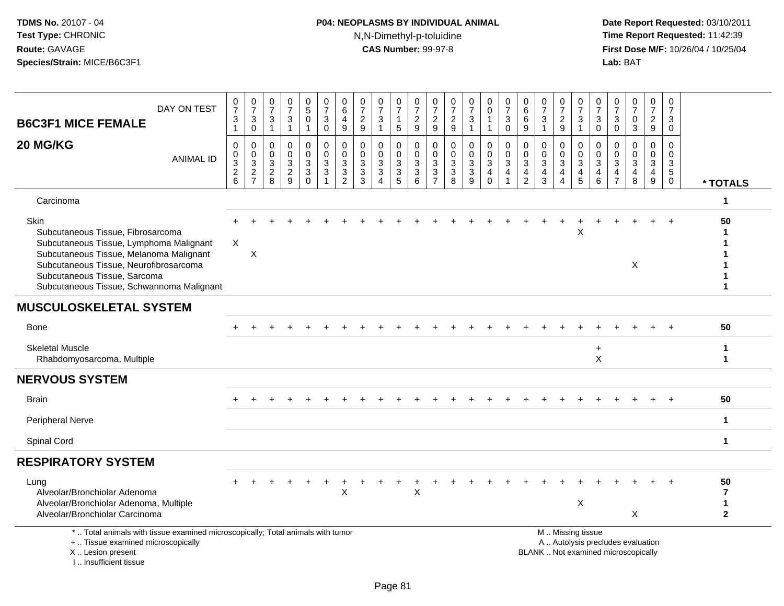# **P04: NEOPLASMS BY INDIVIDUAL ANIMAL**N,N-Dimethyl-p-toluidine

| DAY ON TEST<br><b>B6C3F1 MICE FEMALE</b>                                                                                                                                                                                                                      | $\frac{0}{7}$<br>$\ensuremath{\mathsf{3}}$<br>$\mathbf{1}$ | $\frac{0}{7}$<br>3<br>$\mathsf 0$                         | 0<br>$\overline{7}$<br>$\mathbf{3}$<br>$\mathbf{1}$ | $\frac{0}{7}$<br>$\ensuremath{\mathsf{3}}$<br>$\overline{1}$                             | 0<br>$\mathbf 5$<br>$\mathbf 0$<br>$\overline{1}$          | $\frac{0}{7}$<br>$\mathbf{3}$<br>$\mathbf 0$                           | 0<br>$\,6$<br>4<br>$\mathsf g$               | $\frac{0}{7}$<br>$\frac{2}{9}$                               | $\frac{0}{7}$<br>3<br>1     | 0<br>$\overline{7}$<br>$\mathbf{1}$<br>5                              | 0<br>$\overline{7}$<br>$\frac{2}{9}$                  | 0<br>$\overline{7}$<br>$\overline{2}$<br>$\mathsf g$                      | $\frac{0}{7}$<br>$\frac{2}{9}$                                          | 0<br>$\overline{7}$<br>3<br>1                                 | 0<br>$\pmb{0}$<br>$\mathbf{1}$<br>$\mathbf{1}$                         | $\frac{0}{7}$<br>$\mathbf{3}$<br>$\mathbf 0$                      | 0<br>$\,6\,$<br>6<br>9                        | $\frac{0}{7}$<br>$\sqrt{3}$<br>$\overline{1}$                   | 0<br>$\overline{7}$<br>$\sqrt{2}$<br>9                 | 0<br>$\overline{7}$<br>3<br>$\mathbf{1}$                                       | 0<br>$\overline{7}$<br>3<br>$\mathbf 0$             | 0<br>$\overline{7}$<br>3<br>$\mathbf 0$          | $\frac{0}{7}$<br>$\pmb{0}$<br>$\overline{3}$                             | 0<br>$\overline{7}$<br>$\overline{2}$<br>9           | 0<br>$\overline{7}$<br>3<br>0                   |                                                      |
|---------------------------------------------------------------------------------------------------------------------------------------------------------------------------------------------------------------------------------------------------------------|------------------------------------------------------------|-----------------------------------------------------------|-----------------------------------------------------|------------------------------------------------------------------------------------------|------------------------------------------------------------|------------------------------------------------------------------------|----------------------------------------------|--------------------------------------------------------------|-----------------------------|-----------------------------------------------------------------------|-------------------------------------------------------|---------------------------------------------------------------------------|-------------------------------------------------------------------------|---------------------------------------------------------------|------------------------------------------------------------------------|-------------------------------------------------------------------|-----------------------------------------------|-----------------------------------------------------------------|--------------------------------------------------------|--------------------------------------------------------------------------------|-----------------------------------------------------|--------------------------------------------------|--------------------------------------------------------------------------|------------------------------------------------------|-------------------------------------------------|------------------------------------------------------|
| 20 MG/KG<br><b>ANIMAL ID</b>                                                                                                                                                                                                                                  | $\pmb{0}$<br>$\pmb{0}$<br>$\frac{3}{2}$ 6                  | 0<br>$\mathbf 0$<br>3<br>$\overline{c}$<br>$\overline{7}$ | 0<br>0<br>$\mathbf{3}$<br>$\frac{2}{8}$             | $\mathbf 0$<br>$\mathsf 0$<br>$\ensuremath{\mathsf{3}}$<br>$\overline{2}$<br>$\mathsf g$ | $\mathbf 0$<br>$\pmb{0}$<br>3<br>$\sqrt{3}$<br>$\mathbf 0$ | $\mathbf 0$<br>$\mathbf 0$<br>$\sqrt{3}$<br>$\sqrt{3}$<br>$\mathbf{1}$ | 0<br>$\mathbf 0$<br>3<br>3<br>$\overline{c}$ | $\Omega$<br>$\mathbf 0$<br>$\sqrt{3}$<br>$\overline{3}$<br>3 | 0<br>0<br>$\mathbf{3}$<br>3 | 0<br>0<br>$\mathbf{3}$<br>$\ensuremath{\mathsf{3}}$<br>$\overline{5}$ | 0<br>$\mathbf 0$<br>$\sqrt{3}$<br>$\overline{3}$<br>6 | $\mathbf 0$<br>$\Omega$<br>$\mathbf{3}$<br>$\mathbf{3}$<br>$\overline{7}$ | $\Omega$<br>$\mathbf 0$<br>$\ensuremath{\mathsf{3}}$<br>$\sqrt{3}$<br>8 | $\mathbf 0$<br>$\pmb{0}$<br>$\mathbf{3}$<br>$\mathbf{3}$<br>9 | $\mathbf 0$<br>$\mathbf 0$<br>3<br>$\overline{\mathbf{4}}$<br>$\Omega$ | $\mathbf 0$<br>$\mathbf 0$<br>$\mathbf{3}$<br>4<br>$\overline{1}$ | 0<br>$\mathbf{0}$<br>3<br>4<br>$\overline{c}$ | $\mathbf 0$<br>$\mathbf 0$<br>$\sqrt{3}$<br>$\overline{4}$<br>3 | 0<br>0<br>$\mathbf{3}$<br>4<br>$\overline{\mathbf{4}}$ | 0<br>$\mathbf 0$<br>$\ensuremath{\mathsf{3}}$<br>$\overline{\mathcal{L}}$<br>5 | $\mathbf 0$<br>$\Omega$<br>3<br>$\overline{4}$<br>6 | $\Omega$<br>$\Omega$<br>3<br>4<br>$\overline{7}$ | $\mathbf 0$<br>$\mathbf 0$<br>$\mathbf{3}$<br>$\overline{4}$<br>8        | $\mathbf 0$<br>$\mathbf 0$<br>$\mathbf{3}$<br>4<br>9 | $\Omega$<br>0<br>3<br>$\sqrt{5}$<br>$\mathbf 0$ | * TOTALS                                             |
| Carcinoma                                                                                                                                                                                                                                                     |                                                            |                                                           |                                                     |                                                                                          |                                                            |                                                                        |                                              |                                                              |                             |                                                                       |                                                       |                                                                           |                                                                         |                                                               |                                                                        |                                                                   |                                               |                                                                 |                                                        |                                                                                |                                                     |                                                  |                                                                          |                                                      |                                                 | 1                                                    |
| <b>Skin</b><br>Subcutaneous Tissue, Fibrosarcoma<br>Subcutaneous Tissue, Lymphoma Malignant<br>Subcutaneous Tissue, Melanoma Malignant<br>Subcutaneous Tissue, Neurofibrosarcoma<br>Subcutaneous Tissue, Sarcoma<br>Subcutaneous Tissue, Schwannoma Malignant | $\boldsymbol{X}$                                           | X                                                         |                                                     |                                                                                          |                                                            |                                                                        |                                              |                                                              |                             |                                                                       |                                                       |                                                                           |                                                                         |                                                               |                                                                        |                                                                   |                                               |                                                                 |                                                        | X                                                                              |                                                     |                                                  | X                                                                        |                                                      |                                                 | 50<br>1<br>1<br>1<br>1                               |
| <b>MUSCULOSKELETAL SYSTEM</b>                                                                                                                                                                                                                                 |                                                            |                                                           |                                                     |                                                                                          |                                                            |                                                                        |                                              |                                                              |                             |                                                                       |                                                       |                                                                           |                                                                         |                                                               |                                                                        |                                                                   |                                               |                                                                 |                                                        |                                                                                |                                                     |                                                  |                                                                          |                                                      |                                                 |                                                      |
| <b>Bone</b>                                                                                                                                                                                                                                                   |                                                            |                                                           |                                                     |                                                                                          |                                                            |                                                                        |                                              |                                                              |                             |                                                                       |                                                       |                                                                           |                                                                         |                                                               |                                                                        |                                                                   |                                               |                                                                 |                                                        |                                                                                |                                                     |                                                  |                                                                          |                                                      |                                                 | 50                                                   |
| <b>Skeletal Muscle</b><br>Rhabdomyosarcoma, Multiple                                                                                                                                                                                                          |                                                            |                                                           |                                                     |                                                                                          |                                                            |                                                                        |                                              |                                                              |                             |                                                                       |                                                       |                                                                           |                                                                         |                                                               |                                                                        |                                                                   |                                               |                                                                 |                                                        |                                                                                | $\ddot{}$<br>X                                      |                                                  |                                                                          |                                                      |                                                 | $\mathbf{1}$<br>$\mathbf{1}$                         |
| <b>NERVOUS SYSTEM</b>                                                                                                                                                                                                                                         |                                                            |                                                           |                                                     |                                                                                          |                                                            |                                                                        |                                              |                                                              |                             |                                                                       |                                                       |                                                                           |                                                                         |                                                               |                                                                        |                                                                   |                                               |                                                                 |                                                        |                                                                                |                                                     |                                                  |                                                                          |                                                      |                                                 |                                                      |
| <b>Brain</b>                                                                                                                                                                                                                                                  |                                                            |                                                           |                                                     |                                                                                          |                                                            |                                                                        |                                              |                                                              |                             |                                                                       |                                                       |                                                                           |                                                                         |                                                               |                                                                        |                                                                   |                                               |                                                                 |                                                        |                                                                                |                                                     |                                                  |                                                                          |                                                      |                                                 | 50                                                   |
| <b>Peripheral Nerve</b>                                                                                                                                                                                                                                       |                                                            |                                                           |                                                     |                                                                                          |                                                            |                                                                        |                                              |                                                              |                             |                                                                       |                                                       |                                                                           |                                                                         |                                                               |                                                                        |                                                                   |                                               |                                                                 |                                                        |                                                                                |                                                     |                                                  |                                                                          |                                                      |                                                 | $\mathbf{1}$                                         |
| Spinal Cord                                                                                                                                                                                                                                                   |                                                            |                                                           |                                                     |                                                                                          |                                                            |                                                                        |                                              |                                                              |                             |                                                                       |                                                       |                                                                           |                                                                         |                                                               |                                                                        |                                                                   |                                               |                                                                 |                                                        |                                                                                |                                                     |                                                  |                                                                          |                                                      |                                                 | $\mathbf 1$                                          |
| <b>RESPIRATORY SYSTEM</b>                                                                                                                                                                                                                                     |                                                            |                                                           |                                                     |                                                                                          |                                                            |                                                                        |                                              |                                                              |                             |                                                                       |                                                       |                                                                           |                                                                         |                                                               |                                                                        |                                                                   |                                               |                                                                 |                                                        |                                                                                |                                                     |                                                  |                                                                          |                                                      |                                                 |                                                      |
| Lung<br>Alveolar/Bronchiolar Adenoma<br>Alveolar/Bronchiolar Adenoma, Multiple<br>Alveolar/Bronchiolar Carcinoma                                                                                                                                              |                                                            |                                                           |                                                     |                                                                                          |                                                            |                                                                        | Χ                                            |                                                              |                             |                                                                       | X                                                     |                                                                           |                                                                         |                                                               |                                                                        |                                                                   |                                               |                                                                 |                                                        | $\boldsymbol{\mathsf{X}}$                                                      |                                                     |                                                  | X                                                                        |                                                      |                                                 | 50<br>$\overline{7}$<br>$\mathbf{1}$<br>$\mathbf{2}$ |
| *  Total animals with tissue examined microscopically; Total animals with tumor<br>+  Tissue examined microscopically<br>X  Lesion present<br>I Insufficient tissue                                                                                           |                                                            |                                                           |                                                     |                                                                                          |                                                            |                                                                        |                                              |                                                              |                             |                                                                       |                                                       |                                                                           |                                                                         |                                                               |                                                                        |                                                                   |                                               |                                                                 |                                                        | M  Missing tissue                                                              |                                                     |                                                  | A  Autolysis precludes evaluation<br>BLANK  Not examined microscopically |                                                      |                                                 |                                                      |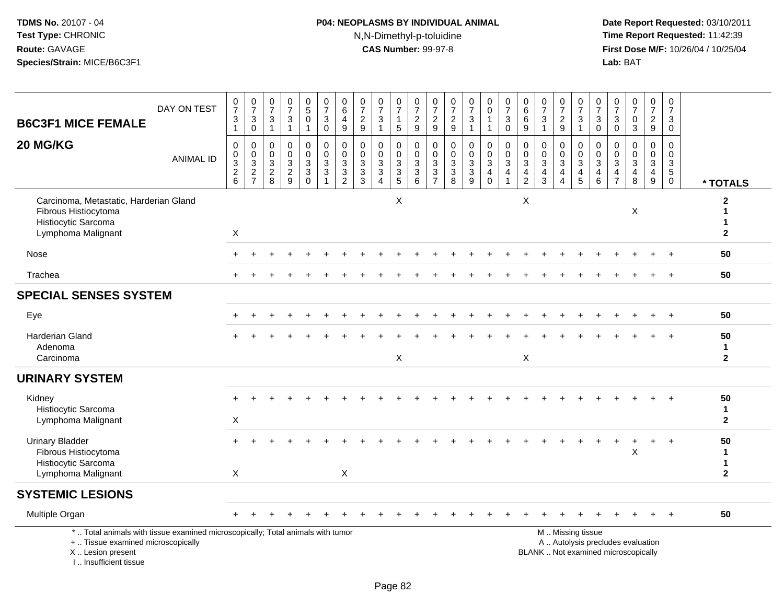# **P04: NEOPLASMS BY INDIVIDUAL ANIMAL**N,N-Dimethyl-p-toluidine

| <b>B6C3F1 MICE FEMALE</b>                                                                                                                                           | DAY ON TEST      | $\frac{0}{7}$<br>$\sqrt{3}$<br>$\overline{1}$                 | $\frac{0}{7}$<br>$_{0}^{3}$                   | $\frac{0}{7}$<br>$\sqrt{3}$<br>$\overline{1}$                  | $\frac{0}{7}$<br>3<br>$\mathbf{1}$                                       | $\begin{array}{c} 0 \\ 5 \end{array}$<br>$\mathbf 0$<br>$\mathbf{1}$ | $\begin{smallmatrix}0\\7\end{smallmatrix}$<br>$\mathbf{3}$<br>$\mathbf 0$ | $\begin{array}{c} 0 \\ 6 \end{array}$<br>$\overline{4}$<br>$\boldsymbol{9}$ | $\frac{0}{7}$<br>$\frac{2}{9}$                            | $\frac{0}{7}$<br>$\mathbf 3$<br>$\overline{1}$                                   | $\begin{array}{c} 0 \\ 7 \end{array}$<br>$\mathbf{1}$<br>$\sqrt{5}$ | $\frac{0}{7}$<br>$\frac{2}{9}$                                 | $\frac{0}{7}$<br>$\frac{2}{9}$                                                                      | $\frac{0}{7}$<br>$\frac{2}{9}$                              | $\frac{0}{7}$<br>$\mathbf{3}$<br>$\mathbf{1}$ | 0<br>$\overline{0}$<br>$\mathbf{1}$<br>$\mathbf{1}$                 | $\frac{0}{7}$<br>$_{0}^{3}$                                                    | $\begin{array}{c} 0 \\ 6 \end{array}$<br>$\,6\,$<br>$\boldsymbol{9}$    | 0<br>$\overline{7}$<br>$\mathbf{3}$<br>$\overline{1}$                                       | $\frac{0}{7}$<br>$\frac{2}{9}$                          | $\frac{0}{7}$<br>$\mathbf{3}$<br>$\overline{1}$                           | $\frac{0}{7}$<br>$\mathbf{3}$<br>$\mathbf 0$                                             | $\frac{0}{7}$<br>$\sqrt{3}$<br>$\mathbf 0$                            | $\begin{array}{c} 0 \\ 7 \end{array}$<br>$_{3}^{\rm 0}$                     | $\frac{0}{7}$<br>$\frac{2}{9}$                              | $\pmb{0}$<br>$\overline{7}$<br>$\mathbf{3}$<br>$\mathbf 0$                         |                                          |
|---------------------------------------------------------------------------------------------------------------------------------------------------------------------|------------------|---------------------------------------------------------------|-----------------------------------------------|----------------------------------------------------------------|--------------------------------------------------------------------------|----------------------------------------------------------------------|---------------------------------------------------------------------------|-----------------------------------------------------------------------------|-----------------------------------------------------------|----------------------------------------------------------------------------------|---------------------------------------------------------------------|----------------------------------------------------------------|-----------------------------------------------------------------------------------------------------|-------------------------------------------------------------|-----------------------------------------------|---------------------------------------------------------------------|--------------------------------------------------------------------------------|-------------------------------------------------------------------------|---------------------------------------------------------------------------------------------|---------------------------------------------------------|---------------------------------------------------------------------------|------------------------------------------------------------------------------------------|-----------------------------------------------------------------------|-----------------------------------------------------------------------------|-------------------------------------------------------------|------------------------------------------------------------------------------------|------------------------------------------|
| 20 MG/KG                                                                                                                                                            | <b>ANIMAL ID</b> | $\mathbf 0$<br>$\mathbf 0$<br>$\overline{3}$<br>$\frac{2}{6}$ | $\mathbf 0$<br>$\frac{0}{2}$<br>$\frac{3}{7}$ | $\boldsymbol{0}$<br>$\mathbf 0$<br>$\sqrt{3}$<br>$\frac{2}{8}$ | $\mathbf 0$<br>$\mathbf 0$<br>$\ensuremath{\mathsf{3}}$<br>$\frac{2}{9}$ | 0<br>0<br>$\sqrt{3}$<br>$\mathbf{3}$<br>$\mathbf 0$                  | $\mathsf 0$<br>$\mathbf 0$<br>$\overline{3}$<br>$\sqrt{3}$<br>1           | $\pmb{0}$<br>$\mathbf 0$<br>$\overline{3}$<br>$\frac{3}{2}$                 | $\mathbf 0$<br>$\mathbf 0$<br>$\sqrt{3}$<br>$\frac{3}{3}$ | $\mathbf 0$<br>$\mathbf 0$<br>$\sqrt{3}$<br>$\sqrt{3}$<br>$\boldsymbol{\Lambda}$ | 0<br>$\mathbf 0$<br>$\ensuremath{\mathsf{3}}$<br>$\frac{3}{5}$      | $\mathbf 0$<br>$\mathsf{O}$<br>$\overline{3}$<br>$\frac{3}{6}$ | $\mathbf 0$<br>$\Omega$<br>$\ensuremath{\mathsf{3}}$<br>$\ensuremath{\mathsf{3}}$<br>$\overline{7}$ | $\pmb{0}$<br>$\mathbf 0$<br>$\overline{3}$<br>$\frac{3}{8}$ | $\mathsf 0$<br>$\mathbf 0$<br>$\frac{3}{9}$   | 0<br>$\mathbf 0$<br>$\overline{3}$<br>$\overline{4}$<br>$\mathbf 0$ | $\mathbf 0$<br>$\pmb{0}$<br>$\overline{3}$<br>$\overline{4}$<br>$\overline{1}$ | $\pmb{0}$<br>$\Omega$<br>$\sqrt{3}$<br>$\overline{4}$<br>$\overline{2}$ | $\mathbf 0$<br>$\mathbf 0$<br>$\ensuremath{\mathsf{3}}$<br>$\overline{4}$<br>$\overline{3}$ | 0<br>$\mathbf 0$<br>$\mathbf{3}$<br>$\overline{4}$<br>4 | $\pmb{0}$<br>$\mathsf{O}\xspace$<br>$\overline{3}$<br>$\overline{4}$<br>5 | $\mathsf{O}\xspace$<br>$\mathbf 0$<br>$\overline{3}$<br>$\overline{4}$<br>$6\phantom{a}$ | 0<br>$\mathbf{0}$<br>$\mathbf{3}$<br>$\overline{4}$<br>$\overline{7}$ | $\mathbf 0$<br>$\ddot{\mathbf{0}}$<br>$\overline{3}$<br>$\overline{4}$<br>8 | 0<br>$\mathbf 0$<br>$\mathbf{3}$<br>$\overline{4}$<br>$9\,$ | $\pmb{0}$<br>$\mathbf 0$<br>$\ensuremath{\mathsf{3}}$<br>$\sqrt{5}$<br>$\mathbf 0$ | * TOTALS                                 |
| Carcinoma, Metastatic, Harderian Gland<br>Fibrous Histiocytoma<br>Histiocytic Sarcoma<br>Lymphoma Malignant                                                         |                  | X                                                             |                                               |                                                                |                                                                          |                                                                      |                                                                           |                                                                             |                                                           |                                                                                  | $\mathsf X$                                                         |                                                                |                                                                                                     |                                                             |                                               |                                                                     |                                                                                | $\mathsf{X}$                                                            |                                                                                             |                                                         |                                                                           |                                                                                          |                                                                       | X                                                                           |                                                             |                                                                                    | $\mathbf{2}$<br>1<br>1<br>$\overline{2}$ |
| Nose                                                                                                                                                                |                  |                                                               |                                               |                                                                |                                                                          |                                                                      |                                                                           |                                                                             |                                                           |                                                                                  |                                                                     |                                                                |                                                                                                     |                                                             |                                               |                                                                     |                                                                                |                                                                         |                                                                                             |                                                         |                                                                           |                                                                                          |                                                                       |                                                                             |                                                             |                                                                                    | 50                                       |
| Trachea                                                                                                                                                             |                  |                                                               |                                               |                                                                |                                                                          |                                                                      |                                                                           |                                                                             |                                                           |                                                                                  |                                                                     |                                                                |                                                                                                     |                                                             |                                               |                                                                     |                                                                                |                                                                         |                                                                                             |                                                         |                                                                           |                                                                                          |                                                                       |                                                                             |                                                             |                                                                                    | 50                                       |
| <b>SPECIAL SENSES SYSTEM</b>                                                                                                                                        |                  |                                                               |                                               |                                                                |                                                                          |                                                                      |                                                                           |                                                                             |                                                           |                                                                                  |                                                                     |                                                                |                                                                                                     |                                                             |                                               |                                                                     |                                                                                |                                                                         |                                                                                             |                                                         |                                                                           |                                                                                          |                                                                       |                                                                             |                                                             |                                                                                    |                                          |
| Eye                                                                                                                                                                 |                  |                                                               |                                               |                                                                |                                                                          |                                                                      |                                                                           |                                                                             |                                                           |                                                                                  |                                                                     |                                                                |                                                                                                     |                                                             |                                               |                                                                     |                                                                                |                                                                         |                                                                                             |                                                         |                                                                           |                                                                                          |                                                                       |                                                                             |                                                             |                                                                                    | 50                                       |
| <b>Harderian Gland</b><br>Adenoma<br>Carcinoma                                                                                                                      |                  |                                                               |                                               |                                                                |                                                                          |                                                                      |                                                                           |                                                                             |                                                           |                                                                                  | X                                                                   |                                                                |                                                                                                     |                                                             |                                               |                                                                     |                                                                                | X                                                                       |                                                                                             |                                                         |                                                                           |                                                                                          |                                                                       |                                                                             |                                                             |                                                                                    | 50<br>$\mathbf 1$<br>$\overline{2}$      |
| <b>URINARY SYSTEM</b>                                                                                                                                               |                  |                                                               |                                               |                                                                |                                                                          |                                                                      |                                                                           |                                                                             |                                                           |                                                                                  |                                                                     |                                                                |                                                                                                     |                                                             |                                               |                                                                     |                                                                                |                                                                         |                                                                                             |                                                         |                                                                           |                                                                                          |                                                                       |                                                                             |                                                             |                                                                                    |                                          |
| Kidney<br>Histiocytic Sarcoma<br>Lymphoma Malignant                                                                                                                 |                  | $\boldsymbol{\mathsf{X}}$                                     |                                               |                                                                |                                                                          |                                                                      |                                                                           |                                                                             |                                                           |                                                                                  |                                                                     |                                                                |                                                                                                     |                                                             |                                               |                                                                     |                                                                                |                                                                         |                                                                                             |                                                         |                                                                           |                                                                                          |                                                                       |                                                                             |                                                             | $\ddot{}$                                                                          | 50<br>$\mathbf{1}$<br>$\mathbf{2}$       |
| <b>Urinary Bladder</b><br>Fibrous Histiocytoma<br>Histiocytic Sarcoma<br>Lymphoma Malignant                                                                         |                  | X                                                             |                                               |                                                                |                                                                          |                                                                      |                                                                           | X                                                                           |                                                           |                                                                                  |                                                                     |                                                                |                                                                                                     |                                                             |                                               |                                                                     |                                                                                |                                                                         |                                                                                             |                                                         |                                                                           |                                                                                          |                                                                       | X                                                                           | +                                                           | $+$                                                                                | 50<br>1<br>1<br>$\mathbf{2}$             |
| <b>SYSTEMIC LESIONS</b>                                                                                                                                             |                  |                                                               |                                               |                                                                |                                                                          |                                                                      |                                                                           |                                                                             |                                                           |                                                                                  |                                                                     |                                                                |                                                                                                     |                                                             |                                               |                                                                     |                                                                                |                                                                         |                                                                                             |                                                         |                                                                           |                                                                                          |                                                                       |                                                                             |                                                             |                                                                                    |                                          |
| Multiple Organ                                                                                                                                                      |                  |                                                               |                                               |                                                                |                                                                          |                                                                      |                                                                           |                                                                             |                                                           |                                                                                  |                                                                     |                                                                |                                                                                                     |                                                             |                                               |                                                                     |                                                                                |                                                                         |                                                                                             |                                                         |                                                                           |                                                                                          |                                                                       |                                                                             | $\ddot{}$                                                   | $+$                                                                                | 50                                       |
| *  Total animals with tissue examined microscopically; Total animals with tumor<br>+  Tissue examined microscopically<br>X  Lesion present<br>I Insufficient tissue |                  |                                                               |                                               |                                                                |                                                                          |                                                                      |                                                                           |                                                                             |                                                           |                                                                                  |                                                                     |                                                                |                                                                                                     |                                                             |                                               |                                                                     |                                                                                |                                                                         |                                                                                             |                                                         | M  Missing tissue                                                         |                                                                                          |                                                                       | A  Autolysis precludes evaluation<br>BLANK  Not examined microscopically    |                                                             |                                                                                    |                                          |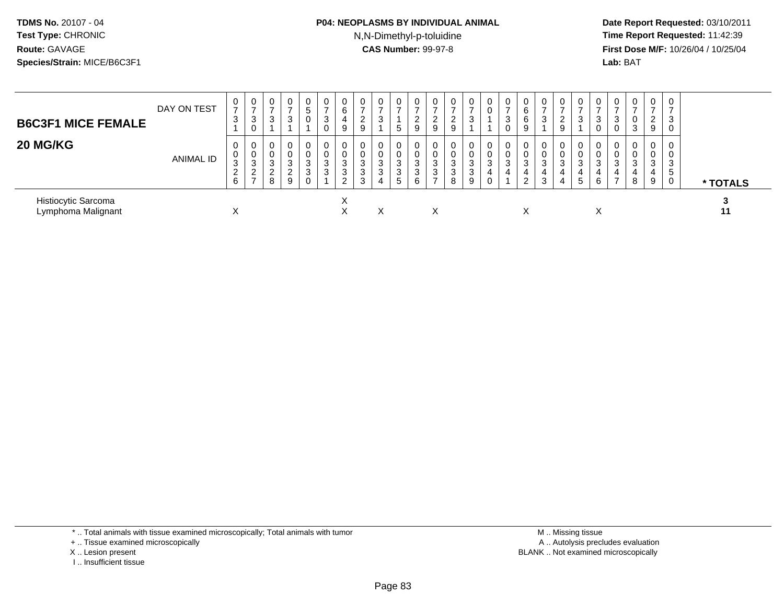### **P04: NEOPLASMS BY INDIVIDUAL ANIMAL**N,N-Dimethyl-p-toluidine

 **Date Report Requested:** 03/10/2011 **Time Report Requested:** 11:42:39 **First Dose M/F:** 10/26/04 / 10/25/04 Lab: BAT **Lab:** BAT

| <b>B6C3F1 MICE FEMALE</b>                 | DAY ON TEST | 0<br>3                                     | 0<br>$\rightarrow$<br>3<br>0                   | 0<br>3                     | $\mathbf 0$<br>3                  | 0<br>5<br>0           | 0<br>3<br>0 | 0<br>6<br>4<br>9       | 0<br>$\overline{ }$<br>ົ<br>∠<br>9 | 0<br>⇁<br>3                  | 5                                         | 2<br>9      | 0<br>ົ<br>∼<br>9      | U<br>9           | 0<br>3                | 0<br>0                | 3      | 6<br>6<br>9                    | 0           | $\mathbf{0}$<br>ີ<br>9                               | 0<br>3                | 0<br>3<br>0      | 0<br>◠<br>U | $\overline{0}$<br>3      | $\mathbf 0$<br>-<br>ົ<br><u>L</u><br>9 | 0<br>3<br>0           |          |
|-------------------------------------------|-------------|--------------------------------------------|------------------------------------------------|----------------------------|-----------------------------------|-----------------------|-------------|------------------------|------------------------------------|------------------------------|-------------------------------------------|-------------|-----------------------|------------------|-----------------------|-----------------------|--------|--------------------------------|-------------|------------------------------------------------------|-----------------------|------------------|-------------|--------------------------|----------------------------------------|-----------------------|----------|
| 20 MG/KG                                  | ANIMAL ID   | 0<br>0<br>3<br>$\Omega$<br>$\epsilon$<br>6 | 0<br>0<br>3<br>$\Omega$<br>∠<br>$\overline{ }$ | 0<br>0<br>3<br>$\sim$<br>8 | $\mathbf 0$<br>3<br>$\Omega$<br>9 | 0<br>0<br>3<br>3<br>0 | 0<br>3<br>3 | 0<br>0<br>3<br>3<br>റ  | 0<br>0<br>3<br>3<br>3              | 0<br>$\Omega$<br>3<br>3<br>4 | $\mathbf 0$<br>ົ<br>J<br>$\sim$<br>J<br>5 | 3<br>3<br>6 | 0<br>0<br>3<br>3<br>- | 0<br>ົ<br>3<br>8 | 0<br>0<br>3<br>3<br>9 | 0<br>0<br>3<br>4<br>0 | 3<br>4 | 3<br>4<br>$\sim$<br>$\epsilon$ | 0<br>3<br>3 | $\mathbf{0}$<br>$\Omega$<br>3<br>$\overline{4}$<br>4 | 0<br>0<br>3<br>4<br>5 | 0<br>3<br>4<br>6 | 0<br>ົ<br>ت | $\overline{0}$<br>3<br>8 | $\mathbf{0}$<br>0<br>3<br>4<br>9       | 0<br>0<br>3<br>5<br>0 | * TOTALS |
| Histiocytic Sarcoma<br>Lymphoma Malignant |             | ⌒                                          |                                                |                            |                                   |                       |             | $\checkmark$<br>⌒<br>∧ |                                    | X                            |                                           |             | X                     |                  |                       |                       |        | ⋏                              |             |                                                      |                       | X                |             |                          |                                        |                       | 11       |

\* .. Total animals with tissue examined microscopically; Total animals with tumor

+ .. Tissue examined microscopically

- X .. Lesion present
- I .. Insufficient tissue

 M .. Missing tissuey the contract of the contract of the contract of the contract of the contract of the contract of the contract of  $A$ . Autolysis precludes evaluation Lesion present BLANK .. Not examined microscopically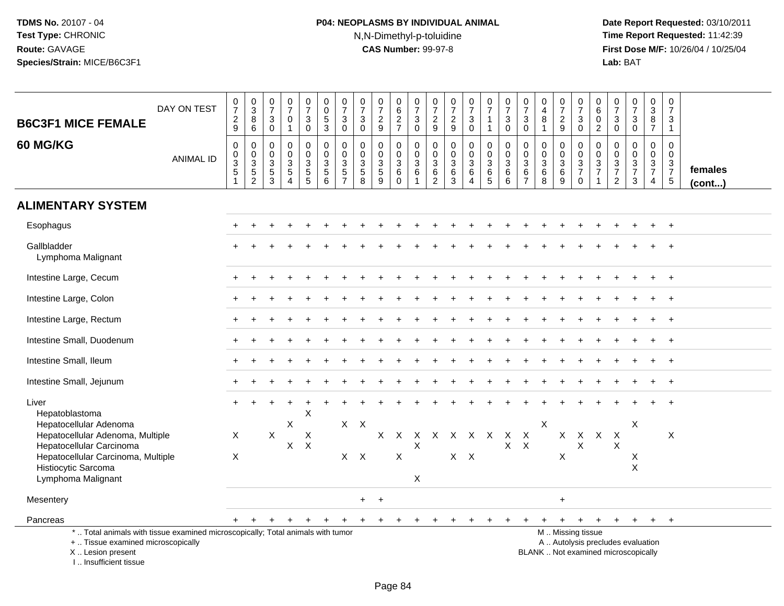# **P04: NEOPLASMS BY INDIVIDUAL ANIMAL**N,N-Dimethyl-p-toluidine

 **Date Report Requested:** 03/10/2011 **Time Report Requested:** 11:42:39 **First Dose M/F:** 10/26/04 / 10/25/04<br>**Lab:** BAT **Lab:** BAT

| <b>B6C3F1 MICE FEMALE</b>                                                                                                                              | DAY ON TEST      | $\frac{0}{7}$<br>$\frac{2}{9}$                            | $_{3}^{\rm 0}$<br>$\bf 8$<br>6               | $\frac{0}{7}$<br>$\ensuremath{\mathsf{3}}$<br>$\mathbf 0$              | $\frac{0}{7}$<br>$\pmb{0}$<br>$\mathbf{1}$                | $\begin{smallmatrix}0\\7\end{smallmatrix}$<br>$\mathbf 3$<br>$\mathbf 0$ | $\begin{array}{c} 0 \\ 0 \\ 5 \\ 3 \end{array}$ | $\frac{0}{7}$<br>$\ensuremath{\mathsf{3}}$<br>$\mathbf 0$        | $\begin{array}{c} 0 \\ 7 \end{array}$<br>$\ensuremath{\mathsf{3}}$<br>$\mathbf 0$ | $\frac{0}{7}$<br>$\frac{2}{9}$         | $_{6}^{\rm 0}$<br>$\frac{2}{7}$                        | $\frac{0}{7}$<br>$\mathbf{3}$<br>$\mathbf 0$                    | $\frac{0}{7}$<br>$\frac{2}{9}$                            | $\frac{0}{7}$<br>$\frac{2}{9}$                        | $\frac{0}{7}$<br>$\ensuremath{\mathsf{3}}$<br>$\mathbf 0$ | $\frac{0}{7}$<br>$\overline{1}$<br>$\overline{1}$ | $\frac{0}{7}$<br>$\ensuremath{\mathsf{3}}$<br>$\mathbf 0$ | $\frac{0}{7}$<br>$\ensuremath{\mathsf{3}}$<br>$\mathbf 0$       | 0<br>$\overline{4}$<br>8<br>$\mathbf 1$          | $\frac{0}{7}$<br>$\frac{2}{9}$                 | $\frac{0}{7}$<br>3<br>$\mathbf 0$                | $_{6}^{\rm 0}$<br>$\pmb{0}$<br>$\overline{2}$                     | $\frac{0}{7}$<br>$\ensuremath{\mathsf{3}}$<br>$\pmb{0}$                         | $\begin{smallmatrix}0\\7\end{smallmatrix}$<br>$_{0}^{3}$ | $\pmb{0}$<br>$\overline{3}$<br>$\, 8$<br>$\overline{7}$       | 0<br>$\overline{7}$<br>3<br>$\overline{1}$                    |                         |
|--------------------------------------------------------------------------------------------------------------------------------------------------------|------------------|-----------------------------------------------------------|----------------------------------------------|------------------------------------------------------------------------|-----------------------------------------------------------|--------------------------------------------------------------------------|-------------------------------------------------|------------------------------------------------------------------|-----------------------------------------------------------------------------------|----------------------------------------|--------------------------------------------------------|-----------------------------------------------------------------|-----------------------------------------------------------|-------------------------------------------------------|-----------------------------------------------------------|---------------------------------------------------|-----------------------------------------------------------|-----------------------------------------------------------------|--------------------------------------------------|------------------------------------------------|--------------------------------------------------|-------------------------------------------------------------------|---------------------------------------------------------------------------------|----------------------------------------------------------|---------------------------------------------------------------|---------------------------------------------------------------|-------------------------|
| <b>60 MG/KG</b>                                                                                                                                        | <b>ANIMAL ID</b> | $\boldsymbol{0}$<br>$\pmb{0}$<br>3<br>5<br>$\overline{1}$ | $\pmb{0}$<br>$\frac{0}{3}$<br>$\overline{c}$ | $\pmb{0}$<br>$\mathbf 0$<br>$\mathbf{3}$<br>$\sqrt{5}$<br>$\mathbf{3}$ | $\pmb{0}$<br>$\pmb{0}$<br>$\frac{3}{5}$<br>$\overline{4}$ | 0<br>$\overline{0}$<br>3<br>$\frac{5}{5}$                                | $\pmb{0}$<br>$0$<br>$3$<br>$5$<br>$6$           | 0<br>$\mathbf 0$<br>$\mathbf{3}$<br>$\sqrt{5}$<br>$\overline{7}$ | $\mathbf 0$<br>$\mathbf 0$<br>$\mathbf{3}$<br>$\overline{5}$<br>8                 | 0<br>$\mathbf 0$<br>$\frac{3}{5}$<br>9 | $\pmb{0}$<br>$\pmb{0}$<br>$\frac{3}{6}$<br>$\mathbf 0$ | 0<br>$\mathsf{O}\xspace$<br>$\mathbf{3}$<br>$6\phantom{a}$<br>1 | $\pmb{0}$<br>$\mathbf 0$<br>$\mathbf{3}$<br>$\frac{6}{2}$ | $\pmb{0}$<br>$\pmb{0}$<br>$\sqrt{3}$<br>$\frac{6}{3}$ | 0<br>$\overline{0}$<br>3<br>6<br>$\overline{4}$           | $_{\rm 0}^{\rm 0}$<br>$\frac{3}{6}$<br>$\sqrt{5}$ | 0<br>$\mathbf 0$<br>3<br>$\,6\,$<br>6                     | $\mathbf 0$<br>$\pmb{0}$<br>$\mathbf{3}$<br>6<br>$\overline{7}$ | 0<br>$\mathbf 0$<br>$\mathbf{3}$<br>$\,6\,$<br>8 | $\pmb{0}$<br>$\frac{0}{3}$<br>$\boldsymbol{9}$ | $\mathbf 0$<br>$\mathbf 0$<br>$\frac{3}{7}$<br>0 | $\pmb{0}$<br>$\mathsf{O}\xspace$<br>$\frac{3}{7}$<br>$\mathbf{1}$ | 0<br>$\mathbf 0$<br>$\frac{3}{7}$<br>$\overline{c}$                             | 0<br>$\mathsf{O}\xspace$<br>$\frac{3}{7}$<br>3           | $\mathbf 0$<br>$\mathbf 0$<br>$\frac{3}{7}$<br>$\overline{4}$ | 0<br>$\Omega$<br>$\mathbf{3}$<br>$\overline{7}$<br>$\sqrt{5}$ | females<br>$($ cont $)$ |
| <b>ALIMENTARY SYSTEM</b>                                                                                                                               |                  |                                                           |                                              |                                                                        |                                                           |                                                                          |                                                 |                                                                  |                                                                                   |                                        |                                                        |                                                                 |                                                           |                                                       |                                                           |                                                   |                                                           |                                                                 |                                                  |                                                |                                                  |                                                                   |                                                                                 |                                                          |                                                               |                                                               |                         |
| Esophagus                                                                                                                                              |                  |                                                           |                                              |                                                                        |                                                           |                                                                          |                                                 |                                                                  |                                                                                   |                                        |                                                        |                                                                 |                                                           |                                                       |                                                           |                                                   |                                                           |                                                                 |                                                  |                                                |                                                  |                                                                   |                                                                                 |                                                          |                                                               |                                                               |                         |
| Gallbladder<br>Lymphoma Malignant                                                                                                                      |                  |                                                           |                                              |                                                                        |                                                           |                                                                          |                                                 |                                                                  |                                                                                   |                                        |                                                        |                                                                 |                                                           |                                                       |                                                           |                                                   |                                                           |                                                                 |                                                  |                                                |                                                  |                                                                   |                                                                                 |                                                          |                                                               |                                                               |                         |
| Intestine Large, Cecum                                                                                                                                 |                  |                                                           |                                              |                                                                        |                                                           |                                                                          |                                                 |                                                                  |                                                                                   |                                        |                                                        |                                                                 |                                                           |                                                       |                                                           |                                                   |                                                           |                                                                 |                                                  |                                                |                                                  |                                                                   |                                                                                 |                                                          |                                                               | $\overline{+}$                                                |                         |
| Intestine Large, Colon                                                                                                                                 |                  |                                                           |                                              |                                                                        |                                                           |                                                                          |                                                 |                                                                  |                                                                                   |                                        |                                                        |                                                                 |                                                           |                                                       |                                                           |                                                   |                                                           |                                                                 |                                                  |                                                |                                                  |                                                                   |                                                                                 |                                                          |                                                               |                                                               |                         |
| Intestine Large, Rectum                                                                                                                                |                  |                                                           |                                              |                                                                        |                                                           |                                                                          |                                                 |                                                                  |                                                                                   |                                        |                                                        |                                                                 |                                                           |                                                       |                                                           |                                                   |                                                           |                                                                 |                                                  |                                                |                                                  |                                                                   |                                                                                 |                                                          |                                                               | $+$                                                           |                         |
| Intestine Small, Duodenum                                                                                                                              |                  |                                                           |                                              |                                                                        |                                                           |                                                                          |                                                 |                                                                  |                                                                                   |                                        |                                                        |                                                                 |                                                           |                                                       |                                                           |                                                   |                                                           |                                                                 |                                                  |                                                |                                                  |                                                                   |                                                                                 |                                                          |                                                               | $\overline{+}$                                                |                         |
| Intestine Small, Ileum                                                                                                                                 |                  |                                                           |                                              |                                                                        |                                                           |                                                                          |                                                 |                                                                  |                                                                                   |                                        |                                                        |                                                                 |                                                           |                                                       |                                                           |                                                   |                                                           |                                                                 |                                                  |                                                |                                                  |                                                                   |                                                                                 |                                                          |                                                               |                                                               |                         |
| Intestine Small, Jejunum                                                                                                                               |                  |                                                           |                                              |                                                                        |                                                           |                                                                          |                                                 |                                                                  |                                                                                   |                                        |                                                        |                                                                 |                                                           |                                                       |                                                           |                                                   |                                                           |                                                                 |                                                  |                                                |                                                  |                                                                   |                                                                                 |                                                          |                                                               |                                                               |                         |
| Liver<br>Hepatoblastoma                                                                                                                                |                  |                                                           |                                              |                                                                        |                                                           | X                                                                        |                                                 |                                                                  |                                                                                   |                                        |                                                        |                                                                 |                                                           |                                                       |                                                           |                                                   |                                                           |                                                                 |                                                  |                                                |                                                  |                                                                   |                                                                                 |                                                          |                                                               |                                                               |                         |
| Hepatocellular Adenoma<br>Hepatocellular Adenoma, Multiple<br>Hepatocellular Carcinoma<br>Hepatocellular Carcinoma, Multiple<br>Histiocytic Sarcoma    |                  | $\times$<br>$\times$                                      |                                              | $\mathsf{X}$                                                           | X<br>X                                                    | X<br>X                                                                   |                                                 | $X$ $X$<br>$X$ $X$                                               |                                                                                   | X                                      | $\mathsf{X}$<br>X                                      | Χ                                                               |                                                           | X X X X X X X<br>$X$ $X$                              |                                                           |                                                   |                                                           | $X$ $X$                                                         | Χ                                                | $\times$                                       | $X$ $X$ $X$<br>X                                 |                                                                   | $\mathsf{X}$<br>X                                                               | Χ<br>X<br>$\pmb{\times}$                                 |                                                               | $\times$                                                      |                         |
| Lymphoma Malignant                                                                                                                                     |                  |                                                           |                                              |                                                                        |                                                           |                                                                          |                                                 |                                                                  |                                                                                   |                                        |                                                        | $\boldsymbol{\mathsf{X}}$                                       |                                                           |                                                       |                                                           |                                                   |                                                           |                                                                 |                                                  |                                                |                                                  |                                                                   |                                                                                 |                                                          |                                                               |                                                               |                         |
| Mesentery                                                                                                                                              |                  |                                                           |                                              |                                                                        |                                                           |                                                                          |                                                 |                                                                  | $+$                                                                               | $+$                                    |                                                        |                                                                 |                                                           |                                                       |                                                           |                                                   |                                                           |                                                                 |                                                  | $\ddot{}$                                      |                                                  |                                                                   |                                                                                 |                                                          |                                                               |                                                               |                         |
| Pancreas<br>*  Total animals with tissue examined microscopically; Total animals with tumor<br>+  Tissue examined microscopically<br>X  Lesion present |                  |                                                           |                                              |                                                                        |                                                           |                                                                          |                                                 |                                                                  |                                                                                   | $\mathbf +$                            |                                                        | $+$                                                             | $+$                                                       | $\pm$                                                 | $\pm$                                                     |                                                   | $\pm$                                                     |                                                                 | $\ddot{}$                                        | $+$                                            | $\ddot{}$<br>M  Missing tissue                   | $+$                                                               | $+$<br>A  Autolysis precludes evaluation<br>BLANK  Not examined microscopically | $+$                                                      | $+$                                                           | $+$                                                           |                         |

I .. Insufficient tissue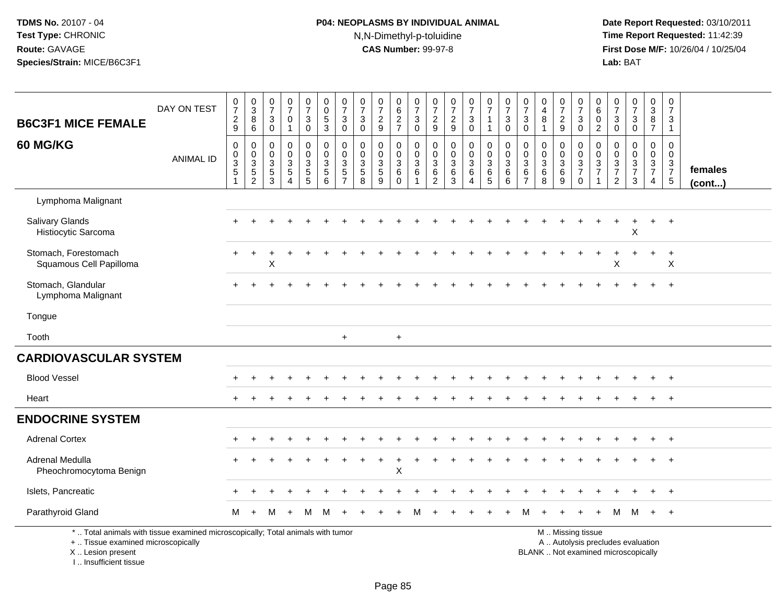# **P04: NEOPLASMS BY INDIVIDUAL ANIMAL**N,N-Dimethyl-p-toluidine

 **Date Report Requested:** 03/10/2011 **Time Report Requested:** 11:42:39 **First Dose M/F:** 10/26/04 / 10/25/04<br>**Lab:** BAT **Lab:** BAT

| <b>B6C3F1 MICE FEMALE</b>                                                                                                                  | DAY ON TEST      | $\mathbf 0$<br>$\overline{7}$<br>$\frac{2}{9}$ | $_{3}^{\rm 0}$<br>$\,8\,$<br>$6\overline{6}$ | $\pmb{0}$<br>$\overline{7}$<br>$\mathbf{3}$<br>$\mathbf 0$ | $\pmb{0}$<br>$\overline{7}$<br>$\mathbf 0$<br>$\mathbf{1}$              | $\frac{0}{7}$<br>3<br>$\bar{0}$                                      | 0<br>$\mathbf 0$<br>$\frac{5}{3}$                       | $\frac{0}{7}$<br>$\sqrt{3}$<br>$\pmb{0}$                                 | $\frac{0}{7}$<br>$\sqrt{3}$<br>$\overline{0}$          | $\frac{0}{7}$<br>$\frac{2}{9}$                              | 0627                                                              | $\frac{0}{7}$<br>3<br>$\mathbf 0$                                        | 0<br>$\boldsymbol{7}$<br>$\frac{2}{9}$                                   | 0<br>$\overline{7}$<br>$\frac{2}{9}$             | $\frac{0}{7}$<br>$\sqrt{3}$<br>$\ddot{\mathbf{0}}$                         | $\begin{smallmatrix}0\\7\end{smallmatrix}$<br>$\mathbf{1}$<br>$\overline{1}$ | $\frac{0}{7}$<br>$\sqrt{3}$<br>$\mathbf 0$                             | $\frac{0}{7}$<br>$\mathbf{3}$<br>$\mathbf 0$                  | $\begin{smallmatrix}0\0\4\end{smallmatrix}$<br>$\bf 8$<br>$\mathbf{1}$ | $\frac{0}{7}$<br>$\overline{c}$<br>9                    | $\frac{0}{7}$<br>$\frac{3}{0}$                    | $\begin{array}{c} 0 \\ 6 \end{array}$<br>$\pmb{0}$<br>$\overline{2}$ | $\frac{0}{7}$<br>3<br>$\overline{0}$                | $\begin{smallmatrix}0\\7\end{smallmatrix}$<br>$\sqrt{3}$<br>$\mathbf 0$  | $\pmb{0}$<br>3<br>8<br>$\overline{7}$  | 0<br>$\boldsymbol{7}$<br>$\mathbf{3}$<br>$\mathbf{1}$ |                   |
|--------------------------------------------------------------------------------------------------------------------------------------------|------------------|------------------------------------------------|----------------------------------------------|------------------------------------------------------------|-------------------------------------------------------------------------|----------------------------------------------------------------------|---------------------------------------------------------|--------------------------------------------------------------------------|--------------------------------------------------------|-------------------------------------------------------------|-------------------------------------------------------------------|--------------------------------------------------------------------------|--------------------------------------------------------------------------|--------------------------------------------------|----------------------------------------------------------------------------|------------------------------------------------------------------------------|------------------------------------------------------------------------|---------------------------------------------------------------|------------------------------------------------------------------------|---------------------------------------------------------|---------------------------------------------------|----------------------------------------------------------------------|-----------------------------------------------------|--------------------------------------------------------------------------|----------------------------------------|-------------------------------------------------------|-------------------|
| <b>60 MG/KG</b>                                                                                                                            | <b>ANIMAL ID</b> | 0<br>0<br>$\frac{3}{5}$                        | 0<br>$\pmb{0}$<br>$\frac{3}{2}$              | $\mathbf 0$<br>$\mathbf 0$<br>3<br>$\overline{5}$<br>3     | $\mathbf 0$<br>$\mathbf 0$<br>3<br>$\sqrt{5}$<br>$\boldsymbol{\Lambda}$ | 0<br>$\mathbf 0$<br>$\ensuremath{\mathsf{3}}$<br>$\overline{5}$<br>5 | 0<br>$\mathbf 0$<br>$\mathbf{3}$<br>$\overline{5}$<br>6 | $\pmb{0}$<br>$\pmb{0}$<br>$\sqrt{3}$<br>$\overline{5}$<br>$\overline{7}$ | $\mathbf 0$<br>$\mathbf 0$<br>3<br>$\overline{5}$<br>8 | $\mathbf 0$<br>$\mathbf 0$<br>$\sqrt{3}$<br>$\sqrt{5}$<br>9 | 0<br>$\mathbf 0$<br>$\mathbf{3}$<br>$6\phantom{a}$<br>$\mathbf 0$ | 0<br>$\mathbf 0$<br>$\ensuremath{\mathsf{3}}$<br>$\,6\,$<br>$\mathbf{1}$ | 0<br>$\mathbf 0$<br>$\ensuremath{\mathsf{3}}$<br>$\,6$<br>$\overline{2}$ | 0<br>$\mathbf 0$<br>$\mathbf{3}$<br>$\,6\,$<br>3 | 0<br>$\mathbf 0$<br>$\sqrt{3}$<br>$6\phantom{a}$<br>$\boldsymbol{\Lambda}$ | 0<br>$\mathbf 0$<br>$\mathsf 3$<br>$6\phantom{a}$<br>$\overline{5}$          | $\mathbf 0$<br>$\mathbf 0$<br>$\sqrt{3}$<br>$\,6\,$<br>$6\phantom{1}6$ | 0<br>$\mathbf 0$<br>$\mathbf{3}$<br>$\,6\,$<br>$\overline{7}$ | $\mathbf 0$<br>$\mathbf 0$<br>$\sqrt{3}$<br>$6\phantom{1}$<br>8        | 0<br>$\mathbf 0$<br>$\mathbf{3}$<br>$6\phantom{a}$<br>9 | 0<br>$\mathsf{O}$<br>$\frac{3}{7}$<br>$\mathbf 0$ | 0<br>$\mathbf 0$<br>$\frac{3}{7}$<br>$\mathbf{1}$                    | 0<br>$\mathbf 0$<br>$\frac{3}{7}$<br>$\overline{2}$ | $\mathbf 0$<br>$\mathbf{0}$<br>$\frac{3}{7}$<br>$\mathbf{3}$             | 0<br>$\mathbf 0$<br>$\frac{3}{7}$<br>4 | 0<br>$\mathbf 0$<br>$\frac{3}{7}$                     | females<br>(cont) |
| Lymphoma Malignant                                                                                                                         |                  |                                                |                                              |                                                            |                                                                         |                                                                      |                                                         |                                                                          |                                                        |                                                             |                                                                   |                                                                          |                                                                          |                                                  |                                                                            |                                                                              |                                                                        |                                                               |                                                                        |                                                         |                                                   |                                                                      |                                                     |                                                                          |                                        |                                                       |                   |
| <b>Salivary Glands</b><br>Histiocytic Sarcoma                                                                                              |                  |                                                |                                              |                                                            |                                                                         |                                                                      |                                                         |                                                                          |                                                        |                                                             |                                                                   |                                                                          |                                                                          |                                                  |                                                                            |                                                                              |                                                                        |                                                               |                                                                        |                                                         |                                                   |                                                                      |                                                     | X                                                                        | ÷                                      | $\overline{+}$                                        |                   |
| Stomach, Forestomach<br>Squamous Cell Papilloma                                                                                            |                  |                                                |                                              | X                                                          |                                                                         |                                                                      |                                                         |                                                                          |                                                        |                                                             |                                                                   |                                                                          |                                                                          |                                                  |                                                                            |                                                                              |                                                                        |                                                               |                                                                        |                                                         |                                                   |                                                                      | X                                                   |                                                                          | $\div$                                 | $\ddot{}$<br>X                                        |                   |
| Stomach, Glandular<br>Lymphoma Malignant                                                                                                   |                  |                                                |                                              |                                                            |                                                                         |                                                                      |                                                         |                                                                          |                                                        |                                                             |                                                                   |                                                                          |                                                                          |                                                  |                                                                            |                                                                              |                                                                        |                                                               |                                                                        |                                                         |                                                   |                                                                      |                                                     |                                                                          |                                        |                                                       |                   |
| Tongue                                                                                                                                     |                  |                                                |                                              |                                                            |                                                                         |                                                                      |                                                         |                                                                          |                                                        |                                                             |                                                                   |                                                                          |                                                                          |                                                  |                                                                            |                                                                              |                                                                        |                                                               |                                                                        |                                                         |                                                   |                                                                      |                                                     |                                                                          |                                        |                                                       |                   |
| Tooth                                                                                                                                      |                  |                                                |                                              |                                                            |                                                                         |                                                                      |                                                         | $\ddot{}$                                                                |                                                        |                                                             | $\ddot{}$                                                         |                                                                          |                                                                          |                                                  |                                                                            |                                                                              |                                                                        |                                                               |                                                                        |                                                         |                                                   |                                                                      |                                                     |                                                                          |                                        |                                                       |                   |
| <b>CARDIOVASCULAR SYSTEM</b>                                                                                                               |                  |                                                |                                              |                                                            |                                                                         |                                                                      |                                                         |                                                                          |                                                        |                                                             |                                                                   |                                                                          |                                                                          |                                                  |                                                                            |                                                                              |                                                                        |                                                               |                                                                        |                                                         |                                                   |                                                                      |                                                     |                                                                          |                                        |                                                       |                   |
| <b>Blood Vessel</b>                                                                                                                        |                  |                                                |                                              |                                                            |                                                                         |                                                                      |                                                         |                                                                          |                                                        |                                                             |                                                                   |                                                                          |                                                                          |                                                  |                                                                            |                                                                              |                                                                        |                                                               |                                                                        |                                                         |                                                   |                                                                      |                                                     |                                                                          |                                        |                                                       |                   |
| Heart                                                                                                                                      |                  |                                                |                                              |                                                            |                                                                         |                                                                      |                                                         |                                                                          |                                                        |                                                             |                                                                   |                                                                          |                                                                          |                                                  |                                                                            |                                                                              |                                                                        |                                                               |                                                                        |                                                         |                                                   |                                                                      |                                                     |                                                                          |                                        |                                                       |                   |
| <b>ENDOCRINE SYSTEM</b>                                                                                                                    |                  |                                                |                                              |                                                            |                                                                         |                                                                      |                                                         |                                                                          |                                                        |                                                             |                                                                   |                                                                          |                                                                          |                                                  |                                                                            |                                                                              |                                                                        |                                                               |                                                                        |                                                         |                                                   |                                                                      |                                                     |                                                                          |                                        |                                                       |                   |
| <b>Adrenal Cortex</b>                                                                                                                      |                  |                                                |                                              |                                                            |                                                                         |                                                                      |                                                         |                                                                          |                                                        |                                                             |                                                                   |                                                                          |                                                                          |                                                  |                                                                            |                                                                              |                                                                        |                                                               |                                                                        |                                                         |                                                   |                                                                      |                                                     |                                                                          |                                        |                                                       |                   |
| Adrenal Medulla<br>Pheochromocytoma Benign                                                                                                 |                  |                                                |                                              |                                                            |                                                                         |                                                                      |                                                         |                                                                          |                                                        | $\ddot{}$                                                   | $\ddot{}$<br>X                                                    |                                                                          |                                                                          |                                                  |                                                                            |                                                                              |                                                                        |                                                               |                                                                        |                                                         |                                                   |                                                                      |                                                     |                                                                          |                                        |                                                       |                   |
| Islets, Pancreatic                                                                                                                         |                  |                                                |                                              |                                                            |                                                                         |                                                                      |                                                         |                                                                          |                                                        |                                                             |                                                                   |                                                                          |                                                                          |                                                  |                                                                            |                                                                              |                                                                        |                                                               |                                                                        |                                                         |                                                   |                                                                      |                                                     |                                                                          |                                        | $^+$                                                  |                   |
| Parathyroid Gland                                                                                                                          |                  | М                                              | $\ddot{}$                                    | м                                                          |                                                                         | м                                                                    | M                                                       |                                                                          |                                                        |                                                             |                                                                   |                                                                          |                                                                          |                                                  |                                                                            |                                                                              |                                                                        | м                                                             |                                                                        |                                                         |                                                   |                                                                      | М                                                   | M                                                                        | $+$                                    | $+$                                                   |                   |
| *  Total animals with tissue examined microscopically; Total animals with tumor<br>+  Tissue examined microscopically<br>X  Lesion present |                  |                                                |                                              |                                                            |                                                                         |                                                                      |                                                         |                                                                          |                                                        |                                                             |                                                                   |                                                                          |                                                                          |                                                  |                                                                            |                                                                              |                                                                        |                                                               |                                                                        |                                                         | M  Missing tissue                                 |                                                                      |                                                     | A  Autolysis precludes evaluation<br>BLANK  Not examined microscopically |                                        |                                                       |                   |

I .. Insufficient tissue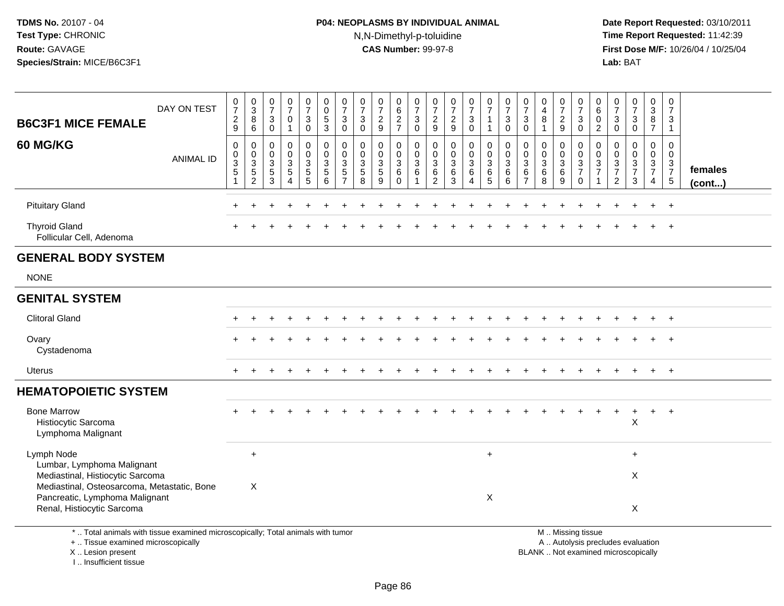# **P04: NEOPLASMS BY INDIVIDUAL ANIMAL**N,N-Dimethyl-p-toluidine

 **Date Report Requested:** 03/10/2011 **Time Report Requested:** 11:42:39 **First Dose M/F:** 10/26/04 / 10/25/04<br>**Lab:** BAT **Lab:** BAT

| <b>B6C3F1 MICE FEMALE</b>                                                                                                                       | DAY ON TEST      | $\frac{0}{7}$<br>$\boldsymbol{2}$<br>9                | 0<br>$\ensuremath{\mathsf{3}}$<br>8<br>6                        | $\begin{smallmatrix}0\\7\end{smallmatrix}$<br>$\mathsf 3$<br>$\mathbf 0$       | $\frac{0}{7}$<br>$\mathbf 0$<br>1 | $\frac{0}{7}$<br>$\mathbf{3}$<br>$\mathbf 0$                | $\begin{smallmatrix} 0\\0 \end{smallmatrix}$<br>$\frac{5}{3}$   | $\frac{0}{7}$<br>3<br>$\mathbf 0$                            | $\frac{0}{7}$<br>$\sqrt{3}$<br>$\mathbf{0}$        | 0<br>$\overline{7}$<br>$\overline{\mathbf{c}}$<br>9 | $_{6}^{\rm 0}$<br>$\frac{2}{7}$                                   | $\frac{0}{7}$<br>3<br>$\mathbf 0$          | $\frac{0}{7}$<br>$\overline{c}$<br>9                        | $\frac{0}{7}$<br>$\frac{2}{9}$                                        | $\frac{0}{7}$<br>3<br>$\mathbf 0$                             | $\frac{0}{7}$<br>$\overline{1}$<br>$\overline{1}$          | 0<br>$\overline{7}$<br>3<br>0                | $\frac{0}{7}$<br>$\mathbf{3}$<br>$\Omega$                               | 0<br>$\overline{\mathbf{4}}$<br>8              | $\frac{0}{7}$<br>$\frac{2}{9}$                                | 0<br>$\overline{7}$<br>$\mathbf{3}$<br>$\mathbf 0$                                           | 0<br>$\,6\,$<br>$\mathbf 0$<br>$\overline{c}$                     | $\frac{0}{7}$<br>3<br>$\Omega$                                                | $\frac{0}{7}$<br>3<br>$\mathbf 0$                                 | 0<br>$\overline{3}$<br>$\bf 8$<br>$\overline{7}$       | 0<br>$\overline{7}$<br>3<br>$\mathbf{1}$               |                   |
|-------------------------------------------------------------------------------------------------------------------------------------------------|------------------|-------------------------------------------------------|-----------------------------------------------------------------|--------------------------------------------------------------------------------|-----------------------------------|-------------------------------------------------------------|-----------------------------------------------------------------|--------------------------------------------------------------|----------------------------------------------------|-----------------------------------------------------|-------------------------------------------------------------------|--------------------------------------------|-------------------------------------------------------------|-----------------------------------------------------------------------|---------------------------------------------------------------|------------------------------------------------------------|----------------------------------------------|-------------------------------------------------------------------------|------------------------------------------------|---------------------------------------------------------------|----------------------------------------------------------------------------------------------|-------------------------------------------------------------------|-------------------------------------------------------------------------------|-------------------------------------------------------------------|--------------------------------------------------------|--------------------------------------------------------|-------------------|
| 60 MG/KG                                                                                                                                        | <b>ANIMAL ID</b> | 0<br>$\mathsf 0$<br>$\mathbf{3}$<br>5<br>$\mathbf{1}$ | $\mathbf 0$<br>$\mathbf 0$<br>$\sqrt{3}$<br>5<br>$\overline{2}$ | $\mathbf 0$<br>$\mathbf 0$<br>$\mathbf{3}$<br>$\overline{5}$<br>$\overline{3}$ | 0<br>0<br>3<br>5<br>4             | 0<br>$\mathsf{O}\xspace$<br>$\frac{3}{5}$<br>$\overline{5}$ | $\mathbf 0$<br>$\mathbf 0$<br>$\sqrt{3}$<br>$\overline{5}$<br>6 | $\Omega$<br>$\mathbf 0$<br>3<br>$\sqrt{5}$<br>$\overline{7}$ | $\mathbf 0$<br>$\mathbf 0$<br>3<br>$\sqrt{5}$<br>8 | 0<br>$\mathbf 0$<br>$\mathbf{3}$<br>5<br>9          | 0<br>$\mathbf 0$<br>$\mathbf{3}$<br>$\overline{6}$<br>$\mathbf 0$ | 0<br>$\mathbf 0$<br>3<br>6<br>$\mathbf{1}$ | $\mathbf{0}$<br>$\mathbf 0$<br>3<br>$\,6$<br>$\overline{2}$ | $\mathbf 0$<br>$\mathbf 0$<br>$\sqrt{3}$<br>$\,6\,$<br>$\overline{3}$ | 0<br>$\mathbf 0$<br>$\mathbf{3}$<br>$\,6\,$<br>$\overline{4}$ | $\mathbf 0$<br>$\mathbf 0$<br>$\mathbf{3}$<br>$\,6\,$<br>5 | 0<br>$\mathbf 0$<br>3<br>6<br>$6\phantom{a}$ | $\mathbf 0$<br>$\mathbf 0$<br>$\mathbf{3}$<br>$\,6\,$<br>$\overline{7}$ | 0<br>$\pmb{0}$<br>3<br>$\,6$<br>$\overline{8}$ | 0<br>$\mathbf 0$<br>$\mathbf{3}$<br>$\,6\,$<br>$\overline{9}$ | $\mathbf 0$<br>$\mathbf 0$<br>$\mathsf 3$<br>$\overline{7}$<br>$\mathbf 0$                   | $\Omega$<br>$\mathbf{0}$<br>3<br>$\overline{7}$<br>$\overline{1}$ | $\Omega$<br>$\mathbf 0$<br>$\mathbf{3}$<br>$\boldsymbol{7}$<br>$\overline{2}$ | $\mathbf 0$<br>$\mathbf 0$<br>$\mathbf{3}$<br>$\overline{7}$<br>3 | $\mathbf 0$<br>$\mathbf 0$<br>3<br>$\overline{7}$<br>4 | $\mathbf 0$<br>$\mathbf 0$<br>3<br>$\overline{7}$<br>5 | females<br>(cont) |
| <b>Pituitary Gland</b>                                                                                                                          |                  |                                                       |                                                                 |                                                                                |                                   |                                                             |                                                                 |                                                              |                                                    |                                                     |                                                                   |                                            |                                                             |                                                                       |                                                               |                                                            |                                              |                                                                         |                                                |                                                               |                                                                                              |                                                                   |                                                                               |                                                                   | $\div$                                                 | $+$                                                    |                   |
| <b>Thyroid Gland</b><br>Follicular Cell, Adenoma                                                                                                |                  |                                                       |                                                                 |                                                                                |                                   |                                                             |                                                                 |                                                              |                                                    |                                                     |                                                                   |                                            |                                                             |                                                                       |                                                               |                                                            |                                              |                                                                         |                                                |                                                               |                                                                                              |                                                                   |                                                                               |                                                                   |                                                        | $\ddot{}$                                              |                   |
| <b>GENERAL BODY SYSTEM</b>                                                                                                                      |                  |                                                       |                                                                 |                                                                                |                                   |                                                             |                                                                 |                                                              |                                                    |                                                     |                                                                   |                                            |                                                             |                                                                       |                                                               |                                                            |                                              |                                                                         |                                                |                                                               |                                                                                              |                                                                   |                                                                               |                                                                   |                                                        |                                                        |                   |
| <b>NONE</b>                                                                                                                                     |                  |                                                       |                                                                 |                                                                                |                                   |                                                             |                                                                 |                                                              |                                                    |                                                     |                                                                   |                                            |                                                             |                                                                       |                                                               |                                                            |                                              |                                                                         |                                                |                                                               |                                                                                              |                                                                   |                                                                               |                                                                   |                                                        |                                                        |                   |
| <b>GENITAL SYSTEM</b>                                                                                                                           |                  |                                                       |                                                                 |                                                                                |                                   |                                                             |                                                                 |                                                              |                                                    |                                                     |                                                                   |                                            |                                                             |                                                                       |                                                               |                                                            |                                              |                                                                         |                                                |                                                               |                                                                                              |                                                                   |                                                                               |                                                                   |                                                        |                                                        |                   |
| <b>Clitoral Gland</b>                                                                                                                           |                  |                                                       |                                                                 |                                                                                |                                   |                                                             |                                                                 |                                                              |                                                    |                                                     |                                                                   |                                            |                                                             |                                                                       |                                                               |                                                            |                                              |                                                                         |                                                |                                                               |                                                                                              |                                                                   |                                                                               |                                                                   |                                                        |                                                        |                   |
| Ovary<br>Cystadenoma                                                                                                                            |                  |                                                       |                                                                 |                                                                                |                                   |                                                             |                                                                 |                                                              |                                                    |                                                     |                                                                   |                                            |                                                             |                                                                       |                                                               |                                                            |                                              |                                                                         |                                                |                                                               |                                                                                              |                                                                   |                                                                               |                                                                   |                                                        | $\overline{+}$                                         |                   |
| <b>Uterus</b>                                                                                                                                   |                  | $+$                                                   |                                                                 |                                                                                |                                   |                                                             |                                                                 |                                                              |                                                    |                                                     |                                                                   |                                            |                                                             |                                                                       |                                                               |                                                            |                                              |                                                                         |                                                |                                                               |                                                                                              |                                                                   |                                                                               |                                                                   | $+$                                                    | $+$                                                    |                   |
| <b>HEMATOPOIETIC SYSTEM</b>                                                                                                                     |                  |                                                       |                                                                 |                                                                                |                                   |                                                             |                                                                 |                                                              |                                                    |                                                     |                                                                   |                                            |                                                             |                                                                       |                                                               |                                                            |                                              |                                                                         |                                                |                                                               |                                                                                              |                                                                   |                                                                               |                                                                   |                                                        |                                                        |                   |
| <b>Bone Marrow</b><br>Histiocytic Sarcoma<br>Lymphoma Malignant                                                                                 |                  |                                                       |                                                                 |                                                                                |                                   |                                                             |                                                                 |                                                              |                                                    |                                                     |                                                                   |                                            |                                                             |                                                                       |                                                               |                                                            |                                              |                                                                         |                                                |                                                               |                                                                                              |                                                                   |                                                                               | X                                                                 | $+$                                                    | $+$                                                    |                   |
| Lymph Node                                                                                                                                      |                  |                                                       | $\ddot{}$                                                       |                                                                                |                                   |                                                             |                                                                 |                                                              |                                                    |                                                     |                                                                   |                                            |                                                             |                                                                       |                                                               | $\ddot{}$                                                  |                                              |                                                                         |                                                |                                                               |                                                                                              |                                                                   |                                                                               | $\ddot{}$                                                         |                                                        |                                                        |                   |
| Lumbar, Lymphoma Malignant<br>Mediastinal, Histiocytic Sarcoma<br>Mediastinal, Osteosarcoma, Metastatic, Bone<br>Pancreatic, Lymphoma Malignant |                  |                                                       | $\times$                                                        |                                                                                |                                   |                                                             |                                                                 |                                                              |                                                    |                                                     |                                                                   |                                            |                                                             |                                                                       |                                                               |                                                            |                                              |                                                                         |                                                |                                                               |                                                                                              |                                                                   |                                                                               | X                                                                 |                                                        |                                                        |                   |
| Renal, Histiocytic Sarcoma                                                                                                                      |                  |                                                       |                                                                 |                                                                                |                                   |                                                             |                                                                 |                                                              |                                                    |                                                     |                                                                   |                                            |                                                             |                                                                       |                                                               | X                                                          |                                              |                                                                         |                                                |                                                               |                                                                                              |                                                                   |                                                                               | X                                                                 |                                                        |                                                        |                   |
| *  Total animals with tissue examined microscopically; Total animals with tumor<br>+  Tissue examined microscopically<br>X Lesion present       |                  |                                                       |                                                                 |                                                                                |                                   |                                                             |                                                                 |                                                              |                                                    |                                                     |                                                                   |                                            |                                                             |                                                                       |                                                               |                                                            |                                              |                                                                         |                                                |                                                               | M  Missing tissue<br>A  Autolysis precludes evaluation<br>BLANK Not examined microscopically |                                                                   |                                                                               |                                                                   |                                                        |                                                        |                   |

I .. Insufficient tissue

lot examined microscopically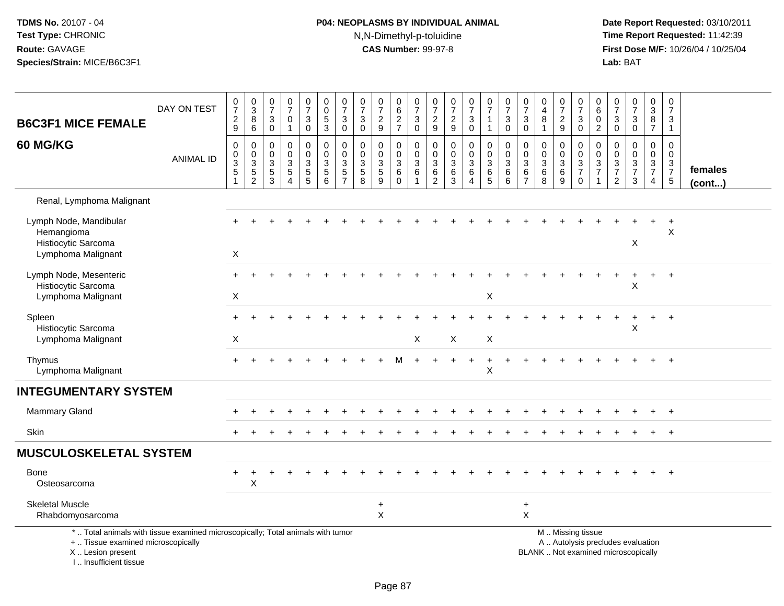# **P04: NEOPLASMS BY INDIVIDUAL ANIMAL**N,N-Dimethyl-p-toluidine

| <b>B6C3F1 MICE FEMALE</b>                                                                                                                                           | DAY ON TEST      | $\frac{0}{7}$<br>$\frac{2}{9}$                             | $\begin{array}{c} 0 \\ 3 \\ 8 \end{array}$<br>$\overline{6}$ | $\frac{0}{7}$<br>3<br>$\mathsf 0$                                           | $\frac{0}{7}$<br>$\mathbf 0$<br>$\mathbf{1}$                        | $\frac{0}{7}$<br>$\mathbf{3}$<br>$\pmb{0}$                                          | $\begin{smallmatrix} 0\\0 \end{smallmatrix}$<br>$\overline{5}$<br>$\overline{3}$ | $\frac{0}{7}$<br>$\ensuremath{\mathsf{3}}$<br>$\pmb{0}$ | $\begin{array}{c} 0 \\ 7 \end{array}$<br>$\mathbf{3}$<br>$\mathbf 0$ | $\begin{array}{c} 0 \\ 7 \end{array}$<br>$\frac{2}{9}$                        | 0<br>$6\phantom{a}$<br>$\frac{2}{7}$     | $\frac{0}{7}$<br>$\sqrt{3}$<br>$\mathsf{O}\xspace$                  | $\frac{0}{7}$<br>$\frac{2}{9}$                                 | $\frac{0}{7}$<br>$\frac{2}{9}$                        | $\begin{array}{c} 0 \\ 7 \end{array}$<br>$\sqrt{3}$<br>$\overline{0}$ | $\begin{array}{c} 0 \\ 7 \end{array}$<br>$\mathbf{1}$      | $\begin{array}{c} 0 \\ 7 \end{array}$<br>$\mathbf{3}$<br>$\mathbf 0$ | 0<br>$\overline{7}$<br>3<br>$\mathbf 0$                         | $\pmb{0}$<br>$\overline{4}$<br>8<br>$\mathbf{1}$                      | $\frac{0}{7}$<br>$\frac{2}{9}$  | $\begin{array}{c} 0 \\ 7 \end{array}$<br>$_0^3$                               | $\pmb{0}$<br>$6\phantom{a}$<br>$\mathsf 0$<br>$\overline{2}$ | $\begin{array}{c} 0 \\ 7 \end{array}$<br>$_{\rm 0}^3$ | $\begin{array}{c} 0 \\ 7 \end{array}$<br>$\sqrt{3}$<br>$\pmb{0}$                        | 0<br>$\overline{3}$<br>$\bf 8$<br>$\overline{7}$ | $\begin{array}{c} 0 \\ 7 \end{array}$<br>$\mathbf{3}$<br>$\mathbf{1}$ |                   |
|---------------------------------------------------------------------------------------------------------------------------------------------------------------------|------------------|------------------------------------------------------------|--------------------------------------------------------------|-----------------------------------------------------------------------------|---------------------------------------------------------------------|-------------------------------------------------------------------------------------|----------------------------------------------------------------------------------|---------------------------------------------------------|----------------------------------------------------------------------|-------------------------------------------------------------------------------|------------------------------------------|---------------------------------------------------------------------|----------------------------------------------------------------|-------------------------------------------------------|-----------------------------------------------------------------------|------------------------------------------------------------|----------------------------------------------------------------------|-----------------------------------------------------------------|-----------------------------------------------------------------------|---------------------------------|-------------------------------------------------------------------------------|--------------------------------------------------------------|-------------------------------------------------------|-----------------------------------------------------------------------------------------|--------------------------------------------------|-----------------------------------------------------------------------|-------------------|
| 60 MG/KG                                                                                                                                                            | <b>ANIMAL ID</b> | $\pmb{0}$<br>$\mathsf{O}$<br>$\overline{3}$<br>$\,$ 5 $\,$ | $\pmb{0}$<br>$\begin{array}{c} 0 \\ 3 \\ 5 \\ 2 \end{array}$ | $\mathbf 0$<br>$\mathbf 0$<br>$\mathbf{3}$<br>$\,$ 5 $\,$<br>$\overline{3}$ | $\pmb{0}$<br>$\Omega$<br>$\sqrt{3}$<br>$\sqrt{5}$<br>$\overline{A}$ | $\mathbf 0$<br>$\mathbf 0$<br>$\mathbf{3}$<br>$\begin{array}{c} 5 \\ 5 \end{array}$ | 0<br>$\mathbf 0$<br>$\sqrt{3}$<br>$\frac{5}{6}$                                  | $\pmb{0}$<br>$\mathbf 0$<br>$\sqrt{3}$<br>$\frac{5}{7}$ | $\mathbf 0$<br>$\mathbf 0$<br>$\mathbf{3}$<br>$\sqrt{5}$<br>8        | $\boldsymbol{0}$<br>$\mathbf 0$<br>$\sqrt{3}$<br>$\sqrt{5}$<br>$\overline{9}$ | 0<br>0<br>$\sqrt{3}$<br>6<br>$\mathbf 0$ | $\mathbf 0$<br>$\mathbf 0$<br>$\overline{3}$<br>6<br>$\overline{1}$ | 0<br>0<br>$\ensuremath{\mathsf{3}}$<br>$\,6$<br>$\overline{2}$ | 0<br>$\mathbf 0$<br>$\sqrt{3}$<br>6<br>$\overline{3}$ | $\mathbf 0$<br>0<br>$\overline{3}$<br>$\,6\,$<br>$\overline{4}$       | $\mathbf 0$<br>$\mathbf 0$<br>$\overline{3}$<br>$6\over 5$ | $\pmb{0}$<br>$\mathbf 0$<br>$\sqrt{3}$<br>6<br>6                     | $\pmb{0}$<br>$\mathbf 0$<br>$\mathbf{3}$<br>6<br>$\overline{7}$ | $\pmb{0}$<br>$\mathbf 0$<br>$\mathbf{3}$<br>$\,6\,$<br>$\overline{8}$ | 0<br>$\mathbf 0$<br>3<br>$^6_9$ | 0<br>$\mathbf 0$<br>$\overline{3}$<br>$\boldsymbol{7}$<br>$\ddot{\mathbf{0}}$ | 0<br>0<br>$\overline{3}$<br>$\overline{7}$                   | $\mathbf 0$<br>0<br>$\overline{3}$<br>$\frac{7}{2}$   | $\pmb{0}$<br>$\mathbf 0$<br>$\ensuremath{\mathsf{3}}$<br>$\overline{7}$<br>$\mathbf{3}$ | 0<br>$\mathbf{0}$<br>$\frac{3}{7}$<br>4          | $\mathsf 0$<br>$\mathbf 0$<br>$\mathbf 3$<br>$\frac{7}{5}$            | females<br>(cont) |
| Renal, Lymphoma Malignant                                                                                                                                           |                  |                                                            |                                                              |                                                                             |                                                                     |                                                                                     |                                                                                  |                                                         |                                                                      |                                                                               |                                          |                                                                     |                                                                |                                                       |                                                                       |                                                            |                                                                      |                                                                 |                                                                       |                                 |                                                                               |                                                              |                                                       |                                                                                         |                                                  |                                                                       |                   |
| Lymph Node, Mandibular<br>Hemangioma<br>Histiocytic Sarcoma<br>Lymphoma Malignant                                                                                   |                  | X                                                          |                                                              |                                                                             |                                                                     |                                                                                     |                                                                                  |                                                         |                                                                      |                                                                               |                                          |                                                                     |                                                                |                                                       |                                                                       |                                                            |                                                                      |                                                                 |                                                                       |                                 |                                                                               |                                                              |                                                       | X                                                                                       |                                                  | X                                                                     |                   |
| Lymph Node, Mesenteric<br>Histiocytic Sarcoma<br>Lymphoma Malignant                                                                                                 |                  | $+$<br>X                                                   |                                                              |                                                                             |                                                                     |                                                                                     |                                                                                  |                                                         |                                                                      |                                                                               |                                          |                                                                     |                                                                |                                                       |                                                                       | X                                                          |                                                                      |                                                                 |                                                                       |                                 |                                                                               |                                                              |                                                       | X                                                                                       |                                                  | $+$                                                                   |                   |
| Spleen<br>Histiocytic Sarcoma<br>Lymphoma Malignant                                                                                                                 |                  | X                                                          |                                                              |                                                                             |                                                                     |                                                                                     |                                                                                  |                                                         |                                                                      |                                                                               |                                          | X                                                                   |                                                                | X                                                     |                                                                       | X                                                          |                                                                      |                                                                 |                                                                       |                                 |                                                                               |                                                              |                                                       | X                                                                                       | $\ddot{}$                                        | $+$                                                                   |                   |
| Thymus<br>Lymphoma Malignant                                                                                                                                        |                  | $+$                                                        |                                                              |                                                                             |                                                                     |                                                                                     |                                                                                  |                                                         |                                                                      |                                                                               |                                          |                                                                     |                                                                |                                                       |                                                                       | $\pmb{\times}$                                             |                                                                      |                                                                 |                                                                       |                                 |                                                                               |                                                              |                                                       |                                                                                         |                                                  |                                                                       |                   |
| <b>INTEGUMENTARY SYSTEM</b>                                                                                                                                         |                  |                                                            |                                                              |                                                                             |                                                                     |                                                                                     |                                                                                  |                                                         |                                                                      |                                                                               |                                          |                                                                     |                                                                |                                                       |                                                                       |                                                            |                                                                      |                                                                 |                                                                       |                                 |                                                                               |                                                              |                                                       |                                                                                         |                                                  |                                                                       |                   |
| <b>Mammary Gland</b>                                                                                                                                                |                  |                                                            |                                                              |                                                                             |                                                                     |                                                                                     |                                                                                  |                                                         |                                                                      |                                                                               |                                          |                                                                     |                                                                |                                                       |                                                                       |                                                            |                                                                      |                                                                 |                                                                       |                                 |                                                                               |                                                              |                                                       |                                                                                         |                                                  | $\overline{ }$                                                        |                   |
| Skin                                                                                                                                                                |                  |                                                            |                                                              |                                                                             |                                                                     |                                                                                     |                                                                                  |                                                         |                                                                      |                                                                               |                                          |                                                                     |                                                                |                                                       |                                                                       |                                                            |                                                                      |                                                                 |                                                                       |                                 |                                                                               |                                                              |                                                       |                                                                                         | $\ddot{}$                                        | $\ddot{}$                                                             |                   |
| <b>MUSCULOSKELETAL SYSTEM</b>                                                                                                                                       |                  |                                                            |                                                              |                                                                             |                                                                     |                                                                                     |                                                                                  |                                                         |                                                                      |                                                                               |                                          |                                                                     |                                                                |                                                       |                                                                       |                                                            |                                                                      |                                                                 |                                                                       |                                 |                                                                               |                                                              |                                                       |                                                                                         |                                                  |                                                                       |                   |
| <b>Bone</b><br>Osteosarcoma                                                                                                                                         |                  |                                                            | X                                                            |                                                                             |                                                                     |                                                                                     |                                                                                  |                                                         |                                                                      |                                                                               |                                          |                                                                     |                                                                |                                                       |                                                                       |                                                            |                                                                      |                                                                 |                                                                       |                                 |                                                                               |                                                              |                                                       |                                                                                         |                                                  |                                                                       |                   |
| <b>Skeletal Muscle</b><br>Rhabdomyosarcoma                                                                                                                          |                  |                                                            |                                                              |                                                                             |                                                                     |                                                                                     |                                                                                  |                                                         |                                                                      | $\ddot{}$<br>X                                                                |                                          |                                                                     |                                                                |                                                       |                                                                       |                                                            |                                                                      | $\ddot{}$<br>$\boldsymbol{\mathsf{X}}$                          |                                                                       |                                 |                                                                               |                                                              |                                                       |                                                                                         |                                                  |                                                                       |                   |
| *  Total animals with tissue examined microscopically; Total animals with tumor<br>+  Tissue examined microscopically<br>X  Lesion present<br>I Insufficient tissue |                  |                                                            |                                                              |                                                                             |                                                                     |                                                                                     |                                                                                  |                                                         |                                                                      |                                                                               |                                          |                                                                     |                                                                |                                                       |                                                                       |                                                            |                                                                      |                                                                 |                                                                       |                                 | M  Missing tissue                                                             |                                                              |                                                       | A  Autolysis precludes evaluation<br>BLANK  Not examined microscopically                |                                                  |                                                                       |                   |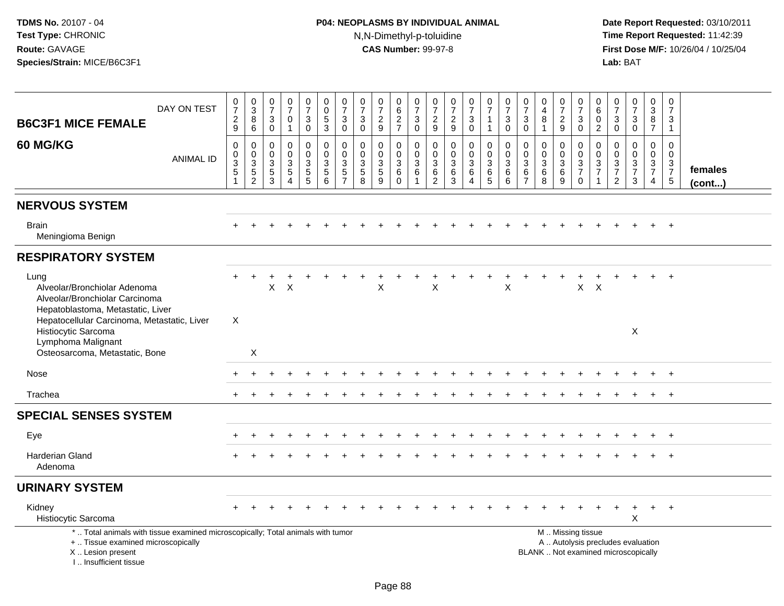# **P04: NEOPLASMS BY INDIVIDUAL ANIMAL**N,N-Dimethyl-p-toluidine

| <b>B6C3F1 MICE FEMALE</b><br>60 MG/KG                                                                                                                               | DAY ON TEST<br><b>ANIMAL ID</b> | $\begin{smallmatrix}0\\7\end{smallmatrix}$<br>$\frac{2}{9}$<br>$\mathbf 0$<br>$\pmb{0}$<br>$\ensuremath{\mathsf{3}}$<br>$\sqrt{5}$ | $_{3}^{\rm 0}$<br>$^8_6$<br>$\mathsf{O}\xspace$<br>$\begin{array}{c} 0 \\ 3 \\ 5 \\ 2 \end{array}$ | $\frac{0}{7}$<br>3<br>$\mathsf 0$<br>$\boldsymbol{0}$<br>$\Omega$<br>3<br>$\sqrt{5}$<br>3 | 0<br>$\overline{7}$<br>$\mathbf 0$<br>$\mathbf{1}$<br>$\mathbf 0$<br>$\Omega$<br>3<br>$\sqrt{5}$<br>$\boldsymbol{\Lambda}$ | $\frac{0}{7}$<br>$\mathbf{3}$<br>$\overline{0}$<br>0<br>0<br>$\ensuremath{\mathsf{3}}$<br>$\sqrt{5}$<br>$\overline{5}$ | 0<br>$\mathsf{O}\xspace$<br>$\frac{5}{3}$<br>$\mathsf 0$<br>$\mathbf 0$<br>$\sqrt{3}$<br>$\sqrt{5}$<br>6 | $\frac{0}{7}$<br>$\sqrt{3}$<br>$\mathsf{O}\xspace$<br>$\pmb{0}$<br>$\pmb{0}$<br>$\ensuremath{\mathsf{3}}$<br>$\frac{5}{7}$ | $\frac{0}{7}$<br>3<br>$\mathbf 0$<br>$\mathbf 0$<br>$\Omega$<br>3<br>$\sqrt{5}$<br>8 | $\frac{0}{7}$<br>$\frac{2}{9}$<br>$\mathbf 0$<br>$\mathbf 0$<br>3<br>$\sqrt{5}$<br>9 | 0<br>$6\phantom{a}$<br>$\frac{2}{7}$<br>0<br>0<br>$\sqrt{3}$<br>6<br>$\Omega$ | $\frac{0}{7}$<br>$\ensuremath{\mathsf{3}}$<br>$\mathbf 0$<br>$\pmb{0}$<br>$\mathsf{O}\xspace$<br>$\mathbf{3}$<br>6<br>$\blacktriangleleft$ | 0<br>$\overline{7}$<br>$\frac{2}{9}$<br>0<br>$\Omega$<br>3<br>6<br>$\overline{2}$ | $\frac{0}{7}$<br>$\frac{2}{9}$<br>$\pmb{0}$<br>$\Omega$<br>$\mathbf{3}$<br>6<br>3 | $\frac{0}{7}$<br>$_0^3$<br>$\mathsf 0$<br>$\pmb{0}$<br>$\sqrt{3}$<br>6<br>$\boldsymbol{\Lambda}$ | $\begin{array}{c} 0 \\ 7 \end{array}$<br>$\mathbf{1}$<br>$\mathbf{1}$<br>0<br>$\mathbf 0$<br>$\mathbf{3}$<br>6<br>$\overline{5}$ | $\frac{0}{7}$<br>$_{\rm 0}^3$<br>$\mathbf 0$<br>$\pmb{0}$<br>$\overline{3}$<br>$\,6$<br>6 | $\frac{0}{7}$<br>$\mathbf{3}$<br>$\mathbf 0$<br>0<br>$\Omega$<br>3<br>6<br>$\overline{7}$ | 0<br>$\overline{4}$<br>8<br>$\mathbf{1}$<br>$\mathbf 0$<br>$\mathbf 0$<br>$\sqrt{3}$<br>6<br>8 | $\frac{0}{7}$<br>$\frac{2}{9}$<br>0<br>$\mathbf 0$<br>$\sqrt{3}$<br>6<br>9 | $\frac{0}{7}$<br>$_0^3$<br>0<br>$\mathsf{O}\xspace$<br>$\frac{3}{7}$<br>$\mathbf 0$           | $_{6}^{\rm 0}$<br>0<br>$\overline{2}$<br>$\mathsf{O}\xspace$<br>$\Omega$<br>$\ensuremath{\mathsf{3}}$<br>$\overline{7}$<br>1 | 0<br>$\overline{7}$<br>$\mathbf{3}$<br>$\mathbf 0$<br>$\mathbf 0$<br>$\mathbf{0}$<br>$\sqrt{3}$<br>$\overline{7}$<br>$\sqrt{2}$ | $\begin{array}{c} 0 \\ 7 \end{array}$<br>$_{\rm 0}^3$<br>$\mathbf 0$<br>$\mathsf{O}\xspace$<br>$\frac{3}{7}$<br>$\mathbf{3}$ | 0<br>$\overline{3}$<br>$\begin{array}{c} 8 \\ 7 \end{array}$<br>0<br>0<br>$\frac{3}{7}$<br>$\overline{4}$ | $\pmb{0}$<br>$\overline{7}$<br>3<br>$\mathbf{1}$<br>$\mathbf 0$<br>$\Omega$<br>$\frac{3}{7}$<br>$\sqrt{5}$ | females      |
|---------------------------------------------------------------------------------------------------------------------------------------------------------------------|---------------------------------|------------------------------------------------------------------------------------------------------------------------------------|----------------------------------------------------------------------------------------------------|-------------------------------------------------------------------------------------------|----------------------------------------------------------------------------------------------------------------------------|------------------------------------------------------------------------------------------------------------------------|----------------------------------------------------------------------------------------------------------|----------------------------------------------------------------------------------------------------------------------------|--------------------------------------------------------------------------------------|--------------------------------------------------------------------------------------|-------------------------------------------------------------------------------|--------------------------------------------------------------------------------------------------------------------------------------------|-----------------------------------------------------------------------------------|-----------------------------------------------------------------------------------|--------------------------------------------------------------------------------------------------|----------------------------------------------------------------------------------------------------------------------------------|-------------------------------------------------------------------------------------------|-------------------------------------------------------------------------------------------|------------------------------------------------------------------------------------------------|----------------------------------------------------------------------------|-----------------------------------------------------------------------------------------------|------------------------------------------------------------------------------------------------------------------------------|---------------------------------------------------------------------------------------------------------------------------------|------------------------------------------------------------------------------------------------------------------------------|-----------------------------------------------------------------------------------------------------------|------------------------------------------------------------------------------------------------------------|--------------|
| <b>NERVOUS SYSTEM</b>                                                                                                                                               |                                 |                                                                                                                                    |                                                                                                    |                                                                                           |                                                                                                                            |                                                                                                                        |                                                                                                          |                                                                                                                            |                                                                                      |                                                                                      |                                                                               |                                                                                                                                            |                                                                                   |                                                                                   |                                                                                                  |                                                                                                                                  |                                                                                           |                                                                                           |                                                                                                |                                                                            |                                                                                               |                                                                                                                              |                                                                                                                                 |                                                                                                                              |                                                                                                           |                                                                                                            | $($ cont $)$ |
| <b>Brain</b><br>Meningioma Benign                                                                                                                                   |                                 |                                                                                                                                    |                                                                                                    |                                                                                           |                                                                                                                            |                                                                                                                        |                                                                                                          |                                                                                                                            |                                                                                      |                                                                                      |                                                                               |                                                                                                                                            |                                                                                   |                                                                                   |                                                                                                  |                                                                                                                                  |                                                                                           |                                                                                           |                                                                                                |                                                                            |                                                                                               |                                                                                                                              |                                                                                                                                 |                                                                                                                              |                                                                                                           |                                                                                                            |              |
| <b>RESPIRATORY SYSTEM</b>                                                                                                                                           |                                 |                                                                                                                                    |                                                                                                    |                                                                                           |                                                                                                                            |                                                                                                                        |                                                                                                          |                                                                                                                            |                                                                                      |                                                                                      |                                                                               |                                                                                                                                            |                                                                                   |                                                                                   |                                                                                                  |                                                                                                                                  |                                                                                           |                                                                                           |                                                                                                |                                                                            |                                                                                               |                                                                                                                              |                                                                                                                                 |                                                                                                                              |                                                                                                           |                                                                                                            |              |
| Lung<br>Alveolar/Bronchiolar Adenoma<br>Alveolar/Bronchiolar Carcinoma<br>Hepatoblastoma, Metastatic, Liver<br>Hepatocellular Carcinoma, Metastatic, Liver          |                                 | $\div$<br>X                                                                                                                        | $\overline{ }$                                                                                     | X                                                                                         | $\times$                                                                                                                   |                                                                                                                        |                                                                                                          |                                                                                                                            |                                                                                      | X                                                                                    |                                                                               |                                                                                                                                            | X                                                                                 |                                                                                   |                                                                                                  |                                                                                                                                  | X                                                                                         |                                                                                           |                                                                                                |                                                                            | $\mathsf{X}$                                                                                  | $\boldsymbol{\mathsf{X}}$                                                                                                    |                                                                                                                                 |                                                                                                                              |                                                                                                           |                                                                                                            |              |
| Histiocytic Sarcoma<br>Lymphoma Malignant<br>Osteosarcoma, Metastatic, Bone                                                                                         |                                 |                                                                                                                                    | X                                                                                                  |                                                                                           |                                                                                                                            |                                                                                                                        |                                                                                                          |                                                                                                                            |                                                                                      |                                                                                      |                                                                               |                                                                                                                                            |                                                                                   |                                                                                   |                                                                                                  |                                                                                                                                  |                                                                                           |                                                                                           |                                                                                                |                                                                            |                                                                                               |                                                                                                                              |                                                                                                                                 | $\boldsymbol{\mathsf{X}}$                                                                                                    |                                                                                                           |                                                                                                            |              |
| Nose                                                                                                                                                                |                                 |                                                                                                                                    |                                                                                                    |                                                                                           |                                                                                                                            |                                                                                                                        |                                                                                                          |                                                                                                                            |                                                                                      |                                                                                      |                                                                               |                                                                                                                                            |                                                                                   |                                                                                   |                                                                                                  |                                                                                                                                  |                                                                                           |                                                                                           |                                                                                                |                                                                            |                                                                                               |                                                                                                                              |                                                                                                                                 |                                                                                                                              |                                                                                                           | $\overline{+}$                                                                                             |              |
| Trachea                                                                                                                                                             |                                 |                                                                                                                                    |                                                                                                    |                                                                                           |                                                                                                                            |                                                                                                                        |                                                                                                          |                                                                                                                            |                                                                                      |                                                                                      |                                                                               |                                                                                                                                            |                                                                                   |                                                                                   |                                                                                                  |                                                                                                                                  |                                                                                           |                                                                                           |                                                                                                |                                                                            |                                                                                               |                                                                                                                              |                                                                                                                                 |                                                                                                                              |                                                                                                           | $+$                                                                                                        |              |
| <b>SPECIAL SENSES SYSTEM</b>                                                                                                                                        |                                 |                                                                                                                                    |                                                                                                    |                                                                                           |                                                                                                                            |                                                                                                                        |                                                                                                          |                                                                                                                            |                                                                                      |                                                                                      |                                                                               |                                                                                                                                            |                                                                                   |                                                                                   |                                                                                                  |                                                                                                                                  |                                                                                           |                                                                                           |                                                                                                |                                                                            |                                                                                               |                                                                                                                              |                                                                                                                                 |                                                                                                                              |                                                                                                           |                                                                                                            |              |
| Eye                                                                                                                                                                 |                                 |                                                                                                                                    |                                                                                                    |                                                                                           |                                                                                                                            |                                                                                                                        |                                                                                                          |                                                                                                                            |                                                                                      |                                                                                      |                                                                               |                                                                                                                                            |                                                                                   |                                                                                   |                                                                                                  |                                                                                                                                  |                                                                                           |                                                                                           |                                                                                                |                                                                            |                                                                                               |                                                                                                                              |                                                                                                                                 |                                                                                                                              |                                                                                                           | $^{+}$                                                                                                     |              |
| <b>Harderian Gland</b><br>Adenoma                                                                                                                                   |                                 |                                                                                                                                    |                                                                                                    |                                                                                           |                                                                                                                            |                                                                                                                        |                                                                                                          |                                                                                                                            |                                                                                      |                                                                                      |                                                                               |                                                                                                                                            |                                                                                   |                                                                                   |                                                                                                  |                                                                                                                                  |                                                                                           |                                                                                           |                                                                                                |                                                                            |                                                                                               |                                                                                                                              |                                                                                                                                 |                                                                                                                              |                                                                                                           |                                                                                                            |              |
| <b>URINARY SYSTEM</b>                                                                                                                                               |                                 |                                                                                                                                    |                                                                                                    |                                                                                           |                                                                                                                            |                                                                                                                        |                                                                                                          |                                                                                                                            |                                                                                      |                                                                                      |                                                                               |                                                                                                                                            |                                                                                   |                                                                                   |                                                                                                  |                                                                                                                                  |                                                                                           |                                                                                           |                                                                                                |                                                                            |                                                                                               |                                                                                                                              |                                                                                                                                 |                                                                                                                              |                                                                                                           |                                                                                                            |              |
| Kidney<br>Histiocytic Sarcoma                                                                                                                                       |                                 |                                                                                                                                    |                                                                                                    |                                                                                           |                                                                                                                            |                                                                                                                        |                                                                                                          |                                                                                                                            |                                                                                      |                                                                                      |                                                                               |                                                                                                                                            |                                                                                   |                                                                                   |                                                                                                  |                                                                                                                                  |                                                                                           |                                                                                           |                                                                                                |                                                                            |                                                                                               |                                                                                                                              |                                                                                                                                 | X                                                                                                                            | $\ddot{}$                                                                                                 | $+$                                                                                                        |              |
| *  Total animals with tissue examined microscopically; Total animals with tumor<br>+  Tissue examined microscopically<br>X  Lesion present<br>I Insufficient tissue |                                 |                                                                                                                                    |                                                                                                    |                                                                                           |                                                                                                                            |                                                                                                                        |                                                                                                          |                                                                                                                            |                                                                                      |                                                                                      |                                                                               |                                                                                                                                            |                                                                                   |                                                                                   |                                                                                                  |                                                                                                                                  |                                                                                           |                                                                                           |                                                                                                |                                                                            | M  Missing tissue<br>A  Autolysis precludes evaluation<br>BLANK  Not examined microscopically |                                                                                                                              |                                                                                                                                 |                                                                                                                              |                                                                                                           |                                                                                                            |              |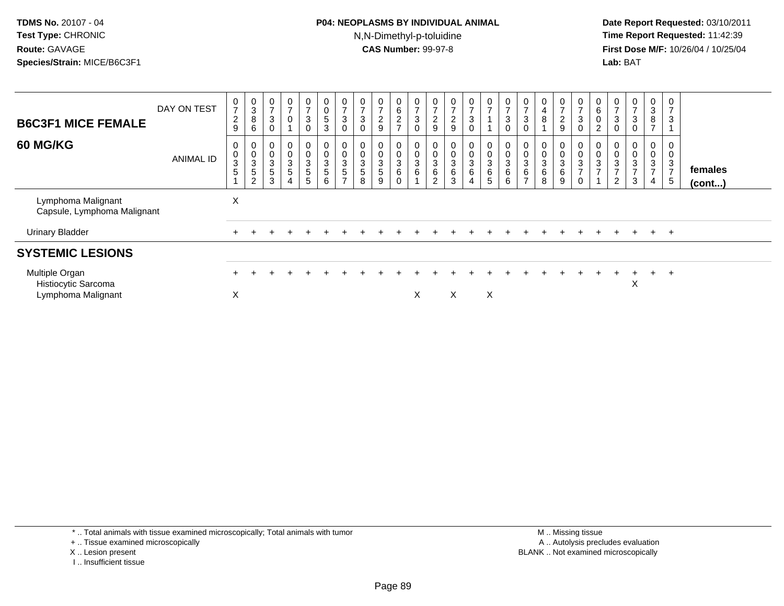### **P04: NEOPLASMS BY INDIVIDUAL ANIMAL**N,N-Dimethyl-p-toluidine

 **Date Report Requested:** 03/10/2011 **Time Report Requested:** 11:42:39 **First Dose M/F:** 10/26/04 / 10/25/04 Lab: BAT **Lab:** BAT

| <b>B6C3F1 MICE FEMALE</b><br>60 MG/KG                       | DAY ON TEST<br>ANIMAL ID | $\overline{7}$<br>$\overline{c}$<br>9<br>0<br>$\pmb{0}$<br>3<br>5 | $\frac{0}{3}$<br>8<br>6<br>0<br>$\frac{0}{3}$<br>$\mathbf 5$<br>2 | U<br>$\rightarrow$<br>$\mathbf 3$<br>$\pmb{0}$<br>$\ensuremath{\mathsf{3}}$<br>$\sqrt{5}$<br>3 | 0<br>$\overline{ }$<br>$\pmb{0}$<br>0<br>$\pmb{0}$<br>$\mathsf 3$<br>$\,$ 5 $\,$<br>$\overline{4}$ | 0<br>$\overline{ }$<br>$\sqrt{3}$<br>0<br>0<br>0<br>3<br>$\frac{5}{5}$ | $\begin{matrix} 0 \\ 0 \end{matrix}$<br>$\,$ 5 $\,$<br>$\mathbf{3}$<br>$\pmb{0}$<br>$\frac{0}{3}$<br>$\frac{5}{6}$ | $\mathbf 0$<br>$\overline{ }$<br>3<br>0<br>0<br>$\mathbf 0$<br>$\ensuremath{\mathsf{3}}$<br>$\sqrt{5}$<br>$\rightarrow$ | $\overline{7}$<br>$\mathbf{3}$<br>$\pmb{0}$<br>$\mathbf 3$<br>$\overline{5}$<br>8 | $\mathbf{0}$<br>$\overline{ }$<br>$\overline{2}$<br>9<br>0<br>$\mathsf{O}\xspace$<br>$\sqrt{3}$<br>$\sqrt{5}$<br>9 | $\mathbf{0}$<br>$6\phantom{.0}$<br>$\overline{c}$<br>$\overline{ }$<br>0<br>0<br>3<br>6<br>0 | 0<br>$\overline{ }$<br>$\mathbf{3}$<br>0<br>0<br>$\pmb{0}$<br>$\ensuremath{\mathsf{3}}$<br>$\,6\,$ | $\frac{0}{7}$<br>$\overline{c}$<br>$\boldsymbol{9}$<br>0<br>$\mathbf 0$<br>$\ensuremath{\mathsf{3}}$<br>$\,6\,$<br>$\overline{2}$ | $\frac{0}{7}$<br>$\boldsymbol{2}$<br>$\boldsymbol{9}$<br>0<br>0<br>3<br>6<br>3 | 0<br>$\overline{ }$<br>3<br>$\pmb{0}$<br>0<br>$\pmb{0}$<br>$\mathbf{3}$<br>6<br>4 | $\frac{0}{7}$<br>$\pmb{0}$<br>$\ensuremath{\mathsf{3}}$<br>$\frac{6}{5}$ | $\frac{0}{7}$<br>$\mathbf{3}$<br>0<br>$\overline{0}$<br>$\begin{matrix}0\\3\\6\end{matrix}$<br>6 | $\frac{0}{7}$<br>3<br>0<br>3<br>6<br>$\rightarrow$ | 0<br>$\overline{4}$<br>8<br>0<br>$\pmb{0}$<br>$\ensuremath{\mathsf{3}}$<br>$\,6\,$<br>8 | $\frac{0}{7}$<br>$\overline{c}$<br>9<br>0<br>0<br>$\ensuremath{\mathsf{3}}$<br>6<br>9 | $\frac{0}{7}$<br>$\sqrt{3}$<br>$\pmb{0}$<br>$\begin{smallmatrix}0\\0\\3\end{smallmatrix}$<br>$\overline{7}$<br>$\mathbf 0$ | 0<br>6<br>0<br>2<br>0<br>3<br>$\rightarrow$ | $\overline{7}$<br>3<br>$\pmb{0}$<br>3<br>$\overline{ }$<br>$\overline{2}$ | $\mathbf{0}$<br>$\overline{z}$<br>$\mathbf{3}$<br>0<br>$\mathbf 0$<br>$\pmb{0}$<br>$\ensuremath{\mathsf{3}}$<br>$\overline{ }$<br>3 | 0<br>3<br>8<br>$\rightarrow$<br>0<br>0<br>$\ensuremath{\mathsf{3}}$<br>$\rightarrow$<br>4 | 0<br>$\overline{ }$<br>$\mathbf{3}$<br>0<br>0<br>3<br>$\overline{ }$<br>5 | females<br>$($ cont $)$ |  |
|-------------------------------------------------------------|--------------------------|-------------------------------------------------------------------|-------------------------------------------------------------------|------------------------------------------------------------------------------------------------|----------------------------------------------------------------------------------------------------|------------------------------------------------------------------------|--------------------------------------------------------------------------------------------------------------------|-------------------------------------------------------------------------------------------------------------------------|-----------------------------------------------------------------------------------|--------------------------------------------------------------------------------------------------------------------|----------------------------------------------------------------------------------------------|----------------------------------------------------------------------------------------------------|-----------------------------------------------------------------------------------------------------------------------------------|--------------------------------------------------------------------------------|-----------------------------------------------------------------------------------|--------------------------------------------------------------------------|--------------------------------------------------------------------------------------------------|----------------------------------------------------|-----------------------------------------------------------------------------------------|---------------------------------------------------------------------------------------|----------------------------------------------------------------------------------------------------------------------------|---------------------------------------------|---------------------------------------------------------------------------|-------------------------------------------------------------------------------------------------------------------------------------|-------------------------------------------------------------------------------------------|---------------------------------------------------------------------------|-------------------------|--|
| Lymphoma Malignant<br>Capsule, Lymphoma Malignant           |                          | X                                                                 |                                                                   |                                                                                                |                                                                                                    |                                                                        |                                                                                                                    |                                                                                                                         |                                                                                   |                                                                                                                    |                                                                                              |                                                                                                    |                                                                                                                                   |                                                                                |                                                                                   |                                                                          |                                                                                                  |                                                    |                                                                                         |                                                                                       |                                                                                                                            |                                             |                                                                           |                                                                                                                                     |                                                                                           |                                                                           |                         |  |
| <b>Urinary Bladder</b>                                      |                          |                                                                   |                                                                   |                                                                                                |                                                                                                    |                                                                        |                                                                                                                    |                                                                                                                         |                                                                                   |                                                                                                                    |                                                                                              |                                                                                                    |                                                                                                                                   |                                                                                |                                                                                   |                                                                          |                                                                                                  |                                                    |                                                                                         |                                                                                       |                                                                                                                            |                                             | $+$                                                                       | $+$                                                                                                                                 | $+$                                                                                       | $+$                                                                       |                         |  |
| <b>SYSTEMIC LESIONS</b>                                     |                          |                                                                   |                                                                   |                                                                                                |                                                                                                    |                                                                        |                                                                                                                    |                                                                                                                         |                                                                                   |                                                                                                                    |                                                                                              |                                                                                                    |                                                                                                                                   |                                                                                |                                                                                   |                                                                          |                                                                                                  |                                                    |                                                                                         |                                                                                       |                                                                                                                            |                                             |                                                                           |                                                                                                                                     |                                                                                           |                                                                           |                         |  |
| Multiple Organ<br>Histiocytic Sarcoma<br>Lymphoma Malignant |                          | X                                                                 |                                                                   |                                                                                                |                                                                                                    |                                                                        |                                                                                                                    |                                                                                                                         |                                                                                   |                                                                                                                    |                                                                                              | X                                                                                                  |                                                                                                                                   | X                                                                              |                                                                                   | X                                                                        |                                                                                                  |                                                    |                                                                                         |                                                                                       |                                                                                                                            |                                             |                                                                           | $\pm$<br>X                                                                                                                          | $+$                                                                                       | $\pm$                                                                     |                         |  |

\* .. Total animals with tissue examined microscopically; Total animals with tumor

+ .. Tissue examined microscopically

- X .. Lesion present
- I .. Insufficient tissue

 M .. Missing tissuey the contract of the contract of the contract of the contract of the contract of the contract of the contract of  $A$ . Autolysis precludes evaluation Lesion present BLANK .. Not examined microscopically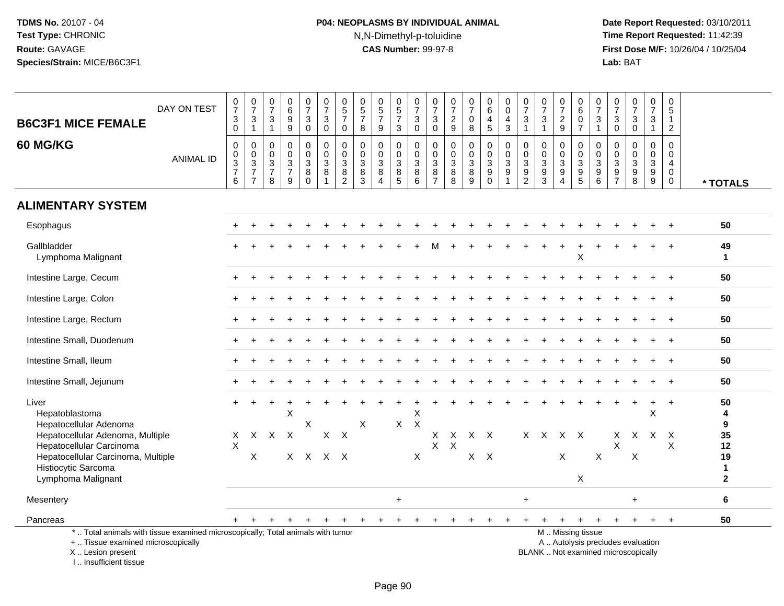# **P04: NEOPLASMS BY INDIVIDUAL ANIMAL**N,N-Dimethyl-p-toluidine

 **Date Report Requested:** 03/10/2011 **Time Report Requested:** 11:42:39 **First Dose M/F:** 10/26/04 / 10/25/04<br>**Lab:** BAT **Lab:** BAT

| <b>B6C3F1 MICE FEMALE</b>                                                                                                                  | DAY ON TEST      | $\frac{0}{7}$<br>$_{0}^{3}$                 | $\frac{0}{7}$<br>$\frac{3}{1}$                                             | $\frac{0}{7}$<br>3<br>$\mathbf{1}$                     | $\begin{array}{c} 0 \\ 6 \end{array}$<br>$\overline{9}$<br>$\boldsymbol{9}$ | $\frac{0}{7}$<br>$\mathbf 3$<br>$\mathbf 0$                       | $\frac{0}{7}$<br>$\ensuremath{\mathsf{3}}$<br>$\mathsf{O}\xspace$ | $\begin{array}{c} 0 \\ 5 \\ 7 \end{array}$<br>$\mathbf 0$ | $\begin{array}{c} 0 \\ 5 \end{array}$<br>$\overline{7}$<br>8 | $\begin{array}{c} 0 \\ 5 \\ 7 \end{array}$<br>9                         | $\begin{array}{c} 0 \\ 5 \end{array}$<br>$\overline{7}$<br>3 | $\begin{smallmatrix}0\\7\end{smallmatrix}$<br>$\sqrt{3}$<br>$\mathbf 0$ | $\frac{0}{7}$<br>$\ensuremath{\mathsf{3}}$<br>$\mathbf 0$                      | 0<br>$\boldsymbol{7}$<br>$\overline{a}$<br>9            | $\frac{0}{7}$<br>$\pmb{0}$<br>$\overline{8}$ | $\begin{array}{c} 0 \\ 6 \end{array}$<br>$\overline{\mathbf{4}}$<br>$\sqrt{5}$ | 0<br>$\overline{0}$<br>4<br>$\mathfrak{Z}$              | $\frac{0}{7}$<br>$\ensuremath{\mathsf{3}}$<br>$\mathbf{1}$   | $\frac{0}{7}$<br>$\ensuremath{\mathsf{3}}$<br>$\mathbf{1}$     | $\frac{0}{7}$<br>$\overline{c}$<br>$\overline{9}$                                   | $\begin{array}{c} 0 \\ 6 \end{array}$<br>$\mathsf{O}\xspace$<br>$\overline{7}$                   | $\frac{0}{7}$<br>$\frac{3}{1}$                                                    | $\frac{0}{7}$<br>3<br>$\mathbf 0$                                     | $\frac{0}{7}$<br>$\ensuremath{\mathsf{3}}$<br>$\mathbf 0$                     | $\frac{0}{7}$<br>3<br>$\mathbf{1}$        | $\begin{array}{c} 0 \\ 5 \end{array}$<br>$\mathbf{1}$<br>$\overline{2}$ |                                          |
|--------------------------------------------------------------------------------------------------------------------------------------------|------------------|---------------------------------------------|----------------------------------------------------------------------------|--------------------------------------------------------|-----------------------------------------------------------------------------|-------------------------------------------------------------------|-------------------------------------------------------------------|-----------------------------------------------------------|--------------------------------------------------------------|-------------------------------------------------------------------------|--------------------------------------------------------------|-------------------------------------------------------------------------|--------------------------------------------------------------------------------|---------------------------------------------------------|----------------------------------------------|--------------------------------------------------------------------------------|---------------------------------------------------------|--------------------------------------------------------------|----------------------------------------------------------------|-------------------------------------------------------------------------------------|--------------------------------------------------------------------------------------------------|-----------------------------------------------------------------------------------|-----------------------------------------------------------------------|-------------------------------------------------------------------------------|-------------------------------------------|-------------------------------------------------------------------------|------------------------------------------|
| 60 MG/KG                                                                                                                                   | <b>ANIMAL ID</b> | $\boldsymbol{0}$<br>0<br>$\frac{3}{7}$<br>6 | 0<br>$\mathsf{O}\xspace$<br>$\sqrt{3}$<br>$\overline{7}$<br>$\overline{7}$ | $\mathbf 0$<br>$\mathbf 0$<br>3<br>$\overline{7}$<br>8 | $\mathbf 0$<br>$\mathbf 0$<br>$\frac{3}{7}$                                 | $\mathsf 0$<br>$\mathsf{O}\xspace$<br>$\sqrt{3}$<br>8<br>$\Omega$ | 0<br>$\mathbf 0$<br>$\ensuremath{\mathsf{3}}$<br>8                | $\pmb{0}$<br>$\pmb{0}$<br>$\frac{3}{8}$                   | $\mathbf 0$<br>$\mathbf 0$<br>3<br>8<br>3                    | $\mathbf 0$<br>$\mathbf 0$<br>$\sqrt{3}$<br>8<br>$\boldsymbol{\Lambda}$ | 0<br>$\mathbf 0$<br>3<br>$\bf 8$<br>5                        | 0<br>$\overline{0}$<br>$\ensuremath{\mathsf{3}}$<br>$^8_6$              | $\pmb{0}$<br>$\mathsf{O}\xspace$<br>$\ensuremath{\mathsf{3}}$<br>$\frac{8}{7}$ | $\pmb{0}$<br>0<br>$\ensuremath{\mathsf{3}}$<br>$_{8}^8$ | $\mathbf 0$<br>$\pmb{0}$<br>$\frac{3}{8}$    | 0<br>$\mathsf{O}$<br>$\mathsf 3$<br>9<br>$\Omega$                              | 0<br>$\mathbf 0$<br>$\ensuremath{\mathsf{3}}$<br>9<br>1 | 0<br>$\pmb{0}$<br>$\ensuremath{\mathsf{3}}$<br>$\frac{9}{2}$ | $\mathbf 0$<br>0<br>$\ensuremath{\mathsf{3}}$<br>$\frac{9}{3}$ | $\mathbf 0$<br>0<br>$\ensuremath{\mathsf{3}}$<br>$\boldsymbol{9}$<br>$\overline{4}$ | $\mathbf 0$<br>$\mathbf 0$<br>$\ensuremath{\mathsf{3}}$<br>$\begin{array}{c} 9 \\ 5 \end{array}$ | $\mathbf 0$<br>$\mathbf 0$<br>$\sqrt{3}$<br>$\begin{array}{c} 9 \\ 6 \end{array}$ | $\mathbf 0$<br>$\mathbf 0$<br>3<br>$\boldsymbol{9}$<br>$\overline{7}$ | $\mathbf 0$<br>$\mathbf 0$<br>$\ensuremath{\mathsf{3}}$<br>$_{\rm 8}^{\rm 9}$ | $\mathbf 0$<br>$\mathbf 0$<br>3<br>$^9_9$ | $\pmb{0}$<br>$\pmb{0}$<br>$\overline{4}$<br>$\mathbf 0$<br>$\mathbf 0$  | * TOTALS                                 |
| <b>ALIMENTARY SYSTEM</b>                                                                                                                   |                  |                                             |                                                                            |                                                        |                                                                             |                                                                   |                                                                   |                                                           |                                                              |                                                                         |                                                              |                                                                         |                                                                                |                                                         |                                              |                                                                                |                                                         |                                                              |                                                                |                                                                                     |                                                                                                  |                                                                                   |                                                                       |                                                                               |                                           |                                                                         |                                          |
| Esophagus                                                                                                                                  |                  |                                             |                                                                            |                                                        |                                                                             |                                                                   |                                                                   |                                                           |                                                              |                                                                         |                                                              |                                                                         |                                                                                |                                                         |                                              |                                                                                |                                                         |                                                              |                                                                |                                                                                     |                                                                                                  |                                                                                   |                                                                       |                                                                               |                                           | $\ddot{}$                                                               | 50                                       |
| Gallbladder<br>Lymphoma Malignant                                                                                                          |                  |                                             |                                                                            |                                                        |                                                                             |                                                                   |                                                                   |                                                           |                                                              |                                                                         |                                                              |                                                                         |                                                                                |                                                         |                                              |                                                                                |                                                         |                                                              |                                                                |                                                                                     | Χ                                                                                                |                                                                                   |                                                                       |                                                                               |                                           |                                                                         | 49<br>$\mathbf{1}$                       |
| Intestine Large, Cecum                                                                                                                     |                  |                                             |                                                                            |                                                        |                                                                             |                                                                   |                                                                   |                                                           |                                                              |                                                                         |                                                              |                                                                         |                                                                                |                                                         |                                              |                                                                                |                                                         |                                                              |                                                                |                                                                                     |                                                                                                  |                                                                                   |                                                                       |                                                                               |                                           |                                                                         | 50                                       |
| Intestine Large, Colon                                                                                                                     |                  |                                             |                                                                            |                                                        |                                                                             |                                                                   |                                                                   |                                                           |                                                              |                                                                         |                                                              |                                                                         |                                                                                |                                                         |                                              |                                                                                |                                                         |                                                              |                                                                |                                                                                     |                                                                                                  |                                                                                   |                                                                       |                                                                               |                                           |                                                                         | 50                                       |
| Intestine Large, Rectum                                                                                                                    |                  |                                             |                                                                            |                                                        |                                                                             |                                                                   |                                                                   |                                                           |                                                              |                                                                         |                                                              |                                                                         |                                                                                |                                                         |                                              |                                                                                |                                                         |                                                              |                                                                |                                                                                     |                                                                                                  |                                                                                   |                                                                       |                                                                               |                                           |                                                                         | 50                                       |
| Intestine Small, Duodenum                                                                                                                  |                  |                                             |                                                                            |                                                        |                                                                             |                                                                   |                                                                   |                                                           |                                                              |                                                                         |                                                              |                                                                         |                                                                                |                                                         |                                              |                                                                                |                                                         |                                                              |                                                                |                                                                                     |                                                                                                  |                                                                                   |                                                                       |                                                                               |                                           |                                                                         | 50                                       |
| Intestine Small, Ileum                                                                                                                     |                  |                                             |                                                                            |                                                        |                                                                             |                                                                   |                                                                   |                                                           |                                                              |                                                                         |                                                              |                                                                         |                                                                                |                                                         |                                              |                                                                                |                                                         |                                                              |                                                                |                                                                                     |                                                                                                  |                                                                                   |                                                                       |                                                                               |                                           |                                                                         | 50                                       |
| Intestine Small, Jejunum                                                                                                                   |                  |                                             |                                                                            |                                                        |                                                                             |                                                                   |                                                                   |                                                           |                                                              |                                                                         |                                                              |                                                                         |                                                                                |                                                         |                                              |                                                                                |                                                         |                                                              |                                                                |                                                                                     |                                                                                                  |                                                                                   |                                                                       |                                                                               |                                           | $\ddot{}$                                                               | 50                                       |
| Liver<br>Hepatoblastoma<br>Hepatocellular Adenoma<br>Hepatocellular Adenoma, Multiple                                                      |                  | X                                           | $\mathsf{X}$                                                               | $\mathsf{X}$                                           | X<br>$\mathsf{X}$                                                           | X                                                                 | X                                                                 | $\times$                                                  | $\boldsymbol{\mathsf{X}}$                                    |                                                                         | $X \times X$                                                 | X                                                                       | х                                                                              | X                                                       |                                              | $X$ $X$                                                                        |                                                         | X.                                                           | $\mathsf{X}$                                                   |                                                                                     | $X$ $X$                                                                                          |                                                                                   | х                                                                     | X.                                                                            | X<br>X                                    | $\ddot{}$<br>X                                                          | 50<br>4<br>9<br>35                       |
| Hepatocellular Carcinoma<br>Hepatocellular Carcinoma, Multiple<br>Histiocytic Sarcoma<br>Lymphoma Malignant                                |                  | $\times$                                    | X                                                                          |                                                        |                                                                             |                                                                   | $X$ $X$ $X$ $X$                                                   |                                                           |                                                              |                                                                         |                                                              | X                                                                       | $\times$                                                                       | $\boldsymbol{\mathsf{X}}$                               |                                              | $X$ $X$                                                                        |                                                         |                                                              |                                                                | X                                                                                   | $\mathsf X$                                                                                      | X                                                                                 | X                                                                     | X                                                                             |                                           | $\times$                                                                | 12<br>19<br>$\mathbf{1}$<br>$\mathbf{2}$ |
| Mesentery                                                                                                                                  |                  |                                             |                                                                            |                                                        |                                                                             |                                                                   |                                                                   |                                                           |                                                              |                                                                         | $\ddot{}$                                                    |                                                                         |                                                                                |                                                         |                                              |                                                                                |                                                         | $\ddot{}$                                                    |                                                                |                                                                                     |                                                                                                  |                                                                                   |                                                                       | $\ddot{}$                                                                     |                                           |                                                                         | 6                                        |
| Pancreas                                                                                                                                   |                  |                                             |                                                                            |                                                        |                                                                             |                                                                   |                                                                   |                                                           |                                                              |                                                                         | $\ddot{}$                                                    |                                                                         |                                                                                | +                                                       |                                              |                                                                                |                                                         |                                                              |                                                                | $+$                                                                                 | $+$                                                                                              | $\ddot{}$                                                                         | $\ddot{}$                                                             | $+$                                                                           | $+$                                       | $+$                                                                     | 50                                       |
| *  Total animals with tissue examined microscopically; Total animals with tumor<br>+  Tissue examined microscopically<br>X  Lesion present |                  |                                             |                                                                            |                                                        |                                                                             |                                                                   |                                                                   |                                                           |                                                              |                                                                         |                                                              |                                                                         |                                                                                |                                                         |                                              |                                                                                |                                                         |                                                              |                                                                |                                                                                     | M  Missing tissue                                                                                |                                                                                   |                                                                       | A  Autolysis precludes evaluation<br>BLANK  Not examined microscopically      |                                           |                                                                         |                                          |

I .. Insufficient tissue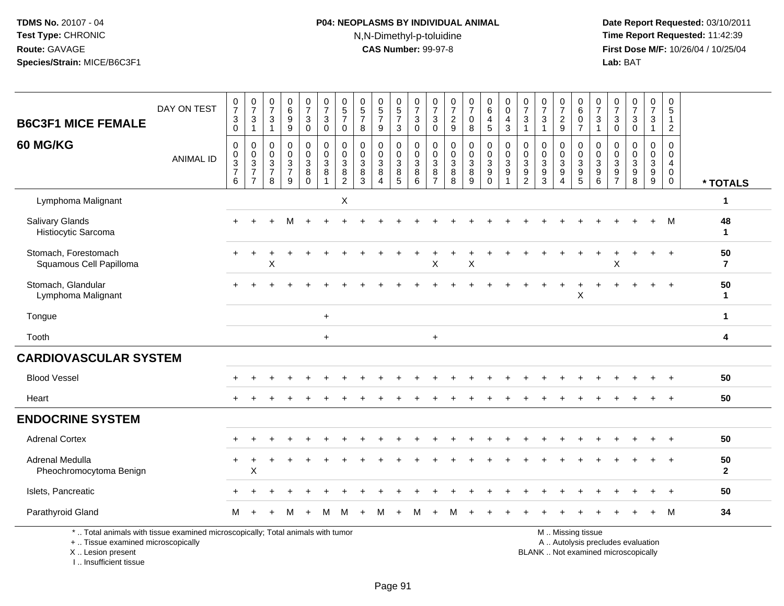# **P04: NEOPLASMS BY INDIVIDUAL ANIMAL**N,N-Dimethyl-p-toluidine

 **Date Report Requested:** 03/10/2011 **Time Report Requested:** 11:42:39 **First Dose M/F:** 10/26/04 / 10/25/04<br>**Lab:** BAT **Lab:** BAT

| <b>B6C3F1 MICE FEMALE</b>                                                                                             | DAY ON TEST      | $\frac{0}{7}$<br>$\ensuremath{\mathsf{3}}$<br>$\Omega$                       | $\frac{0}{7}$<br>3<br>$\mathbf{1}$                                                | $\frac{0}{7}$<br>$\sqrt{3}$<br>$\mathbf{1}$                                 | $\begin{array}{c} 0 \\ 6 \\ 9 \end{array}$<br>$\overline{9}$ | $\begin{array}{c} 0 \\ 7 \end{array}$<br>$\mathbf{3}$<br>$\Omega$                      | $\frac{0}{7}$<br>$\mathbf{3}$<br>$\Omega$                          | $\begin{array}{c} 0 \\ 5 \\ 7 \end{array}$<br>$\mathbf{0}$              | $\begin{array}{c} 0 \\ 5 \\ 7 \end{array}$<br>8       | $\begin{array}{c} 0 \\ 5 \\ 7 \end{array}$<br>9              | $\begin{array}{c} 0 \\ 5 \\ 7 \end{array}$<br>3                       | $\frac{0}{7}$<br>$\ensuremath{\mathsf{3}}$<br>$\Omega$ | $\frac{0}{7}$<br>$\mathbf{3}$<br>$\Omega$              | $\frac{0}{7}$<br>$\boldsymbol{2}$<br>9               | $\begin{array}{c} 0 \\ 7 \end{array}$<br>$\mathbf 0$<br>$\,8\,$ | $_{6}^{\rm 0}$<br>$\overline{4}$<br>5                                       | $\begin{smallmatrix}0\0\0\end{smallmatrix}$<br>4<br>$\mathbf{3}$ | $\frac{0}{7}$<br>$\mathsf 3$<br>$\mathbf{1}$                             | $\frac{0}{7}$<br>$\sqrt{3}$                                 | $\frac{0}{7}$<br>$\frac{2}{9}$                              | $\begin{array}{c} 0 \\ 6 \end{array}$<br>$\mathbf 0$<br>$\overline{7}$ | $\frac{0}{7}$<br>$\mathbf{3}$<br>$\mathbf{1}$                       | $\frac{0}{7}$<br>$\mathbf{3}$<br>$\Omega$                                                        | $\frac{0}{7}$<br>3<br>$\Omega$                         | $\begin{array}{c} 0 \\ 7 \end{array}$<br>$\mathbf{3}$<br>$\mathbf{1}$ | 0<br>$\,$ 5 $\,$<br>$\mathbf{1}$<br>$\sqrt{2}$      |                      |
|-----------------------------------------------------------------------------------------------------------------------|------------------|------------------------------------------------------------------------------|-----------------------------------------------------------------------------------|-----------------------------------------------------------------------------|--------------------------------------------------------------|----------------------------------------------------------------------------------------|--------------------------------------------------------------------|-------------------------------------------------------------------------|-------------------------------------------------------|--------------------------------------------------------------|-----------------------------------------------------------------------|--------------------------------------------------------|--------------------------------------------------------|------------------------------------------------------|-----------------------------------------------------------------|-----------------------------------------------------------------------------|------------------------------------------------------------------|--------------------------------------------------------------------------|-------------------------------------------------------------|-------------------------------------------------------------|------------------------------------------------------------------------|---------------------------------------------------------------------|--------------------------------------------------------------------------------------------------|--------------------------------------------------------|-----------------------------------------------------------------------|-----------------------------------------------------|----------------------|
| 60 MG/KG                                                                                                              | <b>ANIMAL ID</b> | $\mathbf 0$<br>$\pmb{0}$<br>$\ensuremath{\mathsf{3}}$<br>$\overline{7}$<br>6 | 0<br>$\mathbf 0$<br>$\ensuremath{\mathsf{3}}$<br>$\overline{7}$<br>$\overline{7}$ | $\Omega$<br>$\mathbf 0$<br>$\ensuremath{\mathsf{3}}$<br>$\overline{7}$<br>8 | $\pmb{0}$<br>$\pmb{0}$<br>$\frac{3}{7}$<br>9                 | $\mathbf 0$<br>$\mathsf{O}\xspace$<br>$\ensuremath{\mathsf{3}}$<br>$\bf 8$<br>$\Omega$ | $\pmb{0}$<br>$\pmb{0}$<br>$\mathbf{3}$<br>$\, 8$<br>$\overline{1}$ | $\mathbf 0$<br>$\mathbf 0$<br>$\mathbf{3}$<br>$\bf 8$<br>$\overline{2}$ | $\mathbf 0$<br>$\pmb{0}$<br>$\sqrt{3}$<br>$\, 8$<br>3 | 0<br>$\mathbf 0$<br>$\mathbf 3$<br>$\bf 8$<br>$\overline{4}$ | $\mathbf 0$<br>$\mathsf{O}\xspace$<br>$\frac{3}{8}$<br>$\overline{5}$ | $\pmb{0}$<br>$\pmb{0}$<br>$_8^3$<br>$\overline{6}$     | $\mathbf 0$<br>$\mathsf 0$<br>$_8^3$<br>$\overline{7}$ | $\mathbf 0$<br>$\mathbf 0$<br>$\mathbf{3}$<br>8<br>8 | 0<br>$\mathsf 0$<br>$_8^3$<br>$\overline{9}$                    | $\mathbf 0$<br>$\mathbf 0$<br>$\ensuremath{\mathsf{3}}$<br>9<br>$\mathbf 0$ | $\mathbf 0$<br>$\mathsf{O}\xspace$<br>$\mathbf{3}$<br>9<br>1     | $\mathbf 0$<br>$\mathbf 0$<br>$\begin{array}{c} 3 \\ 9 \\ 2 \end{array}$ | $\mathbf 0$<br>$\pmb{0}$<br>$\frac{3}{9}$<br>$\overline{3}$ | $\mathbf 0$<br>$\pmb{0}$<br>$\frac{3}{9}$<br>$\overline{4}$ | $\mathbf 0$<br>$\mathbf 0$<br>$\frac{3}{9}$<br>$\overline{5}$          | $\mathbf 0$<br>$\mathbf 0$<br>$\mathbf{3}$<br>$\boldsymbol{9}$<br>6 | $\boldsymbol{0}$<br>$\pmb{0}$<br>$\ensuremath{\mathsf{3}}$<br>$\boldsymbol{9}$<br>$\overline{7}$ | $\mathbf 0$<br>$\mathbf 0$<br>3<br>9<br>$\overline{8}$ | 0<br>$\mathsf{O}\xspace$<br>$\frac{3}{9}$                             | $\mathbf 0$<br>$\mathbf 0$<br>4<br>$\mathbf 0$<br>0 | * TOTALS             |
| Lymphoma Malignant                                                                                                    |                  |                                                                              |                                                                                   |                                                                             |                                                              |                                                                                        |                                                                    | X                                                                       |                                                       |                                                              |                                                                       |                                                        |                                                        |                                                      |                                                                 |                                                                             |                                                                  |                                                                          |                                                             |                                                             |                                                                        |                                                                     |                                                                                                  |                                                        |                                                                       |                                                     | 1                    |
| <b>Salivary Glands</b><br>Histiocytic Sarcoma                                                                         |                  |                                                                              |                                                                                   |                                                                             |                                                              |                                                                                        |                                                                    |                                                                         |                                                       |                                                              |                                                                       |                                                        |                                                        |                                                      |                                                                 |                                                                             |                                                                  |                                                                          |                                                             |                                                             |                                                                        |                                                                     |                                                                                                  |                                                        |                                                                       | м                                                   | 48<br>1              |
| Stomach, Forestomach<br>Squamous Cell Papilloma                                                                       |                  |                                                                              |                                                                                   | Χ                                                                           |                                                              |                                                                                        |                                                                    |                                                                         |                                                       |                                                              |                                                                       |                                                        | X                                                      |                                                      | X                                                               |                                                                             |                                                                  |                                                                          |                                                             |                                                             |                                                                        |                                                                     | X                                                                                                |                                                        |                                                                       | $\overline{1}$                                      | 50<br>$\overline{7}$ |
| Stomach, Glandular<br>Lymphoma Malignant                                                                              |                  |                                                                              |                                                                                   |                                                                             |                                                              |                                                                                        |                                                                    |                                                                         |                                                       |                                                              |                                                                       |                                                        |                                                        |                                                      |                                                                 |                                                                             |                                                                  |                                                                          |                                                             |                                                             | X                                                                      |                                                                     |                                                                                                  |                                                        |                                                                       |                                                     | 50<br>$\mathbf 1$    |
| Tongue                                                                                                                |                  |                                                                              |                                                                                   |                                                                             |                                                              |                                                                                        | $+$                                                                |                                                                         |                                                       |                                                              |                                                                       |                                                        |                                                        |                                                      |                                                                 |                                                                             |                                                                  |                                                                          |                                                             |                                                             |                                                                        |                                                                     |                                                                                                  |                                                        |                                                                       |                                                     | $\mathbf 1$          |
| Tooth                                                                                                                 |                  |                                                                              |                                                                                   |                                                                             |                                                              |                                                                                        | $\ddot{}$                                                          |                                                                         |                                                       |                                                              |                                                                       |                                                        | $\ddot{}$                                              |                                                      |                                                                 |                                                                             |                                                                  |                                                                          |                                                             |                                                             |                                                                        |                                                                     |                                                                                                  |                                                        |                                                                       |                                                     | 4                    |
| <b>CARDIOVASCULAR SYSTEM</b>                                                                                          |                  |                                                                              |                                                                                   |                                                                             |                                                              |                                                                                        |                                                                    |                                                                         |                                                       |                                                              |                                                                       |                                                        |                                                        |                                                      |                                                                 |                                                                             |                                                                  |                                                                          |                                                             |                                                             |                                                                        |                                                                     |                                                                                                  |                                                        |                                                                       |                                                     |                      |
| <b>Blood Vessel</b>                                                                                                   |                  |                                                                              |                                                                                   |                                                                             |                                                              |                                                                                        |                                                                    |                                                                         |                                                       |                                                              |                                                                       |                                                        |                                                        |                                                      |                                                                 |                                                                             |                                                                  |                                                                          |                                                             |                                                             |                                                                        |                                                                     |                                                                                                  |                                                        |                                                                       |                                                     | 50                   |
| Heart                                                                                                                 |                  |                                                                              |                                                                                   |                                                                             |                                                              |                                                                                        |                                                                    |                                                                         |                                                       |                                                              |                                                                       |                                                        |                                                        |                                                      |                                                                 |                                                                             |                                                                  |                                                                          |                                                             |                                                             |                                                                        |                                                                     |                                                                                                  |                                                        |                                                                       | $\overline{1}$                                      | 50                   |
| <b>ENDOCRINE SYSTEM</b>                                                                                               |                  |                                                                              |                                                                                   |                                                                             |                                                              |                                                                                        |                                                                    |                                                                         |                                                       |                                                              |                                                                       |                                                        |                                                        |                                                      |                                                                 |                                                                             |                                                                  |                                                                          |                                                             |                                                             |                                                                        |                                                                     |                                                                                                  |                                                        |                                                                       |                                                     |                      |
| <b>Adrenal Cortex</b>                                                                                                 |                  |                                                                              |                                                                                   |                                                                             |                                                              |                                                                                        |                                                                    |                                                                         |                                                       |                                                              |                                                                       |                                                        |                                                        |                                                      |                                                                 |                                                                             |                                                                  |                                                                          |                                                             |                                                             |                                                                        |                                                                     |                                                                                                  |                                                        |                                                                       |                                                     | 50                   |
| Adrenal Medulla<br>Pheochromocytoma Benign                                                                            |                  |                                                                              | X                                                                                 |                                                                             |                                                              |                                                                                        |                                                                    |                                                                         |                                                       |                                                              |                                                                       |                                                        |                                                        |                                                      |                                                                 |                                                                             |                                                                  |                                                                          |                                                             |                                                             |                                                                        |                                                                     |                                                                                                  |                                                        |                                                                       | $\overline{1}$                                      | 50<br>$\overline{2}$ |
| Islets, Pancreatic                                                                                                    |                  |                                                                              |                                                                                   |                                                                             |                                                              |                                                                                        |                                                                    |                                                                         |                                                       |                                                              |                                                                       |                                                        |                                                        |                                                      |                                                                 |                                                                             |                                                                  |                                                                          |                                                             |                                                             |                                                                        |                                                                     |                                                                                                  |                                                        |                                                                       |                                                     | 50                   |
| Parathyroid Gland                                                                                                     |                  | M                                                                            | $\ddot{}$                                                                         |                                                                             | M                                                            | $+$                                                                                    | м                                                                  | M                                                                       |                                                       | M                                                            | $+$                                                                   | M                                                      | $\ddot{}$                                              | м                                                    |                                                                 |                                                                             |                                                                  |                                                                          |                                                             |                                                             |                                                                        |                                                                     |                                                                                                  |                                                        |                                                                       | M                                                   | 34                   |
| *  Total animals with tissue examined microscopically; Total animals with tumor<br>+  Tissue examined microscopically |                  |                                                                              |                                                                                   |                                                                             |                                                              |                                                                                        |                                                                    |                                                                         |                                                       |                                                              |                                                                       |                                                        |                                                        |                                                      |                                                                 |                                                                             |                                                                  |                                                                          |                                                             |                                                             | M  Missing tissue                                                      |                                                                     |                                                                                                  | A  Autolysis precludes evaluation                      |                                                                       |                                                     |                      |

X .. Lesion present

I .. Insufficient tissue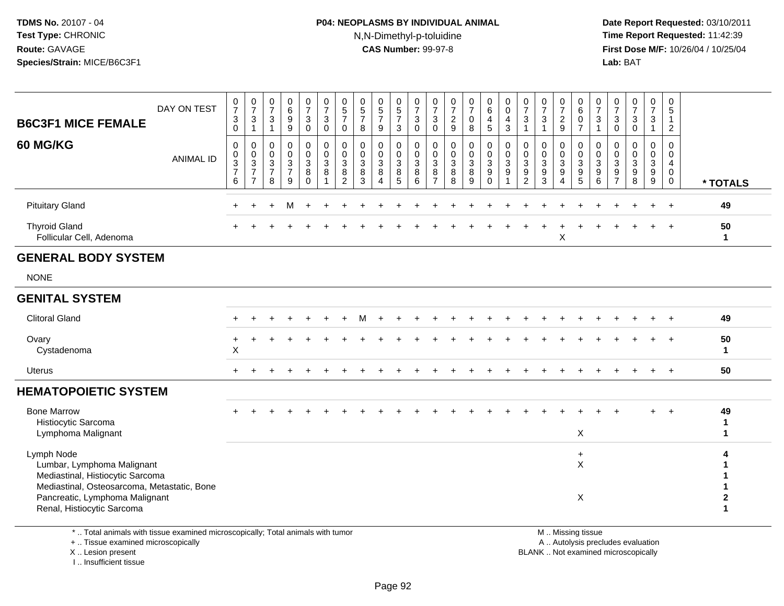### **P04: NEOPLASMS BY INDIVIDUAL ANIMAL**N,N-Dimethyl-p-toluidine

 **Date Report Requested:** 03/10/2011 **Time Report Requested:** 11:42:39 **First Dose M/F:** 10/26/04 / 10/25/04 Lab: BAT **Lab:** BAT

| <b>B6C3F1 MICE FEMALE</b>                                                                                                                                                                   | DAY ON TEST      | $\frac{0}{7}$<br>$_{0}^{3}$                                           | $\frac{0}{7}$<br>$\frac{3}{1}$                            | $\frac{0}{7}$<br>$\mathbf{3}$<br>$\overline{1}$       | 0<br>6<br>$9\,$<br>$\boldsymbol{9}$                               | $\frac{0}{7}$<br>$\mathbf{3}$<br>$\overline{0}$               | $\frac{0}{7}$<br>$\mathbf{3}$<br>$\overline{0}$                         | $\begin{array}{c} 0 \\ 5 \\ 7 \end{array}$<br>$\pmb{0}$         | $\begin{array}{c} 0 \\ 5 \\ 7 \end{array}$<br>$\bf 8$ | $\begin{array}{c} 0 \\ 5 \end{array}$<br>$\overline{7}$<br>$\boldsymbol{9}$    | $\begin{array}{c} 0 \\ 5 \end{array}$<br>$\overline{7}$<br>$\sqrt{3}$ | $\frac{0}{7}$<br>$\frac{3}{0}$                                                  | $\frac{0}{7}$<br>$\mathbf{3}$<br>$\overline{0}$                   | $\frac{0}{7}$<br>$\frac{2}{9}$   | $\frac{0}{7}$<br>$\mathbf 0$<br>$\overline{8}$ | $\begin{matrix} 0 \\ 6 \end{matrix}$<br>4<br>$\overline{5}$    | 0<br>$\mathsf{O}\xspace$<br>4<br>$\mathbf{3}$                   | $\frac{0}{7}$<br>3<br>$\mathbf{1}$                                          | $\frac{0}{7}$<br>$\ensuremath{\mathsf{3}}$<br>$\mathbf{1}$         | $\frac{0}{7}$<br>$\frac{2}{9}$                                                   | $\begin{array}{c} 0 \\ 6 \end{array}$<br>$\frac{0}{7}$        | $\frac{0}{7}$<br>$\frac{3}{1}$                                         | 0<br>$\overline{7}$<br>$\mathbf{3}$<br>$\pmb{0}$     | $\frac{0}{7}$<br>$_{0}^{3}$                                    | $\frac{0}{7}$<br>$\ensuremath{\mathsf{3}}$<br>$\mathbf{1}$ | 0<br>$\overline{5}$<br>$\overline{1}$<br>$\overline{2}$ |                        |
|---------------------------------------------------------------------------------------------------------------------------------------------------------------------------------------------|------------------|-----------------------------------------------------------------------|-----------------------------------------------------------|-------------------------------------------------------|-------------------------------------------------------------------|---------------------------------------------------------------|-------------------------------------------------------------------------|-----------------------------------------------------------------|-------------------------------------------------------|--------------------------------------------------------------------------------|-----------------------------------------------------------------------|---------------------------------------------------------------------------------|-------------------------------------------------------------------|----------------------------------|------------------------------------------------|----------------------------------------------------------------|-----------------------------------------------------------------|-----------------------------------------------------------------------------|--------------------------------------------------------------------|----------------------------------------------------------------------------------|---------------------------------------------------------------|------------------------------------------------------------------------|------------------------------------------------------|----------------------------------------------------------------|------------------------------------------------------------|---------------------------------------------------------|------------------------|
| 60 MG/KG                                                                                                                                                                                    | <b>ANIMAL ID</b> | $\pmb{0}$<br>$\pmb{0}$<br>$\overline{3}$<br>$\overline{7}$<br>$\,6\,$ | $\pmb{0}$<br>$\pmb{0}$<br>$\frac{3}{7}$<br>$\overline{7}$ | 0<br>$\mathbf 0$<br>$\sqrt{3}$<br>$\overline{7}$<br>8 | $\pmb{0}$<br>$\mathbf 0$<br>$\overline{3}$<br>$\overline{7}$<br>9 | $\mathbf 0$<br>$\mathsf 0$<br>$\overline{3}$<br>8<br>$\Omega$ | $\pmb{0}$<br>$\mathbf 0$<br>$\overline{3}$<br>$\,8\,$<br>$\overline{1}$ | $\pmb{0}$<br>$\pmb{0}$<br>$\overline{3}$<br>8<br>$\overline{2}$ | $\pmb{0}$<br>$\pmb{0}$<br>$\frac{3}{8}$<br>3          | $\mathbf 0$<br>$\mathbf 0$<br>$\mathbf{3}$<br>$\bf8$<br>$\boldsymbol{\Lambda}$ | 0<br>$\mathbf 0$<br>$\mathbf{3}$<br>8<br>5                            | $\pmb{0}$<br>$\mathbf 0$<br>$\overline{3}$<br>$\overline{8}$<br>$6\overline{6}$ | $\mathbf 0$<br>$\mathbf 0$<br>$\mathbf{3}$<br>8<br>$\overline{7}$ | 0<br>0<br>$\mathbf{3}$<br>8<br>8 | $\pmb{0}$<br>$\pmb{0}$<br>$\frac{3}{8}$<br>9   | $\pmb{0}$<br>$\mathbf 0$<br>$\overline{3}$<br>9<br>$\mathbf 0$ | $\pmb{0}$<br>$\mathbf 0$<br>$\overline{3}$<br>9<br>$\mathbf{1}$ | $\mathbf 0$<br>$\mathsf{O}\xspace$<br>$\overline{3}$<br>9<br>$\overline{2}$ | 0<br>$\mathbf 0$<br>$\sqrt{3}$<br>$\boldsymbol{9}$<br>$\mathbf{3}$ | $\mathbf 0$<br>$\pmb{0}$<br>$\overline{3}$<br>$\boldsymbol{9}$<br>$\overline{4}$ | $\mathbf 0$<br>$\mathbf 0$<br>$\overline{3}$<br>$\frac{9}{5}$ | $\pmb{0}$<br>$\Omega$<br>$\overline{3}$<br>$\boldsymbol{9}$<br>$\,6\,$ | 0<br>$\Omega$<br>$\mathbf{3}$<br>9<br>$\overline{7}$ | $\mathbf 0$<br>$\Omega$<br>$\sqrt{3}$<br>$\boldsymbol{9}$<br>8 | 0<br>$\pmb{0}$<br>$\overline{3}$<br>$\frac{9}{9}$          | $\mathbf 0$<br>$\mathbf 0$<br>4<br>0<br>$\mathbf 0$     | * TOTALS               |
| <b>Pituitary Gland</b>                                                                                                                                                                      |                  | $\pm$                                                                 |                                                           | $\ddot{}$                                             | м                                                                 | $\div$                                                        |                                                                         |                                                                 |                                                       |                                                                                |                                                                       |                                                                                 |                                                                   |                                  |                                                |                                                                |                                                                 |                                                                             |                                                                    |                                                                                  |                                                               |                                                                        |                                                      |                                                                |                                                            | $\overline{+}$                                          | 49                     |
| <b>Thyroid Gland</b><br>Follicular Cell, Adenoma                                                                                                                                            |                  |                                                                       |                                                           |                                                       |                                                                   |                                                               |                                                                         |                                                                 |                                                       |                                                                                |                                                                       |                                                                                 |                                                                   |                                  |                                                |                                                                |                                                                 |                                                                             |                                                                    | Χ                                                                                |                                                               |                                                                        |                                                      |                                                                |                                                            |                                                         | 50<br>$\mathbf 1$      |
| <b>GENERAL BODY SYSTEM</b>                                                                                                                                                                  |                  |                                                                       |                                                           |                                                       |                                                                   |                                                               |                                                                         |                                                                 |                                                       |                                                                                |                                                                       |                                                                                 |                                                                   |                                  |                                                |                                                                |                                                                 |                                                                             |                                                                    |                                                                                  |                                                               |                                                                        |                                                      |                                                                |                                                            |                                                         |                        |
| <b>NONE</b>                                                                                                                                                                                 |                  |                                                                       |                                                           |                                                       |                                                                   |                                                               |                                                                         |                                                                 |                                                       |                                                                                |                                                                       |                                                                                 |                                                                   |                                  |                                                |                                                                |                                                                 |                                                                             |                                                                    |                                                                                  |                                                               |                                                                        |                                                      |                                                                |                                                            |                                                         |                        |
| <b>GENITAL SYSTEM</b>                                                                                                                                                                       |                  |                                                                       |                                                           |                                                       |                                                                   |                                                               |                                                                         |                                                                 |                                                       |                                                                                |                                                                       |                                                                                 |                                                                   |                                  |                                                |                                                                |                                                                 |                                                                             |                                                                    |                                                                                  |                                                               |                                                                        |                                                      |                                                                |                                                            |                                                         |                        |
| <b>Clitoral Gland</b>                                                                                                                                                                       |                  |                                                                       |                                                           |                                                       |                                                                   |                                                               |                                                                         |                                                                 |                                                       |                                                                                |                                                                       |                                                                                 |                                                                   |                                  |                                                |                                                                |                                                                 |                                                                             |                                                                    |                                                                                  |                                                               |                                                                        |                                                      |                                                                |                                                            |                                                         | 49                     |
| Ovary<br>Cystadenoma                                                                                                                                                                        |                  | +<br>X                                                                |                                                           |                                                       |                                                                   |                                                               |                                                                         |                                                                 |                                                       |                                                                                |                                                                       |                                                                                 |                                                                   |                                  |                                                |                                                                |                                                                 |                                                                             |                                                                    |                                                                                  |                                                               |                                                                        |                                                      |                                                                |                                                            |                                                         | 50<br>1                |
| <b>Uterus</b>                                                                                                                                                                               |                  |                                                                       |                                                           |                                                       |                                                                   |                                                               |                                                                         |                                                                 |                                                       |                                                                                |                                                                       |                                                                                 |                                                                   |                                  |                                                |                                                                |                                                                 |                                                                             |                                                                    |                                                                                  |                                                               |                                                                        |                                                      |                                                                | $\div$                                                     | $+$                                                     | 50                     |
| <b>HEMATOPOIETIC SYSTEM</b>                                                                                                                                                                 |                  |                                                                       |                                                           |                                                       |                                                                   |                                                               |                                                                         |                                                                 |                                                       |                                                                                |                                                                       |                                                                                 |                                                                   |                                  |                                                |                                                                |                                                                 |                                                                             |                                                                    |                                                                                  |                                                               |                                                                        |                                                      |                                                                |                                                            |                                                         |                        |
| <b>Bone Marrow</b><br>Histiocytic Sarcoma<br>Lymphoma Malignant                                                                                                                             |                  |                                                                       |                                                           |                                                       |                                                                   |                                                               |                                                                         |                                                                 |                                                       |                                                                                |                                                                       |                                                                                 |                                                                   |                                  |                                                |                                                                |                                                                 |                                                                             |                                                                    |                                                                                  | X                                                             |                                                                        |                                                      |                                                                | $+$                                                        | $+$                                                     | 49<br>1<br>$\mathbf 1$ |
| Lymph Node<br>Lumbar, Lymphoma Malignant<br>Mediastinal, Histiocytic Sarcoma<br>Mediastinal, Osteosarcoma, Metastatic, Bone<br>Pancreatic, Lymphoma Malignant<br>Renal, Histiocytic Sarcoma |                  |                                                                       |                                                           |                                                       |                                                                   |                                                               |                                                                         |                                                                 |                                                       |                                                                                |                                                                       |                                                                                 |                                                                   |                                  |                                                |                                                                |                                                                 |                                                                             |                                                                    |                                                                                  | $\ddot{}$<br>$\times$<br>$\boldsymbol{\mathsf{X}}$            |                                                                        |                                                      |                                                                |                                                            |                                                         |                        |
|                                                                                                                                                                                             |                  |                                                                       |                                                           |                                                       |                                                                   |                                                               |                                                                         |                                                                 |                                                       |                                                                                |                                                                       |                                                                                 |                                                                   |                                  |                                                |                                                                |                                                                 |                                                                             |                                                                    |                                                                                  |                                                               |                                                                        |                                                      |                                                                |                                                            |                                                         |                        |

\* .. Total animals with tissue examined microscopically; Total animals with tumor

+ .. Tissue examined microscopically

 Lesion present BLANK .. Not examined microscopicallyX .. Lesion present

I .. Insufficient tissue

M .. Missing tissue

y the contract of the contract of the contract of the contract of the contract of the contract of the contract of  $A$ . Autolysis precludes evaluation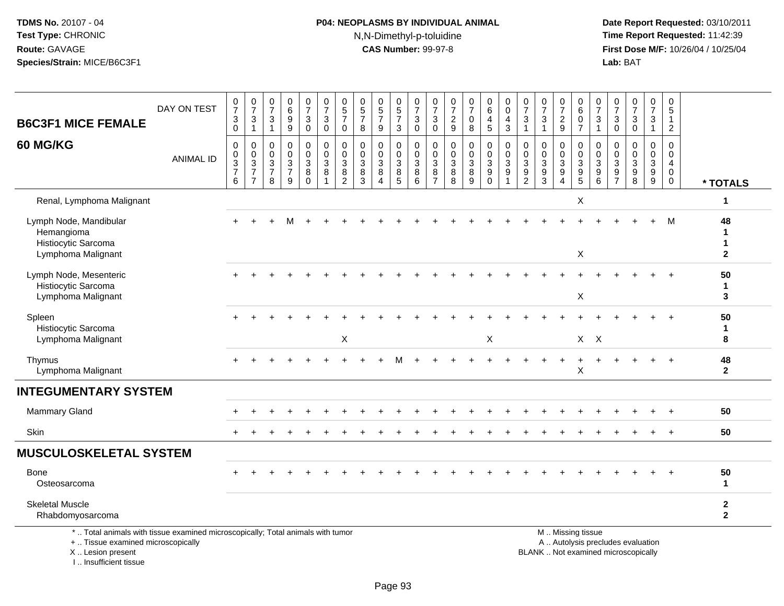# **P04: NEOPLASMS BY INDIVIDUAL ANIMAL**N,N-Dimethyl-p-toluidine

 **Date Report Requested:** 03/10/2011 **Time Report Requested:** 11:42:39 **First Dose M/F:** 10/26/04 / 10/25/04<br>**Lab:** BAT **Lab:** BAT

| <b>B6C3F1 MICE FEMALE</b>                                                                                             | DAY ON TEST      | $\frac{0}{7}$<br>$\sqrt{3}$<br>$\mathbf 0$   | $\begin{array}{c} 0 \\ 7 \end{array}$<br>$\sqrt{3}$<br>$\overline{1}$ | $\frac{0}{7}$<br>3<br>$\mathbf{1}$                     | 0<br>6<br>$\boldsymbol{9}$<br>9                               | $\frac{0}{7}$<br>3<br>$\mathbf 0$                    | $\begin{smallmatrix}0\\7\end{smallmatrix}$<br>$\mathbf{3}$<br>$\mathsf{O}\xspace$ | $\begin{array}{c} 0 \\ 5 \\ 7 \end{array}$<br>$\mathsf{O}\xspace$                                     | $\begin{array}{c} 0 \\ 5 \\ 7 \end{array}$<br>8                                      | $\begin{array}{c} 0 \\ 5 \\ 7 \end{array}$<br>$9\,$                          | $\begin{array}{c} 0 \\ 5 \\ 7 \end{array}$<br>3 | $\frac{0}{7}$<br>$\mathbf{3}$<br>$\mathbf 0$       | $\frac{0}{7}$<br>3<br>$\mathbf 0$                      | $\frac{0}{7}$<br>$\boldsymbol{2}$<br>$\overline{9}$       | $\begin{array}{c} 0 \\ 7 \end{array}$<br>$\pmb{0}$<br>8 | $_{6}^{\rm 0}$<br>$\overline{4}$<br>5                                    | 0<br>$\mathbf 0$<br>$\overline{a}$<br>$\mathbf{3}$   | $\begin{array}{c} 0 \\ 7 \end{array}$<br>3<br>1        | 0<br>$\overline{7}$<br>$\ensuremath{\mathsf{3}}$<br>$\overline{1}$                         | $\begin{array}{c} 0 \\ 7 \end{array}$<br>$\overline{2}$<br>9                                     | $\begin{array}{c} 0 \\ 6 \end{array}$<br>$\mathbf 0$<br>$\overline{7}$                        | $\frac{0}{7}$<br>$\sqrt{3}$<br>$\overline{1}$    | $\pmb{0}$<br>$\overline{7}$<br>3<br>$\mathbf 0$                       | $\begin{array}{c} 0 \\ 7 \end{array}$<br>$\sqrt{3}$<br>$\mathbf 0$  | $\frac{0}{7}$<br>3<br>$\mathbf{1}$                   | $\pmb{0}$<br>$\overline{5}$<br>$\overline{1}$<br>$\overline{c}$       |                                        |
|-----------------------------------------------------------------------------------------------------------------------|------------------|----------------------------------------------|-----------------------------------------------------------------------|--------------------------------------------------------|---------------------------------------------------------------|------------------------------------------------------|-----------------------------------------------------------------------------------|-------------------------------------------------------------------------------------------------------|--------------------------------------------------------------------------------------|------------------------------------------------------------------------------|-------------------------------------------------|----------------------------------------------------|--------------------------------------------------------|-----------------------------------------------------------|---------------------------------------------------------|--------------------------------------------------------------------------|------------------------------------------------------|--------------------------------------------------------|--------------------------------------------------------------------------------------------|--------------------------------------------------------------------------------------------------|-----------------------------------------------------------------------------------------------|--------------------------------------------------|-----------------------------------------------------------------------|---------------------------------------------------------------------|------------------------------------------------------|-----------------------------------------------------------------------|----------------------------------------|
| 60 MG/KG                                                                                                              | <b>ANIMAL ID</b> | 0<br>$\mathbf 0$<br>3<br>$\overline{7}$<br>6 | $\pmb{0}$<br>$\frac{0}{3}$<br>$\overline{7}$                          | $\mathbf 0$<br>$\mathbf 0$<br>3<br>$\overline{7}$<br>8 | $\mathbf 0$<br>$\pmb{0}$<br>$\sqrt{3}$<br>$\overline{7}$<br>9 | 0<br>$\mathsf{O}\xspace$<br>3<br>$\bf 8$<br>$\Omega$ | $\pmb{0}$<br>$\frac{0}{3}$<br>$\bf 8$<br>$\overline{1}$                           | $\pmb{0}$<br>$\pmb{0}$<br>$\ensuremath{\mathsf{3}}$<br>$\begin{smallmatrix} 8 \\ 2 \end{smallmatrix}$ | $\mathbf 0$<br>$\mathbf 0$<br>$\ensuremath{\mathsf{3}}$<br>$\bf 8$<br>$\overline{3}$ | $\mathbf 0$<br>$\pmb{0}$<br>$\mathbf{3}$<br>$\bf8$<br>$\boldsymbol{\Lambda}$ | $\mathbf 0$<br>0<br>$\sqrt{3}$<br>8<br>5        | $\pmb{0}$<br>$\frac{0}{3}$<br>8<br>$6\overline{6}$ | $\mathbf 0$<br>$\mathbf 0$<br>3<br>8<br>$\overline{7}$ | $\mathbf 0$<br>0<br>$\ensuremath{\mathsf{3}}$<br>$_{8}^8$ | $\mathbf 0$<br>$\frac{0}{3}$<br>$\bf 8$<br>9            | 0<br>$\mathsf{O}\xspace$<br>$\mathbf{3}$<br>$\boldsymbol{9}$<br>$\Omega$ | $\pmb{0}$<br>$\pmb{0}$<br>$\mathbf{3}$<br>$9\,$<br>1 | $\mathbf 0$<br>$\mathbf 0$<br>3<br>9<br>$\overline{2}$ | $\Omega$<br>$\mathbf 0$<br>$\ensuremath{\mathsf{3}}$<br>$\boldsymbol{9}$<br>$\overline{3}$ | $\Omega$<br>$\pmb{0}$<br>$\ensuremath{\mathsf{3}}$<br>$\boldsymbol{9}$<br>$\boldsymbol{\Lambda}$ | $\mathbf 0$<br>$\mathbf 0$<br>$\ensuremath{\mathsf{3}}$<br>$\boldsymbol{9}$<br>$\overline{5}$ | $\mathbf 0$<br>$\mathbf 0$<br>$\frac{3}{9}$<br>6 | $\mathbf 0$<br>$\mathbf 0$<br>3<br>$\boldsymbol{9}$<br>$\overline{7}$ | $\mathbf 0$<br>$\mathbf 0$<br>$\mathbf{3}$<br>$\boldsymbol{9}$<br>8 | $\mathbf 0$<br>$\mathbf 0$<br>$\mathbf{3}$<br>$^9_9$ | $\mathsf 0$<br>$\mathsf{O}\xspace$<br>4<br>$\mathbf 0$<br>$\mathbf 0$ | * TOTALS                               |
| Renal, Lymphoma Malignant                                                                                             |                  |                                              |                                                                       |                                                        |                                                               |                                                      |                                                                                   |                                                                                                       |                                                                                      |                                                                              |                                                 |                                                    |                                                        |                                                           |                                                         |                                                                          |                                                      |                                                        |                                                                                            |                                                                                                  | $\mathsf X$                                                                                   |                                                  |                                                                       |                                                                     |                                                      |                                                                       | 1                                      |
| Lymph Node, Mandibular<br>Hemangioma<br>Histiocytic Sarcoma<br>Lymphoma Malignant                                     |                  |                                              |                                                                       |                                                        | M                                                             |                                                      |                                                                                   |                                                                                                       |                                                                                      |                                                                              |                                                 |                                                    |                                                        |                                                           |                                                         |                                                                          |                                                      |                                                        |                                                                                            |                                                                                                  | $\mathsf X$                                                                                   |                                                  |                                                                       |                                                                     |                                                      | M                                                                     | 48<br>1<br>$\mathbf 1$<br>$\mathbf{2}$ |
| Lymph Node, Mesenteric<br>Histiocytic Sarcoma<br>Lymphoma Malignant                                                   |                  |                                              |                                                                       |                                                        |                                                               |                                                      |                                                                                   |                                                                                                       |                                                                                      |                                                                              |                                                 |                                                    |                                                        |                                                           |                                                         |                                                                          |                                                      |                                                        |                                                                                            |                                                                                                  | $\mathsf X$                                                                                   |                                                  |                                                                       |                                                                     |                                                      |                                                                       | 50<br>$\mathbf{1}$<br>3                |
| Spleen<br>Histiocytic Sarcoma<br>Lymphoma Malignant                                                                   |                  |                                              |                                                                       |                                                        |                                                               |                                                      |                                                                                   | $\pmb{\times}$                                                                                        |                                                                                      |                                                                              |                                                 |                                                    |                                                        |                                                           |                                                         | $\boldsymbol{\mathsf{X}}$                                                |                                                      |                                                        |                                                                                            |                                                                                                  |                                                                                               | $X$ $X$                                          |                                                                       |                                                                     |                                                      |                                                                       | 50<br>$\mathbf 1$<br>8                 |
| Thymus<br>Lymphoma Malignant                                                                                          |                  |                                              |                                                                       |                                                        |                                                               |                                                      |                                                                                   |                                                                                                       |                                                                                      |                                                                              |                                                 |                                                    |                                                        |                                                           |                                                         |                                                                          |                                                      |                                                        |                                                                                            |                                                                                                  | X                                                                                             |                                                  |                                                                       |                                                                     |                                                      |                                                                       | 48<br>$\mathbf 2$                      |
| <b>INTEGUMENTARY SYSTEM</b>                                                                                           |                  |                                              |                                                                       |                                                        |                                                               |                                                      |                                                                                   |                                                                                                       |                                                                                      |                                                                              |                                                 |                                                    |                                                        |                                                           |                                                         |                                                                          |                                                      |                                                        |                                                                                            |                                                                                                  |                                                                                               |                                                  |                                                                       |                                                                     |                                                      |                                                                       |                                        |
| <b>Mammary Gland</b>                                                                                                  |                  |                                              |                                                                       |                                                        |                                                               |                                                      |                                                                                   |                                                                                                       |                                                                                      |                                                                              |                                                 |                                                    |                                                        |                                                           |                                                         |                                                                          |                                                      |                                                        |                                                                                            |                                                                                                  |                                                                                               |                                                  |                                                                       |                                                                     |                                                      |                                                                       | 50                                     |
| Skin                                                                                                                  |                  |                                              |                                                                       |                                                        |                                                               |                                                      |                                                                                   |                                                                                                       |                                                                                      |                                                                              |                                                 |                                                    |                                                        |                                                           |                                                         |                                                                          |                                                      |                                                        |                                                                                            |                                                                                                  |                                                                                               |                                                  |                                                                       |                                                                     |                                                      |                                                                       | 50                                     |
| <b>MUSCULOSKELETAL SYSTEM</b>                                                                                         |                  |                                              |                                                                       |                                                        |                                                               |                                                      |                                                                                   |                                                                                                       |                                                                                      |                                                                              |                                                 |                                                    |                                                        |                                                           |                                                         |                                                                          |                                                      |                                                        |                                                                                            |                                                                                                  |                                                                                               |                                                  |                                                                       |                                                                     |                                                      |                                                                       |                                        |
| <b>Bone</b><br>Osteosarcoma                                                                                           |                  |                                              |                                                                       |                                                        |                                                               |                                                      |                                                                                   |                                                                                                       |                                                                                      |                                                                              |                                                 |                                                    |                                                        |                                                           |                                                         |                                                                          |                                                      |                                                        |                                                                                            |                                                                                                  |                                                                                               |                                                  |                                                                       |                                                                     |                                                      | $\ddot{}$                                                             | 50<br>-1                               |
| <b>Skeletal Muscle</b><br>Rhabdomyosarcoma                                                                            |                  |                                              |                                                                       |                                                        |                                                               |                                                      |                                                                                   |                                                                                                       |                                                                                      |                                                                              |                                                 |                                                    |                                                        |                                                           |                                                         |                                                                          |                                                      |                                                        |                                                                                            |                                                                                                  |                                                                                               |                                                  |                                                                       |                                                                     |                                                      |                                                                       | $\boldsymbol{2}$<br>$\overline{2}$     |
| *  Total animals with tissue examined microscopically; Total animals with tumor<br>+  Tissue examined microscopically |                  |                                              |                                                                       |                                                        |                                                               |                                                      |                                                                                   |                                                                                                       |                                                                                      |                                                                              |                                                 |                                                    |                                                        |                                                           |                                                         |                                                                          |                                                      |                                                        |                                                                                            |                                                                                                  | M  Missing tissue                                                                             |                                                  |                                                                       | A  Autolysis precludes evaluation                                   |                                                      |                                                                       |                                        |

X .. Lesion present

I .. Insufficient tissue

 A .. Autolysis precludes evaluationLesion present BLANK .. Not examined microscopically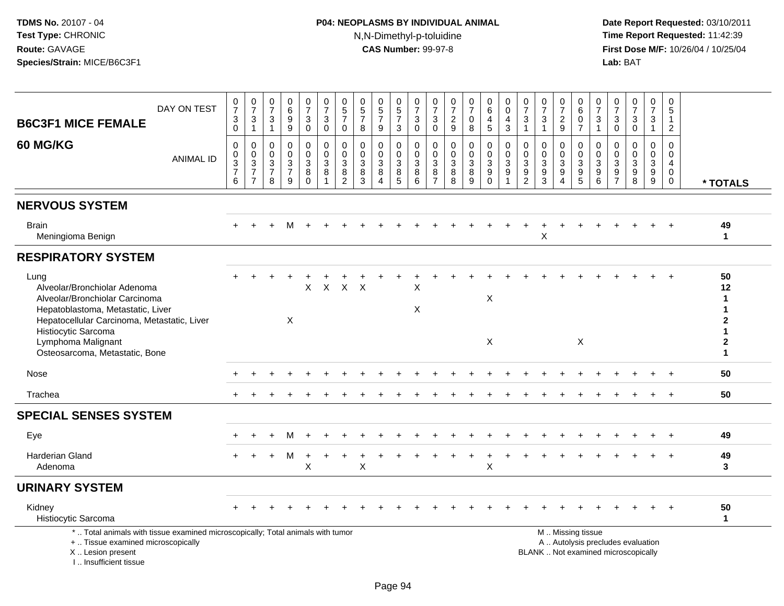# **P04: NEOPLASMS BY INDIVIDUAL ANIMAL**N,N-Dimethyl-p-toluidine

| DAY ON TEST<br><b>B6C3F1 MICE FEMALE</b>                                                                                                                                          | $\frac{0}{7}$<br>$\ensuremath{\mathsf{3}}$<br>$\pmb{0}$ | $\frac{0}{7}$<br>$\mathsf 3$<br>$\mathbf{1}$                  | $\begin{array}{c} 0 \\ 7 \end{array}$<br>$\sqrt{3}$<br>$\mathbf{1}$            | $\begin{array}{c} 0 \\ 6 \\ 9 \end{array}$<br>9       | $\frac{0}{7}$<br>$\mathbf{3}$<br>$\mathbf 0$ | $\frac{0}{7}$<br>$\sqrt{3}$<br>$\mathbf 0$              | $\begin{array}{c} 0 \\ 5 \\ 7 \end{array}$<br>$\mathbf 0$   | $\begin{array}{c} 0 \\ 5 \\ 7 \end{array}$<br>8 | $\begin{array}{c} 0 \\ 5 \\ 7 \end{array}$<br>$\boldsymbol{9}$        | 0<br>$\sqrt{5}$<br>$\overline{7}$<br>3        | 0<br>$\overline{7}$<br>3<br>$\mathbf 0$ | $\frac{0}{7}$<br>$\mathbf{3}$<br>$\mathbf 0$                 | $\frac{0}{7}$<br>$\overline{c}$<br>9       | $\frac{0}{7}$<br>$\mathsf{O}\xspace$<br>8                                 | $\begin{array}{c} 0 \\ 6 \end{array}$<br>4<br>$\overline{5}$                             | $\pmb{0}$<br>$\pmb{0}$<br>4<br>$\mathbf{3}$ | $\frac{0}{7}$<br>$\mathbf 3$<br>$\overline{1}$                                                | $\frac{0}{7}$<br>$\mathbf{3}$<br>$\mathbf{1}$ | $\frac{0}{7}$<br>$\sqrt{2}$<br>$9\,$                                           | 0<br>6<br>0<br>$\overline{7}$                                                                 | $\frac{0}{7}$<br>$\sqrt{3}$<br>$\mathbf{1}$                                                 | $\frac{0}{7}$<br>3<br>$\overline{0}$                                   | $\begin{array}{c} 0 \\ 7 \end{array}$<br>$\mathbf{3}$<br>$\mathbf 0$             | $\begin{array}{c} 0 \\ 7 \end{array}$<br>3<br>$\mathbf{1}$                                      | 0<br>$\sqrt{5}$<br>$\mathbf{1}$<br>$\overline{2}$          |                                                                 |
|-----------------------------------------------------------------------------------------------------------------------------------------------------------------------------------|---------------------------------------------------------|---------------------------------------------------------------|--------------------------------------------------------------------------------|-------------------------------------------------------|----------------------------------------------|---------------------------------------------------------|-------------------------------------------------------------|-------------------------------------------------|-----------------------------------------------------------------------|-----------------------------------------------|-----------------------------------------|--------------------------------------------------------------|--------------------------------------------|---------------------------------------------------------------------------|------------------------------------------------------------------------------------------|---------------------------------------------|-----------------------------------------------------------------------------------------------|-----------------------------------------------|--------------------------------------------------------------------------------|-----------------------------------------------------------------------------------------------|---------------------------------------------------------------------------------------------|------------------------------------------------------------------------|----------------------------------------------------------------------------------|-------------------------------------------------------------------------------------------------|------------------------------------------------------------|-----------------------------------------------------------------|
| <b>60 MG/KG</b><br><b>ANIMAL ID</b>                                                                                                                                               | $\pmb{0}$<br>$\frac{0}{3}$<br>6                         | $\mathbf 0$<br>$\mathbf 0$<br>$\frac{3}{7}$<br>$\overline{7}$ | $\mathbf 0$<br>$\mathbf 0$<br>$\ensuremath{\mathsf{3}}$<br>$\overline{7}$<br>8 | 0<br>$\mathsf 0$<br>$\frac{3}{7}$<br>$\boldsymbol{9}$ | 0<br>$\mathbf 0$<br>3<br>8<br>$\mathbf 0$    | 0<br>$\pmb{0}$<br>$\sqrt{3}$<br>$\bf 8$<br>$\mathbf{1}$ | $\mathbf 0$<br>$\mathbf 0$<br>3<br>$\bf8$<br>$\overline{c}$ | $\mathbf 0$<br>$\mathbf 0$<br>3<br>8<br>3       | 0<br>$\mathsf{O}\xspace$<br>$\ensuremath{\mathsf{3}}$<br>$\,8\,$<br>4 | 0<br>$\mathbf 0$<br>$\sqrt{3}$<br>$\, 8$<br>5 | 0<br>$\mathbf 0$<br>3<br>8<br>6         | $\mathbf 0$<br>$\mathsf 0$<br>3<br>$\bf 8$<br>$\overline{7}$ | 0<br>$\mathsf 0$<br>$\mathbf{3}$<br>8<br>8 | 0<br>$\mathsf{O}\xspace$<br>$\ensuremath{\mathsf{3}}$<br>$\bf 8$<br>$9\,$ | $\mathbf 0$<br>$\pmb{0}$<br>$\ensuremath{\mathsf{3}}$<br>$\boldsymbol{9}$<br>$\mathbf 0$ | 0<br>$\mathbf 0$<br>3<br>$9\,$              | $\mathbf 0$<br>$\mathbf 0$<br>$\ensuremath{\mathsf{3}}$<br>$\boldsymbol{9}$<br>$\overline{c}$ | 0<br>$\mathbf 0$<br>3<br>9<br>$\mathbf{3}$    | $\mathbf 0$<br>$\mathbf 0$<br>$\sqrt{3}$<br>$\boldsymbol{9}$<br>$\overline{4}$ | 0<br>$\mathbf 0$<br>3<br>$\boldsymbol{9}$<br>5                                                | $\mathbf 0$<br>$\boldsymbol{0}$<br>$\ensuremath{\mathsf{3}}$<br>$\boldsymbol{9}$<br>$\,6\,$ | 0<br>$\mathbf 0$<br>$\mathbf{3}$<br>$\boldsymbol{9}$<br>$\overline{7}$ | $\mathbf 0$<br>$\mathbf 0$<br>$\ensuremath{\mathsf{3}}$<br>$\boldsymbol{9}$<br>8 | $\mathbf 0$<br>$\mathbf 0$<br>$\ensuremath{\mathsf{3}}$<br>$\boldsymbol{9}$<br>$\boldsymbol{9}$ | $\Omega$<br>$\mathbf 0$<br>4<br>$\mathbf 0$<br>$\mathbf 0$ | * TOTALS                                                        |
| <b>NERVOUS SYSTEM</b>                                                                                                                                                             |                                                         |                                                               |                                                                                |                                                       |                                              |                                                         |                                                             |                                                 |                                                                       |                                               |                                         |                                                              |                                            |                                                                           |                                                                                          |                                             |                                                                                               |                                               |                                                                                |                                                                                               |                                                                                             |                                                                        |                                                                                  |                                                                                                 |                                                            |                                                                 |
| <b>Brain</b><br>Meningioma Benign                                                                                                                                                 |                                                         |                                                               |                                                                                | м                                                     |                                              |                                                         |                                                             |                                                 |                                                                       |                                               |                                         |                                                              |                                            |                                                                           |                                                                                          |                                             |                                                                                               | $\ddot{}$<br>X                                |                                                                                |                                                                                               |                                                                                             |                                                                        |                                                                                  |                                                                                                 |                                                            | 49<br>$\mathbf{1}$                                              |
| <b>RESPIRATORY SYSTEM</b>                                                                                                                                                         |                                                         |                                                               |                                                                                |                                                       |                                              |                                                         |                                                             |                                                 |                                                                       |                                               |                                         |                                                              |                                            |                                                                           |                                                                                          |                                             |                                                                                               |                                               |                                                                                |                                                                                               |                                                                                             |                                                                        |                                                                                  |                                                                                                 |                                                            |                                                                 |
| Lung<br>Alveolar/Bronchiolar Adenoma<br>Alveolar/Bronchiolar Carcinoma<br>Hepatoblastoma, Metastatic, Liver<br>Hepatocellular Carcinoma, Metastatic, Liver<br>Histiocytic Sarcoma |                                                         |                                                               |                                                                                | X                                                     | X                                            | X                                                       | $\mathsf{X}$                                                | $\times$                                        |                                                                       |                                               | X<br>X                                  |                                                              |                                            |                                                                           | X                                                                                        |                                             |                                                                                               |                                               |                                                                                |                                                                                               |                                                                                             |                                                                        |                                                                                  |                                                                                                 |                                                            | 50<br>12<br>$\mathbf{1}$<br>1<br>$\overline{2}$<br>$\mathbf{1}$ |
| Lymphoma Malignant<br>Osteosarcoma, Metastatic, Bone                                                                                                                              |                                                         |                                                               |                                                                                |                                                       |                                              |                                                         |                                                             |                                                 |                                                                       |                                               |                                         |                                                              |                                            |                                                                           | X                                                                                        |                                             |                                                                                               |                                               |                                                                                | $\times$                                                                                      |                                                                                             |                                                                        |                                                                                  |                                                                                                 |                                                            | $\overline{2}$<br>1                                             |
| Nose                                                                                                                                                                              |                                                         |                                                               |                                                                                |                                                       |                                              |                                                         |                                                             |                                                 |                                                                       |                                               |                                         |                                                              |                                            |                                                                           |                                                                                          |                                             |                                                                                               |                                               |                                                                                |                                                                                               |                                                                                             |                                                                        |                                                                                  |                                                                                                 |                                                            | 50                                                              |
| Trachea                                                                                                                                                                           |                                                         |                                                               |                                                                                |                                                       |                                              |                                                         |                                                             |                                                 |                                                                       |                                               |                                         |                                                              |                                            |                                                                           |                                                                                          |                                             |                                                                                               |                                               |                                                                                |                                                                                               |                                                                                             |                                                                        |                                                                                  |                                                                                                 | $\overline{ }$                                             | 50                                                              |
| <b>SPECIAL SENSES SYSTEM</b>                                                                                                                                                      |                                                         |                                                               |                                                                                |                                                       |                                              |                                                         |                                                             |                                                 |                                                                       |                                               |                                         |                                                              |                                            |                                                                           |                                                                                          |                                             |                                                                                               |                                               |                                                                                |                                                                                               |                                                                                             |                                                                        |                                                                                  |                                                                                                 |                                                            |                                                                 |
| Eye                                                                                                                                                                               |                                                         |                                                               |                                                                                | M                                                     |                                              |                                                         |                                                             |                                                 |                                                                       |                                               |                                         |                                                              |                                            |                                                                           |                                                                                          |                                             |                                                                                               |                                               |                                                                                |                                                                                               |                                                                                             |                                                                        |                                                                                  |                                                                                                 |                                                            | 49                                                              |
| Harderian Gland<br>Adenoma                                                                                                                                                        |                                                         |                                                               | $+$                                                                            | M                                                     | $\ddot{}$<br>X                               |                                                         |                                                             | X                                               |                                                                       |                                               |                                         |                                                              |                                            |                                                                           | X                                                                                        |                                             |                                                                                               |                                               |                                                                                |                                                                                               |                                                                                             |                                                                        |                                                                                  |                                                                                                 |                                                            | 49<br>3                                                         |
| <b>URINARY SYSTEM</b>                                                                                                                                                             |                                                         |                                                               |                                                                                |                                                       |                                              |                                                         |                                                             |                                                 |                                                                       |                                               |                                         |                                                              |                                            |                                                                           |                                                                                          |                                             |                                                                                               |                                               |                                                                                |                                                                                               |                                                                                             |                                                                        |                                                                                  |                                                                                                 |                                                            |                                                                 |
| Kidney<br>Histiocytic Sarcoma                                                                                                                                                     |                                                         |                                                               |                                                                                |                                                       |                                              |                                                         |                                                             |                                                 |                                                                       |                                               |                                         |                                                              |                                            |                                                                           |                                                                                          |                                             |                                                                                               |                                               |                                                                                |                                                                                               |                                                                                             |                                                                        |                                                                                  |                                                                                                 |                                                            | 50<br>$\mathbf{1}$                                              |
| *  Total animals with tissue examined microscopically; Total animals with tumor<br>+  Tissue examined microscopically<br>X  Lesion present<br>I Insufficient tissue               |                                                         |                                                               |                                                                                |                                                       |                                              |                                                         |                                                             |                                                 |                                                                       |                                               |                                         |                                                              |                                            |                                                                           |                                                                                          |                                             |                                                                                               |                                               |                                                                                | M  Missing tissue<br>A  Autolysis precludes evaluation<br>BLANK  Not examined microscopically |                                                                                             |                                                                        |                                                                                  |                                                                                                 |                                                            |                                                                 |